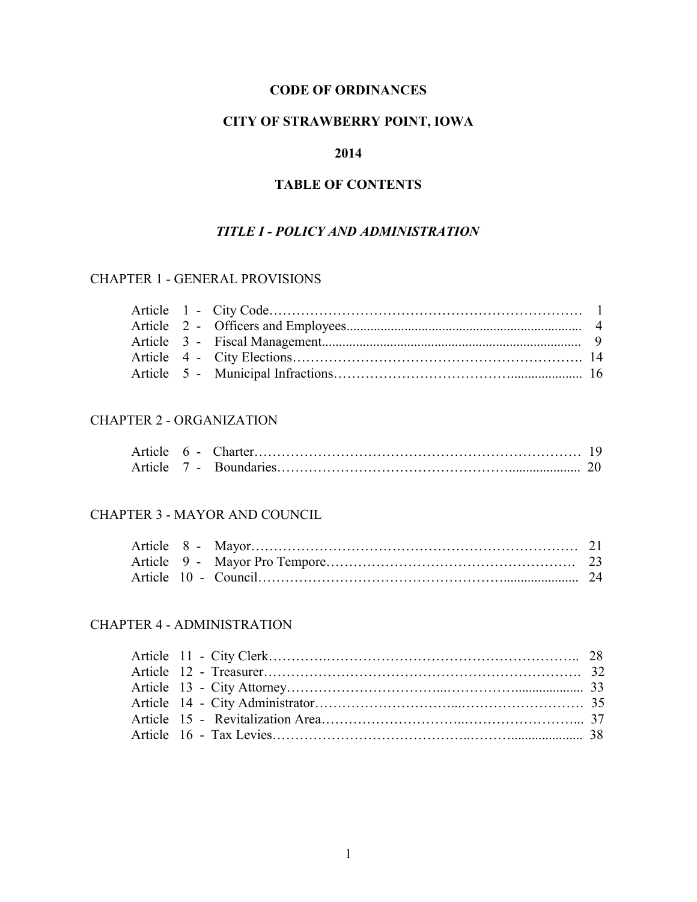## **CODE OF ORDINANCES**

## **CITY OF STRAWBERRY POINT, IOWA**

## **2014**

# **TABLE OF CONTENTS**

### *TITLE I - POLICY AND ADMINISTRATION*

# CHAPTER 1 - GENERAL PROVISIONS

### CHAPTER 2 - ORGANIZATION

## CHAPTER 3 - MAYOR AND COUNCIL

### CHAPTER 4 - ADMINISTRATION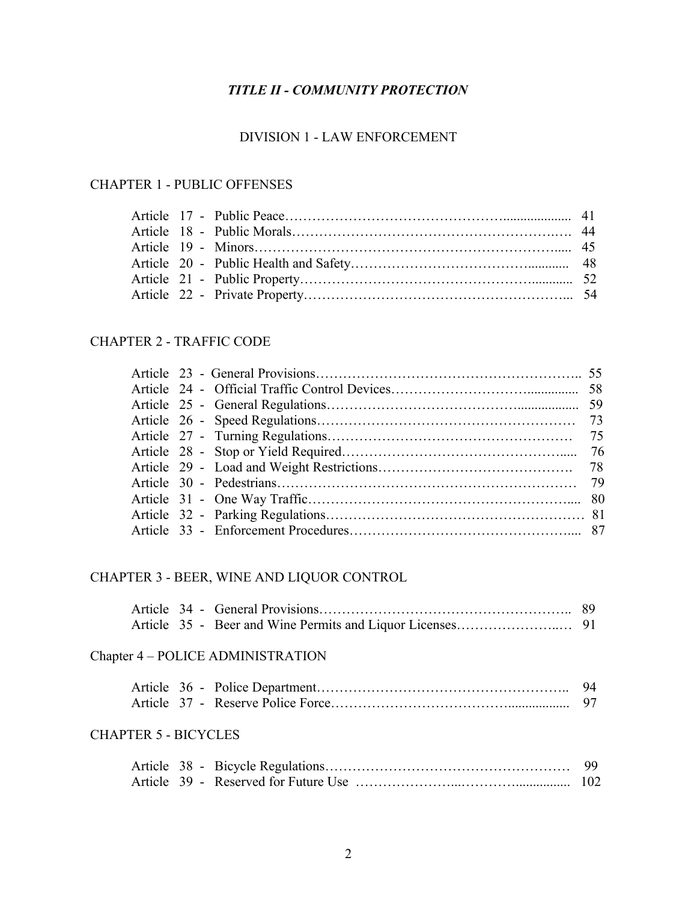# *TITLE II - COMMUNITY PROTECTION*

### DIVISION 1 - LAW ENFORCEMENT

# CHAPTER 1 - PUBLIC OFFENSES

### CHAPTER 2 - TRAFFIC CODE

## CHAPTER 3 - BEER, WINE AND LIQUOR CONTROL

## Chapter 4 – POLICE ADMINISTRATION

## CHAPTER 5 - BICYCLES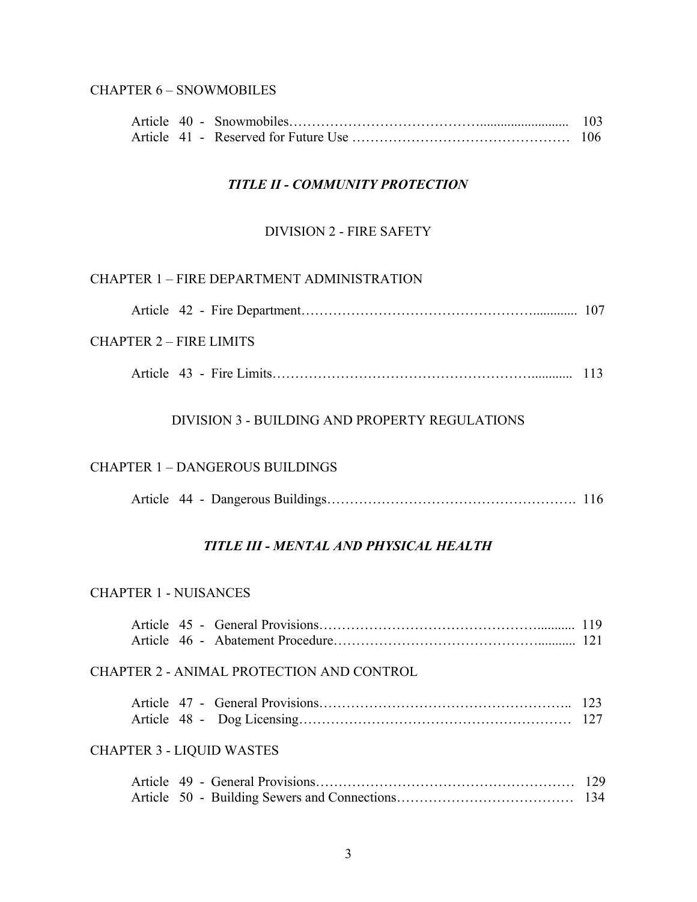## CHAPTER 6 – SNOWMOBILES

## *TITLE II - COMMUNITY PROTECTION*

#### DIVISION 2 - FIRE SAFETY

### CHAPTER 1 – FIRE DEPARTMENT ADMINISTRATION

| CHAPTER 2 – FIRE LIMITS |  |
|-------------------------|--|
|                         |  |
|                         |  |

## DIVISION 3 - BUILDING AND PROPERTY REGULATIONS

#### CHAPTER 1 – DANGEROUS BUILDINGS

|--|--|--|--|

### *TITLE III - MENTAL AND PHYSICAL HEALTH*

#### CHAPTER 1 - NUISANCES

|  | <b>CHAPTER 2 - ANIMAL PROTECTION AND CONTROL</b> |  |
|--|--------------------------------------------------|--|
|  |                                                  |  |
|  | <b>CHAPTER 3 - LIQUID WASTES</b>                 |  |
|  |                                                  |  |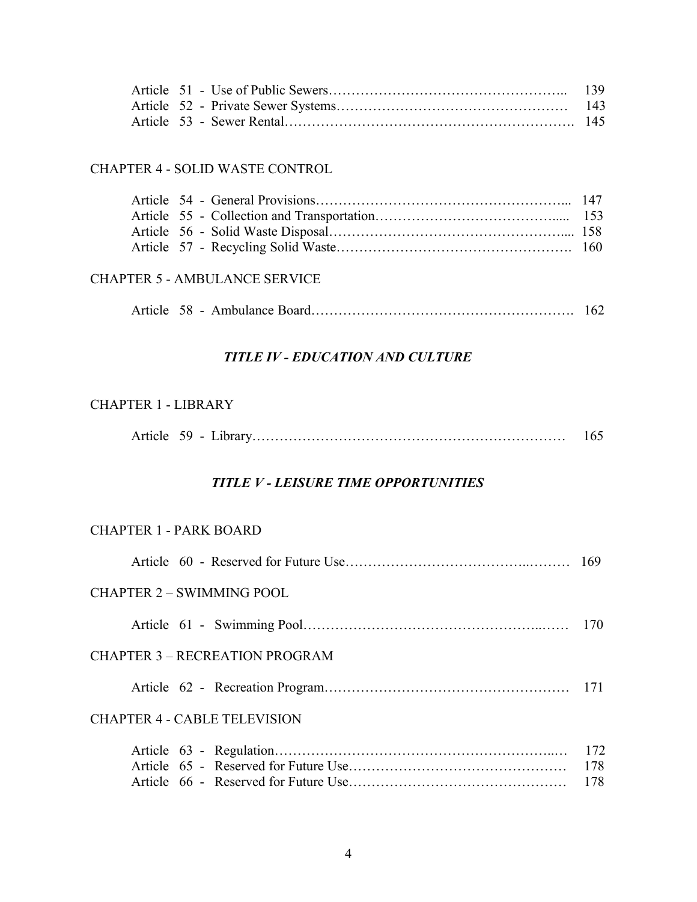## CHAPTER 4 - SOLID WASTE CONTROL

## CHAPTER 5 - AMBULANCE SERVICE

|--|--|

## *TITLE IV - EDUCATION AND CULTURE*

## CHAPTER 1 - LIBRARY

|--|--|--|--|

### *TITLE V - LEISURE TIME OPPORTUNITIES*

## CHAPTER 1 - PARK BOARD

| CHAPTER 2 – SWIMMING POOL             |                   |
|---------------------------------------|-------------------|
|                                       |                   |
| <b>CHAPTER 3 – RECREATION PROGRAM</b> |                   |
|                                       |                   |
| <b>CHAPTER 4 - CABLE TELEVISION</b>   |                   |
|                                       | 172<br>178<br>178 |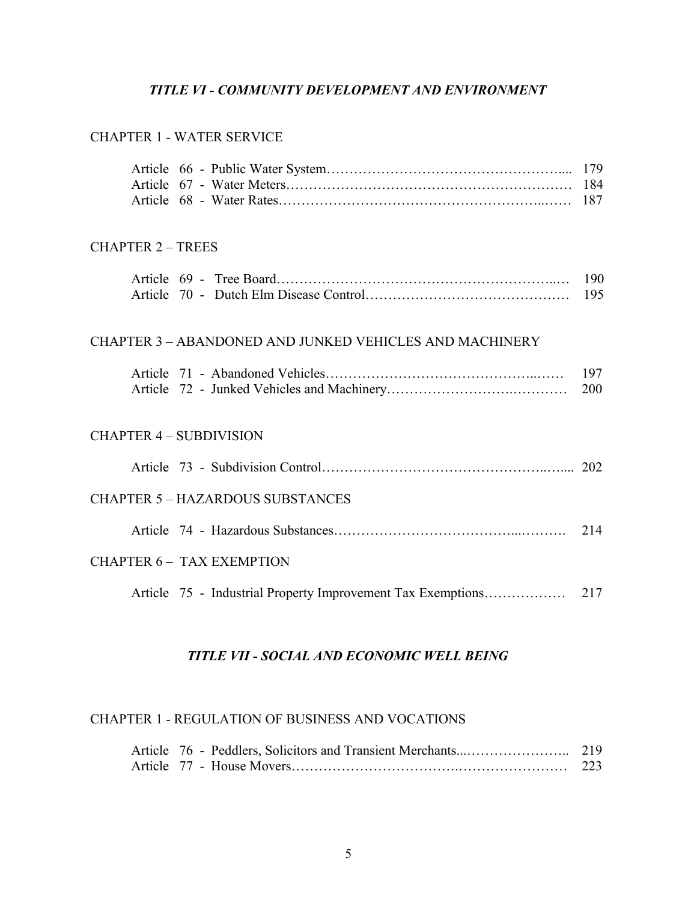## *TITLE VI - COMMUNITY DEVELOPMENT AND ENVIRONMENT*

#### CHAPTER 1 - WATER SERVICE

### CHAPTER 2 – TREES

### CHAPTER 3 – ABANDONED AND JUNKED VEHICLES AND MACHINERY

### CHAPTER 4 – SUBDIVISION

|  | <b>CHAPTER 5 - HAZARDOUS SUBSTANCES</b> |  |
|--|-----------------------------------------|--|
|  |                                         |  |
|  | CHAPTER 6 - TAX EXEMPTION               |  |
|  |                                         |  |

## *TITLE VII - SOCIAL AND ECONOMIC WELL BEING*

#### CHAPTER 1 - REGULATION OF BUSINESS AND VOCATIONS

|  | 223 |
|--|-----|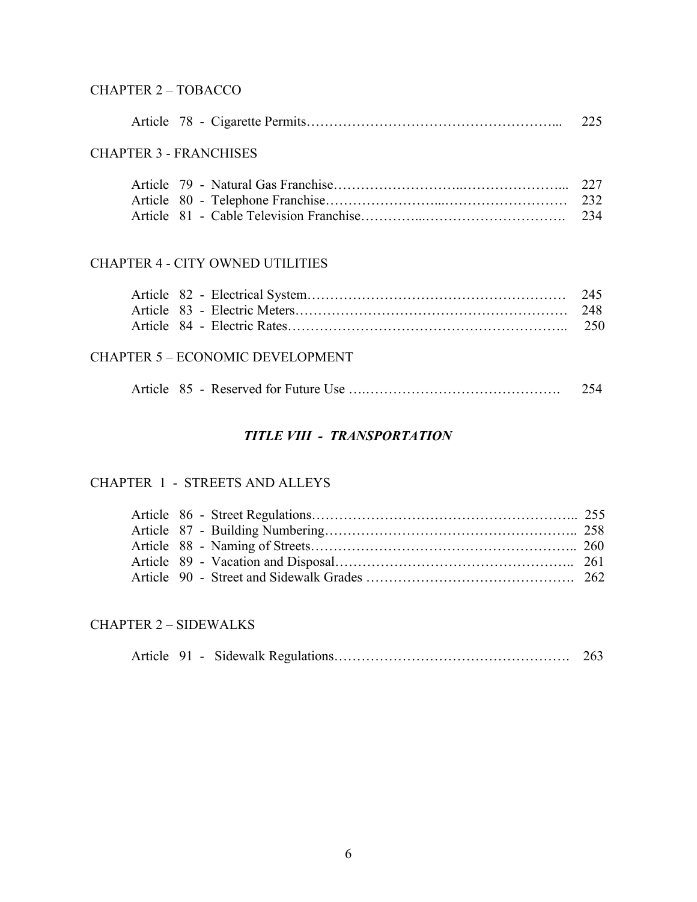# CHAPTER 2 – TOBACCO

|                                         | 225                               |
|-----------------------------------------|-----------------------------------|
| <b>CHAPTER 3 - FRANCHISES</b>           |                                   |
|                                         | 234                               |
| <b>CHAPTER 4 - CITY OWNED UTILITIES</b> |                                   |
| Antiola 02 Electrical Crystam           | $\bigcap_{\mathcal{A}}$ $\bigcap$ |

## CHAPTER 5 – ECONOMIC DEVELOPMENT

|--|--|--|--|

# *TITLE VIII - TRANSPORTATION*

## CHAPTER 1 - STREETS AND ALLEYS

### CHAPTER 2 – SIDEWALKS

|  |  |  |  | 263 |
|--|--|--|--|-----|
|--|--|--|--|-----|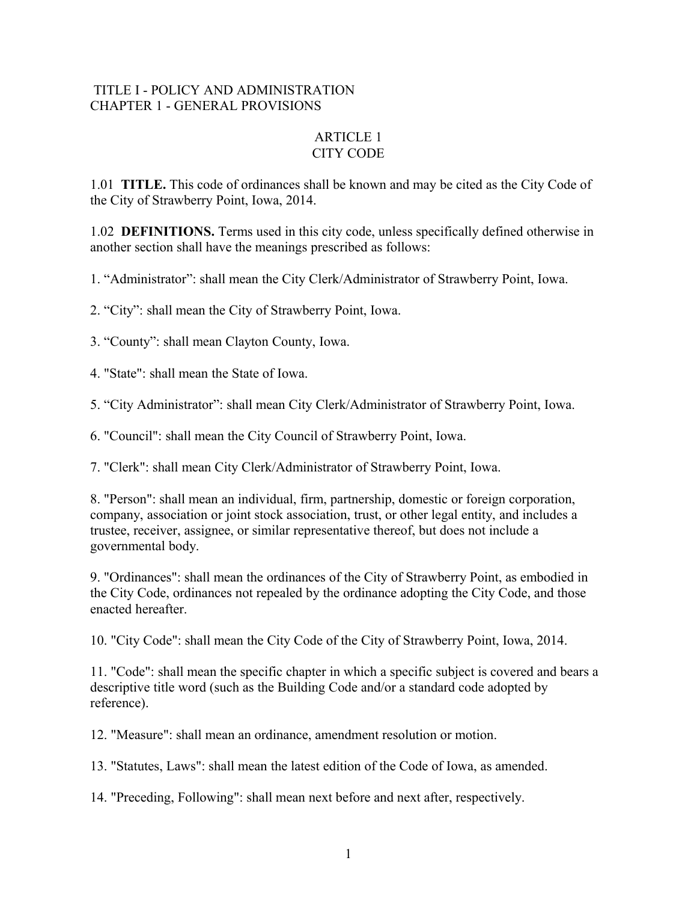## TITLE I - POLICY AND ADMINISTRATION CHAPTER 1 - GENERAL PROVISIONS

## ARTICLE 1 CITY CODE

1.01 **TITLE.** This code of ordinances shall be known and may be cited as the City Code of the City of Strawberry Point, Iowa, 2014.

1.02 **DEFINITIONS.** Terms used in this city code, unless specifically defined otherwise in another section shall have the meanings prescribed as follows:

1. "Administrator": shall mean the City Clerk/Administrator of Strawberry Point, Iowa.

2. "City": shall mean the City of Strawberry Point, Iowa.

3. "County": shall mean Clayton County, Iowa.

4. "State": shall mean the State of Iowa.

5. "City Administrator": shall mean City Clerk/Administrator of Strawberry Point, Iowa.

6. "Council": shall mean the City Council of Strawberry Point, Iowa.

7. "Clerk": shall mean City Clerk/Administrator of Strawberry Point, Iowa.

8. "Person": shall mean an individual, firm, partnership, domestic or foreign corporation, company, association or joint stock association, trust, or other legal entity, and includes a trustee, receiver, assignee, or similar representative thereof, but does not include a governmental body.

9. "Ordinances": shall mean the ordinances of the City of Strawberry Point, as embodied in the City Code, ordinances not repealed by the ordinance adopting the City Code, and those enacted hereafter.

10. "City Code": shall mean the City Code of the City of Strawberry Point, Iowa, 2014.

11. "Code": shall mean the specific chapter in which a specific subject is covered and bears a descriptive title word (such as the Building Code and/or a standard code adopted by reference).

12. "Measure": shall mean an ordinance, amendment resolution or motion.

13. "Statutes, Laws": shall mean the latest edition of the Code of Iowa, as amended.

14. "Preceding, Following": shall mean next before and next after, respectively.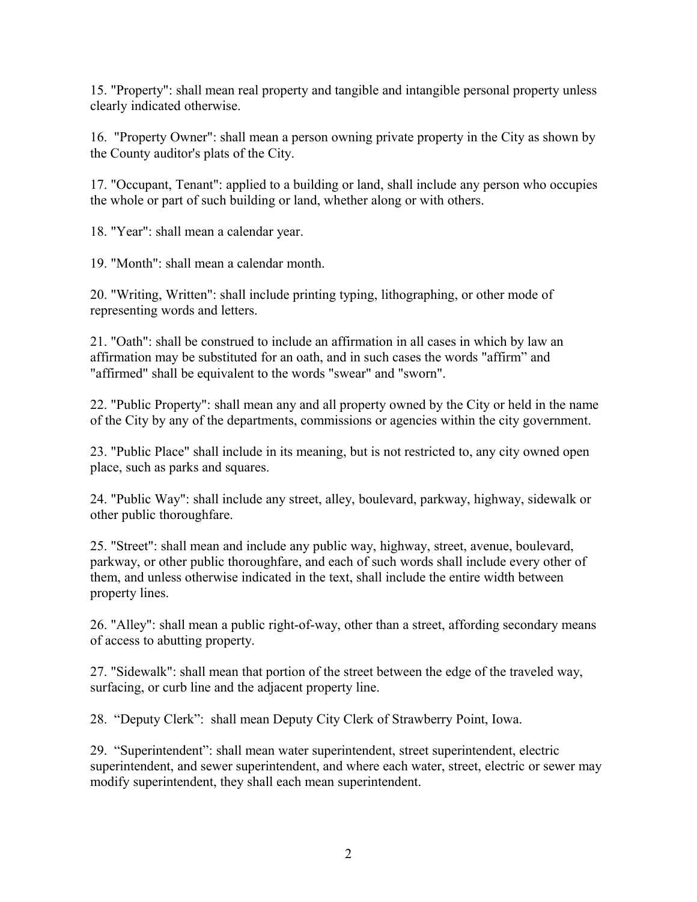15. "Property": shall mean real property and tangible and intangible personal property unless clearly indicated otherwise.

16. "Property Owner": shall mean a person owning private property in the City as shown by the County auditor's plats of the City.

17. "Occupant, Tenant": applied to a building or land, shall include any person who occupies the whole or part of such building or land, whether along or with others.

18. "Year": shall mean a calendar year.

19. "Month": shall mean a calendar month.

20. "Writing, Written": shall include printing typing, lithographing, or other mode of representing words and letters.

21. "Oath": shall be construed to include an affirmation in all cases in which by law an affirmation may be substituted for an oath, and in such cases the words "affirm" and "affirmed" shall be equivalent to the words "swear" and "sworn".

22. "Public Property": shall mean any and all property owned by the City or held in the name of the City by any of the departments, commissions or agencies within the city government.

23. "Public Place" shall include in its meaning, but is not restricted to, any city owned open place, such as parks and squares.

24. "Public Way": shall include any street, alley, boulevard, parkway, highway, sidewalk or other public thoroughfare.

25. "Street": shall mean and include any public way, highway, street, avenue, boulevard, parkway, or other public thoroughfare, and each of such words shall include every other of them, and unless otherwise indicated in the text, shall include the entire width between property lines.

26. "Alley": shall mean a public right-of-way, other than a street, affording secondary means of access to abutting property.

27. "Sidewalk": shall mean that portion of the street between the edge of the traveled way, surfacing, or curb line and the adjacent property line.

28. "Deputy Clerk": shall mean Deputy City Clerk of Strawberry Point, Iowa.

29. "Superintendent": shall mean water superintendent, street superintendent, electric superintendent, and sewer superintendent, and where each water, street, electric or sewer may modify superintendent, they shall each mean superintendent.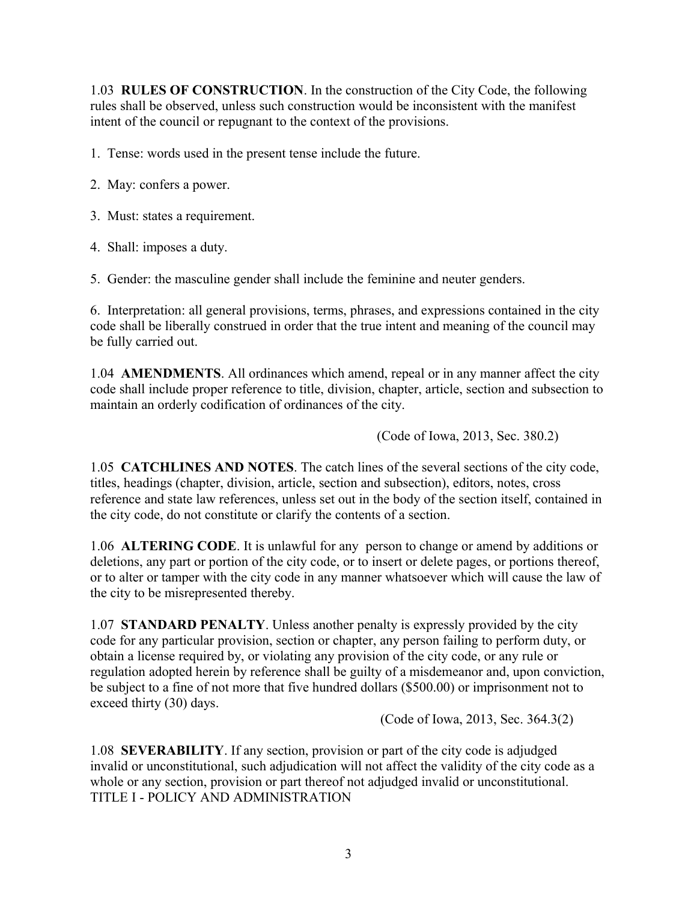1.03 **RULES OF CONSTRUCTION**. In the construction of the City Code, the following rules shall be observed, unless such construction would be inconsistent with the manifest intent of the council or repugnant to the context of the provisions.

1. Tense: words used in the present tense include the future.

- 2. May: confers a power.
- 3. Must: states a requirement.
- 4. Shall: imposes a duty.

5. Gender: the masculine gender shall include the feminine and neuter genders.

6. Interpretation: all general provisions, terms, phrases, and expressions contained in the city code shall be liberally construed in order that the true intent and meaning of the council may be fully carried out.

1.04 **AMENDMENTS**. All ordinances which amend, repeal or in any manner affect the city code shall include proper reference to title, division, chapter, article, section and subsection to maintain an orderly codification of ordinances of the city.

(Code of Iowa, 2013, Sec. 380.2)

1.05 **CATCHLINES AND NOTES**. The catch lines of the several sections of the city code, titles, headings (chapter, division, article, section and subsection), editors, notes, cross reference and state law references, unless set out in the body of the section itself, contained in the city code, do not constitute or clarify the contents of a section.

1.06 **ALTERING CODE**. It is unlawful for any person to change or amend by additions or deletions, any part or portion of the city code, or to insert or delete pages, or portions thereof, or to alter or tamper with the city code in any manner whatsoever which will cause the law of the city to be misrepresented thereby.

1.07 **STANDARD PENALTY**. Unless another penalty is expressly provided by the city code for any particular provision, section or chapter, any person failing to perform duty, or obtain a license required by, or violating any provision of the city code, or any rule or regulation adopted herein by reference shall be guilty of a misdemeanor and, upon conviction, be subject to a fine of not more that five hundred dollars (\$500.00) or imprisonment not to exceed thirty (30) days.

(Code of Iowa, 2013, Sec. 364.3(2)

1.08 **SEVERABILITY**. If any section, provision or part of the city code is adjudged invalid or unconstitutional, such adjudication will not affect the validity of the city code as a whole or any section, provision or part thereof not adjudged invalid or unconstitutional. TITLE I - POLICY AND ADMINISTRATION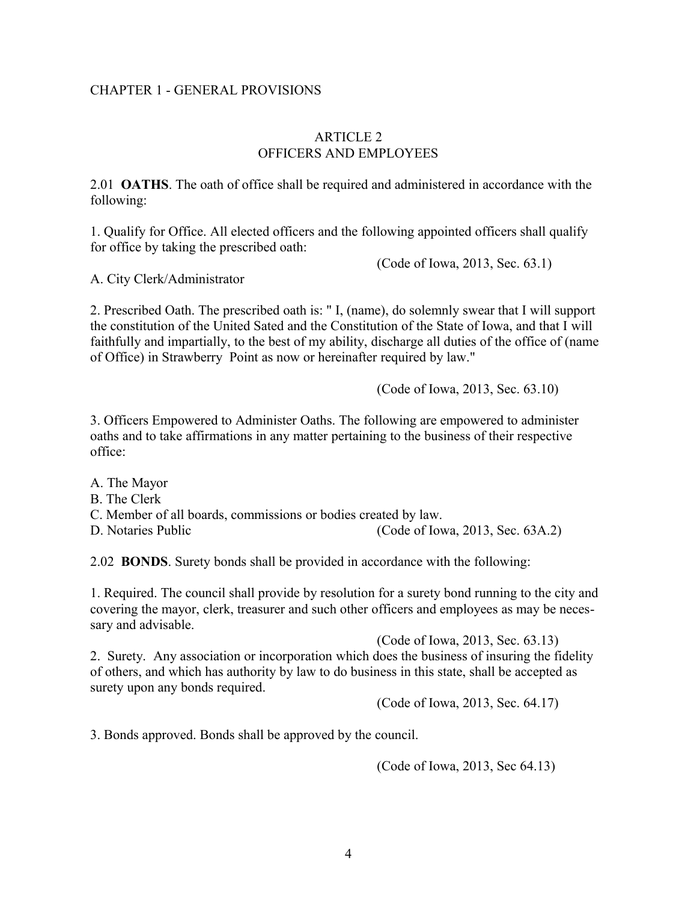### CHAPTER 1 - GENERAL PROVISIONS

### ARTICLE 2 OFFICERS AND EMPLOYEES

2.01 **OATHS**. The oath of office shall be required and administered in accordance with the following:

1. Qualify for Office. All elected officers and the following appointed officers shall qualify for office by taking the prescribed oath:

(Code of Iowa, 2013, Sec. 63.1)

A. City Clerk/Administrator

2. Prescribed Oath. The prescribed oath is: " I, (name), do solemnly swear that I will support the constitution of the United Sated and the Constitution of the State of Iowa, and that I will faithfully and impartially, to the best of my ability, discharge all duties of the office of (name of Office) in Strawberry Point as now or hereinafter required by law."

(Code of Iowa, 2013, Sec. 63.10)

3. Officers Empowered to Administer Oaths. The following are empowered to administer oaths and to take affirmations in any matter pertaining to the business of their respective office:

A. The Mayor B. The Clerk C. Member of all boards, commissions or bodies created by law. D. Notaries Public (Code of Iowa, 2013, Sec. 63A.2)

2.02 **BONDS**. Surety bonds shall be provided in accordance with the following:

1. Required. The council shall provide by resolution for a surety bond running to the city and covering the mayor, clerk, treasurer and such other officers and employees as may be necessary and advisable.

(Code of Iowa, 2013, Sec. 63.13) 2. Surety. Any association or incorporation which does the business of insuring the fidelity of others, and which has authority by law to do business in this state, shall be accepted as surety upon any bonds required.

(Code of Iowa, 2013, Sec. 64.17)

3. Bonds approved. Bonds shall be approved by the council.

(Code of Iowa, 2013, Sec 64.13)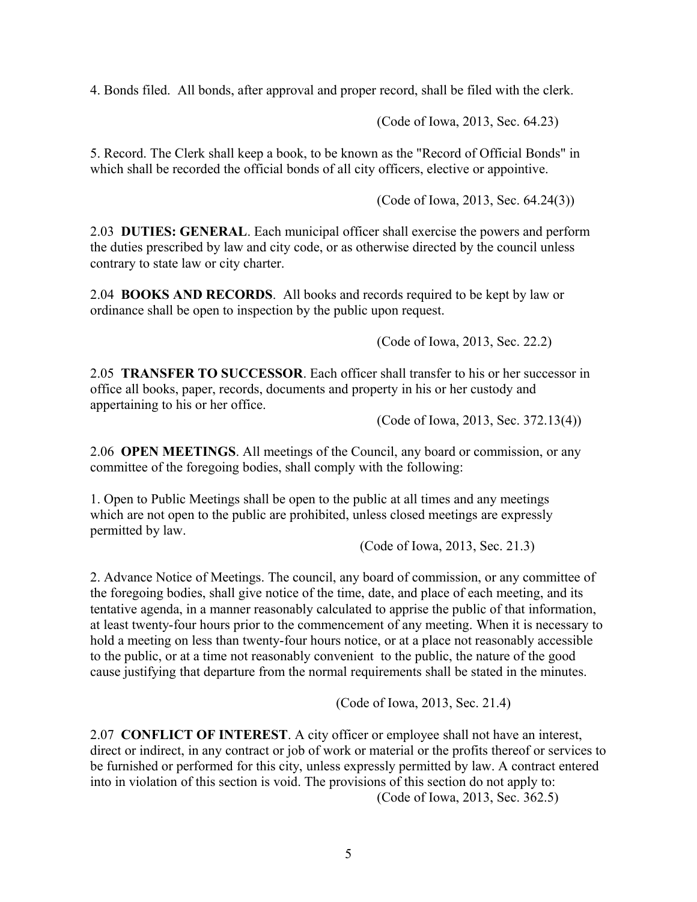4. Bonds filed. All bonds, after approval and proper record, shall be filed with the clerk.

(Code of Iowa, 2013, Sec. 64.23)

5. Record. The Clerk shall keep a book, to be known as the "Record of Official Bonds" in which shall be recorded the official bonds of all city officers, elective or appointive.

(Code of Iowa, 2013, Sec. 64.24(3))

2.03 **DUTIES: GENERAL**. Each municipal officer shall exercise the powers and perform the duties prescribed by law and city code, or as otherwise directed by the council unless contrary to state law or city charter.

2.04 **BOOKS AND RECORDS**. All books and records required to be kept by law or ordinance shall be open to inspection by the public upon request.

(Code of Iowa, 2013, Sec. 22.2)

2.05 **TRANSFER TO SUCCESSOR**. Each officer shall transfer to his or her successor in office all books, paper, records, documents and property in his or her custody and appertaining to his or her office.

(Code of Iowa, 2013, Sec. 372.13(4))

2.06 **OPEN MEETINGS**. All meetings of the Council, any board or commission, or any committee of the foregoing bodies, shall comply with the following:

1. Open to Public Meetings shall be open to the public at all times and any meetings which are not open to the public are prohibited, unless closed meetings are expressly permitted by law.

(Code of Iowa, 2013, Sec. 21.3)

2. Advance Notice of Meetings. The council, any board of commission, or any committee of the foregoing bodies, shall give notice of the time, date, and place of each meeting, and its tentative agenda, in a manner reasonably calculated to apprise the public of that information, at least twenty-four hours prior to the commencement of any meeting. When it is necessary to hold a meeting on less than twenty-four hours notice, or at a place not reasonably accessible to the public, or at a time not reasonably convenient to the public, the nature of the good cause justifying that departure from the normal requirements shall be stated in the minutes.

(Code of Iowa, 2013, Sec. 21.4)

2.07 **CONFLICT OF INTEREST**. A city officer or employee shall not have an interest, direct or indirect, in any contract or job of work or material or the profits thereof or services to be furnished or performed for this city, unless expressly permitted by law. A contract entered into in violation of this section is void. The provisions of this section do not apply to: (Code of Iowa, 2013, Sec. 362.5)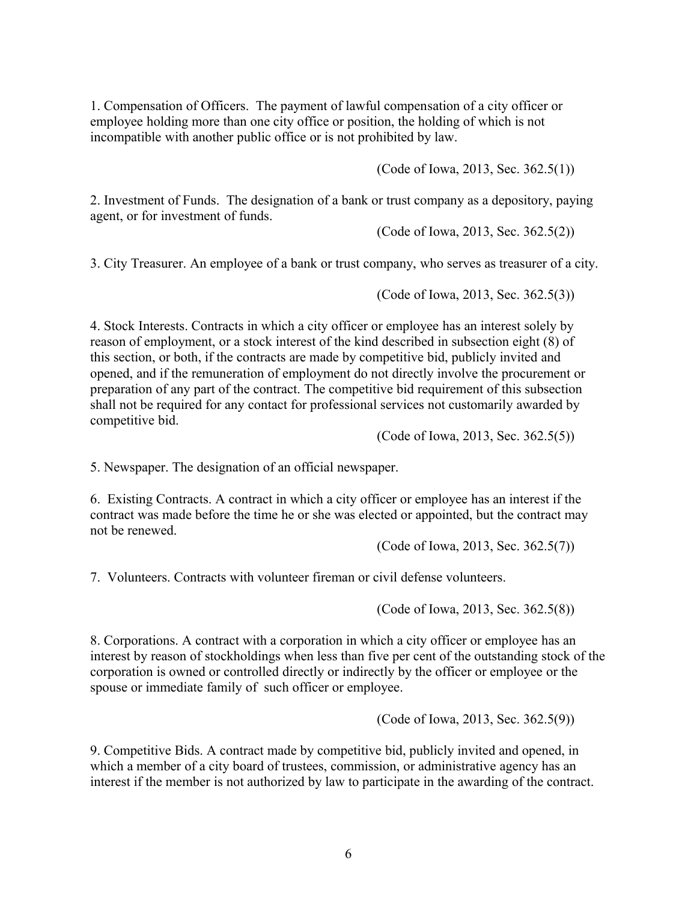1. Compensation of Officers. The payment of lawful compensation of a city officer or employee holding more than one city office or position, the holding of which is not incompatible with another public office or is not prohibited by law.

(Code of Iowa, 2013, Sec. 362.5(1))

2. Investment of Funds. The designation of a bank or trust company as a depository, paying agent, or for investment of funds.

(Code of Iowa, 2013, Sec. 362.5(2))

3. City Treasurer. An employee of a bank or trust company, who serves as treasurer of a city.

(Code of Iowa, 2013, Sec. 362.5(3))

4. Stock Interests. Contracts in which a city officer or employee has an interest solely by reason of employment, or a stock interest of the kind described in subsection eight (8) of this section, or both, if the contracts are made by competitive bid, publicly invited and opened, and if the remuneration of employment do not directly involve the procurement or preparation of any part of the contract. The competitive bid requirement of this subsection shall not be required for any contact for professional services not customarily awarded by competitive bid.

(Code of Iowa, 2013, Sec. 362.5(5))

5. Newspaper. The designation of an official newspaper.

6. Existing Contracts. A contract in which a city officer or employee has an interest if the contract was made before the time he or she was elected or appointed, but the contract may not be renewed.

(Code of Iowa, 2013, Sec. 362.5(7))

7. Volunteers. Contracts with volunteer fireman or civil defense volunteers.

(Code of Iowa, 2013, Sec. 362.5(8))

8. Corporations. A contract with a corporation in which a city officer or employee has an interest by reason of stockholdings when less than five per cent of the outstanding stock of the corporation is owned or controlled directly or indirectly by the officer or employee or the spouse or immediate family of such officer or employee.

(Code of Iowa, 2013, Sec. 362.5(9))

9. Competitive Bids. A contract made by competitive bid, publicly invited and opened, in which a member of a city board of trustees, commission, or administrative agency has an interest if the member is not authorized by law to participate in the awarding of the contract.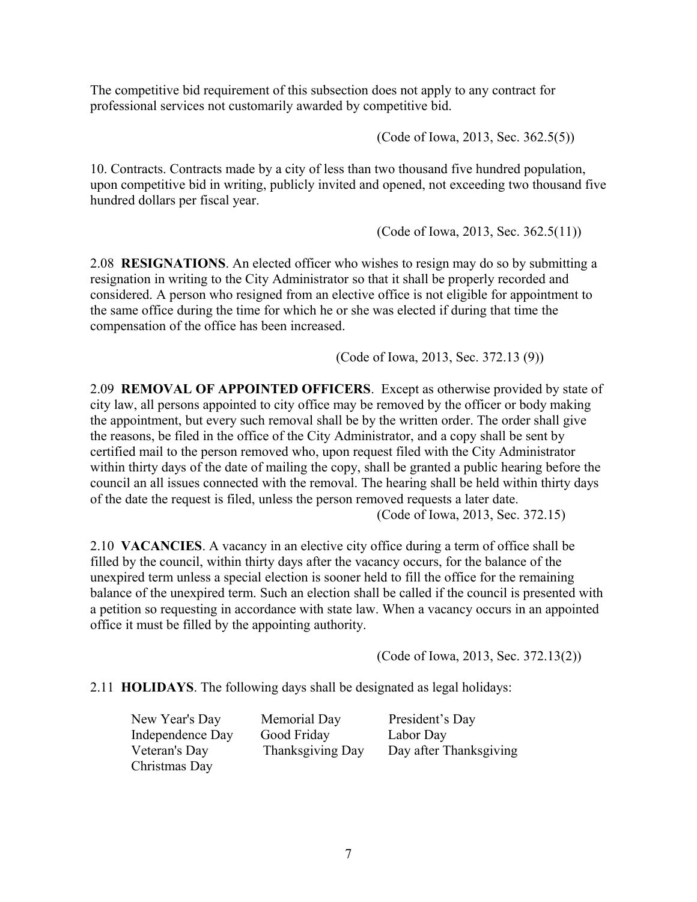The competitive bid requirement of this subsection does not apply to any contract for professional services not customarily awarded by competitive bid.

(Code of Iowa, 2013, Sec. 362.5(5))

10. Contracts. Contracts made by a city of less than two thousand five hundred population, upon competitive bid in writing, publicly invited and opened, not exceeding two thousand five hundred dollars per fiscal year.

(Code of Iowa, 2013, Sec. 362.5(11))

2.08 **RESIGNATIONS**. An elected officer who wishes to resign may do so by submitting a resignation in writing to the City Administrator so that it shall be properly recorded and considered. A person who resigned from an elective office is not eligible for appointment to the same office during the time for which he or she was elected if during that time the compensation of the office has been increased.

(Code of Iowa, 2013, Sec. 372.13 (9))

2.09 **REMOVAL OF APPOINTED OFFICERS**. Except as otherwise provided by state of city law, all persons appointed to city office may be removed by the officer or body making the appointment, but every such removal shall be by the written order. The order shall give the reasons, be filed in the office of the City Administrator, and a copy shall be sent by certified mail to the person removed who, upon request filed with the City Administrator within thirty days of the date of mailing the copy, shall be granted a public hearing before the council an all issues connected with the removal. The hearing shall be held within thirty days of the date the request is filed, unless the person removed requests a later date.

(Code of Iowa, 2013, Sec. 372.15)

2.10 **VACANCIES**. A vacancy in an elective city office during a term of office shall be filled by the council, within thirty days after the vacancy occurs, for the balance of the unexpired term unless a special election is sooner held to fill the office for the remaining balance of the unexpired term. Such an election shall be called if the council is presented with a petition so requesting in accordance with state law. When a vacancy occurs in an appointed office it must be filled by the appointing authority.

(Code of Iowa, 2013, Sec. 372.13(2))

2.11 **HOLIDAYS**. The following days shall be designated as legal holidays:

Christmas Day

New Year's Day Memorial Day President's Day Independence Day Good Friday Labor Day Veteran's Day Thanksgiving Day Day after Thanksgiving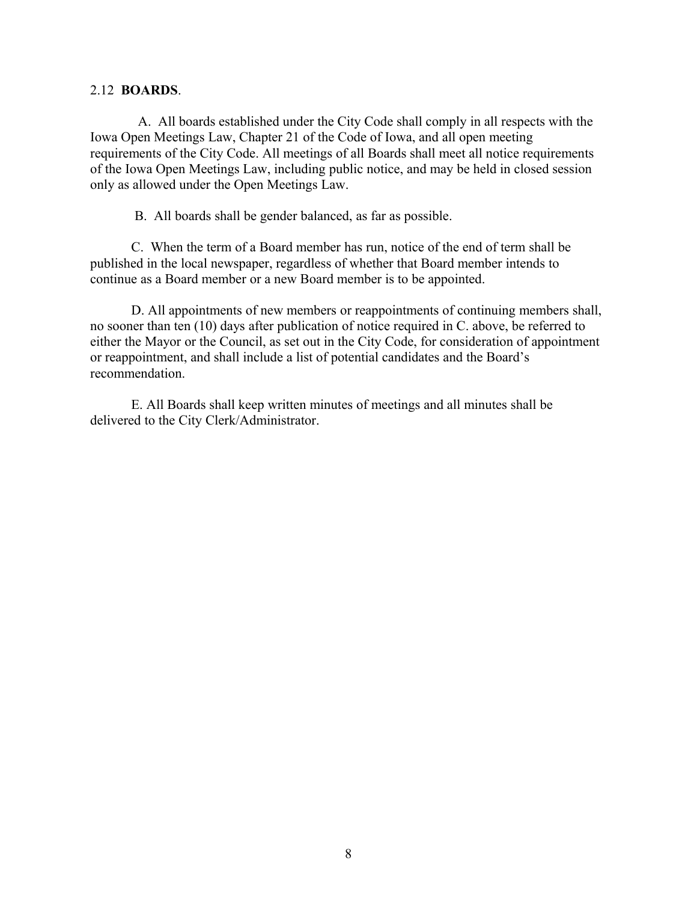### 2.12 **BOARDS**.

 A. All boards established under the City Code shall comply in all respects with the Iowa Open Meetings Law, Chapter 21 of the Code of Iowa, and all open meeting requirements of the City Code. All meetings of all Boards shall meet all notice requirements of the Iowa Open Meetings Law, including public notice, and may be held in closed session only as allowed under the Open Meetings Law.

B. All boards shall be gender balanced, as far as possible.

C. When the term of a Board member has run, notice of the end of term shall be published in the local newspaper, regardless of whether that Board member intends to continue as a Board member or a new Board member is to be appointed.

D. All appointments of new members or reappointments of continuing members shall, no sooner than ten (10) days after publication of notice required in C. above, be referred to either the Mayor or the Council, as set out in the City Code, for consideration of appointment or reappointment, and shall include a list of potential candidates and the Board's recommendation.

E. All Boards shall keep written minutes of meetings and all minutes shall be delivered to the City Clerk/Administrator.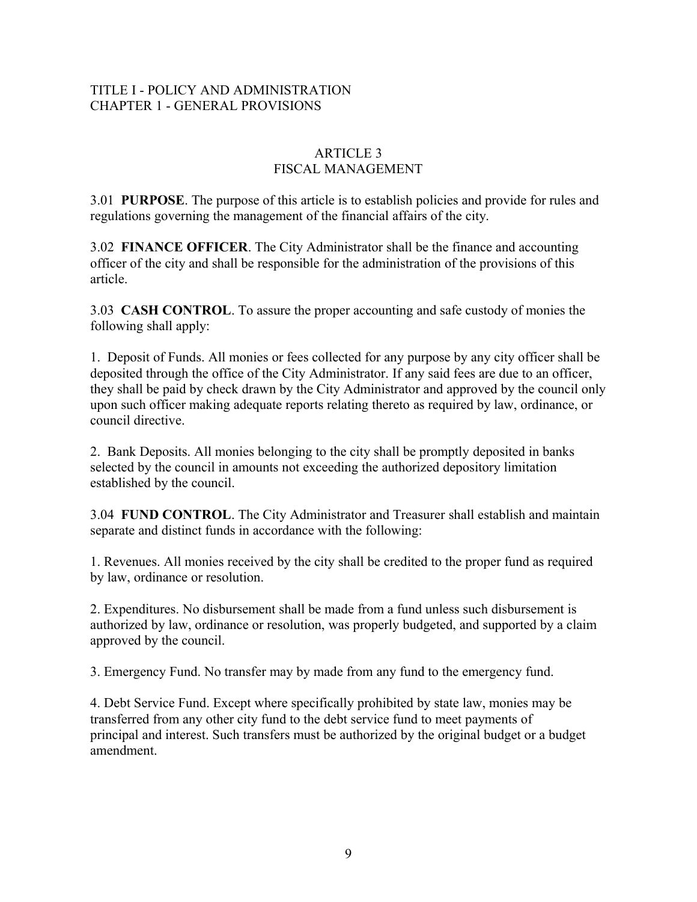## TITLE I - POLICY AND ADMINISTRATION CHAPTER 1 - GENERAL PROVISIONS

## ARTICLE 3 FISCAL MANAGEMENT

3.01 **PURPOSE**. The purpose of this article is to establish policies and provide for rules and regulations governing the management of the financial affairs of the city.

3.02 **FINANCE OFFICER**. The City Administrator shall be the finance and accounting officer of the city and shall be responsible for the administration of the provisions of this article.

3.03 **CASH CONTROL**. To assure the proper accounting and safe custody of monies the following shall apply:

1. Deposit of Funds. All monies or fees collected for any purpose by any city officer shall be deposited through the office of the City Administrator. If any said fees are due to an officer, they shall be paid by check drawn by the City Administrator and approved by the council only upon such officer making adequate reports relating thereto as required by law, ordinance, or council directive.

2. Bank Deposits. All monies belonging to the city shall be promptly deposited in banks selected by the council in amounts not exceeding the authorized depository limitation established by the council.

3.04 **FUND CONTROL**. The City Administrator and Treasurer shall establish and maintain separate and distinct funds in accordance with the following:

1. Revenues. All monies received by the city shall be credited to the proper fund as required by law, ordinance or resolution.

2. Expenditures. No disbursement shall be made from a fund unless such disbursement is authorized by law, ordinance or resolution, was properly budgeted, and supported by a claim approved by the council.

3. Emergency Fund. No transfer may by made from any fund to the emergency fund.

4. Debt Service Fund. Except where specifically prohibited by state law, monies may be transferred from any other city fund to the debt service fund to meet payments of principal and interest. Such transfers must be authorized by the original budget or a budget amendment.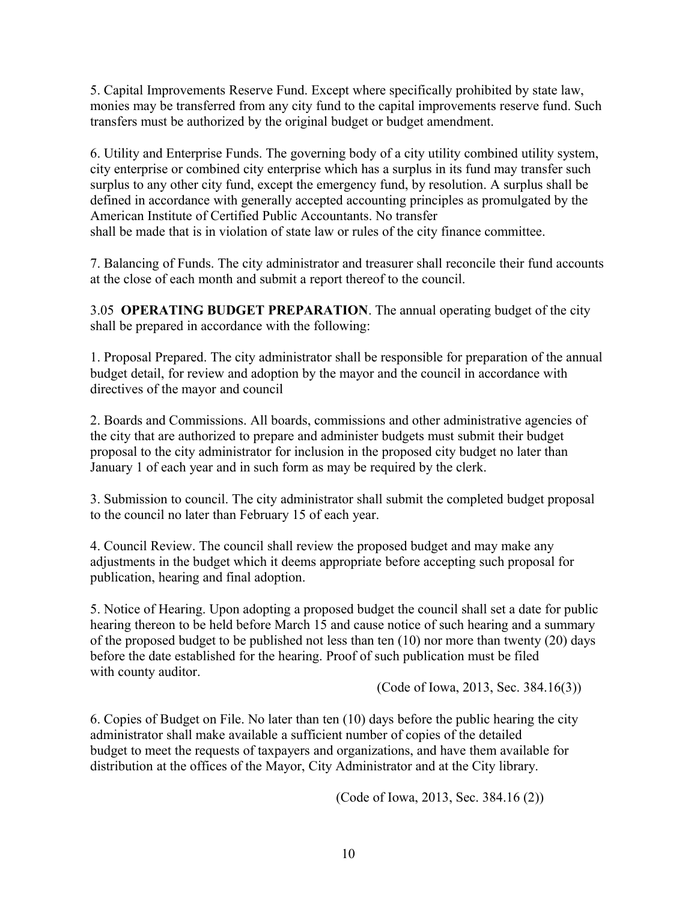5. Capital Improvements Reserve Fund. Except where specifically prohibited by state law, monies may be transferred from any city fund to the capital improvements reserve fund. Such transfers must be authorized by the original budget or budget amendment.

6. Utility and Enterprise Funds. The governing body of a city utility combined utility system, city enterprise or combined city enterprise which has a surplus in its fund may transfer such surplus to any other city fund, except the emergency fund, by resolution. A surplus shall be defined in accordance with generally accepted accounting principles as promulgated by the American Institute of Certified Public Accountants. No transfer shall be made that is in violation of state law or rules of the city finance committee.

7. Balancing of Funds. The city administrator and treasurer shall reconcile their fund accounts at the close of each month and submit a report thereof to the council.

3.05 **OPERATING BUDGET PREPARATION**. The annual operating budget of the city shall be prepared in accordance with the following:

1. Proposal Prepared. The city administrator shall be responsible for preparation of the annual budget detail, for review and adoption by the mayor and the council in accordance with directives of the mayor and council

2. Boards and Commissions. All boards, commissions and other administrative agencies of the city that are authorized to prepare and administer budgets must submit their budget proposal to the city administrator for inclusion in the proposed city budget no later than January 1 of each year and in such form as may be required by the clerk.

3. Submission to council. The city administrator shall submit the completed budget proposal to the council no later than February 15 of each year.

4. Council Review. The council shall review the proposed budget and may make any adjustments in the budget which it deems appropriate before accepting such proposal for publication, hearing and final adoption.

5. Notice of Hearing. Upon adopting a proposed budget the council shall set a date for public hearing thereon to be held before March 15 and cause notice of such hearing and a summary of the proposed budget to be published not less than ten (10) nor more than twenty (20) days before the date established for the hearing. Proof of such publication must be filed with county auditor.

(Code of Iowa, 2013, Sec. 384.16(3))

6. Copies of Budget on File. No later than ten (10) days before the public hearing the city administrator shall make available a sufficient number of copies of the detailed budget to meet the requests of taxpayers and organizations, and have them available for distribution at the offices of the Mayor, City Administrator and at the City library.

(Code of Iowa, 2013, Sec. 384.16 (2))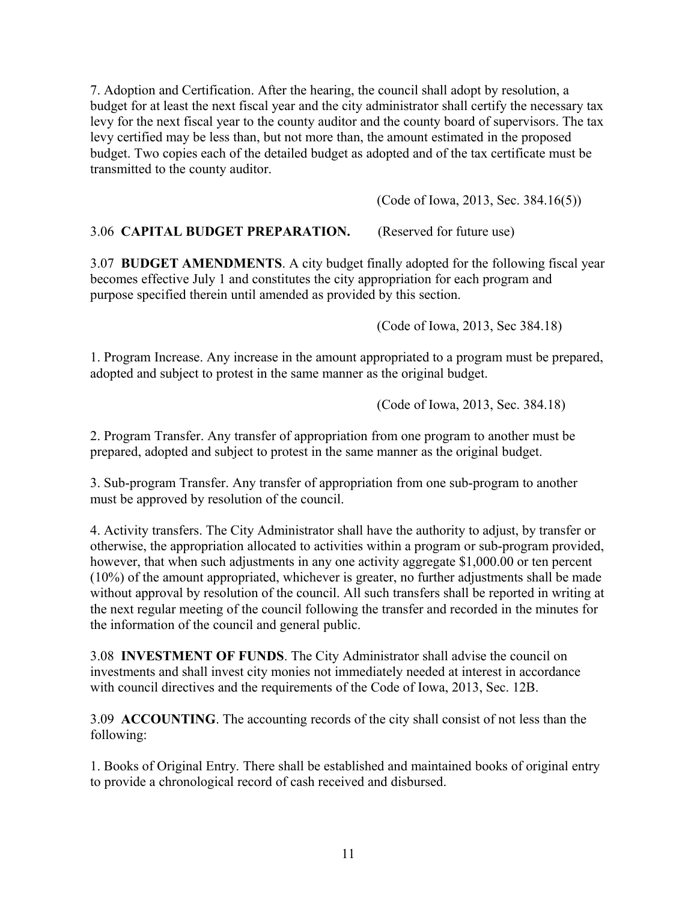7. Adoption and Certification. After the hearing, the council shall adopt by resolution, a budget for at least the next fiscal year and the city administrator shall certify the necessary tax levy for the next fiscal year to the county auditor and the county board of supervisors. The tax levy certified may be less than, but not more than, the amount estimated in the proposed budget. Two copies each of the detailed budget as adopted and of the tax certificate must be transmitted to the county auditor.

(Code of Iowa, 2013, Sec. 384.16(5))

## 3.06 **CAPITAL BUDGET PREPARATION.** (Reserved for future use)

3.07 **BUDGET AMENDMENTS**. A city budget finally adopted for the following fiscal year becomes effective July 1 and constitutes the city appropriation for each program and purpose specified therein until amended as provided by this section.

(Code of Iowa, 2013, Sec 384.18)

1. Program Increase. Any increase in the amount appropriated to a program must be prepared, adopted and subject to protest in the same manner as the original budget.

(Code of Iowa, 2013, Sec. 384.18)

2. Program Transfer. Any transfer of appropriation from one program to another must be prepared, adopted and subject to protest in the same manner as the original budget.

3. Sub-program Transfer. Any transfer of appropriation from one sub-program to another must be approved by resolution of the council.

4. Activity transfers. The City Administrator shall have the authority to adjust, by transfer or otherwise, the appropriation allocated to activities within a program or sub-program provided, however, that when such adjustments in any one activity aggregate \$1,000.00 or ten percent (10%) of the amount appropriated, whichever is greater, no further adjustments shall be made without approval by resolution of the council. All such transfers shall be reported in writing at the next regular meeting of the council following the transfer and recorded in the minutes for the information of the council and general public.

3.08 **INVESTMENT OF FUNDS**. The City Administrator shall advise the council on investments and shall invest city monies not immediately needed at interest in accordance with council directives and the requirements of the Code of Iowa, 2013, Sec. 12B.

3.09 **ACCOUNTING**. The accounting records of the city shall consist of not less than the following:

1. Books of Original Entry. There shall be established and maintained books of original entry to provide a chronological record of cash received and disbursed.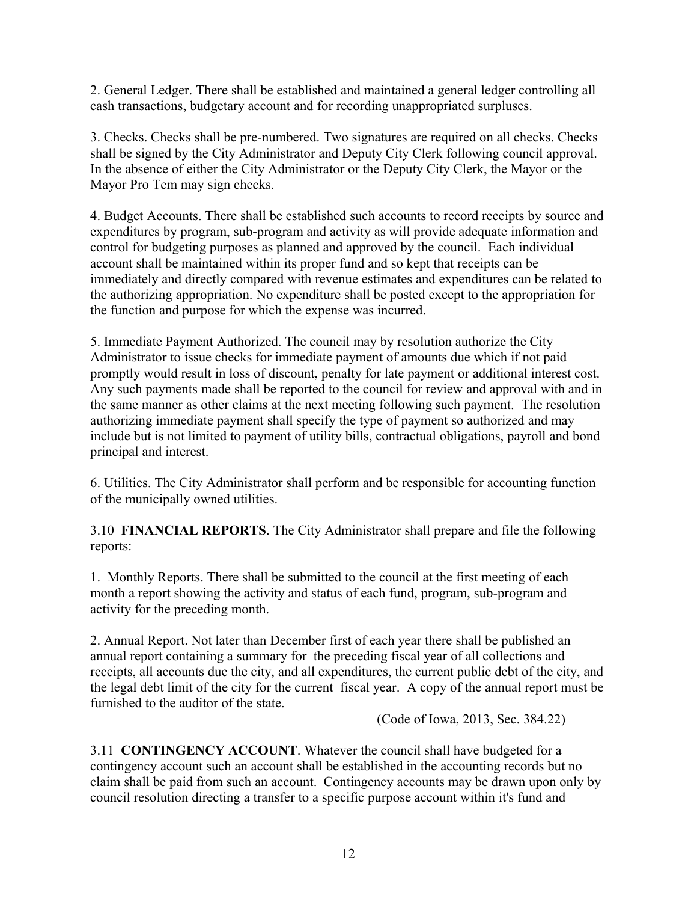2. General Ledger. There shall be established and maintained a general ledger controlling all cash transactions, budgetary account and for recording unappropriated surpluses.

3. Checks. Checks shall be pre-numbered. Two signatures are required on all checks. Checks shall be signed by the City Administrator and Deputy City Clerk following council approval. In the absence of either the City Administrator or the Deputy City Clerk, the Mayor or the Mayor Pro Tem may sign checks.

4. Budget Accounts. There shall be established such accounts to record receipts by source and expenditures by program, sub-program and activity as will provide adequate information and control for budgeting purposes as planned and approved by the council. Each individual account shall be maintained within its proper fund and so kept that receipts can be immediately and directly compared with revenue estimates and expenditures can be related to the authorizing appropriation. No expenditure shall be posted except to the appropriation for the function and purpose for which the expense was incurred.

5. Immediate Payment Authorized. The council may by resolution authorize the City Administrator to issue checks for immediate payment of amounts due which if not paid promptly would result in loss of discount, penalty for late payment or additional interest cost. Any such payments made shall be reported to the council for review and approval with and in the same manner as other claims at the next meeting following such payment. The resolution authorizing immediate payment shall specify the type of payment so authorized and may include but is not limited to payment of utility bills, contractual obligations, payroll and bond principal and interest.

6. Utilities. The City Administrator shall perform and be responsible for accounting function of the municipally owned utilities.

3.10 **FINANCIAL REPORTS**. The City Administrator shall prepare and file the following reports:

1. Monthly Reports. There shall be submitted to the council at the first meeting of each month a report showing the activity and status of each fund, program, sub-program and activity for the preceding month.

2. Annual Report. Not later than December first of each year there shall be published an annual report containing a summary for the preceding fiscal year of all collections and receipts, all accounts due the city, and all expenditures, the current public debt of the city, and the legal debt limit of the city for the current fiscal year. A copy of the annual report must be furnished to the auditor of the state.

(Code of Iowa, 2013, Sec. 384.22)

3.11 **CONTINGENCY ACCOUNT**. Whatever the council shall have budgeted for a contingency account such an account shall be established in the accounting records but no claim shall be paid from such an account. Contingency accounts may be drawn upon only by council resolution directing a transfer to a specific purpose account within it's fund and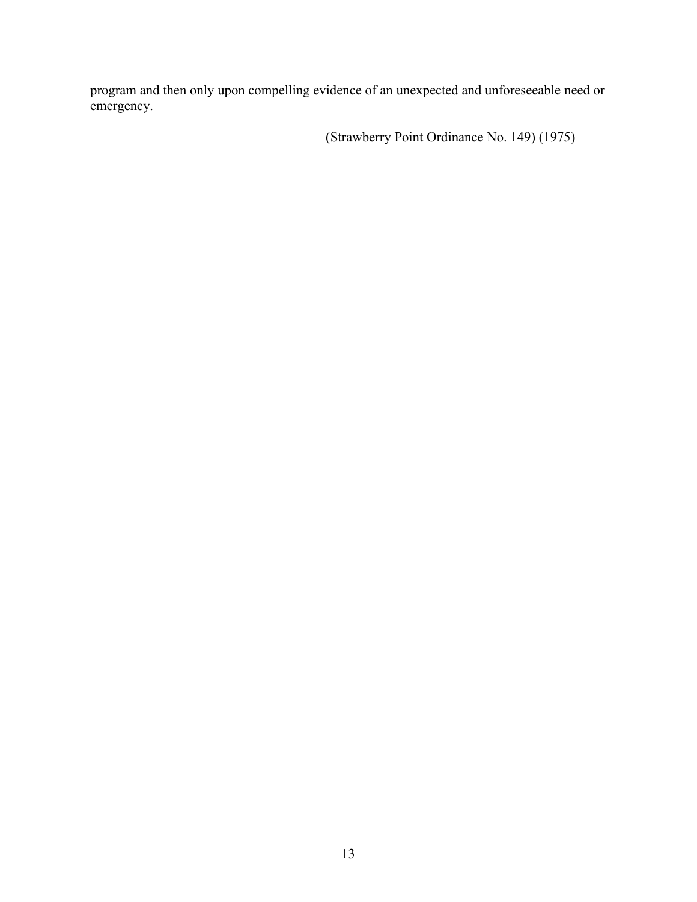program and then only upon compelling evidence of an unexpected and unforeseeable need or emergency.

(Strawberry Point Ordinance No. 149) (1975)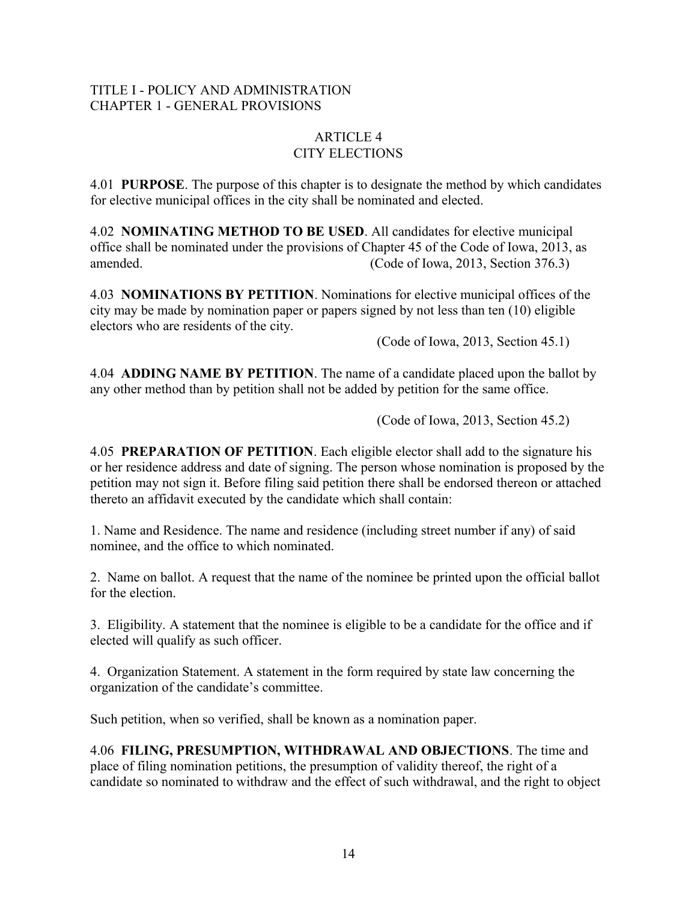## TITLE I - POLICY AND ADMINISTRATION CHAPTER 1 - GENERAL PROVISIONS

#### ARTICLE 4 CITY ELECTIONS

4.01 **PURPOSE**. The purpose of this chapter is to designate the method by which candidates for elective municipal offices in the city shall be nominated and elected.

4.02 **NOMINATING METHOD TO BE USED**. All candidates for elective municipal office shall be nominated under the provisions of Chapter 45 of the Code of Iowa, 2013, as amended. (Code of Iowa, 2013, Section 376.3)

4.03 **NOMINATIONS BY PETITION**. Nominations for elective municipal offices of the city may be made by nomination paper or papers signed by not less than ten (10) eligible electors who are residents of the city.

(Code of Iowa, 2013, Section 45.1)

4.04 **ADDING NAME BY PETITION**. The name of a candidate placed upon the ballot by any other method than by petition shall not be added by petition for the same office.

(Code of Iowa, 2013, Section 45.2)

4.05 **PREPARATION OF PETITION**. Each eligible elector shall add to the signature his or her residence address and date of signing. The person whose nomination is proposed by the petition may not sign it. Before filing said petition there shall be endorsed thereon or attached thereto an affidavit executed by the candidate which shall contain:

1. Name and Residence. The name and residence (including street number if any) of said nominee, and the office to which nominated.

2. Name on ballot. A request that the name of the nominee be printed upon the official ballot for the election.

3. Eligibility. A statement that the nominee is eligible to be a candidate for the office and if elected will qualify as such officer.

4. Organization Statement. A statement in the form required by state law concerning the organization of the candidate's committee.

Such petition, when so verified, shall be known as a nomination paper.

4.06 **FILING, PRESUMPTION, WITHDRAWAL AND OBJECTIONS**. The time and place of filing nomination petitions, the presumption of validity thereof, the right of a candidate so nominated to withdraw and the effect of such withdrawal, and the right to object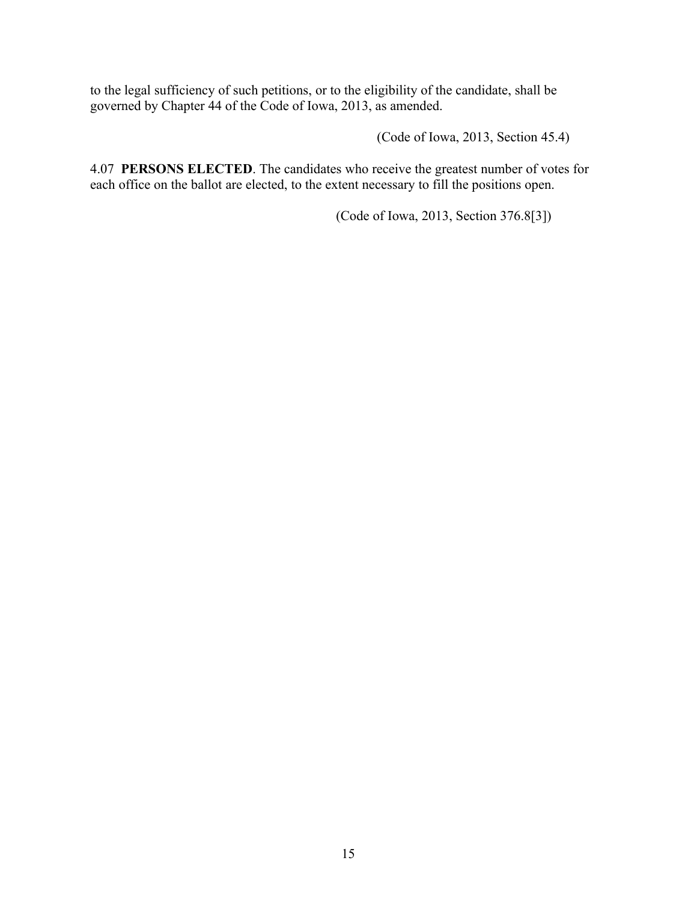to the legal sufficiency of such petitions, or to the eligibility of the candidate, shall be governed by Chapter 44 of the Code of Iowa, 2013, as amended.

(Code of Iowa, 2013, Section 45.4)

4.07 **PERSONS ELECTED**. The candidates who receive the greatest number of votes for each office on the ballot are elected, to the extent necessary to fill the positions open.

(Code of Iowa, 2013, Section 376.8[3])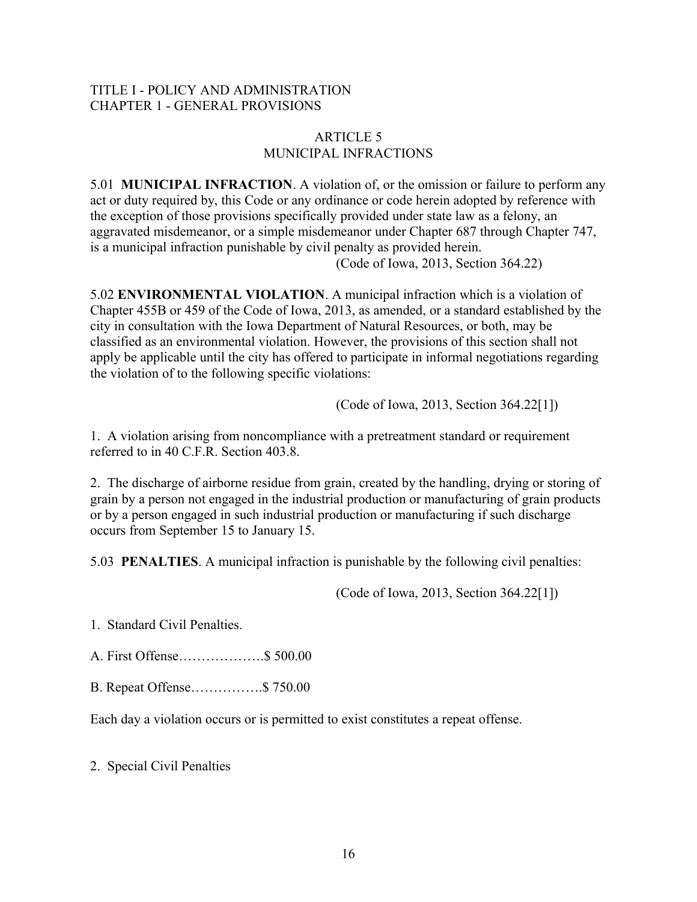## TITLE I - POLICY AND ADMINISTRATION CHAPTER 1 - GENERAL PROVISIONS

## ARTICLE 5 MUNICIPAL INFRACTIONS

5.01 **MUNICIPAL INFRACTION**. A violation of, or the omission or failure to perform any act or duty required by, this Code or any ordinance or code herein adopted by reference with the exception of those provisions specifically provided under state law as a felony, an aggravated misdemeanor, or a simple misdemeanor under Chapter 687 through Chapter 747, is a municipal infraction punishable by civil penalty as provided herein. (Code of Iowa, 2013, Section 364.22)

5.02 **ENVIRONMENTAL VIOLATION**. A municipal infraction which is a violation of Chapter 455B or 459 of the Code of Iowa, 2013, as amended, or a standard established by the city in consultation with the Iowa Department of Natural Resources, or both, may be classified as an environmental violation. However, the provisions of this section shall not apply be applicable until the city has offered to participate in informal negotiations regarding the violation of to the following specific violations:

(Code of Iowa, 2013, Section 364.22[1])

1. A violation arising from noncompliance with a pretreatment standard or requirement referred to in 40 C.F.R. Section 403.8.

2. The discharge of airborne residue from grain, created by the handling, drying or storing of grain by a person not engaged in the industrial production or manufacturing of grain products or by a person engaged in such industrial production or manufacturing if such discharge occurs from September 15 to January 15.

5.03 **PENALTIES**. A municipal infraction is punishable by the following civil penalties:

(Code of Iowa, 2013, Section 364.22[1])

1. Standard Civil Penalties.

A. First Offense……………….\$ 500.00

B. Repeat Offense…………….\$ 750.00

Each day a violation occurs or is permitted to exist constitutes a repeat offense.

2. Special Civil Penalties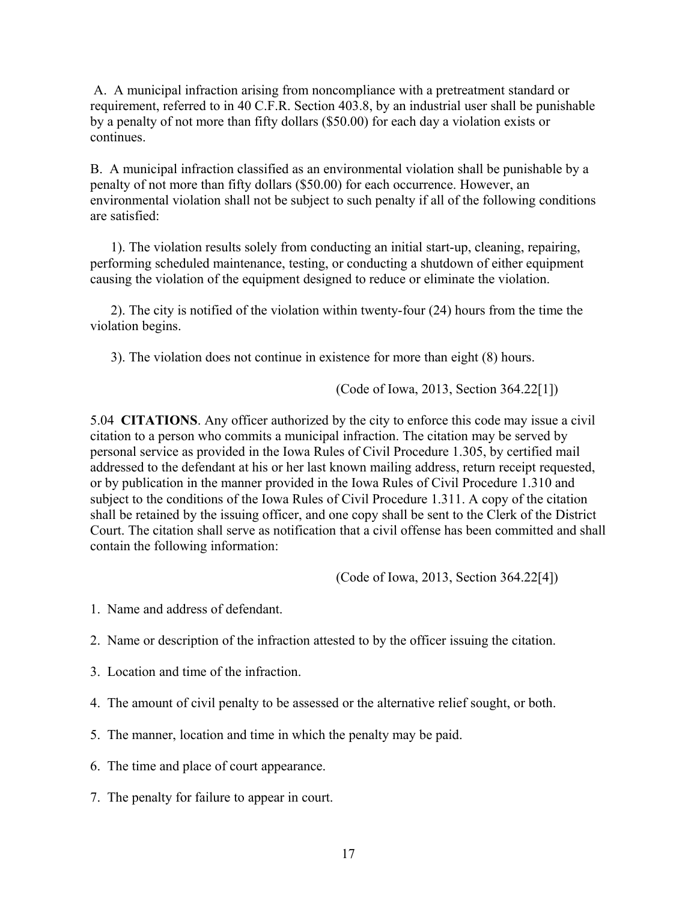A. A municipal infraction arising from noncompliance with a pretreatment standard or requirement, referred to in 40 C.F.R. Section 403.8, by an industrial user shall be punishable by a penalty of not more than fifty dollars (\$50.00) for each day a violation exists or continues.

B. A municipal infraction classified as an environmental violation shall be punishable by a penalty of not more than fifty dollars (\$50.00) for each occurrence. However, an environmental violation shall not be subject to such penalty if all of the following conditions are satisfied:

 1). The violation results solely from conducting an initial start-up, cleaning, repairing, performing scheduled maintenance, testing, or conducting a shutdown of either equipment causing the violation of the equipment designed to reduce or eliminate the violation.

 2). The city is notified of the violation within twenty-four (24) hours from the time the violation begins.

3). The violation does not continue in existence for more than eight (8) hours.

(Code of Iowa, 2013, Section 364.22[1])

5.04 **CITATIONS**. Any officer authorized by the city to enforce this code may issue a civil citation to a person who commits a municipal infraction. The citation may be served by personal service as provided in the Iowa Rules of Civil Procedure 1.305, by certified mail addressed to the defendant at his or her last known mailing address, return receipt requested, or by publication in the manner provided in the Iowa Rules of Civil Procedure 1.310 and subject to the conditions of the Iowa Rules of Civil Procedure 1.311. A copy of the citation shall be retained by the issuing officer, and one copy shall be sent to the Clerk of the District Court. The citation shall serve as notification that a civil offense has been committed and shall contain the following information:

(Code of Iowa, 2013, Section 364.22[4])

- 1. Name and address of defendant.
- 2. Name or description of the infraction attested to by the officer issuing the citation.
- 3. Location and time of the infraction.
- 4. The amount of civil penalty to be assessed or the alternative relief sought, or both.
- 5. The manner, location and time in which the penalty may be paid.
- 6. The time and place of court appearance.
- 7. The penalty for failure to appear in court.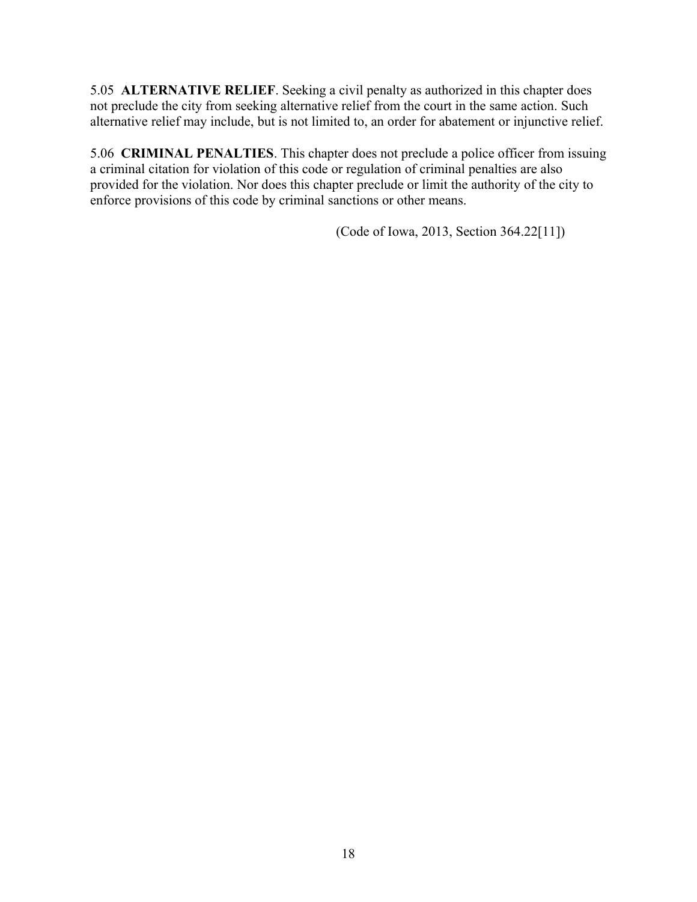5.05 **ALTERNATIVE RELIEF**. Seeking a civil penalty as authorized in this chapter does not preclude the city from seeking alternative relief from the court in the same action. Such alternative relief may include, but is not limited to, an order for abatement or injunctive relief.

5.06 **CRIMINAL PENALTIES**. This chapter does not preclude a police officer from issuing a criminal citation for violation of this code or regulation of criminal penalties are also provided for the violation. Nor does this chapter preclude or limit the authority of the city to enforce provisions of this code by criminal sanctions or other means.

(Code of Iowa, 2013, Section 364.22[11])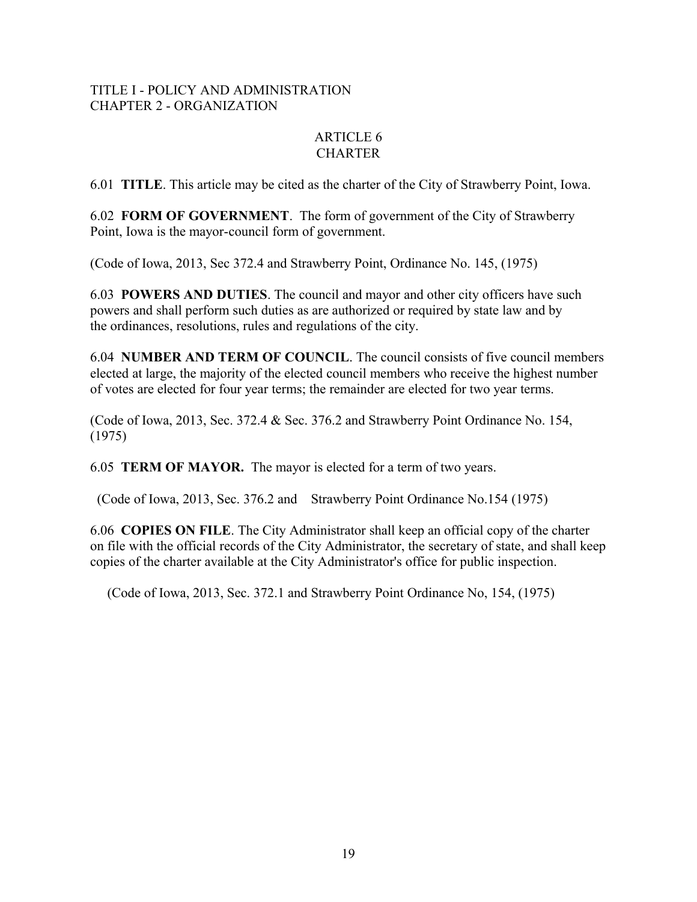## TITLE I - POLICY AND ADMINISTRATION CHAPTER 2 - ORGANIZATION

## ARTICLE 6 **CHARTER**

6.01 **TITLE**. This article may be cited as the charter of the City of Strawberry Point, Iowa.

6.02 **FORM OF GOVERNMENT**. The form of government of the City of Strawberry Point, Iowa is the mayor-council form of government.

(Code of Iowa, 2013, Sec 372.4 and Strawberry Point, Ordinance No. 145, (1975)

6.03 **POWERS AND DUTIES**. The council and mayor and other city officers have such powers and shall perform such duties as are authorized or required by state law and by the ordinances, resolutions, rules and regulations of the city.

6.04 **NUMBER AND TERM OF COUNCIL**. The council consists of five council members elected at large, the majority of the elected council members who receive the highest number of votes are elected for four year terms; the remainder are elected for two year terms.

(Code of Iowa, 2013, Sec. 372.4 & Sec. 376.2 and Strawberry Point Ordinance No. 154, (1975)

6.05 **TERM OF MAYOR.** The mayor is elected for a term of two years.

(Code of Iowa, 2013, Sec. 376.2 and Strawberry Point Ordinance No.154 (1975)

6.06 **COPIES ON FILE**. The City Administrator shall keep an official copy of the charter on file with the official records of the City Administrator, the secretary of state, and shall keep copies of the charter available at the City Administrator's office for public inspection.

(Code of Iowa, 2013, Sec. 372.1 and Strawberry Point Ordinance No, 154, (1975)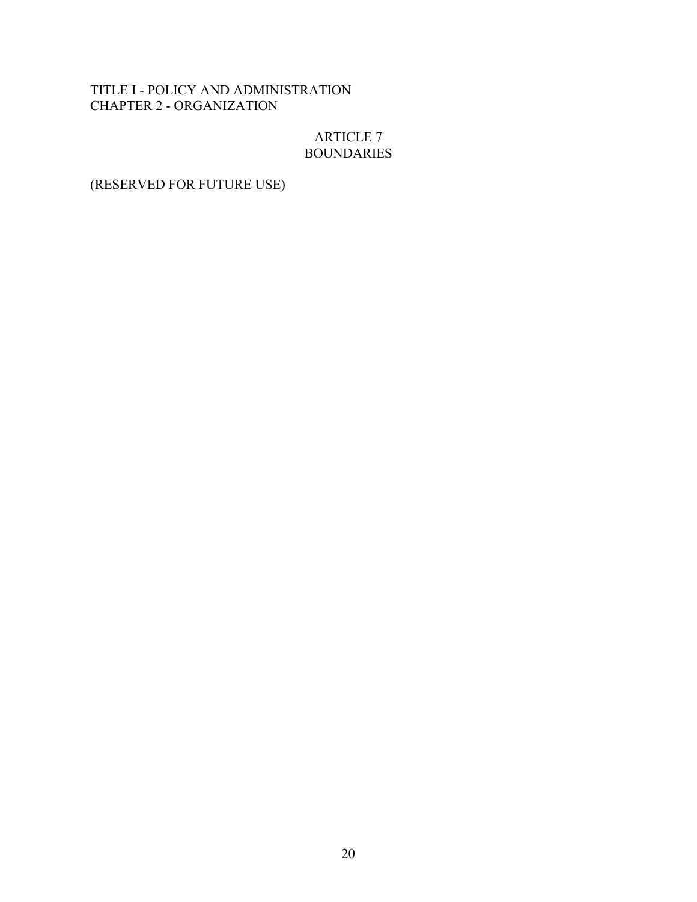## TITLE I - POLICY AND ADMINISTRATION CHAPTER 2 - ORGANIZATION

## ARTICLE 7 BOUNDARIES

# (RESERVED FOR FUTURE USE)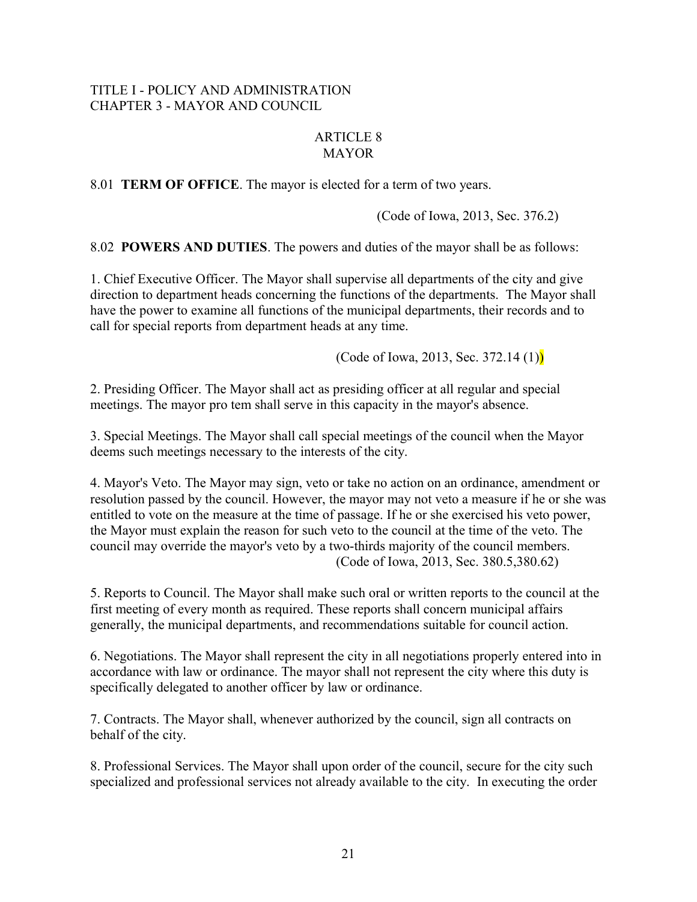## TITLE I - POLICY AND ADMINISTRATION CHAPTER 3 - MAYOR AND COUNCIL

## ARTICLE 8 **MAYOR**

8.01 **TERM OF OFFICE**. The mayor is elected for a term of two years.

(Code of Iowa, 2013, Sec. 376.2)

8.02 **POWERS AND DUTIES**. The powers and duties of the mayor shall be as follows:

1. Chief Executive Officer. The Mayor shall supervise all departments of the city and give direction to department heads concerning the functions of the departments. The Mayor shall have the power to examine all functions of the municipal departments, their records and to call for special reports from department heads at any time.

(Code of Iowa, 2013, Sec. 372.14 $(1)$ )

2. Presiding Officer. The Mayor shall act as presiding officer at all regular and special meetings. The mayor pro tem shall serve in this capacity in the mayor's absence.

3. Special Meetings. The Mayor shall call special meetings of the council when the Mayor deems such meetings necessary to the interests of the city.

4. Mayor's Veto. The Mayor may sign, veto or take no action on an ordinance, amendment or resolution passed by the council. However, the mayor may not veto a measure if he or she was entitled to vote on the measure at the time of passage. If he or she exercised his veto power, the Mayor must explain the reason for such veto to the council at the time of the veto. The council may override the mayor's veto by a two-thirds majority of the council members. (Code of Iowa, 2013, Sec. 380.5,380.62)

5. Reports to Council. The Mayor shall make such oral or written reports to the council at the first meeting of every month as required. These reports shall concern municipal affairs generally, the municipal departments, and recommendations suitable for council action.

6. Negotiations. The Mayor shall represent the city in all negotiations properly entered into in accordance with law or ordinance. The mayor shall not represent the city where this duty is specifically delegated to another officer by law or ordinance.

7. Contracts. The Mayor shall, whenever authorized by the council, sign all contracts on behalf of the city.

8. Professional Services. The Mayor shall upon order of the council, secure for the city such specialized and professional services not already available to the city. In executing the order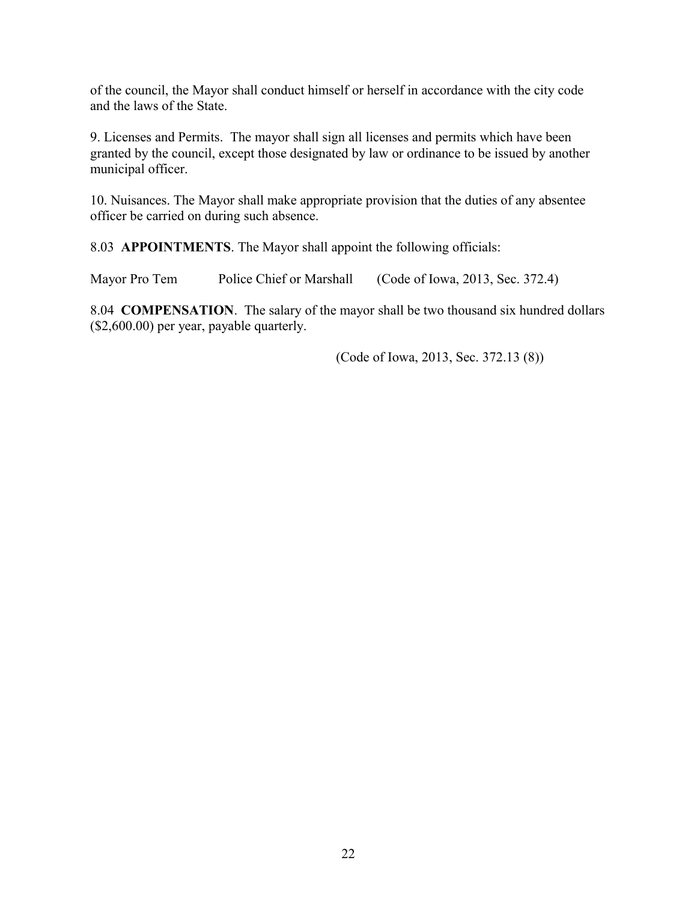of the council, the Mayor shall conduct himself or herself in accordance with the city code and the laws of the State.

9. Licenses and Permits. The mayor shall sign all licenses and permits which have been granted by the council, except those designated by law or ordinance to be issued by another municipal officer.

10. Nuisances. The Mayor shall make appropriate provision that the duties of any absentee officer be carried on during such absence.

8.03 **APPOINTMENTS**. The Mayor shall appoint the following officials:

Mayor Pro Tem Police Chief or Marshall (Code of Iowa, 2013, Sec. 372.4)

8.04 **COMPENSATION**. The salary of the mayor shall be two thousand six hundred dollars (\$2,600.00) per year, payable quarterly.

(Code of Iowa, 2013, Sec. 372.13 (8))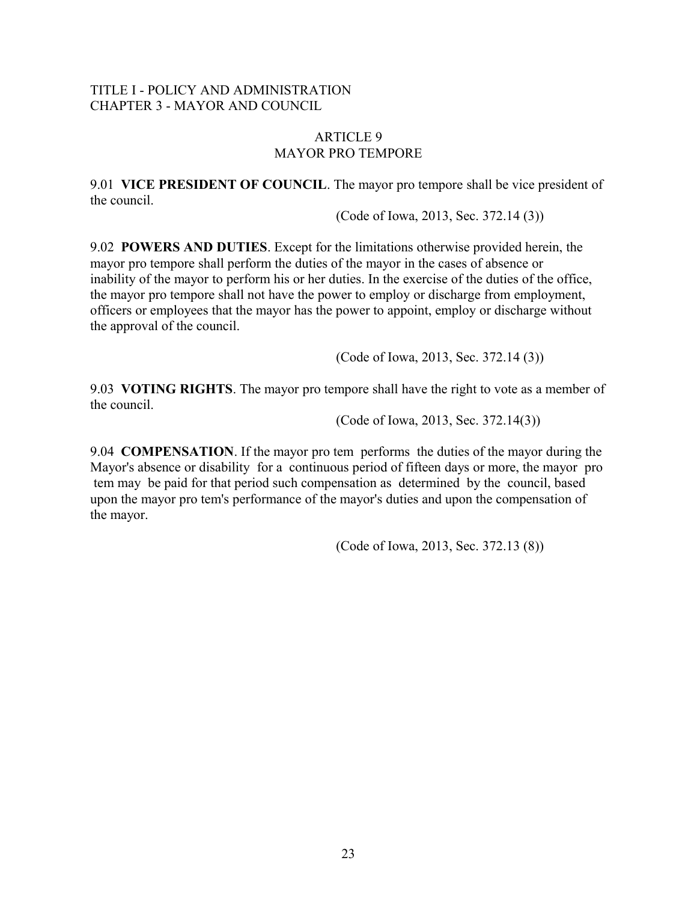## TITLE I - POLICY AND ADMINISTRATION CHAPTER 3 - MAYOR AND COUNCIL

### ARTICLE 9 MAYOR PRO TEMPORE

9.01 **VICE PRESIDENT OF COUNCIL**. The mayor pro tempore shall be vice president of the council.

(Code of Iowa, 2013, Sec. 372.14 (3))

9.02 **POWERS AND DUTIES**. Except for the limitations otherwise provided herein, the mayor pro tempore shall perform the duties of the mayor in the cases of absence or inability of the mayor to perform his or her duties. In the exercise of the duties of the office, the mayor pro tempore shall not have the power to employ or discharge from employment, officers or employees that the mayor has the power to appoint, employ or discharge without the approval of the council.

(Code of Iowa, 2013, Sec. 372.14 (3))

9.03 **VOTING RIGHTS**. The mayor pro tempore shall have the right to vote as a member of the council.

(Code of Iowa, 2013, Sec. 372.14(3))

9.04 **COMPENSATION**. If the mayor pro tem performs the duties of the mayor during the Mayor's absence or disability for a continuous period of fifteen days or more, the mayor pro tem may be paid for that period such compensation as determined by the council, based upon the mayor pro tem's performance of the mayor's duties and upon the compensation of the mayor.

(Code of Iowa, 2013, Sec. 372.13 (8))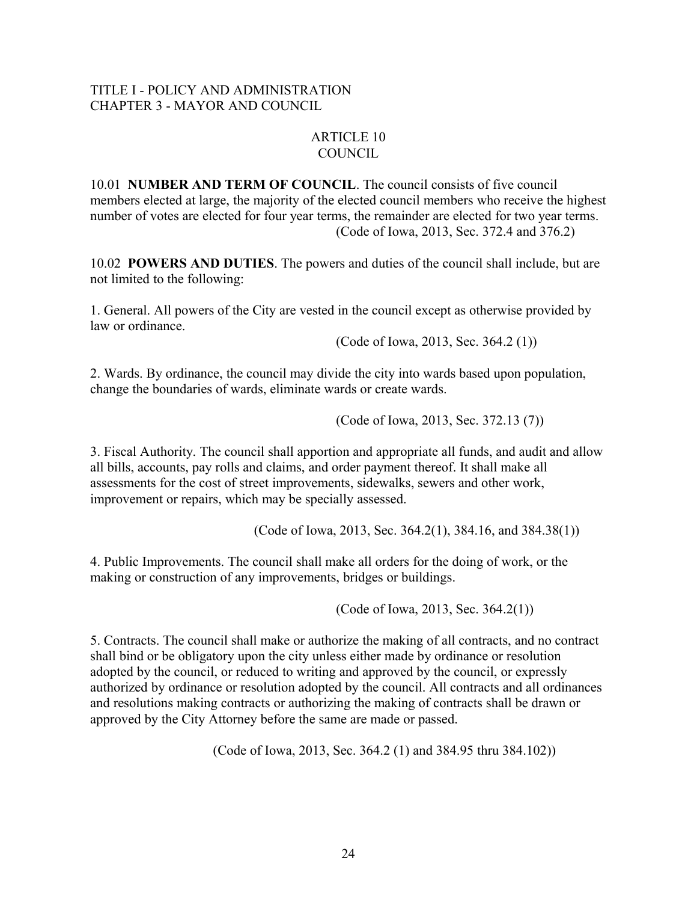## TITLE I - POLICY AND ADMINISTRATION CHAPTER 3 - MAYOR AND COUNCIL

## ARTICLE 10 COUNCIL

10.01 **NUMBER AND TERM OF COUNCIL**. The council consists of five council members elected at large, the majority of the elected council members who receive the highest number of votes are elected for four year terms, the remainder are elected for two year terms. (Code of Iowa, 2013, Sec. 372.4 and 376.2)

10.02 **POWERS AND DUTIES**. The powers and duties of the council shall include, but are not limited to the following:

1. General. All powers of the City are vested in the council except as otherwise provided by law or ordinance.

(Code of Iowa, 2013, Sec. 364.2 (1))

2. Wards. By ordinance, the council may divide the city into wards based upon population, change the boundaries of wards, eliminate wards or create wards.

(Code of Iowa, 2013, Sec. 372.13 (7))

3. Fiscal Authority. The council shall apportion and appropriate all funds, and audit and allow all bills, accounts, pay rolls and claims, and order payment thereof. It shall make all assessments for the cost of street improvements, sidewalks, sewers and other work, improvement or repairs, which may be specially assessed.

(Code of Iowa, 2013, Sec. 364.2(1), 384.16, and 384.38(1))

4. Public Improvements. The council shall make all orders for the doing of work, or the making or construction of any improvements, bridges or buildings.

(Code of Iowa, 2013, Sec. 364.2(1))

5. Contracts. The council shall make or authorize the making of all contracts, and no contract shall bind or be obligatory upon the city unless either made by ordinance or resolution adopted by the council, or reduced to writing and approved by the council, or expressly authorized by ordinance or resolution adopted by the council. All contracts and all ordinances and resolutions making contracts or authorizing the making of contracts shall be drawn or approved by the City Attorney before the same are made or passed.

(Code of Iowa, 2013, Sec. 364.2 (1) and 384.95 thru 384.102))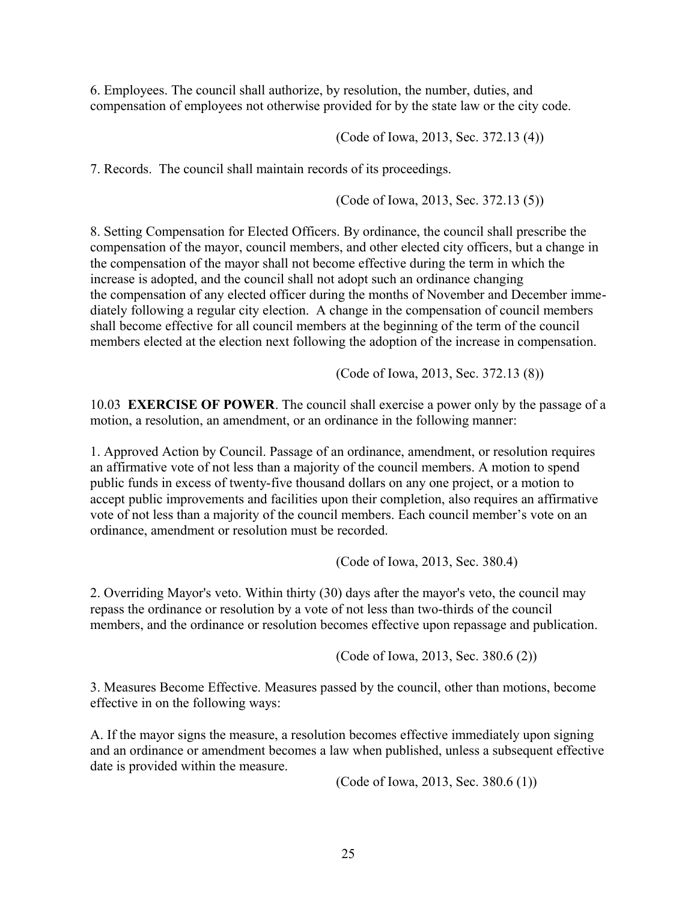6. Employees. The council shall authorize, by resolution, the number, duties, and compensation of employees not otherwise provided for by the state law or the city code.

(Code of Iowa, 2013, Sec. 372.13 (4))

7. Records. The council shall maintain records of its proceedings.

(Code of Iowa, 2013, Sec. 372.13 (5))

8. Setting Compensation for Elected Officers. By ordinance, the council shall prescribe the compensation of the mayor, council members, and other elected city officers, but a change in the compensation of the mayor shall not become effective during the term in which the increase is adopted, and the council shall not adopt such an ordinance changing the compensation of any elected officer during the months of November and December immediately following a regular city election. A change in the compensation of council members shall become effective for all council members at the beginning of the term of the council members elected at the election next following the adoption of the increase in compensation.

(Code of Iowa, 2013, Sec. 372.13 (8))

10.03 **EXERCISE OF POWER**. The council shall exercise a power only by the passage of a motion, a resolution, an amendment, or an ordinance in the following manner:

1. Approved Action by Council. Passage of an ordinance, amendment, or resolution requires an affirmative vote of not less than a majority of the council members. A motion to spend public funds in excess of twenty-five thousand dollars on any one project, or a motion to accept public improvements and facilities upon their completion, also requires an affirmative vote of not less than a majority of the council members. Each council member's vote on an ordinance, amendment or resolution must be recorded.

(Code of Iowa, 2013, Sec. 380.4)

2. Overriding Mayor's veto. Within thirty (30) days after the mayor's veto, the council may repass the ordinance or resolution by a vote of not less than two-thirds of the council members, and the ordinance or resolution becomes effective upon repassage and publication.

(Code of Iowa, 2013, Sec. 380.6 (2))

3. Measures Become Effective. Measures passed by the council, other than motions, become effective in on the following ways:

A. If the mayor signs the measure, a resolution becomes effective immediately upon signing and an ordinance or amendment becomes a law when published, unless a subsequent effective date is provided within the measure.

(Code of Iowa, 2013, Sec. 380.6 (1))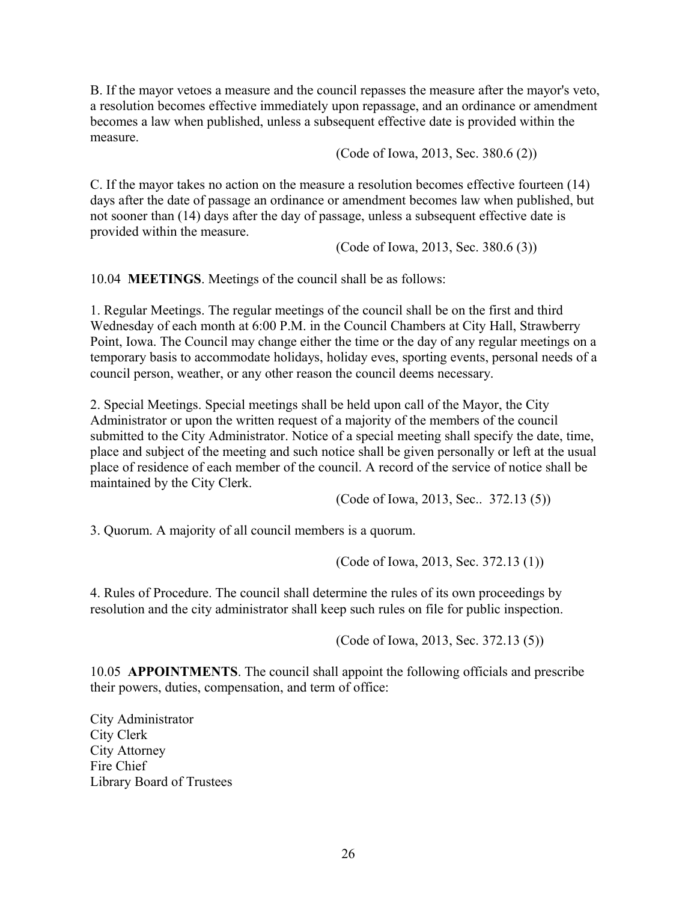B. If the mayor vetoes a measure and the council repasses the measure after the mayor's veto, a resolution becomes effective immediately upon repassage, and an ordinance or amendment becomes a law when published, unless a subsequent effective date is provided within the measure.

(Code of Iowa, 2013, Sec. 380.6 (2))

C. If the mayor takes no action on the measure a resolution becomes effective fourteen (14) days after the date of passage an ordinance or amendment becomes law when published, but not sooner than (14) days after the day of passage, unless a subsequent effective date is provided within the measure.

(Code of Iowa, 2013, Sec. 380.6 (3))

10.04 **MEETINGS**. Meetings of the council shall be as follows:

1. Regular Meetings. The regular meetings of the council shall be on the first and third Wednesday of each month at 6:00 P.M. in the Council Chambers at City Hall, Strawberry Point, Iowa. The Council may change either the time or the day of any regular meetings on a temporary basis to accommodate holidays, holiday eves, sporting events, personal needs of a council person, weather, or any other reason the council deems necessary.

2. Special Meetings. Special meetings shall be held upon call of the Mayor, the City Administrator or upon the written request of a majority of the members of the council submitted to the City Administrator. Notice of a special meeting shall specify the date, time, place and subject of the meeting and such notice shall be given personally or left at the usual place of residence of each member of the council. A record of the service of notice shall be maintained by the City Clerk.

(Code of Iowa, 2013, Sec.. 372.13 (5))

3. Quorum. A majority of all council members is a quorum.

(Code of Iowa, 2013, Sec. 372.13 (1))

4. Rules of Procedure. The council shall determine the rules of its own proceedings by resolution and the city administrator shall keep such rules on file for public inspection.

(Code of Iowa, 2013, Sec. 372.13 (5))

10.05 **APPOINTMENTS**. The council shall appoint the following officials and prescribe their powers, duties, compensation, and term of office:

City Administrator City Clerk City Attorney Fire Chief Library Board of Trustees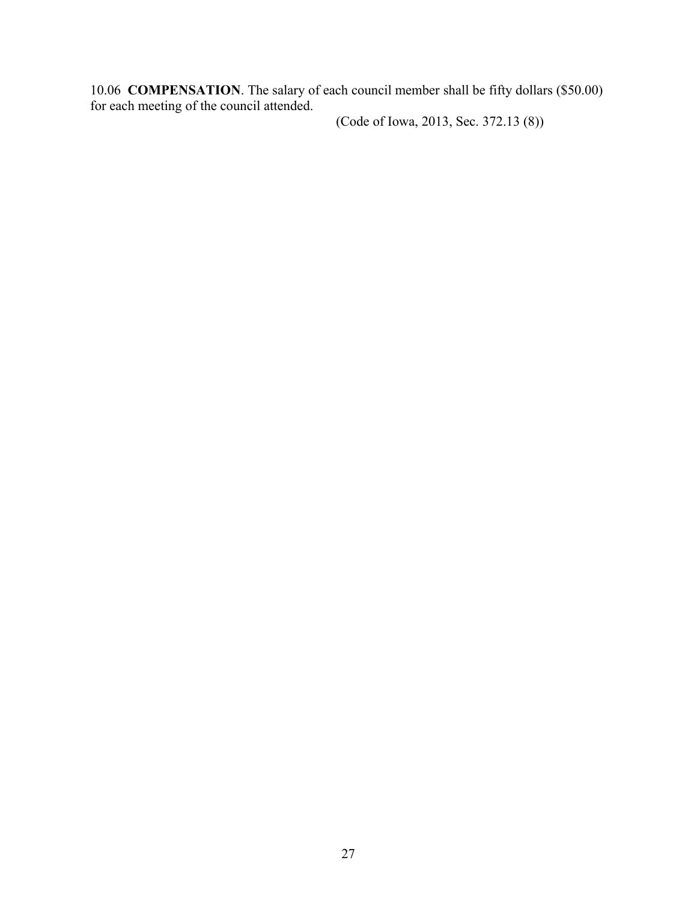10.06 **COMPENSATION**. The salary of each council member shall be fifty dollars (\$50.00) for each meeting of the council attended.

(Code of Iowa, 2013, Sec. 372.13 (8))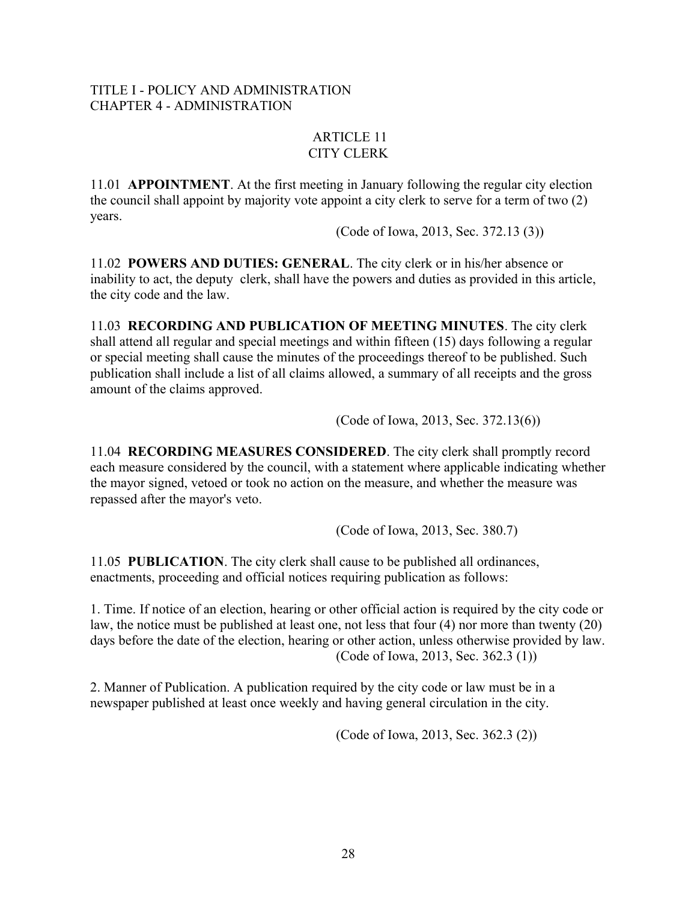## TITLE I - POLICY AND ADMINISTRATION CHAPTER 4 - ADMINISTRATION

## ARTICLE 11 CITY CLERK

11.01 **APPOINTMENT**. At the first meeting in January following the regular city election the council shall appoint by majority vote appoint a city clerk to serve for a term of two (2) years.

(Code of Iowa, 2013, Sec. 372.13 (3))

11.02 **POWERS AND DUTIES: GENERAL**. The city clerk or in his/her absence or inability to act, the deputy clerk, shall have the powers and duties as provided in this article, the city code and the law.

11.03 **RECORDING AND PUBLICATION OF MEETING MINUTES**. The city clerk shall attend all regular and special meetings and within fifteen (15) days following a regular or special meeting shall cause the minutes of the proceedings thereof to be published. Such publication shall include a list of all claims allowed, a summary of all receipts and the gross amount of the claims approved.

(Code of Iowa, 2013, Sec. 372.13(6))

11.04 **RECORDING MEASURES CONSIDERED**. The city clerk shall promptly record each measure considered by the council, with a statement where applicable indicating whether the mayor signed, vetoed or took no action on the measure, and whether the measure was repassed after the mayor's veto.

(Code of Iowa, 2013, Sec. 380.7)

11.05 **PUBLICATION**. The city clerk shall cause to be published all ordinances, enactments, proceeding and official notices requiring publication as follows:

1. Time. If notice of an election, hearing or other official action is required by the city code or law, the notice must be published at least one, not less that four (4) nor more than twenty (20) days before the date of the election, hearing or other action, unless otherwise provided by law. (Code of Iowa, 2013, Sec. 362.3 (1))

2. Manner of Publication. A publication required by the city code or law must be in a newspaper published at least once weekly and having general circulation in the city.

(Code of Iowa, 2013, Sec. 362.3 (2))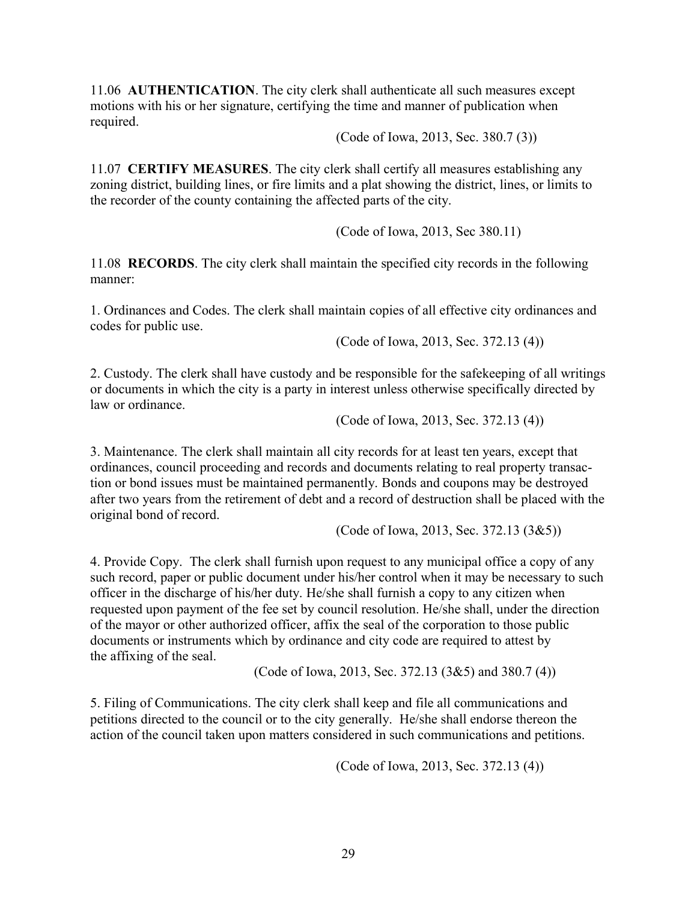11.06 **AUTHENTICATION**. The city clerk shall authenticate all such measures except motions with his or her signature, certifying the time and manner of publication when required.

(Code of Iowa, 2013, Sec. 380.7 (3))

11.07 **CERTIFY MEASURES**. The city clerk shall certify all measures establishing any zoning district, building lines, or fire limits and a plat showing the district, lines, or limits to the recorder of the county containing the affected parts of the city.

(Code of Iowa, 2013, Sec 380.11)

11.08 **RECORDS**. The city clerk shall maintain the specified city records in the following manner:

1. Ordinances and Codes. The clerk shall maintain copies of all effective city ordinances and codes for public use.

(Code of Iowa, 2013, Sec. 372.13 (4))

2. Custody. The clerk shall have custody and be responsible for the safekeeping of all writings or documents in which the city is a party in interest unless otherwise specifically directed by law or ordinance.

(Code of Iowa, 2013, Sec. 372.13 (4))

3. Maintenance. The clerk shall maintain all city records for at least ten years, except that ordinances, council proceeding and records and documents relating to real property transaction or bond issues must be maintained permanently. Bonds and coupons may be destroyed after two years from the retirement of debt and a record of destruction shall be placed with the original bond of record.

(Code of Iowa, 2013, Sec. 372.13 (3&5))

4. Provide Copy. The clerk shall furnish upon request to any municipal office a copy of any such record, paper or public document under his/her control when it may be necessary to such officer in the discharge of his/her duty. He/she shall furnish a copy to any citizen when requested upon payment of the fee set by council resolution. He/she shall, under the direction of the mayor or other authorized officer, affix the seal of the corporation to those public documents or instruments which by ordinance and city code are required to attest by the affixing of the seal.

(Code of Iowa, 2013, Sec. 372.13 (3&5) and 380.7 (4))

5. Filing of Communications. The city clerk shall keep and file all communications and petitions directed to the council or to the city generally. He/she shall endorse thereon the action of the council taken upon matters considered in such communications and petitions.

(Code of Iowa, 2013, Sec. 372.13 (4))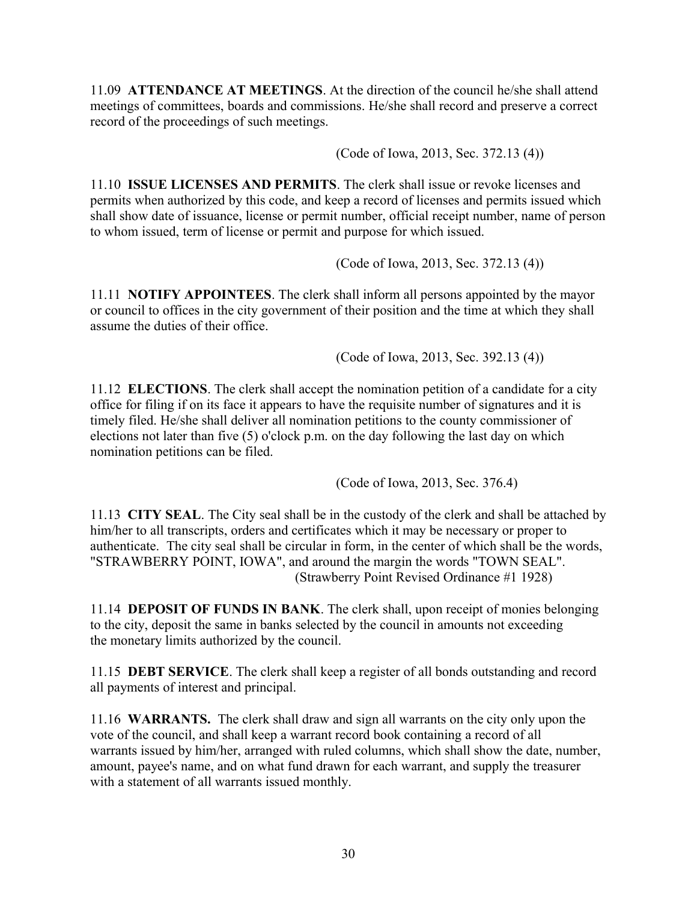11.09 **ATTENDANCE AT MEETINGS**. At the direction of the council he/she shall attend meetings of committees, boards and commissions. He/she shall record and preserve a correct record of the proceedings of such meetings.

(Code of Iowa, 2013, Sec. 372.13 (4))

11.10 **ISSUE LICENSES AND PERMITS**. The clerk shall issue or revoke licenses and permits when authorized by this code, and keep a record of licenses and permits issued which shall show date of issuance, license or permit number, official receipt number, name of person to whom issued, term of license or permit and purpose for which issued.

(Code of Iowa, 2013, Sec. 372.13 (4))

11.11 **NOTIFY APPOINTEES**. The clerk shall inform all persons appointed by the mayor or council to offices in the city government of their position and the time at which they shall assume the duties of their office.

(Code of Iowa, 2013, Sec. 392.13 (4))

11.12 **ELECTIONS**. The clerk shall accept the nomination petition of a candidate for a city office for filing if on its face it appears to have the requisite number of signatures and it is timely filed. He/she shall deliver all nomination petitions to the county commissioner of elections not later than five (5) o'clock p.m. on the day following the last day on which nomination petitions can be filed.

(Code of Iowa, 2013, Sec. 376.4)

11.13 **CITY SEAL**. The City seal shall be in the custody of the clerk and shall be attached by him/her to all transcripts, orders and certificates which it may be necessary or proper to authenticate. The city seal shall be circular in form, in the center of which shall be the words, "STRAWBERRY POINT, IOWA", and around the margin the words "TOWN SEAL". (Strawberry Point Revised Ordinance #1 1928)

11.14 **DEPOSIT OF FUNDS IN BANK**. The clerk shall, upon receipt of monies belonging to the city, deposit the same in banks selected by the council in amounts not exceeding the monetary limits authorized by the council.

11.15 **DEBT SERVICE**. The clerk shall keep a register of all bonds outstanding and record all payments of interest and principal.

11.16 **WARRANTS.** The clerk shall draw and sign all warrants on the city only upon the vote of the council, and shall keep a warrant record book containing a record of all warrants issued by him/her, arranged with ruled columns, which shall show the date, number, amount, payee's name, and on what fund drawn for each warrant, and supply the treasurer with a statement of all warrants issued monthly.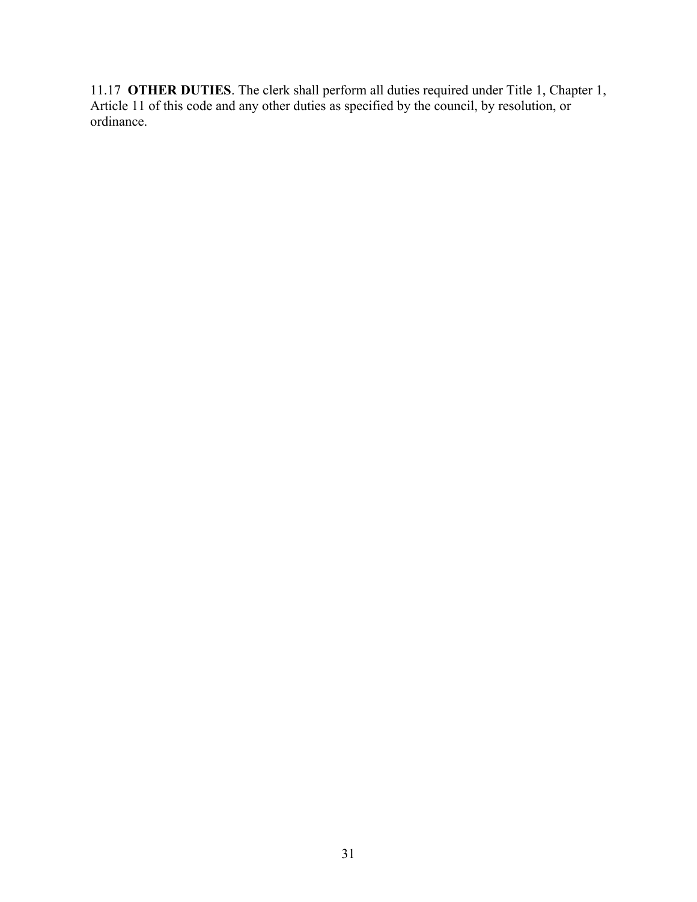11.17 **OTHER DUTIES**. The clerk shall perform all duties required under Title 1, Chapter 1, Article 11 of this code and any other duties as specified by the council, by resolution, or ordinance.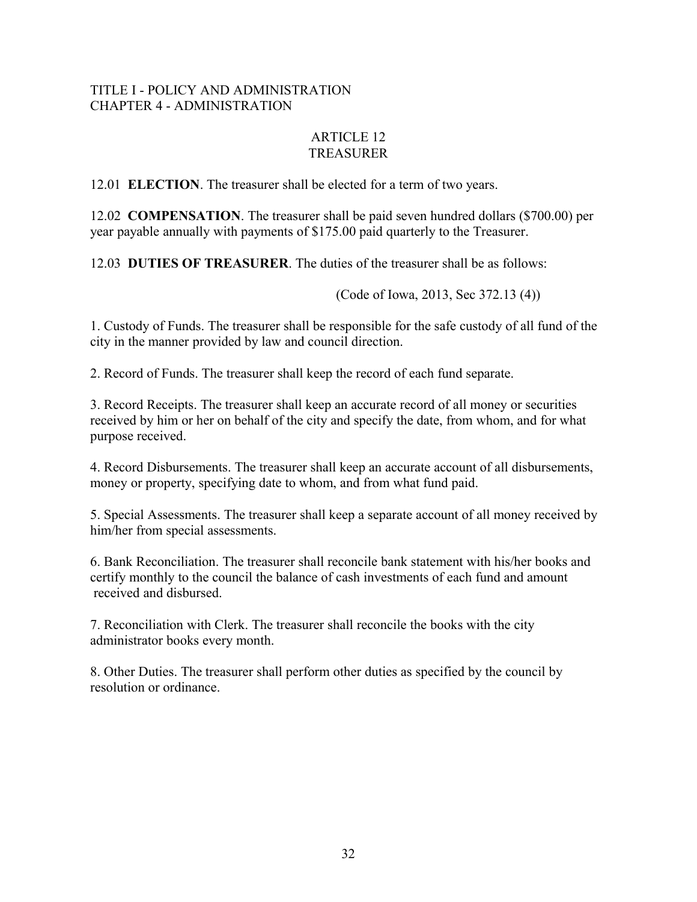# TITLE I - POLICY AND ADMINISTRATION CHAPTER 4 - ADMINISTRATION

# ARTICLE 12 TREASURER

12.01 **ELECTION**. The treasurer shall be elected for a term of two years.

12.02 **COMPENSATION**. The treasurer shall be paid seven hundred dollars (\$700.00) per year payable annually with payments of \$175.00 paid quarterly to the Treasurer.

12.03 **DUTIES OF TREASURER**. The duties of the treasurer shall be as follows:

(Code of Iowa, 2013, Sec 372.13 (4))

1. Custody of Funds. The treasurer shall be responsible for the safe custody of all fund of the city in the manner provided by law and council direction.

2. Record of Funds. The treasurer shall keep the record of each fund separate.

3. Record Receipts. The treasurer shall keep an accurate record of all money or securities received by him or her on behalf of the city and specify the date, from whom, and for what purpose received.

4. Record Disbursements. The treasurer shall keep an accurate account of all disbursements, money or property, specifying date to whom, and from what fund paid.

5. Special Assessments. The treasurer shall keep a separate account of all money received by him/her from special assessments.

6. Bank Reconciliation. The treasurer shall reconcile bank statement with his/her books and certify monthly to the council the balance of cash investments of each fund and amount received and disbursed.

7. Reconciliation with Clerk. The treasurer shall reconcile the books with the city administrator books every month.

8. Other Duties. The treasurer shall perform other duties as specified by the council by resolution or ordinance.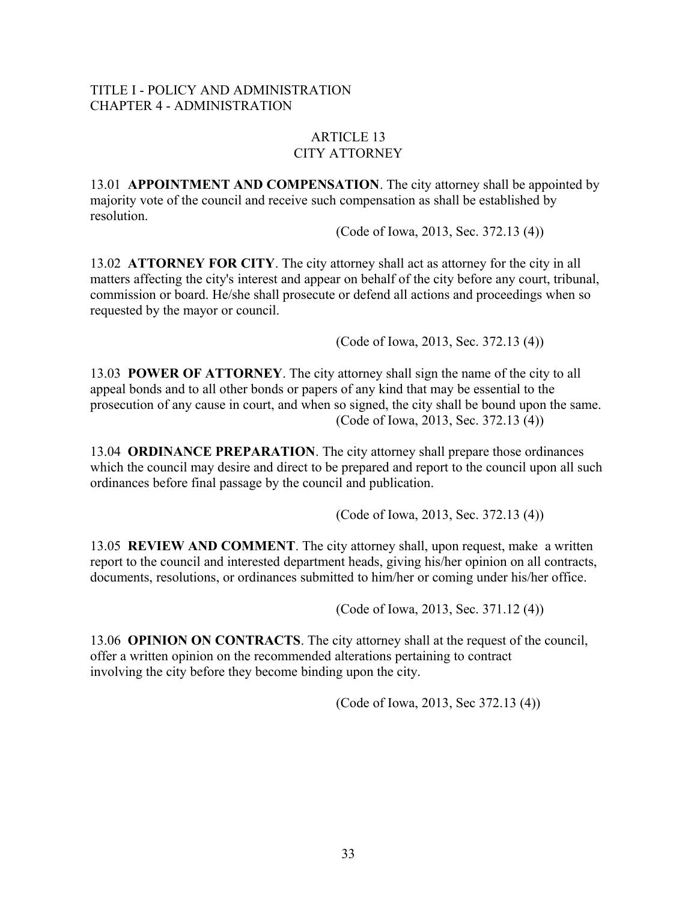### TITLE I - POLICY AND ADMINISTRATION CHAPTER 4 - ADMINISTRATION

### ARTICLE 13 CITY ATTORNEY

13.01 **APPOINTMENT AND COMPENSATION**. The city attorney shall be appointed by majority vote of the council and receive such compensation as shall be established by resolution.

(Code of Iowa, 2013, Sec. 372.13 (4))

13.02 **ATTORNEY FOR CITY**. The city attorney shall act as attorney for the city in all matters affecting the city's interest and appear on behalf of the city before any court, tribunal, commission or board. He/she shall prosecute or defend all actions and proceedings when so requested by the mayor or council.

(Code of Iowa, 2013, Sec. 372.13 (4))

13.03 **POWER OF ATTORNEY**. The city attorney shall sign the name of the city to all appeal bonds and to all other bonds or papers of any kind that may be essential to the prosecution of any cause in court, and when so signed, the city shall be bound upon the same. (Code of Iowa, 2013, Sec. 372.13 (4))

13.04 **ORDINANCE PREPARATION**. The city attorney shall prepare those ordinances which the council may desire and direct to be prepared and report to the council upon all such ordinances before final passage by the council and publication.

(Code of Iowa, 2013, Sec. 372.13 (4))

13.05 **REVIEW AND COMMENT**. The city attorney shall, upon request, make a written report to the council and interested department heads, giving his/her opinion on all contracts, documents, resolutions, or ordinances submitted to him/her or coming under his/her office.

(Code of Iowa, 2013, Sec. 371.12 (4))

13.06 **OPINION ON CONTRACTS**. The city attorney shall at the request of the council, offer a written opinion on the recommended alterations pertaining to contract involving the city before they become binding upon the city.

(Code of Iowa, 2013, Sec 372.13 (4))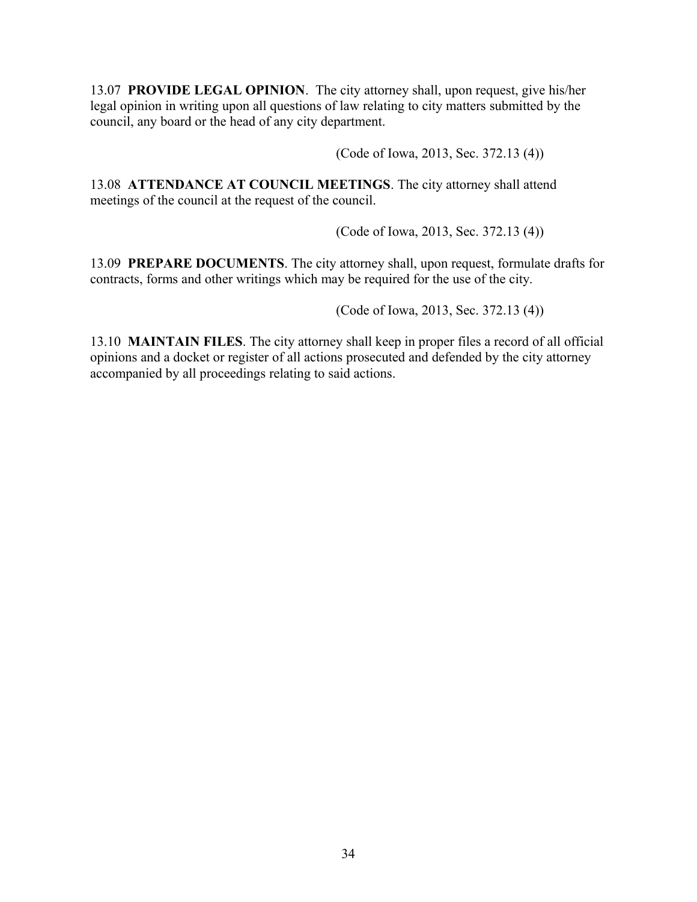13.07 **PROVIDE LEGAL OPINION**. The city attorney shall, upon request, give his/her legal opinion in writing upon all questions of law relating to city matters submitted by the council, any board or the head of any city department.

(Code of Iowa, 2013, Sec. 372.13 (4))

13.08 **ATTENDANCE AT COUNCIL MEETINGS**. The city attorney shall attend meetings of the council at the request of the council.

(Code of Iowa, 2013, Sec. 372.13 (4))

13.09 **PREPARE DOCUMENTS**. The city attorney shall, upon request, formulate drafts for contracts, forms and other writings which may be required for the use of the city.

(Code of Iowa, 2013, Sec. 372.13 (4))

13.10 **MAINTAIN FILES**. The city attorney shall keep in proper files a record of all official opinions and a docket or register of all actions prosecuted and defended by the city attorney accompanied by all proceedings relating to said actions.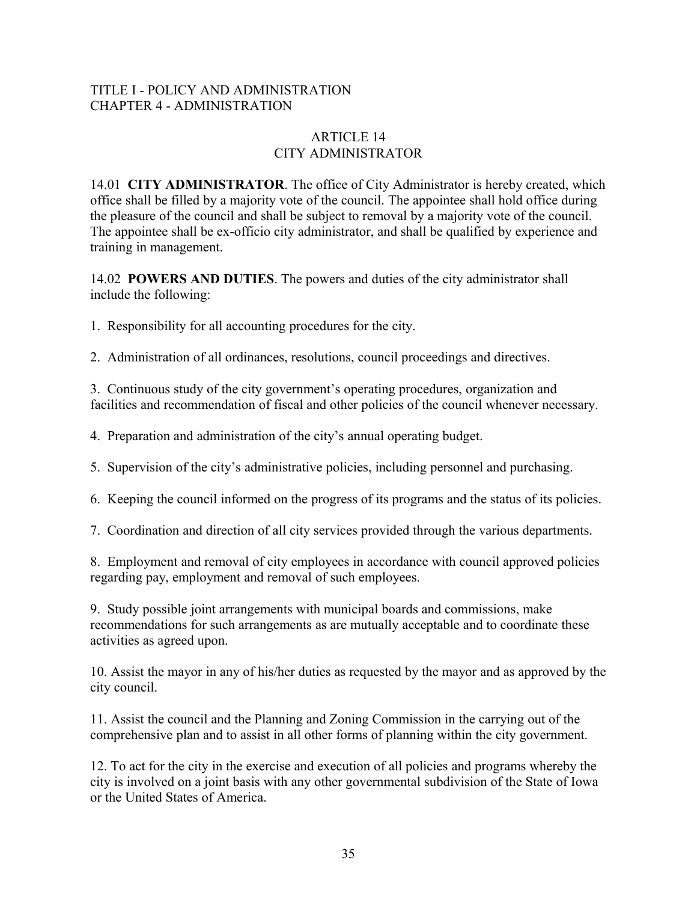# TITLE I - POLICY AND ADMINISTRATION CHAPTER 4 - ADMINISTRATION

# ARTICLE 14 CITY ADMINISTRATOR

14.01 **CITY ADMINISTRATOR**. The office of City Administrator is hereby created, which office shall be filled by a majority vote of the council. The appointee shall hold office during the pleasure of the council and shall be subject to removal by a majority vote of the council. The appointee shall be ex-officio city administrator, and shall be qualified by experience and training in management.

14.02 **POWERS AND DUTIES**. The powers and duties of the city administrator shall include the following:

1. Responsibility for all accounting procedures for the city.

2. Administration of all ordinances, resolutions, council proceedings and directives.

3. Continuous study of the city government's operating procedures, organization and facilities and recommendation of fiscal and other policies of the council whenever necessary.

4. Preparation and administration of the city's annual operating budget.

5. Supervision of the city's administrative policies, including personnel and purchasing.

6. Keeping the council informed on the progress of its programs and the status of its policies.

7. Coordination and direction of all city services provided through the various departments.

8. Employment and removal of city employees in accordance with council approved policies regarding pay, employment and removal of such employees.

9. Study possible joint arrangements with municipal boards and commissions, make recommendations for such arrangements as are mutually acceptable and to coordinate these activities as agreed upon.

10. Assist the mayor in any of his/her duties as requested by the mayor and as approved by the city council.

11. Assist the council and the Planning and Zoning Commission in the carrying out of the comprehensive plan and to assist in all other forms of planning within the city government.

12. To act for the city in the exercise and execution of all policies and programs whereby the city is involved on a joint basis with any other governmental subdivision of the State of Iowa or the United States of America.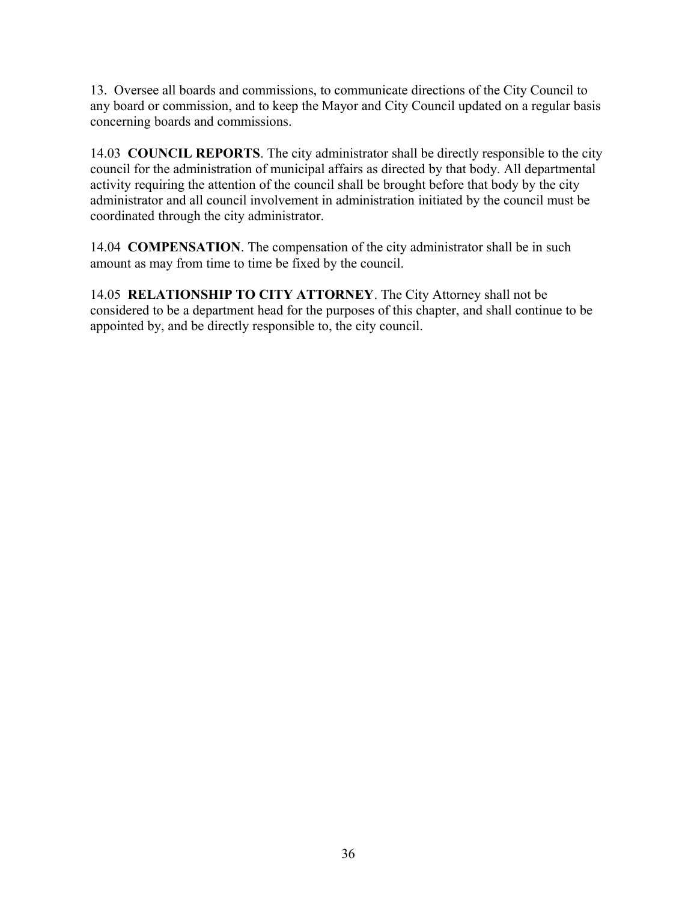13. Oversee all boards and commissions, to communicate directions of the City Council to any board or commission, and to keep the Mayor and City Council updated on a regular basis concerning boards and commissions.

14.03 **COUNCIL REPORTS**. The city administrator shall be directly responsible to the city council for the administration of municipal affairs as directed by that body. All departmental activity requiring the attention of the council shall be brought before that body by the city administrator and all council involvement in administration initiated by the council must be coordinated through the city administrator.

14.04 **COMPENSATION**. The compensation of the city administrator shall be in such amount as may from time to time be fixed by the council.

14.05 **RELATIONSHIP TO CITY ATTORNEY**. The City Attorney shall not be considered to be a department head for the purposes of this chapter, and shall continue to be appointed by, and be directly responsible to, the city council.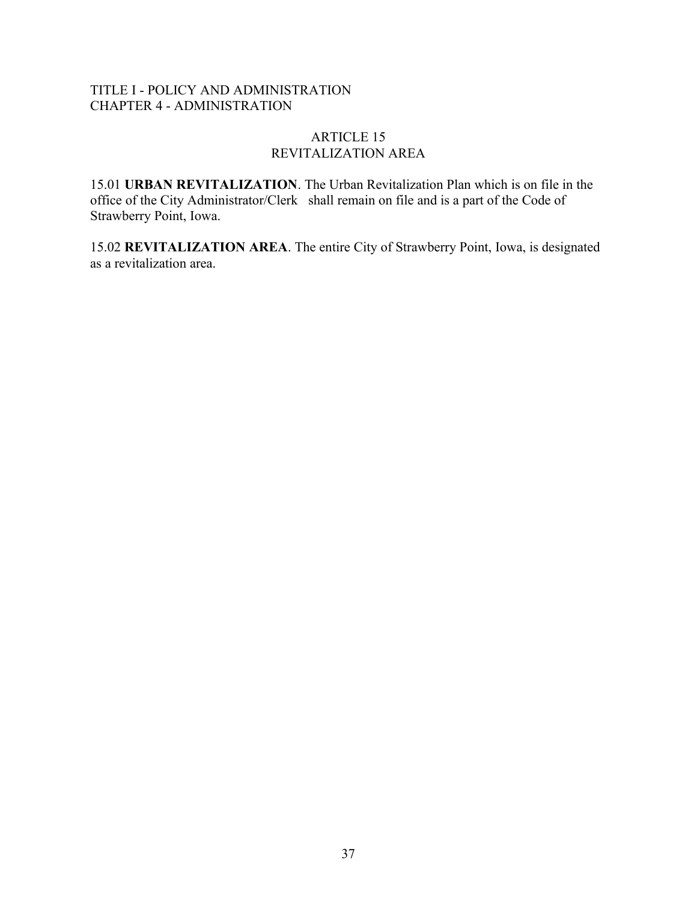# TITLE I - POLICY AND ADMINISTRATION CHAPTER 4 - ADMINISTRATION

## ARTICLE 15 REVITALIZATION AREA

15.01 **URBAN REVITALIZATION**. The Urban Revitalization Plan which is on file in the office of the City Administrator/Clerk shall remain on file and is a part of the Code of Strawberry Point, Iowa.

15.02 **REVITALIZATION AREA**. The entire City of Strawberry Point, Iowa, is designated as a revitalization area.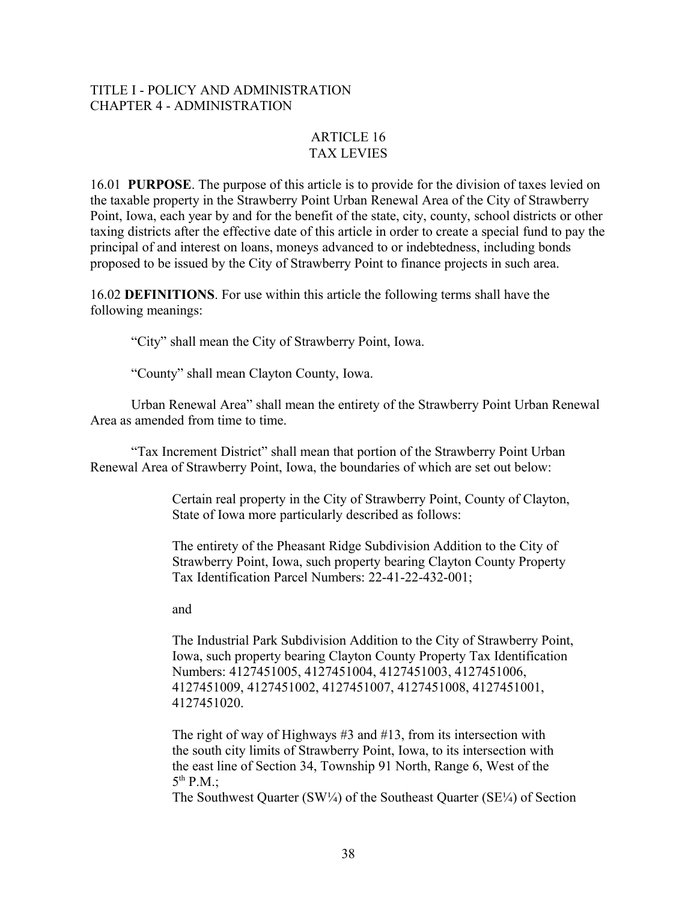### TITLE I - POLICY AND ADMINISTRATION CHAPTER 4 - ADMINISTRATION

# ARTICLE 16 TAX LEVIES

16.01 **PURPOSE**. The purpose of this article is to provide for the division of taxes levied on the taxable property in the Strawberry Point Urban Renewal Area of the City of Strawberry Point, Iowa, each year by and for the benefit of the state, city, county, school districts or other taxing districts after the effective date of this article in order to create a special fund to pay the principal of and interest on loans, moneys advanced to or indebtedness, including bonds proposed to be issued by the City of Strawberry Point to finance projects in such area.

16.02 **DEFINITIONS**. For use within this article the following terms shall have the following meanings:

"City" shall mean the City of Strawberry Point, Iowa.

"County" shall mean Clayton County, Iowa.

Urban Renewal Area" shall mean the entirety of the Strawberry Point Urban Renewal Area as amended from time to time.

"Tax Increment District" shall mean that portion of the Strawberry Point Urban Renewal Area of Strawberry Point, Iowa, the boundaries of which are set out below:

> Certain real property in the City of Strawberry Point, County of Clayton, State of Iowa more particularly described as follows:

The entirety of the Pheasant Ridge Subdivision Addition to the City of Strawberry Point, Iowa, such property bearing Clayton County Property Tax Identification Parcel Numbers: 22-41-22-432-001;

and

The Industrial Park Subdivision Addition to the City of Strawberry Point, Iowa, such property bearing Clayton County Property Tax Identification Numbers: 4127451005, 4127451004, 4127451003, 4127451006, 4127451009, 4127451002, 4127451007, 4127451008, 4127451001, 4127451020.

The right of way of Highways #3 and #13, from its intersection with the south city limits of Strawberry Point, Iowa, to its intersection with the east line of Section 34, Township 91 North, Range 6, West of the  $5^{th}$  P.M.;

The Southwest Quarter (SW¼) of the Southeast Quarter (SE¼) of Section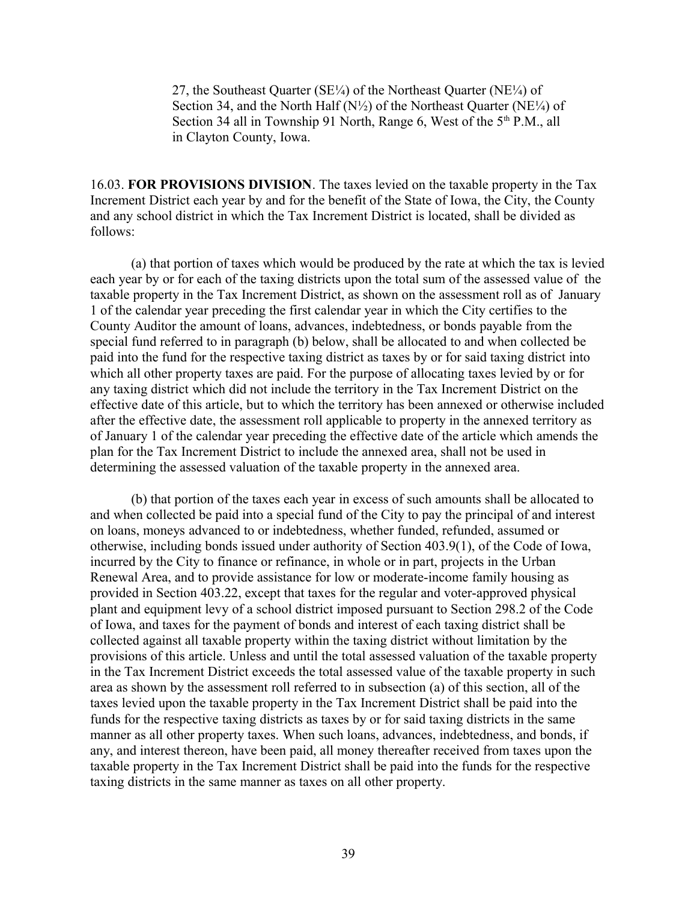27, the Southeast Quarter ( $SE\$ <sup>/4</sup>) of the Northeast Quarter ( $NE\$ <sup>/4</sup>) of Section 34, and the North Half  $(N\frac{1}{2})$  of the Northeast Quarter (NE $\frac{1}{4}$ ) of Section 34 all in Township 91 North, Range 6, West of the  $5<sup>th</sup>$  P.M., all in Clayton County, Iowa.

16.03. **FOR PROVISIONS DIVISION**. The taxes levied on the taxable property in the Tax Increment District each year by and for the benefit of the State of Iowa, the City, the County and any school district in which the Tax Increment District is located, shall be divided as follows:

(a) that portion of taxes which would be produced by the rate at which the tax is levied each year by or for each of the taxing districts upon the total sum of the assessed value of the taxable property in the Tax Increment District, as shown on the assessment roll as of January 1 of the calendar year preceding the first calendar year in which the City certifies to the County Auditor the amount of loans, advances, indebtedness, or bonds payable from the special fund referred to in paragraph (b) below, shall be allocated to and when collected be paid into the fund for the respective taxing district as taxes by or for said taxing district into which all other property taxes are paid. For the purpose of allocating taxes levied by or for any taxing district which did not include the territory in the Tax Increment District on the effective date of this article, but to which the territory has been annexed or otherwise included after the effective date, the assessment roll applicable to property in the annexed territory as of January 1 of the calendar year preceding the effective date of the article which amends the plan for the Tax Increment District to include the annexed area, shall not be used in determining the assessed valuation of the taxable property in the annexed area.

(b) that portion of the taxes each year in excess of such amounts shall be allocated to and when collected be paid into a special fund of the City to pay the principal of and interest on loans, moneys advanced to or indebtedness, whether funded, refunded, assumed or otherwise, including bonds issued under authority of Section 403.9(1), of the Code of Iowa, incurred by the City to finance or refinance, in whole or in part, projects in the Urban Renewal Area, and to provide assistance for low or moderate-income family housing as provided in Section 403.22, except that taxes for the regular and voter-approved physical plant and equipment levy of a school district imposed pursuant to Section 298.2 of the Code of Iowa, and taxes for the payment of bonds and interest of each taxing district shall be collected against all taxable property within the taxing district without limitation by the provisions of this article. Unless and until the total assessed valuation of the taxable property in the Tax Increment District exceeds the total assessed value of the taxable property in such area as shown by the assessment roll referred to in subsection (a) of this section, all of the taxes levied upon the taxable property in the Tax Increment District shall be paid into the funds for the respective taxing districts as taxes by or for said taxing districts in the same manner as all other property taxes. When such loans, advances, indebtedness, and bonds, if any, and interest thereon, have been paid, all money thereafter received from taxes upon the taxable property in the Tax Increment District shall be paid into the funds for the respective taxing districts in the same manner as taxes on all other property.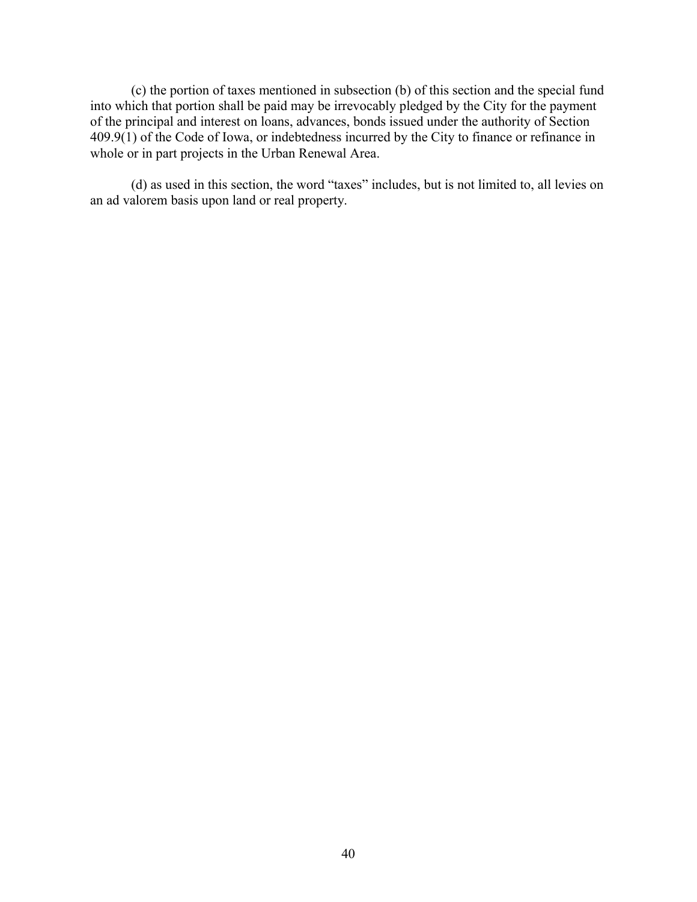(c) the portion of taxes mentioned in subsection (b) of this section and the special fund into which that portion shall be paid may be irrevocably pledged by the City for the payment of the principal and interest on loans, advances, bonds issued under the authority of Section 409.9(1) of the Code of Iowa, or indebtedness incurred by the City to finance or refinance in whole or in part projects in the Urban Renewal Area.

(d) as used in this section, the word "taxes" includes, but is not limited to, all levies on an ad valorem basis upon land or real property.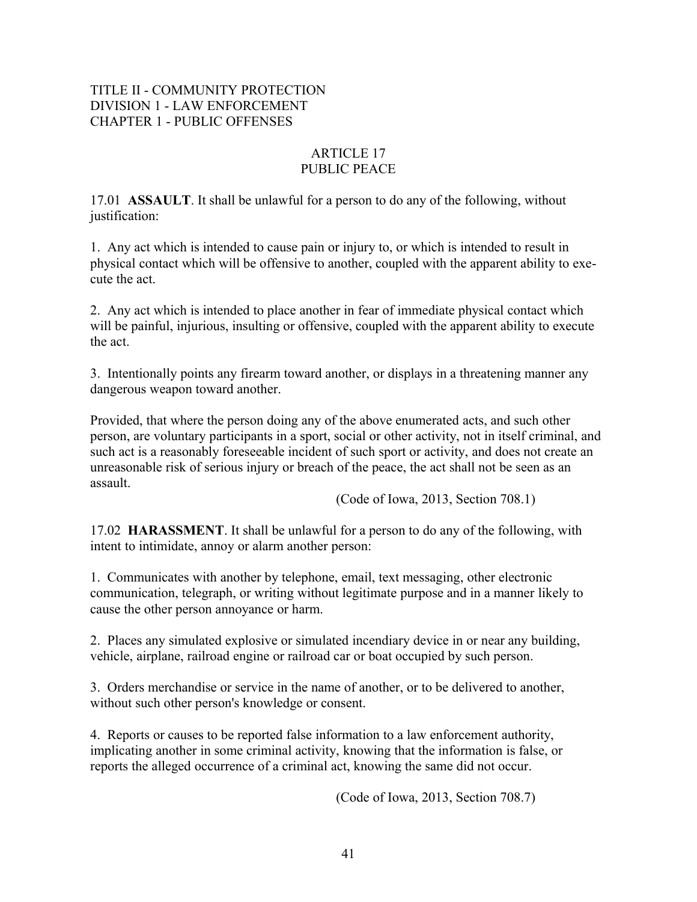# TITLE II - COMMUNITY PROTECTION DIVISION 1 - LAW ENFORCEMENT CHAPTER 1 - PUBLIC OFFENSES

# ARTICLE 17 PUBLIC PEACE

17.01 **ASSAULT**. It shall be unlawful for a person to do any of the following, without justification:

1. Any act which is intended to cause pain or injury to, or which is intended to result in physical contact which will be offensive to another, coupled with the apparent ability to execute the act.

2. Any act which is intended to place another in fear of immediate physical contact which will be painful, injurious, insulting or offensive, coupled with the apparent ability to execute the act.

3. Intentionally points any firearm toward another, or displays in a threatening manner any dangerous weapon toward another.

Provided, that where the person doing any of the above enumerated acts, and such other person, are voluntary participants in a sport, social or other activity, not in itself criminal, and such act is a reasonably foreseeable incident of such sport or activity, and does not create an unreasonable risk of serious injury or breach of the peace, the act shall not be seen as an assault.

(Code of Iowa, 2013, Section 708.1)

17.02 **HARASSMENT**. It shall be unlawful for a person to do any of the following, with intent to intimidate, annoy or alarm another person:

1. Communicates with another by telephone, email, text messaging, other electronic communication, telegraph, or writing without legitimate purpose and in a manner likely to cause the other person annoyance or harm.

2. Places any simulated explosive or simulated incendiary device in or near any building, vehicle, airplane, railroad engine or railroad car or boat occupied by such person.

3. Orders merchandise or service in the name of another, or to be delivered to another, without such other person's knowledge or consent.

4. Reports or causes to be reported false information to a law enforcement authority, implicating another in some criminal activity, knowing that the information is false, or reports the alleged occurrence of a criminal act, knowing the same did not occur.

(Code of Iowa, 2013, Section 708.7)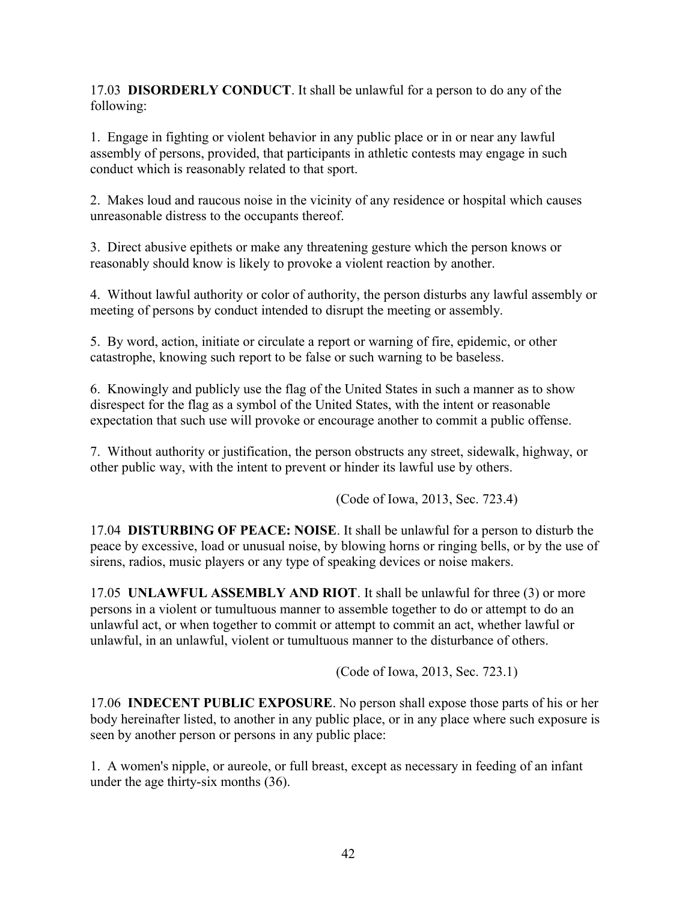17.03 **DISORDERLY CONDUCT**. It shall be unlawful for a person to do any of the following:

1. Engage in fighting or violent behavior in any public place or in or near any lawful assembly of persons, provided, that participants in athletic contests may engage in such conduct which is reasonably related to that sport.

2. Makes loud and raucous noise in the vicinity of any residence or hospital which causes unreasonable distress to the occupants thereof.

3. Direct abusive epithets or make any threatening gesture which the person knows or reasonably should know is likely to provoke a violent reaction by another.

4. Without lawful authority or color of authority, the person disturbs any lawful assembly or meeting of persons by conduct intended to disrupt the meeting or assembly.

5. By word, action, initiate or circulate a report or warning of fire, epidemic, or other catastrophe, knowing such report to be false or such warning to be baseless.

6. Knowingly and publicly use the flag of the United States in such a manner as to show disrespect for the flag as a symbol of the United States, with the intent or reasonable expectation that such use will provoke or encourage another to commit a public offense.

7. Without authority or justification, the person obstructs any street, sidewalk, highway, or other public way, with the intent to prevent or hinder its lawful use by others.

(Code of Iowa, 2013, Sec. 723.4)

17.04 **DISTURBING OF PEACE: NOISE**. It shall be unlawful for a person to disturb the peace by excessive, load or unusual noise, by blowing horns or ringing bells, or by the use of sirens, radios, music players or any type of speaking devices or noise makers.

17.05 **UNLAWFUL ASSEMBLY AND RIOT**. It shall be unlawful for three (3) or more persons in a violent or tumultuous manner to assemble together to do or attempt to do an unlawful act, or when together to commit or attempt to commit an act, whether lawful or unlawful, in an unlawful, violent or tumultuous manner to the disturbance of others.

(Code of Iowa, 2013, Sec. 723.1)

17.06 **INDECENT PUBLIC EXPOSURE**. No person shall expose those parts of his or her body hereinafter listed, to another in any public place, or in any place where such exposure is seen by another person or persons in any public place:

1. A women's nipple, or aureole, or full breast, except as necessary in feeding of an infant under the age thirty-six months (36).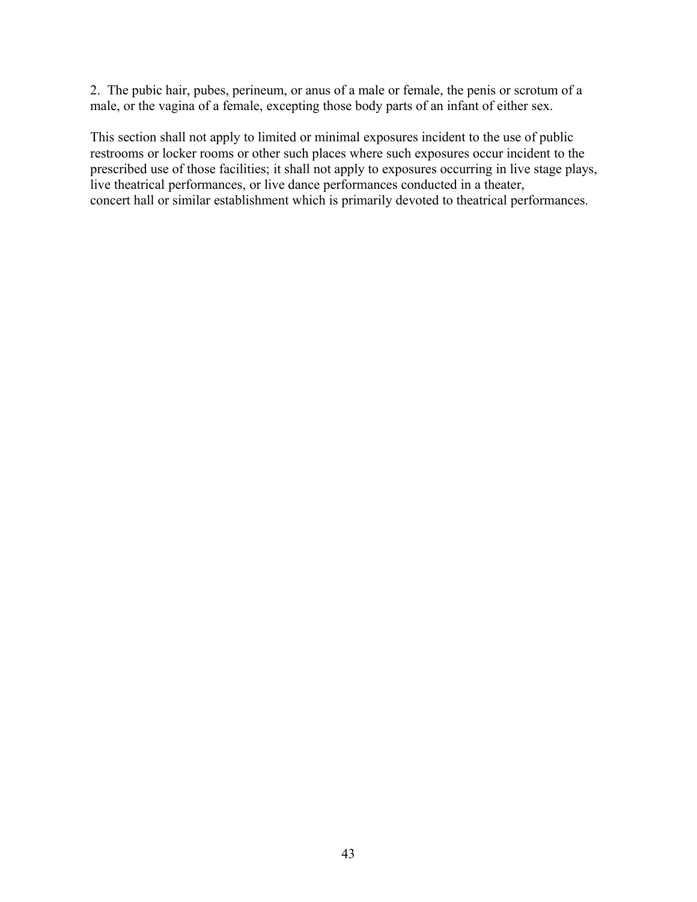2. The pubic hair, pubes, perineum, or anus of a male or female, the penis or scrotum of a male, or the vagina of a female, excepting those body parts of an infant of either sex.

This section shall not apply to limited or minimal exposures incident to the use of public restrooms or locker rooms or other such places where such exposures occur incident to the prescribed use of those facilities; it shall not apply to exposures occurring in live stage plays, live theatrical performances, or live dance performances conducted in a theater, concert hall or similar establishment which is primarily devoted to theatrical performances.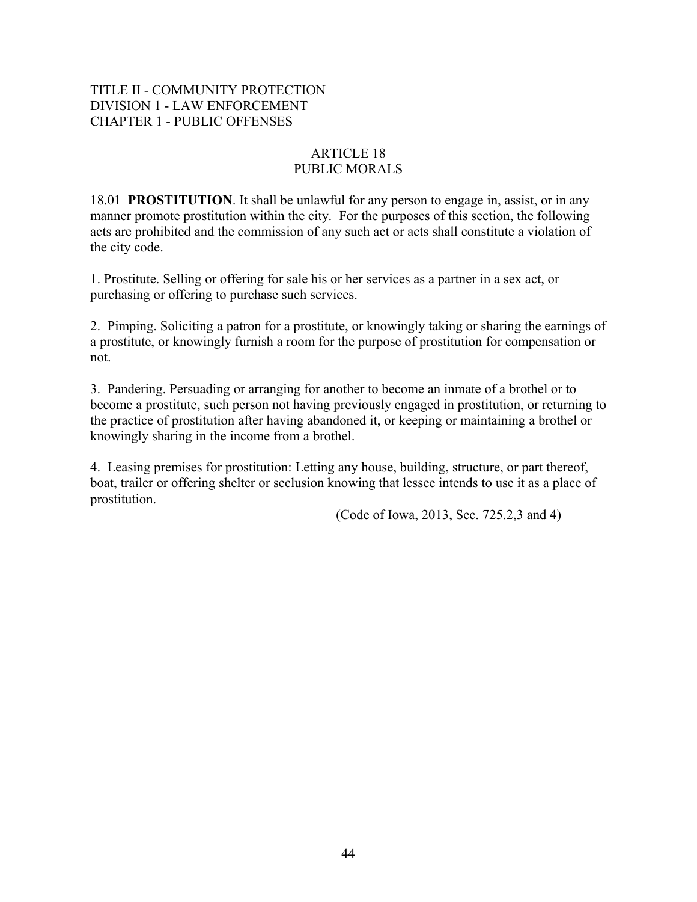# TITLE II - COMMUNITY PROTECTION DIVISION 1 - LAW ENFORCEMENT CHAPTER 1 - PUBLIC OFFENSES

# ARTICLE 18 PUBLIC MORALS

18.01 **PROSTITUTION**. It shall be unlawful for any person to engage in, assist, or in any manner promote prostitution within the city. For the purposes of this section, the following acts are prohibited and the commission of any such act or acts shall constitute a violation of the city code.

1. Prostitute. Selling or offering for sale his or her services as a partner in a sex act, or purchasing or offering to purchase such services.

2. Pimping. Soliciting a patron for a prostitute, or knowingly taking or sharing the earnings of a prostitute, or knowingly furnish a room for the purpose of prostitution for compensation or not.

3. Pandering. Persuading or arranging for another to become an inmate of a brothel or to become a prostitute, such person not having previously engaged in prostitution, or returning to the practice of prostitution after having abandoned it, or keeping or maintaining a brothel or knowingly sharing in the income from a brothel.

4. Leasing premises for prostitution: Letting any house, building, structure, or part thereof, boat, trailer or offering shelter or seclusion knowing that lessee intends to use it as a place of prostitution.

(Code of Iowa, 2013, Sec. 725.2,3 and 4)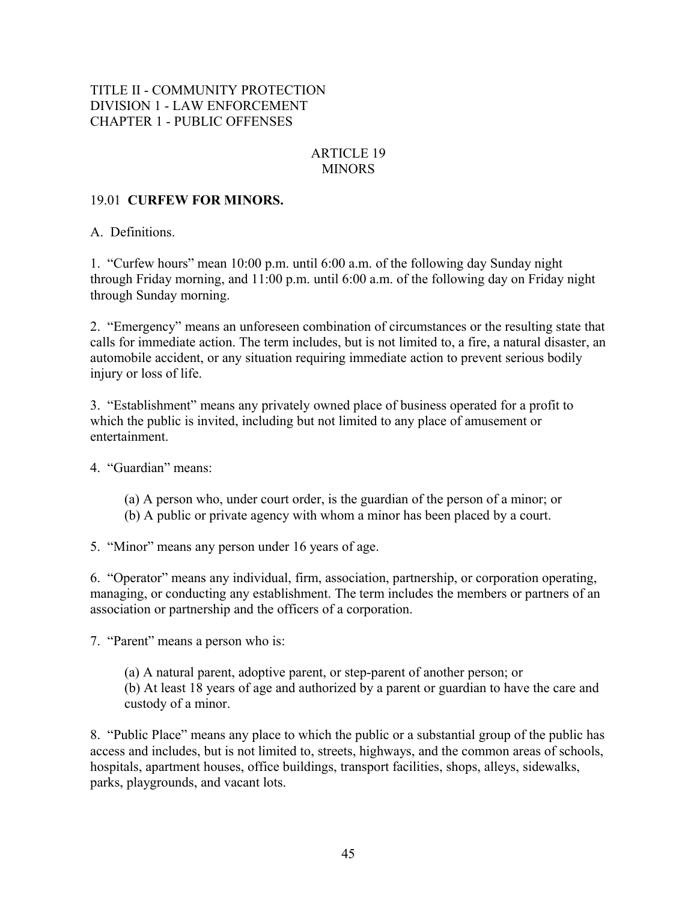# TITLE II - COMMUNITY PROTECTION DIVISION 1 - LAW ENFORCEMENT CHAPTER 1 - PUBLIC OFFENSES

## ARTICLE 19 MINORS

## 19.01 **CURFEW FOR MINORS.**

A.Definitions.

1. "Curfew hours" mean 10:00 p.m. until 6:00 a.m. of the following day Sunday night through Friday morning, and 11:00 p.m. until 6:00 a.m. of the following day on Friday night through Sunday morning.

2. "Emergency" means an unforeseen combination of circumstances or the resulting state that calls for immediate action. The term includes, but is not limited to, a fire, a natural disaster, an automobile accident, or any situation requiring immediate action to prevent serious bodily injury or loss of life.

3. "Establishment" means any privately owned place of business operated for a profit to which the public is invited, including but not limited to any place of amusement or entertainment.

4. "Guardian" means:

- (a) A person who, under court order, is the guardian of the person of a minor; or
- (b) A public or private agency with whom a minor has been placed by a court.

5. "Minor" means any person under 16 years of age.

6. "Operator" means any individual, firm, association, partnership, or corporation operating, managing, or conducting any establishment. The term includes the members or partners of an association or partnership and the officers of a corporation.

7. "Parent" means a person who is:

(a) A natural parent, adoptive parent, or step-parent of another person; or (b) At least 18 years of age and authorized by a parent or guardian to have the care and custody of a minor.

8. "Public Place" means any place to which the public or a substantial group of the public has access and includes, but is not limited to, streets, highways, and the common areas of schools, hospitals, apartment houses, office buildings, transport facilities, shops, alleys, sidewalks, parks, playgrounds, and vacant lots.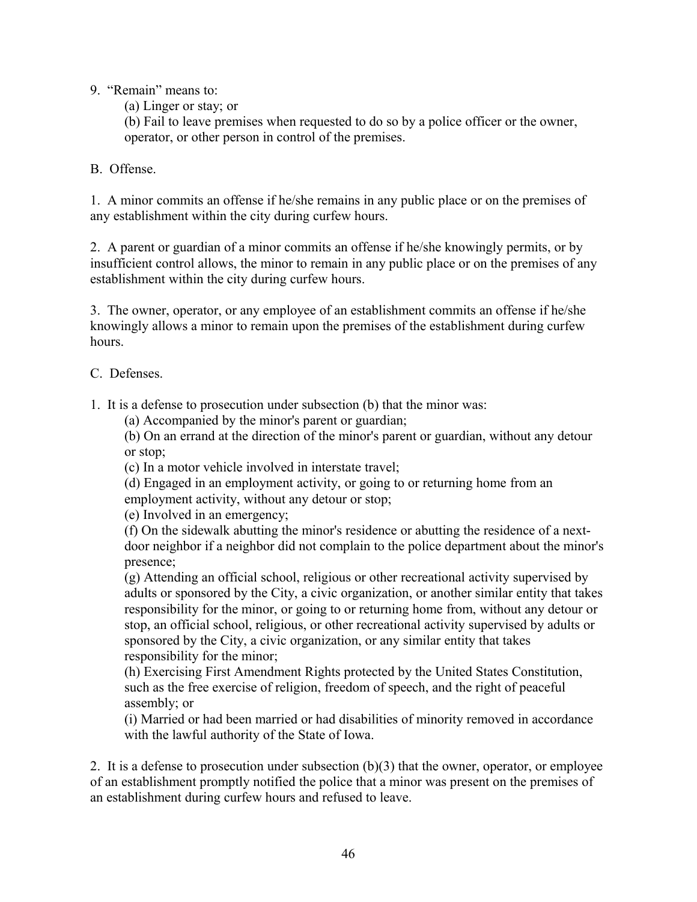9. "Remain" means to:

(a) Linger or stay; or

(b) Fail to leave premises when requested to do so by a police officer or the owner, operator, or other person in control of the premises.

B. Offense.

1. A minor commits an offense if he/she remains in any public place or on the premises of any establishment within the city during curfew hours.

2. A parent or guardian of a minor commits an offense if he/she knowingly permits, or by insufficient control allows, the minor to remain in any public place or on the premises of any establishment within the city during curfew hours.

3. The owner, operator, or any employee of an establishment commits an offense if he/she knowingly allows a minor to remain upon the premises of the establishment during curfew hours.

C. Defenses.

1. It is a defense to prosecution under subsection (b) that the minor was:

(a) Accompanied by the minor's parent or guardian;

(b) On an errand at the direction of the minor's parent or guardian, without any detour or stop;

(c) In a motor vehicle involved in interstate travel;

(d) Engaged in an employment activity, or going to or returning home from an employment activity, without any detour or stop;

(e) Involved in an emergency;

(f) On the sidewalk abutting the minor's residence or abutting the residence of a nextdoor neighbor if a neighbor did not complain to the police department about the minor's presence;

(g) Attending an official school, religious or other recreational activity supervised by adults or sponsored by the City, a civic organization, or another similar entity that takes responsibility for the minor, or going to or returning home from, without any detour or stop, an official school, religious, or other recreational activity supervised by adults or sponsored by the City, a civic organization, or any similar entity that takes responsibility for the minor;

(h) Exercising First Amendment Rights protected by the United States Constitution, such as the free exercise of religion, freedom of speech, and the right of peaceful assembly; or

(i) Married or had been married or had disabilities of minority removed in accordance with the lawful authority of the State of Iowa.

2. It is a defense to prosecution under subsection (b)(3) that the owner, operator, or employee of an establishment promptly notified the police that a minor was present on the premises of an establishment during curfew hours and refused to leave.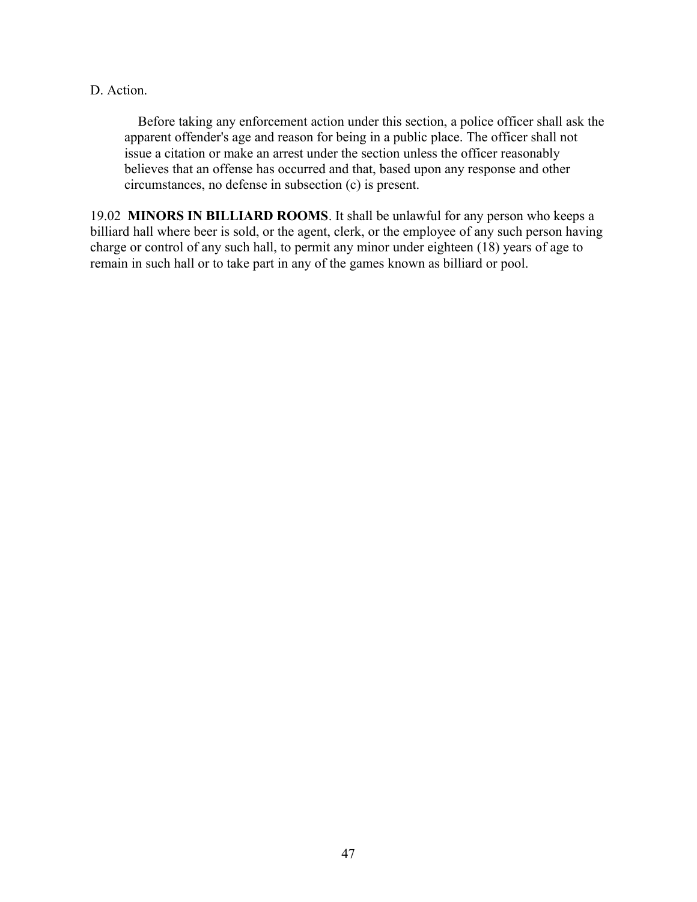#### D. Action.

 Before taking any enforcement action under this section, a police officer shall ask the apparent offender's age and reason for being in a public place. The officer shall not issue a citation or make an arrest under the section unless the officer reasonably believes that an offense has occurred and that, based upon any response and other circumstances, no defense in subsection (c) is present.

19.02 **MINORS IN BILLIARD ROOMS**. It shall be unlawful for any person who keeps a billiard hall where beer is sold, or the agent, clerk, or the employee of any such person having charge or control of any such hall, to permit any minor under eighteen (18) years of age to remain in such hall or to take part in any of the games known as billiard or pool.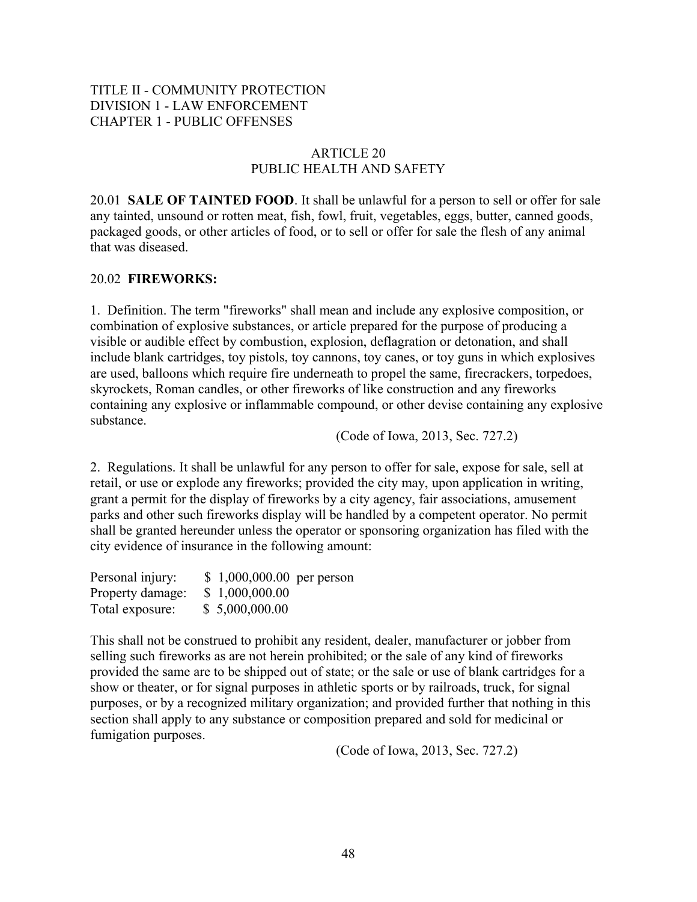# TITLE II - COMMUNITY PROTECTION DIVISION 1 - LAW ENFORCEMENT CHAPTER 1 - PUBLIC OFFENSES

# ARTICLE 20 PUBLIC HEALTH AND SAFETY

20.01 **SALE OF TAINTED FOOD**. It shall be unlawful for a person to sell or offer for sale any tainted, unsound or rotten meat, fish, fowl, fruit, vegetables, eggs, butter, canned goods, packaged goods, or other articles of food, or to sell or offer for sale the flesh of any animal that was diseased.

## 20.02 **FIREWORKS:**

1. Definition. The term "fireworks" shall mean and include any explosive composition, or combination of explosive substances, or article prepared for the purpose of producing a visible or audible effect by combustion, explosion, deflagration or detonation, and shall include blank cartridges, toy pistols, toy cannons, toy canes, or toy guns in which explosives are used, balloons which require fire underneath to propel the same, firecrackers, torpedoes, skyrockets, Roman candles, or other fireworks of like construction and any fireworks containing any explosive or inflammable compound, or other devise containing any explosive substance.

(Code of Iowa, 2013, Sec. 727.2)

2. Regulations. It shall be unlawful for any person to offer for sale, expose for sale, sell at retail, or use or explode any fireworks; provided the city may, upon application in writing, grant a permit for the display of fireworks by a city agency, fair associations, amusement parks and other such fireworks display will be handled by a competent operator. No permit shall be granted hereunder unless the operator or sponsoring organization has filed with the city evidence of insurance in the following amount:

| Personal injury: | $$1,000,000.00$ per person |  |
|------------------|----------------------------|--|
| Property damage: | \$1,000,000.00             |  |
| Total exposure:  | \$5,000,000.00             |  |

This shall not be construed to prohibit any resident, dealer, manufacturer or jobber from selling such fireworks as are not herein prohibited; or the sale of any kind of fireworks provided the same are to be shipped out of state; or the sale or use of blank cartridges for a show or theater, or for signal purposes in athletic sports or by railroads, truck, for signal purposes, or by a recognized military organization; and provided further that nothing in this section shall apply to any substance or composition prepared and sold for medicinal or fumigation purposes.

(Code of Iowa, 2013, Sec. 727.2)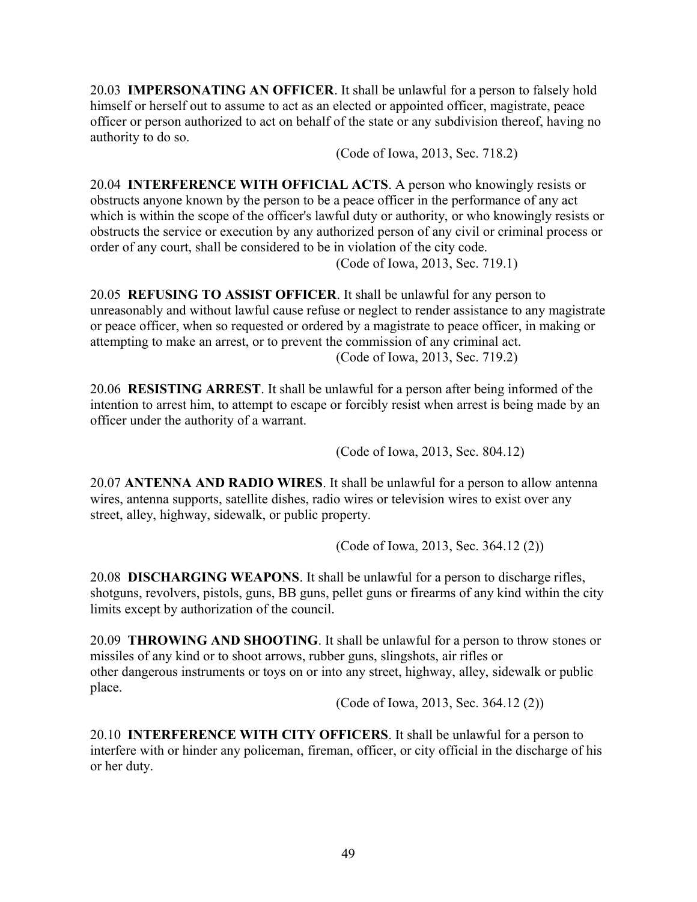20.03 **IMPERSONATING AN OFFICER**. It shall be unlawful for a person to falsely hold himself or herself out to assume to act as an elected or appointed officer, magistrate, peace officer or person authorized to act on behalf of the state or any subdivision thereof, having no authority to do so.

(Code of Iowa, 2013, Sec. 718.2)

20.04 **INTERFERENCE WITH OFFICIAL ACTS**. A person who knowingly resists or obstructs anyone known by the person to be a peace officer in the performance of any act which is within the scope of the officer's lawful duty or authority, or who knowingly resists or obstructs the service or execution by any authorized person of any civil or criminal process or order of any court, shall be considered to be in violation of the city code.

(Code of Iowa, 2013, Sec. 719.1)

20.05 **REFUSING TO ASSIST OFFICER**. It shall be unlawful for any person to unreasonably and without lawful cause refuse or neglect to render assistance to any magistrate or peace officer, when so requested or ordered by a magistrate to peace officer, in making or attempting to make an arrest, or to prevent the commission of any criminal act. (Code of Iowa, 2013, Sec. 719.2)

20.06 **RESISTING ARREST**. It shall be unlawful for a person after being informed of the intention to arrest him, to attempt to escape or forcibly resist when arrest is being made by an officer under the authority of a warrant.

(Code of Iowa, 2013, Sec. 804.12)

20.07 **ANTENNA AND RADIO WIRES**. It shall be unlawful for a person to allow antenna wires, antenna supports, satellite dishes, radio wires or television wires to exist over any street, alley, highway, sidewalk, or public property.

(Code of Iowa, 2013, Sec. 364.12 (2))

20.08 **DISCHARGING WEAPONS**. It shall be unlawful for a person to discharge rifles, shotguns, revolvers, pistols, guns, BB guns, pellet guns or firearms of any kind within the city limits except by authorization of the council.

20.09 **THROWING AND SHOOTING**. It shall be unlawful for a person to throw stones or missiles of any kind or to shoot arrows, rubber guns, slingshots, air rifles or other dangerous instruments or toys on or into any street, highway, alley, sidewalk or public place.

(Code of Iowa, 2013, Sec. 364.12 (2))

20.10 **INTERFERENCE WITH CITY OFFICERS**. It shall be unlawful for a person to interfere with or hinder any policeman, fireman, officer, or city official in the discharge of his or her duty.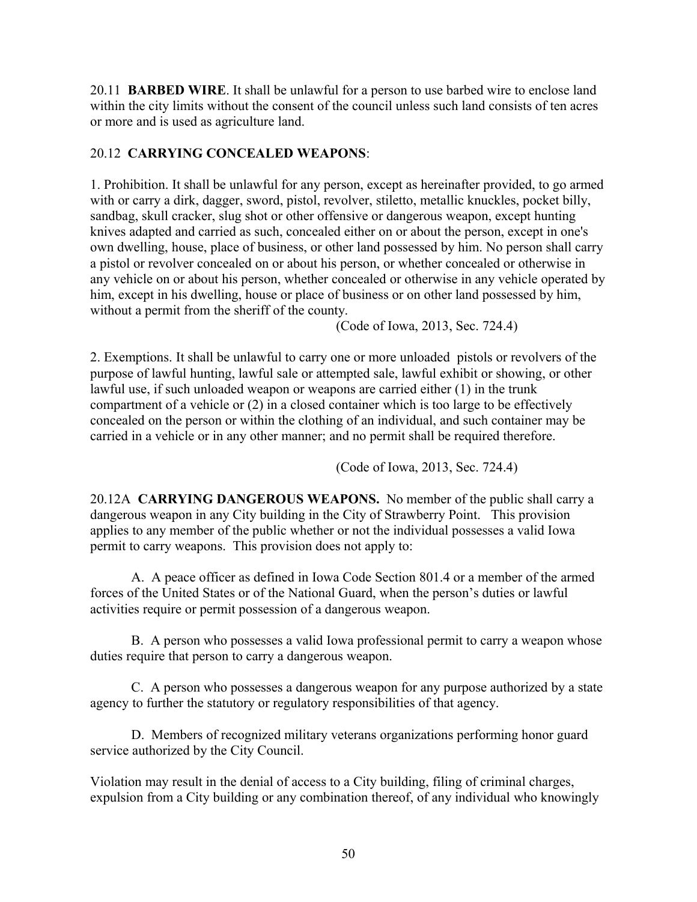20.11 **BARBED WIRE**. It shall be unlawful for a person to use barbed wire to enclose land within the city limits without the consent of the council unless such land consists of ten acres or more and is used as agriculture land.

# 20.12 **CARRYING CONCEALED WEAPONS**:

1. Prohibition. It shall be unlawful for any person, except as hereinafter provided, to go armed with or carry a dirk, dagger, sword, pistol, revolver, stiletto, metallic knuckles, pocket billy, sandbag, skull cracker, slug shot or other offensive or dangerous weapon, except hunting knives adapted and carried as such, concealed either on or about the person, except in one's own dwelling, house, place of business, or other land possessed by him. No person shall carry a pistol or revolver concealed on or about his person, or whether concealed or otherwise in any vehicle on or about his person, whether concealed or otherwise in any vehicle operated by him, except in his dwelling, house or place of business or on other land possessed by him, without a permit from the sheriff of the county.

(Code of Iowa, 2013, Sec. 724.4)

2. Exemptions. It shall be unlawful to carry one or more unloaded pistols or revolvers of the purpose of lawful hunting, lawful sale or attempted sale, lawful exhibit or showing, or other lawful use, if such unloaded weapon or weapons are carried either (1) in the trunk compartment of a vehicle or (2) in a closed container which is too large to be effectively concealed on the person or within the clothing of an individual, and such container may be carried in a vehicle or in any other manner; and no permit shall be required therefore.

(Code of Iowa, 2013, Sec. 724.4)

20.12A **CARRYING DANGEROUS WEAPONS.** No member of the public shall carry a dangerous weapon in any City building in the City of Strawberry Point. This provision applies to any member of the public whether or not the individual possesses a valid Iowa permit to carry weapons. This provision does not apply to:

A. A peace officer as defined in Iowa Code Section 801.4 or a member of the armed forces of the United States or of the National Guard, when the person's duties or lawful activities require or permit possession of a dangerous weapon.

B. A person who possesses a valid Iowa professional permit to carry a weapon whose duties require that person to carry a dangerous weapon.

C. A person who possesses a dangerous weapon for any purpose authorized by a state agency to further the statutory or regulatory responsibilities of that agency.

D. Members of recognized military veterans organizations performing honor guard service authorized by the City Council.

Violation may result in the denial of access to a City building, filing of criminal charges, expulsion from a City building or any combination thereof, of any individual who knowingly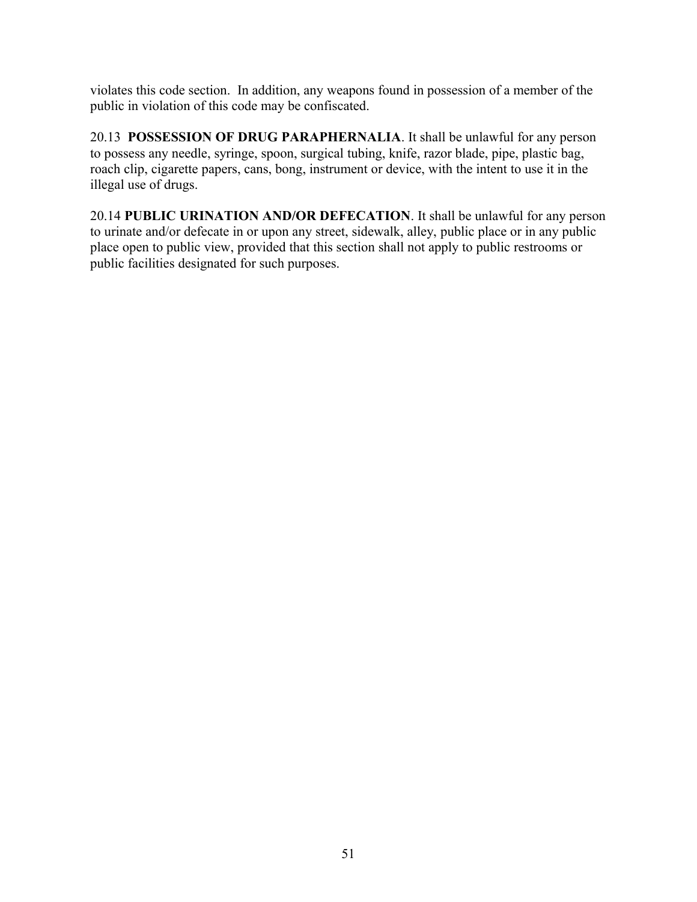violates this code section. In addition, any weapons found in possession of a member of the public in violation of this code may be confiscated.

20.13 **POSSESSION OF DRUG PARAPHERNALIA**. It shall be unlawful for any person to possess any needle, syringe, spoon, surgical tubing, knife, razor blade, pipe, plastic bag, roach clip, cigarette papers, cans, bong, instrument or device, with the intent to use it in the illegal use of drugs.

20.14 **PUBLIC URINATION AND/OR DEFECATION**. It shall be unlawful for any person to urinate and/or defecate in or upon any street, sidewalk, alley, public place or in any public place open to public view, provided that this section shall not apply to public restrooms or public facilities designated for such purposes.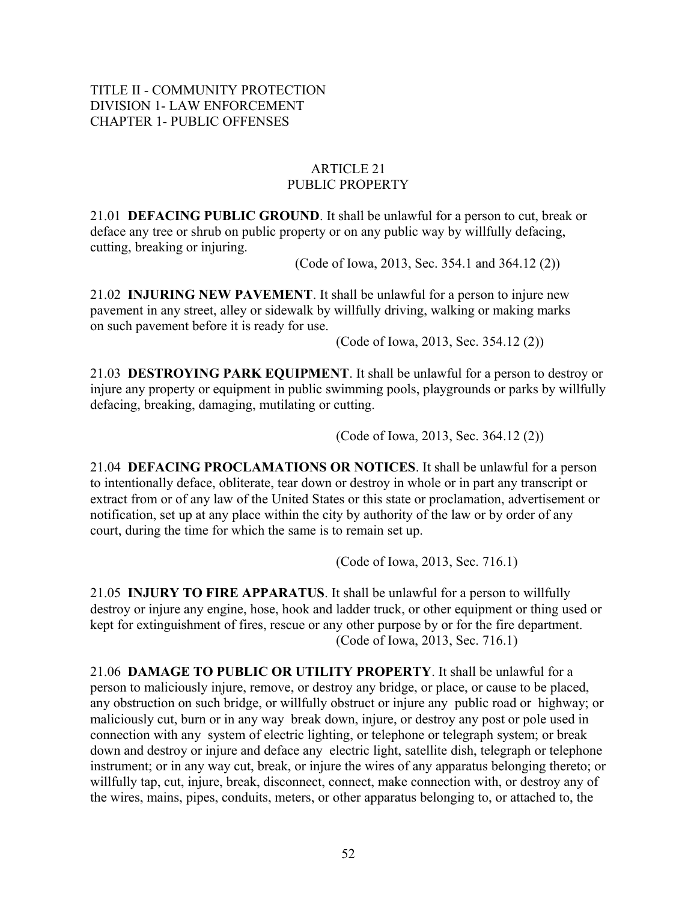# TITLE II - COMMUNITY PROTECTION DIVISION 1- LAW ENFORCEMENT CHAPTER 1- PUBLIC OFFENSES

### ARTICLE 21 PUBLIC PROPERTY

21.01 **DEFACING PUBLIC GROUND**. It shall be unlawful for a person to cut, break or deface any tree or shrub on public property or on any public way by willfully defacing, cutting, breaking or injuring.

(Code of Iowa, 2013, Sec. 354.1 and 364.12 (2))

21.02 **INJURING NEW PAVEMENT**. It shall be unlawful for a person to injure new pavement in any street, alley or sidewalk by willfully driving, walking or making marks on such pavement before it is ready for use.

(Code of Iowa, 2013, Sec. 354.12 (2))

21.03 **DESTROYING PARK EQUIPMENT**. It shall be unlawful for a person to destroy or injure any property or equipment in public swimming pools, playgrounds or parks by willfully defacing, breaking, damaging, mutilating or cutting.

(Code of Iowa, 2013, Sec. 364.12 (2))

21.04 **DEFACING PROCLAMATIONS OR NOTICES**. It shall be unlawful for a person to intentionally deface, obliterate, tear down or destroy in whole or in part any transcript or extract from or of any law of the United States or this state or proclamation, advertisement or notification, set up at any place within the city by authority of the law or by order of any court, during the time for which the same is to remain set up.

(Code of Iowa, 2013, Sec. 716.1)

21.05 **INJURY TO FIRE APPARATUS**. It shall be unlawful for a person to willfully destroy or injure any engine, hose, hook and ladder truck, or other equipment or thing used or kept for extinguishment of fires, rescue or any other purpose by or for the fire department. (Code of Iowa, 2013, Sec. 716.1)

21.06 **DAMAGE TO PUBLIC OR UTILITY PROPERTY**. It shall be unlawful for a person to maliciously injure, remove, or destroy any bridge, or place, or cause to be placed, any obstruction on such bridge, or willfully obstruct or injure any public road or highway; or maliciously cut, burn or in any way break down, injure, or destroy any post or pole used in connection with any system of electric lighting, or telephone or telegraph system; or break down and destroy or injure and deface any electric light, satellite dish, telegraph or telephone instrument; or in any way cut, break, or injure the wires of any apparatus belonging thereto; or willfully tap, cut, injure, break, disconnect, connect, make connection with, or destroy any of the wires, mains, pipes, conduits, meters, or other apparatus belonging to, or attached to, the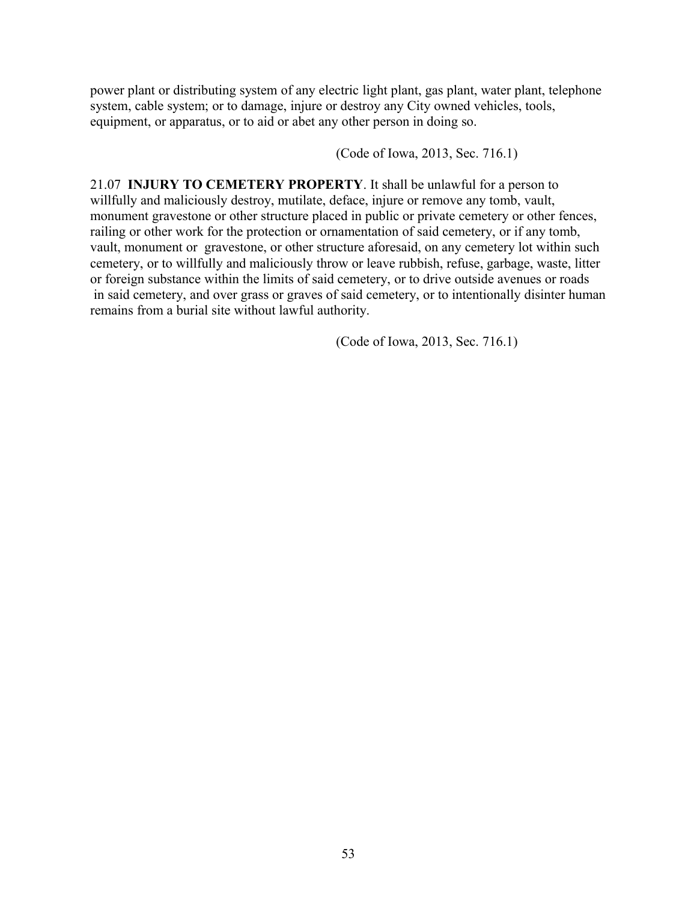power plant or distributing system of any electric light plant, gas plant, water plant, telephone system, cable system; or to damage, injure or destroy any City owned vehicles, tools, equipment, or apparatus, or to aid or abet any other person in doing so.

(Code of Iowa, 2013, Sec. 716.1)

21.07 **INJURY TO CEMETERY PROPERTY**. It shall be unlawful for a person to willfully and maliciously destroy, mutilate, deface, injure or remove any tomb, vault, monument gravestone or other structure placed in public or private cemetery or other fences, railing or other work for the protection or ornamentation of said cemetery, or if any tomb, vault, monument or gravestone, or other structure aforesaid, on any cemetery lot within such cemetery, or to willfully and maliciously throw or leave rubbish, refuse, garbage, waste, litter or foreign substance within the limits of said cemetery, or to drive outside avenues or roads in said cemetery, and over grass or graves of said cemetery, or to intentionally disinter human remains from a burial site without lawful authority.

(Code of Iowa, 2013, Sec. 716.1)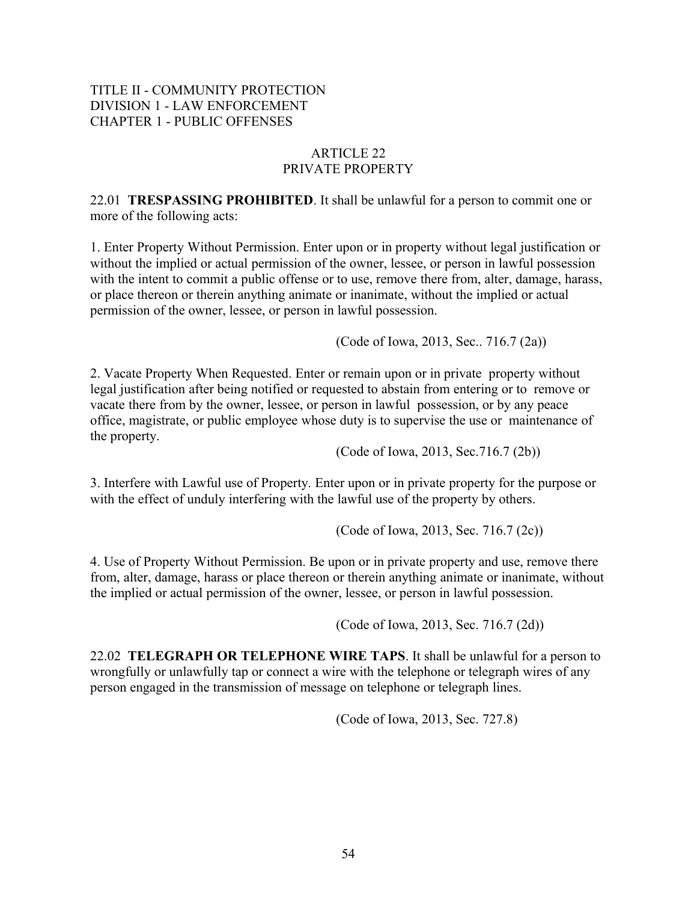# TITLE II - COMMUNITY PROTECTION DIVISION 1 - LAW ENFORCEMENT CHAPTER 1 - PUBLIC OFFENSES

# ARTICLE 22 PRIVATE PROPERTY

22.01 **TRESPASSING PROHIBITED**. It shall be unlawful for a person to commit one or more of the following acts:

1. Enter Property Without Permission. Enter upon or in property without legal justification or without the implied or actual permission of the owner, lessee, or person in lawful possession with the intent to commit a public offense or to use, remove there from, alter, damage, harass, or place thereon or therein anything animate or inanimate, without the implied or actual permission of the owner, lessee, or person in lawful possession.

(Code of Iowa, 2013, Sec.. 716.7 (2a))

2. Vacate Property When Requested. Enter or remain upon or in private property without legal justification after being notified or requested to abstain from entering or to remove or vacate there from by the owner, lessee, or person in lawful possession, or by any peace office, magistrate, or public employee whose duty is to supervise the use or maintenance of the property.

(Code of Iowa, 2013, Sec.716.7 (2b))

3. Interfere with Lawful use of Property. Enter upon or in private property for the purpose or with the effect of unduly interfering with the lawful use of the property by others.

(Code of Iowa, 2013, Sec. 716.7 (2c))

4. Use of Property Without Permission. Be upon or in private property and use, remove there from, alter, damage, harass or place thereon or therein anything animate or inanimate, without the implied or actual permission of the owner, lessee, or person in lawful possession.

(Code of Iowa, 2013, Sec. 716.7 (2d))

22.02 **TELEGRAPH OR TELEPHONE WIRE TAPS**. It shall be unlawful for a person to wrongfully or unlawfully tap or connect a wire with the telephone or telegraph wires of any person engaged in the transmission of message on telephone or telegraph lines.

(Code of Iowa, 2013, Sec. 727.8)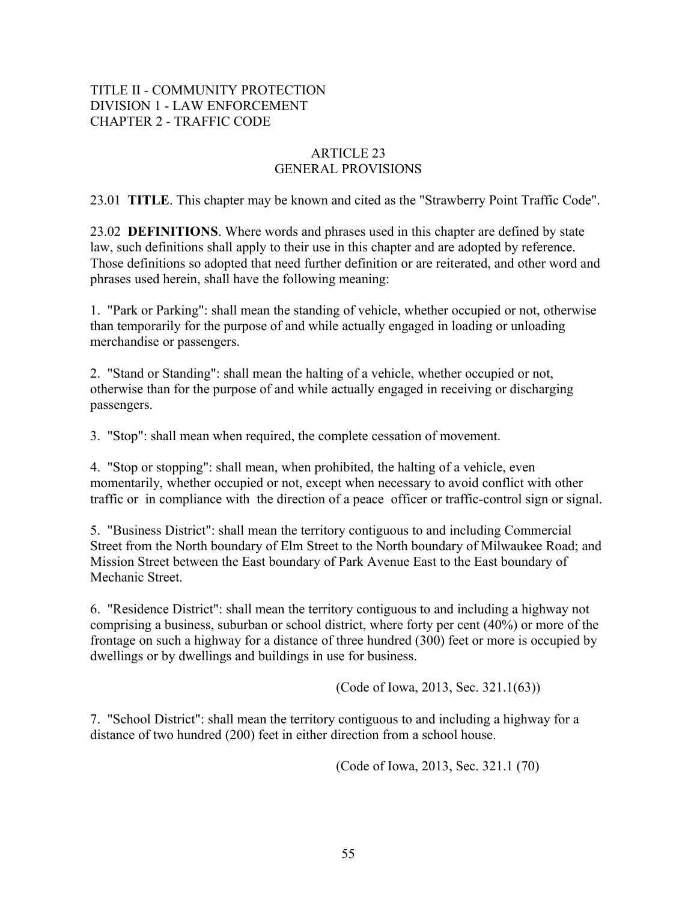# TITLE II - COMMUNITY PROTECTION DIVISION 1 - LAW ENFORCEMENT CHAPTER 2 - TRAFFIC CODE

# ARTICLE 23 GENERAL PROVISIONS

23.01 **TITLE**. This chapter may be known and cited as the "Strawberry Point Traffic Code".

23.02 **DEFINITIONS**. Where words and phrases used in this chapter are defined by state law, such definitions shall apply to their use in this chapter and are adopted by reference. Those definitions so adopted that need further definition or are reiterated, and other word and phrases used herein, shall have the following meaning:

1. "Park or Parking": shall mean the standing of vehicle, whether occupied or not, otherwise than temporarily for the purpose of and while actually engaged in loading or unloading merchandise or passengers.

2. "Stand or Standing": shall mean the halting of a vehicle, whether occupied or not, otherwise than for the purpose of and while actually engaged in receiving or discharging passengers.

3. "Stop": shall mean when required, the complete cessation of movement.

4. "Stop or stopping": shall mean, when prohibited, the halting of a vehicle, even momentarily, whether occupied or not, except when necessary to avoid conflict with other traffic or in compliance with the direction of a peace officer or traffic-control sign or signal.

5. "Business District": shall mean the territory contiguous to and including Commercial Street from the North boundary of Elm Street to the North boundary of Milwaukee Road; and Mission Street between the East boundary of Park Avenue East to the East boundary of Mechanic Street.

6. "Residence District": shall mean the territory contiguous to and including a highway not comprising a business, suburban or school district, where forty per cent (40%) or more of the frontage on such a highway for a distance of three hundred (300) feet or more is occupied by dwellings or by dwellings and buildings in use for business.

(Code of Iowa, 2013, Sec. 321.1(63))

7. "School District": shall mean the territory contiguous to and including a highway for a distance of two hundred (200) feet in either direction from a school house.

(Code of Iowa, 2013, Sec. 321.1 (70)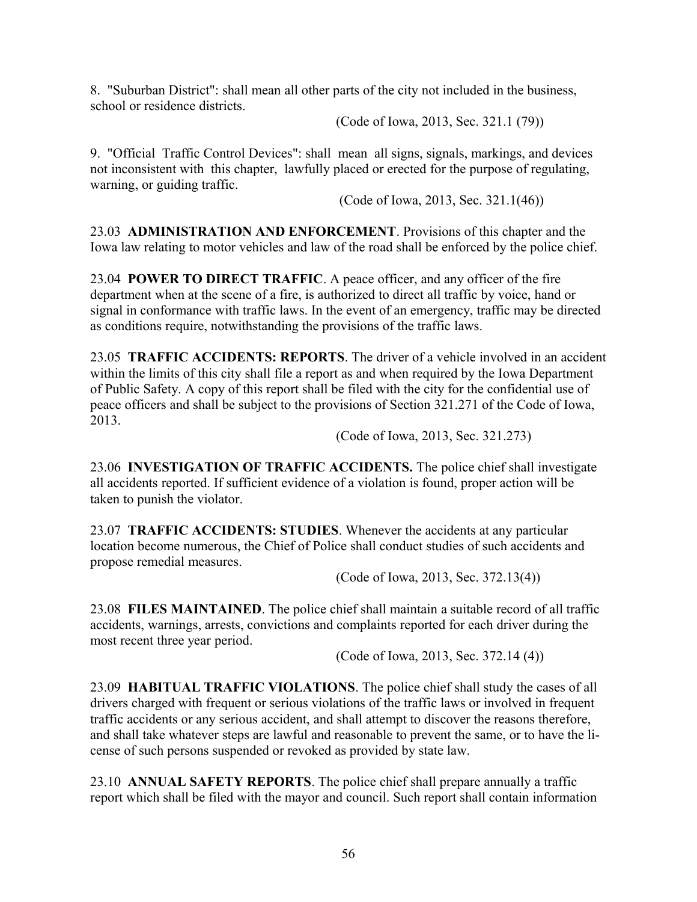8. "Suburban District": shall mean all other parts of the city not included in the business, school or residence districts.

(Code of Iowa, 2013, Sec. 321.1 (79))

9. "Official Traffic Control Devices": shall mean all signs, signals, markings, and devices not inconsistent with this chapter, lawfully placed or erected for the purpose of regulating, warning, or guiding traffic.

(Code of Iowa, 2013, Sec. 321.1(46))

23.03 **ADMINISTRATION AND ENFORCEMENT**. Provisions of this chapter and the Iowa law relating to motor vehicles and law of the road shall be enforced by the police chief.

23.04 **POWER TO DIRECT TRAFFIC**. A peace officer, and any officer of the fire department when at the scene of a fire, is authorized to direct all traffic by voice, hand or signal in conformance with traffic laws. In the event of an emergency, traffic may be directed as conditions require, notwithstanding the provisions of the traffic laws.

23.05 **TRAFFIC ACCIDENTS: REPORTS**. The driver of a vehicle involved in an accident within the limits of this city shall file a report as and when required by the Iowa Department of Public Safety. A copy of this report shall be filed with the city for the confidential use of peace officers and shall be subject to the provisions of Section 321.271 of the Code of Iowa, 2013.

(Code of Iowa, 2013, Sec. 321.273)

23.06 **INVESTIGATION OF TRAFFIC ACCIDENTS.** The police chief shall investigate all accidents reported. If sufficient evidence of a violation is found, proper action will be taken to punish the violator.

23.07 **TRAFFIC ACCIDENTS: STUDIES**. Whenever the accidents at any particular location become numerous, the Chief of Police shall conduct studies of such accidents and propose remedial measures.

(Code of Iowa, 2013, Sec. 372.13(4))

23.08 **FILES MAINTAINED**. The police chief shall maintain a suitable record of all traffic accidents, warnings, arrests, convictions and complaints reported for each driver during the most recent three year period.

(Code of Iowa, 2013, Sec. 372.14 (4))

23.09 **HABITUAL TRAFFIC VIOLATIONS**. The police chief shall study the cases of all drivers charged with frequent or serious violations of the traffic laws or involved in frequent traffic accidents or any serious accident, and shall attempt to discover the reasons therefore, and shall take whatever steps are lawful and reasonable to prevent the same, or to have the license of such persons suspended or revoked as provided by state law.

23.10 **ANNUAL SAFETY REPORTS**. The police chief shall prepare annually a traffic report which shall be filed with the mayor and council. Such report shall contain information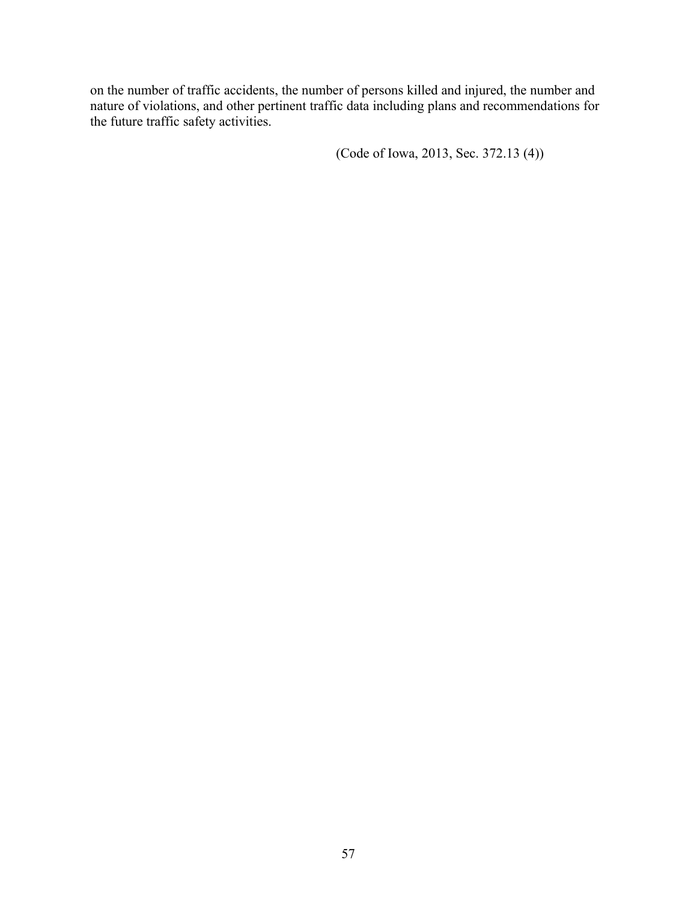on the number of traffic accidents, the number of persons killed and injured, the number and nature of violations, and other pertinent traffic data including plans and recommendations for the future traffic safety activities.

(Code of Iowa, 2013, Sec. 372.13 (4))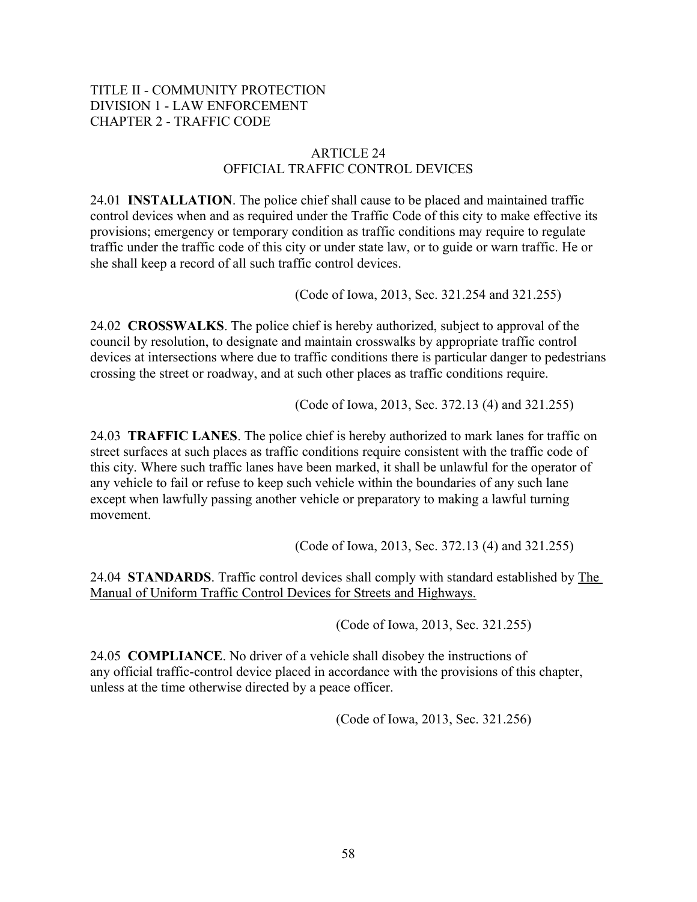# TITLE II - COMMUNITY PROTECTION DIVISION 1 - LAW ENFORCEMENT CHAPTER 2 - TRAFFIC CODE

# ARTICLE 24 OFFICIAL TRAFFIC CONTROL DEVICES

24.01 **INSTALLATION**. The police chief shall cause to be placed and maintained traffic control devices when and as required under the Traffic Code of this city to make effective its provisions; emergency or temporary condition as traffic conditions may require to regulate traffic under the traffic code of this city or under state law, or to guide or warn traffic. He or she shall keep a record of all such traffic control devices.

(Code of Iowa, 2013, Sec. 321.254 and 321.255)

24.02 **CROSSWALKS**. The police chief is hereby authorized, subject to approval of the council by resolution, to designate and maintain crosswalks by appropriate traffic control devices at intersections where due to traffic conditions there is particular danger to pedestrians crossing the street or roadway, and at such other places as traffic conditions require.

(Code of Iowa, 2013, Sec. 372.13 (4) and 321.255)

24.03 **TRAFFIC LANES**. The police chief is hereby authorized to mark lanes for traffic on street surfaces at such places as traffic conditions require consistent with the traffic code of this city. Where such traffic lanes have been marked, it shall be unlawful for the operator of any vehicle to fail or refuse to keep such vehicle within the boundaries of any such lane except when lawfully passing another vehicle or preparatory to making a lawful turning movement.

(Code of Iowa, 2013, Sec. 372.13 (4) and 321.255)

24.04 **STANDARDS**. Traffic control devices shall comply with standard established by The Manual of Uniform Traffic Control Devices for Streets and Highways.

(Code of Iowa, 2013, Sec. 321.255)

24.05 **COMPLIANCE**. No driver of a vehicle shall disobey the instructions of any official traffic-control device placed in accordance with the provisions of this chapter, unless at the time otherwise directed by a peace officer.

(Code of Iowa, 2013, Sec. 321.256)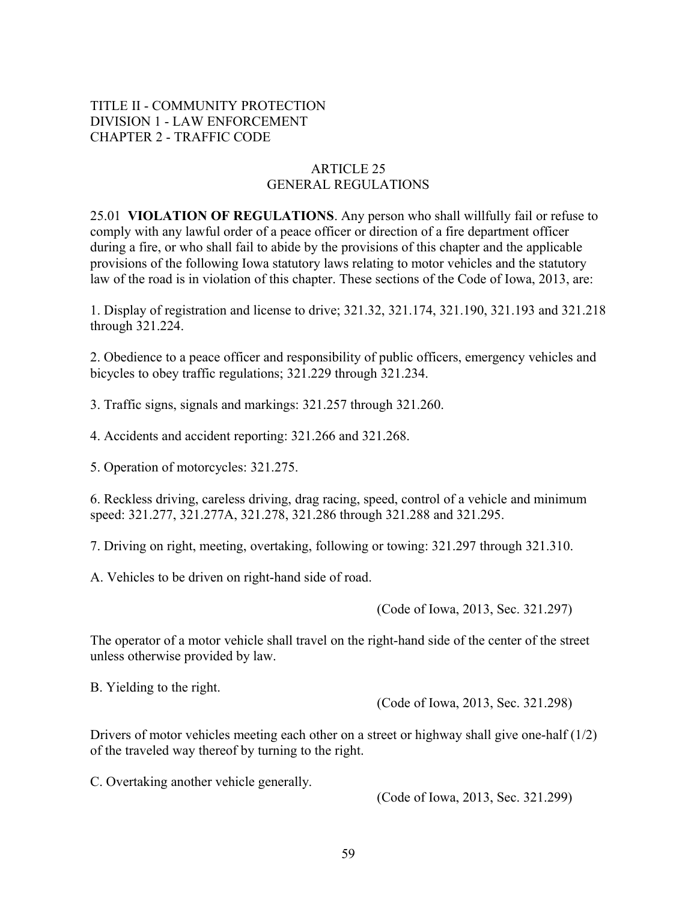# TITLE II - COMMUNITY PROTECTION DIVISION 1 - LAW ENFORCEMENT CHAPTER 2 - TRAFFIC CODE

#### ARTICLE 25 GENERAL REGULATIONS

25.01 **VIOLATION OF REGULATIONS**. Any person who shall willfully fail or refuse to comply with any lawful order of a peace officer or direction of a fire department officer during a fire, or who shall fail to abide by the provisions of this chapter and the applicable provisions of the following Iowa statutory laws relating to motor vehicles and the statutory law of the road is in violation of this chapter. These sections of the Code of Iowa, 2013, are:

1. Display of registration and license to drive; 321.32, 321.174, 321.190, 321.193 and 321.218 through 321.224.

2. Obedience to a peace officer and responsibility of public officers, emergency vehicles and bicycles to obey traffic regulations; 321.229 through 321.234.

3. Traffic signs, signals and markings: 321.257 through 321.260.

4. Accidents and accident reporting: 321.266 and 321.268.

5. Operation of motorcycles: 321.275.

6. Reckless driving, careless driving, drag racing, speed, control of a vehicle and minimum speed: 321.277, 321.277A, 321.278, 321.286 through 321.288 and 321.295.

7. Driving on right, meeting, overtaking, following or towing: 321.297 through 321.310.

A. Vehicles to be driven on right-hand side of road.

(Code of Iowa, 2013, Sec. 321.297)

The operator of a motor vehicle shall travel on the right-hand side of the center of the street unless otherwise provided by law.

B. Yielding to the right.

(Code of Iowa, 2013, Sec. 321.298)

Drivers of motor vehicles meeting each other on a street or highway shall give one-half  $(1/2)$ of the traveled way thereof by turning to the right.

C. Overtaking another vehicle generally.

(Code of Iowa, 2013, Sec. 321.299)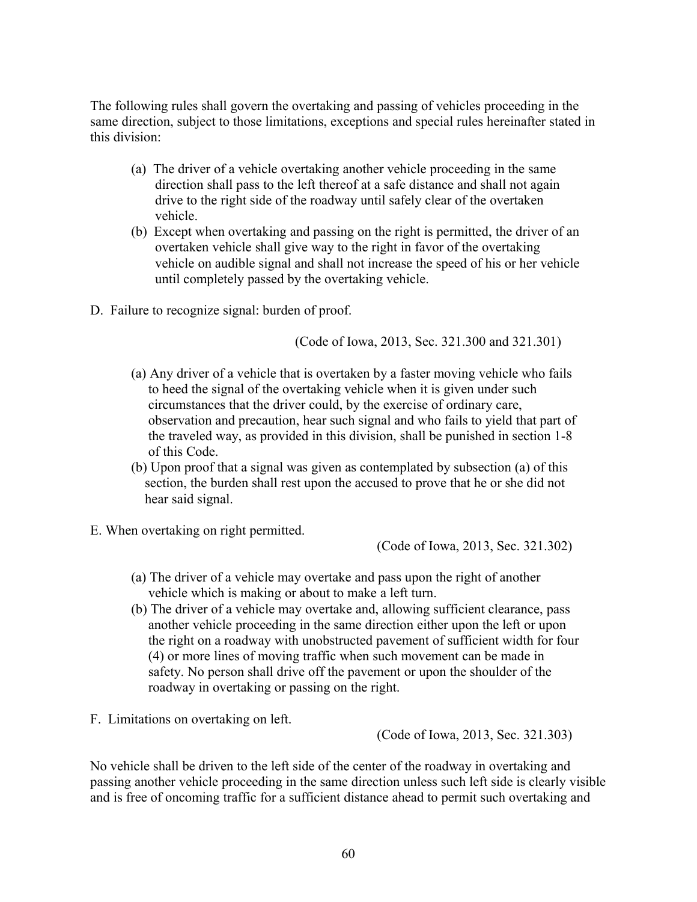The following rules shall govern the overtaking and passing of vehicles proceeding in the same direction, subject to those limitations, exceptions and special rules hereinafter stated in this division:

- (a) The driver of a vehicle overtaking another vehicle proceeding in the same direction shall pass to the left thereof at a safe distance and shall not again drive to the right side of the roadway until safely clear of the overtaken vehicle.
- (b) Except when overtaking and passing on the right is permitted, the driver of an overtaken vehicle shall give way to the right in favor of the overtaking vehicle on audible signal and shall not increase the speed of his or her vehicle until completely passed by the overtaking vehicle.
- D. Failure to recognize signal: burden of proof.

(Code of Iowa, 2013, Sec. 321.300 and 321.301)

- (a) Any driver of a vehicle that is overtaken by a faster moving vehicle who fails to heed the signal of the overtaking vehicle when it is given under such circumstances that the driver could, by the exercise of ordinary care, observation and precaution, hear such signal and who fails to yield that part of the traveled way, as provided in this division, shall be punished in section 1-8 of this Code.
- (b) Upon proof that a signal was given as contemplated by subsection (a) of this section, the burden shall rest upon the accused to prove that he or she did not hear said signal.
- E. When overtaking on right permitted.

(Code of Iowa, 2013, Sec. 321.302)

- (a) The driver of a vehicle may overtake and pass upon the right of another vehicle which is making or about to make a left turn.
- (b) The driver of a vehicle may overtake and, allowing sufficient clearance, pass another vehicle proceeding in the same direction either upon the left or upon the right on a roadway with unobstructed pavement of sufficient width for four (4) or more lines of moving traffic when such movement can be made in safety. No person shall drive off the pavement or upon the shoulder of the roadway in overtaking or passing on the right.
- F. Limitations on overtaking on left.

(Code of Iowa, 2013, Sec. 321.303)

No vehicle shall be driven to the left side of the center of the roadway in overtaking and passing another vehicle proceeding in the same direction unless such left side is clearly visible and is free of oncoming traffic for a sufficient distance ahead to permit such overtaking and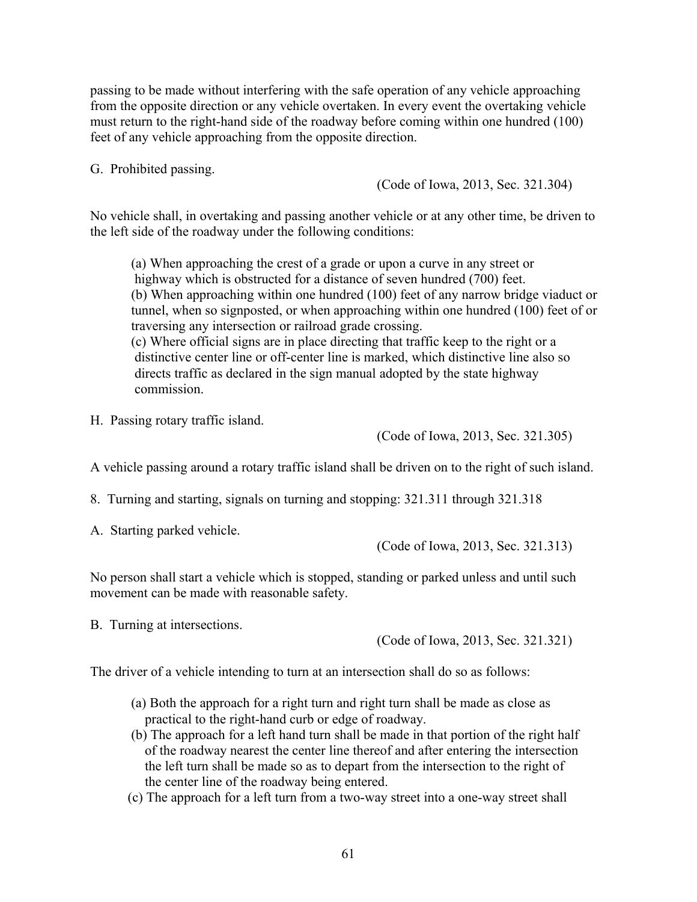passing to be made without interfering with the safe operation of any vehicle approaching from the opposite direction or any vehicle overtaken. In every event the overtaking vehicle must return to the right-hand side of the roadway before coming within one hundred (100) feet of any vehicle approaching from the opposite direction.

G. Prohibited passing.

(Code of Iowa, 2013, Sec. 321.304)

No vehicle shall, in overtaking and passing another vehicle or at any other time, be driven to the left side of the roadway under the following conditions:

(a) When approaching the crest of a grade or upon a curve in any street or highway which is obstructed for a distance of seven hundred (700) feet. (b) When approaching within one hundred (100) feet of any narrow bridge viaduct or tunnel, when so signposted, or when approaching within one hundred (100) feet of or traversing any intersection or railroad grade crossing. (c) Where official signs are in place directing that traffic keep to the right or a distinctive center line or off-center line is marked, which distinctive line also so directs traffic as declared in the sign manual adopted by the state highway commission.

H. Passing rotary traffic island.

(Code of Iowa, 2013, Sec. 321.305)

A vehicle passing around a rotary traffic island shall be driven on to the right of such island.

8. Turning and starting, signals on turning and stopping: 321.311 through 321.318

A. Starting parked vehicle.

(Code of Iowa, 2013, Sec. 321.313)

No person shall start a vehicle which is stopped, standing or parked unless and until such movement can be made with reasonable safety.

B. Turning at intersections.

(Code of Iowa, 2013, Sec. 321.321)

The driver of a vehicle intending to turn at an intersection shall do so as follows:

- (a) Both the approach for a right turn and right turn shall be made as close as practical to the right-hand curb or edge of roadway.
- (b) The approach for a left hand turn shall be made in that portion of the right half of the roadway nearest the center line thereof and after entering the intersection the left turn shall be made so as to depart from the intersection to the right of the center line of the roadway being entered.
- (c) The approach for a left turn from a two-way street into a one-way street shall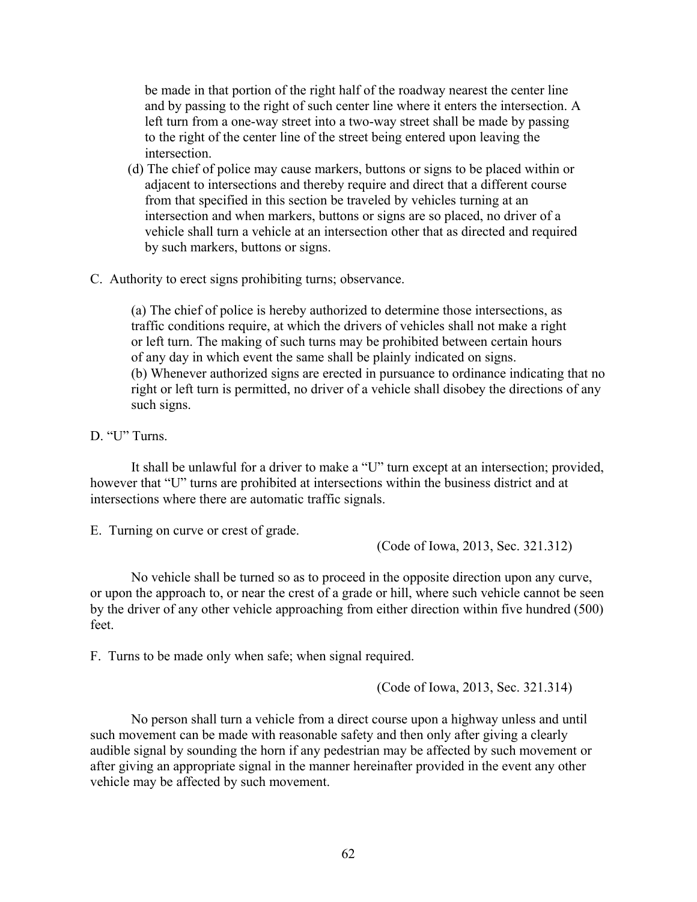be made in that portion of the right half of the roadway nearest the center line and by passing to the right of such center line where it enters the intersection. A left turn from a one-way street into a two-way street shall be made by passing to the right of the center line of the street being entered upon leaving the intersection.

- (d) The chief of police may cause markers, buttons or signs to be placed within or adjacent to intersections and thereby require and direct that a different course from that specified in this section be traveled by vehicles turning at an intersection and when markers, buttons or signs are so placed, no driver of a vehicle shall turn a vehicle at an intersection other that as directed and required by such markers, buttons or signs.
- C. Authority to erect signs prohibiting turns; observance.

(a) The chief of police is hereby authorized to determine those intersections, as traffic conditions require, at which the drivers of vehicles shall not make a right or left turn. The making of such turns may be prohibited between certain hours of any day in which event the same shall be plainly indicated on signs. (b) Whenever authorized signs are erected in pursuance to ordinance indicating that no right or left turn is permitted, no driver of a vehicle shall disobey the directions of any such signs.

D. "U" Turns.

It shall be unlawful for a driver to make a "U" turn except at an intersection; provided, however that "U" turns are prohibited at intersections within the business district and at intersections where there are automatic traffic signals.

E. Turning on curve or crest of grade.

(Code of Iowa, 2013, Sec. 321.312)

No vehicle shall be turned so as to proceed in the opposite direction upon any curve, or upon the approach to, or near the crest of a grade or hill, where such vehicle cannot be seen by the driver of any other vehicle approaching from either direction within five hundred (500) feet.

F. Turns to be made only when safe; when signal required.

(Code of Iowa, 2013, Sec. 321.314)

No person shall turn a vehicle from a direct course upon a highway unless and until such movement can be made with reasonable safety and then only after giving a clearly audible signal by sounding the horn if any pedestrian may be affected by such movement or after giving an appropriate signal in the manner hereinafter provided in the event any other vehicle may be affected by such movement.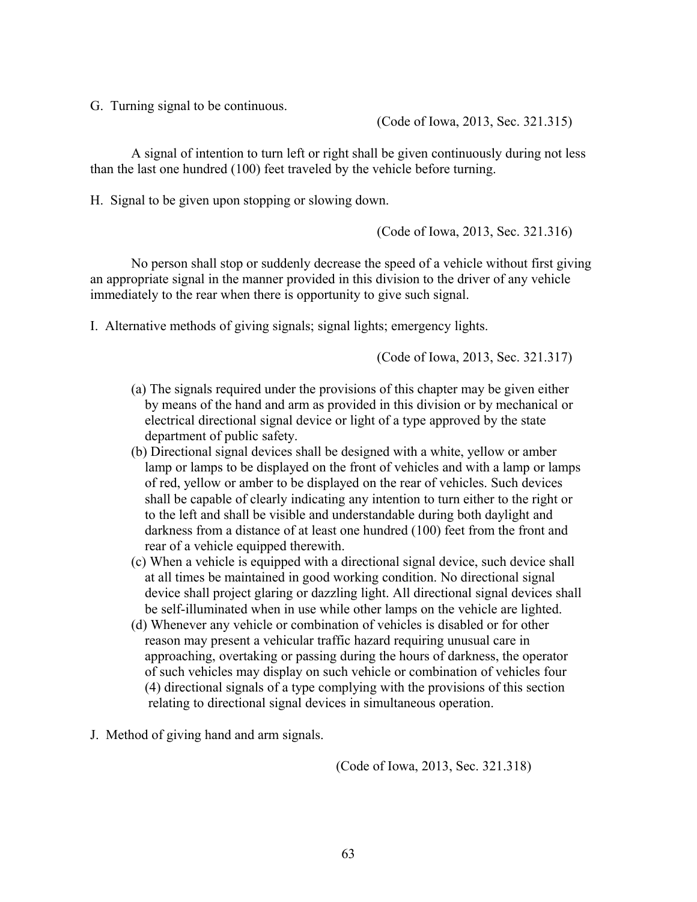G. Turning signal to be continuous.

(Code of Iowa, 2013, Sec. 321.315)

A signal of intention to turn left or right shall be given continuously during not less than the last one hundred (100) feet traveled by the vehicle before turning.

H. Signal to be given upon stopping or slowing down.

(Code of Iowa, 2013, Sec. 321.316)

No person shall stop or suddenly decrease the speed of a vehicle without first giving an appropriate signal in the manner provided in this division to the driver of any vehicle immediately to the rear when there is opportunity to give such signal.

I. Alternative methods of giving signals; signal lights; emergency lights.

(Code of Iowa, 2013, Sec. 321.317)

- (a) The signals required under the provisions of this chapter may be given either by means of the hand and arm as provided in this division or by mechanical or electrical directional signal device or light of a type approved by the state department of public safety.
- (b) Directional signal devices shall be designed with a white, yellow or amber lamp or lamps to be displayed on the front of vehicles and with a lamp or lamps of red, yellow or amber to be displayed on the rear of vehicles. Such devices shall be capable of clearly indicating any intention to turn either to the right or to the left and shall be visible and understandable during both daylight and darkness from a distance of at least one hundred (100) feet from the front and rear of a vehicle equipped therewith.
- (c) When a vehicle is equipped with a directional signal device, such device shall at all times be maintained in good working condition. No directional signal device shall project glaring or dazzling light. All directional signal devices shall be self-illuminated when in use while other lamps on the vehicle are lighted.
- (d) Whenever any vehicle or combination of vehicles is disabled or for other reason may present a vehicular traffic hazard requiring unusual care in approaching, overtaking or passing during the hours of darkness, the operator of such vehicles may display on such vehicle or combination of vehicles four (4) directional signals of a type complying with the provisions of this section relating to directional signal devices in simultaneous operation.
- J. Method of giving hand and arm signals.

(Code of Iowa, 2013, Sec. 321.318)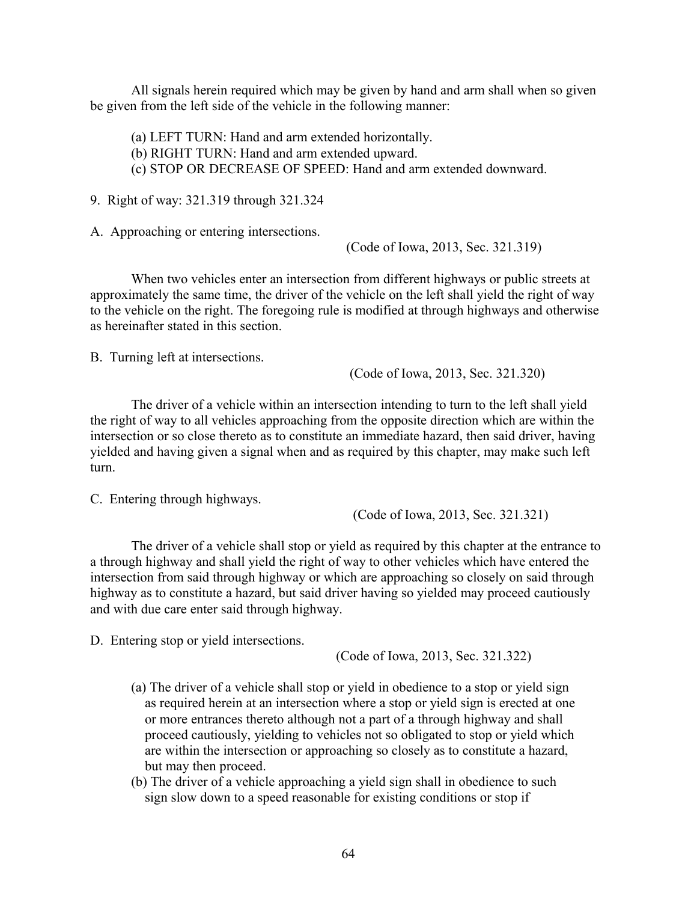All signals herein required which may be given by hand and arm shall when so given be given from the left side of the vehicle in the following manner:

(a) LEFT TURN: Hand and arm extended horizontally. (b) RIGHT TURN: Hand and arm extended upward. (c) STOP OR DECREASE OF SPEED: Hand and arm extended downward.

9. Right of way: 321.319 through 321.324

A. Approaching or entering intersections.

(Code of Iowa, 2013, Sec. 321.319)

When two vehicles enter an intersection from different highways or public streets at approximately the same time, the driver of the vehicle on the left shall yield the right of way to the vehicle on the right. The foregoing rule is modified at through highways and otherwise as hereinafter stated in this section.

B. Turning left at intersections.

(Code of Iowa, 2013, Sec. 321.320)

The driver of a vehicle within an intersection intending to turn to the left shall yield the right of way to all vehicles approaching from the opposite direction which are within the intersection or so close thereto as to constitute an immediate hazard, then said driver, having yielded and having given a signal when and as required by this chapter, may make such left turn.

C. Entering through highways.

(Code of Iowa, 2013, Sec. 321.321)

The driver of a vehicle shall stop or yield as required by this chapter at the entrance to a through highway and shall yield the right of way to other vehicles which have entered the intersection from said through highway or which are approaching so closely on said through highway as to constitute a hazard, but said driver having so yielded may proceed cautiously and with due care enter said through highway.

D. Entering stop or yield intersections.

(Code of Iowa, 2013, Sec. 321.322)

- (a) The driver of a vehicle shall stop or yield in obedience to a stop or yield sign as required herein at an intersection where a stop or yield sign is erected at one or more entrances thereto although not a part of a through highway and shall proceed cautiously, yielding to vehicles not so obligated to stop or yield which are within the intersection or approaching so closely as to constitute a hazard, but may then proceed.
- (b) The driver of a vehicle approaching a yield sign shall in obedience to such sign slow down to a speed reasonable for existing conditions or stop if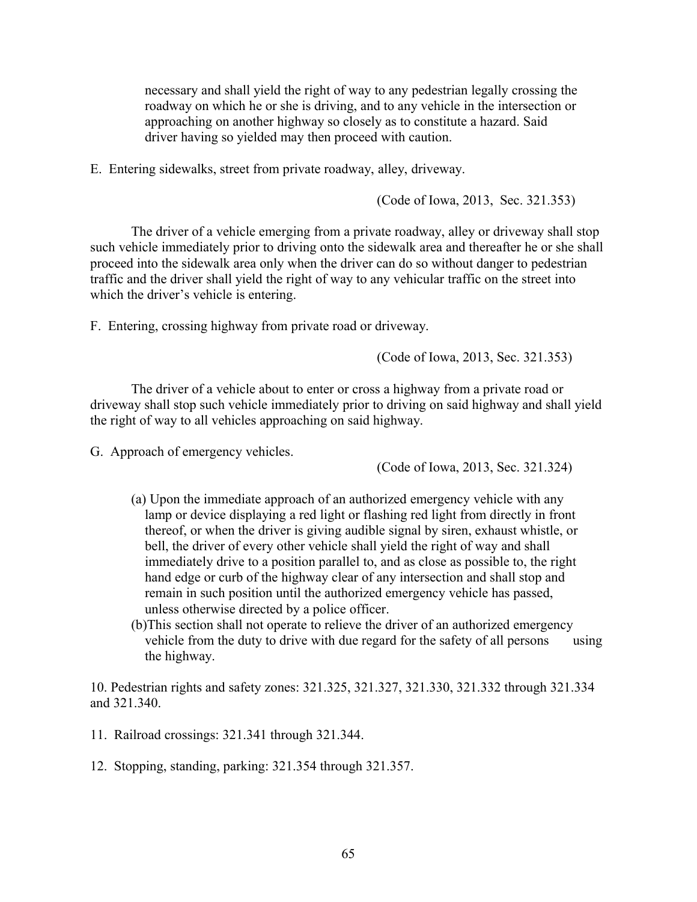necessary and shall yield the right of way to any pedestrian legally crossing the roadway on which he or she is driving, and to any vehicle in the intersection or approaching on another highway so closely as to constitute a hazard. Said driver having so yielded may then proceed with caution.

E. Entering sidewalks, street from private roadway, alley, driveway.

(Code of Iowa, 2013, Sec. 321.353)

The driver of a vehicle emerging from a private roadway, alley or driveway shall stop such vehicle immediately prior to driving onto the sidewalk area and thereafter he or she shall proceed into the sidewalk area only when the driver can do so without danger to pedestrian traffic and the driver shall yield the right of way to any vehicular traffic on the street into which the driver's vehicle is entering.

F. Entering, crossing highway from private road or driveway.

(Code of Iowa, 2013, Sec. 321.353)

The driver of a vehicle about to enter or cross a highway from a private road or driveway shall stop such vehicle immediately prior to driving on said highway and shall yield the right of way to all vehicles approaching on said highway.

G. Approach of emergency vehicles.

(Code of Iowa, 2013, Sec. 321.324)

- (a) Upon the immediate approach of an authorized emergency vehicle with any lamp or device displaying a red light or flashing red light from directly in front thereof, or when the driver is giving audible signal by siren, exhaust whistle, or bell, the driver of every other vehicle shall yield the right of way and shall immediately drive to a position parallel to, and as close as possible to, the right hand edge or curb of the highway clear of any intersection and shall stop and remain in such position until the authorized emergency vehicle has passed, unless otherwise directed by a police officer.
- (b)This section shall not operate to relieve the driver of an authorized emergency vehicle from the duty to drive with due regard for the safety of all persons using the highway.

10. Pedestrian rights and safety zones: 321.325, 321.327, 321.330, 321.332 through 321.334 and 321.340.

- 11. Railroad crossings: 321.341 through 321.344.
- 12. Stopping, standing, parking: 321.354 through 321.357.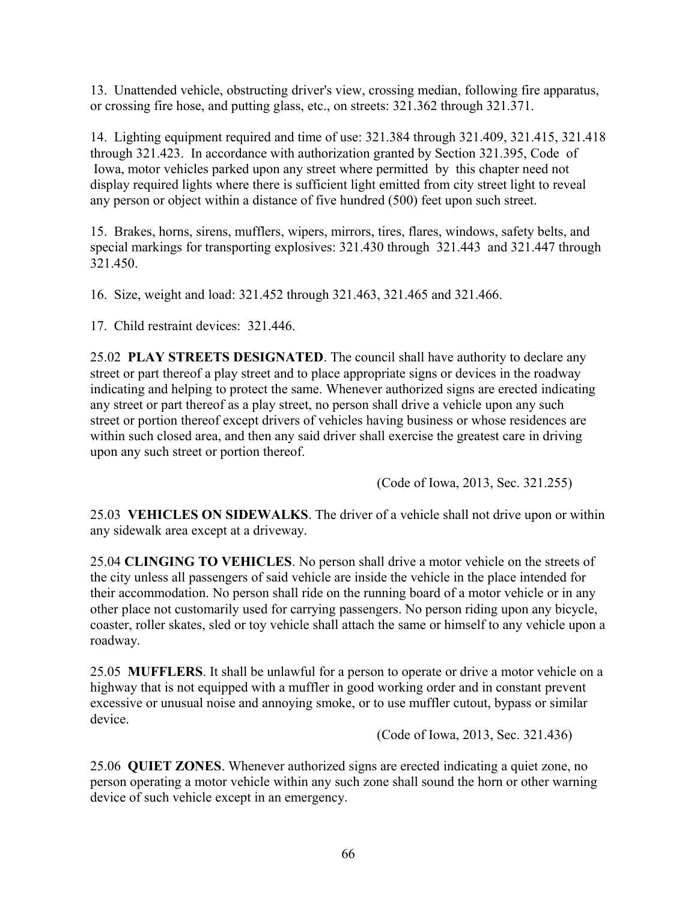13. Unattended vehicle, obstructing driver's view, crossing median, following fire apparatus, or crossing fire hose, and putting glass, etc., on streets: 321.362 through 321.371.

14. Lighting equipment required and time of use: 321.384 through 321.409, 321.415, 321.418 through 321.423. In accordance with authorization granted by Section 321.395, Code of Iowa, motor vehicles parked upon any street where permitted by this chapter need not display required lights where there is sufficient light emitted from city street light to reveal any person or object within a distance of five hundred (500) feet upon such street.

15. Brakes, horns, sirens, mufflers, wipers, mirrors, tires, flares, windows, safety belts, and special markings for transporting explosives: 321.430 through 321.443 and 321.447 through 321.450.

16. Size, weight and load: 321.452 through 321.463, 321.465 and 321.466.

17. Child restraint devices: 321.446.

25.02 **PLAY STREETS DESIGNATED**. The council shall have authority to declare any street or part thereof a play street and to place appropriate signs or devices in the roadway indicating and helping to protect the same. Whenever authorized signs are erected indicating any street or part thereof as a play street, no person shall drive a vehicle upon any such street or portion thereof except drivers of vehicles having business or whose residences are within such closed area, and then any said driver shall exercise the greatest care in driving upon any such street or portion thereof.

(Code of Iowa, 2013, Sec. 321.255)

25.03 **VEHICLES ON SIDEWALKS**. The driver of a vehicle shall not drive upon or within any sidewalk area except at a driveway.

25.04 **CLINGING TO VEHICLES**. No person shall drive a motor vehicle on the streets of the city unless all passengers of said vehicle are inside the vehicle in the place intended for their accommodation. No person shall ride on the running board of a motor vehicle or in any other place not customarily used for carrying passengers. No person riding upon any bicycle, coaster, roller skates, sled or toy vehicle shall attach the same or himself to any vehicle upon a roadway.

25.05 **MUFFLERS**. It shall be unlawful for a person to operate or drive a motor vehicle on a highway that is not equipped with a muffler in good working order and in constant prevent excessive or unusual noise and annoying smoke, or to use muffler cutout, bypass or similar device.

(Code of Iowa, 2013, Sec. 321.436)

25.06 **QUIET ZONES**. Whenever authorized signs are erected indicating a quiet zone, no person operating a motor vehicle within any such zone shall sound the horn or other warning device of such vehicle except in an emergency.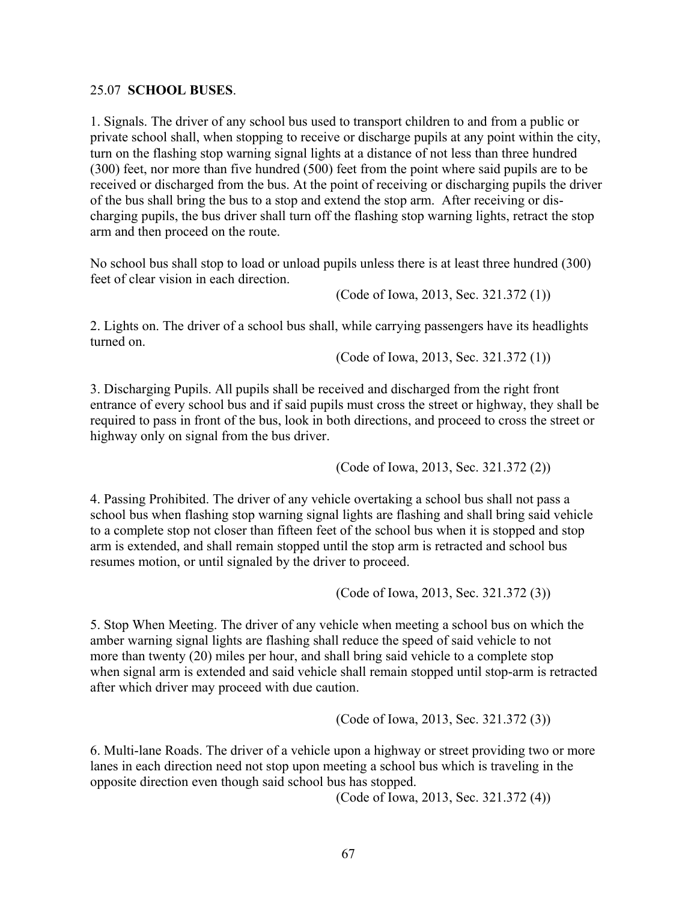#### 25.07 **SCHOOL BUSES**.

1. Signals. The driver of any school bus used to transport children to and from a public or private school shall, when stopping to receive or discharge pupils at any point within the city, turn on the flashing stop warning signal lights at a distance of not less than three hundred (300) feet, nor more than five hundred (500) feet from the point where said pupils are to be received or discharged from the bus. At the point of receiving or discharging pupils the driver of the bus shall bring the bus to a stop and extend the stop arm. After receiving or discharging pupils, the bus driver shall turn off the flashing stop warning lights, retract the stop arm and then proceed on the route.

No school bus shall stop to load or unload pupils unless there is at least three hundred (300) feet of clear vision in each direction.

(Code of Iowa, 2013, Sec. 321.372 (1))

2. Lights on. The driver of a school bus shall, while carrying passengers have its headlights turned on.

(Code of Iowa, 2013, Sec. 321.372 (1))

3. Discharging Pupils. All pupils shall be received and discharged from the right front entrance of every school bus and if said pupils must cross the street or highway, they shall be required to pass in front of the bus, look in both directions, and proceed to cross the street or highway only on signal from the bus driver.

(Code of Iowa, 2013, Sec. 321.372 (2))

4. Passing Prohibited. The driver of any vehicle overtaking a school bus shall not pass a school bus when flashing stop warning signal lights are flashing and shall bring said vehicle to a complete stop not closer than fifteen feet of the school bus when it is stopped and stop arm is extended, and shall remain stopped until the stop arm is retracted and school bus resumes motion, or until signaled by the driver to proceed.

(Code of Iowa, 2013, Sec. 321.372 (3))

5. Stop When Meeting. The driver of any vehicle when meeting a school bus on which the amber warning signal lights are flashing shall reduce the speed of said vehicle to not more than twenty (20) miles per hour, and shall bring said vehicle to a complete stop when signal arm is extended and said vehicle shall remain stopped until stop-arm is retracted after which driver may proceed with due caution.

(Code of Iowa, 2013, Sec. 321.372 (3))

6. Multi-lane Roads. The driver of a vehicle upon a highway or street providing two or more lanes in each direction need not stop upon meeting a school bus which is traveling in the opposite direction even though said school bus has stopped.

(Code of Iowa, 2013, Sec. 321.372 (4))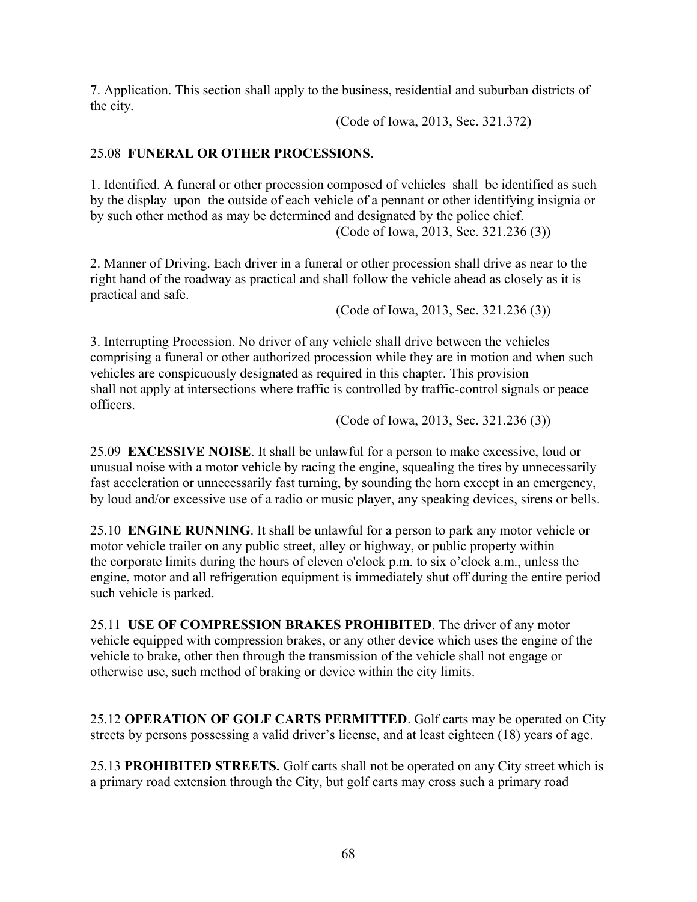7. Application. This section shall apply to the business, residential and suburban districts of the city.

(Code of Iowa, 2013, Sec. 321.372)

# 25.08 **FUNERAL OR OTHER PROCESSIONS**.

1. Identified. A funeral or other procession composed of vehicles shall be identified as such by the display upon the outside of each vehicle of a pennant or other identifying insignia or by such other method as may be determined and designated by the police chief. (Code of Iowa, 2013, Sec. 321.236 (3))

2. Manner of Driving. Each driver in a funeral or other procession shall drive as near to the right hand of the roadway as practical and shall follow the vehicle ahead as closely as it is practical and safe.

(Code of Iowa, 2013, Sec. 321.236 (3))

3. Interrupting Procession. No driver of any vehicle shall drive between the vehicles comprising a funeral or other authorized procession while they are in motion and when such vehicles are conspicuously designated as required in this chapter. This provision shall not apply at intersections where traffic is controlled by traffic-control signals or peace officers.

(Code of Iowa, 2013, Sec. 321.236 (3))

25.09 **EXCESSIVE NOISE**. It shall be unlawful for a person to make excessive, loud or unusual noise with a motor vehicle by racing the engine, squealing the tires by unnecessarily fast acceleration or unnecessarily fast turning, by sounding the horn except in an emergency, by loud and/or excessive use of a radio or music player, any speaking devices, sirens or bells.

25.10 **ENGINE RUNNING**. It shall be unlawful for a person to park any motor vehicle or motor vehicle trailer on any public street, alley or highway, or public property within the corporate limits during the hours of eleven o'clock p.m. to six o'clock a.m., unless the engine, motor and all refrigeration equipment is immediately shut off during the entire period such vehicle is parked.

25.11 **USE OF COMPRESSION BRAKES PROHIBITED**. The driver of any motor vehicle equipped with compression brakes, or any other device which uses the engine of the vehicle to brake, other then through the transmission of the vehicle shall not engage or otherwise use, such method of braking or device within the city limits.

25.12 **OPERATION OF GOLF CARTS PERMITTED**. Golf carts may be operated on City streets by persons possessing a valid driver's license, and at least eighteen (18) years of age.

25.13 **PROHIBITED STREETS.** Golf carts shall not be operated on any City street which is a primary road extension through the City, but golf carts may cross such a primary road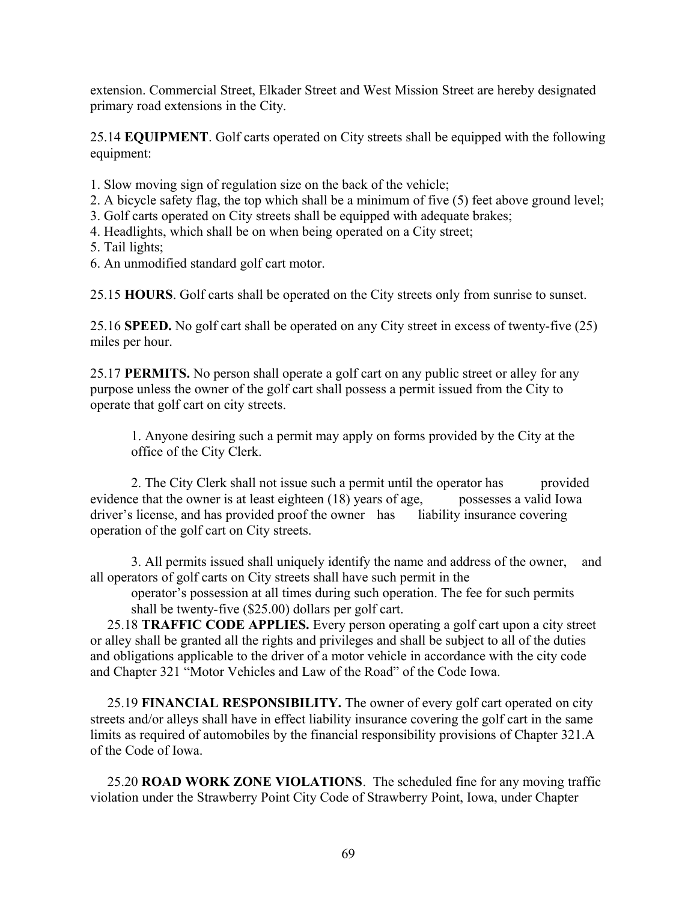extension. Commercial Street, Elkader Street and West Mission Street are hereby designated primary road extensions in the City.

25.14 **EQUIPMENT**. Golf carts operated on City streets shall be equipped with the following equipment:

- 1. Slow moving sign of regulation size on the back of the vehicle;
- 2. A bicycle safety flag, the top which shall be a minimum of five (5) feet above ground level;
- 3. Golf carts operated on City streets shall be equipped with adequate brakes;
- 4. Headlights, which shall be on when being operated on a City street;
- 5. Tail lights;
- 6. An unmodified standard golf cart motor.

25.15 **HOURS**. Golf carts shall be operated on the City streets only from sunrise to sunset.

25.16 **SPEED.** No golf cart shall be operated on any City street in excess of twenty-five (25) miles per hour.

25.17 **PERMITS.** No person shall operate a golf cart on any public street or alley for any purpose unless the owner of the golf cart shall possess a permit issued from the City to operate that golf cart on city streets.

1. Anyone desiring such a permit may apply on forms provided by the City at the office of the City Clerk.

2. The City Clerk shall not issue such a permit until the operator has provided evidence that the owner is at least eighteen (18) years of age, possesses a valid Iowa driver's license, and has provided proof the owner has liability insurance covering operation of the golf cart on City streets.

3. All permits issued shall uniquely identify the name and address of the owner, and all operators of golf carts on City streets shall have such permit in the

operator's possession at all times during such operation. The fee for such permits shall be twenty-five (\$25.00) dollars per golf cart.

 25.18 **TRAFFIC CODE APPLIES.** Every person operating a golf cart upon a city street or alley shall be granted all the rights and privileges and shall be subject to all of the duties and obligations applicable to the driver of a motor vehicle in accordance with the city code and Chapter 321 "Motor Vehicles and Law of the Road" of the Code Iowa.

 25.19 **FINANCIAL RESPONSIBILITY.** The owner of every golf cart operated on city streets and/or alleys shall have in effect liability insurance covering the golf cart in the same limits as required of automobiles by the financial responsibility provisions of Chapter 321.A of the Code of Iowa.

 25.20 **ROAD WORK ZONE VIOLATIONS**. The scheduled fine for any moving traffic violation under the Strawberry Point City Code of Strawberry Point, Iowa, under Chapter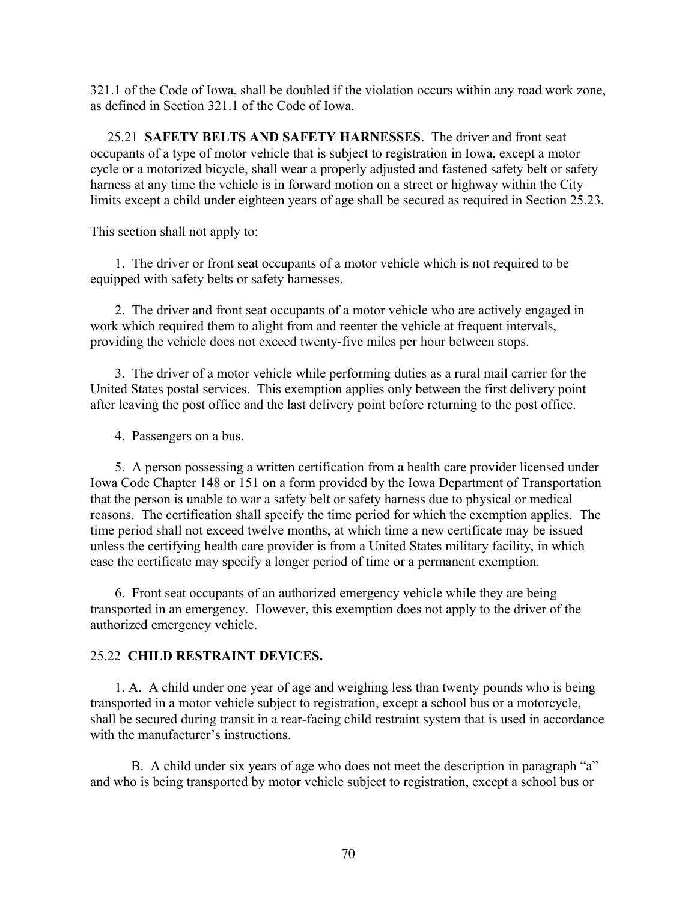321.1 of the Code of Iowa, shall be doubled if the violation occurs within any road work zone, as defined in Section 321.1 of the Code of Iowa.

 25.21 **SAFETY BELTS AND SAFETY HARNESSES**. The driver and front seat occupants of a type of motor vehicle that is subject to registration in Iowa, except a motor cycle or a motorized bicycle, shall wear a properly adjusted and fastened safety belt or safety harness at any time the vehicle is in forward motion on a street or highway within the City limits except a child under eighteen years of age shall be secured as required in Section 25.23.

This section shall not apply to:

1. The driver or front seat occupants of a motor vehicle which is not required to be equipped with safety belts or safety harnesses.

2. The driver and front seat occupants of a motor vehicle who are actively engaged in work which required them to alight from and reenter the vehicle at frequent intervals, providing the vehicle does not exceed twenty-five miles per hour between stops.

3. The driver of a motor vehicle while performing duties as a rural mail carrier for the United States postal services. This exemption applies only between the first delivery point after leaving the post office and the last delivery point before returning to the post office.

4. Passengers on a bus.

5. A person possessing a written certification from a health care provider licensed under Iowa Code Chapter 148 or 151 on a form provided by the Iowa Department of Transportation that the person is unable to war a safety belt or safety harness due to physical or medical reasons. The certification shall specify the time period for which the exemption applies. The time period shall not exceed twelve months, at which time a new certificate may be issued unless the certifying health care provider is from a United States military facility, in which case the certificate may specify a longer period of time or a permanent exemption.

6. Front seat occupants of an authorized emergency vehicle while they are being transported in an emergency. However, this exemption does not apply to the driver of the authorized emergency vehicle.

# 25.22 **CHILD RESTRAINT DEVICES.**

1. A. A child under one year of age and weighing less than twenty pounds who is being transported in a motor vehicle subject to registration, except a school bus or a motorcycle, shall be secured during transit in a rear-facing child restraint system that is used in accordance with the manufacturer's instructions.

B. A child under six years of age who does not meet the description in paragraph "a" and who is being transported by motor vehicle subject to registration, except a school bus or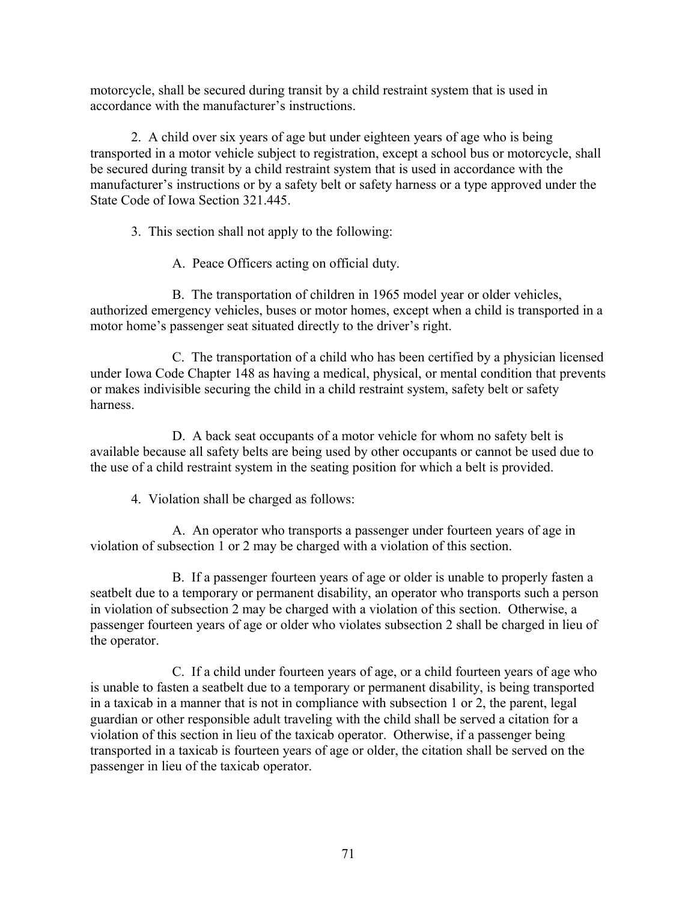motorcycle, shall be secured during transit by a child restraint system that is used in accordance with the manufacturer's instructions.

2. A child over six years of age but under eighteen years of age who is being transported in a motor vehicle subject to registration, except a school bus or motorcycle, shall be secured during transit by a child restraint system that is used in accordance with the manufacturer's instructions or by a safety belt or safety harness or a type approved under the State Code of Iowa Section 321.445.

3. This section shall not apply to the following:

A. Peace Officers acting on official duty.

B. The transportation of children in 1965 model year or older vehicles, authorized emergency vehicles, buses or motor homes, except when a child is transported in a motor home's passenger seat situated directly to the driver's right.

C. The transportation of a child who has been certified by a physician licensed under Iowa Code Chapter 148 as having a medical, physical, or mental condition that prevents or makes indivisible securing the child in a child restraint system, safety belt or safety harness.

D. A back seat occupants of a motor vehicle for whom no safety belt is available because all safety belts are being used by other occupants or cannot be used due to the use of a child restraint system in the seating position for which a belt is provided.

4. Violation shall be charged as follows:

A. An operator who transports a passenger under fourteen years of age in violation of subsection 1 or 2 may be charged with a violation of this section.

B. If a passenger fourteen years of age or older is unable to properly fasten a seatbelt due to a temporary or permanent disability, an operator who transports such a person in violation of subsection 2 may be charged with a violation of this section. Otherwise, a passenger fourteen years of age or older who violates subsection 2 shall be charged in lieu of the operator.

C. If a child under fourteen years of age, or a child fourteen years of age who is unable to fasten a seatbelt due to a temporary or permanent disability, is being transported in a taxicab in a manner that is not in compliance with subsection 1 or 2, the parent, legal guardian or other responsible adult traveling with the child shall be served a citation for a violation of this section in lieu of the taxicab operator. Otherwise, if a passenger being transported in a taxicab is fourteen years of age or older, the citation shall be served on the passenger in lieu of the taxicab operator.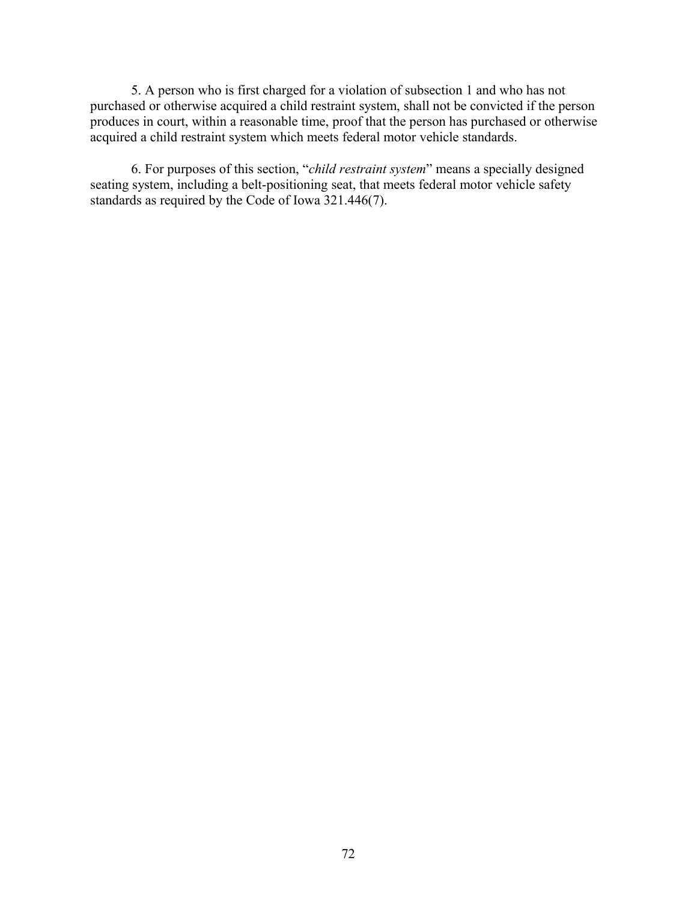5. A person who is first charged for a violation of subsection 1 and who has not purchased or otherwise acquired a child restraint system, shall not be convicted if the person produces in court, within a reasonable time, proof that the person has purchased or otherwise acquired a child restraint system which meets federal motor vehicle standards.

6. For purposes of this section, "*child restraint system*" means a specially designed seating system, including a belt-positioning seat, that meets federal motor vehicle safety standards as required by the Code of Iowa 321.446(7).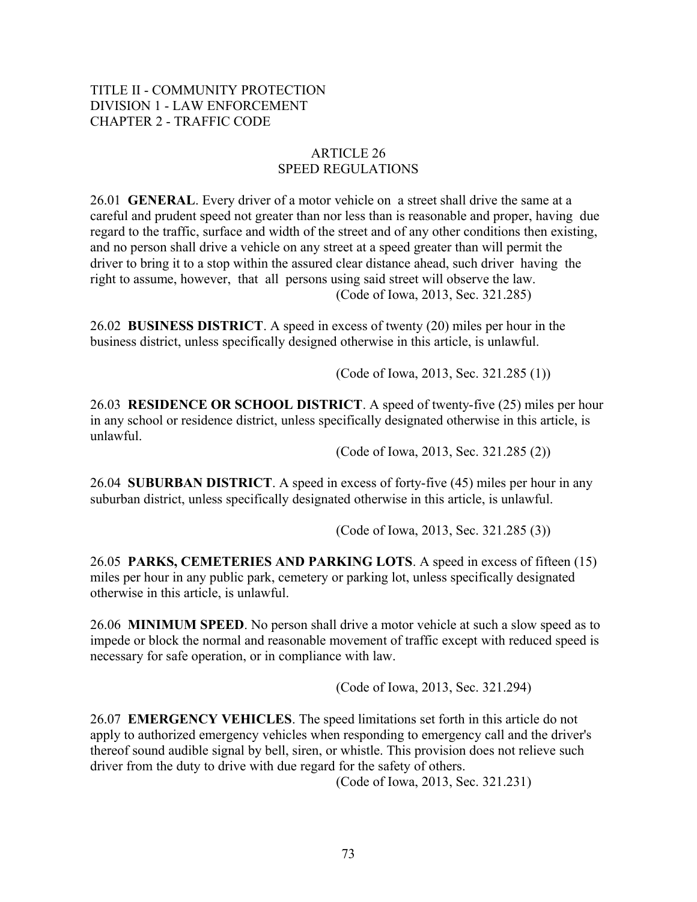# ARTICLE 26 SPEED REGULATIONS

26.01 **GENERAL**. Every driver of a motor vehicle on a street shall drive the same at a careful and prudent speed not greater than nor less than is reasonable and proper, having due regard to the traffic, surface and width of the street and of any other conditions then existing, and no person shall drive a vehicle on any street at a speed greater than will permit the driver to bring it to a stop within the assured clear distance ahead, such driver having the right to assume, however, that all persons using said street will observe the law. (Code of Iowa, 2013, Sec. 321.285)

26.02 **BUSINESS DISTRICT**. A speed in excess of twenty (20) miles per hour in the business district, unless specifically designed otherwise in this article, is unlawful.

(Code of Iowa, 2013, Sec. 321.285 (1))

26.03 **RESIDENCE OR SCHOOL DISTRICT**. A speed of twenty-five (25) miles per hour in any school or residence district, unless specifically designated otherwise in this article, is unlawful.

(Code of Iowa, 2013, Sec. 321.285 (2))

26.04 **SUBURBAN DISTRICT**. A speed in excess of forty-five (45) miles per hour in any suburban district, unless specifically designated otherwise in this article, is unlawful.

(Code of Iowa, 2013, Sec. 321.285 (3))

26.05 **PARKS, CEMETERIES AND PARKING LOTS**. A speed in excess of fifteen (15) miles per hour in any public park, cemetery or parking lot, unless specifically designated otherwise in this article, is unlawful.

26.06 **MINIMUM SPEED**. No person shall drive a motor vehicle at such a slow speed as to impede or block the normal and reasonable movement of traffic except with reduced speed is necessary for safe operation, or in compliance with law.

(Code of Iowa, 2013, Sec. 321.294)

26.07 **EMERGENCY VEHICLES**. The speed limitations set forth in this article do not apply to authorized emergency vehicles when responding to emergency call and the driver's thereof sound audible signal by bell, siren, or whistle. This provision does not relieve such driver from the duty to drive with due regard for the safety of others.

(Code of Iowa, 2013, Sec. 321.231)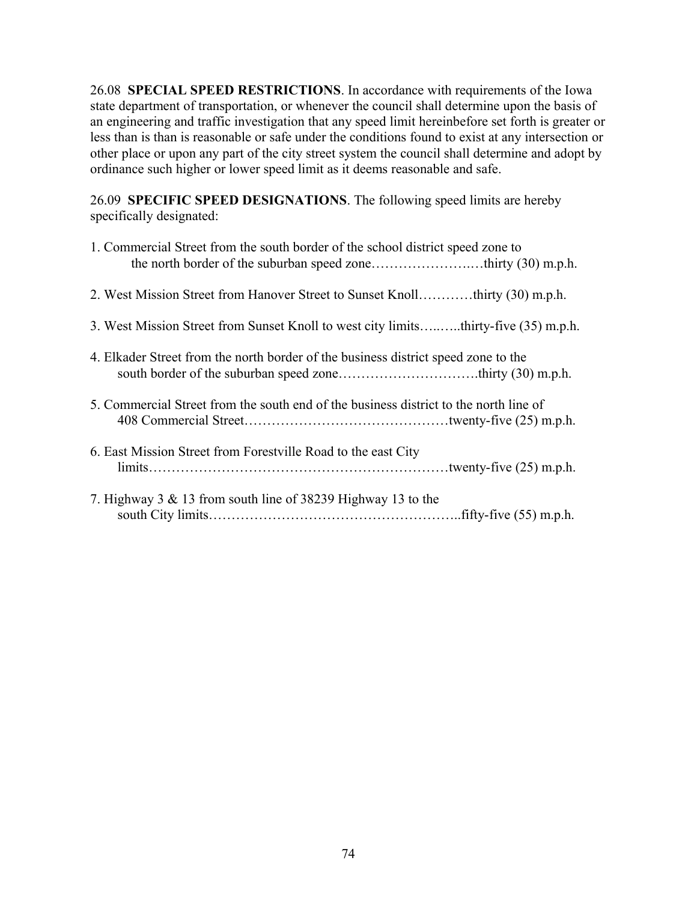26.08 **SPECIAL SPEED RESTRICTIONS**. In accordance with requirements of the Iowa state department of transportation, or whenever the council shall determine upon the basis of an engineering and traffic investigation that any speed limit hereinbefore set forth is greater or less than is than is reasonable or safe under the conditions found to exist at any intersection or other place or upon any part of the city street system the council shall determine and adopt by ordinance such higher or lower speed limit as it deems reasonable and safe.

26.09 **SPECIFIC SPEED DESIGNATIONS**. The following speed limits are hereby specifically designated:

| 1. Commercial Street from the south border of the school district speed zone to       |
|---------------------------------------------------------------------------------------|
| 2. West Mission Street from Hanover Street to Sunset Knollthirty (30) m.p.h.          |
| 3. West Mission Street from Sunset Knoll to west city limitsthirty-five (35) m.p.h.   |
| 4. Elkader Street from the north border of the business district speed zone to the    |
| 5. Commercial Street from the south end of the business district to the north line of |
| 6. East Mission Street from Forestville Road to the east City                         |
| 7. Highway $3 \& 13$ from south line of 38239 Highway 13 to the                       |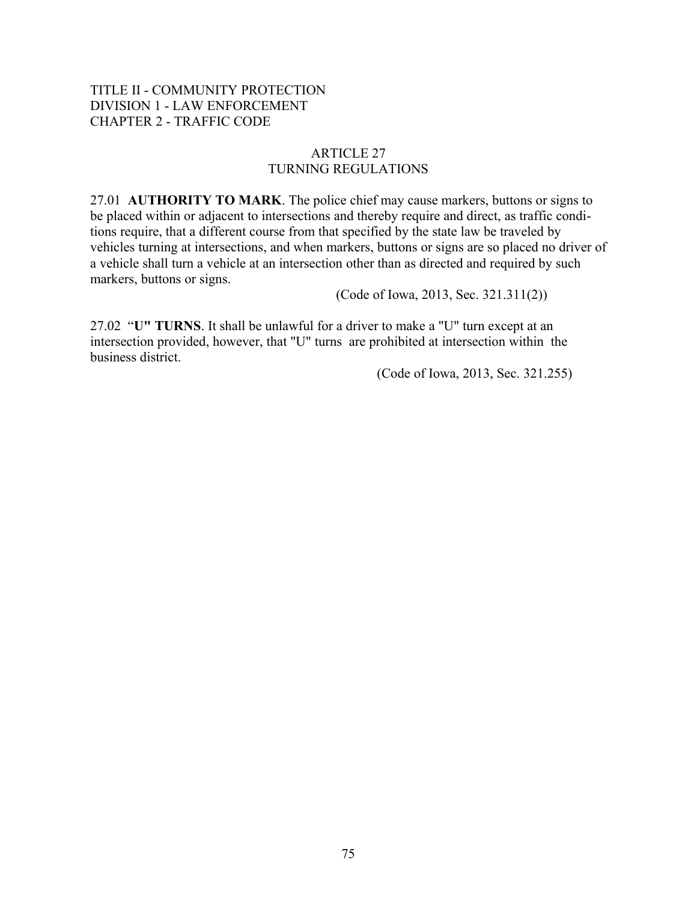# ARTICLE 27 TURNING REGULATIONS

27.01 **AUTHORITY TO MARK**. The police chief may cause markers, buttons or signs to be placed within or adjacent to intersections and thereby require and direct, as traffic conditions require, that a different course from that specified by the state law be traveled by vehicles turning at intersections, and when markers, buttons or signs are so placed no driver of a vehicle shall turn a vehicle at an intersection other than as directed and required by such markers, buttons or signs.

(Code of Iowa, 2013, Sec. 321.311(2))

27.02 "**U" TURNS**. It shall be unlawful for a driver to make a "U" turn except at an intersection provided, however, that "U" turns are prohibited at intersection within the business district.

(Code of Iowa, 2013, Sec. 321.255)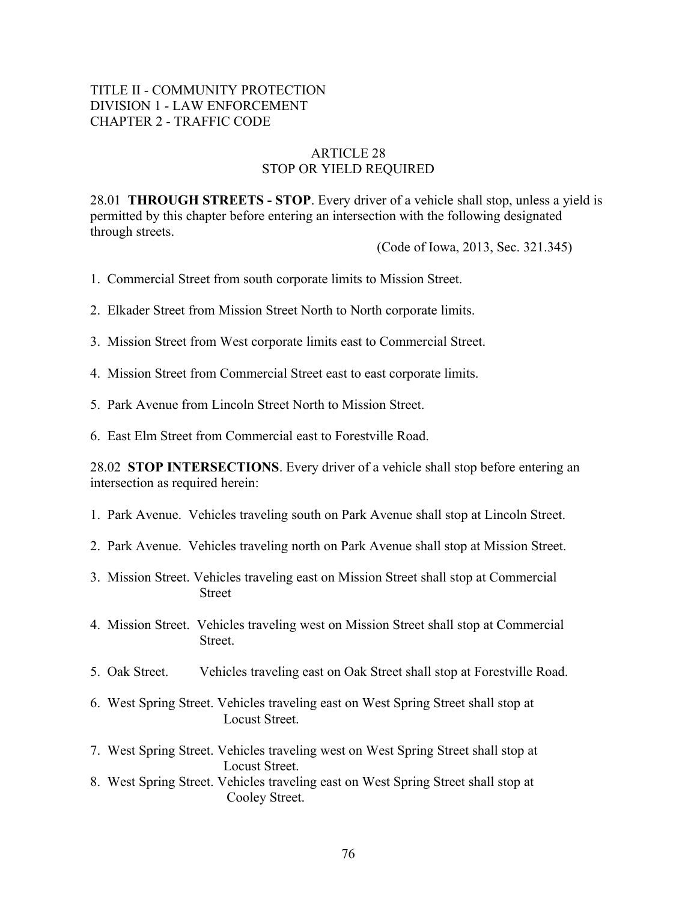#### ARTICLE 28 STOP OR YIELD REQUIRED

28.01 **THROUGH STREETS - STOP**. Every driver of a vehicle shall stop, unless a yield is permitted by this chapter before entering an intersection with the following designated through streets.

(Code of Iowa, 2013, Sec. 321.345)

- 1. Commercial Street from south corporate limits to Mission Street.
- 2. Elkader Street from Mission Street North to North corporate limits.
- 3. Mission Street from West corporate limits east to Commercial Street.
- 4. Mission Street from Commercial Street east to east corporate limits.
- 5. Park Avenue from Lincoln Street North to Mission Street.
- 6. East Elm Street from Commercial east to Forestville Road.

28.02 **STOP INTERSECTIONS**. Every driver of a vehicle shall stop before entering an intersection as required herein:

- 1. Park Avenue. Vehicles traveling south on Park Avenue shall stop at Lincoln Street.
- 2. Park Avenue. Vehicles traveling north on Park Avenue shall stop at Mission Street.
- 3. Mission Street. Vehicles traveling east on Mission Street shall stop at Commercial Street
- 4. Mission Street. Vehicles traveling west on Mission Street shall stop at Commercial **Street**.
- 5. Oak Street. Vehicles traveling east on Oak Street shall stop at Forestville Road.
- 6. West Spring Street. Vehicles traveling east on West Spring Street shall stop at Locust Street.
- 7. West Spring Street. Vehicles traveling west on West Spring Street shall stop at Locust Street.
- 8. West Spring Street. Vehicles traveling east on West Spring Street shall stop at Cooley Street.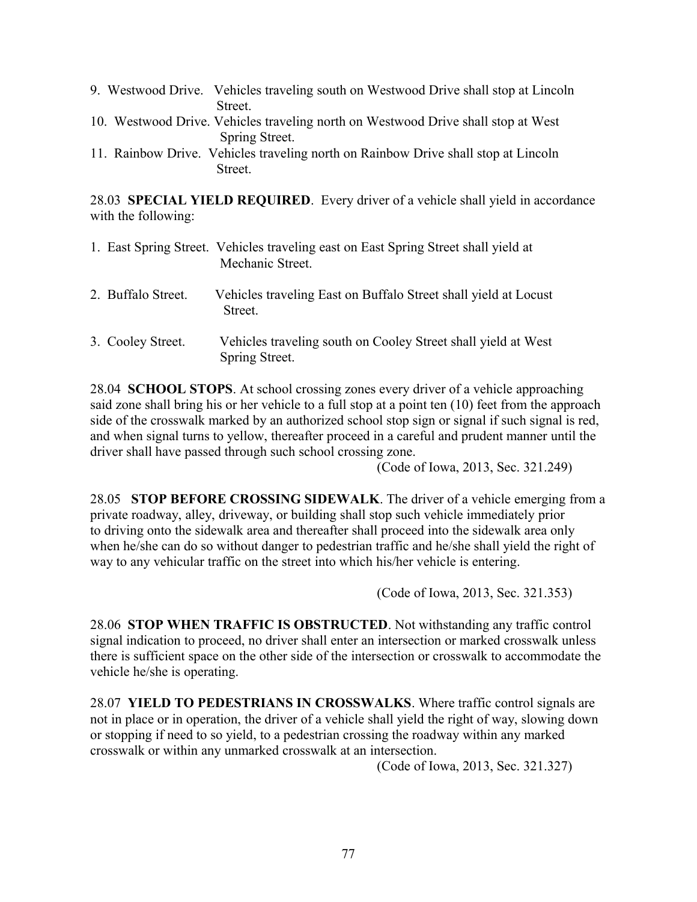|  | 9. Westwood Drive. Vehicles traveling south on Westwood Drive shall stop at Lincoln |
|--|-------------------------------------------------------------------------------------|
|  | <b>Street</b>                                                                       |
|  | 10. Westwood Drive. Vehicles traveling north on Westwood Drive shall stop at West   |
|  | Spring Street.                                                                      |
|  | 11 Deinhow Drive, Vohioles trovoling next on Deinhow Drive shall stop of Linealn    |

11. Rainbow Drive. Vehicles traveling north on Rainbow Drive shall stop at Lincoln **Street**.

28.03 **SPECIAL YIELD REQUIRED**. Every driver of a vehicle shall yield in accordance with the following:

|                    | 1. East Spring Street. Vehicles traveling east on East Spring Street shall yield at<br>Mechanic Street. |
|--------------------|---------------------------------------------------------------------------------------------------------|
| 2. Buffalo Street. | Vehicles traveling East on Buffalo Street shall yield at Locust<br>Street.                              |

3. Cooley Street. Vehicles traveling south on Cooley Street shall yield at West Spring Street.

28.04 **SCHOOL STOPS**. At school crossing zones every driver of a vehicle approaching said zone shall bring his or her vehicle to a full stop at a point ten (10) feet from the approach side of the crosswalk marked by an authorized school stop sign or signal if such signal is red, and when signal turns to yellow, thereafter proceed in a careful and prudent manner until the driver shall have passed through such school crossing zone.

(Code of Iowa, 2013, Sec. 321.249)

28.05 **STOP BEFORE CROSSING SIDEWALK**. The driver of a vehicle emerging from a private roadway, alley, driveway, or building shall stop such vehicle immediately prior to driving onto the sidewalk area and thereafter shall proceed into the sidewalk area only when he/she can do so without danger to pedestrian traffic and he/she shall yield the right of way to any vehicular traffic on the street into which his/her vehicle is entering.

(Code of Iowa, 2013, Sec. 321.353)

28.06 **STOP WHEN TRAFFIC IS OBSTRUCTED**. Not withstanding any traffic control signal indication to proceed, no driver shall enter an intersection or marked crosswalk unless there is sufficient space on the other side of the intersection or crosswalk to accommodate the vehicle he/she is operating.

28.07 **YIELD TO PEDESTRIANS IN CROSSWALKS**. Where traffic control signals are not in place or in operation, the driver of a vehicle shall yield the right of way, slowing down or stopping if need to so yield, to a pedestrian crossing the roadway within any marked crosswalk or within any unmarked crosswalk at an intersection.

(Code of Iowa, 2013, Sec. 321.327)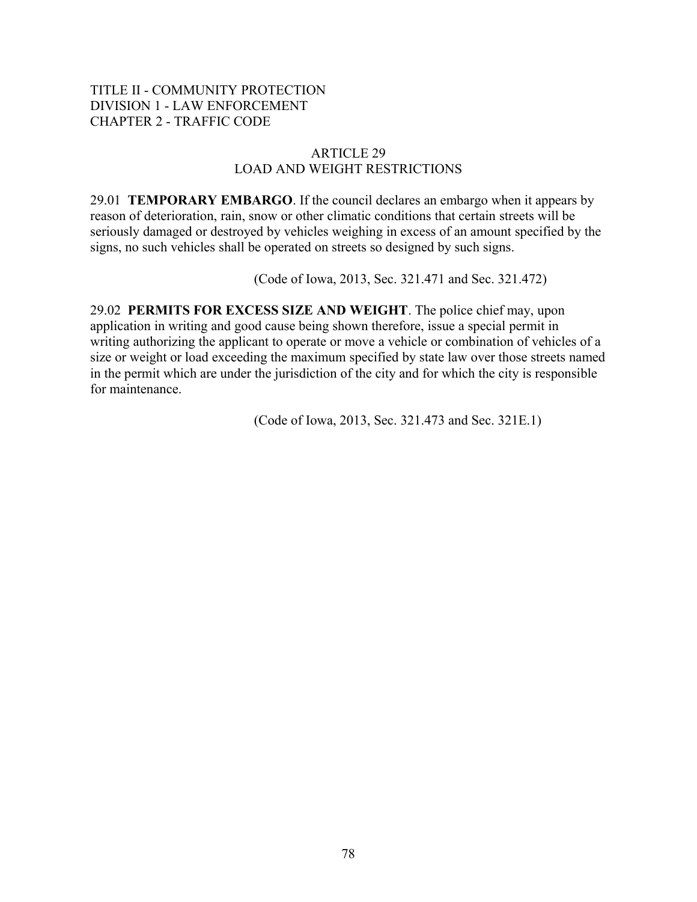## ARTICLE 29 LOAD AND WEIGHT RESTRICTIONS

29.01 **TEMPORARY EMBARGO**. If the council declares an embargo when it appears by reason of deterioration, rain, snow or other climatic conditions that certain streets will be seriously damaged or destroyed by vehicles weighing in excess of an amount specified by the signs, no such vehicles shall be operated on streets so designed by such signs.

(Code of Iowa, 2013, Sec. 321.471 and Sec. 321.472)

29.02 **PERMITS FOR EXCESS SIZE AND WEIGHT**. The police chief may, upon application in writing and good cause being shown therefore, issue a special permit in writing authorizing the applicant to operate or move a vehicle or combination of vehicles of a size or weight or load exceeding the maximum specified by state law over those streets named in the permit which are under the jurisdiction of the city and for which the city is responsible for maintenance.

(Code of Iowa, 2013, Sec. 321.473 and Sec. 321E.1)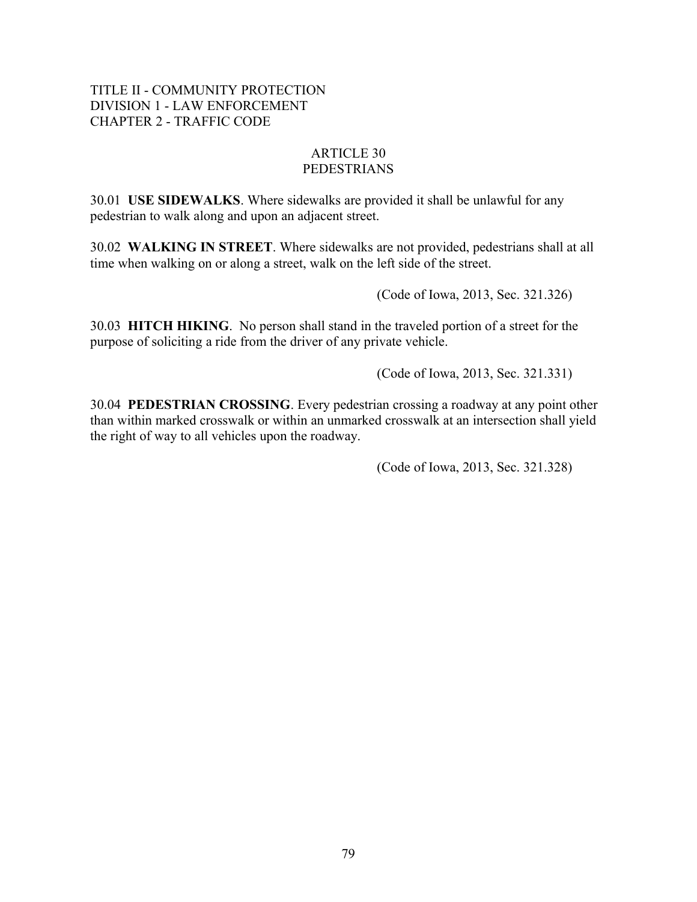#### ARTICLE 30 PEDESTRIANS

30.01 **USE SIDEWALKS**. Where sidewalks are provided it shall be unlawful for any pedestrian to walk along and upon an adjacent street.

30.02 **WALKING IN STREET**. Where sidewalks are not provided, pedestrians shall at all time when walking on or along a street, walk on the left side of the street.

(Code of Iowa, 2013, Sec. 321.326)

30.03 **HITCH HIKING**. No person shall stand in the traveled portion of a street for the purpose of soliciting a ride from the driver of any private vehicle.

(Code of Iowa, 2013, Sec. 321.331)

30.04 **PEDESTRIAN CROSSING**. Every pedestrian crossing a roadway at any point other than within marked crosswalk or within an unmarked crosswalk at an intersection shall yield the right of way to all vehicles upon the roadway.

(Code of Iowa, 2013, Sec. 321.328)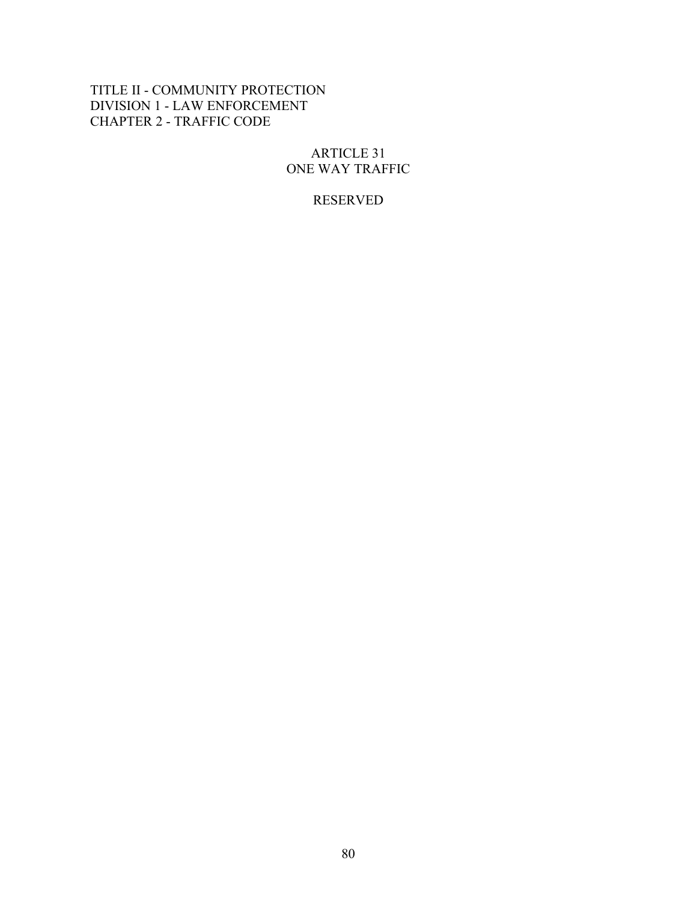## ARTICLE 31 ONE WAY TRAFFIC

# RESERVED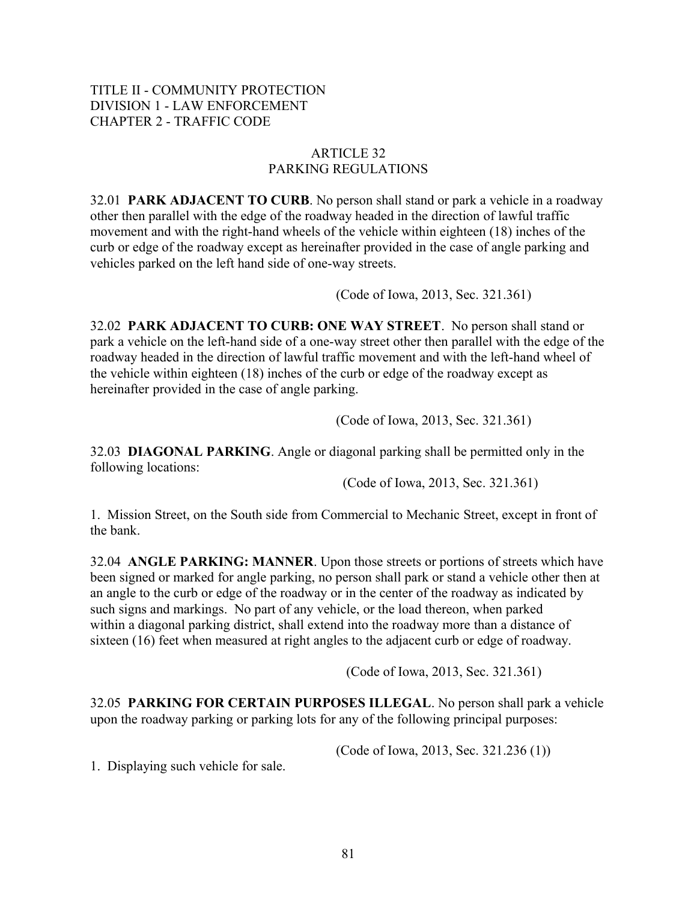# ARTICLE 32 PARKING REGULATIONS

32.01 **PARK ADJACENT TO CURB**. No person shall stand or park a vehicle in a roadway other then parallel with the edge of the roadway headed in the direction of lawful traffic movement and with the right-hand wheels of the vehicle within eighteen (18) inches of the curb or edge of the roadway except as hereinafter provided in the case of angle parking and vehicles parked on the left hand side of one-way streets.

(Code of Iowa, 2013, Sec. 321.361)

32.02 **PARK ADJACENT TO CURB: ONE WAY STREET**. No person shall stand or park a vehicle on the left-hand side of a one-way street other then parallel with the edge of the roadway headed in the direction of lawful traffic movement and with the left-hand wheel of the vehicle within eighteen (18) inches of the curb or edge of the roadway except as hereinafter provided in the case of angle parking.

(Code of Iowa, 2013, Sec. 321.361)

32.03 **DIAGONAL PARKING**. Angle or diagonal parking shall be permitted only in the following locations:

(Code of Iowa, 2013, Sec. 321.361)

1. Mission Street, on the South side from Commercial to Mechanic Street, except in front of the bank.

32.04 **ANGLE PARKING: MANNER**. Upon those streets or portions of streets which have been signed or marked for angle parking, no person shall park or stand a vehicle other then at an angle to the curb or edge of the roadway or in the center of the roadway as indicated by such signs and markings. No part of any vehicle, or the load thereon, when parked within a diagonal parking district, shall extend into the roadway more than a distance of sixteen (16) feet when measured at right angles to the adjacent curb or edge of roadway.

(Code of Iowa, 2013, Sec. 321.361)

32.05 **PARKING FOR CERTAIN PURPOSES ILLEGAL**. No person shall park a vehicle upon the roadway parking or parking lots for any of the following principal purposes:

(Code of Iowa, 2013, Sec. 321.236 (1))

1. Displaying such vehicle for sale.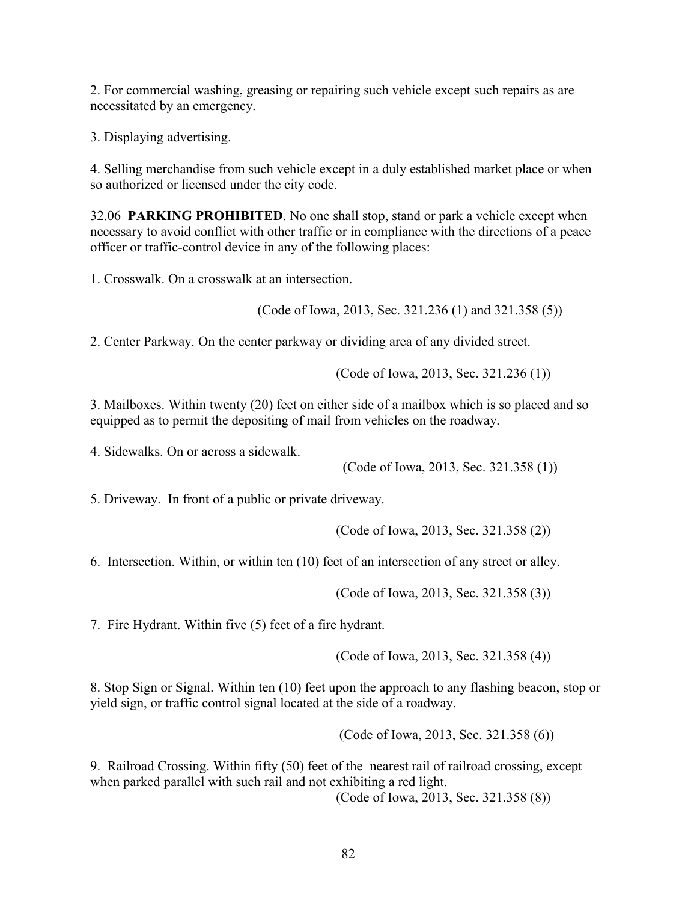2. For commercial washing, greasing or repairing such vehicle except such repairs as are necessitated by an emergency.

3. Displaying advertising.

4. Selling merchandise from such vehicle except in a duly established market place or when so authorized or licensed under the city code.

32.06 **PARKING PROHIBITED**. No one shall stop, stand or park a vehicle except when necessary to avoid conflict with other traffic or in compliance with the directions of a peace officer or traffic-control device in any of the following places:

1. Crosswalk. On a crosswalk at an intersection.

(Code of Iowa, 2013, Sec. 321.236 (1) and 321.358 (5))

2. Center Parkway. On the center parkway or dividing area of any divided street.

(Code of Iowa, 2013, Sec. 321.236 (1))

3. Mailboxes. Within twenty (20) feet on either side of a mailbox which is so placed and so equipped as to permit the depositing of mail from vehicles on the roadway.

4. Sidewalks. On or across a sidewalk.

(Code of Iowa, 2013, Sec. 321.358 (1))

5. Driveway. In front of a public or private driveway.

(Code of Iowa, 2013, Sec. 321.358 (2))

6. Intersection. Within, or within ten (10) feet of an intersection of any street or alley.

(Code of Iowa, 2013, Sec. 321.358 (3))

7. Fire Hydrant. Within five (5) feet of a fire hydrant.

(Code of Iowa, 2013, Sec. 321.358 (4))

8. Stop Sign or Signal. Within ten (10) feet upon the approach to any flashing beacon, stop or yield sign, or traffic control signal located at the side of a roadway.

(Code of Iowa, 2013, Sec. 321.358 (6))

9. Railroad Crossing. Within fifty (50) feet of the nearest rail of railroad crossing, except when parked parallel with such rail and not exhibiting a red light.

(Code of Iowa, 2013, Sec. 321.358 (8))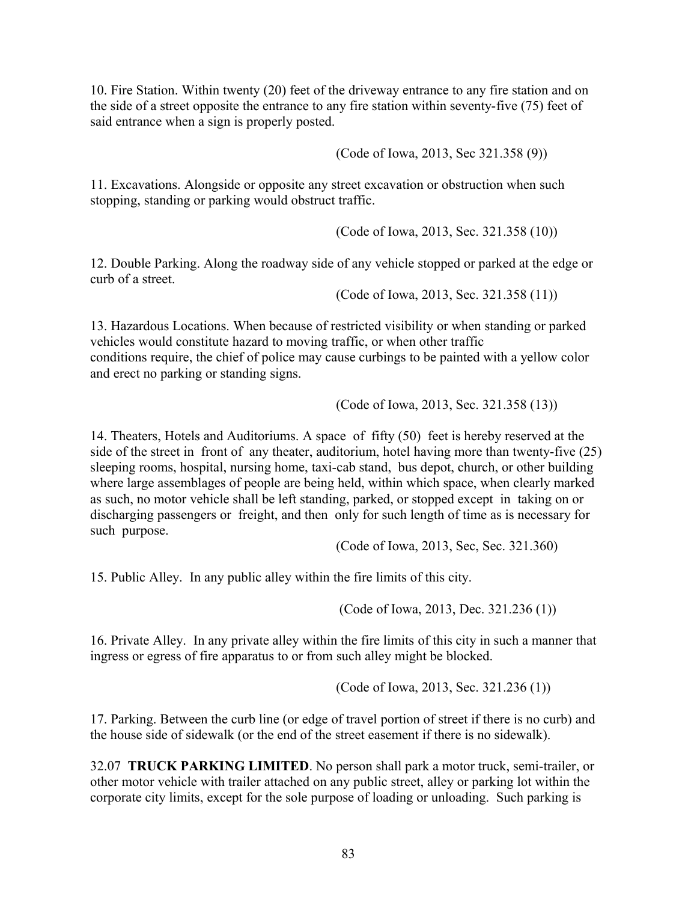10. Fire Station. Within twenty (20) feet of the driveway entrance to any fire station and on the side of a street opposite the entrance to any fire station within seventy-five (75) feet of said entrance when a sign is properly posted.

(Code of Iowa, 2013, Sec 321.358 (9))

11. Excavations. Alongside or opposite any street excavation or obstruction when such stopping, standing or parking would obstruct traffic.

(Code of Iowa, 2013, Sec. 321.358 (10))

12. Double Parking. Along the roadway side of any vehicle stopped or parked at the edge or curb of a street.

(Code of Iowa, 2013, Sec. 321.358 (11))

13. Hazardous Locations. When because of restricted visibility or when standing or parked vehicles would constitute hazard to moving traffic, or when other traffic conditions require, the chief of police may cause curbings to be painted with a yellow color and erect no parking or standing signs.

(Code of Iowa, 2013, Sec. 321.358 (13))

14. Theaters, Hotels and Auditoriums. A space of fifty (50) feet is hereby reserved at the side of the street in front of any theater, auditorium, hotel having more than twenty-five (25) sleeping rooms, hospital, nursing home, taxi-cab stand, bus depot, church, or other building where large assemblages of people are being held, within which space, when clearly marked as such, no motor vehicle shall be left standing, parked, or stopped except in taking on or discharging passengers or freight, and then only for such length of time as is necessary for such purpose.

(Code of Iowa, 2013, Sec, Sec. 321.360)

15. Public Alley. In any public alley within the fire limits of this city.

(Code of Iowa, 2013, Dec. 321.236 (1))

16. Private Alley. In any private alley within the fire limits of this city in such a manner that ingress or egress of fire apparatus to or from such alley might be blocked.

(Code of Iowa, 2013, Sec. 321.236 (1))

17. Parking. Between the curb line (or edge of travel portion of street if there is no curb) and the house side of sidewalk (or the end of the street easement if there is no sidewalk).

32.07 **TRUCK PARKING LIMITED**. No person shall park a motor truck, semi-trailer, or other motor vehicle with trailer attached on any public street, alley or parking lot within the corporate city limits, except for the sole purpose of loading or unloading. Such parking is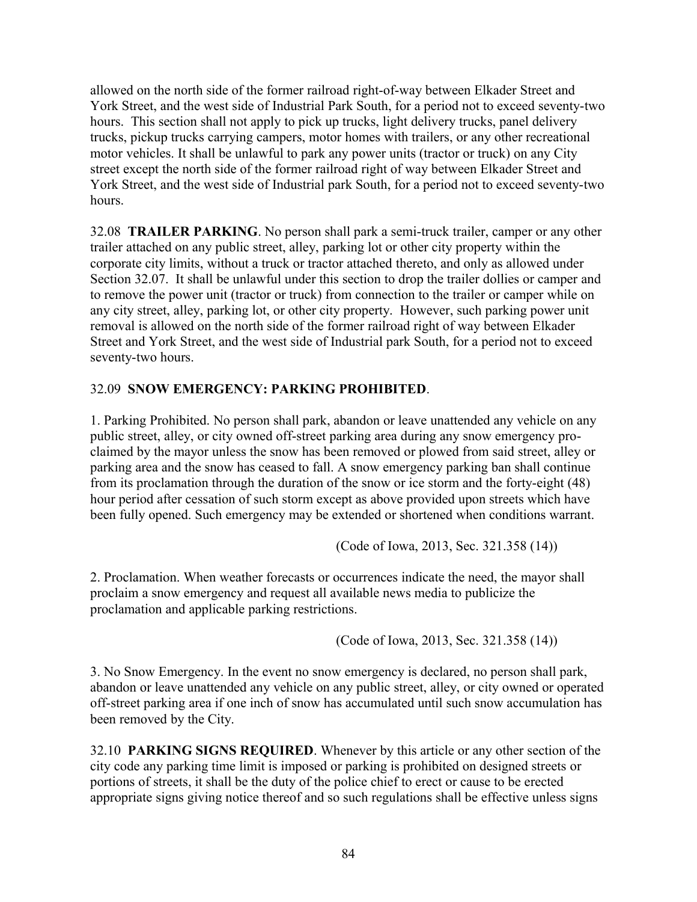allowed on the north side of the former railroad right-of-way between Elkader Street and York Street, and the west side of Industrial Park South, for a period not to exceed seventy-two hours. This section shall not apply to pick up trucks, light delivery trucks, panel delivery trucks, pickup trucks carrying campers, motor homes with trailers, or any other recreational motor vehicles. It shall be unlawful to park any power units (tractor or truck) on any City street except the north side of the former railroad right of way between Elkader Street and York Street, and the west side of Industrial park South, for a period not to exceed seventy-two hours.

32.08 **TRAILER PARKING**. No person shall park a semi-truck trailer, camper or any other trailer attached on any public street, alley, parking lot or other city property within the corporate city limits, without a truck or tractor attached thereto, and only as allowed under Section 32.07. It shall be unlawful under this section to drop the trailer dollies or camper and to remove the power unit (tractor or truck) from connection to the trailer or camper while on any city street, alley, parking lot, or other city property. However, such parking power unit removal is allowed on the north side of the former railroad right of way between Elkader Street and York Street, and the west side of Industrial park South, for a period not to exceed seventy-two hours.

# 32.09 **SNOW EMERGENCY: PARKING PROHIBITED**.

1. Parking Prohibited. No person shall park, abandon or leave unattended any vehicle on any public street, alley, or city owned off-street parking area during any snow emergency proclaimed by the mayor unless the snow has been removed or plowed from said street, alley or parking area and the snow has ceased to fall. A snow emergency parking ban shall continue from its proclamation through the duration of the snow or ice storm and the forty-eight (48) hour period after cessation of such storm except as above provided upon streets which have been fully opened. Such emergency may be extended or shortened when conditions warrant.

(Code of Iowa, 2013, Sec. 321.358 (14))

2. Proclamation. When weather forecasts or occurrences indicate the need, the mayor shall proclaim a snow emergency and request all available news media to publicize the proclamation and applicable parking restrictions.

(Code of Iowa, 2013, Sec. 321.358 (14))

3. No Snow Emergency. In the event no snow emergency is declared, no person shall park, abandon or leave unattended any vehicle on any public street, alley, or city owned or operated off-street parking area if one inch of snow has accumulated until such snow accumulation has been removed by the City.

32.10 **PARKING SIGNS REQUIRED**. Whenever by this article or any other section of the city code any parking time limit is imposed or parking is prohibited on designed streets or portions of streets, it shall be the duty of the police chief to erect or cause to be erected appropriate signs giving notice thereof and so such regulations shall be effective unless signs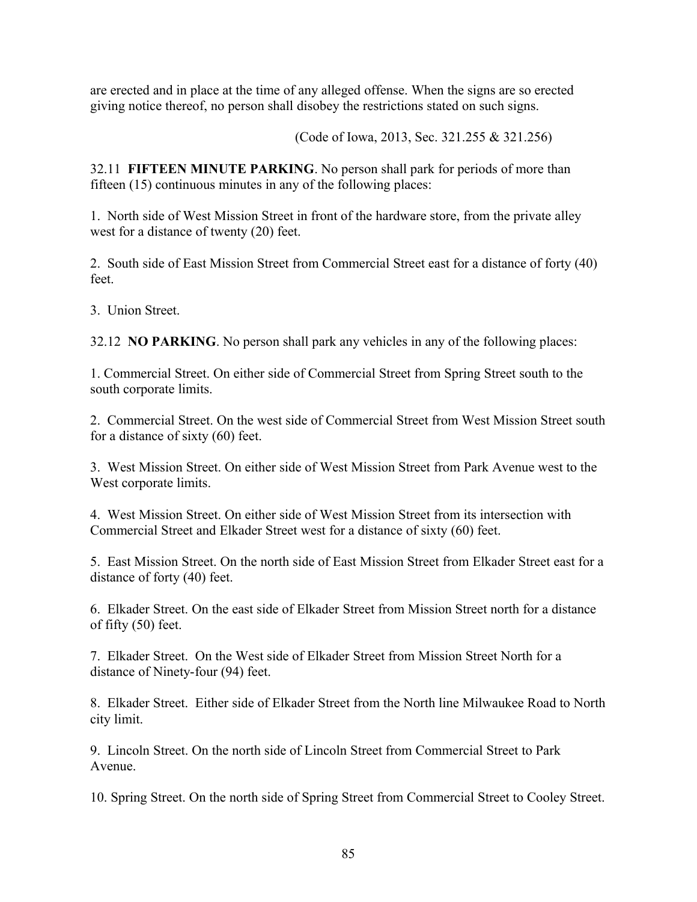are erected and in place at the time of any alleged offense. When the signs are so erected giving notice thereof, no person shall disobey the restrictions stated on such signs.

(Code of Iowa, 2013, Sec. 321.255 & 321.256)

32.11 **FIFTEEN MINUTE PARKING**. No person shall park for periods of more than fifteen (15) continuous minutes in any of the following places:

1. North side of West Mission Street in front of the hardware store, from the private alley west for a distance of twenty (20) feet.

2. South side of East Mission Street from Commercial Street east for a distance of forty (40) feet.

3. Union Street.

32.12 **NO PARKING**. No person shall park any vehicles in any of the following places:

1. Commercial Street. On either side of Commercial Street from Spring Street south to the south corporate limits.

2. Commercial Street. On the west side of Commercial Street from West Mission Street south for a distance of sixty (60) feet.

3. West Mission Street. On either side of West Mission Street from Park Avenue west to the West corporate limits.

4. West Mission Street. On either side of West Mission Street from its intersection with Commercial Street and Elkader Street west for a distance of sixty (60) feet.

5. East Mission Street. On the north side of East Mission Street from Elkader Street east for a distance of forty (40) feet.

6. Elkader Street. On the east side of Elkader Street from Mission Street north for a distance of fifty (50) feet.

7. Elkader Street. On the West side of Elkader Street from Mission Street North for a distance of Ninety-four (94) feet.

8. Elkader Street. Either side of Elkader Street from the North line Milwaukee Road to North city limit.

9. Lincoln Street. On the north side of Lincoln Street from Commercial Street to Park Avenue.

10. Spring Street. On the north side of Spring Street from Commercial Street to Cooley Street.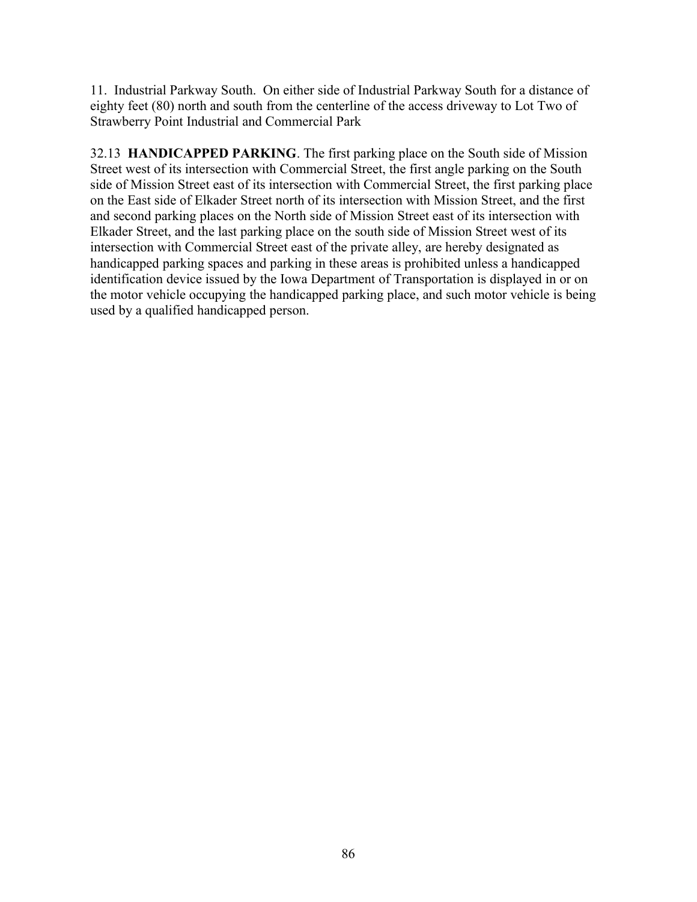11. Industrial Parkway South. On either side of Industrial Parkway South for a distance of eighty feet (80) north and south from the centerline of the access driveway to Lot Two of Strawberry Point Industrial and Commercial Park

32.13 **HANDICAPPED PARKING**. The first parking place on the South side of Mission Street west of its intersection with Commercial Street, the first angle parking on the South side of Mission Street east of its intersection with Commercial Street, the first parking place on the East side of Elkader Street north of its intersection with Mission Street, and the first and second parking places on the North side of Mission Street east of its intersection with Elkader Street, and the last parking place on the south side of Mission Street west of its intersection with Commercial Street east of the private alley, are hereby designated as handicapped parking spaces and parking in these areas is prohibited unless a handicapped identification device issued by the Iowa Department of Transportation is displayed in or on the motor vehicle occupying the handicapped parking place, and such motor vehicle is being used by a qualified handicapped person.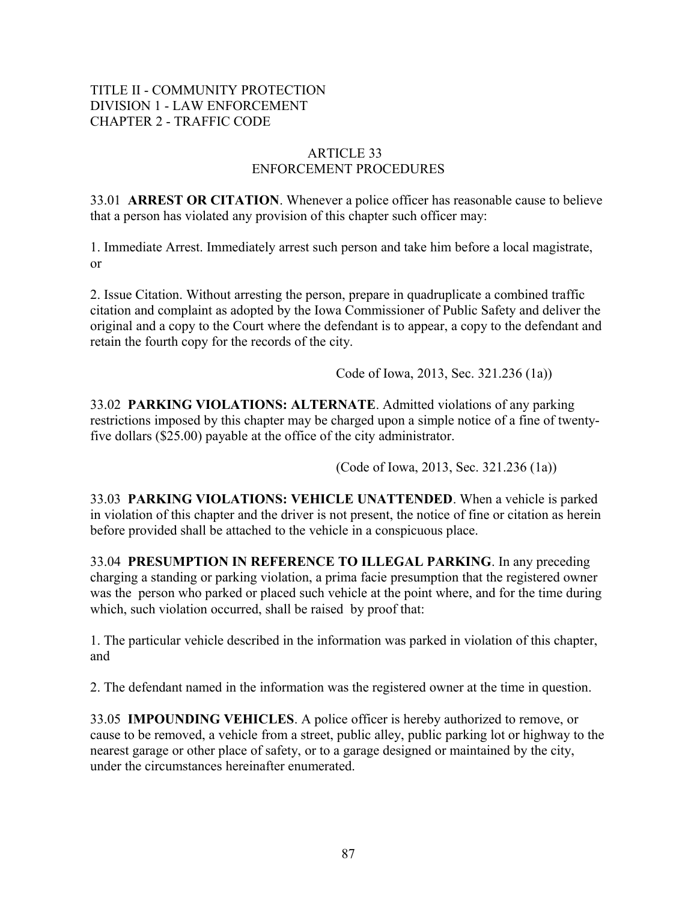## ARTICLE 33 ENFORCEMENT PROCEDURES

33.01 **ARREST OR CITATION**. Whenever a police officer has reasonable cause to believe that a person has violated any provision of this chapter such officer may:

1. Immediate Arrest. Immediately arrest such person and take him before a local magistrate, or

2. Issue Citation. Without arresting the person, prepare in quadruplicate a combined traffic citation and complaint as adopted by the Iowa Commissioner of Public Safety and deliver the original and a copy to the Court where the defendant is to appear, a copy to the defendant and retain the fourth copy for the records of the city.

Code of Iowa, 2013, Sec. 321.236 (1a))

33.02 **PARKING VIOLATIONS: ALTERNATE**. Admitted violations of any parking restrictions imposed by this chapter may be charged upon a simple notice of a fine of twentyfive dollars (\$25.00) payable at the office of the city administrator.

(Code of Iowa, 2013, Sec. 321.236 (1a))

33.03 **PARKING VIOLATIONS: VEHICLE UNATTENDED**. When a vehicle is parked in violation of this chapter and the driver is not present, the notice of fine or citation as herein before provided shall be attached to the vehicle in a conspicuous place.

33.04 **PRESUMPTION IN REFERENCE TO ILLEGAL PARKING**. In any preceding charging a standing or parking violation, a prima facie presumption that the registered owner was the person who parked or placed such vehicle at the point where, and for the time during which, such violation occurred, shall be raised by proof that:

1. The particular vehicle described in the information was parked in violation of this chapter, and

2. The defendant named in the information was the registered owner at the time in question.

33.05 **IMPOUNDING VEHICLES**. A police officer is hereby authorized to remove, or cause to be removed, a vehicle from a street, public alley, public parking lot or highway to the nearest garage or other place of safety, or to a garage designed or maintained by the city, under the circumstances hereinafter enumerated.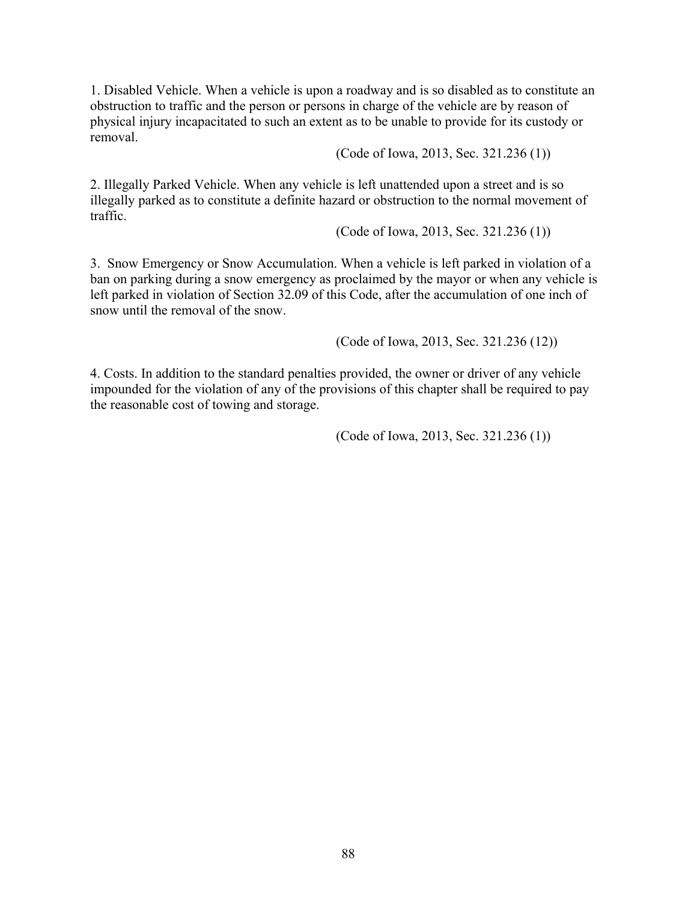1. Disabled Vehicle. When a vehicle is upon a roadway and is so disabled as to constitute an obstruction to traffic and the person or persons in charge of the vehicle are by reason of physical injury incapacitated to such an extent as to be unable to provide for its custody or removal.

(Code of Iowa, 2013, Sec. 321.236 (1))

2. Illegally Parked Vehicle. When any vehicle is left unattended upon a street and is so illegally parked as to constitute a definite hazard or obstruction to the normal movement of traffic.

(Code of Iowa, 2013, Sec. 321.236 (1))

3. Snow Emergency or Snow Accumulation. When a vehicle is left parked in violation of a ban on parking during a snow emergency as proclaimed by the mayor or when any vehicle is left parked in violation of Section 32.09 of this Code, after the accumulation of one inch of snow until the removal of the snow.

(Code of Iowa, 2013, Sec. 321.236 (12))

4. Costs. In addition to the standard penalties provided, the owner or driver of any vehicle impounded for the violation of any of the provisions of this chapter shall be required to pay the reasonable cost of towing and storage.

(Code of Iowa, 2013, Sec. 321.236 (1))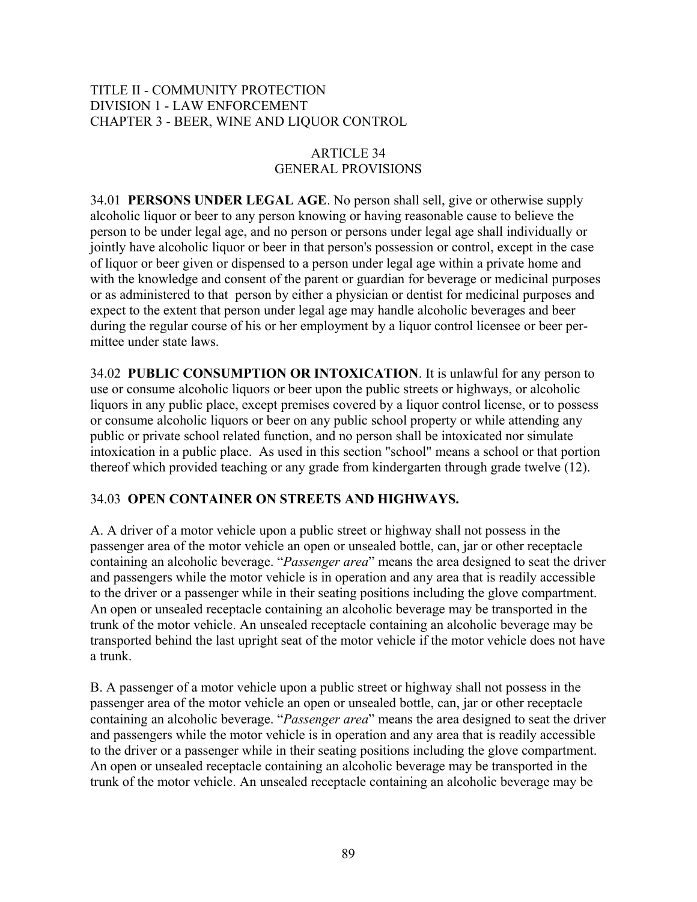## TITLE II - COMMUNITY PROTECTION DIVISION 1 - LAW ENFORCEMENT CHAPTER 3 - BEER, WINE AND LIQUOR CONTROL

# ARTICLE 34 GENERAL PROVISIONS

34.01 **PERSONS UNDER LEGAL AGE**. No person shall sell, give or otherwise supply alcoholic liquor or beer to any person knowing or having reasonable cause to believe the person to be under legal age, and no person or persons under legal age shall individually or jointly have alcoholic liquor or beer in that person's possession or control, except in the case of liquor or beer given or dispensed to a person under legal age within a private home and with the knowledge and consent of the parent or guardian for beverage or medicinal purposes or as administered to that person by either a physician or dentist for medicinal purposes and expect to the extent that person under legal age may handle alcoholic beverages and beer during the regular course of his or her employment by a liquor control licensee or beer permittee under state laws.

34.02 **PUBLIC CONSUMPTION OR INTOXICATION**. It is unlawful for any person to use or consume alcoholic liquors or beer upon the public streets or highways, or alcoholic liquors in any public place, except premises covered by a liquor control license, or to possess or consume alcoholic liquors or beer on any public school property or while attending any public or private school related function, and no person shall be intoxicated nor simulate intoxication in a public place. As used in this section "school" means a school or that portion thereof which provided teaching or any grade from kindergarten through grade twelve (12).

# 34.03 **OPEN CONTAINER ON STREETS AND HIGHWAYS.**

A. A driver of a motor vehicle upon a public street or highway shall not possess in the passenger area of the motor vehicle an open or unsealed bottle, can, jar or other receptacle containing an alcoholic beverage. "*Passenger area*" means the area designed to seat the driver and passengers while the motor vehicle is in operation and any area that is readily accessible to the driver or a passenger while in their seating positions including the glove compartment. An open or unsealed receptacle containing an alcoholic beverage may be transported in the trunk of the motor vehicle. An unsealed receptacle containing an alcoholic beverage may be transported behind the last upright seat of the motor vehicle if the motor vehicle does not have a trunk.

B. A passenger of a motor vehicle upon a public street or highway shall not possess in the passenger area of the motor vehicle an open or unsealed bottle, can, jar or other receptacle containing an alcoholic beverage. "*Passenger area*" means the area designed to seat the driver and passengers while the motor vehicle is in operation and any area that is readily accessible to the driver or a passenger while in their seating positions including the glove compartment. An open or unsealed receptacle containing an alcoholic beverage may be transported in the trunk of the motor vehicle. An unsealed receptacle containing an alcoholic beverage may be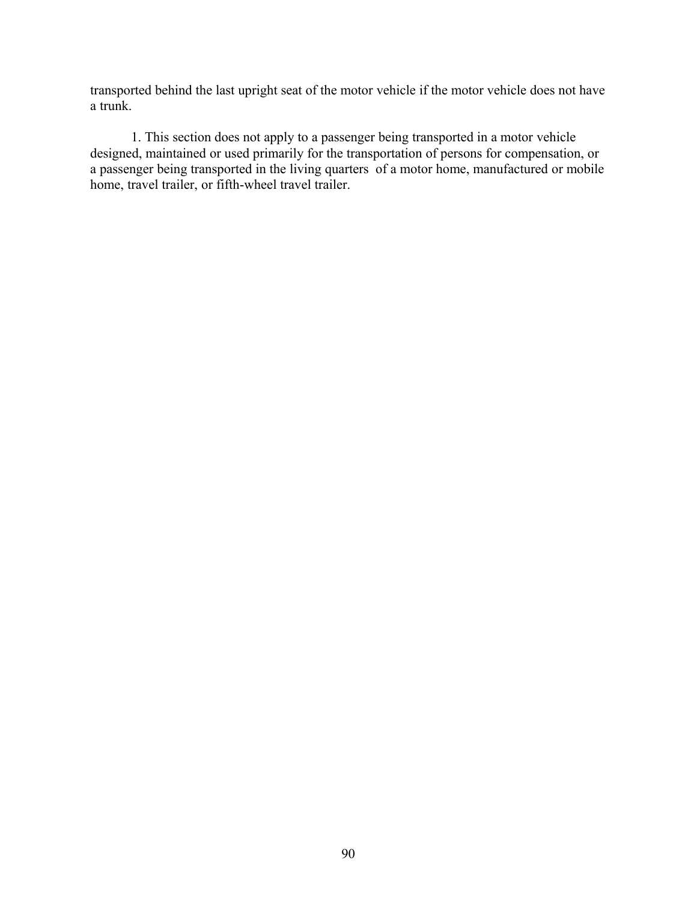transported behind the last upright seat of the motor vehicle if the motor vehicle does not have a trunk.

1. This section does not apply to a passenger being transported in a motor vehicle designed, maintained or used primarily for the transportation of persons for compensation, or a passenger being transported in the living quarters of a motor home, manufactured or mobile home, travel trailer, or fifth-wheel travel trailer.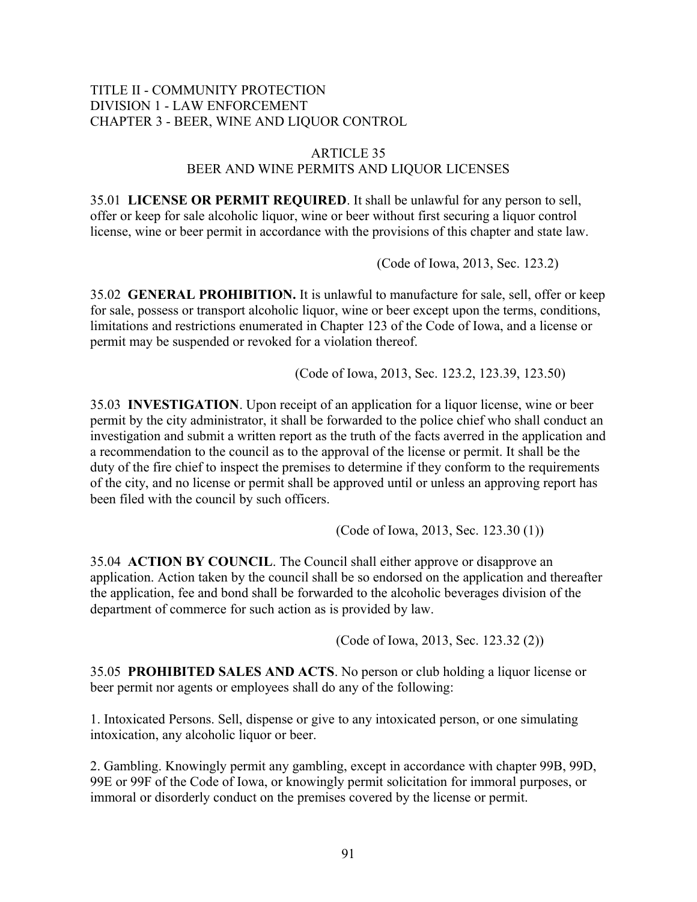### TITLE II - COMMUNITY PROTECTION DIVISION 1 - LAW ENFORCEMENT CHAPTER 3 - BEER, WINE AND LIQUOR CONTROL

#### ARTICLE 35 BEER AND WINE PERMITS AND LIQUOR LICENSES

35.01 **LICENSE OR PERMIT REQUIRED**. It shall be unlawful for any person to sell, offer or keep for sale alcoholic liquor, wine or beer without first securing a liquor control license, wine or beer permit in accordance with the provisions of this chapter and state law.

(Code of Iowa, 2013, Sec. 123.2)

35.02 **GENERAL PROHIBITION.** It is unlawful to manufacture for sale, sell, offer or keep for sale, possess or transport alcoholic liquor, wine or beer except upon the terms, conditions, limitations and restrictions enumerated in Chapter 123 of the Code of Iowa, and a license or permit may be suspended or revoked for a violation thereof.

(Code of Iowa, 2013, Sec. 123.2, 123.39, 123.50)

35.03 **INVESTIGATION**. Upon receipt of an application for a liquor license, wine or beer permit by the city administrator, it shall be forwarded to the police chief who shall conduct an investigation and submit a written report as the truth of the facts averred in the application and a recommendation to the council as to the approval of the license or permit. It shall be the duty of the fire chief to inspect the premises to determine if they conform to the requirements of the city, and no license or permit shall be approved until or unless an approving report has been filed with the council by such officers.

(Code of Iowa, 2013, Sec. 123.30 (1))

35.04 **ACTION BY COUNCIL**. The Council shall either approve or disapprove an application. Action taken by the council shall be so endorsed on the application and thereafter the application, fee and bond shall be forwarded to the alcoholic beverages division of the department of commerce for such action as is provided by law.

(Code of Iowa, 2013, Sec. 123.32 (2))

35.05 **PROHIBITED SALES AND ACTS**. No person or club holding a liquor license or beer permit nor agents or employees shall do any of the following:

1. Intoxicated Persons. Sell, dispense or give to any intoxicated person, or one simulating intoxication, any alcoholic liquor or beer.

2. Gambling. Knowingly permit any gambling, except in accordance with chapter 99B, 99D, 99E or 99F of the Code of Iowa, or knowingly permit solicitation for immoral purposes, or immoral or disorderly conduct on the premises covered by the license or permit.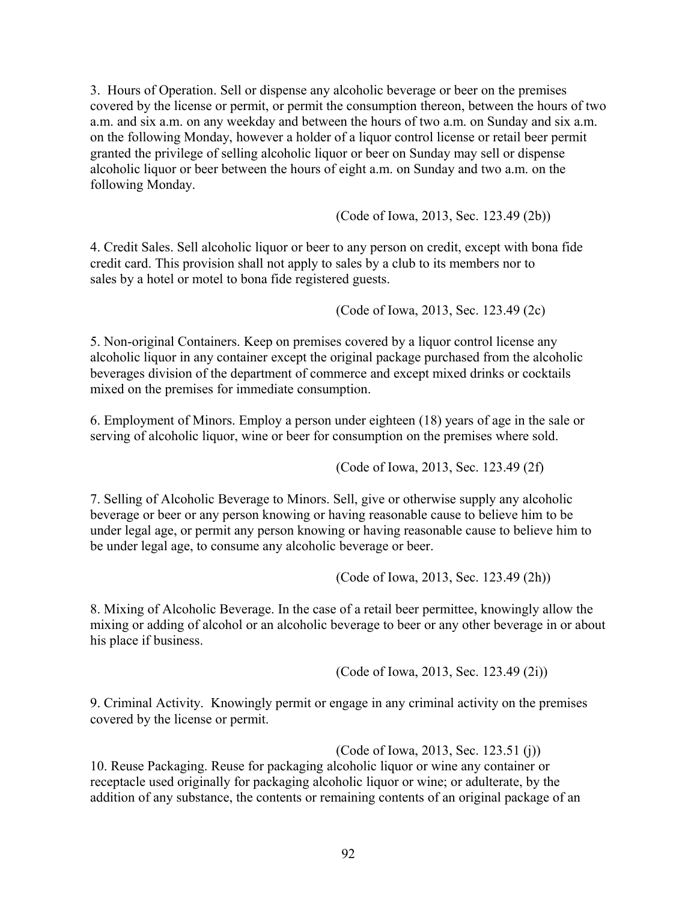3. Hours of Operation. Sell or dispense any alcoholic beverage or beer on the premises covered by the license or permit, or permit the consumption thereon, between the hours of two a.m. and six a.m. on any weekday and between the hours of two a.m. on Sunday and six a.m. on the following Monday, however a holder of a liquor control license or retail beer permit granted the privilege of selling alcoholic liquor or beer on Sunday may sell or dispense alcoholic liquor or beer between the hours of eight a.m. on Sunday and two a.m. on the following Monday.

(Code of Iowa, 2013, Sec. 123.49 (2b))

4. Credit Sales. Sell alcoholic liquor or beer to any person on credit, except with bona fide credit card. This provision shall not apply to sales by a club to its members nor to sales by a hotel or motel to bona fide registered guests.

(Code of Iowa, 2013, Sec. 123.49 (2c)

5. Non-original Containers. Keep on premises covered by a liquor control license any alcoholic liquor in any container except the original package purchased from the alcoholic beverages division of the department of commerce and except mixed drinks or cocktails mixed on the premises for immediate consumption.

6. Employment of Minors. Employ a person under eighteen (18) years of age in the sale or serving of alcoholic liquor, wine or beer for consumption on the premises where sold.

(Code of Iowa, 2013, Sec. 123.49 (2f)

7. Selling of Alcoholic Beverage to Minors. Sell, give or otherwise supply any alcoholic beverage or beer or any person knowing or having reasonable cause to believe him to be under legal age, or permit any person knowing or having reasonable cause to believe him to be under legal age, to consume any alcoholic beverage or beer.

(Code of Iowa, 2013, Sec. 123.49 (2h))

8. Mixing of Alcoholic Beverage. In the case of a retail beer permittee, knowingly allow the mixing or adding of alcohol or an alcoholic beverage to beer or any other beverage in or about his place if business.

(Code of Iowa, 2013, Sec. 123.49 (2i))

9. Criminal Activity. Knowingly permit or engage in any criminal activity on the premises covered by the license or permit.

(Code of Iowa, 2013, Sec. 123.51 (j))

10. Reuse Packaging. Reuse for packaging alcoholic liquor or wine any container or receptacle used originally for packaging alcoholic liquor or wine; or adulterate, by the addition of any substance, the contents or remaining contents of an original package of an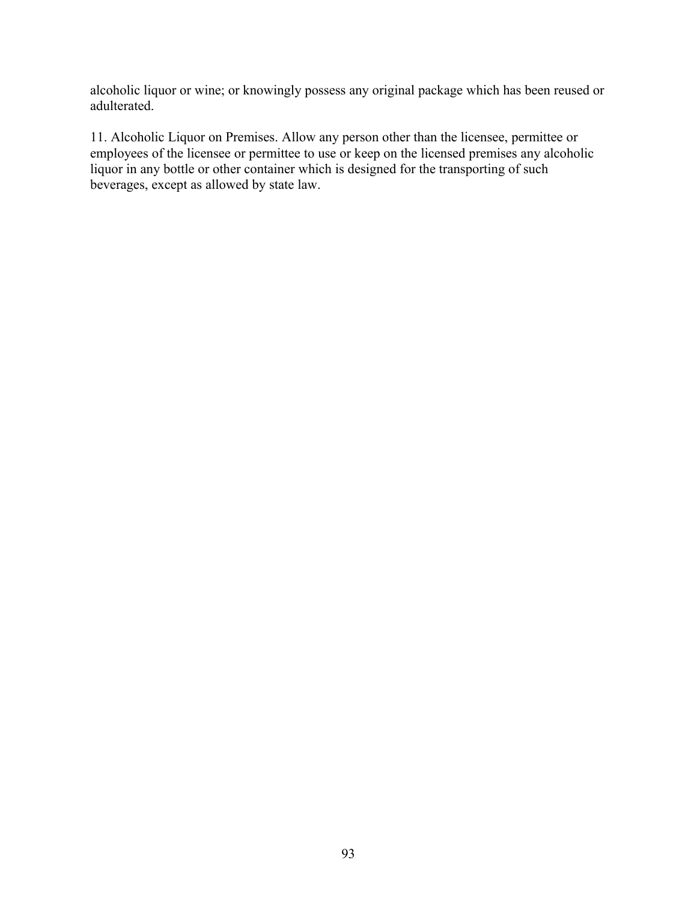alcoholic liquor or wine; or knowingly possess any original package which has been reused or adulterated.

11. Alcoholic Liquor on Premises. Allow any person other than the licensee, permittee or employees of the licensee or permittee to use or keep on the licensed premises any alcoholic liquor in any bottle or other container which is designed for the transporting of such beverages, except as allowed by state law.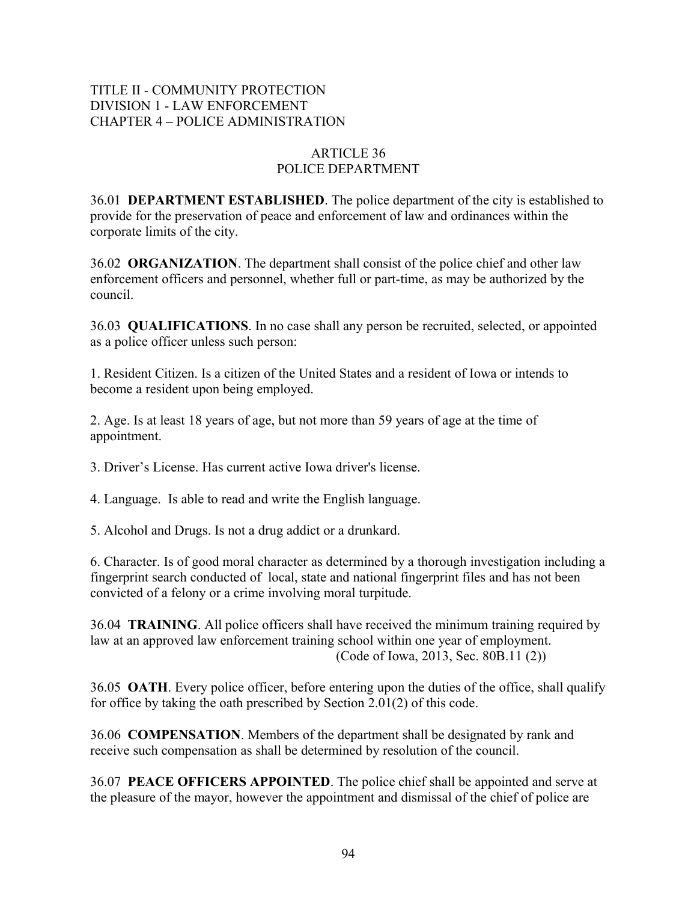# TITLE II - COMMUNITY PROTECTION DIVISION 1 - LAW ENFORCEMENT CHAPTER 4 – POLICE ADMINISTRATION

# ARTICLE 36 POLICE DEPARTMENT

36.01 **DEPARTMENT ESTABLISHED**. The police department of the city is established to provide for the preservation of peace and enforcement of law and ordinances within the corporate limits of the city.

36.02 **ORGANIZATION**. The department shall consist of the police chief and other law enforcement officers and personnel, whether full or part-time, as may be authorized by the council.

36.03 **QUALIFICATIONS**. In no case shall any person be recruited, selected, or appointed as a police officer unless such person:

1. Resident Citizen. Is a citizen of the United States and a resident of Iowa or intends to become a resident upon being employed.

2. Age. Is at least 18 years of age, but not more than 59 years of age at the time of appointment.

3. Driver's License. Has current active Iowa driver's license.

4. Language. Is able to read and write the English language.

5. Alcohol and Drugs. Is not a drug addict or a drunkard.

6. Character. Is of good moral character as determined by a thorough investigation including a fingerprint search conducted of local, state and national fingerprint files and has not been convicted of a felony or a crime involving moral turpitude.

36.04 **TRAINING**. All police officers shall have received the minimum training required by law at an approved law enforcement training school within one year of employment. (Code of Iowa, 2013, Sec. 80B.11 (2))

36.05 **OATH**. Every police officer, before entering upon the duties of the office, shall qualify for office by taking the oath prescribed by Section 2.01(2) of this code.

36.06 **COMPENSATION**. Members of the department shall be designated by rank and receive such compensation as shall be determined by resolution of the council.

36.07 **PEACE OFFICERS APPOINTED**. The police chief shall be appointed and serve at the pleasure of the mayor, however the appointment and dismissal of the chief of police are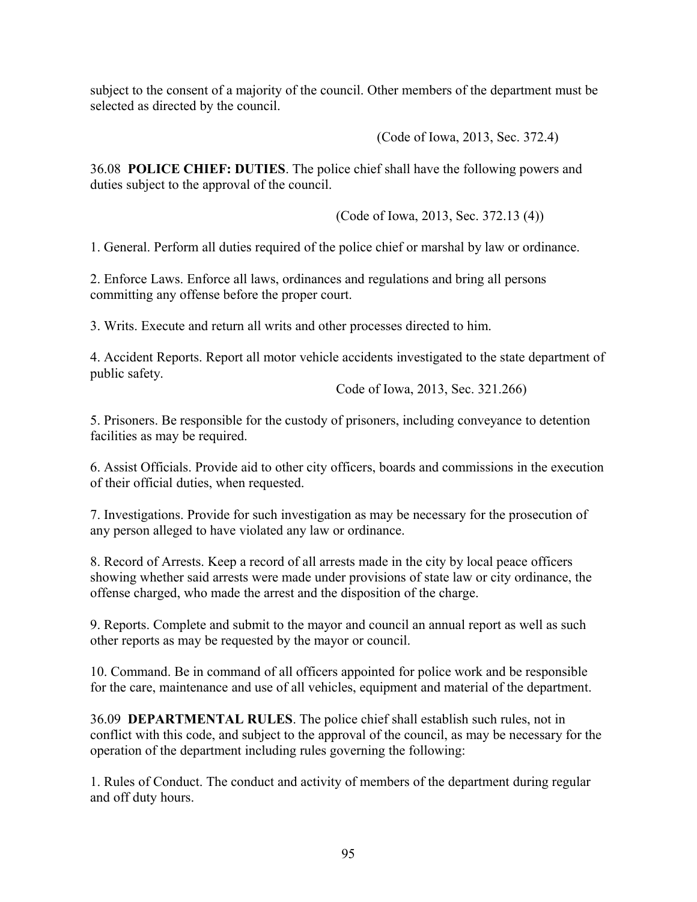subject to the consent of a majority of the council. Other members of the department must be selected as directed by the council.

(Code of Iowa, 2013, Sec. 372.4)

36.08 **POLICE CHIEF: DUTIES**. The police chief shall have the following powers and duties subject to the approval of the council.

(Code of Iowa, 2013, Sec. 372.13 (4))

1. General. Perform all duties required of the police chief or marshal by law or ordinance.

2. Enforce Laws. Enforce all laws, ordinances and regulations and bring all persons committing any offense before the proper court.

3. Writs. Execute and return all writs and other processes directed to him.

4. Accident Reports. Report all motor vehicle accidents investigated to the state department of public safety.

Code of Iowa, 2013, Sec. 321.266)

5. Prisoners. Be responsible for the custody of prisoners, including conveyance to detention facilities as may be required.

6. Assist Officials. Provide aid to other city officers, boards and commissions in the execution of their official duties, when requested.

7. Investigations. Provide for such investigation as may be necessary for the prosecution of any person alleged to have violated any law or ordinance.

8. Record of Arrests. Keep a record of all arrests made in the city by local peace officers showing whether said arrests were made under provisions of state law or city ordinance, the offense charged, who made the arrest and the disposition of the charge.

9. Reports. Complete and submit to the mayor and council an annual report as well as such other reports as may be requested by the mayor or council.

10. Command. Be in command of all officers appointed for police work and be responsible for the care, maintenance and use of all vehicles, equipment and material of the department.

36.09 **DEPARTMENTAL RULES**. The police chief shall establish such rules, not in conflict with this code, and subject to the approval of the council, as may be necessary for the operation of the department including rules governing the following:

1. Rules of Conduct. The conduct and activity of members of the department during regular and off duty hours.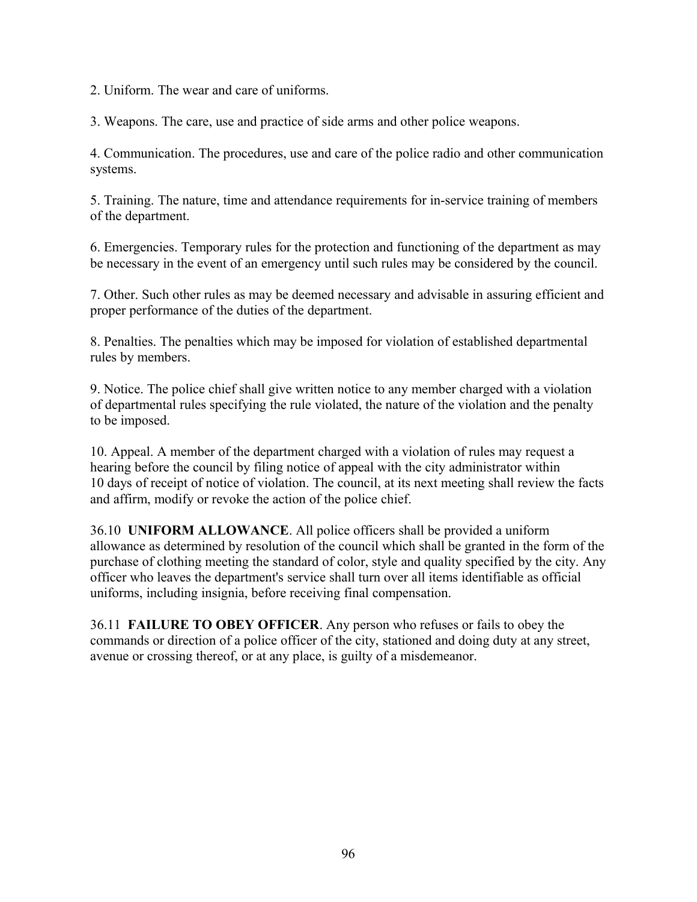2. Uniform. The wear and care of uniforms.

3. Weapons. The care, use and practice of side arms and other police weapons.

4. Communication. The procedures, use and care of the police radio and other communication systems.

5. Training. The nature, time and attendance requirements for in-service training of members of the department.

6. Emergencies. Temporary rules for the protection and functioning of the department as may be necessary in the event of an emergency until such rules may be considered by the council.

7. Other. Such other rules as may be deemed necessary and advisable in assuring efficient and proper performance of the duties of the department.

8. Penalties. The penalties which may be imposed for violation of established departmental rules by members.

9. Notice. The police chief shall give written notice to any member charged with a violation of departmental rules specifying the rule violated, the nature of the violation and the penalty to be imposed.

10. Appeal. A member of the department charged with a violation of rules may request a hearing before the council by filing notice of appeal with the city administrator within 10 days of receipt of notice of violation. The council, at its next meeting shall review the facts and affirm, modify or revoke the action of the police chief.

36.10 **UNIFORM ALLOWANCE**. All police officers shall be provided a uniform allowance as determined by resolution of the council which shall be granted in the form of the purchase of clothing meeting the standard of color, style and quality specified by the city. Any officer who leaves the department's service shall turn over all items identifiable as official uniforms, including insignia, before receiving final compensation.

36.11 **FAILURE TO OBEY OFFICER**. Any person who refuses or fails to obey the commands or direction of a police officer of the city, stationed and doing duty at any street, avenue or crossing thereof, or at any place, is guilty of a misdemeanor.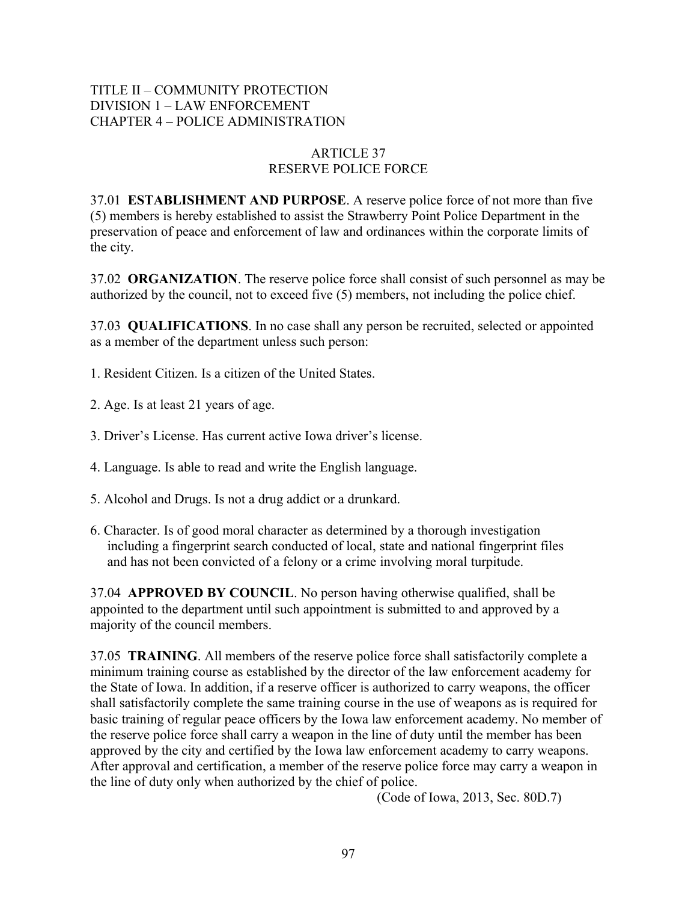## TITLE II – COMMUNITY PROTECTION DIVISION 1 – LAW ENFORCEMENT CHAPTER 4 – POLICE ADMINISTRATION

# ARTICLE 37 RESERVE POLICE FORCE

37.01 **ESTABLISHMENT AND PURPOSE**. A reserve police force of not more than five (5) members is hereby established to assist the Strawberry Point Police Department in the preservation of peace and enforcement of law and ordinances within the corporate limits of the city.

37.02 **ORGANIZATION**. The reserve police force shall consist of such personnel as may be authorized by the council, not to exceed five (5) members, not including the police chief.

37.03 **QUALIFICATIONS**. In no case shall any person be recruited, selected or appointed as a member of the department unless such person:

- 1. Resident Citizen. Is a citizen of the United States.
- 2. Age. Is at least 21 years of age.
- 3. Driver's License. Has current active Iowa driver's license.
- 4. Language. Is able to read and write the English language.
- 5. Alcohol and Drugs. Is not a drug addict or a drunkard.
- 6. Character. Is of good moral character as determined by a thorough investigation including a fingerprint search conducted of local, state and national fingerprint files and has not been convicted of a felony or a crime involving moral turpitude.

37.04 **APPROVED BY COUNCIL**. No person having otherwise qualified, shall be appointed to the department until such appointment is submitted to and approved by a majority of the council members.

37.05 **TRAINING**. All members of the reserve police force shall satisfactorily complete a minimum training course as established by the director of the law enforcement academy for the State of Iowa. In addition, if a reserve officer is authorized to carry weapons, the officer shall satisfactorily complete the same training course in the use of weapons as is required for basic training of regular peace officers by the Iowa law enforcement academy. No member of the reserve police force shall carry a weapon in the line of duty until the member has been approved by the city and certified by the Iowa law enforcement academy to carry weapons. After approval and certification, a member of the reserve police force may carry a weapon in the line of duty only when authorized by the chief of police.

(Code of Iowa, 2013, Sec. 80D.7)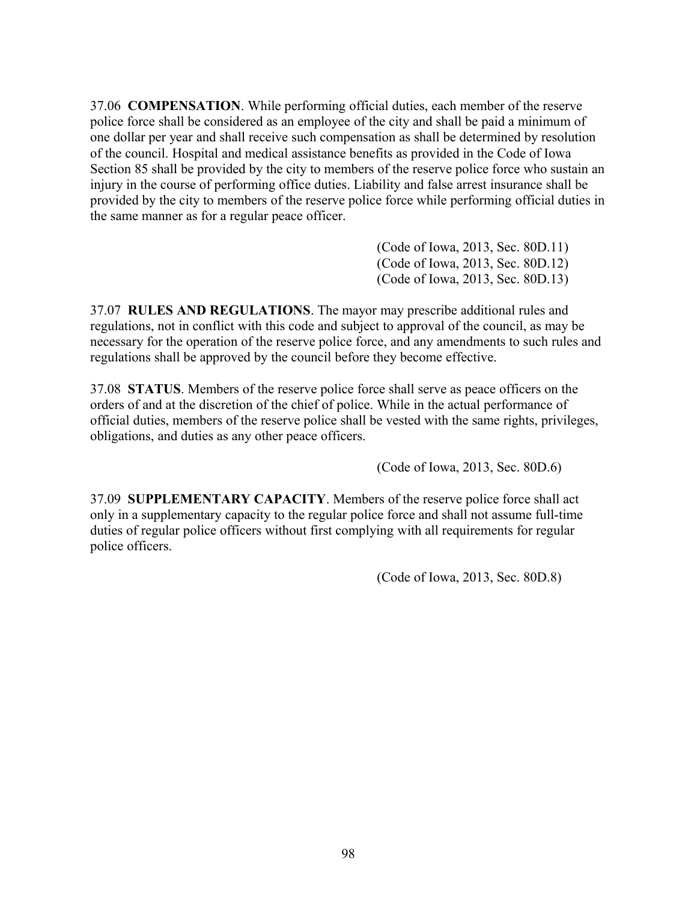37.06 **COMPENSATION**. While performing official duties, each member of the reserve police force shall be considered as an employee of the city and shall be paid a minimum of one dollar per year and shall receive such compensation as shall be determined by resolution of the council. Hospital and medical assistance benefits as provided in the Code of Iowa Section 85 shall be provided by the city to members of the reserve police force who sustain an injury in the course of performing office duties. Liability and false arrest insurance shall be provided by the city to members of the reserve police force while performing official duties in the same manner as for a regular peace officer.

> (Code of Iowa, 2013, Sec. 80D.11) (Code of Iowa, 2013, Sec. 80D.12) (Code of Iowa, 2013, Sec. 80D.13)

37.07 **RULES AND REGULATIONS**. The mayor may prescribe additional rules and regulations, not in conflict with this code and subject to approval of the council, as may be necessary for the operation of the reserve police force, and any amendments to such rules and regulations shall be approved by the council before they become effective.

37.08 **STATUS**. Members of the reserve police force shall serve as peace officers on the orders of and at the discretion of the chief of police. While in the actual performance of official duties, members of the reserve police shall be vested with the same rights, privileges, obligations, and duties as any other peace officers.

(Code of Iowa, 2013, Sec. 80D.6)

37.09 **SUPPLEMENTARY CAPACITY**. Members of the reserve police force shall act only in a supplementary capacity to the regular police force and shall not assume full-time duties of regular police officers without first complying with all requirements for regular police officers.

(Code of Iowa, 2013, Sec. 80D.8)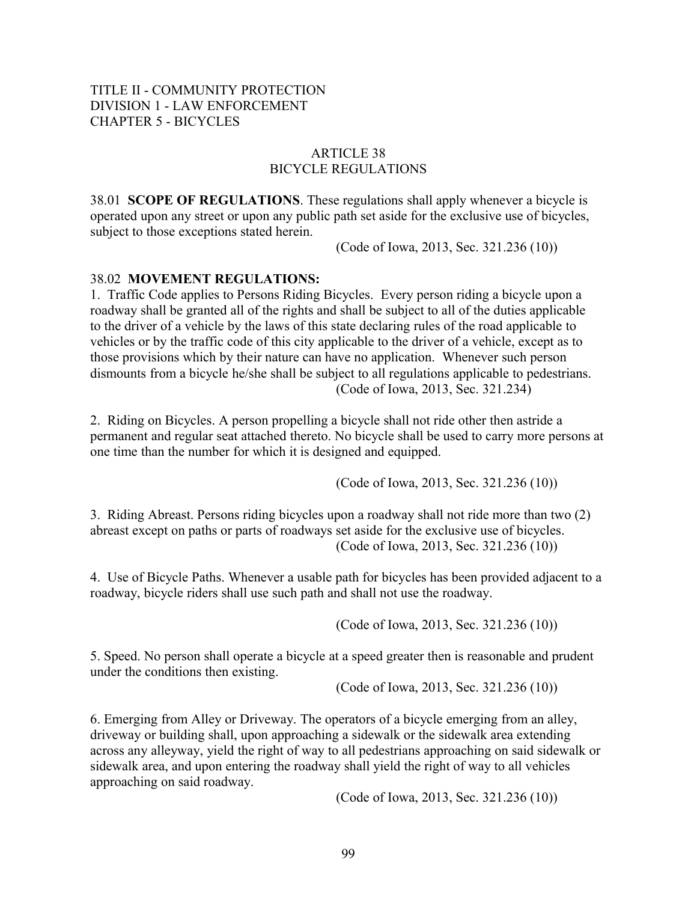# ARTICLE 38 BICYCLE REGULATIONS

38.01 **SCOPE OF REGULATIONS**. These regulations shall apply whenever a bicycle is operated upon any street or upon any public path set aside for the exclusive use of bicycles, subject to those exceptions stated herein.

(Code of Iowa, 2013, Sec. 321.236 (10))

## 38.02 **MOVEMENT REGULATIONS:**

1. Traffic Code applies to Persons Riding Bicycles. Every person riding a bicycle upon a roadway shall be granted all of the rights and shall be subject to all of the duties applicable to the driver of a vehicle by the laws of this state declaring rules of the road applicable to vehicles or by the traffic code of this city applicable to the driver of a vehicle, except as to those provisions which by their nature can have no application. Whenever such person dismounts from a bicycle he/she shall be subject to all regulations applicable to pedestrians. (Code of Iowa, 2013, Sec. 321.234)

2. Riding on Bicycles. A person propelling a bicycle shall not ride other then astride a permanent and regular seat attached thereto. No bicycle shall be used to carry more persons at one time than the number for which it is designed and equipped.

(Code of Iowa, 2013, Sec. 321.236 (10))

3. Riding Abreast. Persons riding bicycles upon a roadway shall not ride more than two (2) abreast except on paths or parts of roadways set aside for the exclusive use of bicycles. (Code of Iowa, 2013, Sec. 321.236 (10))

4. Use of Bicycle Paths. Whenever a usable path for bicycles has been provided adjacent to a roadway, bicycle riders shall use such path and shall not use the roadway.

(Code of Iowa, 2013, Sec. 321.236 (10))

5. Speed. No person shall operate a bicycle at a speed greater then is reasonable and prudent under the conditions then existing.

(Code of Iowa, 2013, Sec. 321.236 (10))

6. Emerging from Alley or Driveway. The operators of a bicycle emerging from an alley, driveway or building shall, upon approaching a sidewalk or the sidewalk area extending across any alleyway, yield the right of way to all pedestrians approaching on said sidewalk or sidewalk area, and upon entering the roadway shall yield the right of way to all vehicles approaching on said roadway.

(Code of Iowa, 2013, Sec. 321.236 (10))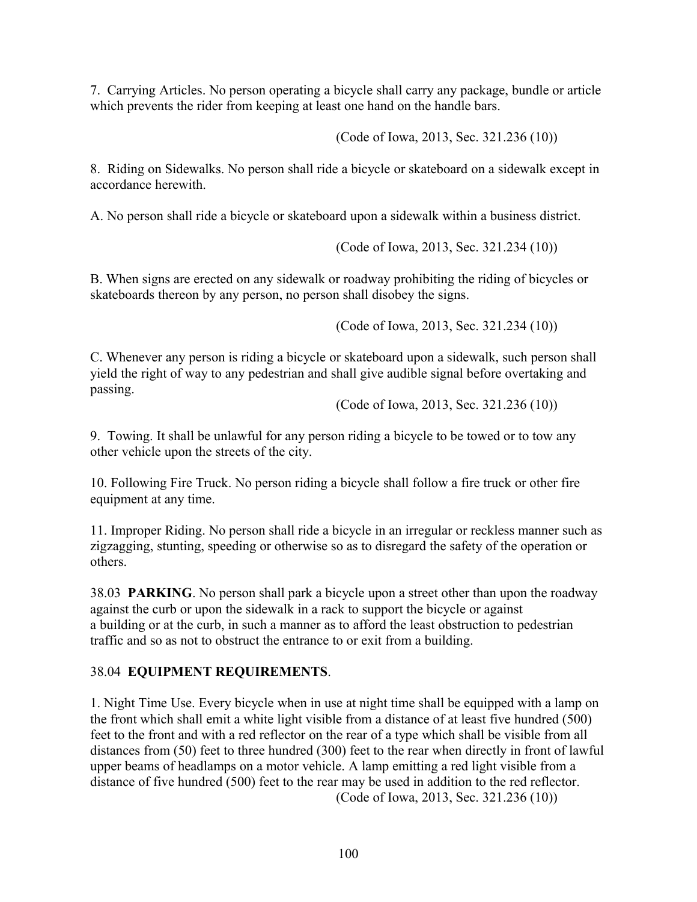7. Carrying Articles. No person operating a bicycle shall carry any package, bundle or article which prevents the rider from keeping at least one hand on the handle bars.

(Code of Iowa, 2013, Sec. 321.236 (10))

8. Riding on Sidewalks. No person shall ride a bicycle or skateboard on a sidewalk except in accordance herewith.

A. No person shall ride a bicycle or skateboard upon a sidewalk within a business district.

(Code of Iowa, 2013, Sec. 321.234 (10))

B. When signs are erected on any sidewalk or roadway prohibiting the riding of bicycles or skateboards thereon by any person, no person shall disobey the signs.

(Code of Iowa, 2013, Sec. 321.234 (10))

C. Whenever any person is riding a bicycle or skateboard upon a sidewalk, such person shall yield the right of way to any pedestrian and shall give audible signal before overtaking and passing.

(Code of Iowa, 2013, Sec. 321.236 (10))

9. Towing. It shall be unlawful for any person riding a bicycle to be towed or to tow any other vehicle upon the streets of the city.

10. Following Fire Truck. No person riding a bicycle shall follow a fire truck or other fire equipment at any time.

11. Improper Riding. No person shall ride a bicycle in an irregular or reckless manner such as zigzagging, stunting, speeding or otherwise so as to disregard the safety of the operation or others.

38.03 **PARKING**. No person shall park a bicycle upon a street other than upon the roadway against the curb or upon the sidewalk in a rack to support the bicycle or against a building or at the curb, in such a manner as to afford the least obstruction to pedestrian traffic and so as not to obstruct the entrance to or exit from a building.

# 38.04 **EQUIPMENT REQUIREMENTS**.

1. Night Time Use. Every bicycle when in use at night time shall be equipped with a lamp on the front which shall emit a white light visible from a distance of at least five hundred (500) feet to the front and with a red reflector on the rear of a type which shall be visible from all distances from (50) feet to three hundred (300) feet to the rear when directly in front of lawful upper beams of headlamps on a motor vehicle. A lamp emitting a red light visible from a distance of five hundred (500) feet to the rear may be used in addition to the red reflector. (Code of Iowa, 2013, Sec. 321.236 (10))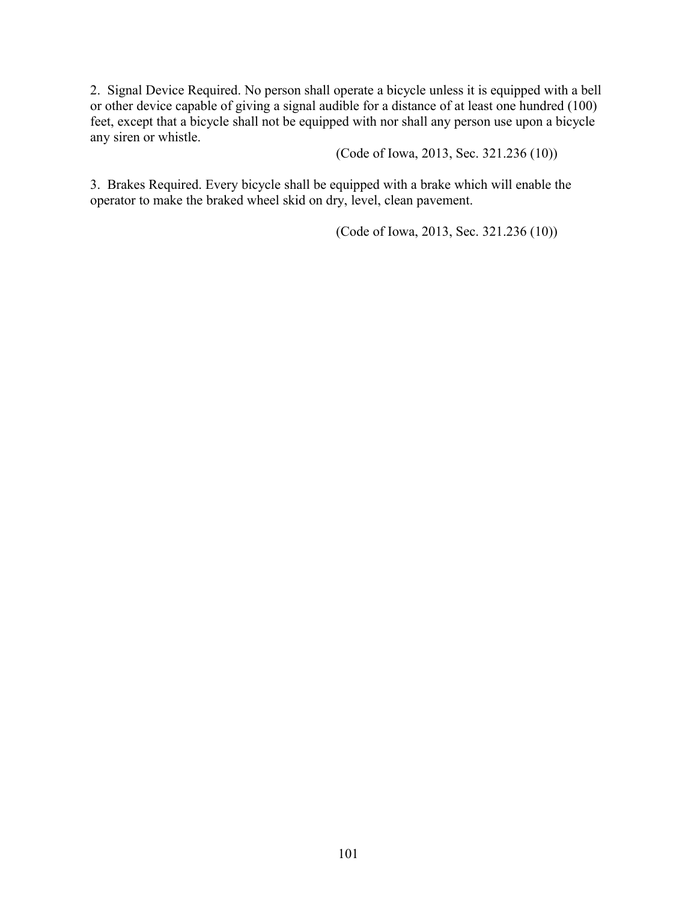2. Signal Device Required. No person shall operate a bicycle unless it is equipped with a bell or other device capable of giving a signal audible for a distance of at least one hundred (100) feet, except that a bicycle shall not be equipped with nor shall any person use upon a bicycle any siren or whistle.

(Code of Iowa, 2013, Sec. 321.236 (10))

3. Brakes Required. Every bicycle shall be equipped with a brake which will enable the operator to make the braked wheel skid on dry, level, clean pavement.

(Code of Iowa, 2013, Sec. 321.236 (10))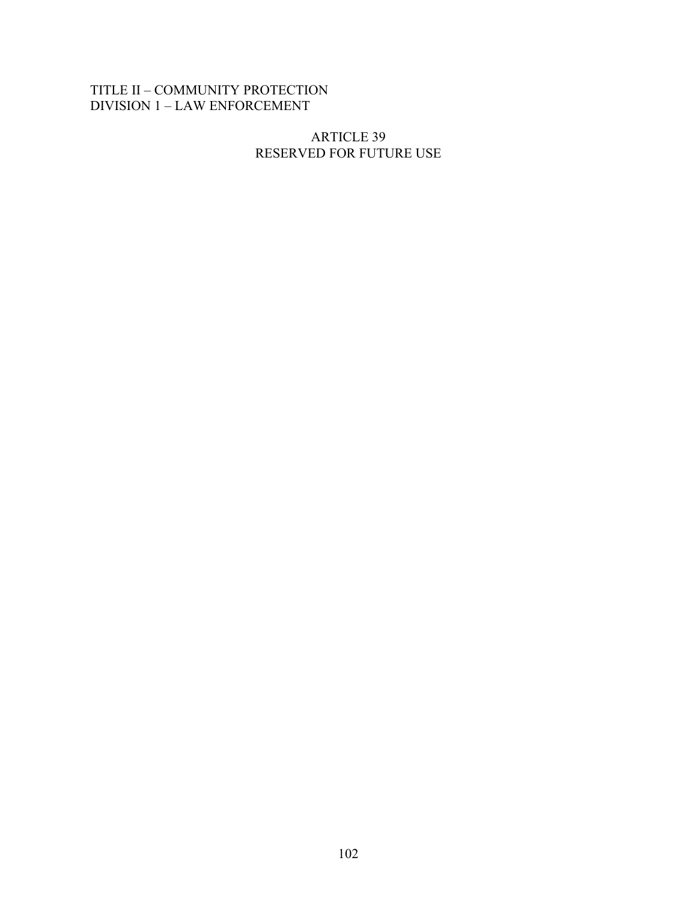# TITLE II – COMMUNITY PROTECTION DIVISION 1 – LAW ENFORCEMENT

## ARTICLE 39 RESERVED FOR FUTURE USE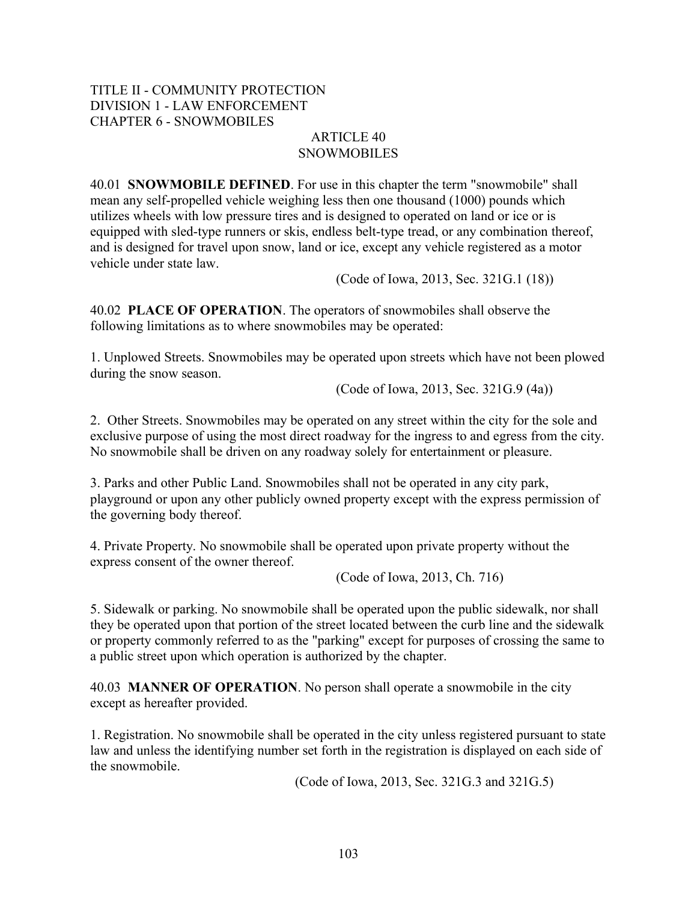## TITLE II - COMMUNITY PROTECTION DIVISION 1 - LAW ENFORCEMENT CHAPTER 6 - SNOWMOBILES

#### ARTICLE 40 **SNOWMOBILES**

40.01 **SNOWMOBILE DEFINED**. For use in this chapter the term "snowmobile" shall mean any self-propelled vehicle weighing less then one thousand (1000) pounds which utilizes wheels with low pressure tires and is designed to operated on land or ice or is equipped with sled-type runners or skis, endless belt-type tread, or any combination thereof, and is designed for travel upon snow, land or ice, except any vehicle registered as a motor vehicle under state law.

(Code of Iowa, 2013, Sec. 321G.1 (18))

40.02 **PLACE OF OPERATION**. The operators of snowmobiles shall observe the following limitations as to where snowmobiles may be operated:

1. Unplowed Streets. Snowmobiles may be operated upon streets which have not been plowed during the snow season.

(Code of Iowa, 2013, Sec. 321G.9 (4a))

2. Other Streets. Snowmobiles may be operated on any street within the city for the sole and exclusive purpose of using the most direct roadway for the ingress to and egress from the city. No snowmobile shall be driven on any roadway solely for entertainment or pleasure.

3. Parks and other Public Land. Snowmobiles shall not be operated in any city park, playground or upon any other publicly owned property except with the express permission of the governing body thereof.

4. Private Property. No snowmobile shall be operated upon private property without the express consent of the owner thereof.

(Code of Iowa, 2013, Ch. 716)

5. Sidewalk or parking. No snowmobile shall be operated upon the public sidewalk, nor shall they be operated upon that portion of the street located between the curb line and the sidewalk or property commonly referred to as the "parking" except for purposes of crossing the same to a public street upon which operation is authorized by the chapter.

40.03 **MANNER OF OPERATION**. No person shall operate a snowmobile in the city except as hereafter provided.

1. Registration. No snowmobile shall be operated in the city unless registered pursuant to state law and unless the identifying number set forth in the registration is displayed on each side of the snowmobile.

(Code of Iowa, 2013, Sec. 321G.3 and 321G.5)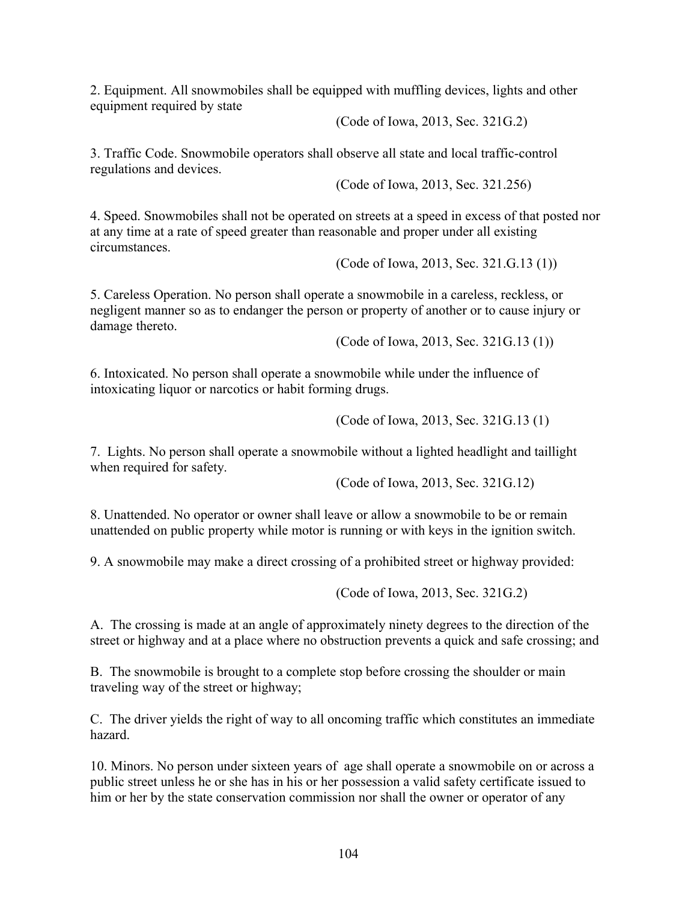2. Equipment. All snowmobiles shall be equipped with muffling devices, lights and other equipment required by state

(Code of Iowa, 2013, Sec. 321G.2)

3. Traffic Code. Snowmobile operators shall observe all state and local traffic-control regulations and devices.

(Code of Iowa, 2013, Sec. 321.256)

4. Speed. Snowmobiles shall not be operated on streets at a speed in excess of that posted nor at any time at a rate of speed greater than reasonable and proper under all existing circumstances.

(Code of Iowa, 2013, Sec. 321.G.13 (1))

5. Careless Operation. No person shall operate a snowmobile in a careless, reckless, or negligent manner so as to endanger the person or property of another or to cause injury or damage thereto.

(Code of Iowa, 2013, Sec. 321G.13 (1))

6. Intoxicated. No person shall operate a snowmobile while under the influence of intoxicating liquor or narcotics or habit forming drugs.

(Code of Iowa, 2013, Sec. 321G.13 (1)

7. Lights. No person shall operate a snowmobile without a lighted headlight and taillight when required for safety.

(Code of Iowa, 2013, Sec. 321G.12)

8. Unattended. No operator or owner shall leave or allow a snowmobile to be or remain unattended on public property while motor is running or with keys in the ignition switch.

9. A snowmobile may make a direct crossing of a prohibited street or highway provided:

(Code of Iowa, 2013, Sec. 321G.2)

A. The crossing is made at an angle of approximately ninety degrees to the direction of the street or highway and at a place where no obstruction prevents a quick and safe crossing; and

B. The snowmobile is brought to a complete stop before crossing the shoulder or main traveling way of the street or highway;

C. The driver yields the right of way to all oncoming traffic which constitutes an immediate hazard.

10. Minors. No person under sixteen years of age shall operate a snowmobile on or across a public street unless he or she has in his or her possession a valid safety certificate issued to him or her by the state conservation commission nor shall the owner or operator of any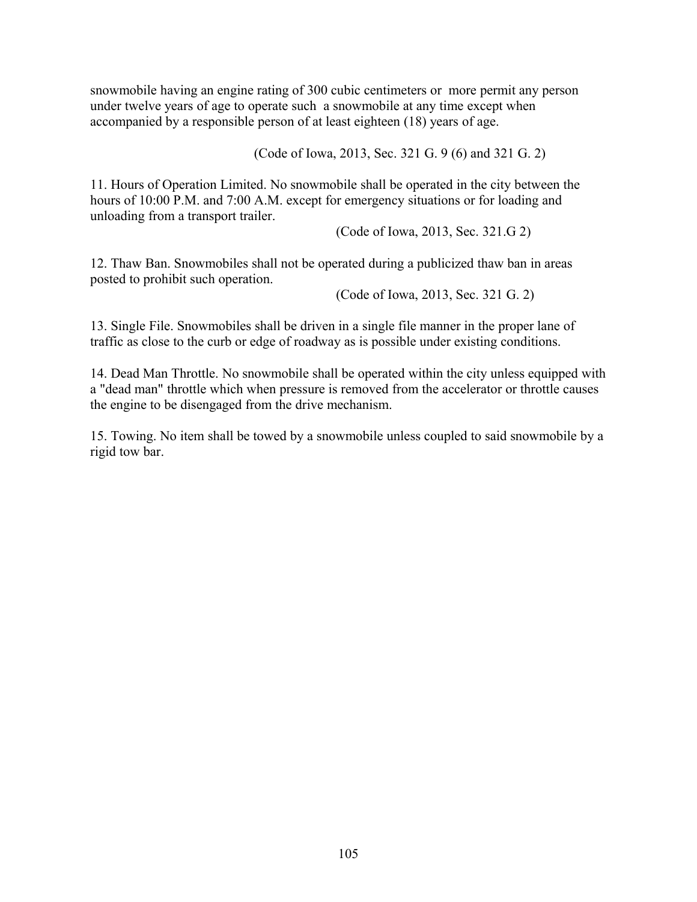snowmobile having an engine rating of 300 cubic centimeters or more permit any person under twelve years of age to operate such a snowmobile at any time except when accompanied by a responsible person of at least eighteen (18) years of age.

(Code of Iowa, 2013, Sec. 321 G. 9 (6) and 321 G. 2)

11. Hours of Operation Limited. No snowmobile shall be operated in the city between the hours of 10:00 P.M. and 7:00 A.M. except for emergency situations or for loading and unloading from a transport trailer.

(Code of Iowa, 2013, Sec. 321.G 2)

12. Thaw Ban. Snowmobiles shall not be operated during a publicized thaw ban in areas posted to prohibit such operation.

(Code of Iowa, 2013, Sec. 321 G. 2)

13. Single File. Snowmobiles shall be driven in a single file manner in the proper lane of traffic as close to the curb or edge of roadway as is possible under existing conditions.

14. Dead Man Throttle. No snowmobile shall be operated within the city unless equipped with a "dead man" throttle which when pressure is removed from the accelerator or throttle causes the engine to be disengaged from the drive mechanism.

15. Towing. No item shall be towed by a snowmobile unless coupled to said snowmobile by a rigid tow bar.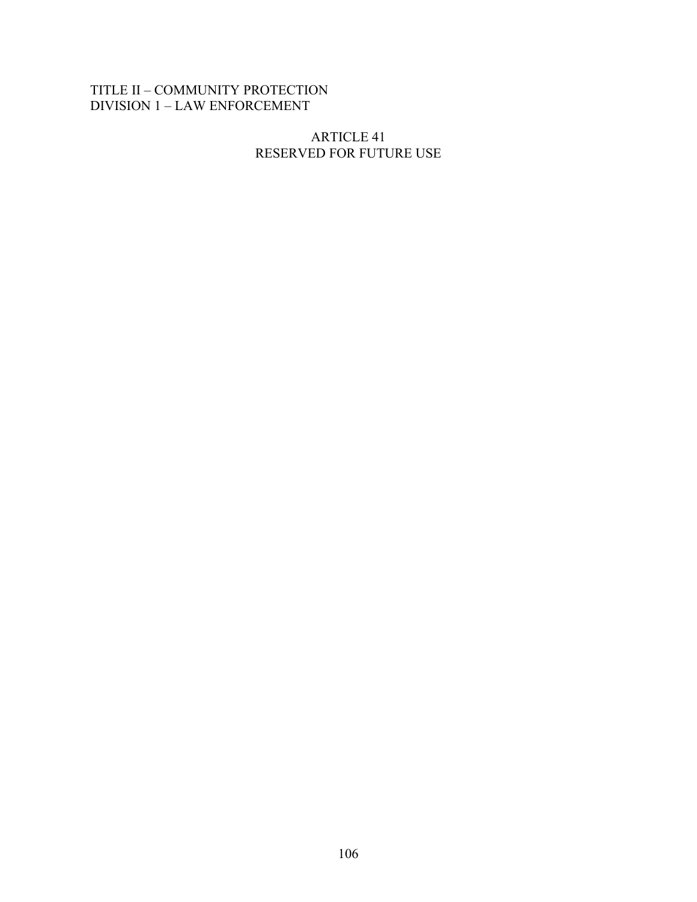# TITLE II – COMMUNITY PROTECTION DIVISION 1 – LAW ENFORCEMENT

### ARTICLE 41 RESERVED FOR FUTURE USE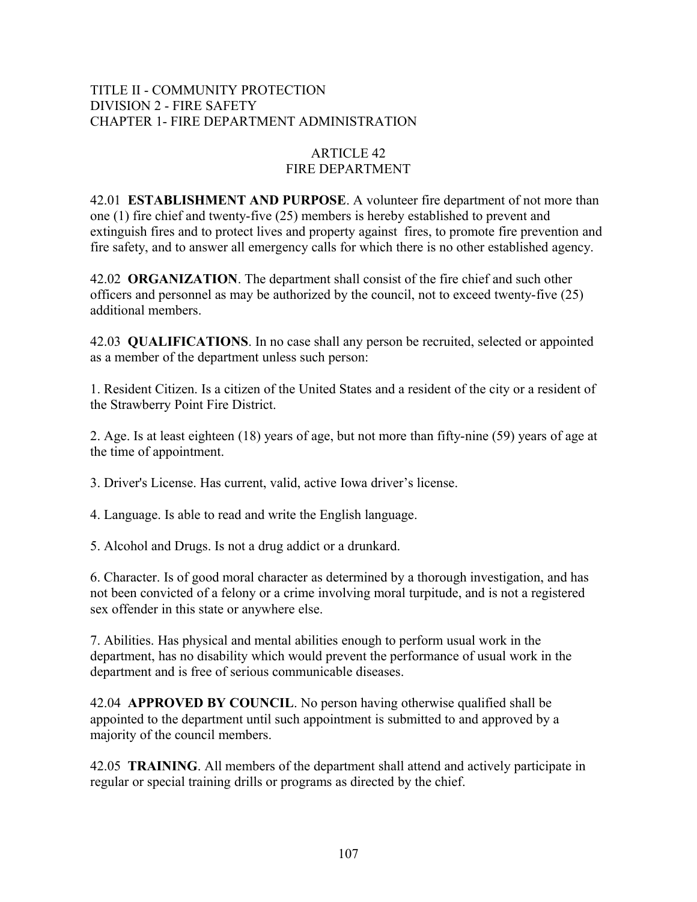### TITLE II - COMMUNITY PROTECTION DIVISION 2 - FIRE SAFETY CHAPTER 1- FIRE DEPARTMENT ADMINISTRATION

## ARTICLE 42 FIRE DEPARTMENT

42.01 **ESTABLISHMENT AND PURPOSE**. A volunteer fire department of not more than one (1) fire chief and twenty-five (25) members is hereby established to prevent and extinguish fires and to protect lives and property against fires, to promote fire prevention and fire safety, and to answer all emergency calls for which there is no other established agency.

42.02 **ORGANIZATION**. The department shall consist of the fire chief and such other officers and personnel as may be authorized by the council, not to exceed twenty-five (25) additional members.

42.03 **QUALIFICATIONS**. In no case shall any person be recruited, selected or appointed as a member of the department unless such person:

1. Resident Citizen. Is a citizen of the United States and a resident of the city or a resident of the Strawberry Point Fire District.

2. Age. Is at least eighteen (18) years of age, but not more than fifty-nine (59) years of age at the time of appointment.

3. Driver's License. Has current, valid, active Iowa driver's license.

4. Language. Is able to read and write the English language.

5. Alcohol and Drugs. Is not a drug addict or a drunkard.

6. Character. Is of good moral character as determined by a thorough investigation, and has not been convicted of a felony or a crime involving moral turpitude, and is not a registered sex offender in this state or anywhere else.

7. Abilities. Has physical and mental abilities enough to perform usual work in the department, has no disability which would prevent the performance of usual work in the department and is free of serious communicable diseases.

42.04 **APPROVED BY COUNCIL**. No person having otherwise qualified shall be appointed to the department until such appointment is submitted to and approved by a majority of the council members.

42.05 **TRAINING**. All members of the department shall attend and actively participate in regular or special training drills or programs as directed by the chief.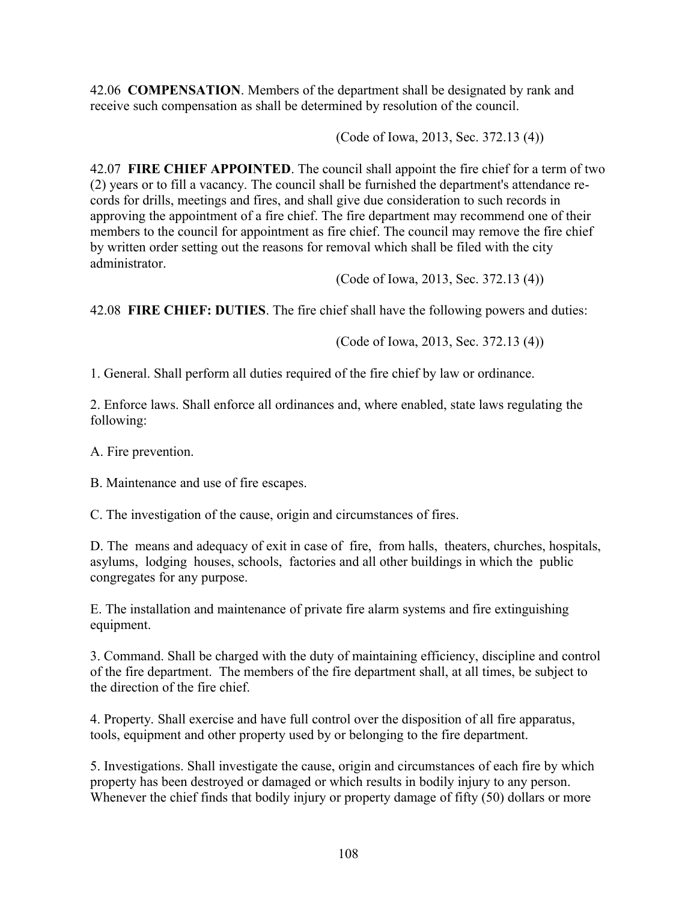42.06 **COMPENSATION**. Members of the department shall be designated by rank and receive such compensation as shall be determined by resolution of the council.

(Code of Iowa, 2013, Sec. 372.13 (4))

42.07 **FIRE CHIEF APPOINTED**. The council shall appoint the fire chief for a term of two (2) years or to fill a vacancy. The council shall be furnished the department's attendance records for drills, meetings and fires, and shall give due consideration to such records in approving the appointment of a fire chief. The fire department may recommend one of their members to the council for appointment as fire chief. The council may remove the fire chief by written order setting out the reasons for removal which shall be filed with the city administrator.

(Code of Iowa, 2013, Sec. 372.13 (4))

42.08 **FIRE CHIEF: DUTIES**. The fire chief shall have the following powers and duties:

(Code of Iowa, 2013, Sec. 372.13 (4))

1. General. Shall perform all duties required of the fire chief by law or ordinance.

2. Enforce laws. Shall enforce all ordinances and, where enabled, state laws regulating the following:

A. Fire prevention.

B. Maintenance and use of fire escapes.

C. The investigation of the cause, origin and circumstances of fires.

D. The means and adequacy of exit in case of fire, from halls, theaters, churches, hospitals, asylums, lodging houses, schools, factories and all other buildings in which the public congregates for any purpose.

E. The installation and maintenance of private fire alarm systems and fire extinguishing equipment.

3. Command. Shall be charged with the duty of maintaining efficiency, discipline and control of the fire department. The members of the fire department shall, at all times, be subject to the direction of the fire chief.

4. Property. Shall exercise and have full control over the disposition of all fire apparatus, tools, equipment and other property used by or belonging to the fire department.

5. Investigations. Shall investigate the cause, origin and circumstances of each fire by which property has been destroyed or damaged or which results in bodily injury to any person. Whenever the chief finds that bodily injury or property damage of fifty (50) dollars or more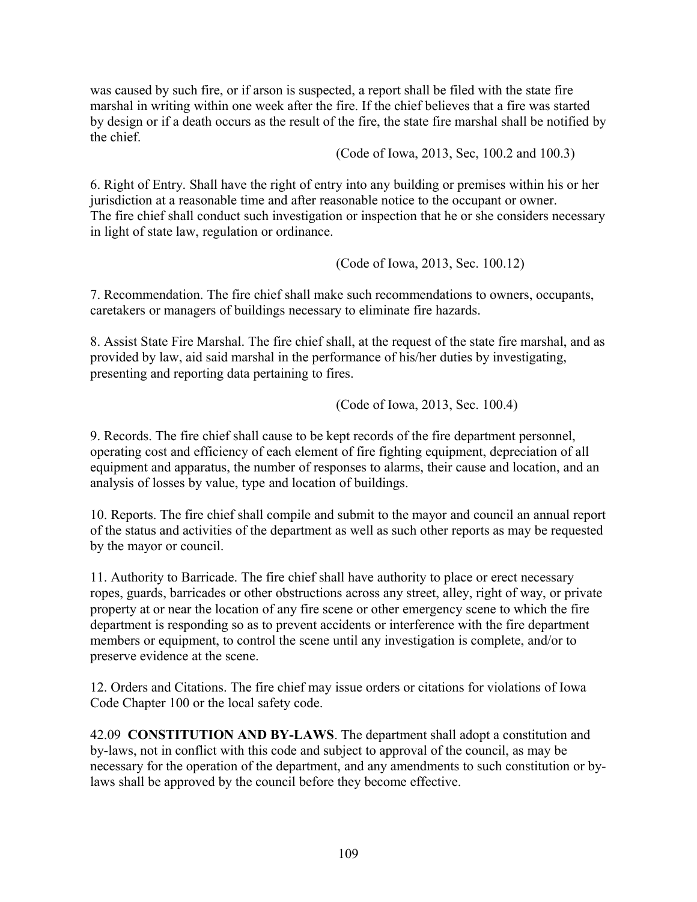was caused by such fire, or if arson is suspected, a report shall be filed with the state fire marshal in writing within one week after the fire. If the chief believes that a fire was started by design or if a death occurs as the result of the fire, the state fire marshal shall be notified by the chief.

(Code of Iowa, 2013, Sec, 100.2 and 100.3)

6. Right of Entry. Shall have the right of entry into any building or premises within his or her jurisdiction at a reasonable time and after reasonable notice to the occupant or owner. The fire chief shall conduct such investigation or inspection that he or she considers necessary in light of state law, regulation or ordinance.

(Code of Iowa, 2013, Sec. 100.12)

7. Recommendation. The fire chief shall make such recommendations to owners, occupants, caretakers or managers of buildings necessary to eliminate fire hazards.

8. Assist State Fire Marshal. The fire chief shall, at the request of the state fire marshal, and as provided by law, aid said marshal in the performance of his/her duties by investigating, presenting and reporting data pertaining to fires.

(Code of Iowa, 2013, Sec. 100.4)

9. Records. The fire chief shall cause to be kept records of the fire department personnel, operating cost and efficiency of each element of fire fighting equipment, depreciation of all equipment and apparatus, the number of responses to alarms, their cause and location, and an analysis of losses by value, type and location of buildings.

10. Reports. The fire chief shall compile and submit to the mayor and council an annual report of the status and activities of the department as well as such other reports as may be requested by the mayor or council.

11. Authority to Barricade. The fire chief shall have authority to place or erect necessary ropes, guards, barricades or other obstructions across any street, alley, right of way, or private property at or near the location of any fire scene or other emergency scene to which the fire department is responding so as to prevent accidents or interference with the fire department members or equipment, to control the scene until any investigation is complete, and/or to preserve evidence at the scene.

12. Orders and Citations. The fire chief may issue orders or citations for violations of Iowa Code Chapter 100 or the local safety code.

42.09 **CONSTITUTION AND BY-LAWS**. The department shall adopt a constitution and by-laws, not in conflict with this code and subject to approval of the council, as may be necessary for the operation of the department, and any amendments to such constitution or bylaws shall be approved by the council before they become effective.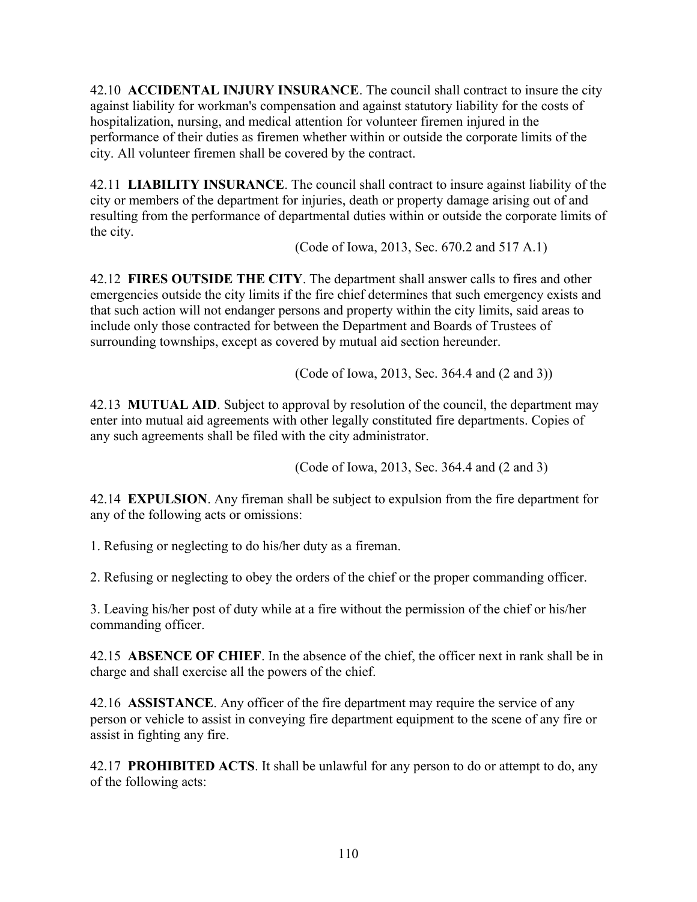42.10 **ACCIDENTAL INJURY INSURANCE**. The council shall contract to insure the city against liability for workman's compensation and against statutory liability for the costs of hospitalization, nursing, and medical attention for volunteer firemen injured in the performance of their duties as firemen whether within or outside the corporate limits of the city. All volunteer firemen shall be covered by the contract.

42.11 **LIABILITY INSURANCE**. The council shall contract to insure against liability of the city or members of the department for injuries, death or property damage arising out of and resulting from the performance of departmental duties within or outside the corporate limits of the city.

(Code of Iowa, 2013, Sec. 670.2 and 517 A.1)

42.12 **FIRES OUTSIDE THE CITY**. The department shall answer calls to fires and other emergencies outside the city limits if the fire chief determines that such emergency exists and that such action will not endanger persons and property within the city limits, said areas to include only those contracted for between the Department and Boards of Trustees of surrounding townships, except as covered by mutual aid section hereunder.

(Code of Iowa, 2013, Sec. 364.4 and (2 and 3))

42.13 **MUTUAL AID**. Subject to approval by resolution of the council, the department may enter into mutual aid agreements with other legally constituted fire departments. Copies of any such agreements shall be filed with the city administrator.

(Code of Iowa, 2013, Sec. 364.4 and (2 and 3)

42.14 **EXPULSION**. Any fireman shall be subject to expulsion from the fire department for any of the following acts or omissions:

1. Refusing or neglecting to do his/her duty as a fireman.

2. Refusing or neglecting to obey the orders of the chief or the proper commanding officer.

3. Leaving his/her post of duty while at a fire without the permission of the chief or his/her commanding officer.

42.15 **ABSENCE OF CHIEF**. In the absence of the chief, the officer next in rank shall be in charge and shall exercise all the powers of the chief.

42.16 **ASSISTANCE**. Any officer of the fire department may require the service of any person or vehicle to assist in conveying fire department equipment to the scene of any fire or assist in fighting any fire.

42.17 **PROHIBITED ACTS**. It shall be unlawful for any person to do or attempt to do, any of the following acts: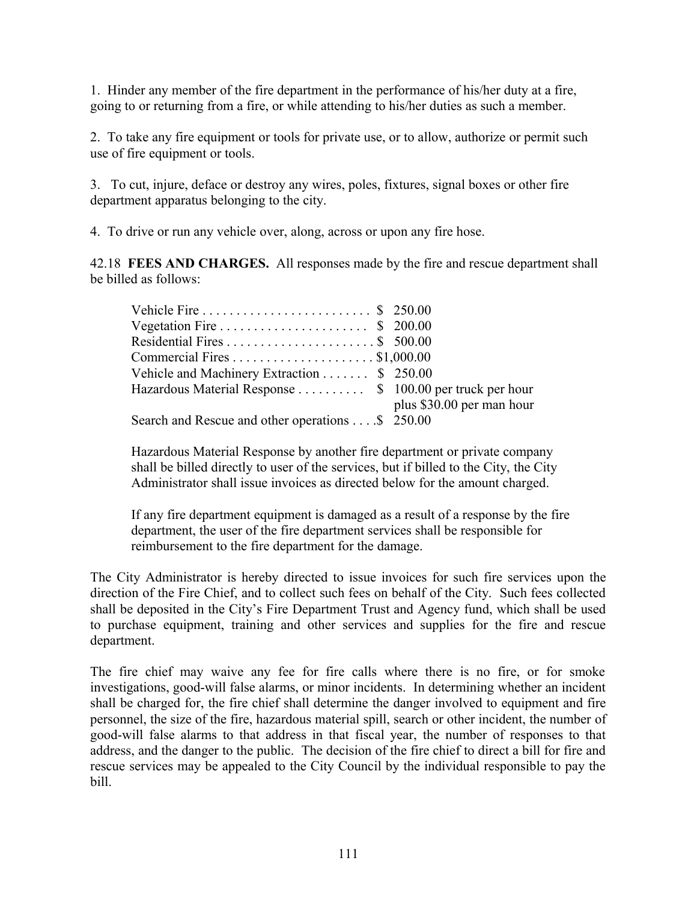1. Hinder any member of the fire department in the performance of his/her duty at a fire, going to or returning from a fire, or while attending to his/her duties as such a member.

2. To take any fire equipment or tools for private use, or to allow, authorize or permit such use of fire equipment or tools.

3. To cut, injure, deface or destroy any wires, poles, fixtures, signal boxes or other fire department apparatus belonging to the city.

4. To drive or run any vehicle over, along, across or upon any fire hose.

42.18 **FEES AND CHARGES.** All responses made by the fire and rescue department shall be billed as follows:

| Vehicle and Machinery Extraction \$ 250.00                |                           |
|-----------------------------------------------------------|---------------------------|
| Hazardous Material Response  \$ 100.00 per truck per hour |                           |
|                                                           | plus \$30.00 per man hour |
| Search and Rescue and other operations \$ 250.00          |                           |

Hazardous Material Response by another fire department or private company shall be billed directly to user of the services, but if billed to the City, the City Administrator shall issue invoices as directed below for the amount charged.

If any fire department equipment is damaged as a result of a response by the fire department, the user of the fire department services shall be responsible for reimbursement to the fire department for the damage.

The City Administrator is hereby directed to issue invoices for such fire services upon the direction of the Fire Chief, and to collect such fees on behalf of the City. Such fees collected shall be deposited in the City's Fire Department Trust and Agency fund, which shall be used to purchase equipment, training and other services and supplies for the fire and rescue department.

The fire chief may waive any fee for fire calls where there is no fire, or for smoke investigations, good-will false alarms, or minor incidents. In determining whether an incident shall be charged for, the fire chief shall determine the danger involved to equipment and fire personnel, the size of the fire, hazardous material spill, search or other incident, the number of good-will false alarms to that address in that fiscal year, the number of responses to that address, and the danger to the public. The decision of the fire chief to direct a bill for fire and rescue services may be appealed to the City Council by the individual responsible to pay the bill.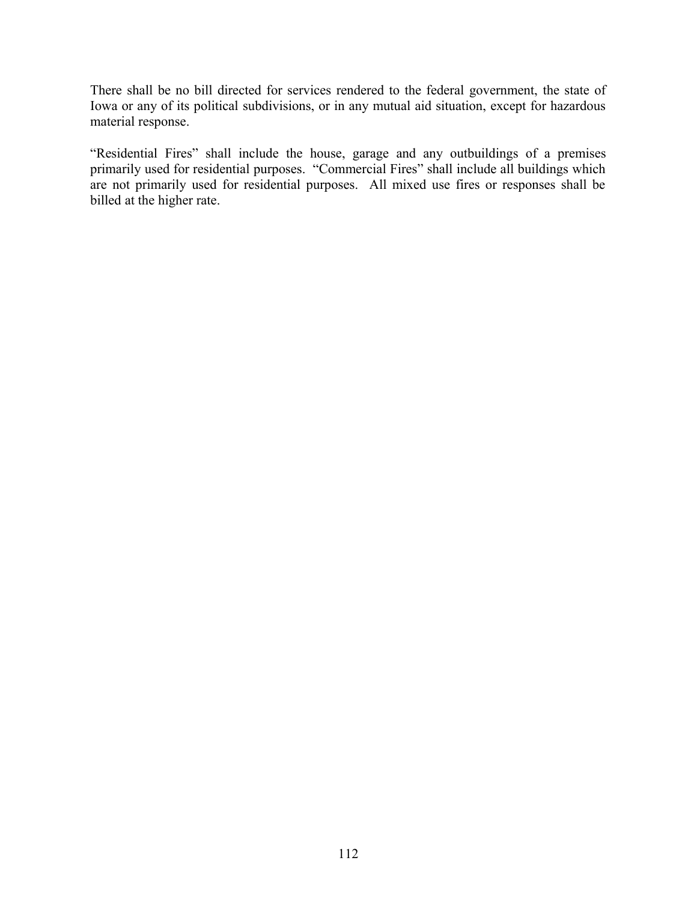There shall be no bill directed for services rendered to the federal government, the state of Iowa or any of its political subdivisions, or in any mutual aid situation, except for hazardous material response.

"Residential Fires" shall include the house, garage and any outbuildings of a premises primarily used for residential purposes. "Commercial Fires" shall include all buildings which are not primarily used for residential purposes. All mixed use fires or responses shall be billed at the higher rate.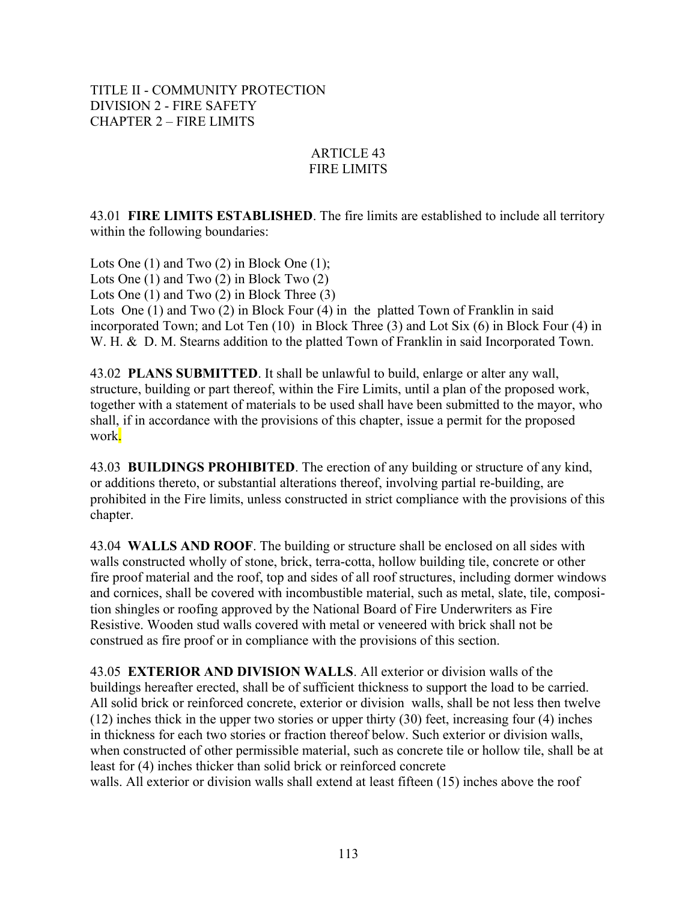TITLE II - COMMUNITY PROTECTION DIVISION 2 - FIRE SAFETY CHAPTER 2 – FIRE LIMITS

### ARTICLE 43 FIRE LIMITS

43.01 **FIRE LIMITS ESTABLISHED**. The fire limits are established to include all territory within the following boundaries:

Lots One (1) and Two (2) in Block One (1); Lots One (1) and Two (2) in Block Two (2) Lots One (1) and Two (2) in Block Three (3) Lots One (1) and Two (2) in Block Four (4) in the platted Town of Franklin in said incorporated Town; and Lot Ten (10) in Block Three (3) and Lot Six (6) in Block Four (4) in W. H. & D. M. Stearns addition to the platted Town of Franklin in said Incorporated Town.

43.02 **PLANS SUBMITTED**. It shall be unlawful to build, enlarge or alter any wall, structure, building or part thereof, within the Fire Limits, until a plan of the proposed work, together with a statement of materials to be used shall have been submitted to the mayor, who shall, if in accordance with the provisions of this chapter, issue a permit for the proposed work.

43.03 **BUILDINGS PROHIBITED**. The erection of any building or structure of any kind, or additions thereto, or substantial alterations thereof, involving partial re-building, are prohibited in the Fire limits, unless constructed in strict compliance with the provisions of this chapter.

43.04 **WALLS AND ROOF**. The building or structure shall be enclosed on all sides with walls constructed wholly of stone, brick, terra-cotta, hollow building tile, concrete or other fire proof material and the roof, top and sides of all roof structures, including dormer windows and cornices, shall be covered with incombustible material, such as metal, slate, tile, composition shingles or roofing approved by the National Board of Fire Underwriters as Fire Resistive. Wooden stud walls covered with metal or veneered with brick shall not be construed as fire proof or in compliance with the provisions of this section.

43.05 **EXTERIOR AND DIVISION WALLS**. All exterior or division walls of the buildings hereafter erected, shall be of sufficient thickness to support the load to be carried. All solid brick or reinforced concrete, exterior or division walls, shall be not less then twelve (12) inches thick in the upper two stories or upper thirty (30) feet, increasing four (4) inches in thickness for each two stories or fraction thereof below. Such exterior or division walls, when constructed of other permissible material, such as concrete tile or hollow tile, shall be at least for (4) inches thicker than solid brick or reinforced concrete walls. All exterior or division walls shall extend at least fifteen (15) inches above the roof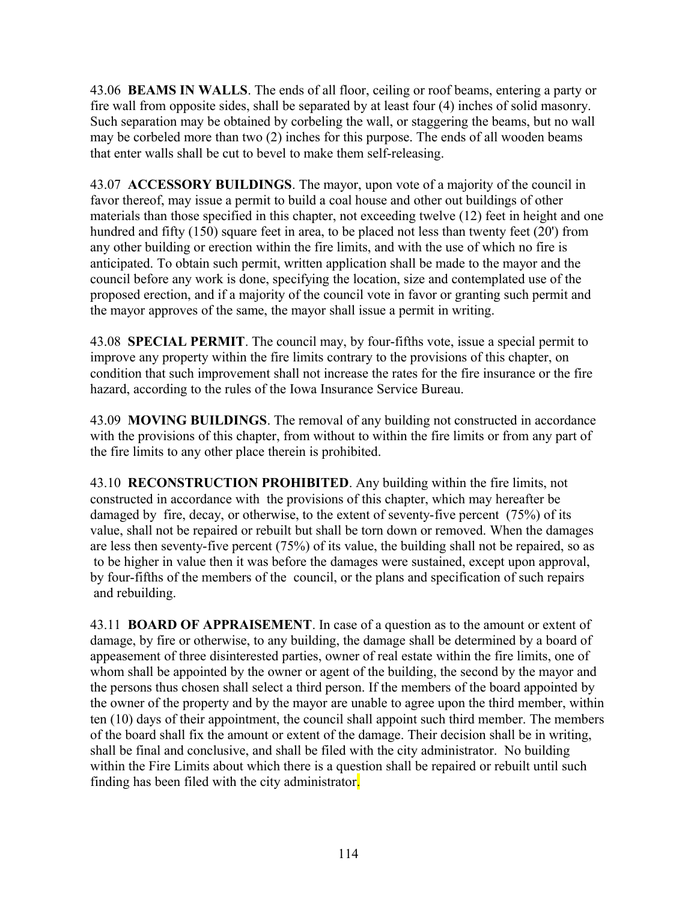43.06 **BEAMS IN WALLS**. The ends of all floor, ceiling or roof beams, entering a party or fire wall from opposite sides, shall be separated by at least four (4) inches of solid masonry. Such separation may be obtained by corbeling the wall, or staggering the beams, but no wall may be corbeled more than two (2) inches for this purpose. The ends of all wooden beams that enter walls shall be cut to bevel to make them self-releasing.

43.07 **ACCESSORY BUILDINGS**. The mayor, upon vote of a majority of the council in favor thereof, may issue a permit to build a coal house and other out buildings of other materials than those specified in this chapter, not exceeding twelve (12) feet in height and one hundred and fifty (150) square feet in area, to be placed not less than twenty feet (20') from any other building or erection within the fire limits, and with the use of which no fire is anticipated. To obtain such permit, written application shall be made to the mayor and the council before any work is done, specifying the location, size and contemplated use of the proposed erection, and if a majority of the council vote in favor or granting such permit and the mayor approves of the same, the mayor shall issue a permit in writing.

43.08 **SPECIAL PERMIT**. The council may, by four-fifths vote, issue a special permit to improve any property within the fire limits contrary to the provisions of this chapter, on condition that such improvement shall not increase the rates for the fire insurance or the fire hazard, according to the rules of the Iowa Insurance Service Bureau.

43.09 **MOVING BUILDINGS**. The removal of any building not constructed in accordance with the provisions of this chapter, from without to within the fire limits or from any part of the fire limits to any other place therein is prohibited.

43.10 **RECONSTRUCTION PROHIBITED**. Any building within the fire limits, not constructed in accordance with the provisions of this chapter, which may hereafter be damaged by fire, decay, or otherwise, to the extent of seventy-five percent (75%) of its value, shall not be repaired or rebuilt but shall be torn down or removed. When the damages are less then seventy-five percent (75%) of its value, the building shall not be repaired, so as to be higher in value then it was before the damages were sustained, except upon approval, by four-fifths of the members of the council, or the plans and specification of such repairs and rebuilding.

43.11 **BOARD OF APPRAISEMENT**. In case of a question as to the amount or extent of damage, by fire or otherwise, to any building, the damage shall be determined by a board of appeasement of three disinterested parties, owner of real estate within the fire limits, one of whom shall be appointed by the owner or agent of the building, the second by the mayor and the persons thus chosen shall select a third person. If the members of the board appointed by the owner of the property and by the mayor are unable to agree upon the third member, within ten (10) days of their appointment, the council shall appoint such third member. The members of the board shall fix the amount or extent of the damage. Their decision shall be in writing, shall be final and conclusive, and shall be filed with the city administrator. No building within the Fire Limits about which there is a question shall be repaired or rebuilt until such finding has been filed with the city administrator.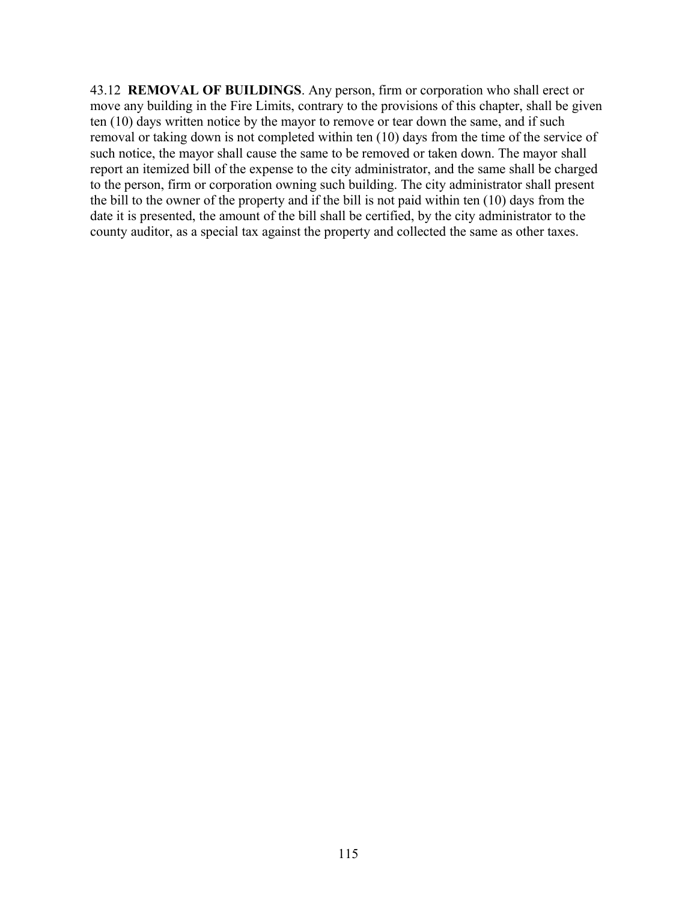43.12 **REMOVAL OF BUILDINGS**. Any person, firm or corporation who shall erect or move any building in the Fire Limits, contrary to the provisions of this chapter, shall be given ten (10) days written notice by the mayor to remove or tear down the same, and if such removal or taking down is not completed within ten (10) days from the time of the service of such notice, the mayor shall cause the same to be removed or taken down. The mayor shall report an itemized bill of the expense to the city administrator, and the same shall be charged to the person, firm or corporation owning such building. The city administrator shall present the bill to the owner of the property and if the bill is not paid within ten (10) days from the date it is presented, the amount of the bill shall be certified, by the city administrator to the county auditor, as a special tax against the property and collected the same as other taxes.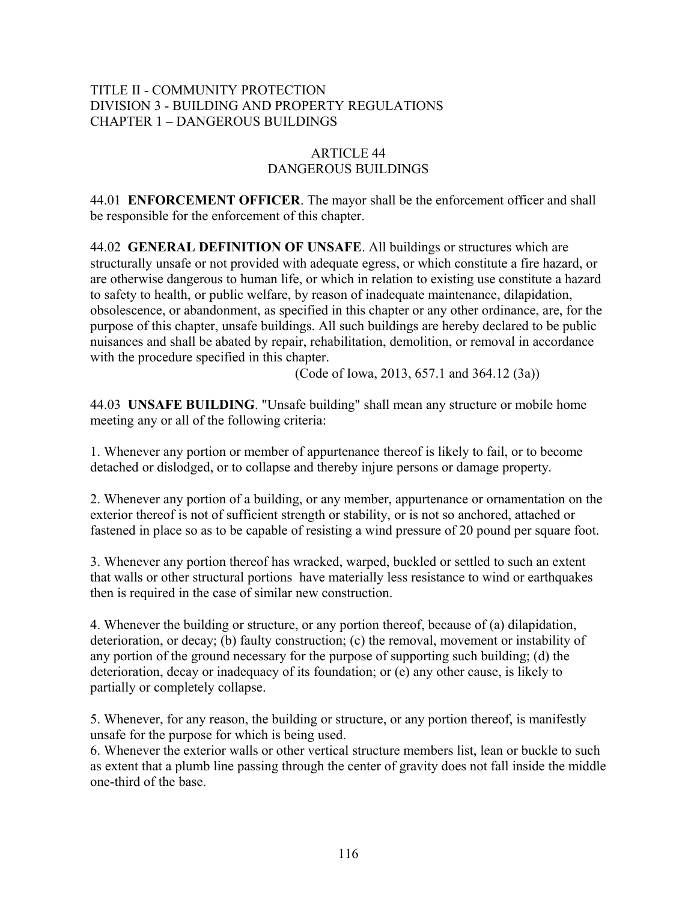## TITLE II - COMMUNITY PROTECTION DIVISION 3 - BUILDING AND PROPERTY REGULATIONS CHAPTER 1 – DANGEROUS BUILDINGS

### ARTICLE 44 DANGEROUS BUILDINGS

44.01 **ENFORCEMENT OFFICER**. The mayor shall be the enforcement officer and shall be responsible for the enforcement of this chapter.

44.02 **GENERAL DEFINITION OF UNSAFE**. All buildings or structures which are structurally unsafe or not provided with adequate egress, or which constitute a fire hazard, or are otherwise dangerous to human life, or which in relation to existing use constitute a hazard to safety to health, or public welfare, by reason of inadequate maintenance, dilapidation, obsolescence, or abandonment, as specified in this chapter or any other ordinance, are, for the purpose of this chapter, unsafe buildings. All such buildings are hereby declared to be public nuisances and shall be abated by repair, rehabilitation, demolition, or removal in accordance with the procedure specified in this chapter.

(Code of Iowa, 2013, 657.1 and 364.12 (3a))

44.03 **UNSAFE BUILDING**. "Unsafe building" shall mean any structure or mobile home meeting any or all of the following criteria:

1. Whenever any portion or member of appurtenance thereof is likely to fail, or to become detached or dislodged, or to collapse and thereby injure persons or damage property.

2. Whenever any portion of a building, or any member, appurtenance or ornamentation on the exterior thereof is not of sufficient strength or stability, or is not so anchored, attached or fastened in place so as to be capable of resisting a wind pressure of 20 pound per square foot.

3. Whenever any portion thereof has wracked, warped, buckled or settled to such an extent that walls or other structural portions have materially less resistance to wind or earthquakes then is required in the case of similar new construction.

4. Whenever the building or structure, or any portion thereof, because of (a) dilapidation, deterioration, or decay; (b) faulty construction; (c) the removal, movement or instability of any portion of the ground necessary for the purpose of supporting such building; (d) the deterioration, decay or inadequacy of its foundation; or (e) any other cause, is likely to partially or completely collapse.

5. Whenever, for any reason, the building or structure, or any portion thereof, is manifestly unsafe for the purpose for which is being used.

6. Whenever the exterior walls or other vertical structure members list, lean or buckle to such as extent that a plumb line passing through the center of gravity does not fall inside the middle one-third of the base.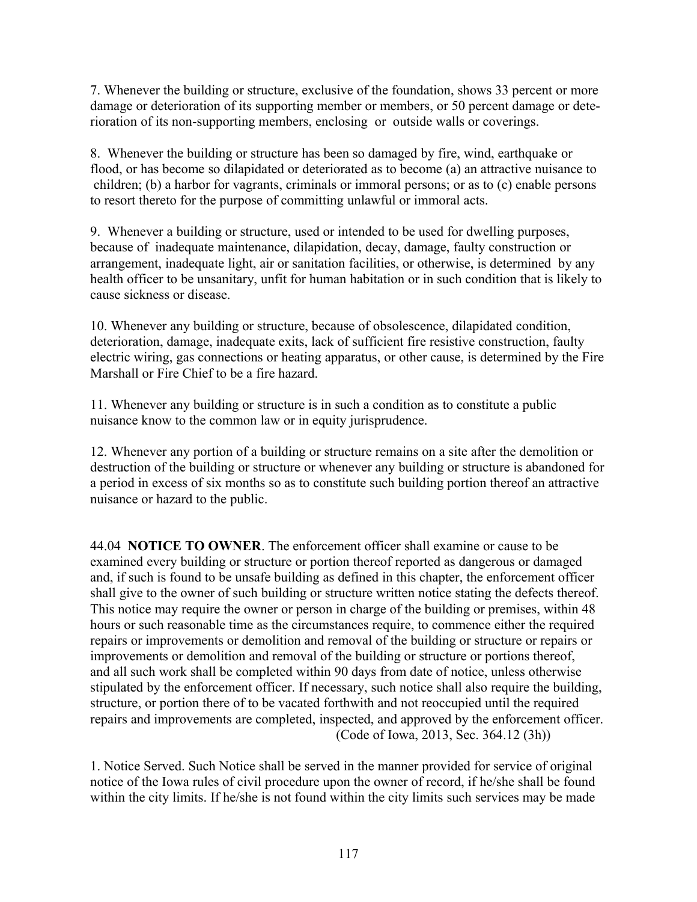7. Whenever the building or structure, exclusive of the foundation, shows 33 percent or more damage or deterioration of its supporting member or members, or 50 percent damage or deterioration of its non-supporting members, enclosing or outside walls or coverings.

8. Whenever the building or structure has been so damaged by fire, wind, earthquake or flood, or has become so dilapidated or deteriorated as to become (a) an attractive nuisance to children; (b) a harbor for vagrants, criminals or immoral persons; or as to (c) enable persons to resort thereto for the purpose of committing unlawful or immoral acts.

9. Whenever a building or structure, used or intended to be used for dwelling purposes, because of inadequate maintenance, dilapidation, decay, damage, faulty construction or arrangement, inadequate light, air or sanitation facilities, or otherwise, is determined by any health officer to be unsanitary, unfit for human habitation or in such condition that is likely to cause sickness or disease.

10. Whenever any building or structure, because of obsolescence, dilapidated condition, deterioration, damage, inadequate exits, lack of sufficient fire resistive construction, faulty electric wiring, gas connections or heating apparatus, or other cause, is determined by the Fire Marshall or Fire Chief to be a fire hazard.

11. Whenever any building or structure is in such a condition as to constitute a public nuisance know to the common law or in equity jurisprudence.

12. Whenever any portion of a building or structure remains on a site after the demolition or destruction of the building or structure or whenever any building or structure is abandoned for a period in excess of six months so as to constitute such building portion thereof an attractive nuisance or hazard to the public.

44.04 **NOTICE TO OWNER**. The enforcement officer shall examine or cause to be examined every building or structure or portion thereof reported as dangerous or damaged and, if such is found to be unsafe building as defined in this chapter, the enforcement officer shall give to the owner of such building or structure written notice stating the defects thereof. This notice may require the owner or person in charge of the building or premises, within 48 hours or such reasonable time as the circumstances require, to commence either the required repairs or improvements or demolition and removal of the building or structure or repairs or improvements or demolition and removal of the building or structure or portions thereof, and all such work shall be completed within 90 days from date of notice, unless otherwise stipulated by the enforcement officer. If necessary, such notice shall also require the building, structure, or portion there of to be vacated forthwith and not reoccupied until the required repairs and improvements are completed, inspected, and approved by the enforcement officer. (Code of Iowa, 2013, Sec. 364.12 (3h))

1. Notice Served. Such Notice shall be served in the manner provided for service of original notice of the Iowa rules of civil procedure upon the owner of record, if he/she shall be found within the city limits. If he/she is not found within the city limits such services may be made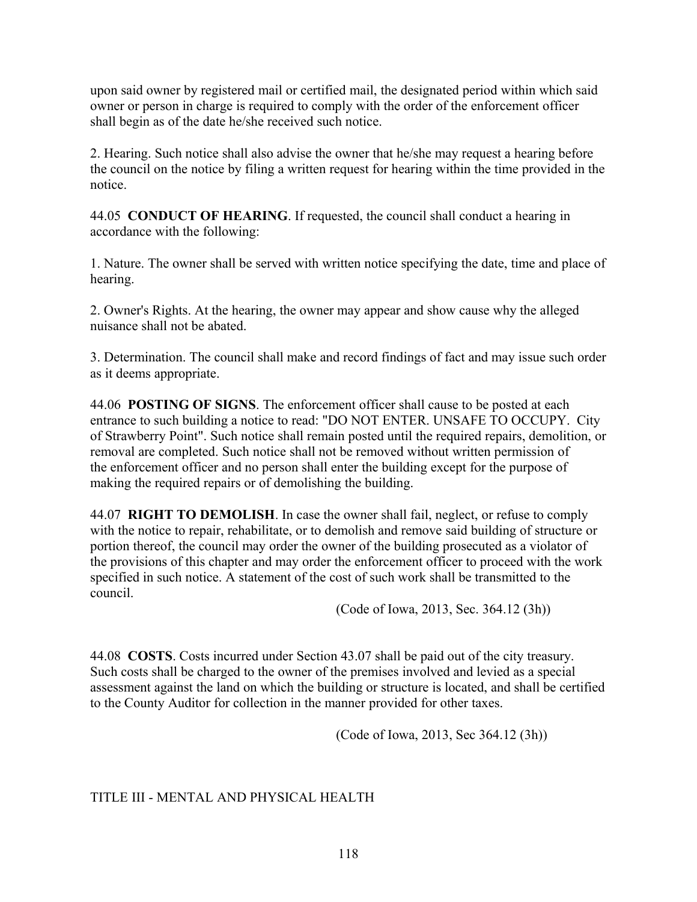upon said owner by registered mail or certified mail, the designated period within which said owner or person in charge is required to comply with the order of the enforcement officer shall begin as of the date he/she received such notice.

2. Hearing. Such notice shall also advise the owner that he/she may request a hearing before the council on the notice by filing a written request for hearing within the time provided in the notice.

44.05 **CONDUCT OF HEARING**. If requested, the council shall conduct a hearing in accordance with the following:

1. Nature. The owner shall be served with written notice specifying the date, time and place of hearing.

2. Owner's Rights. At the hearing, the owner may appear and show cause why the alleged nuisance shall not be abated.

3. Determination. The council shall make and record findings of fact and may issue such order as it deems appropriate.

44.06 **POSTING OF SIGNS**. The enforcement officer shall cause to be posted at each entrance to such building a notice to read: "DO NOT ENTER. UNSAFE TO OCCUPY. City of Strawberry Point". Such notice shall remain posted until the required repairs, demolition, or removal are completed. Such notice shall not be removed without written permission of the enforcement officer and no person shall enter the building except for the purpose of making the required repairs or of demolishing the building.

44.07 **RIGHT TO DEMOLISH**. In case the owner shall fail, neglect, or refuse to comply with the notice to repair, rehabilitate, or to demolish and remove said building of structure or portion thereof, the council may order the owner of the building prosecuted as a violator of the provisions of this chapter and may order the enforcement officer to proceed with the work specified in such notice. A statement of the cost of such work shall be transmitted to the council.

(Code of Iowa, 2013, Sec. 364.12 (3h))

44.08 **COSTS**. Costs incurred under Section 43.07 shall be paid out of the city treasury. Such costs shall be charged to the owner of the premises involved and levied as a special assessment against the land on which the building or structure is located, and shall be certified to the County Auditor for collection in the manner provided for other taxes.

(Code of Iowa, 2013, Sec 364.12 (3h))

# TITLE III - MENTAL AND PHYSICAL HEALTH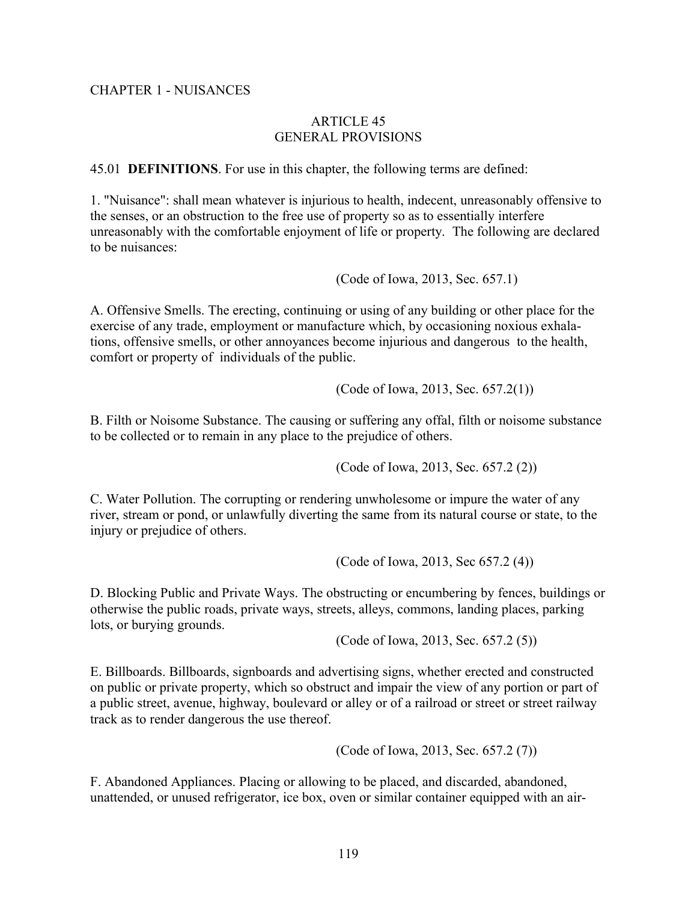#### CHAPTER 1 - NUISANCES

#### ARTICLE 45 GENERAL PROVISIONS

45.01 **DEFINITIONS**. For use in this chapter, the following terms are defined:

1. "Nuisance": shall mean whatever is injurious to health, indecent, unreasonably offensive to the senses, or an obstruction to the free use of property so as to essentially interfere unreasonably with the comfortable enjoyment of life or property. The following are declared to be nuisances:

(Code of Iowa, 2013, Sec. 657.1)

A. Offensive Smells. The erecting, continuing or using of any building or other place for the exercise of any trade, employment or manufacture which, by occasioning noxious exhalations, offensive smells, or other annoyances become injurious and dangerous to the health, comfort or property of individuals of the public.

(Code of Iowa, 2013, Sec. 657.2(1))

B. Filth or Noisome Substance. The causing or suffering any offal, filth or noisome substance to be collected or to remain in any place to the prejudice of others.

(Code of Iowa, 2013, Sec. 657.2 (2))

C. Water Pollution. The corrupting or rendering unwholesome or impure the water of any river, stream or pond, or unlawfully diverting the same from its natural course or state, to the injury or prejudice of others.

(Code of Iowa, 2013, Sec 657.2 (4))

D. Blocking Public and Private Ways. The obstructing or encumbering by fences, buildings or otherwise the public roads, private ways, streets, alleys, commons, landing places, parking lots, or burying grounds.

(Code of Iowa, 2013, Sec. 657.2 (5))

E. Billboards. Billboards, signboards and advertising signs, whether erected and constructed on public or private property, which so obstruct and impair the view of any portion or part of a public street, avenue, highway, boulevard or alley or of a railroad or street or street railway track as to render dangerous the use thereof.

(Code of Iowa, 2013, Sec. 657.2 (7))

F. Abandoned Appliances. Placing or allowing to be placed, and discarded, abandoned, unattended, or unused refrigerator, ice box, oven or similar container equipped with an air-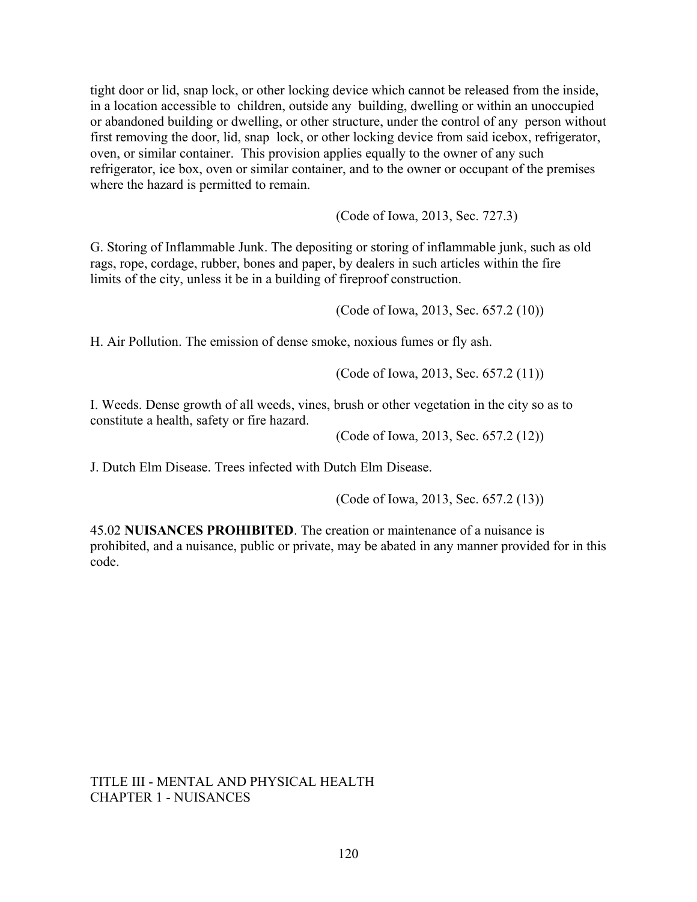tight door or lid, snap lock, or other locking device which cannot be released from the inside, in a location accessible to children, outside any building, dwelling or within an unoccupied or abandoned building or dwelling, or other structure, under the control of any person without first removing the door, lid, snap lock, or other locking device from said icebox, refrigerator, oven, or similar container. This provision applies equally to the owner of any such refrigerator, ice box, oven or similar container, and to the owner or occupant of the premises where the hazard is permitted to remain.

(Code of Iowa, 2013, Sec. 727.3)

G. Storing of Inflammable Junk. The depositing or storing of inflammable junk, such as old rags, rope, cordage, rubber, bones and paper, by dealers in such articles within the fire limits of the city, unless it be in a building of fireproof construction.

(Code of Iowa, 2013, Sec. 657.2 (10))

H. Air Pollution. The emission of dense smoke, noxious fumes or fly ash.

(Code of Iowa, 2013, Sec. 657.2 (11))

I. Weeds. Dense growth of all weeds, vines, brush or other vegetation in the city so as to constitute a health, safety or fire hazard.

(Code of Iowa, 2013, Sec. 657.2 (12))

J. Dutch Elm Disease. Trees infected with Dutch Elm Disease.

(Code of Iowa, 2013, Sec. 657.2 (13))

45.02 **NUISANCES PROHIBITED**. The creation or maintenance of a nuisance is prohibited, and a nuisance, public or private, may be abated in any manner provided for in this code.

#### TITLE III - MENTAL AND PHYSICAL HEALTH CHAPTER 1 - NUISANCES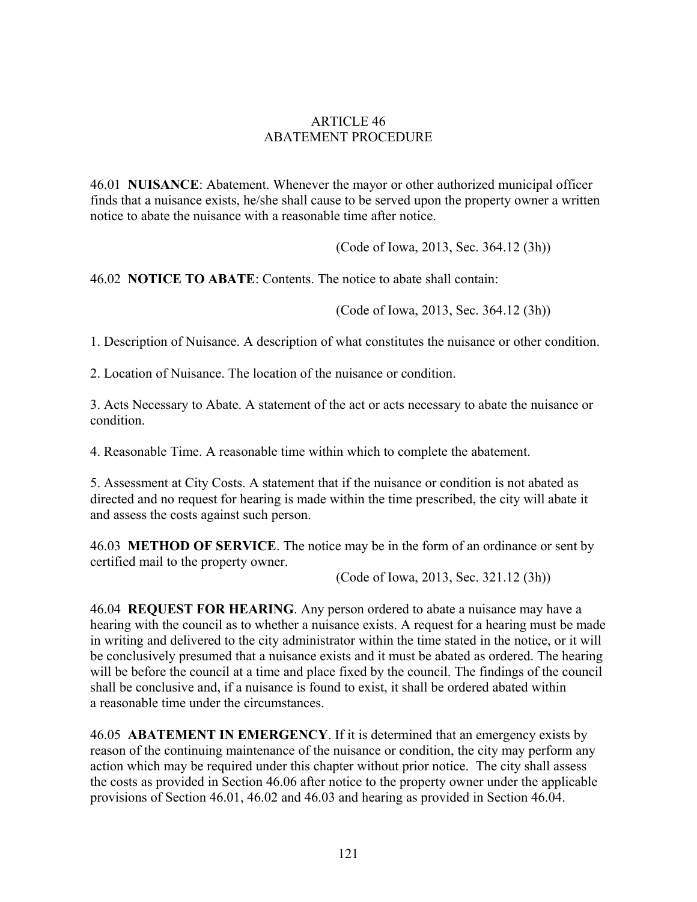### ARTICLE 46 ABATEMENT PROCEDURE

46.01 **NUISANCE**: Abatement. Whenever the mayor or other authorized municipal officer finds that a nuisance exists, he/she shall cause to be served upon the property owner a written notice to abate the nuisance with a reasonable time after notice.

(Code of Iowa, 2013, Sec. 364.12 (3h))

46.02 **NOTICE TO ABATE**: Contents. The notice to abate shall contain:

(Code of Iowa, 2013, Sec. 364.12 (3h))

1. Description of Nuisance. A description of what constitutes the nuisance or other condition.

2. Location of Nuisance. The location of the nuisance or condition.

3. Acts Necessary to Abate. A statement of the act or acts necessary to abate the nuisance or condition.

4. Reasonable Time. A reasonable time within which to complete the abatement.

5. Assessment at City Costs. A statement that if the nuisance or condition is not abated as directed and no request for hearing is made within the time prescribed, the city will abate it and assess the costs against such person.

46.03 **METHOD OF SERVICE**. The notice may be in the form of an ordinance or sent by certified mail to the property owner.

(Code of Iowa, 2013, Sec. 321.12 (3h))

46.04 **REQUEST FOR HEARING**. Any person ordered to abate a nuisance may have a hearing with the council as to whether a nuisance exists. A request for a hearing must be made in writing and delivered to the city administrator within the time stated in the notice, or it will be conclusively presumed that a nuisance exists and it must be abated as ordered. The hearing will be before the council at a time and place fixed by the council. The findings of the council shall be conclusive and, if a nuisance is found to exist, it shall be ordered abated within a reasonable time under the circumstances.

46.05 **ABATEMENT IN EMERGENCY**. If it is determined that an emergency exists by reason of the continuing maintenance of the nuisance or condition, the city may perform any action which may be required under this chapter without prior notice. The city shall assess the costs as provided in Section 46.06 after notice to the property owner under the applicable provisions of Section 46.01, 46.02 and 46.03 and hearing as provided in Section 46.04.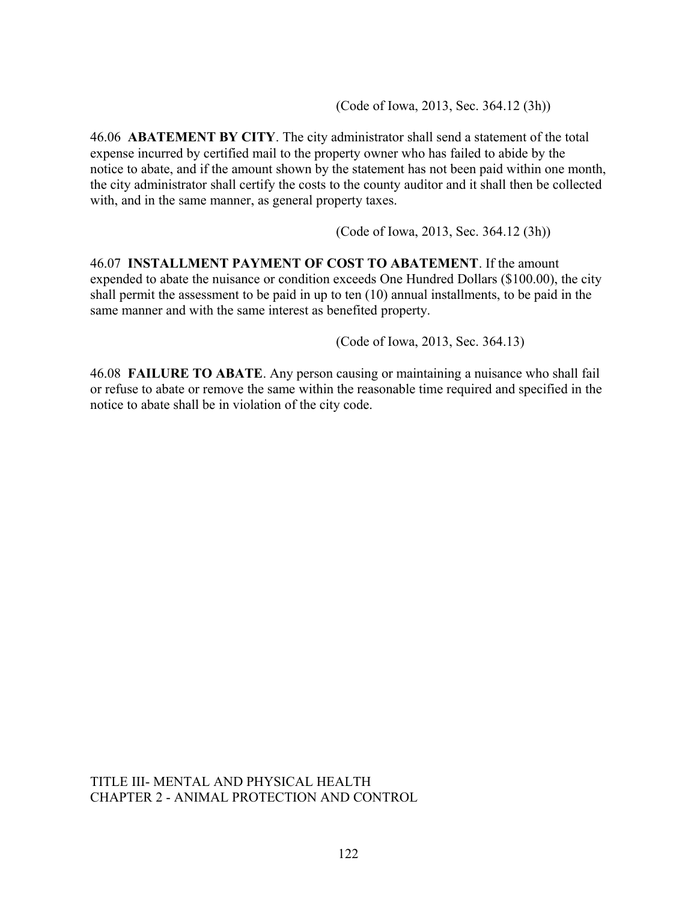(Code of Iowa, 2013, Sec. 364.12 (3h))

46.06 **ABATEMENT BY CITY**. The city administrator shall send a statement of the total expense incurred by certified mail to the property owner who has failed to abide by the notice to abate, and if the amount shown by the statement has not been paid within one month, the city administrator shall certify the costs to the county auditor and it shall then be collected with, and in the same manner, as general property taxes.

(Code of Iowa, 2013, Sec. 364.12 (3h))

46.07 **INSTALLMENT PAYMENT OF COST TO ABATEMENT**. If the amount expended to abate the nuisance or condition exceeds One Hundred Dollars (\$100.00), the city shall permit the assessment to be paid in up to ten (10) annual installments, to be paid in the same manner and with the same interest as benefited property.

(Code of Iowa, 2013, Sec. 364.13)

46.08 **FAILURE TO ABATE**. Any person causing or maintaining a nuisance who shall fail or refuse to abate or remove the same within the reasonable time required and specified in the notice to abate shall be in violation of the city code.

TITLE III- MENTAL AND PHYSICAL HEALTH CHAPTER 2 - ANIMAL PROTECTION AND CONTROL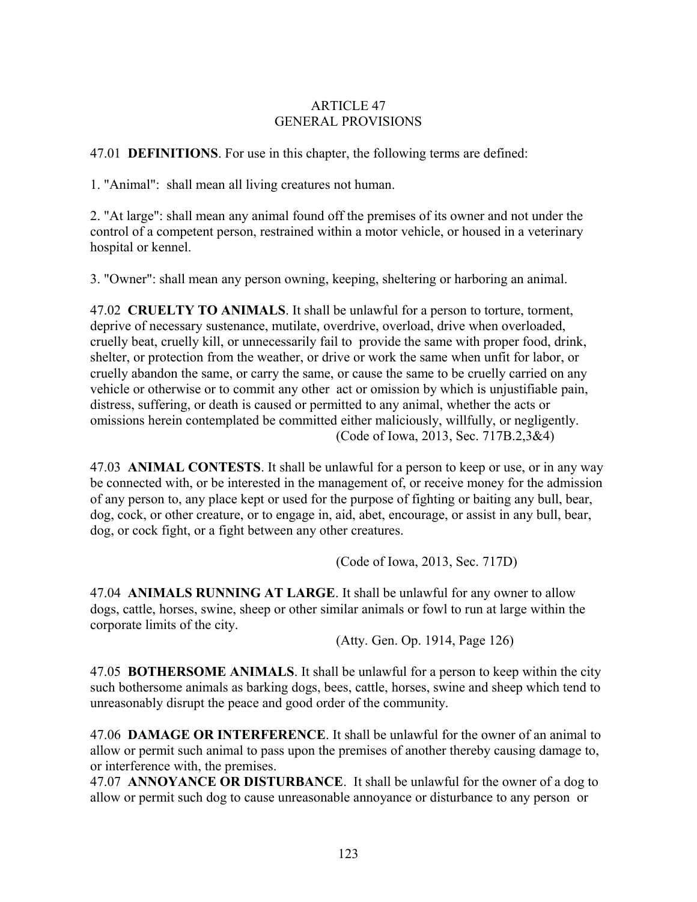## ARTICLE 47 GENERAL PROVISIONS

47.01 **DEFINITIONS**. For use in this chapter, the following terms are defined:

1. "Animal": shall mean all living creatures not human.

2. "At large": shall mean any animal found off the premises of its owner and not under the control of a competent person, restrained within a motor vehicle, or housed in a veterinary hospital or kennel.

3. "Owner": shall mean any person owning, keeping, sheltering or harboring an animal.

47.02 **CRUELTY TO ANIMALS**. It shall be unlawful for a person to torture, torment, deprive of necessary sustenance, mutilate, overdrive, overload, drive when overloaded, cruelly beat, cruelly kill, or unnecessarily fail to provide the same with proper food, drink, shelter, or protection from the weather, or drive or work the same when unfit for labor, or cruelly abandon the same, or carry the same, or cause the same to be cruelly carried on any vehicle or otherwise or to commit any other act or omission by which is unjustifiable pain, distress, suffering, or death is caused or permitted to any animal, whether the acts or omissions herein contemplated be committed either maliciously, willfully, or negligently. (Code of Iowa, 2013, Sec. 717B.2,3&4)

47.03 **ANIMAL CONTESTS**. It shall be unlawful for a person to keep or use, or in any way be connected with, or be interested in the management of, or receive money for the admission of any person to, any place kept or used for the purpose of fighting or baiting any bull, bear, dog, cock, or other creature, or to engage in, aid, abet, encourage, or assist in any bull, bear, dog, or cock fight, or a fight between any other creatures.

(Code of Iowa, 2013, Sec. 717D)

47.04 **ANIMALS RUNNING AT LARGE**. It shall be unlawful for any owner to allow dogs, cattle, horses, swine, sheep or other similar animals or fowl to run at large within the corporate limits of the city.

(Atty. Gen. Op. 1914, Page 126)

47.05 **BOTHERSOME ANIMALS**. It shall be unlawful for a person to keep within the city such bothersome animals as barking dogs, bees, cattle, horses, swine and sheep which tend to unreasonably disrupt the peace and good order of the community.

47.06 **DAMAGE OR INTERFERENCE**. It shall be unlawful for the owner of an animal to allow or permit such animal to pass upon the premises of another thereby causing damage to, or interference with, the premises.

47.07 **ANNOYANCE OR DISTURBANCE**. It shall be unlawful for the owner of a dog to allow or permit such dog to cause unreasonable annoyance or disturbance to any person or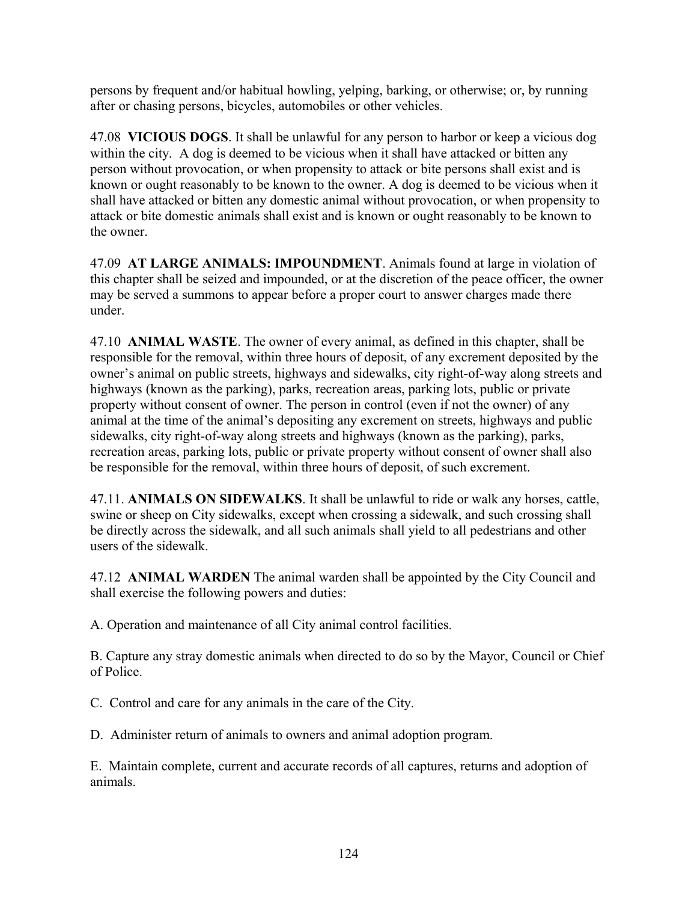persons by frequent and/or habitual howling, yelping, barking, or otherwise; or, by running after or chasing persons, bicycles, automobiles or other vehicles.

47.08 **VICIOUS DOGS**. It shall be unlawful for any person to harbor or keep a vicious dog within the city. A dog is deemed to be vicious when it shall have attacked or bitten any person without provocation, or when propensity to attack or bite persons shall exist and is known or ought reasonably to be known to the owner. A dog is deemed to be vicious when it shall have attacked or bitten any domestic animal without provocation, or when propensity to attack or bite domestic animals shall exist and is known or ought reasonably to be known to the owner.

47.09 **AT LARGE ANIMALS: IMPOUNDMENT**. Animals found at large in violation of this chapter shall be seized and impounded, or at the discretion of the peace officer, the owner may be served a summons to appear before a proper court to answer charges made there under.

47.10 **ANIMAL WASTE**. The owner of every animal, as defined in this chapter, shall be responsible for the removal, within three hours of deposit, of any excrement deposited by the owner's animal on public streets, highways and sidewalks, city right-of-way along streets and highways (known as the parking), parks, recreation areas, parking lots, public or private property without consent of owner. The person in control (even if not the owner) of any animal at the time of the animal's depositing any excrement on streets, highways and public sidewalks, city right-of-way along streets and highways (known as the parking), parks, recreation areas, parking lots, public or private property without consent of owner shall also be responsible for the removal, within three hours of deposit, of such excrement.

47.11. **ANIMALS ON SIDEWALKS**. It shall be unlawful to ride or walk any horses, cattle, swine or sheep on City sidewalks, except when crossing a sidewalk, and such crossing shall be directly across the sidewalk, and all such animals shall yield to all pedestrians and other users of the sidewalk.

47.12 **ANIMAL WARDEN** The animal warden shall be appointed by the City Council and shall exercise the following powers and duties:

A. Operation and maintenance of all City animal control facilities.

B. Capture any stray domestic animals when directed to do so by the Mayor, Council or Chief of Police.

C. Control and care for any animals in the care of the City.

D. Administer return of animals to owners and animal adoption program.

E. Maintain complete, current and accurate records of all captures, returns and adoption of animals.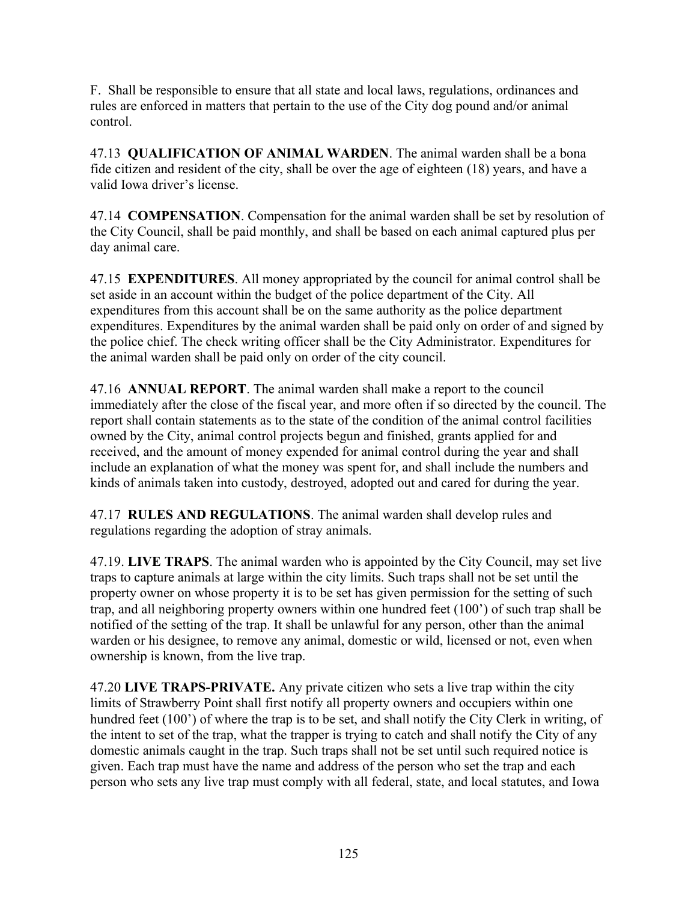F. Shall be responsible to ensure that all state and local laws, regulations, ordinances and rules are enforced in matters that pertain to the use of the City dog pound and/or animal control.

47.13 **QUALIFICATION OF ANIMAL WARDEN**. The animal warden shall be a bona fide citizen and resident of the city, shall be over the age of eighteen (18) years, and have a valid Iowa driver's license.

47.14 **COMPENSATION**. Compensation for the animal warden shall be set by resolution of the City Council, shall be paid monthly, and shall be based on each animal captured plus per day animal care.

47.15 **EXPENDITURES**. All money appropriated by the council for animal control shall be set aside in an account within the budget of the police department of the City. All expenditures from this account shall be on the same authority as the police department expenditures. Expenditures by the animal warden shall be paid only on order of and signed by the police chief. The check writing officer shall be the City Administrator. Expenditures for the animal warden shall be paid only on order of the city council.

47.16 **ANNUAL REPORT**. The animal warden shall make a report to the council immediately after the close of the fiscal year, and more often if so directed by the council. The report shall contain statements as to the state of the condition of the animal control facilities owned by the City, animal control projects begun and finished, grants applied for and received, and the amount of money expended for animal control during the year and shall include an explanation of what the money was spent for, and shall include the numbers and kinds of animals taken into custody, destroyed, adopted out and cared for during the year.

47.17 **RULES AND REGULATIONS**. The animal warden shall develop rules and regulations regarding the adoption of stray animals.

47.19. **LIVE TRAPS**. The animal warden who is appointed by the City Council, may set live traps to capture animals at large within the city limits. Such traps shall not be set until the property owner on whose property it is to be set has given permission for the setting of such trap, and all neighboring property owners within one hundred feet (100') of such trap shall be notified of the setting of the trap. It shall be unlawful for any person, other than the animal warden or his designee, to remove any animal, domestic or wild, licensed or not, even when ownership is known, from the live trap.

47.20 **LIVE TRAPS-PRIVATE.** Any private citizen who sets a live trap within the city limits of Strawberry Point shall first notify all property owners and occupiers within one hundred feet (100<sup>o</sup>) of where the trap is to be set, and shall notify the City Clerk in writing, of the intent to set of the trap, what the trapper is trying to catch and shall notify the City of any domestic animals caught in the trap. Such traps shall not be set until such required notice is given. Each trap must have the name and address of the person who set the trap and each person who sets any live trap must comply with all federal, state, and local statutes, and Iowa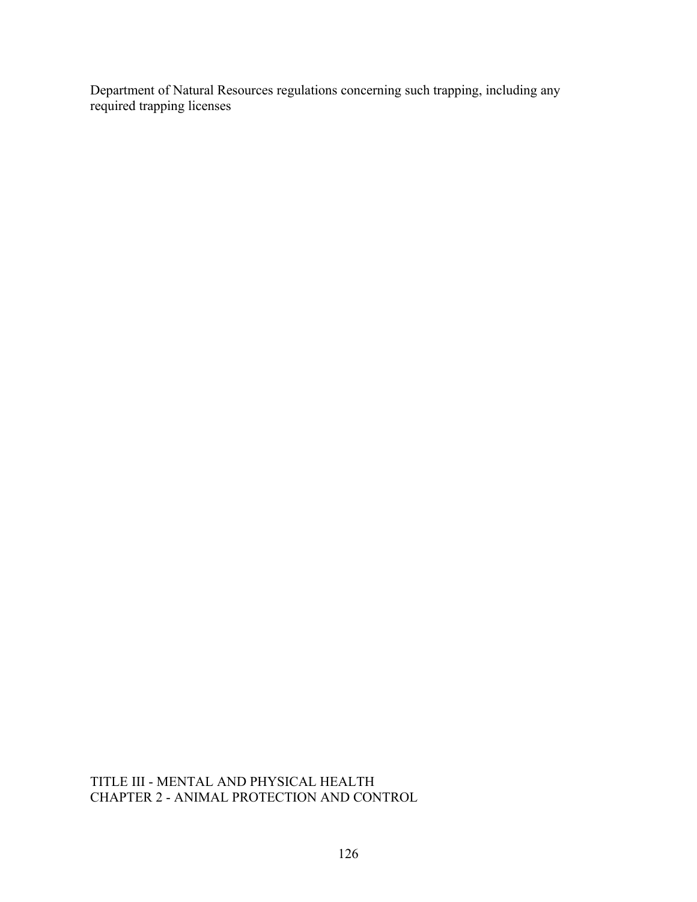Department of Natural Resources regulations concerning such trapping, including any required trapping licenses

## TITLE III - MENTAL AND PHYSICAL HEALTH CHAPTER 2 - ANIMAL PROTECTION AND CONTROL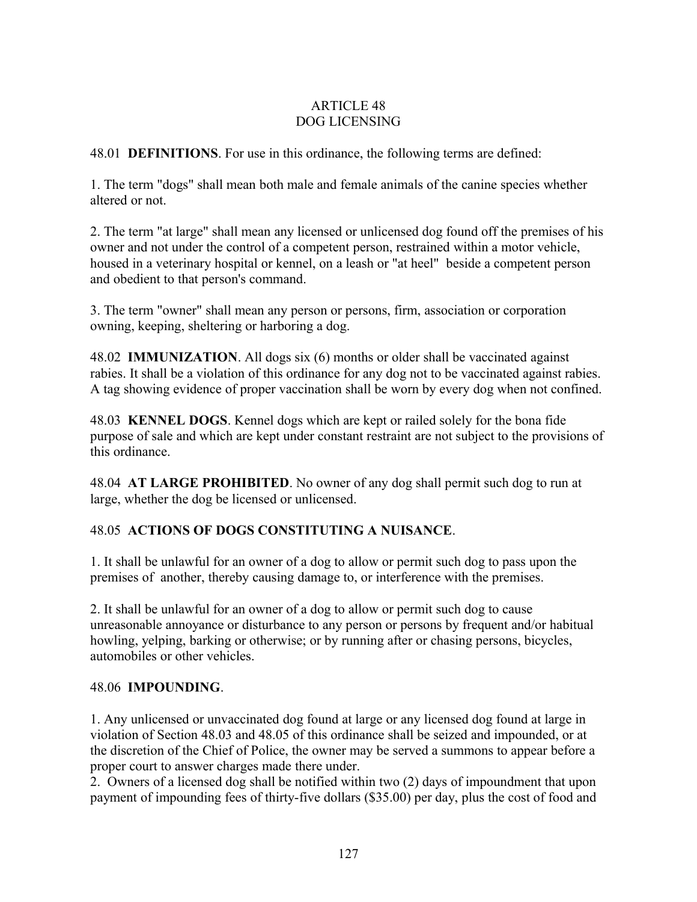## ARTICLE 48 DOG LICENSING

48.01 **DEFINITIONS**. For use in this ordinance, the following terms are defined:

1. The term "dogs" shall mean both male and female animals of the canine species whether altered or not.

2. The term "at large" shall mean any licensed or unlicensed dog found off the premises of his owner and not under the control of a competent person, restrained within a motor vehicle, housed in a veterinary hospital or kennel, on a leash or "at heel" beside a competent person and obedient to that person's command.

3. The term "owner" shall mean any person or persons, firm, association or corporation owning, keeping, sheltering or harboring a dog.

48.02 **IMMUNIZATION**. All dogs six (6) months or older shall be vaccinated against rabies. It shall be a violation of this ordinance for any dog not to be vaccinated against rabies. A tag showing evidence of proper vaccination shall be worn by every dog when not confined.

48.03 **KENNEL DOGS**. Kennel dogs which are kept or railed solely for the bona fide purpose of sale and which are kept under constant restraint are not subject to the provisions of this ordinance.

48.04 **AT LARGE PROHIBITED**. No owner of any dog shall permit such dog to run at large, whether the dog be licensed or unlicensed.

# 48.05 **ACTIONS OF DOGS CONSTITUTING A NUISANCE**.

1. It shall be unlawful for an owner of a dog to allow or permit such dog to pass upon the premises of another, thereby causing damage to, or interference with the premises.

2. It shall be unlawful for an owner of a dog to allow or permit such dog to cause unreasonable annoyance or disturbance to any person or persons by frequent and/or habitual howling, yelping, barking or otherwise; or by running after or chasing persons, bicycles, automobiles or other vehicles.

## 48.06 **IMPOUNDING**.

1. Any unlicensed or unvaccinated dog found at large or any licensed dog found at large in violation of Section 48.03 and 48.05 of this ordinance shall be seized and impounded, or at the discretion of the Chief of Police, the owner may be served a summons to appear before a proper court to answer charges made there under.

2. Owners of a licensed dog shall be notified within two (2) days of impoundment that upon payment of impounding fees of thirty-five dollars (\$35.00) per day, plus the cost of food and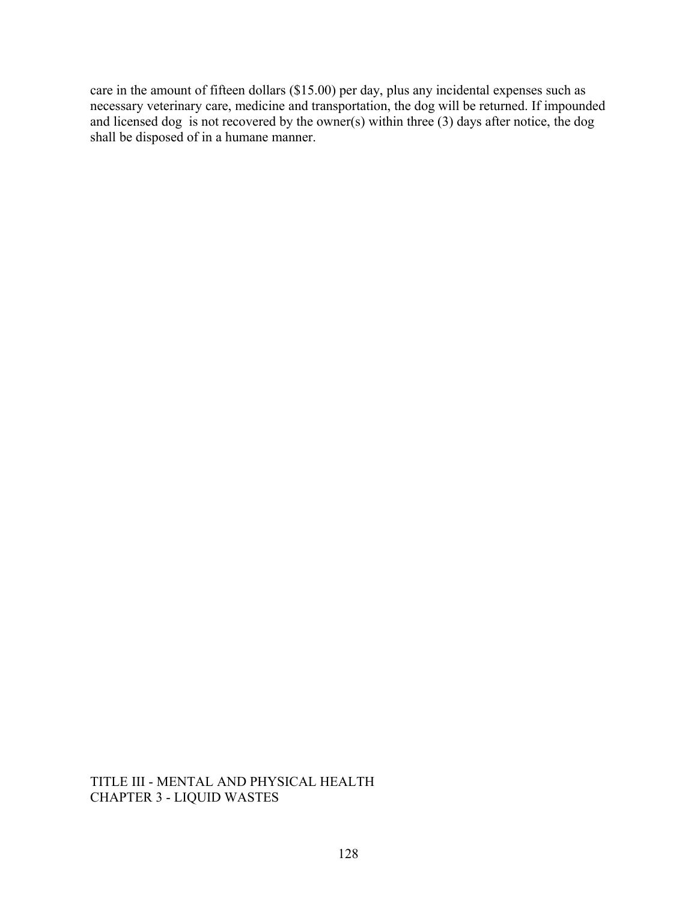care in the amount of fifteen dollars (\$15.00) per day, plus any incidental expenses such as necessary veterinary care, medicine and transportation, the dog will be returned. If impounded and licensed dog is not recovered by the owner(s) within three (3) days after notice, the dog shall be disposed of in a humane manner.

TITLE III - MENTAL AND PHYSICAL HEALTH CHAPTER 3 - LIQUID WASTES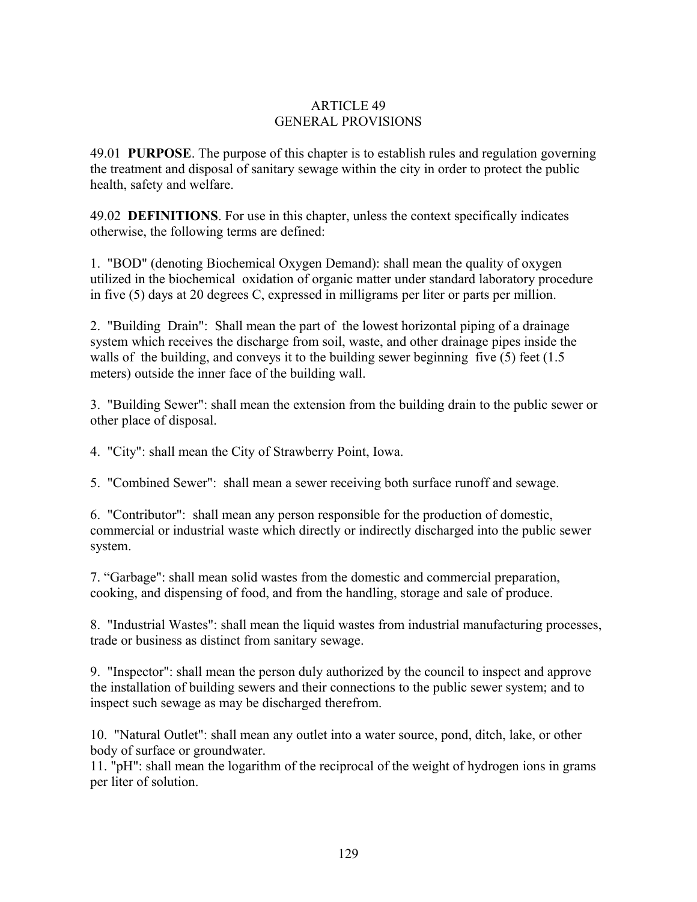## ARTICLE 49 GENERAL PROVISIONS

49.01 **PURPOSE**. The purpose of this chapter is to establish rules and regulation governing the treatment and disposal of sanitary sewage within the city in order to protect the public health, safety and welfare.

49.02 **DEFINITIONS**. For use in this chapter, unless the context specifically indicates otherwise, the following terms are defined:

1. "BOD" (denoting Biochemical Oxygen Demand): shall mean the quality of oxygen utilized in the biochemical oxidation of organic matter under standard laboratory procedure in five (5) days at 20 degrees C, expressed in milligrams per liter or parts per million.

2. "Building Drain": Shall mean the part of the lowest horizontal piping of a drainage system which receives the discharge from soil, waste, and other drainage pipes inside the walls of the building, and conveys it to the building sewer beginning five (5) feet (1.5) meters) outside the inner face of the building wall.

3. "Building Sewer": shall mean the extension from the building drain to the public sewer or other place of disposal.

4. "City": shall mean the City of Strawberry Point, Iowa.

5. "Combined Sewer": shall mean a sewer receiving both surface runoff and sewage.

6. "Contributor": shall mean any person responsible for the production of domestic, commercial or industrial waste which directly or indirectly discharged into the public sewer system.

7. "Garbage": shall mean solid wastes from the domestic and commercial preparation, cooking, and dispensing of food, and from the handling, storage and sale of produce.

8. "Industrial Wastes": shall mean the liquid wastes from industrial manufacturing processes, trade or business as distinct from sanitary sewage.

9. "Inspector": shall mean the person duly authorized by the council to inspect and approve the installation of building sewers and their connections to the public sewer system; and to inspect such sewage as may be discharged therefrom.

10. "Natural Outlet": shall mean any outlet into a water source, pond, ditch, lake, or other body of surface or groundwater.

11. "pH": shall mean the logarithm of the reciprocal of the weight of hydrogen ions in grams per liter of solution.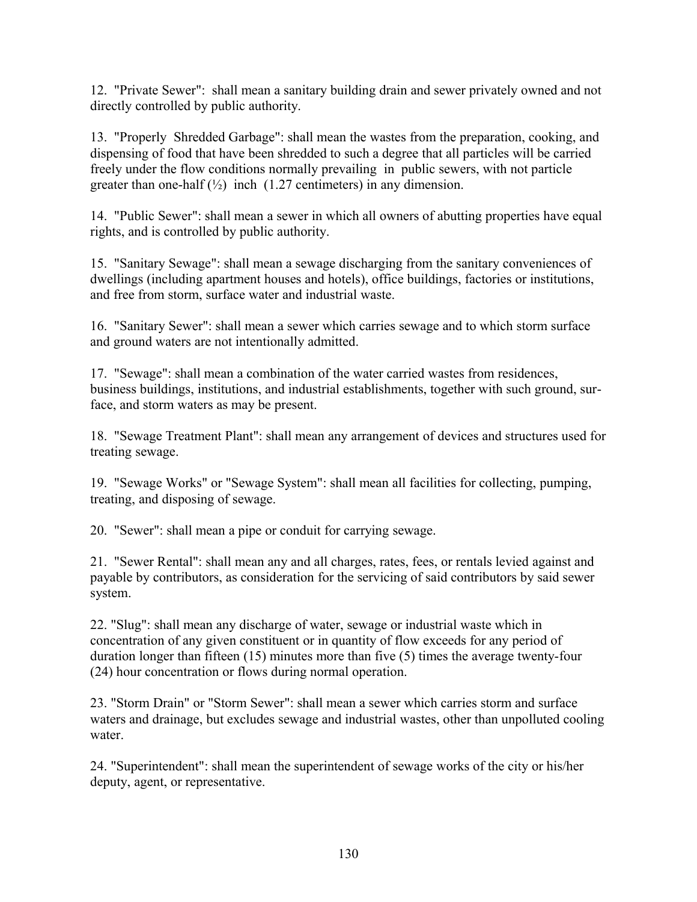12. "Private Sewer": shall mean a sanitary building drain and sewer privately owned and not directly controlled by public authority.

13. "Properly Shredded Garbage": shall mean the wastes from the preparation, cooking, and dispensing of food that have been shredded to such a degree that all particles will be carried freely under the flow conditions normally prevailing in public sewers, with not particle greater than one-half  $\binom{1}{2}$  inch  $(1.27$  centimeters) in any dimension.

14. "Public Sewer": shall mean a sewer in which all owners of abutting properties have equal rights, and is controlled by public authority.

15. "Sanitary Sewage": shall mean a sewage discharging from the sanitary conveniences of dwellings (including apartment houses and hotels), office buildings, factories or institutions, and free from storm, surface water and industrial waste.

16. "Sanitary Sewer": shall mean a sewer which carries sewage and to which storm surface and ground waters are not intentionally admitted.

17. "Sewage": shall mean a combination of the water carried wastes from residences, business buildings, institutions, and industrial establishments, together with such ground, surface, and storm waters as may be present.

18. "Sewage Treatment Plant": shall mean any arrangement of devices and structures used for treating sewage.

19. "Sewage Works" or "Sewage System": shall mean all facilities for collecting, pumping, treating, and disposing of sewage.

20. "Sewer": shall mean a pipe or conduit for carrying sewage.

21. "Sewer Rental": shall mean any and all charges, rates, fees, or rentals levied against and payable by contributors, as consideration for the servicing of said contributors by said sewer system.

22. "Slug": shall mean any discharge of water, sewage or industrial waste which in concentration of any given constituent or in quantity of flow exceeds for any period of duration longer than fifteen (15) minutes more than five (5) times the average twenty-four (24) hour concentration or flows during normal operation.

23. "Storm Drain" or "Storm Sewer": shall mean a sewer which carries storm and surface waters and drainage, but excludes sewage and industrial wastes, other than unpolluted cooling water.

24. "Superintendent": shall mean the superintendent of sewage works of the city or his/her deputy, agent, or representative.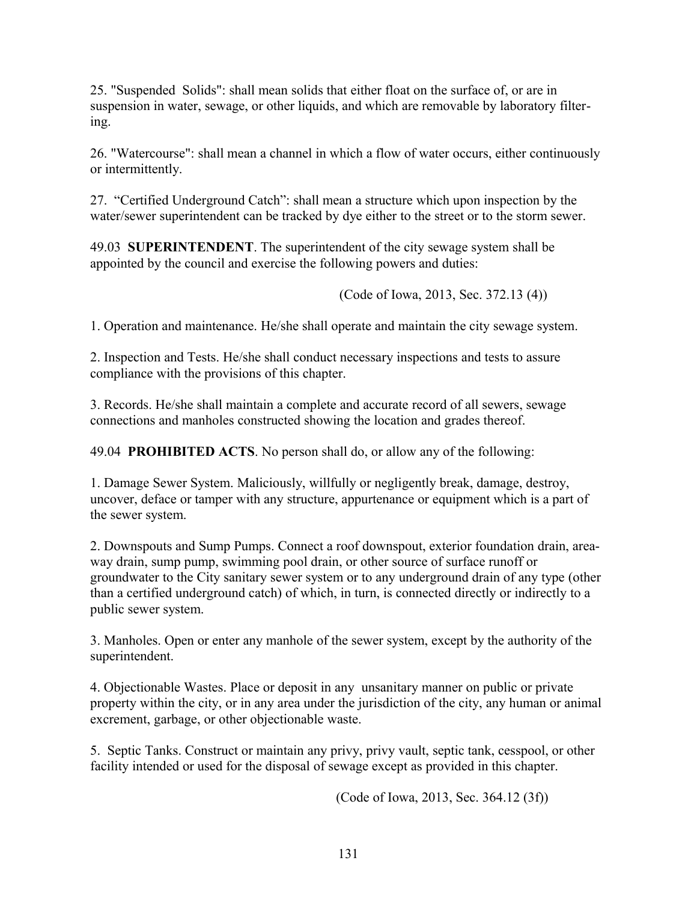25. "Suspended Solids": shall mean solids that either float on the surface of, or are in suspension in water, sewage, or other liquids, and which are removable by laboratory filtering.

26. "Watercourse": shall mean a channel in which a flow of water occurs, either continuously or intermittently.

27. "Certified Underground Catch": shall mean a structure which upon inspection by the water/sewer superintendent can be tracked by dye either to the street or to the storm sewer.

49.03 **SUPERINTENDENT**. The superintendent of the city sewage system shall be appointed by the council and exercise the following powers and duties:

(Code of Iowa, 2013, Sec. 372.13 (4))

1. Operation and maintenance. He/she shall operate and maintain the city sewage system.

2. Inspection and Tests. He/she shall conduct necessary inspections and tests to assure compliance with the provisions of this chapter.

3. Records. He/she shall maintain a complete and accurate record of all sewers, sewage connections and manholes constructed showing the location and grades thereof.

49.04 **PROHIBITED ACTS**. No person shall do, or allow any of the following:

1. Damage Sewer System. Maliciously, willfully or negligently break, damage, destroy, uncover, deface or tamper with any structure, appurtenance or equipment which is a part of the sewer system.

2. Downspouts and Sump Pumps. Connect a roof downspout, exterior foundation drain, areaway drain, sump pump, swimming pool drain, or other source of surface runoff or groundwater to the City sanitary sewer system or to any underground drain of any type (other than a certified underground catch) of which, in turn, is connected directly or indirectly to a public sewer system.

3. Manholes. Open or enter any manhole of the sewer system, except by the authority of the superintendent.

4. Objectionable Wastes. Place or deposit in any unsanitary manner on public or private property within the city, or in any area under the jurisdiction of the city, any human or animal excrement, garbage, or other objectionable waste.

5. Septic Tanks. Construct or maintain any privy, privy vault, septic tank, cesspool, or other facility intended or used for the disposal of sewage except as provided in this chapter.

(Code of Iowa, 2013, Sec. 364.12 (3f))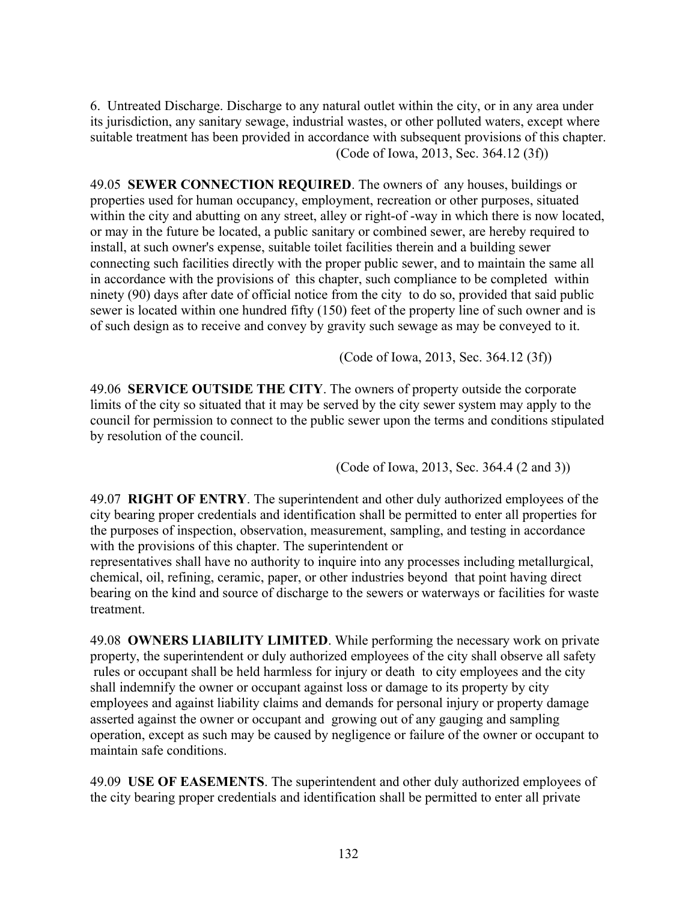6. Untreated Discharge. Discharge to any natural outlet within the city, or in any area under its jurisdiction, any sanitary sewage, industrial wastes, or other polluted waters, except where suitable treatment has been provided in accordance with subsequent provisions of this chapter. (Code of Iowa, 2013, Sec. 364.12 (3f))

49.05 **SEWER CONNECTION REQUIRED**. The owners of any houses, buildings or properties used for human occupancy, employment, recreation or other purposes, situated within the city and abutting on any street, alley or right-of -way in which there is now located, or may in the future be located, a public sanitary or combined sewer, are hereby required to install, at such owner's expense, suitable toilet facilities therein and a building sewer connecting such facilities directly with the proper public sewer, and to maintain the same all in accordance with the provisions of this chapter, such compliance to be completed within ninety (90) days after date of official notice from the city to do so, provided that said public sewer is located within one hundred fifty (150) feet of the property line of such owner and is of such design as to receive and convey by gravity such sewage as may be conveyed to it.

(Code of Iowa, 2013, Sec. 364.12 (3f))

49.06 **SERVICE OUTSIDE THE CITY**. The owners of property outside the corporate limits of the city so situated that it may be served by the city sewer system may apply to the council for permission to connect to the public sewer upon the terms and conditions stipulated by resolution of the council.

(Code of Iowa, 2013, Sec. 364.4 (2 and 3))

49.07 **RIGHT OF ENTRY**. The superintendent and other duly authorized employees of the city bearing proper credentials and identification shall be permitted to enter all properties for the purposes of inspection, observation, measurement, sampling, and testing in accordance with the provisions of this chapter. The superintendent or

representatives shall have no authority to inquire into any processes including metallurgical, chemical, oil, refining, ceramic, paper, or other industries beyond that point having direct bearing on the kind and source of discharge to the sewers or waterways or facilities for waste treatment.

49.08 **OWNERS LIABILITY LIMITED**. While performing the necessary work on private property, the superintendent or duly authorized employees of the city shall observe all safety rules or occupant shall be held harmless for injury or death to city employees and the city shall indemnify the owner or occupant against loss or damage to its property by city employees and against liability claims and demands for personal injury or property damage asserted against the owner or occupant and growing out of any gauging and sampling operation, except as such may be caused by negligence or failure of the owner or occupant to maintain safe conditions.

49.09 **USE OF EASEMENTS**. The superintendent and other duly authorized employees of the city bearing proper credentials and identification shall be permitted to enter all private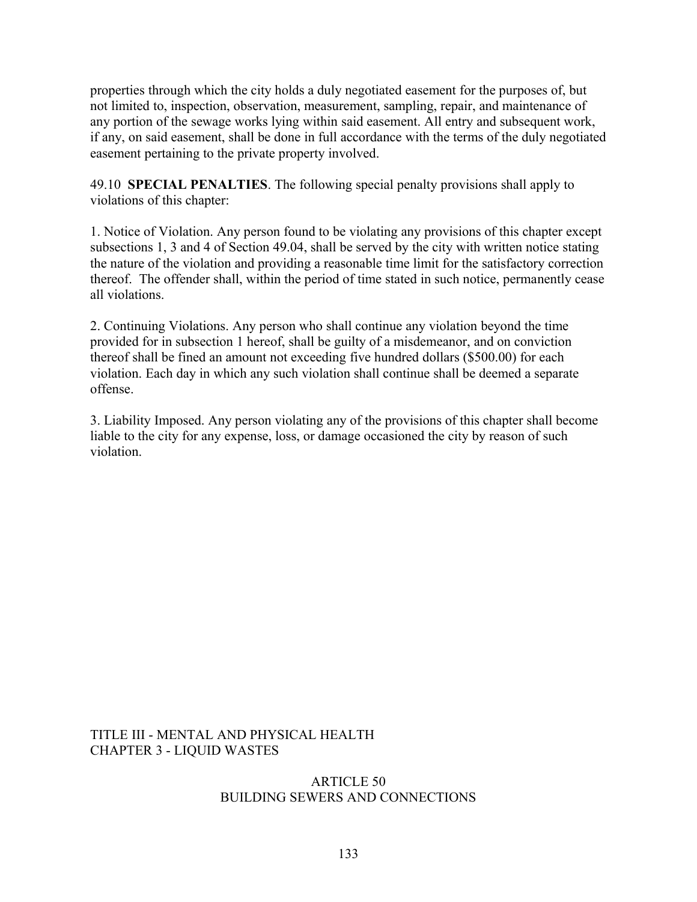properties through which the city holds a duly negotiated easement for the purposes of, but not limited to, inspection, observation, measurement, sampling, repair, and maintenance of any portion of the sewage works lying within said easement. All entry and subsequent work, if any, on said easement, shall be done in full accordance with the terms of the duly negotiated easement pertaining to the private property involved.

49.10 **SPECIAL PENALTIES**. The following special penalty provisions shall apply to violations of this chapter:

1. Notice of Violation. Any person found to be violating any provisions of this chapter except subsections 1, 3 and 4 of Section 49.04, shall be served by the city with written notice stating the nature of the violation and providing a reasonable time limit for the satisfactory correction thereof. The offender shall, within the period of time stated in such notice, permanently cease all violations.

2. Continuing Violations. Any person who shall continue any violation beyond the time provided for in subsection 1 hereof, shall be guilty of a misdemeanor, and on conviction thereof shall be fined an amount not exceeding five hundred dollars (\$500.00) for each violation. Each day in which any such violation shall continue shall be deemed a separate offense.

3. Liability Imposed. Any person violating any of the provisions of this chapter shall become liable to the city for any expense, loss, or damage occasioned the city by reason of such violation.

TITLE III - MENTAL AND PHYSICAL HEALTH CHAPTER 3 - LIQUID WASTES

### ARTICLE 50 BUILDING SEWERS AND CONNECTIONS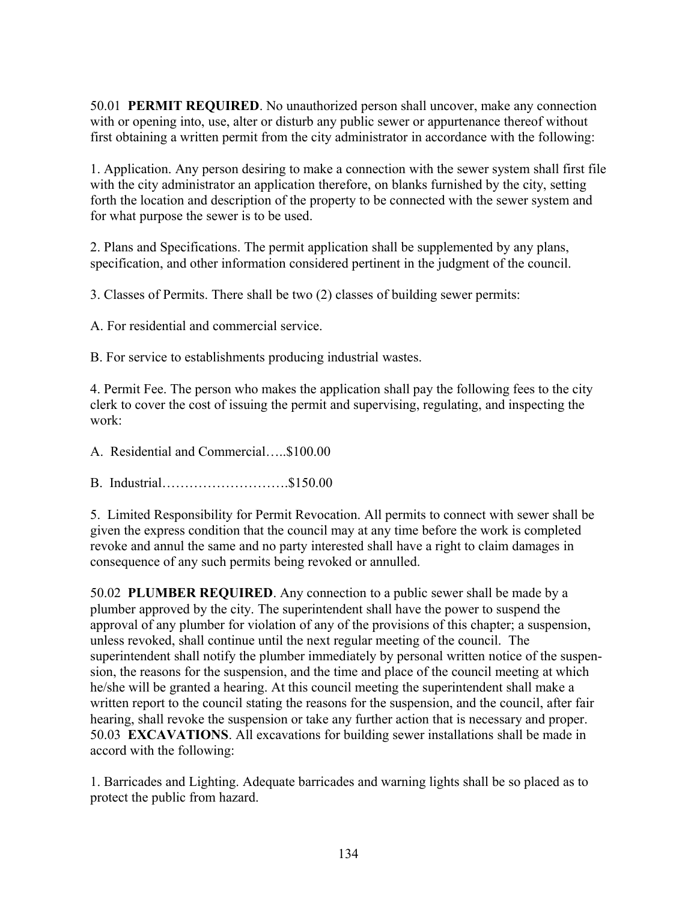50.01 **PERMIT REQUIRED**. No unauthorized person shall uncover, make any connection with or opening into, use, alter or disturb any public sewer or appurtenance thereof without first obtaining a written permit from the city administrator in accordance with the following:

1. Application. Any person desiring to make a connection with the sewer system shall first file with the city administrator an application therefore, on blanks furnished by the city, setting forth the location and description of the property to be connected with the sewer system and for what purpose the sewer is to be used.

2. Plans and Specifications. The permit application shall be supplemented by any plans, specification, and other information considered pertinent in the judgment of the council.

3. Classes of Permits. There shall be two (2) classes of building sewer permits:

A. For residential and commercial service.

B. For service to establishments producing industrial wastes.

4. Permit Fee. The person who makes the application shall pay the following fees to the city clerk to cover the cost of issuing the permit and supervising, regulating, and inspecting the work:

A. Residential and Commercial…..\$100.00

B. Industrial……………………….\$150.00

5. Limited Responsibility for Permit Revocation. All permits to connect with sewer shall be given the express condition that the council may at any time before the work is completed revoke and annul the same and no party interested shall have a right to claim damages in consequence of any such permits being revoked or annulled.

50.02 **PLUMBER REQUIRED**. Any connection to a public sewer shall be made by a plumber approved by the city. The superintendent shall have the power to suspend the approval of any plumber for violation of any of the provisions of this chapter; a suspension, unless revoked, shall continue until the next regular meeting of the council. The superintendent shall notify the plumber immediately by personal written notice of the suspension, the reasons for the suspension, and the time and place of the council meeting at which he/she will be granted a hearing. At this council meeting the superintendent shall make a written report to the council stating the reasons for the suspension, and the council, after fair hearing, shall revoke the suspension or take any further action that is necessary and proper. 50.03 **EXCAVATIONS**. All excavations for building sewer installations shall be made in accord with the following:

1. Barricades and Lighting. Adequate barricades and warning lights shall be so placed as to protect the public from hazard.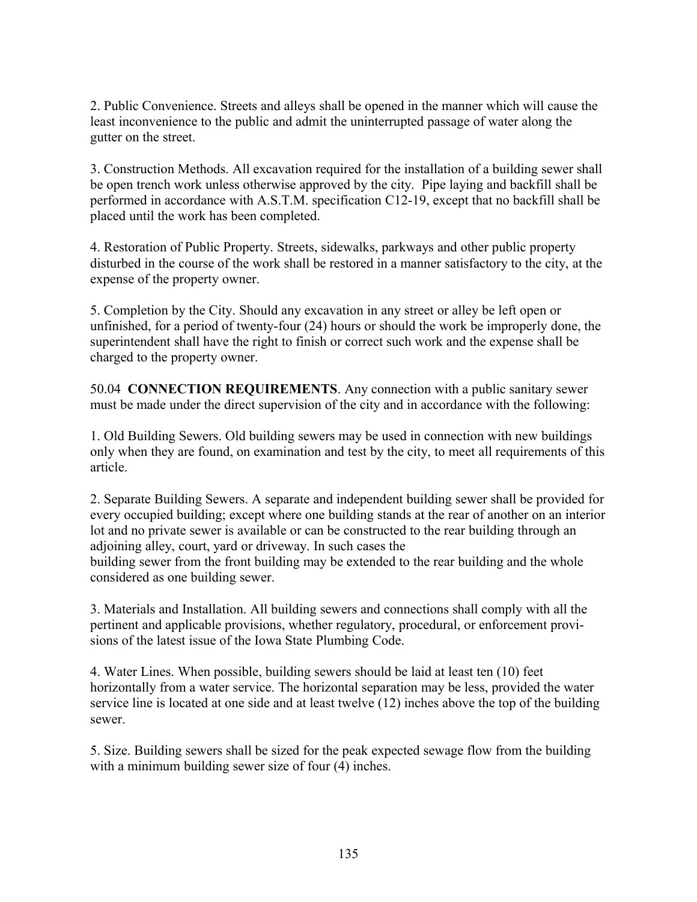2. Public Convenience. Streets and alleys shall be opened in the manner which will cause the least inconvenience to the public and admit the uninterrupted passage of water along the gutter on the street.

3. Construction Methods. All excavation required for the installation of a building sewer shall be open trench work unless otherwise approved by the city. Pipe laying and backfill shall be performed in accordance with A.S.T.M. specification C12-19, except that no backfill shall be placed until the work has been completed.

4. Restoration of Public Property. Streets, sidewalks, parkways and other public property disturbed in the course of the work shall be restored in a manner satisfactory to the city, at the expense of the property owner.

5. Completion by the City. Should any excavation in any street or alley be left open or unfinished, for a period of twenty-four (24) hours or should the work be improperly done, the superintendent shall have the right to finish or correct such work and the expense shall be charged to the property owner.

50.04 **CONNECTION REQUIREMENTS**. Any connection with a public sanitary sewer must be made under the direct supervision of the city and in accordance with the following:

1. Old Building Sewers. Old building sewers may be used in connection with new buildings only when they are found, on examination and test by the city, to meet all requirements of this article.

2. Separate Building Sewers. A separate and independent building sewer shall be provided for every occupied building; except where one building stands at the rear of another on an interior lot and no private sewer is available or can be constructed to the rear building through an adjoining alley, court, yard or driveway. In such cases the building sewer from the front building may be extended to the rear building and the whole considered as one building sewer.

3. Materials and Installation. All building sewers and connections shall comply with all the pertinent and applicable provisions, whether regulatory, procedural, or enforcement provisions of the latest issue of the Iowa State Plumbing Code.

4. Water Lines. When possible, building sewers should be laid at least ten (10) feet horizontally from a water service. The horizontal separation may be less, provided the water service line is located at one side and at least twelve (12) inches above the top of the building sewer.

5. Size. Building sewers shall be sized for the peak expected sewage flow from the building with a minimum building sewer size of four  $(4)$  inches.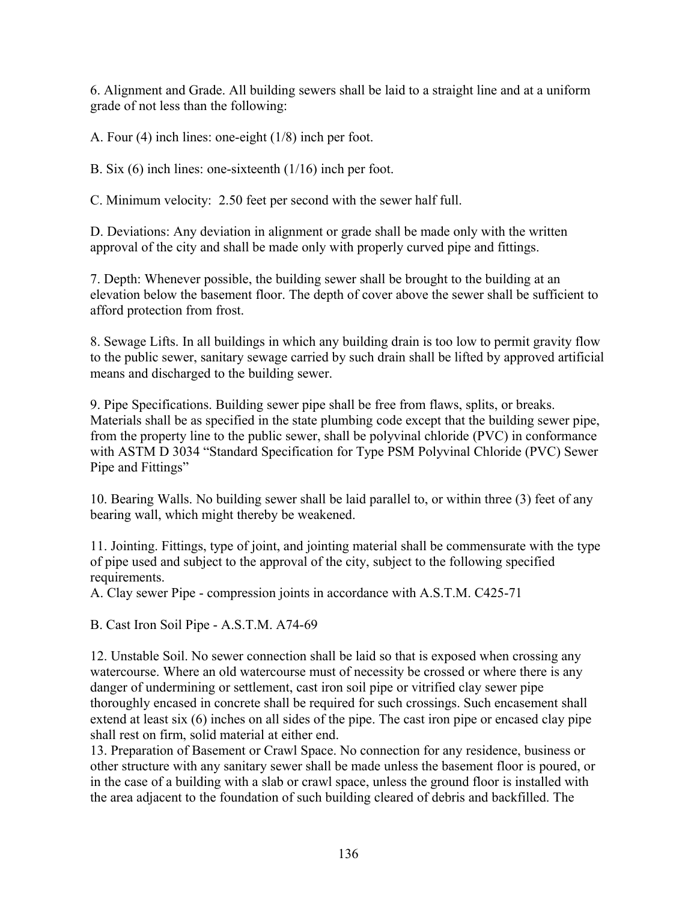6. Alignment and Grade. All building sewers shall be laid to a straight line and at a uniform grade of not less than the following:

A. Four (4) inch lines: one-eight (1/8) inch per foot.

B. Six (6) inch lines: one-sixteenth (1/16) inch per foot.

C. Minimum velocity: 2.50 feet per second with the sewer half full.

D. Deviations: Any deviation in alignment or grade shall be made only with the written approval of the city and shall be made only with properly curved pipe and fittings.

7. Depth: Whenever possible, the building sewer shall be brought to the building at an elevation below the basement floor. The depth of cover above the sewer shall be sufficient to afford protection from frost.

8. Sewage Lifts. In all buildings in which any building drain is too low to permit gravity flow to the public sewer, sanitary sewage carried by such drain shall be lifted by approved artificial means and discharged to the building sewer.

9. Pipe Specifications. Building sewer pipe shall be free from flaws, splits, or breaks. Materials shall be as specified in the state plumbing code except that the building sewer pipe, from the property line to the public sewer, shall be polyvinal chloride (PVC) in conformance with ASTM D 3034 "Standard Specification for Type PSM Polyvinal Chloride (PVC) Sewer Pipe and Fittings"

10. Bearing Walls. No building sewer shall be laid parallel to, or within three (3) feet of any bearing wall, which might thereby be weakened.

11. Jointing. Fittings, type of joint, and jointing material shall be commensurate with the type of pipe used and subject to the approval of the city, subject to the following specified requirements.

A. Clay sewer Pipe - compression joints in accordance with A.S.T.M. C425-71

B. Cast Iron Soil Pipe - A.S.T.M. A74-69

12. Unstable Soil. No sewer connection shall be laid so that is exposed when crossing any watercourse. Where an old watercourse must of necessity be crossed or where there is any danger of undermining or settlement, cast iron soil pipe or vitrified clay sewer pipe thoroughly encased in concrete shall be required for such crossings. Such encasement shall extend at least six (6) inches on all sides of the pipe. The cast iron pipe or encased clay pipe shall rest on firm, solid material at either end.

13. Preparation of Basement or Crawl Space. No connection for any residence, business or other structure with any sanitary sewer shall be made unless the basement floor is poured, or in the case of a building with a slab or crawl space, unless the ground floor is installed with the area adjacent to the foundation of such building cleared of debris and backfilled. The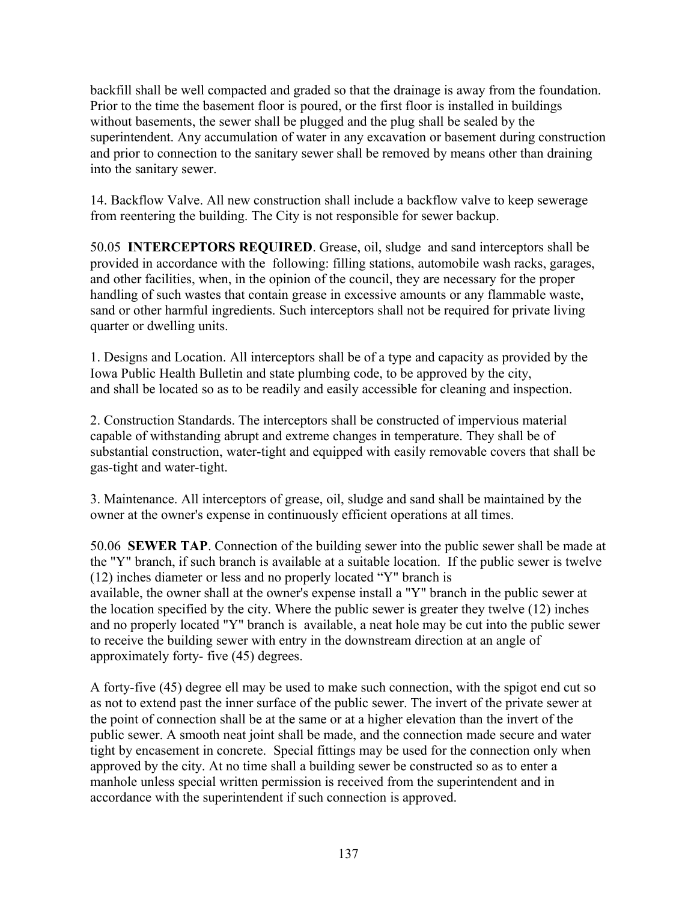backfill shall be well compacted and graded so that the drainage is away from the foundation. Prior to the time the basement floor is poured, or the first floor is installed in buildings without basements, the sewer shall be plugged and the plug shall be sealed by the superintendent. Any accumulation of water in any excavation or basement during construction and prior to connection to the sanitary sewer shall be removed by means other than draining into the sanitary sewer.

14. Backflow Valve. All new construction shall include a backflow valve to keep sewerage from reentering the building. The City is not responsible for sewer backup.

50.05 **INTERCEPTORS REQUIRED**. Grease, oil, sludge and sand interceptors shall be provided in accordance with the following: filling stations, automobile wash racks, garages, and other facilities, when, in the opinion of the council, they are necessary for the proper handling of such wastes that contain grease in excessive amounts or any flammable waste, sand or other harmful ingredients. Such interceptors shall not be required for private living quarter or dwelling units.

1. Designs and Location. All interceptors shall be of a type and capacity as provided by the Iowa Public Health Bulletin and state plumbing code, to be approved by the city, and shall be located so as to be readily and easily accessible for cleaning and inspection.

2. Construction Standards. The interceptors shall be constructed of impervious material capable of withstanding abrupt and extreme changes in temperature. They shall be of substantial construction, water-tight and equipped with easily removable covers that shall be gas-tight and water-tight.

3. Maintenance. All interceptors of grease, oil, sludge and sand shall be maintained by the owner at the owner's expense in continuously efficient operations at all times.

50.06 **SEWER TAP**. Connection of the building sewer into the public sewer shall be made at the "Y" branch, if such branch is available at a suitable location. If the public sewer is twelve (12) inches diameter or less and no properly located "Y" branch is available, the owner shall at the owner's expense install a "Y" branch in the public sewer at the location specified by the city. Where the public sewer is greater they twelve (12) inches and no properly located "Y" branch is available, a neat hole may be cut into the public sewer to receive the building sewer with entry in the downstream direction at an angle of approximately forty- five (45) degrees.

A forty-five (45) degree ell may be used to make such connection, with the spigot end cut so as not to extend past the inner surface of the public sewer. The invert of the private sewer at the point of connection shall be at the same or at a higher elevation than the invert of the public sewer. A smooth neat joint shall be made, and the connection made secure and water tight by encasement in concrete. Special fittings may be used for the connection only when approved by the city. At no time shall a building sewer be constructed so as to enter a manhole unless special written permission is received from the superintendent and in accordance with the superintendent if such connection is approved.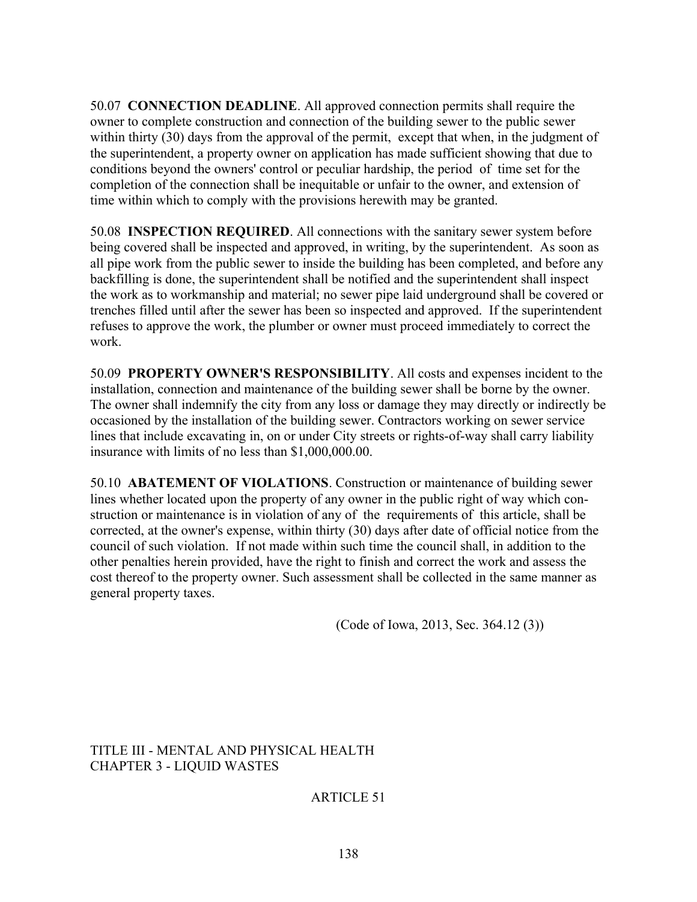50.07 **CONNECTION DEADLINE**. All approved connection permits shall require the owner to complete construction and connection of the building sewer to the public sewer within thirty (30) days from the approval of the permit, except that when, in the judgment of the superintendent, a property owner on application has made sufficient showing that due to conditions beyond the owners' control or peculiar hardship, the period of time set for the completion of the connection shall be inequitable or unfair to the owner, and extension of time within which to comply with the provisions herewith may be granted.

50.08 **INSPECTION REQUIRED**. All connections with the sanitary sewer system before being covered shall be inspected and approved, in writing, by the superintendent. As soon as all pipe work from the public sewer to inside the building has been completed, and before any backfilling is done, the superintendent shall be notified and the superintendent shall inspect the work as to workmanship and material; no sewer pipe laid underground shall be covered or trenches filled until after the sewer has been so inspected and approved. If the superintendent refuses to approve the work, the plumber or owner must proceed immediately to correct the work.

50.09 **PROPERTY OWNER'S RESPONSIBILITY**. All costs and expenses incident to the installation, connection and maintenance of the building sewer shall be borne by the owner. The owner shall indemnify the city from any loss or damage they may directly or indirectly be occasioned by the installation of the building sewer. Contractors working on sewer service lines that include excavating in, on or under City streets or rights-of-way shall carry liability insurance with limits of no less than \$1,000,000.00.

50.10 **ABATEMENT OF VIOLATIONS**. Construction or maintenance of building sewer lines whether located upon the property of any owner in the public right of way which construction or maintenance is in violation of any of the requirements of this article, shall be corrected, at the owner's expense, within thirty (30) days after date of official notice from the council of such violation. If not made within such time the council shall, in addition to the other penalties herein provided, have the right to finish and correct the work and assess the cost thereof to the property owner. Such assessment shall be collected in the same manner as general property taxes.

(Code of Iowa, 2013, Sec. 364.12 (3))

TITLE III - MENTAL AND PHYSICAL HEALTH CHAPTER 3 - LIQUID WASTES

ARTICLE 51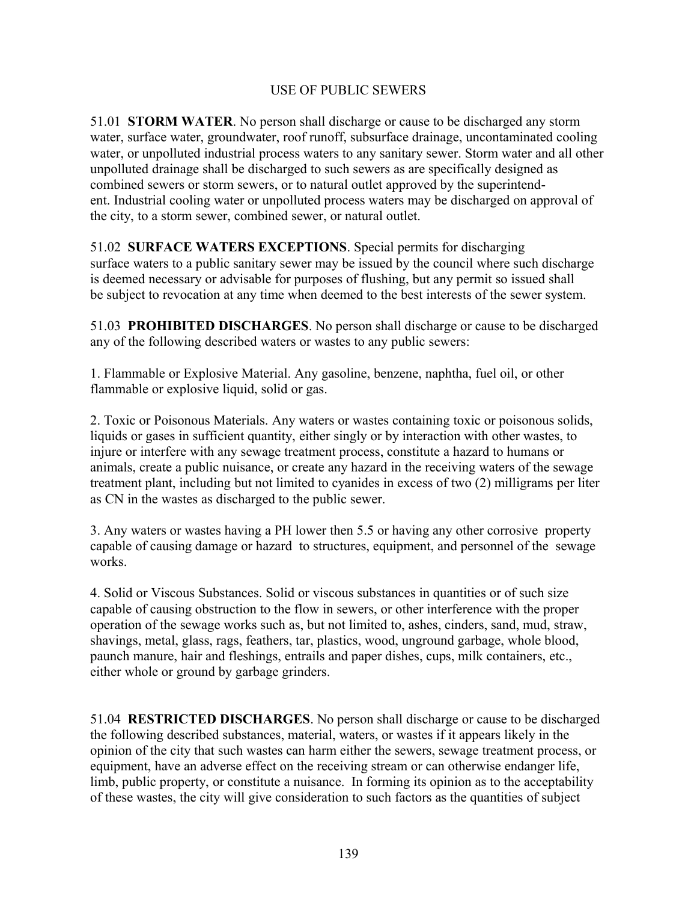### USE OF PUBLIC SEWERS

51.01 **STORM WATER**. No person shall discharge or cause to be discharged any storm water, surface water, groundwater, roof runoff, subsurface drainage, uncontaminated cooling water, or unpolluted industrial process waters to any sanitary sewer. Storm water and all other unpolluted drainage shall be discharged to such sewers as are specifically designed as combined sewers or storm sewers, or to natural outlet approved by the superintendent. Industrial cooling water or unpolluted process waters may be discharged on approval of the city, to a storm sewer, combined sewer, or natural outlet.

51.02 **SURFACE WATERS EXCEPTIONS**. Special permits for discharging surface waters to a public sanitary sewer may be issued by the council where such discharge is deemed necessary or advisable for purposes of flushing, but any permit so issued shall be subject to revocation at any time when deemed to the best interests of the sewer system.

51.03 **PROHIBITED DISCHARGES**. No person shall discharge or cause to be discharged any of the following described waters or wastes to any public sewers:

1. Flammable or Explosive Material. Any gasoline, benzene, naphtha, fuel oil, or other flammable or explosive liquid, solid or gas.

2. Toxic or Poisonous Materials. Any waters or wastes containing toxic or poisonous solids, liquids or gases in sufficient quantity, either singly or by interaction with other wastes, to injure or interfere with any sewage treatment process, constitute a hazard to humans or animals, create a public nuisance, or create any hazard in the receiving waters of the sewage treatment plant, including but not limited to cyanides in excess of two (2) milligrams per liter as CN in the wastes as discharged to the public sewer.

3. Any waters or wastes having a PH lower then 5.5 or having any other corrosive property capable of causing damage or hazard to structures, equipment, and personnel of the sewage works.

4. Solid or Viscous Substances. Solid or viscous substances in quantities or of such size capable of causing obstruction to the flow in sewers, or other interference with the proper operation of the sewage works such as, but not limited to, ashes, cinders, sand, mud, straw, shavings, metal, glass, rags, feathers, tar, plastics, wood, unground garbage, whole blood, paunch manure, hair and fleshings, entrails and paper dishes, cups, milk containers, etc., either whole or ground by garbage grinders.

51.04 **RESTRICTED DISCHARGES**. No person shall discharge or cause to be discharged the following described substances, material, waters, or wastes if it appears likely in the opinion of the city that such wastes can harm either the sewers, sewage treatment process, or equipment, have an adverse effect on the receiving stream or can otherwise endanger life, limb, public property, or constitute a nuisance. In forming its opinion as to the acceptability of these wastes, the city will give consideration to such factors as the quantities of subject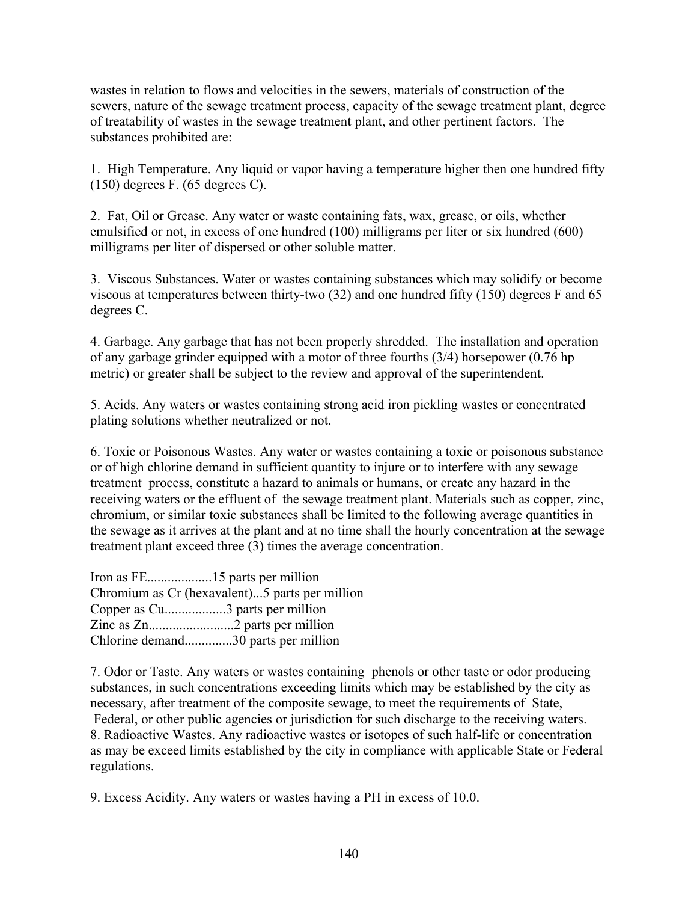wastes in relation to flows and velocities in the sewers, materials of construction of the sewers, nature of the sewage treatment process, capacity of the sewage treatment plant, degree of treatability of wastes in the sewage treatment plant, and other pertinent factors. The substances prohibited are:

1. High Temperature. Any liquid or vapor having a temperature higher then one hundred fifty (150) degrees F. (65 degrees C).

2. Fat, Oil or Grease. Any water or waste containing fats, wax, grease, or oils, whether emulsified or not, in excess of one hundred (100) milligrams per liter or six hundred (600) milligrams per liter of dispersed or other soluble matter.

3. Viscous Substances. Water or wastes containing substances which may solidify or become viscous at temperatures between thirty-two (32) and one hundred fifty (150) degrees F and 65 degrees C.

4. Garbage. Any garbage that has not been properly shredded. The installation and operation of any garbage grinder equipped with a motor of three fourths (3/4) horsepower (0.76 hp metric) or greater shall be subject to the review and approval of the superintendent.

5. Acids. Any waters or wastes containing strong acid iron pickling wastes or concentrated plating solutions whether neutralized or not.

6. Toxic or Poisonous Wastes. Any water or wastes containing a toxic or poisonous substance or of high chlorine demand in sufficient quantity to injure or to interfere with any sewage treatment process, constitute a hazard to animals or humans, or create any hazard in the receiving waters or the effluent of the sewage treatment plant. Materials such as copper, zinc, chromium, or similar toxic substances shall be limited to the following average quantities in the sewage as it arrives at the plant and at no time shall the hourly concentration at the sewage treatment plant exceed three (3) times the average concentration.

| Chromium as Cr (hexavalent)5 parts per million |
|------------------------------------------------|
| Copper as Cu3 parts per million                |
|                                                |
| Chlorine demand30 parts per million            |

7. Odor or Taste. Any waters or wastes containing phenols or other taste or odor producing substances, in such concentrations exceeding limits which may be established by the city as necessary, after treatment of the composite sewage, to meet the requirements of State, Federal, or other public agencies or jurisdiction for such discharge to the receiving waters. 8. Radioactive Wastes. Any radioactive wastes or isotopes of such half-life or concentration as may be exceed limits established by the city in compliance with applicable State or Federal regulations.

9. Excess Acidity. Any waters or wastes having a PH in excess of 10.0.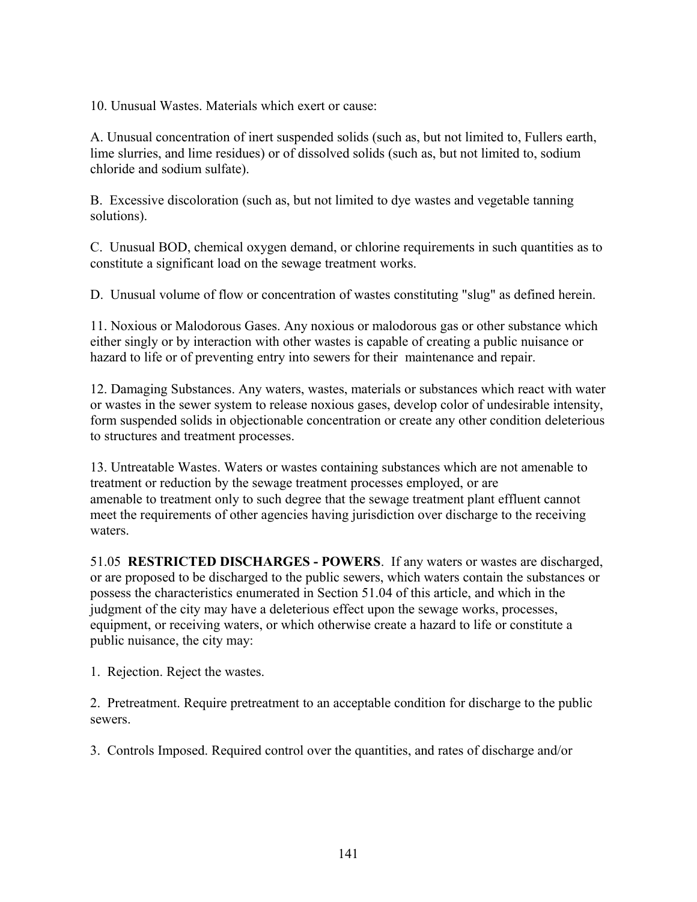10. Unusual Wastes. Materials which exert or cause:

A. Unusual concentration of inert suspended solids (such as, but not limited to, Fullers earth, lime slurries, and lime residues) or of dissolved solids (such as, but not limited to, sodium chloride and sodium sulfate).

B. Excessive discoloration (such as, but not limited to dye wastes and vegetable tanning solutions).

C. Unusual BOD, chemical oxygen demand, or chlorine requirements in such quantities as to constitute a significant load on the sewage treatment works.

D. Unusual volume of flow or concentration of wastes constituting "slug" as defined herein.

11. Noxious or Malodorous Gases. Any noxious or malodorous gas or other substance which either singly or by interaction with other wastes is capable of creating a public nuisance or hazard to life or of preventing entry into sewers for their maintenance and repair.

12. Damaging Substances. Any waters, wastes, materials or substances which react with water or wastes in the sewer system to release noxious gases, develop color of undesirable intensity, form suspended solids in objectionable concentration or create any other condition deleterious to structures and treatment processes.

13. Untreatable Wastes. Waters or wastes containing substances which are not amenable to treatment or reduction by the sewage treatment processes employed, or are amenable to treatment only to such degree that the sewage treatment plant effluent cannot meet the requirements of other agencies having jurisdiction over discharge to the receiving waters.

51.05 **RESTRICTED DISCHARGES - POWERS**. If any waters or wastes are discharged, or are proposed to be discharged to the public sewers, which waters contain the substances or possess the characteristics enumerated in Section 51.04 of this article, and which in the judgment of the city may have a deleterious effect upon the sewage works, processes, equipment, or receiving waters, or which otherwise create a hazard to life or constitute a public nuisance, the city may:

1. Rejection. Reject the wastes.

2. Pretreatment. Require pretreatment to an acceptable condition for discharge to the public sewers.

3. Controls Imposed. Required control over the quantities, and rates of discharge and/or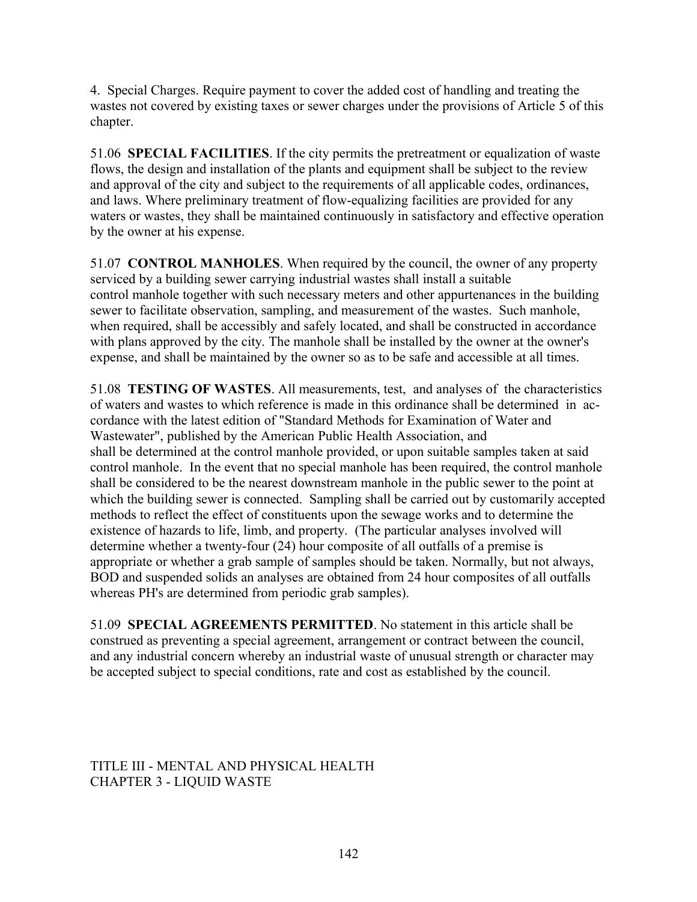4. Special Charges. Require payment to cover the added cost of handling and treating the wastes not covered by existing taxes or sewer charges under the provisions of Article 5 of this chapter.

51.06 **SPECIAL FACILITIES**. If the city permits the pretreatment or equalization of waste flows, the design and installation of the plants and equipment shall be subject to the review and approval of the city and subject to the requirements of all applicable codes, ordinances, and laws. Where preliminary treatment of flow-equalizing facilities are provided for any waters or wastes, they shall be maintained continuously in satisfactory and effective operation by the owner at his expense.

51.07 **CONTROL MANHOLES**. When required by the council, the owner of any property serviced by a building sewer carrying industrial wastes shall install a suitable control manhole together with such necessary meters and other appurtenances in the building sewer to facilitate observation, sampling, and measurement of the wastes. Such manhole, when required, shall be accessibly and safely located, and shall be constructed in accordance with plans approved by the city. The manhole shall be installed by the owner at the owner's expense, and shall be maintained by the owner so as to be safe and accessible at all times.

51.08 **TESTING OF WASTES**. All measurements, test, and analyses of the characteristics of waters and wastes to which reference is made in this ordinance shall be determined in accordance with the latest edition of "Standard Methods for Examination of Water and Wastewater", published by the American Public Health Association, and shall be determined at the control manhole provided, or upon suitable samples taken at said control manhole. In the event that no special manhole has been required, the control manhole shall be considered to be the nearest downstream manhole in the public sewer to the point at which the building sewer is connected. Sampling shall be carried out by customarily accepted methods to reflect the effect of constituents upon the sewage works and to determine the existence of hazards to life, limb, and property. (The particular analyses involved will determine whether a twenty-four (24) hour composite of all outfalls of a premise is appropriate or whether a grab sample of samples should be taken. Normally, but not always, BOD and suspended solids an analyses are obtained from 24 hour composites of all outfalls whereas PH's are determined from periodic grab samples).

51.09 **SPECIAL AGREEMENTS PERMITTED**. No statement in this article shall be construed as preventing a special agreement, arrangement or contract between the council, and any industrial concern whereby an industrial waste of unusual strength or character may be accepted subject to special conditions, rate and cost as established by the council.

TITLE III - MENTAL AND PHYSICAL HEALTH CHAPTER 3 - LIQUID WASTE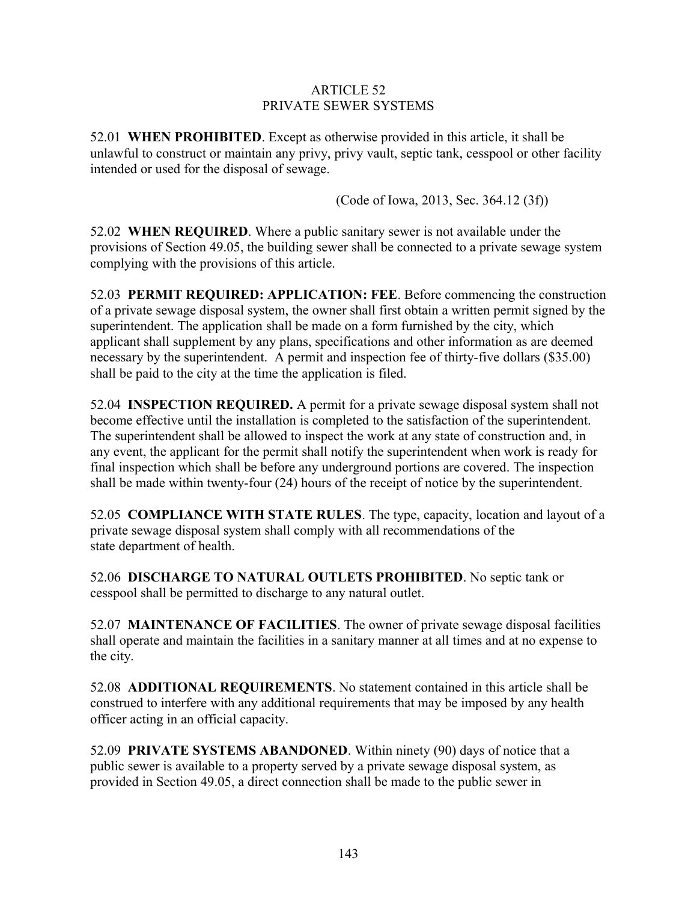### ARTICLE 52 PRIVATE SEWER SYSTEMS

52.01 **WHEN PROHIBITED**. Except as otherwise provided in this article, it shall be unlawful to construct or maintain any privy, privy vault, septic tank, cesspool or other facility intended or used for the disposal of sewage.

(Code of Iowa, 2013, Sec. 364.12 (3f))

52.02 **WHEN REQUIRED**. Where a public sanitary sewer is not available under the provisions of Section 49.05, the building sewer shall be connected to a private sewage system complying with the provisions of this article.

52.03 **PERMIT REQUIRED: APPLICATION: FEE**. Before commencing the construction of a private sewage disposal system, the owner shall first obtain a written permit signed by the superintendent. The application shall be made on a form furnished by the city, which applicant shall supplement by any plans, specifications and other information as are deemed necessary by the superintendent. A permit and inspection fee of thirty-five dollars (\$35.00) shall be paid to the city at the time the application is filed.

52.04 **INSPECTION REQUIRED.** A permit for a private sewage disposal system shall not become effective until the installation is completed to the satisfaction of the superintendent. The superintendent shall be allowed to inspect the work at any state of construction and, in any event, the applicant for the permit shall notify the superintendent when work is ready for final inspection which shall be before any underground portions are covered. The inspection shall be made within twenty-four (24) hours of the receipt of notice by the superintendent.

52.05 **COMPLIANCE WITH STATE RULES**. The type, capacity, location and layout of a private sewage disposal system shall comply with all recommendations of the state department of health.

52.06 **DISCHARGE TO NATURAL OUTLETS PROHIBITED**. No septic tank or cesspool shall be permitted to discharge to any natural outlet.

52.07 **MAINTENANCE OF FACILITIES**. The owner of private sewage disposal facilities shall operate and maintain the facilities in a sanitary manner at all times and at no expense to the city.

52.08 **ADDITIONAL REQUIREMENTS**. No statement contained in this article shall be construed to interfere with any additional requirements that may be imposed by any health officer acting in an official capacity.

52.09 **PRIVATE SYSTEMS ABANDONED**. Within ninety (90) days of notice that a public sewer is available to a property served by a private sewage disposal system, as provided in Section 49.05, a direct connection shall be made to the public sewer in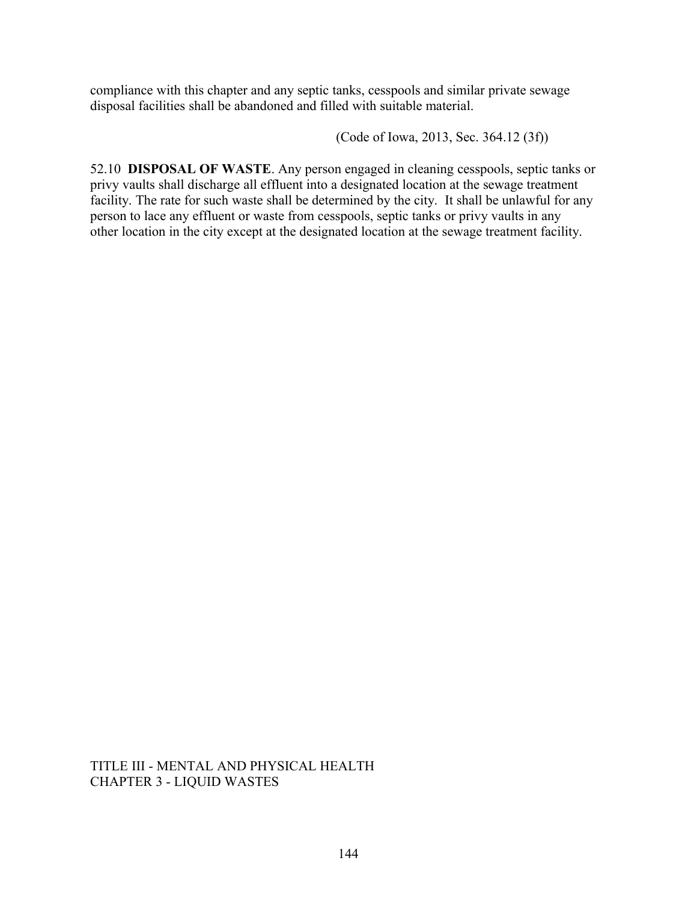compliance with this chapter and any septic tanks, cesspools and similar private sewage disposal facilities shall be abandoned and filled with suitable material.

(Code of Iowa, 2013, Sec. 364.12 (3f))

52.10 **DISPOSAL OF WASTE**. Any person engaged in cleaning cesspools, septic tanks or privy vaults shall discharge all effluent into a designated location at the sewage treatment facility. The rate for such waste shall be determined by the city. It shall be unlawful for any person to lace any effluent or waste from cesspools, septic tanks or privy vaults in any other location in the city except at the designated location at the sewage treatment facility.

TITLE III - MENTAL AND PHYSICAL HEALTH CHAPTER 3 - LIQUID WASTES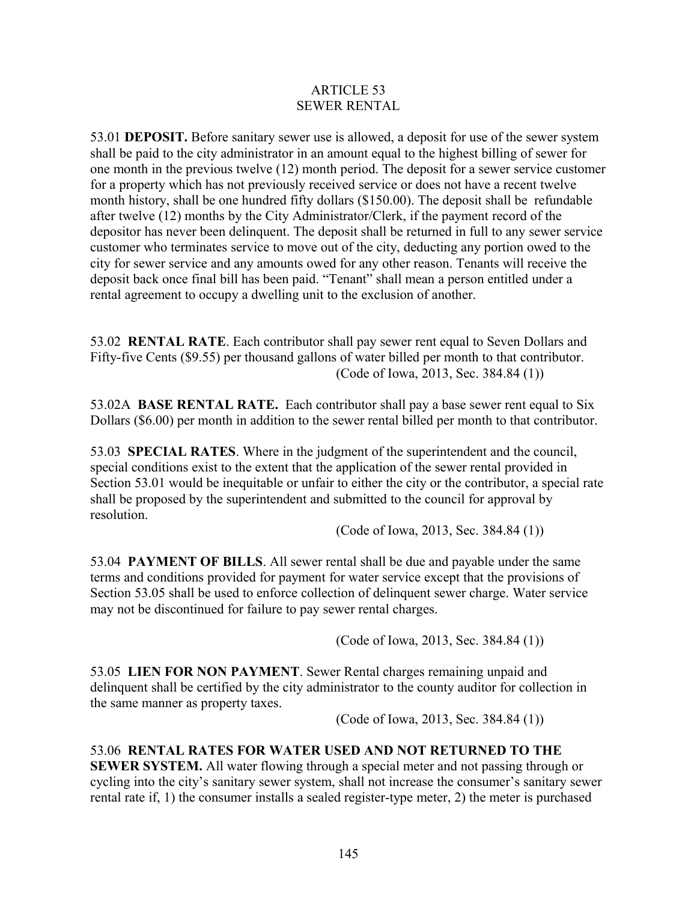#### ARTICLE 53 SEWER RENTAL

53.01 **DEPOSIT.** Before sanitary sewer use is allowed, a deposit for use of the sewer system shall be paid to the city administrator in an amount equal to the highest billing of sewer for one month in the previous twelve (12) month period. The deposit for a sewer service customer for a property which has not previously received service or does not have a recent twelve month history, shall be one hundred fifty dollars (\$150.00). The deposit shall be refundable after twelve (12) months by the City Administrator/Clerk, if the payment record of the depositor has never been delinquent. The deposit shall be returned in full to any sewer service customer who terminates service to move out of the city, deducting any portion owed to the city for sewer service and any amounts owed for any other reason. Tenants will receive the deposit back once final bill has been paid. "Tenant" shall mean a person entitled under a rental agreement to occupy a dwelling unit to the exclusion of another.

53.02 **RENTAL RATE**. Each contributor shall pay sewer rent equal to Seven Dollars and Fifty-five Cents (\$9.55) per thousand gallons of water billed per month to that contributor. (Code of Iowa, 2013, Sec. 384.84 (1))

53.02A **BASE RENTAL RATE.** Each contributor shall pay a base sewer rent equal to Six Dollars (\$6.00) per month in addition to the sewer rental billed per month to that contributor.

53.03 **SPECIAL RATES**. Where in the judgment of the superintendent and the council, special conditions exist to the extent that the application of the sewer rental provided in Section 53.01 would be inequitable or unfair to either the city or the contributor, a special rate shall be proposed by the superintendent and submitted to the council for approval by resolution.

(Code of Iowa, 2013, Sec. 384.84 (1))

53.04 **PAYMENT OF BILLS**. All sewer rental shall be due and payable under the same terms and conditions provided for payment for water service except that the provisions of Section 53.05 shall be used to enforce collection of delinquent sewer charge. Water service may not be discontinued for failure to pay sewer rental charges.

(Code of Iowa, 2013, Sec. 384.84 (1))

53.05 **LIEN FOR NON PAYMENT**. Sewer Rental charges remaining unpaid and delinquent shall be certified by the city administrator to the county auditor for collection in the same manner as property taxes.

(Code of Iowa, 2013, Sec. 384.84 (1))

# 53.06 **RENTAL RATES FOR WATER USED AND NOT RETURNED TO THE**

**SEWER SYSTEM.** All water flowing through a special meter and not passing through or cycling into the city's sanitary sewer system, shall not increase the consumer's sanitary sewer rental rate if, 1) the consumer installs a sealed register-type meter, 2) the meter is purchased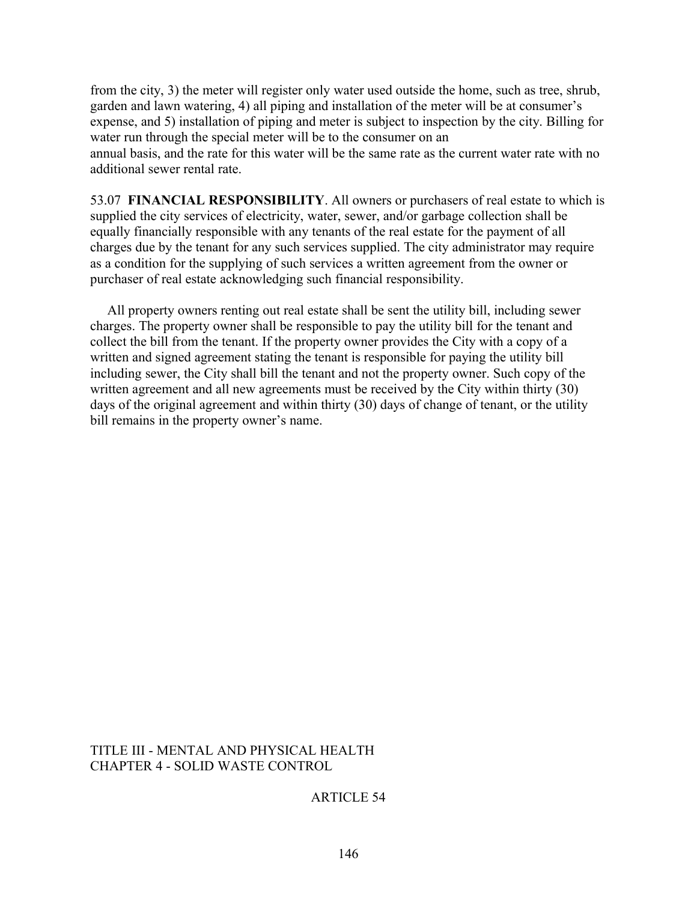from the city, 3) the meter will register only water used outside the home, such as tree, shrub, garden and lawn watering, 4) all piping and installation of the meter will be at consumer's expense, and 5) installation of piping and meter is subject to inspection by the city. Billing for water run through the special meter will be to the consumer on an annual basis, and the rate for this water will be the same rate as the current water rate with no additional sewer rental rate.

53.07 **FINANCIAL RESPONSIBILITY**. All owners or purchasers of real estate to which is supplied the city services of electricity, water, sewer, and/or garbage collection shall be equally financially responsible with any tenants of the real estate for the payment of all charges due by the tenant for any such services supplied. The city administrator may require as a condition for the supplying of such services a written agreement from the owner or purchaser of real estate acknowledging such financial responsibility.

 All property owners renting out real estate shall be sent the utility bill, including sewer charges. The property owner shall be responsible to pay the utility bill for the tenant and collect the bill from the tenant. If the property owner provides the City with a copy of a written and signed agreement stating the tenant is responsible for paying the utility bill including sewer, the City shall bill the tenant and not the property owner. Such copy of the written agreement and all new agreements must be received by the City within thirty (30) days of the original agreement and within thirty (30) days of change of tenant, or the utility bill remains in the property owner's name.

#### TITLE III - MENTAL AND PHYSICAL HEALTH CHAPTER 4 - SOLID WASTE CONTROL

## ARTICLE 54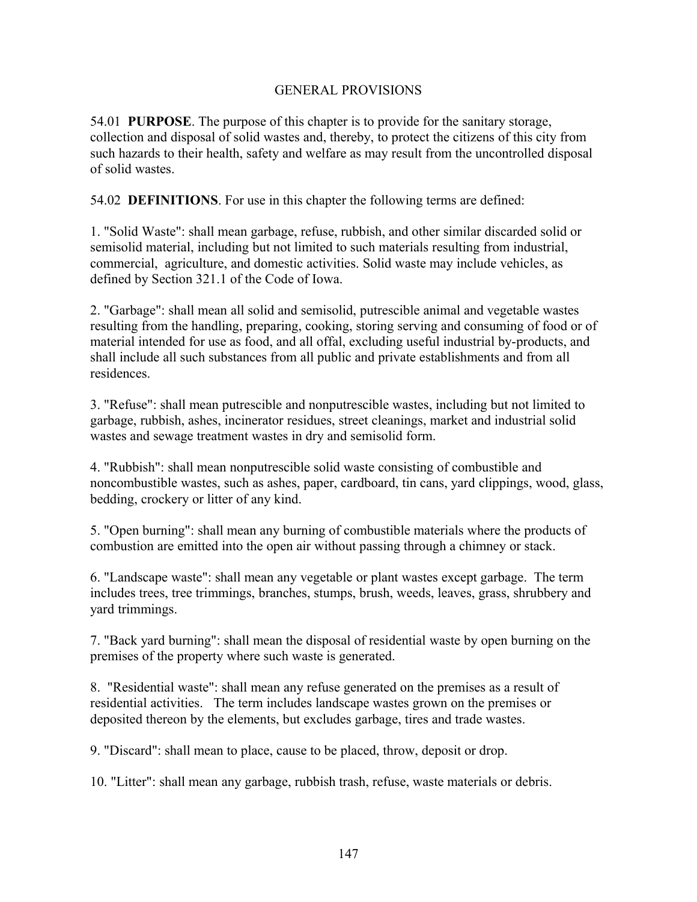### GENERAL PROVISIONS

54.01 **PURPOSE**. The purpose of this chapter is to provide for the sanitary storage, collection and disposal of solid wastes and, thereby, to protect the citizens of this city from such hazards to their health, safety and welfare as may result from the uncontrolled disposal of solid wastes.

54.02 **DEFINITIONS**. For use in this chapter the following terms are defined:

1. "Solid Waste": shall mean garbage, refuse, rubbish, and other similar discarded solid or semisolid material, including but not limited to such materials resulting from industrial, commercial, agriculture, and domestic activities. Solid waste may include vehicles, as defined by Section 321.1 of the Code of Iowa.

2. "Garbage": shall mean all solid and semisolid, putrescible animal and vegetable wastes resulting from the handling, preparing, cooking, storing serving and consuming of food or of material intended for use as food, and all offal, excluding useful industrial by-products, and shall include all such substances from all public and private establishments and from all residences.

3. "Refuse": shall mean putrescible and nonputrescible wastes, including but not limited to garbage, rubbish, ashes, incinerator residues, street cleanings, market and industrial solid wastes and sewage treatment wastes in dry and semisolid form.

4. "Rubbish": shall mean nonputrescible solid waste consisting of combustible and noncombustible wastes, such as ashes, paper, cardboard, tin cans, yard clippings, wood, glass, bedding, crockery or litter of any kind.

5. "Open burning": shall mean any burning of combustible materials where the products of combustion are emitted into the open air without passing through a chimney or stack.

6. "Landscape waste": shall mean any vegetable or plant wastes except garbage. The term includes trees, tree trimmings, branches, stumps, brush, weeds, leaves, grass, shrubbery and yard trimmings.

7. "Back yard burning": shall mean the disposal of residential waste by open burning on the premises of the property where such waste is generated.

8. "Residential waste": shall mean any refuse generated on the premises as a result of residential activities. The term includes landscape wastes grown on the premises or deposited thereon by the elements, but excludes garbage, tires and trade wastes.

9. "Discard": shall mean to place, cause to be placed, throw, deposit or drop.

10. "Litter": shall mean any garbage, rubbish trash, refuse, waste materials or debris.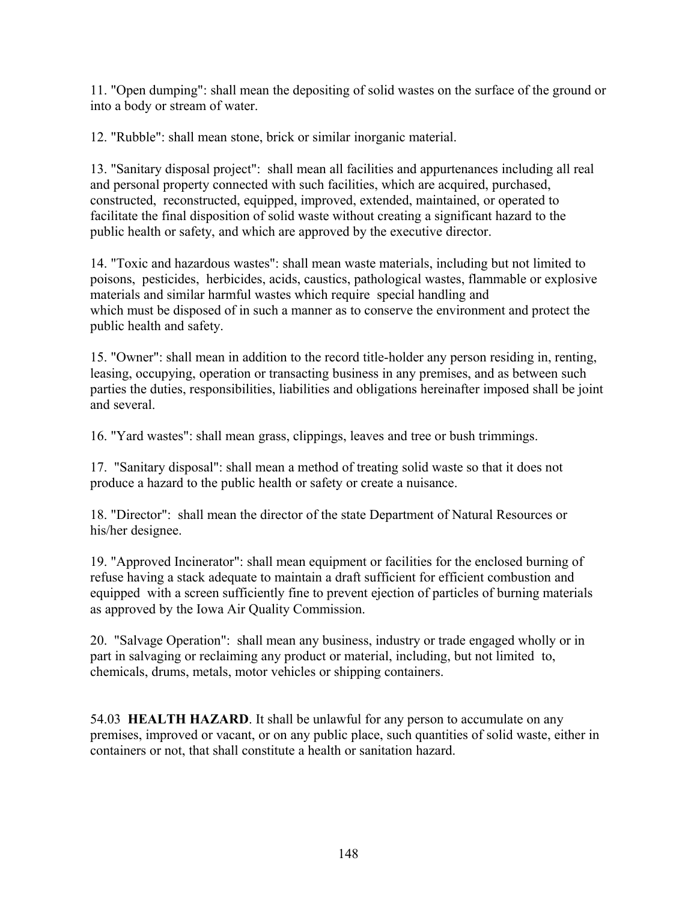11. "Open dumping": shall mean the depositing of solid wastes on the surface of the ground or into a body or stream of water.

12. "Rubble": shall mean stone, brick or similar inorganic material.

13. "Sanitary disposal project": shall mean all facilities and appurtenances including all real and personal property connected with such facilities, which are acquired, purchased, constructed, reconstructed, equipped, improved, extended, maintained, or operated to facilitate the final disposition of solid waste without creating a significant hazard to the public health or safety, and which are approved by the executive director.

14. "Toxic and hazardous wastes": shall mean waste materials, including but not limited to poisons, pesticides, herbicides, acids, caustics, pathological wastes, flammable or explosive materials and similar harmful wastes which require special handling and which must be disposed of in such a manner as to conserve the environment and protect the public health and safety.

15. "Owner": shall mean in addition to the record title-holder any person residing in, renting, leasing, occupying, operation or transacting business in any premises, and as between such parties the duties, responsibilities, liabilities and obligations hereinafter imposed shall be joint and several.

16. "Yard wastes": shall mean grass, clippings, leaves and tree or bush trimmings.

17. "Sanitary disposal": shall mean a method of treating solid waste so that it does not produce a hazard to the public health or safety or create a nuisance.

18. "Director": shall mean the director of the state Department of Natural Resources or his/her designee.

19. "Approved Incinerator": shall mean equipment or facilities for the enclosed burning of refuse having a stack adequate to maintain a draft sufficient for efficient combustion and equipped with a screen sufficiently fine to prevent ejection of particles of burning materials as approved by the Iowa Air Quality Commission.

20. "Salvage Operation": shall mean any business, industry or trade engaged wholly or in part in salvaging or reclaiming any product or material, including, but not limited to, chemicals, drums, metals, motor vehicles or shipping containers.

54.03 **HEALTH HAZARD**. It shall be unlawful for any person to accumulate on any premises, improved or vacant, or on any public place, such quantities of solid waste, either in containers or not, that shall constitute a health or sanitation hazard.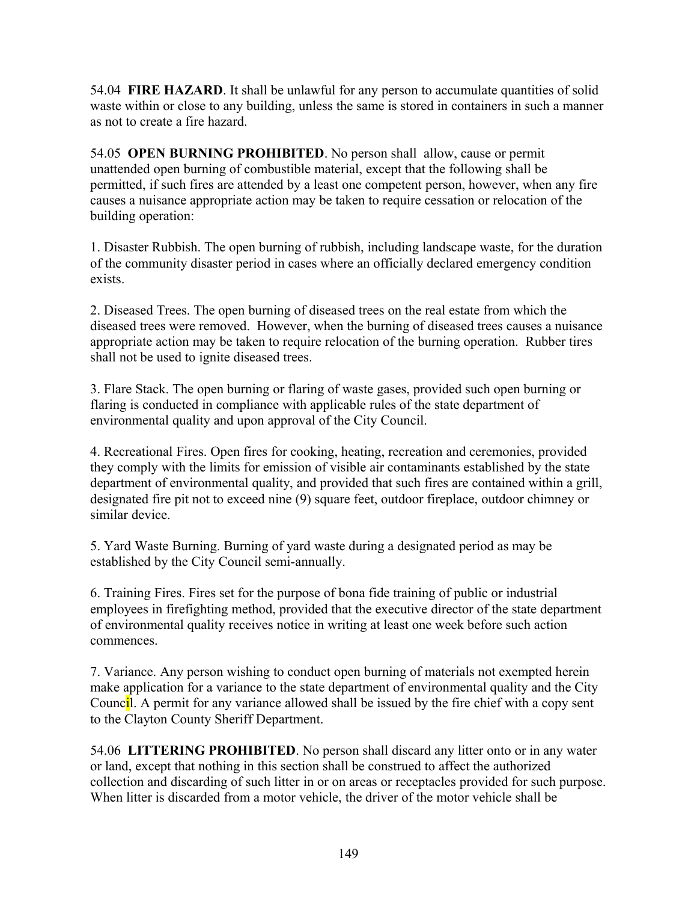54.04 **FIRE HAZARD**. It shall be unlawful for any person to accumulate quantities of solid waste within or close to any building, unless the same is stored in containers in such a manner as not to create a fire hazard.

54.05 **OPEN BURNING PROHIBITED**. No person shall allow, cause or permit unattended open burning of combustible material, except that the following shall be permitted, if such fires are attended by a least one competent person, however, when any fire causes a nuisance appropriate action may be taken to require cessation or relocation of the building operation:

1. Disaster Rubbish. The open burning of rubbish, including landscape waste, for the duration of the community disaster period in cases where an officially declared emergency condition exists.

2. Diseased Trees. The open burning of diseased trees on the real estate from which the diseased trees were removed. However, when the burning of diseased trees causes a nuisance appropriate action may be taken to require relocation of the burning operation. Rubber tires shall not be used to ignite diseased trees.

3. Flare Stack. The open burning or flaring of waste gases, provided such open burning or flaring is conducted in compliance with applicable rules of the state department of environmental quality and upon approval of the City Council.

4. Recreational Fires. Open fires for cooking, heating, recreation and ceremonies, provided they comply with the limits for emission of visible air contaminants established by the state department of environmental quality, and provided that such fires are contained within a grill, designated fire pit not to exceed nine (9) square feet, outdoor fireplace, outdoor chimney or similar device.

5. Yard Waste Burning. Burning of yard waste during a designated period as may be established by the City Council semi-annually.

6. Training Fires. Fires set for the purpose of bona fide training of public or industrial employees in firefighting method, provided that the executive director of the state department of environmental quality receives notice in writing at least one week before such action commences.

7. Variance. Any person wishing to conduct open burning of materials not exempted herein make application for a variance to the state department of environmental quality and the City Council. A permit for any variance allowed shall be issued by the fire chief with a copy sent to the Clayton County Sheriff Department.

54.06 **LITTERING PROHIBITED**. No person shall discard any litter onto or in any water or land, except that nothing in this section shall be construed to affect the authorized collection and discarding of such litter in or on areas or receptacles provided for such purpose. When litter is discarded from a motor vehicle, the driver of the motor vehicle shall be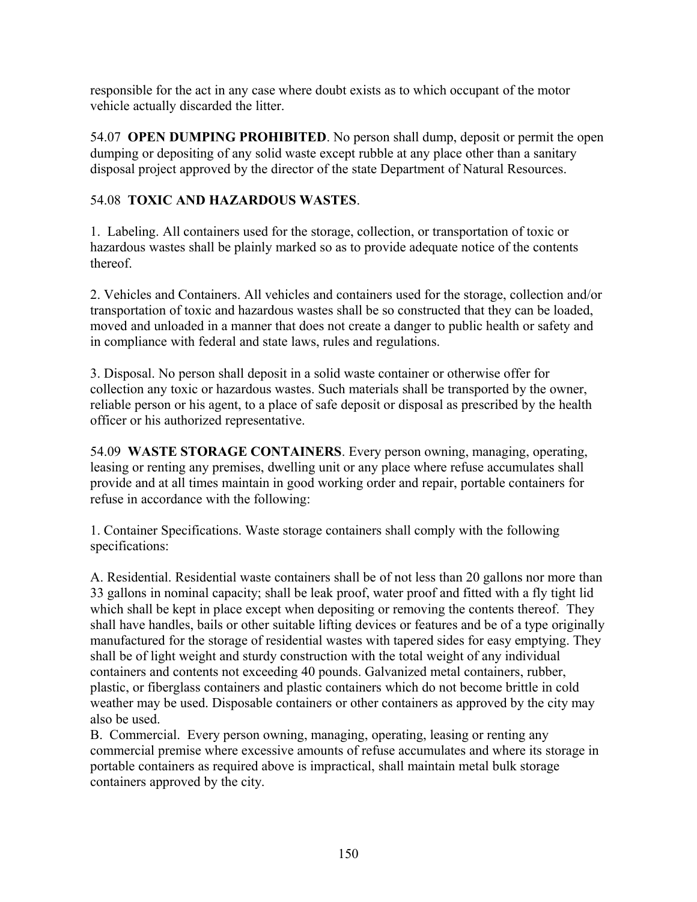responsible for the act in any case where doubt exists as to which occupant of the motor vehicle actually discarded the litter.

54.07 **OPEN DUMPING PROHIBITED**. No person shall dump, deposit or permit the open dumping or depositing of any solid waste except rubble at any place other than a sanitary disposal project approved by the director of the state Department of Natural Resources.

# 54.08 **TOXIC AND HAZARDOUS WASTES**.

1. Labeling. All containers used for the storage, collection, or transportation of toxic or hazardous wastes shall be plainly marked so as to provide adequate notice of the contents thereof.

2. Vehicles and Containers. All vehicles and containers used for the storage, collection and/or transportation of toxic and hazardous wastes shall be so constructed that they can be loaded, moved and unloaded in a manner that does not create a danger to public health or safety and in compliance with federal and state laws, rules and regulations.

3. Disposal. No person shall deposit in a solid waste container or otherwise offer for collection any toxic or hazardous wastes. Such materials shall be transported by the owner, reliable person or his agent, to a place of safe deposit or disposal as prescribed by the health officer or his authorized representative.

54.09 **WASTE STORAGE CONTAINERS**. Every person owning, managing, operating, leasing or renting any premises, dwelling unit or any place where refuse accumulates shall provide and at all times maintain in good working order and repair, portable containers for refuse in accordance with the following:

1. Container Specifications. Waste storage containers shall comply with the following specifications:

A. Residential. Residential waste containers shall be of not less than 20 gallons nor more than 33 gallons in nominal capacity; shall be leak proof, water proof and fitted with a fly tight lid which shall be kept in place except when depositing or removing the contents thereof. They shall have handles, bails or other suitable lifting devices or features and be of a type originally manufactured for the storage of residential wastes with tapered sides for easy emptying. They shall be of light weight and sturdy construction with the total weight of any individual containers and contents not exceeding 40 pounds. Galvanized metal containers, rubber, plastic, or fiberglass containers and plastic containers which do not become brittle in cold weather may be used. Disposable containers or other containers as approved by the city may also be used.

B. Commercial. Every person owning, managing, operating, leasing or renting any commercial premise where excessive amounts of refuse accumulates and where its storage in portable containers as required above is impractical, shall maintain metal bulk storage containers approved by the city.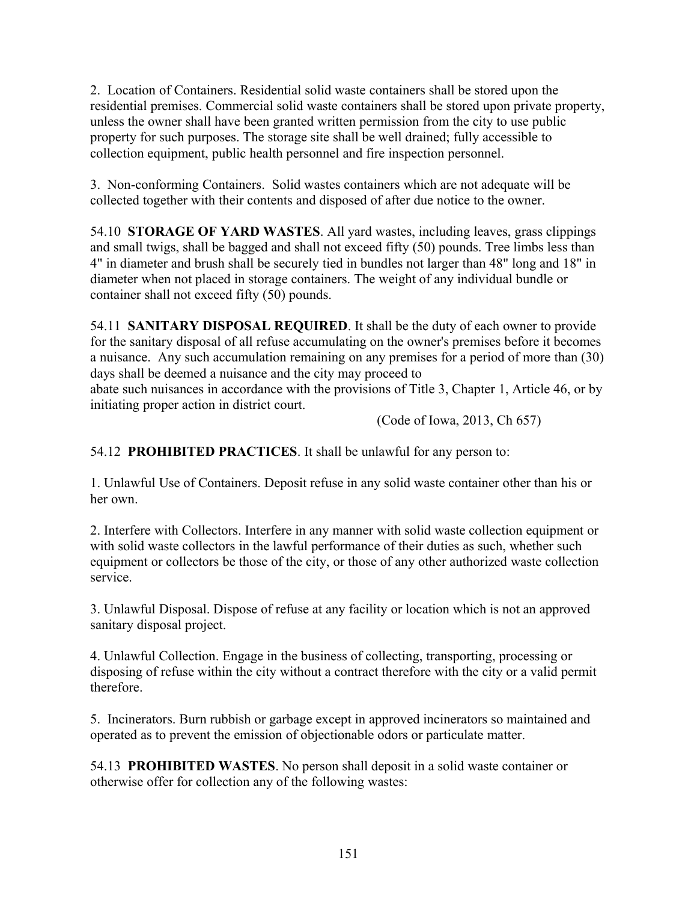2. Location of Containers. Residential solid waste containers shall be stored upon the residential premises. Commercial solid waste containers shall be stored upon private property, unless the owner shall have been granted written permission from the city to use public property for such purposes. The storage site shall be well drained; fully accessible to collection equipment, public health personnel and fire inspection personnel.

3. Non-conforming Containers. Solid wastes containers which are not adequate will be collected together with their contents and disposed of after due notice to the owner.

54.10 **STORAGE OF YARD WASTES**. All yard wastes, including leaves, grass clippings and small twigs, shall be bagged and shall not exceed fifty (50) pounds. Tree limbs less than 4" in diameter and brush shall be securely tied in bundles not larger than 48" long and 18" in diameter when not placed in storage containers. The weight of any individual bundle or container shall not exceed fifty (50) pounds.

54.11 **SANITARY DISPOSAL REQUIRED**. It shall be the duty of each owner to provide for the sanitary disposal of all refuse accumulating on the owner's premises before it becomes a nuisance. Any such accumulation remaining on any premises for a period of more than (30) days shall be deemed a nuisance and the city may proceed to

abate such nuisances in accordance with the provisions of Title 3, Chapter 1, Article 46, or by initiating proper action in district court.

(Code of Iowa, 2013, Ch 657)

54.12 **PROHIBITED PRACTICES**. It shall be unlawful for any person to:

1. Unlawful Use of Containers. Deposit refuse in any solid waste container other than his or her own.

2. Interfere with Collectors. Interfere in any manner with solid waste collection equipment or with solid waste collectors in the lawful performance of their duties as such, whether such equipment or collectors be those of the city, or those of any other authorized waste collection service.

3. Unlawful Disposal. Dispose of refuse at any facility or location which is not an approved sanitary disposal project.

4. Unlawful Collection. Engage in the business of collecting, transporting, processing or disposing of refuse within the city without a contract therefore with the city or a valid permit therefore.

5. Incinerators. Burn rubbish or garbage except in approved incinerators so maintained and operated as to prevent the emission of objectionable odors or particulate matter.

54.13 **PROHIBITED WASTES**. No person shall deposit in a solid waste container or otherwise offer for collection any of the following wastes: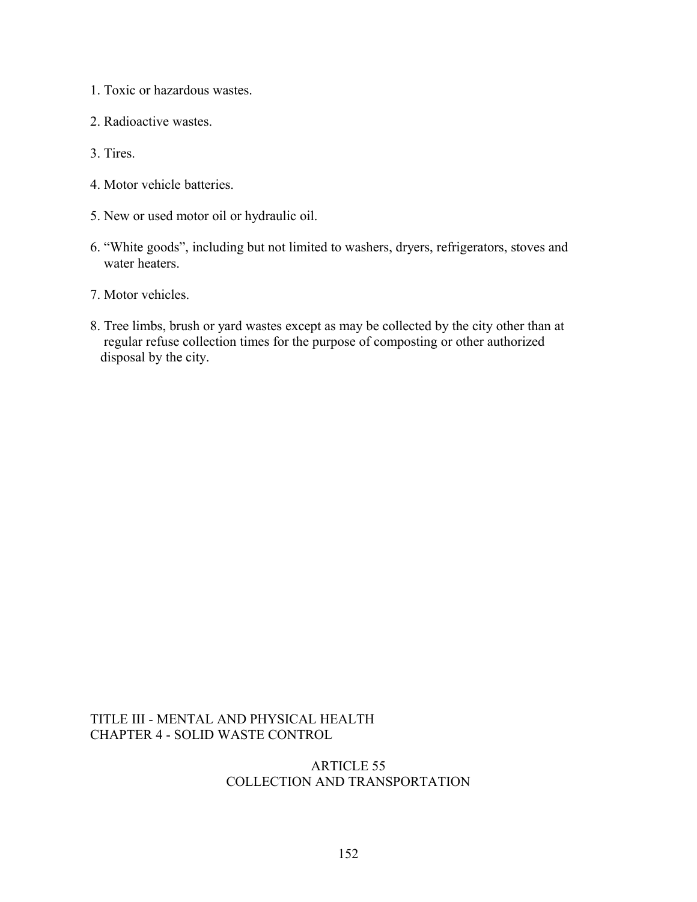- 1. Toxic or hazardous wastes.
- 2. Radioactive wastes.
- 3. Tires.
- 4. Motor vehicle batteries.
- 5. New or used motor oil or hydraulic oil.
- 6. "White goods", including but not limited to washers, dryers, refrigerators, stoves and water heaters.
- 7. Motor vehicles.
- 8. Tree limbs, brush or yard wastes except as may be collected by the city other than at regular refuse collection times for the purpose of composting or other authorized disposal by the city.

### TITLE III - MENTAL AND PHYSICAL HEALTH CHAPTER 4 - SOLID WASTE CONTROL

## ARTICLE 55 COLLECTION AND TRANSPORTATION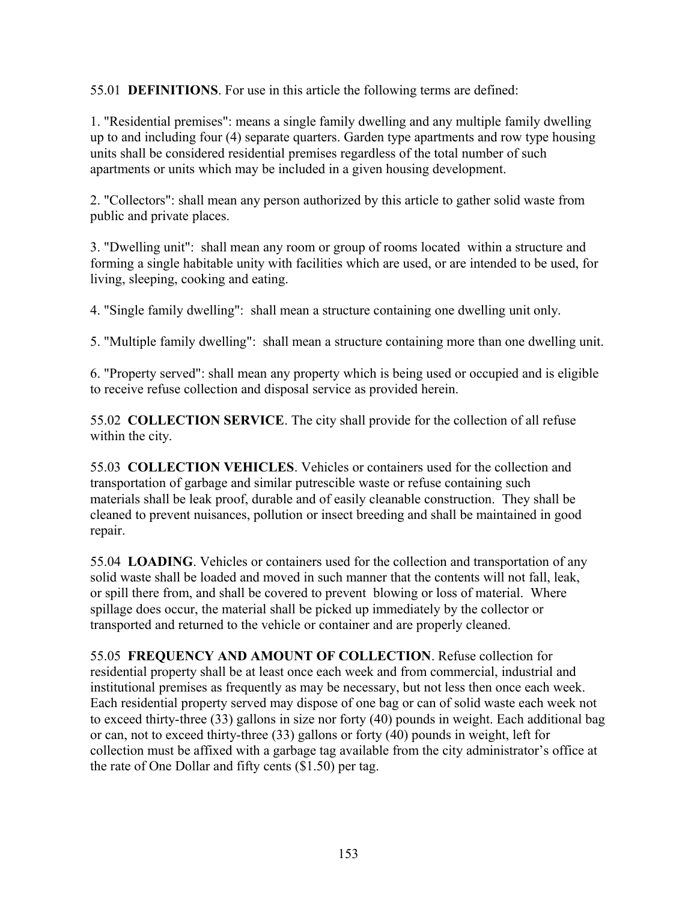55.01 **DEFINITIONS**. For use in this article the following terms are defined:

1. "Residential premises": means a single family dwelling and any multiple family dwelling up to and including four (4) separate quarters. Garden type apartments and row type housing units shall be considered residential premises regardless of the total number of such apartments or units which may be included in a given housing development.

2. "Collectors": shall mean any person authorized by this article to gather solid waste from public and private places.

3. "Dwelling unit": shall mean any room or group of rooms located within a structure and forming a single habitable unity with facilities which are used, or are intended to be used, for living, sleeping, cooking and eating.

4. "Single family dwelling": shall mean a structure containing one dwelling unit only.

5. "Multiple family dwelling": shall mean a structure containing more than one dwelling unit.

6. "Property served": shall mean any property which is being used or occupied and is eligible to receive refuse collection and disposal service as provided herein.

55.02 **COLLECTION SERVICE**. The city shall provide for the collection of all refuse within the city.

55.03 **COLLECTION VEHICLES**. Vehicles or containers used for the collection and transportation of garbage and similar putrescible waste or refuse containing such materials shall be leak proof, durable and of easily cleanable construction. They shall be cleaned to prevent nuisances, pollution or insect breeding and shall be maintained in good repair.

55.04 **LOADING**. Vehicles or containers used for the collection and transportation of any solid waste shall be loaded and moved in such manner that the contents will not fall, leak, or spill there from, and shall be covered to prevent blowing or loss of material. Where spillage does occur, the material shall be picked up immediately by the collector or transported and returned to the vehicle or container and are properly cleaned.

55.05 **FREQUENCY AND AMOUNT OF COLLECTION**. Refuse collection for residential property shall be at least once each week and from commercial, industrial and institutional premises as frequently as may be necessary, but not less then once each week. Each residential property served may dispose of one bag or can of solid waste each week not to exceed thirty-three (33) gallons in size nor forty (40) pounds in weight. Each additional bag or can, not to exceed thirty-three (33) gallons or forty (40) pounds in weight, left for collection must be affixed with a garbage tag available from the city administrator's office at the rate of One Dollar and fifty cents (\$1.50) per tag.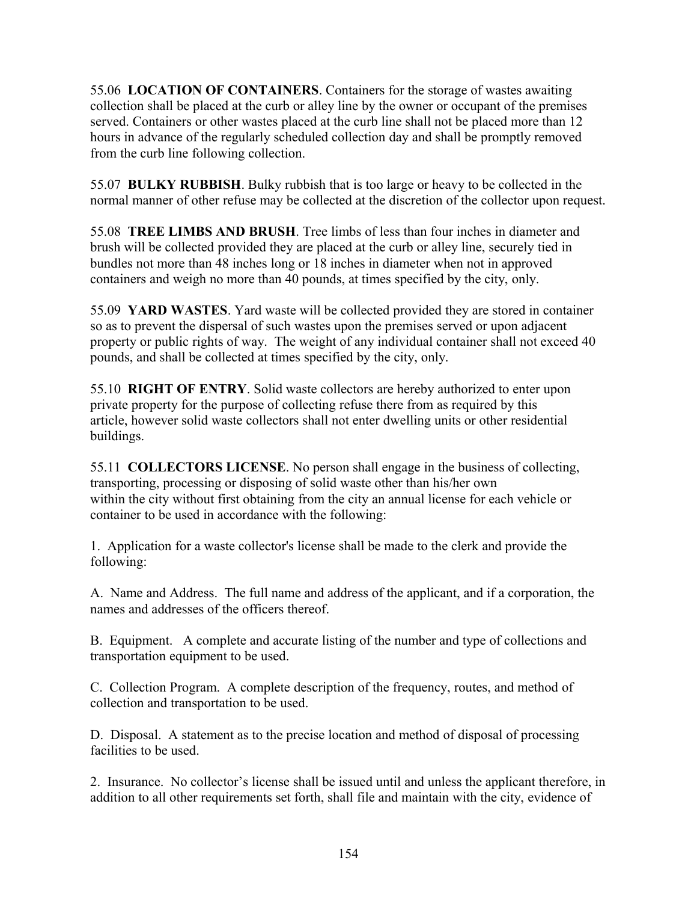55.06 **LOCATION OF CONTAINERS**. Containers for the storage of wastes awaiting collection shall be placed at the curb or alley line by the owner or occupant of the premises served. Containers or other wastes placed at the curb line shall not be placed more than 12 hours in advance of the regularly scheduled collection day and shall be promptly removed from the curb line following collection.

55.07 **BULKY RUBBISH**. Bulky rubbish that is too large or heavy to be collected in the normal manner of other refuse may be collected at the discretion of the collector upon request.

55.08 **TREE LIMBS AND BRUSH**. Tree limbs of less than four inches in diameter and brush will be collected provided they are placed at the curb or alley line, securely tied in bundles not more than 48 inches long or 18 inches in diameter when not in approved containers and weigh no more than 40 pounds, at times specified by the city, only.

55.09 **YARD WASTES**. Yard waste will be collected provided they are stored in container so as to prevent the dispersal of such wastes upon the premises served or upon adjacent property or public rights of way. The weight of any individual container shall not exceed 40 pounds, and shall be collected at times specified by the city, only.

55.10 **RIGHT OF ENTRY**. Solid waste collectors are hereby authorized to enter upon private property for the purpose of collecting refuse there from as required by this article, however solid waste collectors shall not enter dwelling units or other residential buildings.

55.11 **COLLECTORS LICENSE**. No person shall engage in the business of collecting, transporting, processing or disposing of solid waste other than his/her own within the city without first obtaining from the city an annual license for each vehicle or container to be used in accordance with the following:

1. Application for a waste collector's license shall be made to the clerk and provide the following:

A. Name and Address. The full name and address of the applicant, and if a corporation, the names and addresses of the officers thereof.

B. Equipment. A complete and accurate listing of the number and type of collections and transportation equipment to be used.

C. Collection Program. A complete description of the frequency, routes, and method of collection and transportation to be used.

D. Disposal. A statement as to the precise location and method of disposal of processing facilities to be used.

2. Insurance. No collector's license shall be issued until and unless the applicant therefore, in addition to all other requirements set forth, shall file and maintain with the city, evidence of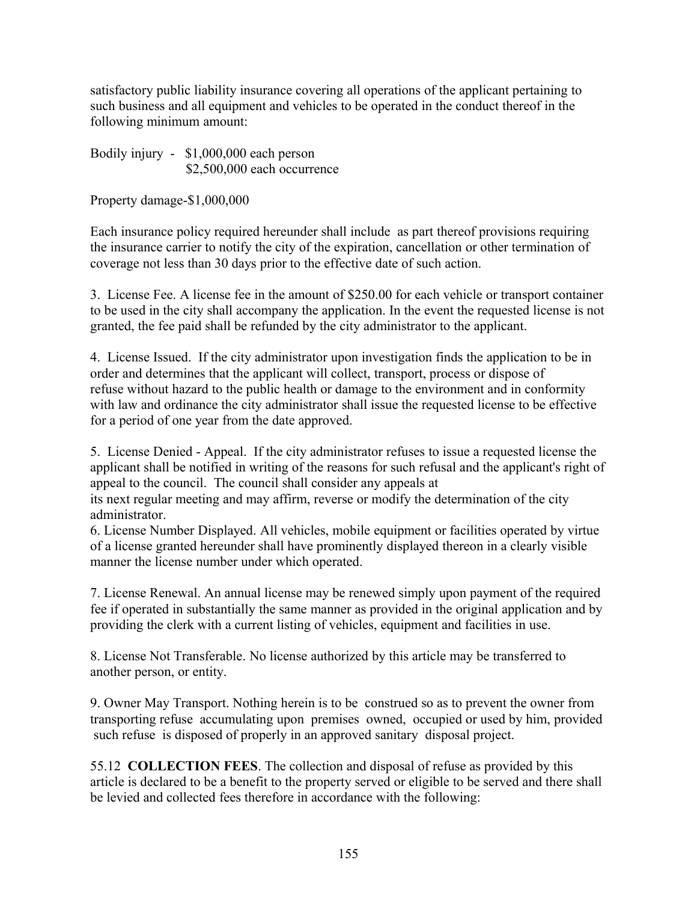satisfactory public liability insurance covering all operations of the applicant pertaining to such business and all equipment and vehicles to be operated in the conduct thereof in the following minimum amount:

Bodily injury - \$1,000,000 each person \$2,500,000 each occurrence

Property damage-\$1,000,000

Each insurance policy required hereunder shall include as part thereof provisions requiring the insurance carrier to notify the city of the expiration, cancellation or other termination of coverage not less than 30 days prior to the effective date of such action.

3. License Fee. A license fee in the amount of \$250.00 for each vehicle or transport container to be used in the city shall accompany the application. In the event the requested license is not granted, the fee paid shall be refunded by the city administrator to the applicant.

4. License Issued. If the city administrator upon investigation finds the application to be in order and determines that the applicant will collect, transport, process or dispose of refuse without hazard to the public health or damage to the environment and in conformity with law and ordinance the city administrator shall issue the requested license to be effective for a period of one year from the date approved.

5. License Denied - Appeal. If the city administrator refuses to issue a requested license the applicant shall be notified in writing of the reasons for such refusal and the applicant's right of appeal to the council. The council shall consider any appeals at

its next regular meeting and may affirm, reverse or modify the determination of the city administrator.

6. License Number Displayed. All vehicles, mobile equipment or facilities operated by virtue of a license granted hereunder shall have prominently displayed thereon in a clearly visible manner the license number under which operated.

7. License Renewal. An annual license may be renewed simply upon payment of the required fee if operated in substantially the same manner as provided in the original application and by providing the clerk with a current listing of vehicles, equipment and facilities in use.

8. License Not Transferable. No license authorized by this article may be transferred to another person, or entity.

9. Owner May Transport. Nothing herein is to be construed so as to prevent the owner from transporting refuse accumulating upon premises owned, occupied or used by him, provided such refuse is disposed of properly in an approved sanitary disposal project.

55.12 **COLLECTION FEES**. The collection and disposal of refuse as provided by this article is declared to be a benefit to the property served or eligible to be served and there shall be levied and collected fees therefore in accordance with the following: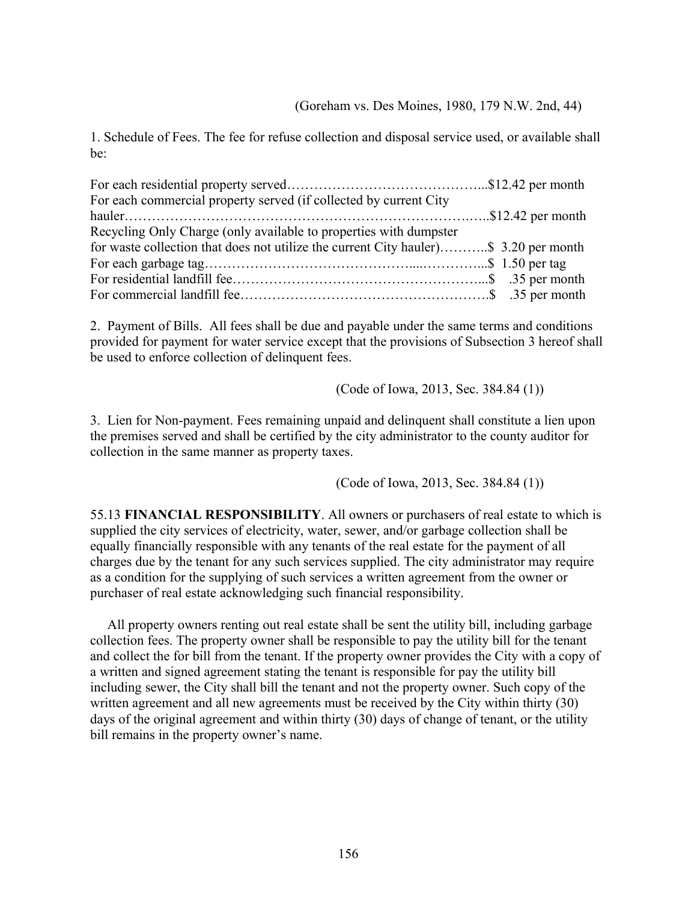1. Schedule of Fees. The fee for refuse collection and disposal service used, or available shall be:

| For each commercial property served (if collected by current City                    |  |
|--------------------------------------------------------------------------------------|--|
|                                                                                      |  |
| Recycling Only Charge (only available to properties with dumpster                    |  |
| for waste collection that does not utilize the current City hauler)\$ 3.20 per month |  |
|                                                                                      |  |
|                                                                                      |  |
|                                                                                      |  |

2. Payment of Bills. All fees shall be due and payable under the same terms and conditions provided for payment for water service except that the provisions of Subsection 3 hereof shall be used to enforce collection of delinquent fees.

(Code of Iowa, 2013, Sec. 384.84 (1))

3. Lien for Non-payment. Fees remaining unpaid and delinquent shall constitute a lien upon the premises served and shall be certified by the city administrator to the county auditor for collection in the same manner as property taxes.

(Code of Iowa, 2013, Sec. 384.84 (1))

55.13 **FINANCIAL RESPONSIBILITY**. All owners or purchasers of real estate to which is supplied the city services of electricity, water, sewer, and/or garbage collection shall be equally financially responsible with any tenants of the real estate for the payment of all charges due by the tenant for any such services supplied. The city administrator may require as a condition for the supplying of such services a written agreement from the owner or purchaser of real estate acknowledging such financial responsibility.

 All property owners renting out real estate shall be sent the utility bill, including garbage collection fees. The property owner shall be responsible to pay the utility bill for the tenant and collect the for bill from the tenant. If the property owner provides the City with a copy of a written and signed agreement stating the tenant is responsible for pay the utility bill including sewer, the City shall bill the tenant and not the property owner. Such copy of the written agreement and all new agreements must be received by the City within thirty (30) days of the original agreement and within thirty (30) days of change of tenant, or the utility bill remains in the property owner's name.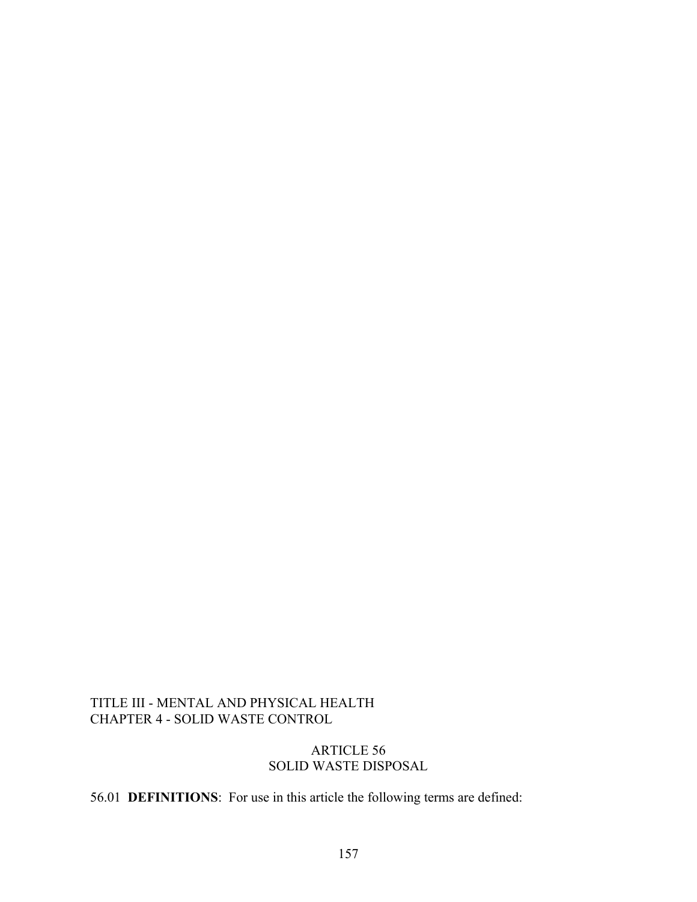### TITLE III - MENTAL AND PHYSICAL HEALTH CHAPTER 4 - SOLID WASTE CONTROL

#### ARTICLE 56 SOLID WASTE DISPOSAL

56.01 **DEFINITIONS**: For use in this article the following terms are defined: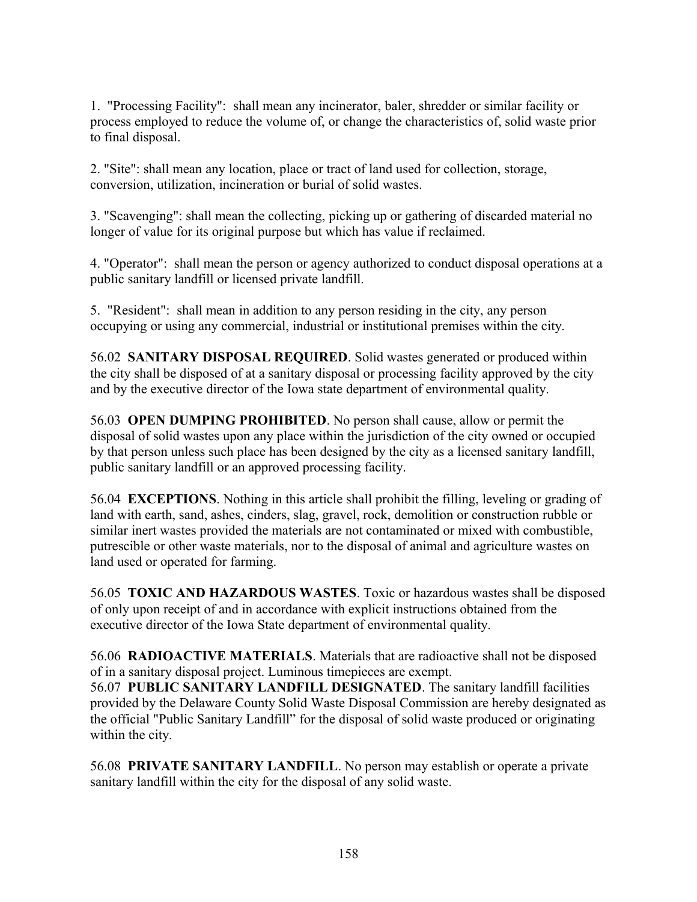1. "Processing Facility": shall mean any incinerator, baler, shredder or similar facility or process employed to reduce the volume of, or change the characteristics of, solid waste prior to final disposal.

2. "Site": shall mean any location, place or tract of land used for collection, storage, conversion, utilization, incineration or burial of solid wastes.

3. "Scavenging": shall mean the collecting, picking up or gathering of discarded material no longer of value for its original purpose but which has value if reclaimed.

4. "Operator": shall mean the person or agency authorized to conduct disposal operations at a public sanitary landfill or licensed private landfill.

5. "Resident": shall mean in addition to any person residing in the city, any person occupying or using any commercial, industrial or institutional premises within the city.

56.02 **SANITARY DISPOSAL REQUIRED**. Solid wastes generated or produced within the city shall be disposed of at a sanitary disposal or processing facility approved by the city and by the executive director of the Iowa state department of environmental quality.

56.03 **OPEN DUMPING PROHIBITED**. No person shall cause, allow or permit the disposal of solid wastes upon any place within the jurisdiction of the city owned or occupied by that person unless such place has been designed by the city as a licensed sanitary landfill, public sanitary landfill or an approved processing facility.

56.04 **EXCEPTIONS**. Nothing in this article shall prohibit the filling, leveling or grading of land with earth, sand, ashes, cinders, slag, gravel, rock, demolition or construction rubble or similar inert wastes provided the materials are not contaminated or mixed with combustible, putrescible or other waste materials, nor to the disposal of animal and agriculture wastes on land used or operated for farming.

56.05 **TOXIC AND HAZARDOUS WASTES**. Toxic or hazardous wastes shall be disposed of only upon receipt of and in accordance with explicit instructions obtained from the executive director of the Iowa State department of environmental quality.

56.06 **RADIOACTIVE MATERIALS**. Materials that are radioactive shall not be disposed of in a sanitary disposal project. Luminous timepieces are exempt.

56.07 **PUBLIC SANITARY LANDFILL DESIGNATED**. The sanitary landfill facilities provided by the Delaware County Solid Waste Disposal Commission are hereby designated as the official "Public Sanitary Landfill" for the disposal of solid waste produced or originating within the city.

56.08 **PRIVATE SANITARY LANDFILL**. No person may establish or operate a private sanitary landfill within the city for the disposal of any solid waste.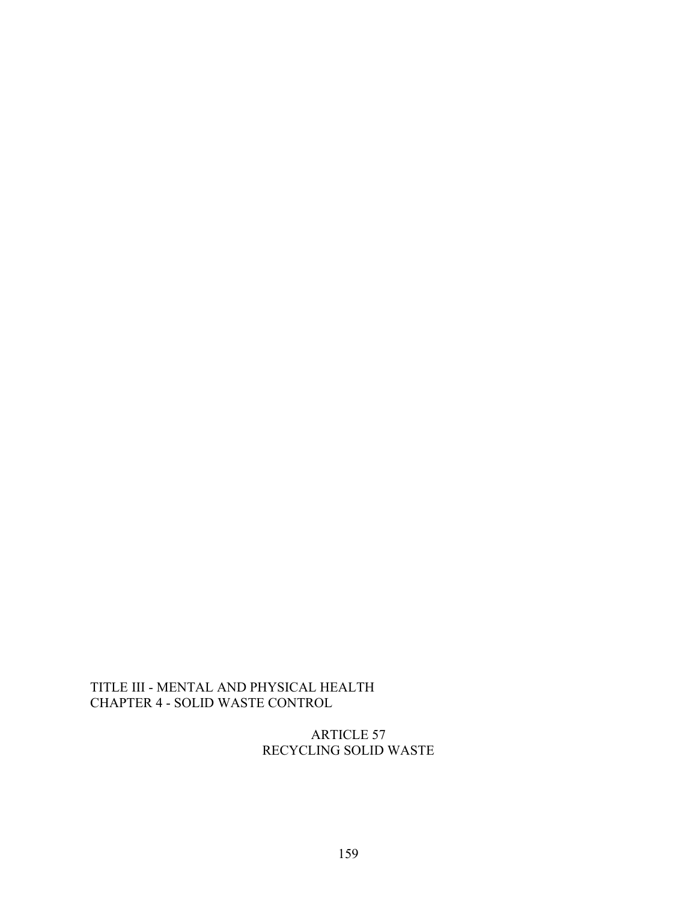# TITLE III - MENTAL AND PHYSICAL HEALTH CHAPTER 4 - SOLID WASTE CONTROL

ARTICLE 57 RECYCLING SOLID WASTE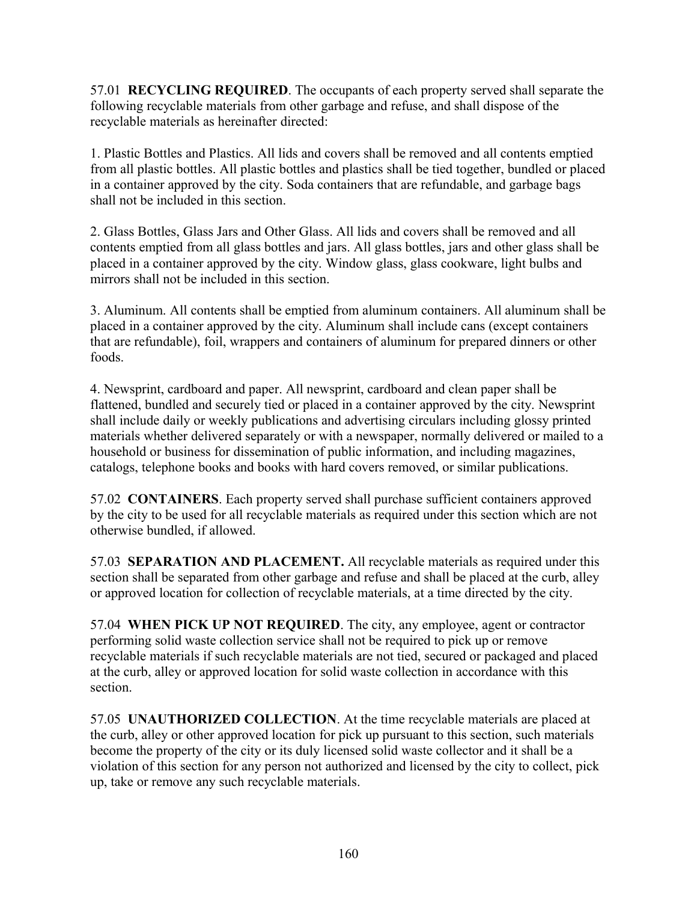57.01 **RECYCLING REQUIRED**. The occupants of each property served shall separate the following recyclable materials from other garbage and refuse, and shall dispose of the recyclable materials as hereinafter directed:

1. Plastic Bottles and Plastics. All lids and covers shall be removed and all contents emptied from all plastic bottles. All plastic bottles and plastics shall be tied together, bundled or placed in a container approved by the city. Soda containers that are refundable, and garbage bags shall not be included in this section.

2. Glass Bottles, Glass Jars and Other Glass. All lids and covers shall be removed and all contents emptied from all glass bottles and jars. All glass bottles, jars and other glass shall be placed in a container approved by the city. Window glass, glass cookware, light bulbs and mirrors shall not be included in this section.

3. Aluminum. All contents shall be emptied from aluminum containers. All aluminum shall be placed in a container approved by the city. Aluminum shall include cans (except containers that are refundable), foil, wrappers and containers of aluminum for prepared dinners or other foods.

4. Newsprint, cardboard and paper. All newsprint, cardboard and clean paper shall be flattened, bundled and securely tied or placed in a container approved by the city. Newsprint shall include daily or weekly publications and advertising circulars including glossy printed materials whether delivered separately or with a newspaper, normally delivered or mailed to a household or business for dissemination of public information, and including magazines, catalogs, telephone books and books with hard covers removed, or similar publications.

57.02 **CONTAINERS**. Each property served shall purchase sufficient containers approved by the city to be used for all recyclable materials as required under this section which are not otherwise bundled, if allowed.

57.03 **SEPARATION AND PLACEMENT.** All recyclable materials as required under this section shall be separated from other garbage and refuse and shall be placed at the curb, alley or approved location for collection of recyclable materials, at a time directed by the city.

57.04 **WHEN PICK UP NOT REQUIRED**. The city, any employee, agent or contractor performing solid waste collection service shall not be required to pick up or remove recyclable materials if such recyclable materials are not tied, secured or packaged and placed at the curb, alley or approved location for solid waste collection in accordance with this section.

57.05 **UNAUTHORIZED COLLECTION**. At the time recyclable materials are placed at the curb, alley or other approved location for pick up pursuant to this section, such materials become the property of the city or its duly licensed solid waste collector and it shall be a violation of this section for any person not authorized and licensed by the city to collect, pick up, take or remove any such recyclable materials.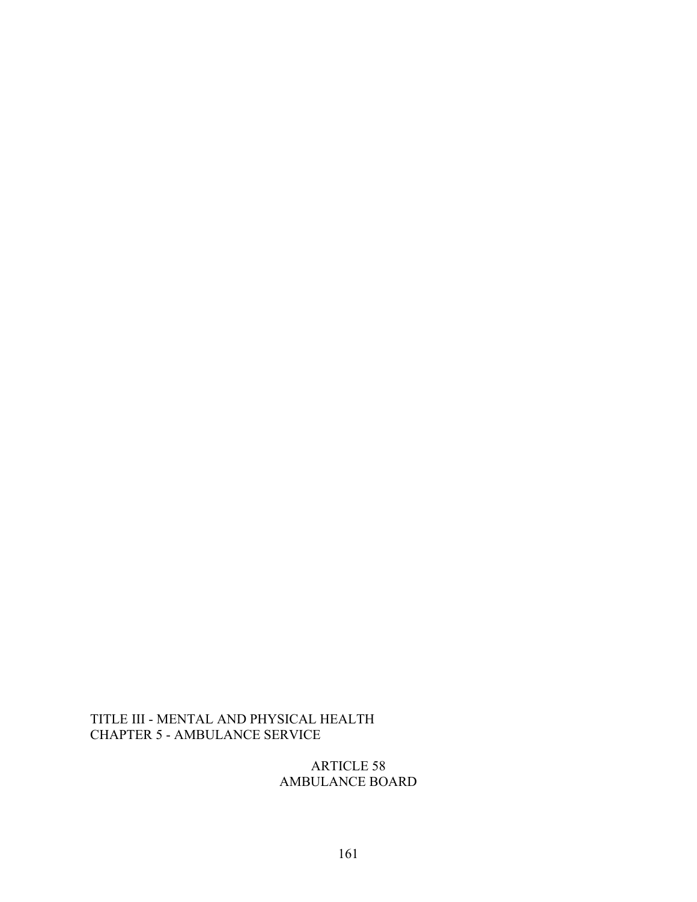## TITLE III - MENTAL AND PHYSICAL HEALTH CHAPTER 5 - AMBULANCE SERVICE

ARTICLE 58 AMBULANCE BOARD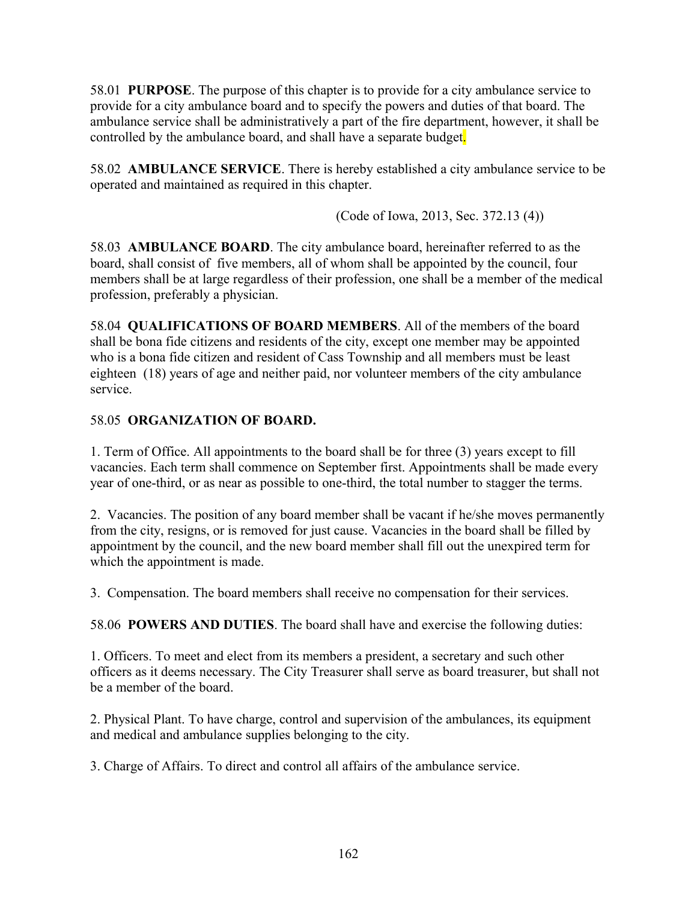58.01 **PURPOSE**. The purpose of this chapter is to provide for a city ambulance service to provide for a city ambulance board and to specify the powers and duties of that board. The ambulance service shall be administratively a part of the fire department, however, it shall be controlled by the ambulance board, and shall have a separate budget.

58.02 **AMBULANCE SERVICE**. There is hereby established a city ambulance service to be operated and maintained as required in this chapter.

(Code of Iowa, 2013, Sec. 372.13 (4))

58.03 **AMBULANCE BOARD**. The city ambulance board, hereinafter referred to as the board, shall consist of five members, all of whom shall be appointed by the council, four members shall be at large regardless of their profession, one shall be a member of the medical profession, preferably a physician.

58.04 **QUALIFICATIONS OF BOARD MEMBERS**. All of the members of the board shall be bona fide citizens and residents of the city, except one member may be appointed who is a bona fide citizen and resident of Cass Township and all members must be least eighteen (18) years of age and neither paid, nor volunteer members of the city ambulance service.

# 58.05 **ORGANIZATION OF BOARD.**

1. Term of Office. All appointments to the board shall be for three (3) years except to fill vacancies. Each term shall commence on September first. Appointments shall be made every year of one-third, or as near as possible to one-third, the total number to stagger the terms.

2. Vacancies. The position of any board member shall be vacant if he/she moves permanently from the city, resigns, or is removed for just cause. Vacancies in the board shall be filled by appointment by the council, and the new board member shall fill out the unexpired term for which the appointment is made.

3. Compensation. The board members shall receive no compensation for their services.

58.06 **POWERS AND DUTIES**. The board shall have and exercise the following duties:

1. Officers. To meet and elect from its members a president, a secretary and such other officers as it deems necessary. The City Treasurer shall serve as board treasurer, but shall not be a member of the board.

2. Physical Plant. To have charge, control and supervision of the ambulances, its equipment and medical and ambulance supplies belonging to the city.

3. Charge of Affairs. To direct and control all affairs of the ambulance service.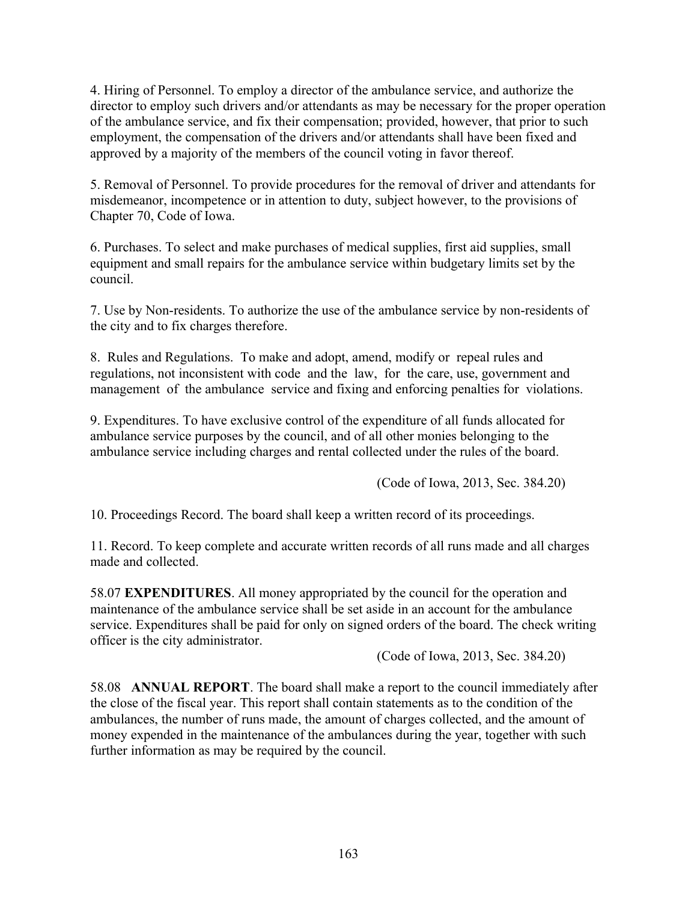4. Hiring of Personnel. To employ a director of the ambulance service, and authorize the director to employ such drivers and/or attendants as may be necessary for the proper operation of the ambulance service, and fix their compensation; provided, however, that prior to such employment, the compensation of the drivers and/or attendants shall have been fixed and approved by a majority of the members of the council voting in favor thereof.

5. Removal of Personnel. To provide procedures for the removal of driver and attendants for misdemeanor, incompetence or in attention to duty, subject however, to the provisions of Chapter 70, Code of Iowa.

6. Purchases. To select and make purchases of medical supplies, first aid supplies, small equipment and small repairs for the ambulance service within budgetary limits set by the council.

7. Use by Non-residents. To authorize the use of the ambulance service by non-residents of the city and to fix charges therefore.

8. Rules and Regulations. To make and adopt, amend, modify or repeal rules and regulations, not inconsistent with code and the law, for the care, use, government and management of the ambulance service and fixing and enforcing penalties for violations.

9. Expenditures. To have exclusive control of the expenditure of all funds allocated for ambulance service purposes by the council, and of all other monies belonging to the ambulance service including charges and rental collected under the rules of the board.

(Code of Iowa, 2013, Sec. 384.20)

10. Proceedings Record. The board shall keep a written record of its proceedings.

11. Record. To keep complete and accurate written records of all runs made and all charges made and collected.

58.07 **EXPENDITURES**. All money appropriated by the council for the operation and maintenance of the ambulance service shall be set aside in an account for the ambulance service. Expenditures shall be paid for only on signed orders of the board. The check writing officer is the city administrator.

(Code of Iowa, 2013, Sec. 384.20)

58.08 **ANNUAL REPORT**. The board shall make a report to the council immediately after the close of the fiscal year. This report shall contain statements as to the condition of the ambulances, the number of runs made, the amount of charges collected, and the amount of money expended in the maintenance of the ambulances during the year, together with such further information as may be required by the council.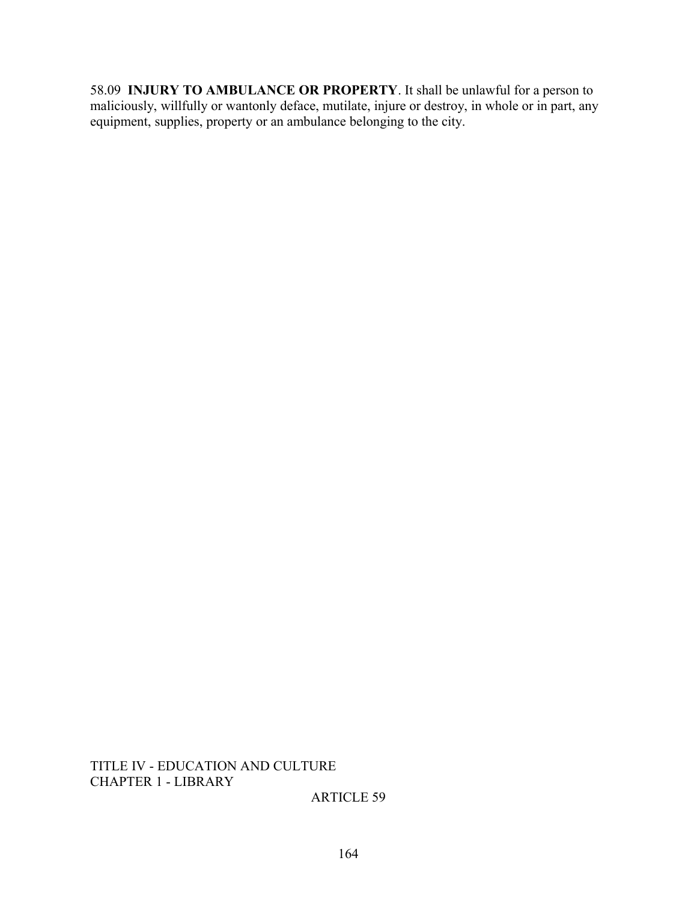58.09 **INJURY TO AMBULANCE OR PROPERTY**. It shall be unlawful for a person to maliciously, willfully or wantonly deface, mutilate, injure or destroy, in whole or in part, any equipment, supplies, property or an ambulance belonging to the city.

TITLE IV - EDUCATION AND CULTURE CHAPTER 1 - LIBRARY

ARTICLE 59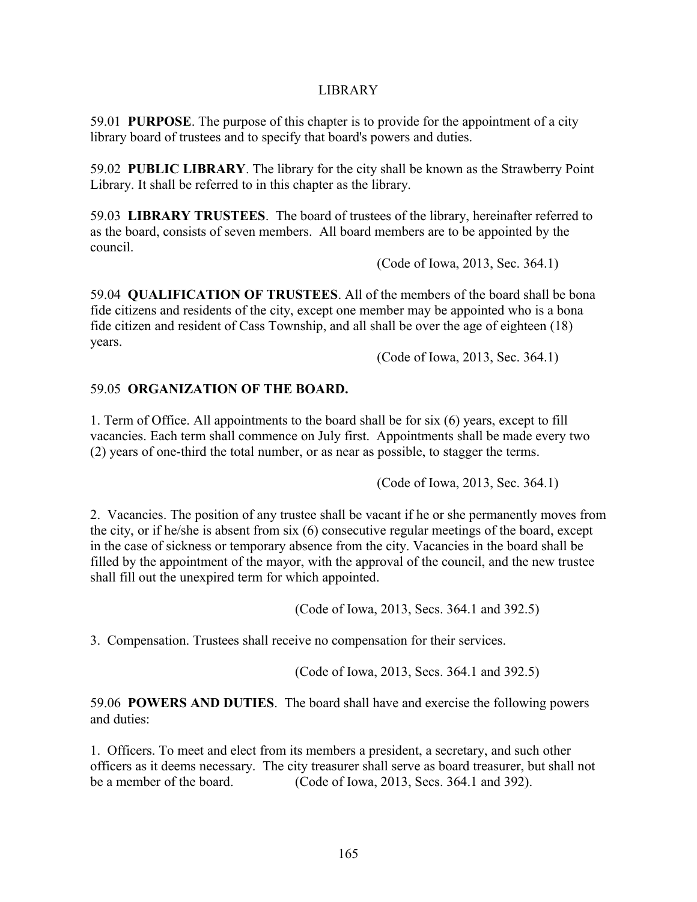### LIBRARY

59.01 **PURPOSE**. The purpose of this chapter is to provide for the appointment of a city library board of trustees and to specify that board's powers and duties.

59.02 **PUBLIC LIBRARY**. The library for the city shall be known as the Strawberry Point Library. It shall be referred to in this chapter as the library.

59.03 **LIBRARY TRUSTEES**. The board of trustees of the library, hereinafter referred to as the board, consists of seven members. All board members are to be appointed by the council.

(Code of Iowa, 2013, Sec. 364.1)

59.04 **QUALIFICATION OF TRUSTEES**. All of the members of the board shall be bona fide citizens and residents of the city, except one member may be appointed who is a bona fide citizen and resident of Cass Township, and all shall be over the age of eighteen (18) years.

(Code of Iowa, 2013, Sec. 364.1)

## 59.05 **ORGANIZATION OF THE BOARD.**

1. Term of Office. All appointments to the board shall be for six (6) years, except to fill vacancies. Each term shall commence on July first. Appointments shall be made every two (2) years of one-third the total number, or as near as possible, to stagger the terms.

(Code of Iowa, 2013, Sec. 364.1)

2. Vacancies. The position of any trustee shall be vacant if he or she permanently moves from the city, or if he/she is absent from six (6) consecutive regular meetings of the board, except in the case of sickness or temporary absence from the city. Vacancies in the board shall be filled by the appointment of the mayor, with the approval of the council, and the new trustee shall fill out the unexpired term for which appointed.

(Code of Iowa, 2013, Secs. 364.1 and 392.5)

3. Compensation. Trustees shall receive no compensation for their services.

(Code of Iowa, 2013, Secs. 364.1 and 392.5)

59.06 **POWERS AND DUTIES**. The board shall have and exercise the following powers and duties:

1. Officers. To meet and elect from its members a president, a secretary, and such other officers as it deems necessary. The city treasurer shall serve as board treasurer, but shall not be a member of the board. (Code of Iowa, 2013, Secs. 364.1 and 392).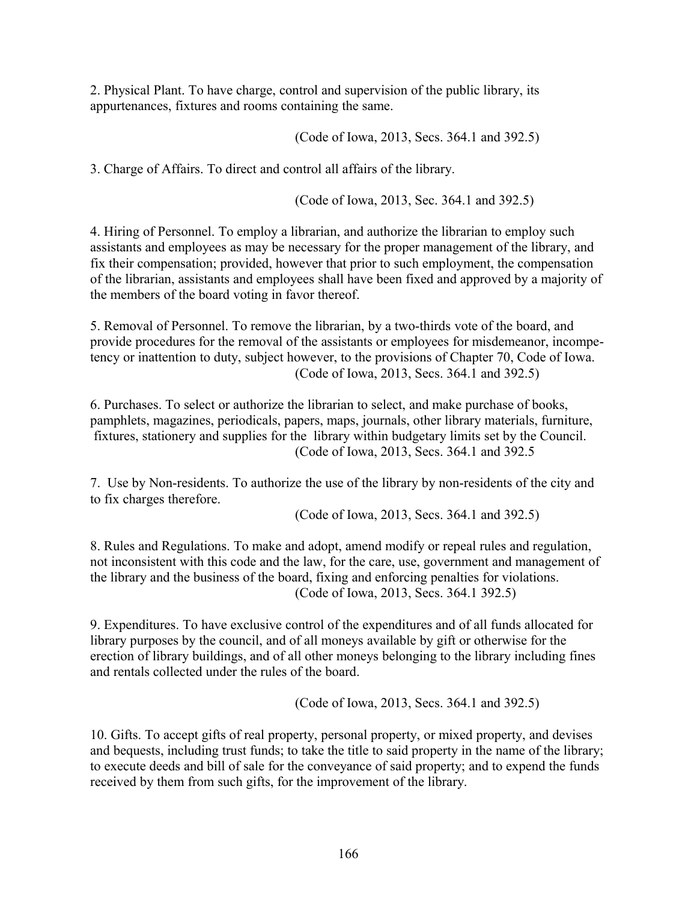2. Physical Plant. To have charge, control and supervision of the public library, its appurtenances, fixtures and rooms containing the same.

(Code of Iowa, 2013, Secs. 364.1 and 392.5)

3. Charge of Affairs. To direct and control all affairs of the library.

(Code of Iowa, 2013, Sec. 364.1 and 392.5)

4. Hiring of Personnel. To employ a librarian, and authorize the librarian to employ such assistants and employees as may be necessary for the proper management of the library, and fix their compensation; provided, however that prior to such employment, the compensation of the librarian, assistants and employees shall have been fixed and approved by a majority of the members of the board voting in favor thereof.

5. Removal of Personnel. To remove the librarian, by a two-thirds vote of the board, and provide procedures for the removal of the assistants or employees for misdemeanor, incompetency or inattention to duty, subject however, to the provisions of Chapter 70, Code of Iowa. (Code of Iowa, 2013, Secs. 364.1 and 392.5)

6. Purchases. To select or authorize the librarian to select, and make purchase of books, pamphlets, magazines, periodicals, papers, maps, journals, other library materials, furniture, fixtures, stationery and supplies for the library within budgetary limits set by the Council. (Code of Iowa, 2013, Secs. 364.1 and 392.5

7. Use by Non-residents. To authorize the use of the library by non-residents of the city and to fix charges therefore.

(Code of Iowa, 2013, Secs. 364.1 and 392.5)

8. Rules and Regulations. To make and adopt, amend modify or repeal rules and regulation, not inconsistent with this code and the law, for the care, use, government and management of the library and the business of the board, fixing and enforcing penalties for violations. (Code of Iowa, 2013, Secs. 364.1 392.5)

9. Expenditures. To have exclusive control of the expenditures and of all funds allocated for library purposes by the council, and of all moneys available by gift or otherwise for the erection of library buildings, and of all other moneys belonging to the library including fines and rentals collected under the rules of the board.

(Code of Iowa, 2013, Secs. 364.1 and 392.5)

10. Gifts. To accept gifts of real property, personal property, or mixed property, and devises and bequests, including trust funds; to take the title to said property in the name of the library; to execute deeds and bill of sale for the conveyance of said property; and to expend the funds received by them from such gifts, for the improvement of the library.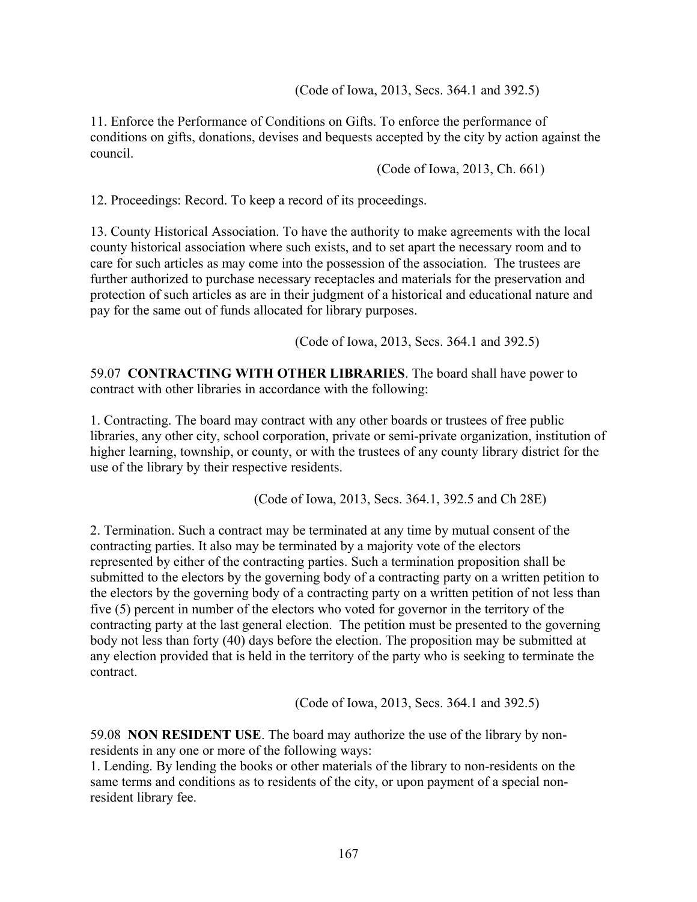(Code of Iowa, 2013, Secs. 364.1 and 392.5)

11. Enforce the Performance of Conditions on Gifts. To enforce the performance of conditions on gifts, donations, devises and bequests accepted by the city by action against the council.

(Code of Iowa, 2013, Ch. 661)

12. Proceedings: Record. To keep a record of its proceedings.

13. County Historical Association. To have the authority to make agreements with the local county historical association where such exists, and to set apart the necessary room and to care for such articles as may come into the possession of the association. The trustees are further authorized to purchase necessary receptacles and materials for the preservation and protection of such articles as are in their judgment of a historical and educational nature and pay for the same out of funds allocated for library purposes.

(Code of Iowa, 2013, Secs. 364.1 and 392.5)

59.07 **CONTRACTING WITH OTHER LIBRARIES**. The board shall have power to contract with other libraries in accordance with the following:

1. Contracting. The board may contract with any other boards or trustees of free public libraries, any other city, school corporation, private or semi-private organization, institution of higher learning, township, or county, or with the trustees of any county library district for the use of the library by their respective residents.

(Code of Iowa, 2013, Secs. 364.1, 392.5 and Ch 28E)

2. Termination. Such a contract may be terminated at any time by mutual consent of the contracting parties. It also may be terminated by a majority vote of the electors represented by either of the contracting parties. Such a termination proposition shall be submitted to the electors by the governing body of a contracting party on a written petition to the electors by the governing body of a contracting party on a written petition of not less than five (5) percent in number of the electors who voted for governor in the territory of the contracting party at the last general election. The petition must be presented to the governing body not less than forty (40) days before the election. The proposition may be submitted at any election provided that is held in the territory of the party who is seeking to terminate the contract.

(Code of Iowa, 2013, Secs. 364.1 and 392.5)

59.08 **NON RESIDENT USE**. The board may authorize the use of the library by nonresidents in any one or more of the following ways:

1. Lending. By lending the books or other materials of the library to non-residents on the same terms and conditions as to residents of the city, or upon payment of a special nonresident library fee.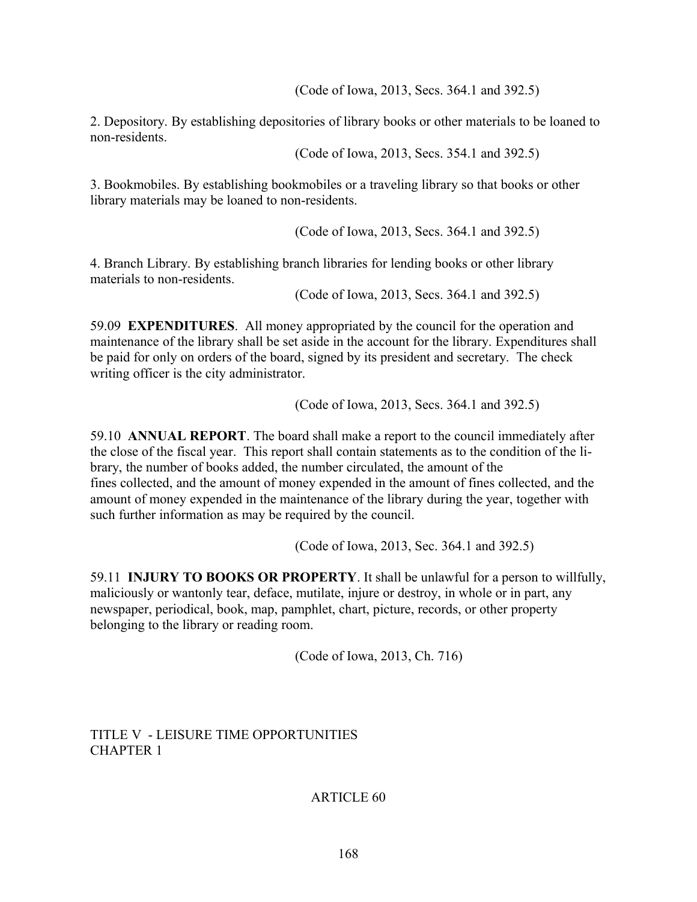(Code of Iowa, 2013, Secs. 364.1 and 392.5)

2. Depository. By establishing depositories of library books or other materials to be loaned to non-residents.

(Code of Iowa, 2013, Secs. 354.1 and 392.5)

3. Bookmobiles. By establishing bookmobiles or a traveling library so that books or other library materials may be loaned to non-residents.

(Code of Iowa, 2013, Secs. 364.1 and 392.5)

4. Branch Library. By establishing branch libraries for lending books or other library materials to non-residents.

(Code of Iowa, 2013, Secs. 364.1 and 392.5)

59.09 **EXPENDITURES**. All money appropriated by the council for the operation and maintenance of the library shall be set aside in the account for the library. Expenditures shall be paid for only on orders of the board, signed by its president and secretary. The check writing officer is the city administrator.

(Code of Iowa, 2013, Secs. 364.1 and 392.5)

59.10 **ANNUAL REPORT**. The board shall make a report to the council immediately after the close of the fiscal year. This report shall contain statements as to the condition of the library, the number of books added, the number circulated, the amount of the fines collected, and the amount of money expended in the amount of fines collected, and the amount of money expended in the maintenance of the library during the year, together with such further information as may be required by the council.

(Code of Iowa, 2013, Sec. 364.1 and 392.5)

59.11 **INJURY TO BOOKS OR PROPERTY**. It shall be unlawful for a person to willfully, maliciously or wantonly tear, deface, mutilate, injure or destroy, in whole or in part, any newspaper, periodical, book, map, pamphlet, chart, picture, records, or other property belonging to the library or reading room.

(Code of Iowa, 2013, Ch. 716)

TITLE V - LEISURE TIME OPPORTUNITIES CHAPTER 1

ARTICLE 60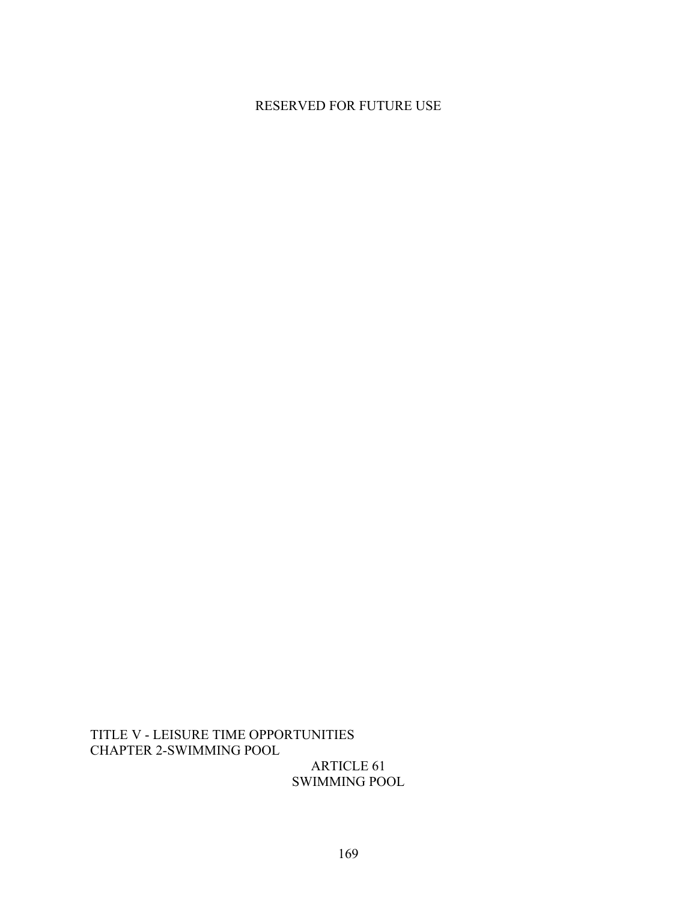# RESERVED FOR FUTURE USE

TITLE V - LEISURE TIME OPPORTUNITIES CHAPTER 2-SWIMMING POOL

ARTICLE 61 SWIMMING POOL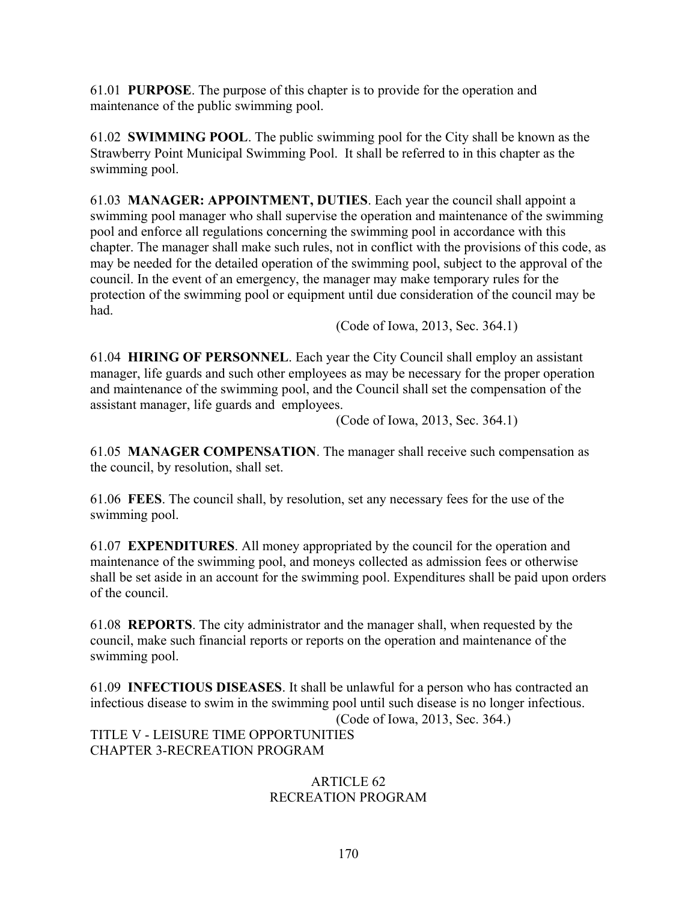61.01 **PURPOSE**. The purpose of this chapter is to provide for the operation and maintenance of the public swimming pool.

61.02 **SWIMMING POOL**. The public swimming pool for the City shall be known as the Strawberry Point Municipal Swimming Pool. It shall be referred to in this chapter as the swimming pool.

61.03 **MANAGER: APPOINTMENT, DUTIES**. Each year the council shall appoint a swimming pool manager who shall supervise the operation and maintenance of the swimming pool and enforce all regulations concerning the swimming pool in accordance with this chapter. The manager shall make such rules, not in conflict with the provisions of this code, as may be needed for the detailed operation of the swimming pool, subject to the approval of the council. In the event of an emergency, the manager may make temporary rules for the protection of the swimming pool or equipment until due consideration of the council may be had.

(Code of Iowa, 2013, Sec. 364.1)

61.04 **HIRING OF PERSONNEL**. Each year the City Council shall employ an assistant manager, life guards and such other employees as may be necessary for the proper operation and maintenance of the swimming pool, and the Council shall set the compensation of the assistant manager, life guards and employees.

(Code of Iowa, 2013, Sec. 364.1)

61.05 **MANAGER COMPENSATION**. The manager shall receive such compensation as the council, by resolution, shall set.

61.06 **FEES**. The council shall, by resolution, set any necessary fees for the use of the swimming pool.

61.07 **EXPENDITURES**. All money appropriated by the council for the operation and maintenance of the swimming pool, and moneys collected as admission fees or otherwise shall be set aside in an account for the swimming pool. Expenditures shall be paid upon orders of the council.

61.08 **REPORTS**. The city administrator and the manager shall, when requested by the council, make such financial reports or reports on the operation and maintenance of the swimming pool.

61.09 **INFECTIOUS DISEASES**. It shall be unlawful for a person who has contracted an infectious disease to swim in the swimming pool until such disease is no longer infectious. (Code of Iowa, 2013, Sec. 364.) TITLE V - LEISURE TIME OPPORTUNITIES CHAPTER 3-RECREATION PROGRAM

## ARTICLE 62 RECREATION PROGRAM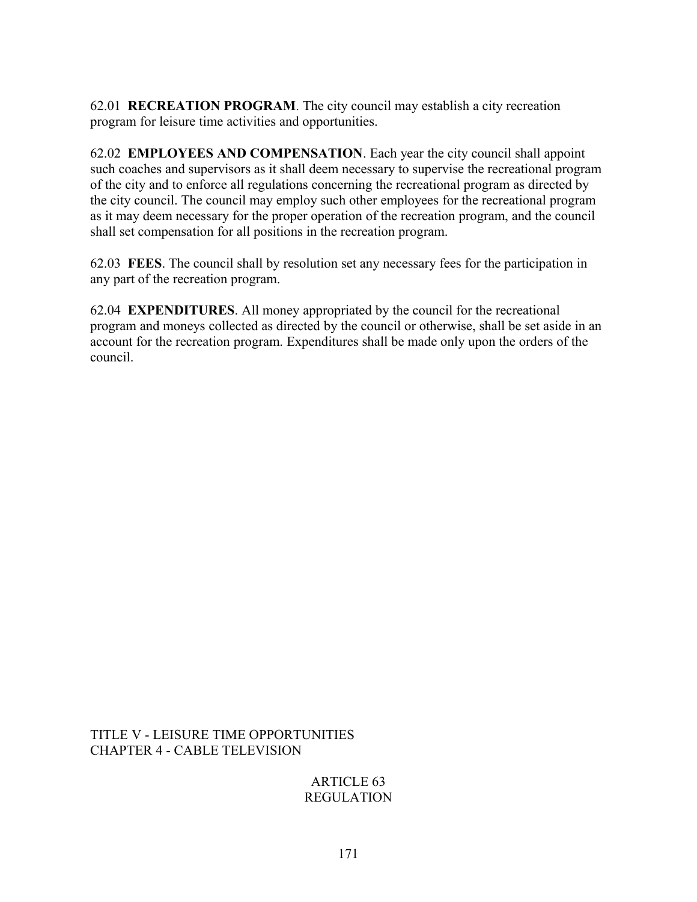62.01 **RECREATION PROGRAM**. The city council may establish a city recreation program for leisure time activities and opportunities.

62.02 **EMPLOYEES AND COMPENSATION**. Each year the city council shall appoint such coaches and supervisors as it shall deem necessary to supervise the recreational program of the city and to enforce all regulations concerning the recreational program as directed by the city council. The council may employ such other employees for the recreational program as it may deem necessary for the proper operation of the recreation program, and the council shall set compensation for all positions in the recreation program.

62.03 **FEES**. The council shall by resolution set any necessary fees for the participation in any part of the recreation program.

62.04 **EXPENDITURES**. All money appropriated by the council for the recreational program and moneys collected as directed by the council or otherwise, shall be set aside in an account for the recreation program. Expenditures shall be made only upon the orders of the council.

TITLE V - LEISURE TIME OPPORTUNITIES CHAPTER 4 - CABLE TELEVISION

> ARTICLE 63 REGULATION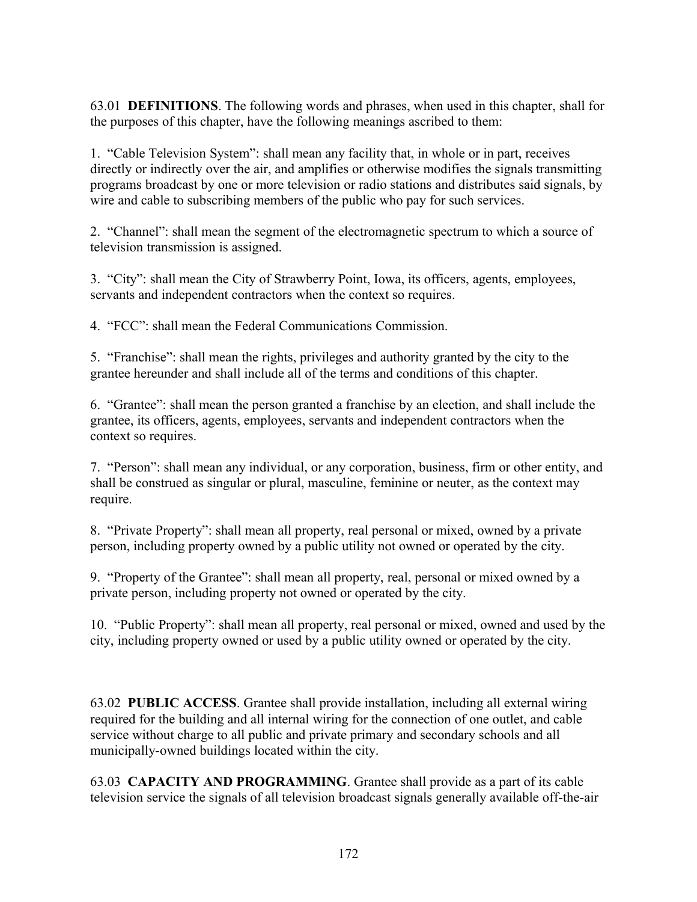63.01 **DEFINITIONS**. The following words and phrases, when used in this chapter, shall for the purposes of this chapter, have the following meanings ascribed to them:

1. "Cable Television System": shall mean any facility that, in whole or in part, receives directly or indirectly over the air, and amplifies or otherwise modifies the signals transmitting programs broadcast by one or more television or radio stations and distributes said signals, by wire and cable to subscribing members of the public who pay for such services.

2. "Channel": shall mean the segment of the electromagnetic spectrum to which a source of television transmission is assigned.

3. "City": shall mean the City of Strawberry Point, Iowa, its officers, agents, employees, servants and independent contractors when the context so requires.

4. "FCC": shall mean the Federal Communications Commission.

5. "Franchise": shall mean the rights, privileges and authority granted by the city to the grantee hereunder and shall include all of the terms and conditions of this chapter.

6. "Grantee": shall mean the person granted a franchise by an election, and shall include the grantee, its officers, agents, employees, servants and independent contractors when the context so requires.

7. "Person": shall mean any individual, or any corporation, business, firm or other entity, and shall be construed as singular or plural, masculine, feminine or neuter, as the context may require.

8. "Private Property": shall mean all property, real personal or mixed, owned by a private person, including property owned by a public utility not owned or operated by the city.

9. "Property of the Grantee": shall mean all property, real, personal or mixed owned by a private person, including property not owned or operated by the city.

10. "Public Property": shall mean all property, real personal or mixed, owned and used by the city, including property owned or used by a public utility owned or operated by the city.

63.02 **PUBLIC ACCESS**. Grantee shall provide installation, including all external wiring required for the building and all internal wiring for the connection of one outlet, and cable service without charge to all public and private primary and secondary schools and all municipally-owned buildings located within the city.

63.03 **CAPACITY AND PROGRAMMING**. Grantee shall provide as a part of its cable television service the signals of all television broadcast signals generally available off-the-air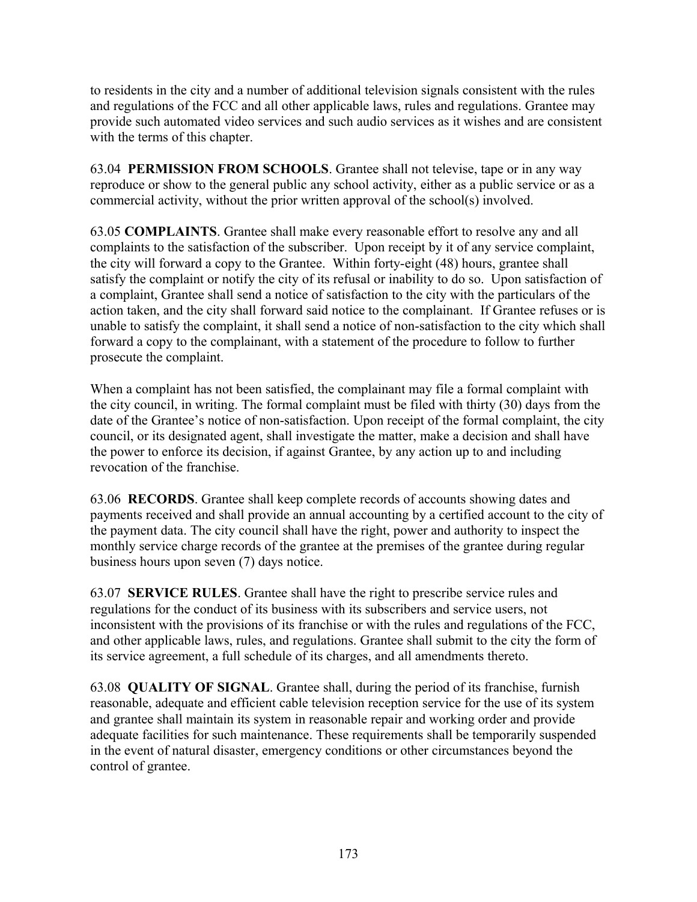to residents in the city and a number of additional television signals consistent with the rules and regulations of the FCC and all other applicable laws, rules and regulations. Grantee may provide such automated video services and such audio services as it wishes and are consistent with the terms of this chapter.

63.04 **PERMISSION FROM SCHOOLS**. Grantee shall not televise, tape or in any way reproduce or show to the general public any school activity, either as a public service or as a commercial activity, without the prior written approval of the school(s) involved.

63.05 **COMPLAINTS**. Grantee shall make every reasonable effort to resolve any and all complaints to the satisfaction of the subscriber. Upon receipt by it of any service complaint, the city will forward a copy to the Grantee. Within forty-eight (48) hours, grantee shall satisfy the complaint or notify the city of its refusal or inability to do so. Upon satisfaction of a complaint, Grantee shall send a notice of satisfaction to the city with the particulars of the action taken, and the city shall forward said notice to the complainant. If Grantee refuses or is unable to satisfy the complaint, it shall send a notice of non-satisfaction to the city which shall forward a copy to the complainant, with a statement of the procedure to follow to further prosecute the complaint.

When a complaint has not been satisfied, the complainant may file a formal complaint with the city council, in writing. The formal complaint must be filed with thirty (30) days from the date of the Grantee's notice of non-satisfaction. Upon receipt of the formal complaint, the city council, or its designated agent, shall investigate the matter, make a decision and shall have the power to enforce its decision, if against Grantee, by any action up to and including revocation of the franchise.

63.06 **RECORDS**. Grantee shall keep complete records of accounts showing dates and payments received and shall provide an annual accounting by a certified account to the city of the payment data. The city council shall have the right, power and authority to inspect the monthly service charge records of the grantee at the premises of the grantee during regular business hours upon seven (7) days notice.

63.07 **SERVICE RULES**. Grantee shall have the right to prescribe service rules and regulations for the conduct of its business with its subscribers and service users, not inconsistent with the provisions of its franchise or with the rules and regulations of the FCC, and other applicable laws, rules, and regulations. Grantee shall submit to the city the form of its service agreement, a full schedule of its charges, and all amendments thereto.

63.08 **QUALITY OF SIGNAL**. Grantee shall, during the period of its franchise, furnish reasonable, adequate and efficient cable television reception service for the use of its system and grantee shall maintain its system in reasonable repair and working order and provide adequate facilities for such maintenance. These requirements shall be temporarily suspended in the event of natural disaster, emergency conditions or other circumstances beyond the control of grantee.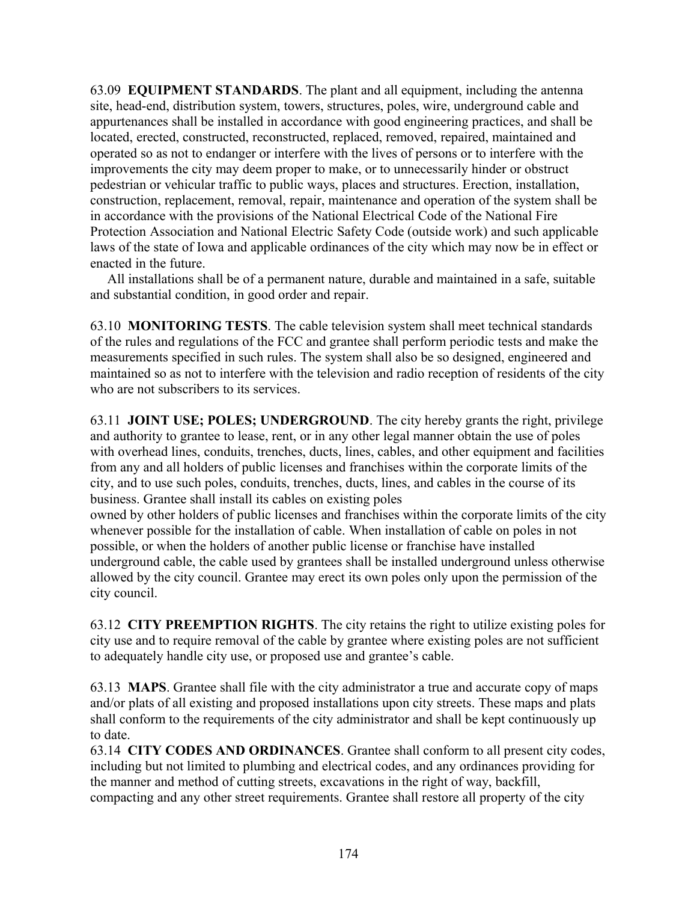63.09 **EQUIPMENT STANDARDS**. The plant and all equipment, including the antenna site, head-end, distribution system, towers, structures, poles, wire, underground cable and appurtenances shall be installed in accordance with good engineering practices, and shall be located, erected, constructed, reconstructed, replaced, removed, repaired, maintained and operated so as not to endanger or interfere with the lives of persons or to interfere with the improvements the city may deem proper to make, or to unnecessarily hinder or obstruct pedestrian or vehicular traffic to public ways, places and structures. Erection, installation, construction, replacement, removal, repair, maintenance and operation of the system shall be in accordance with the provisions of the National Electrical Code of the National Fire Protection Association and National Electric Safety Code (outside work) and such applicable laws of the state of Iowa and applicable ordinances of the city which may now be in effect or enacted in the future.

 All installations shall be of a permanent nature, durable and maintained in a safe, suitable and substantial condition, in good order and repair.

63.10 **MONITORING TESTS**. The cable television system shall meet technical standards of the rules and regulations of the FCC and grantee shall perform periodic tests and make the measurements specified in such rules. The system shall also be so designed, engineered and maintained so as not to interfere with the television and radio reception of residents of the city who are not subscribers to its services.

63.11 **JOINT USE; POLES; UNDERGROUND**. The city hereby grants the right, privilege and authority to grantee to lease, rent, or in any other legal manner obtain the use of poles with overhead lines, conduits, trenches, ducts, lines, cables, and other equipment and facilities from any and all holders of public licenses and franchises within the corporate limits of the city, and to use such poles, conduits, trenches, ducts, lines, and cables in the course of its business. Grantee shall install its cables on existing poles

owned by other holders of public licenses and franchises within the corporate limits of the city whenever possible for the installation of cable. When installation of cable on poles in not possible, or when the holders of another public license or franchise have installed underground cable, the cable used by grantees shall be installed underground unless otherwise allowed by the city council. Grantee may erect its own poles only upon the permission of the city council.

63.12 **CITY PREEMPTION RIGHTS**. The city retains the right to utilize existing poles for city use and to require removal of the cable by grantee where existing poles are not sufficient to adequately handle city use, or proposed use and grantee's cable.

63.13 **MAPS**. Grantee shall file with the city administrator a true and accurate copy of maps and/or plats of all existing and proposed installations upon city streets. These maps and plats shall conform to the requirements of the city administrator and shall be kept continuously up to date.

63.14 **CITY CODES AND ORDINANCES**. Grantee shall conform to all present city codes, including but not limited to plumbing and electrical codes, and any ordinances providing for the manner and method of cutting streets, excavations in the right of way, backfill, compacting and any other street requirements. Grantee shall restore all property of the city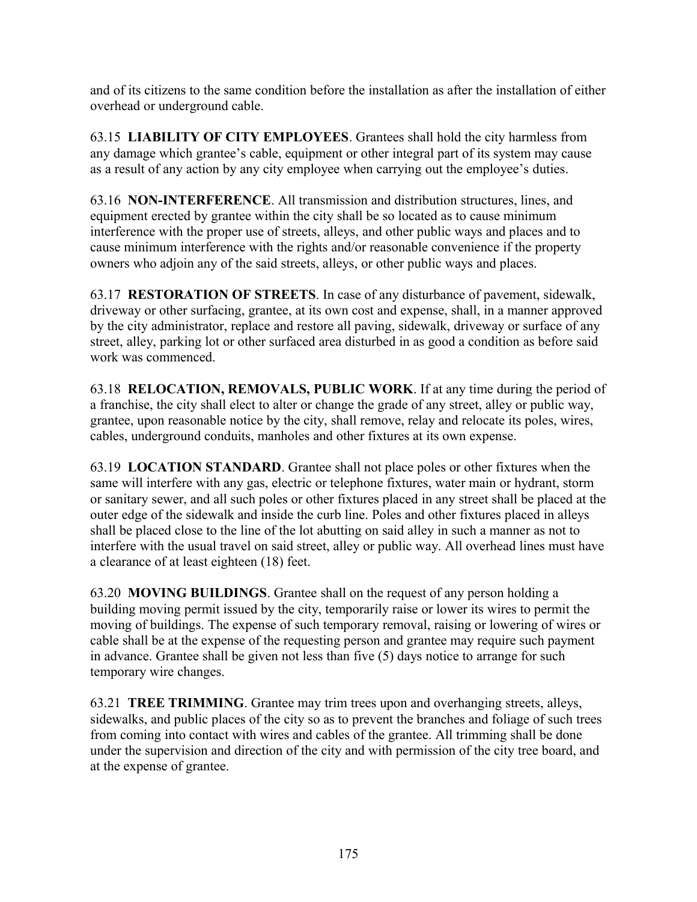and of its citizens to the same condition before the installation as after the installation of either overhead or underground cable.

63.15 **LIABILITY OF CITY EMPLOYEES**. Grantees shall hold the city harmless from any damage which grantee's cable, equipment or other integral part of its system may cause as a result of any action by any city employee when carrying out the employee's duties.

63.16 **NON-INTERFERENCE**. All transmission and distribution structures, lines, and equipment erected by grantee within the city shall be so located as to cause minimum interference with the proper use of streets, alleys, and other public ways and places and to cause minimum interference with the rights and/or reasonable convenience if the property owners who adjoin any of the said streets, alleys, or other public ways and places.

63.17 **RESTORATION OF STREETS**. In case of any disturbance of pavement, sidewalk, driveway or other surfacing, grantee, at its own cost and expense, shall, in a manner approved by the city administrator, replace and restore all paving, sidewalk, driveway or surface of any street, alley, parking lot or other surfaced area disturbed in as good a condition as before said work was commenced.

63.18 **RELOCATION, REMOVALS, PUBLIC WORK**. If at any time during the period of a franchise, the city shall elect to alter or change the grade of any street, alley or public way, grantee, upon reasonable notice by the city, shall remove, relay and relocate its poles, wires, cables, underground conduits, manholes and other fixtures at its own expense.

63.19 **LOCATION STANDARD**. Grantee shall not place poles or other fixtures when the same will interfere with any gas, electric or telephone fixtures, water main or hydrant, storm or sanitary sewer, and all such poles or other fixtures placed in any street shall be placed at the outer edge of the sidewalk and inside the curb line. Poles and other fixtures placed in alleys shall be placed close to the line of the lot abutting on said alley in such a manner as not to interfere with the usual travel on said street, alley or public way. All overhead lines must have a clearance of at least eighteen (18) feet.

63.20 **MOVING BUILDINGS**. Grantee shall on the request of any person holding a building moving permit issued by the city, temporarily raise or lower its wires to permit the moving of buildings. The expense of such temporary removal, raising or lowering of wires or cable shall be at the expense of the requesting person and grantee may require such payment in advance. Grantee shall be given not less than five (5) days notice to arrange for such temporary wire changes.

63.21 **TREE TRIMMING**. Grantee may trim trees upon and overhanging streets, alleys, sidewalks, and public places of the city so as to prevent the branches and foliage of such trees from coming into contact with wires and cables of the grantee. All trimming shall be done under the supervision and direction of the city and with permission of the city tree board, and at the expense of grantee.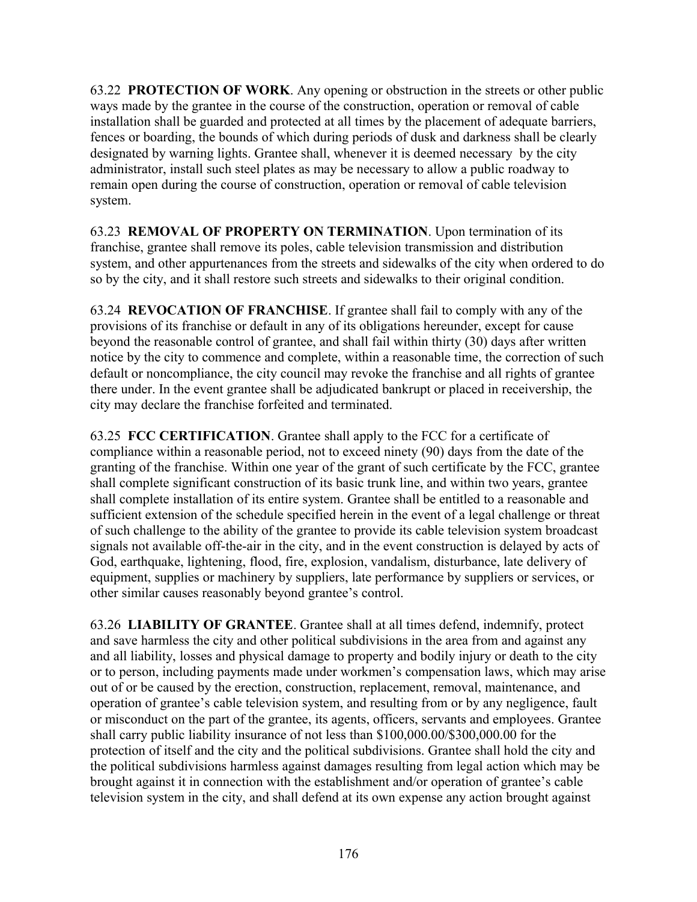63.22 **PROTECTION OF WORK**. Any opening or obstruction in the streets or other public ways made by the grantee in the course of the construction, operation or removal of cable installation shall be guarded and protected at all times by the placement of adequate barriers, fences or boarding, the bounds of which during periods of dusk and darkness shall be clearly designated by warning lights. Grantee shall, whenever it is deemed necessary by the city administrator, install such steel plates as may be necessary to allow a public roadway to remain open during the course of construction, operation or removal of cable television system.

63.23 **REMOVAL OF PROPERTY ON TERMINATION**. Upon termination of its franchise, grantee shall remove its poles, cable television transmission and distribution system, and other appurtenances from the streets and sidewalks of the city when ordered to do so by the city, and it shall restore such streets and sidewalks to their original condition.

63.24 **REVOCATION OF FRANCHISE**. If grantee shall fail to comply with any of the provisions of its franchise or default in any of its obligations hereunder, except for cause beyond the reasonable control of grantee, and shall fail within thirty (30) days after written notice by the city to commence and complete, within a reasonable time, the correction of such default or noncompliance, the city council may revoke the franchise and all rights of grantee there under. In the event grantee shall be adjudicated bankrupt or placed in receivership, the city may declare the franchise forfeited and terminated.

63.25 **FCC CERTIFICATION**. Grantee shall apply to the FCC for a certificate of compliance within a reasonable period, not to exceed ninety (90) days from the date of the granting of the franchise. Within one year of the grant of such certificate by the FCC, grantee shall complete significant construction of its basic trunk line, and within two years, grantee shall complete installation of its entire system. Grantee shall be entitled to a reasonable and sufficient extension of the schedule specified herein in the event of a legal challenge or threat of such challenge to the ability of the grantee to provide its cable television system broadcast signals not available off-the-air in the city, and in the event construction is delayed by acts of God, earthquake, lightening, flood, fire, explosion, vandalism, disturbance, late delivery of equipment, supplies or machinery by suppliers, late performance by suppliers or services, or other similar causes reasonably beyond grantee's control.

63.26 **LIABILITY OF GRANTEE**. Grantee shall at all times defend, indemnify, protect and save harmless the city and other political subdivisions in the area from and against any and all liability, losses and physical damage to property and bodily injury or death to the city or to person, including payments made under workmen's compensation laws, which may arise out of or be caused by the erection, construction, replacement, removal, maintenance, and operation of grantee's cable television system, and resulting from or by any negligence, fault or misconduct on the part of the grantee, its agents, officers, servants and employees. Grantee shall carry public liability insurance of not less than \$100,000.00/\$300,000.00 for the protection of itself and the city and the political subdivisions. Grantee shall hold the city and the political subdivisions harmless against damages resulting from legal action which may be brought against it in connection with the establishment and/or operation of grantee's cable television system in the city, and shall defend at its own expense any action brought against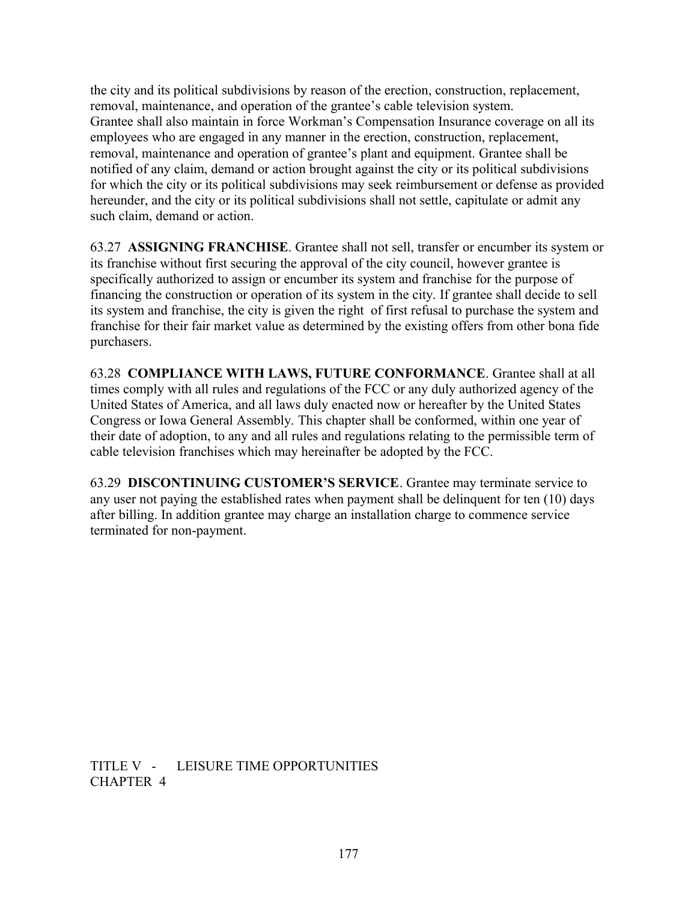the city and its political subdivisions by reason of the erection, construction, replacement, removal, maintenance, and operation of the grantee's cable television system. Grantee shall also maintain in force Workman's Compensation Insurance coverage on all its employees who are engaged in any manner in the erection, construction, replacement, removal, maintenance and operation of grantee's plant and equipment. Grantee shall be notified of any claim, demand or action brought against the city or its political subdivisions for which the city or its political subdivisions may seek reimbursement or defense as provided hereunder, and the city or its political subdivisions shall not settle, capitulate or admit any such claim, demand or action.

63.27 **ASSIGNING FRANCHISE**. Grantee shall not sell, transfer or encumber its system or its franchise without first securing the approval of the city council, however grantee is specifically authorized to assign or encumber its system and franchise for the purpose of financing the construction or operation of its system in the city. If grantee shall decide to sell its system and franchise, the city is given the right of first refusal to purchase the system and franchise for their fair market value as determined by the existing offers from other bona fide purchasers.

63.28 **COMPLIANCE WITH LAWS, FUTURE CONFORMANCE**. Grantee shall at all times comply with all rules and regulations of the FCC or any duly authorized agency of the United States of America, and all laws duly enacted now or hereafter by the United States Congress or Iowa General Assembly. This chapter shall be conformed, within one year of their date of adoption, to any and all rules and regulations relating to the permissible term of cable television franchises which may hereinafter be adopted by the FCC.

63.29 **DISCONTINUING CUSTOMER'S SERVICE**. Grantee may terminate service to any user not paying the established rates when payment shall be delinquent for ten (10) days after billing. In addition grantee may charge an installation charge to commence service terminated for non-payment.

TITLE V - LEISURE TIME OPPORTUNITIES CHAPTER 4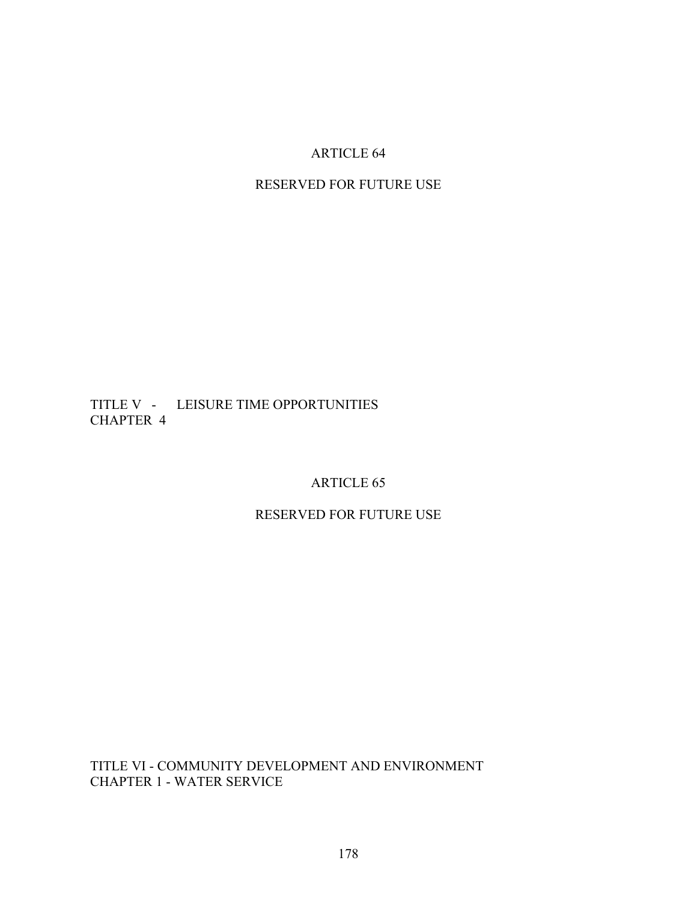## ARTICLE 64

# RESERVED FOR FUTURE USE

## TITLE V - LEISURE TIME OPPORTUNITIES CHAPTER 4

#### ARTICLE 65

## RESERVED FOR FUTURE USE

TITLE VI - COMMUNITY DEVELOPMENT AND ENVIRONMENT CHAPTER 1 - WATER SERVICE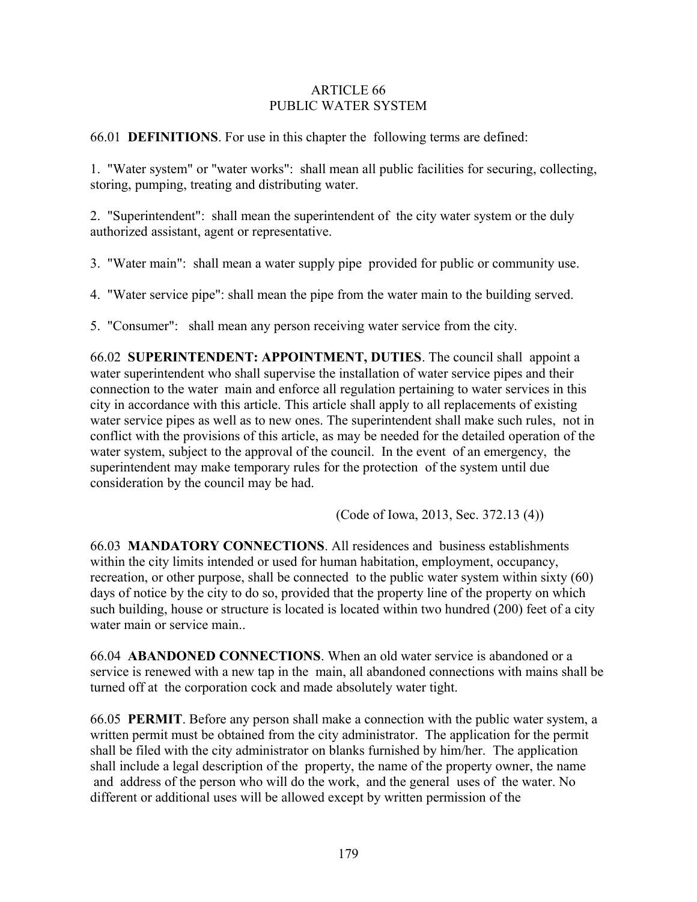#### ARTICLE 66 PUBLIC WATER SYSTEM

66.01 **DEFINITIONS**. For use in this chapter the following terms are defined:

1. "Water system" or "water works": shall mean all public facilities for securing, collecting, storing, pumping, treating and distributing water.

2. "Superintendent": shall mean the superintendent of the city water system or the duly authorized assistant, agent or representative.

3. "Water main": shall mean a water supply pipe provided for public or community use.

4. "Water service pipe": shall mean the pipe from the water main to the building served.

5. "Consumer": shall mean any person receiving water service from the city.

66.02 **SUPERINTENDENT: APPOINTMENT, DUTIES**. The council shall appoint a water superintendent who shall supervise the installation of water service pipes and their connection to the water main and enforce all regulation pertaining to water services in this city in accordance with this article. This article shall apply to all replacements of existing water service pipes as well as to new ones. The superintendent shall make such rules, not in conflict with the provisions of this article, as may be needed for the detailed operation of the water system, subject to the approval of the council. In the event of an emergency, the superintendent may make temporary rules for the protection of the system until due consideration by the council may be had.

(Code of Iowa, 2013, Sec. 372.13 (4))

66.03 **MANDATORY CONNECTIONS**. All residences and business establishments within the city limits intended or used for human habitation, employment, occupancy, recreation, or other purpose, shall be connected to the public water system within sixty (60) days of notice by the city to do so, provided that the property line of the property on which such building, house or structure is located is located within two hundred (200) feet of a city water main or service main..

66.04 **ABANDONED CONNECTIONS**. When an old water service is abandoned or a service is renewed with a new tap in the main, all abandoned connections with mains shall be turned off at the corporation cock and made absolutely water tight.

66.05 **PERMIT**. Before any person shall make a connection with the public water system, a written permit must be obtained from the city administrator. The application for the permit shall be filed with the city administrator on blanks furnished by him/her. The application shall include a legal description of the property, the name of the property owner, the name and address of the person who will do the work, and the general uses of the water. No different or additional uses will be allowed except by written permission of the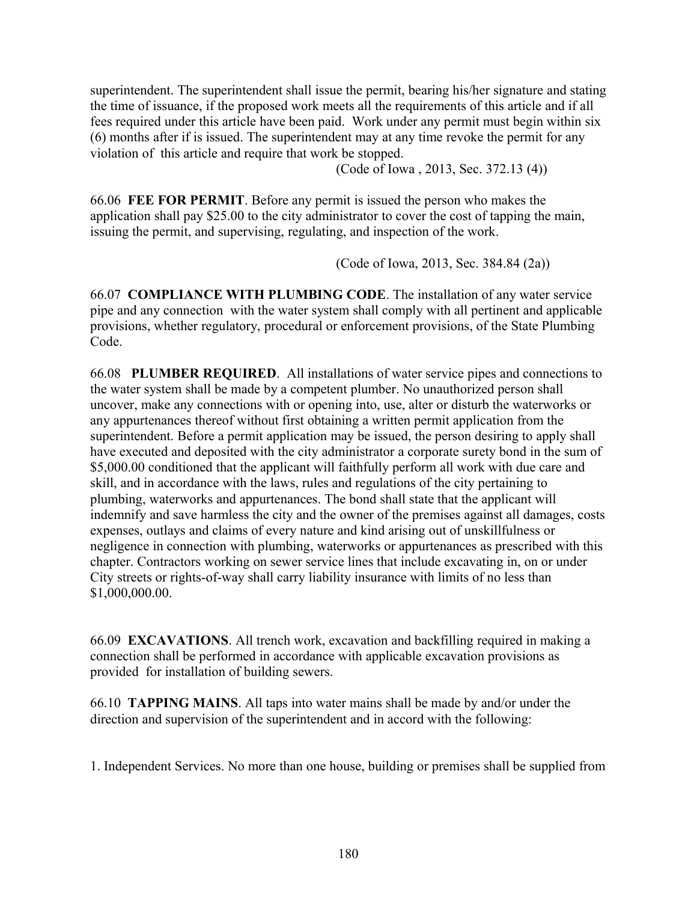superintendent. The superintendent shall issue the permit, bearing his/her signature and stating the time of issuance, if the proposed work meets all the requirements of this article and if all fees required under this article have been paid. Work under any permit must begin within six (6) months after if is issued. The superintendent may at any time revoke the permit for any violation of this article and require that work be stopped.

(Code of Iowa , 2013, Sec. 372.13 (4))

66.06 **FEE FOR PERMIT**. Before any permit is issued the person who makes the application shall pay \$25.00 to the city administrator to cover the cost of tapping the main, issuing the permit, and supervising, regulating, and inspection of the work.

(Code of Iowa, 2013, Sec. 384.84 (2a))

66.07 **COMPLIANCE WITH PLUMBING CODE**. The installation of any water service pipe and any connection with the water system shall comply with all pertinent and applicable provisions, whether regulatory, procedural or enforcement provisions, of the State Plumbing Code.

66.08 **PLUMBER REQUIRED**. All installations of water service pipes and connections to the water system shall be made by a competent plumber. No unauthorized person shall uncover, make any connections with or opening into, use, alter or disturb the waterworks or any appurtenances thereof without first obtaining a written permit application from the superintendent. Before a permit application may be issued, the person desiring to apply shall have executed and deposited with the city administrator a corporate surety bond in the sum of \$5,000.00 conditioned that the applicant will faithfully perform all work with due care and skill, and in accordance with the laws, rules and regulations of the city pertaining to plumbing, waterworks and appurtenances. The bond shall state that the applicant will indemnify and save harmless the city and the owner of the premises against all damages, costs expenses, outlays and claims of every nature and kind arising out of unskillfulness or negligence in connection with plumbing, waterworks or appurtenances as prescribed with this chapter. Contractors working on sewer service lines that include excavating in, on or under City streets or rights-of-way shall carry liability insurance with limits of no less than \$1,000,000.00.

66.09 **EXCAVATIONS**. All trench work, excavation and backfilling required in making a connection shall be performed in accordance with applicable excavation provisions as provided for installation of building sewers.

66.10 **TAPPING MAINS**. All taps into water mains shall be made by and/or under the direction and supervision of the superintendent and in accord with the following:

1. Independent Services. No more than one house, building or premises shall be supplied from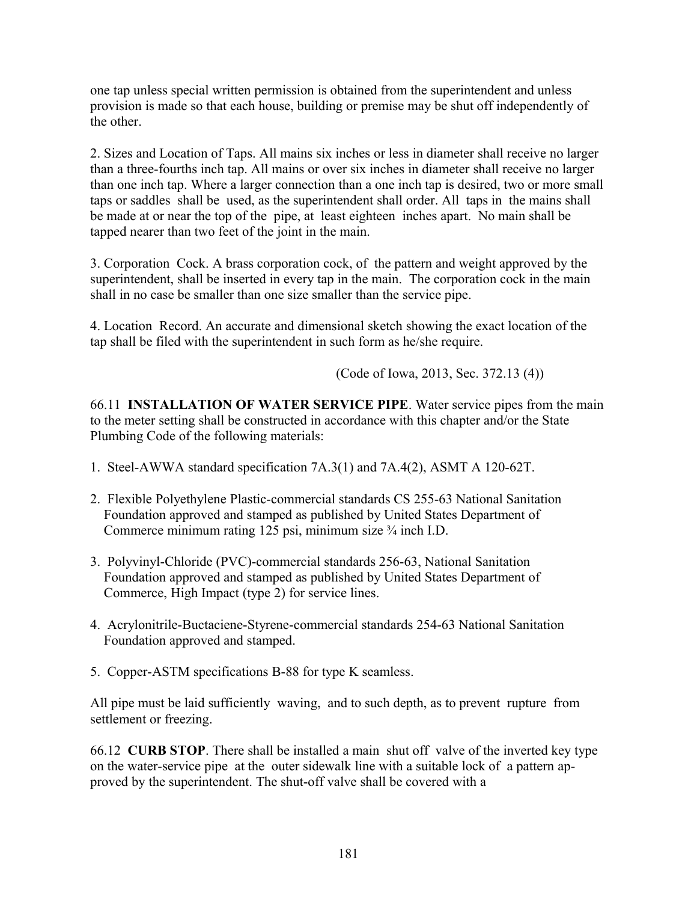one tap unless special written permission is obtained from the superintendent and unless provision is made so that each house, building or premise may be shut off independently of the other.

2. Sizes and Location of Taps. All mains six inches or less in diameter shall receive no larger than a three-fourths inch tap. All mains or over six inches in diameter shall receive no larger than one inch tap. Where a larger connection than a one inch tap is desired, two or more small taps or saddles shall be used, as the superintendent shall order. All taps in the mains shall be made at or near the top of the pipe, at least eighteen inches apart. No main shall be tapped nearer than two feet of the joint in the main.

3. Corporation Cock. A brass corporation cock, of the pattern and weight approved by the superintendent, shall be inserted in every tap in the main. The corporation cock in the main shall in no case be smaller than one size smaller than the service pipe.

4. Location Record. An accurate and dimensional sketch showing the exact location of the tap shall be filed with the superintendent in such form as he/she require.

(Code of Iowa, 2013, Sec. 372.13 (4))

66.11 **INSTALLATION OF WATER SERVICE PIPE**. Water service pipes from the main to the meter setting shall be constructed in accordance with this chapter and/or the State Plumbing Code of the following materials:

- 1. Steel-AWWA standard specification 7A.3(1) and 7A.4(2), ASMT A 120-62T.
- 2. Flexible Polyethylene Plastic-commercial standards CS 255-63 National Sanitation Foundation approved and stamped as published by United States Department of Commerce minimum rating 125 psi, minimum size ¾ inch I.D.
- 3. Polyvinyl-Chloride (PVC)-commercial standards 256-63, National Sanitation Foundation approved and stamped as published by United States Department of Commerce, High Impact (type 2) for service lines.
- 4. Acrylonitrile-Buctaciene-Styrene-commercial standards 254-63 National Sanitation Foundation approved and stamped.
- 5. Copper-ASTM specifications B-88 for type K seamless.

All pipe must be laid sufficiently waving, and to such depth, as to prevent rupture from settlement or freezing.

66.12 **CURB STOP**. There shall be installed a main shut off valve of the inverted key type on the water-service pipe at the outer sidewalk line with a suitable lock of a pattern approved by the superintendent. The shut-off valve shall be covered with a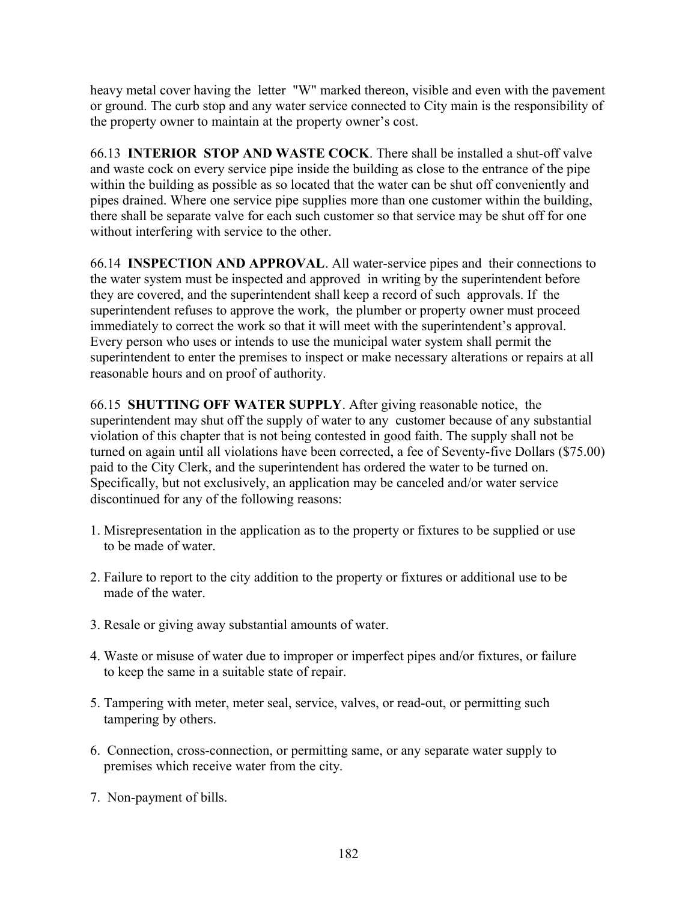heavy metal cover having the letter "W" marked thereon, visible and even with the pavement or ground. The curb stop and any water service connected to City main is the responsibility of the property owner to maintain at the property owner's cost.

66.13 **INTERIOR STOP AND WASTE COCK**. There shall be installed a shut-off valve and waste cock on every service pipe inside the building as close to the entrance of the pipe within the building as possible as so located that the water can be shut off conveniently and pipes drained. Where one service pipe supplies more than one customer within the building, there shall be separate valve for each such customer so that service may be shut off for one without interfering with service to the other.

66.14 **INSPECTION AND APPROVAL**. All water-service pipes and their connections to the water system must be inspected and approved in writing by the superintendent before they are covered, and the superintendent shall keep a record of such approvals. If the superintendent refuses to approve the work, the plumber or property owner must proceed immediately to correct the work so that it will meet with the superintendent's approval. Every person who uses or intends to use the municipal water system shall permit the superintendent to enter the premises to inspect or make necessary alterations or repairs at all reasonable hours and on proof of authority.

66.15 **SHUTTING OFF WATER SUPPLY**. After giving reasonable notice, the superintendent may shut off the supply of water to any customer because of any substantial violation of this chapter that is not being contested in good faith. The supply shall not be turned on again until all violations have been corrected, a fee of Seventy-five Dollars (\$75.00) paid to the City Clerk, and the superintendent has ordered the water to be turned on. Specifically, but not exclusively, an application may be canceled and/or water service discontinued for any of the following reasons:

- 1. Misrepresentation in the application as to the property or fixtures to be supplied or use to be made of water.
- 2. Failure to report to the city addition to the property or fixtures or additional use to be made of the water.
- 3. Resale or giving away substantial amounts of water.
- 4. Waste or misuse of water due to improper or imperfect pipes and/or fixtures, or failure to keep the same in a suitable state of repair.
- 5. Tampering with meter, meter seal, service, valves, or read-out, or permitting such tampering by others.
- 6. Connection, cross-connection, or permitting same, or any separate water supply to premises which receive water from the city.
- 7. Non-payment of bills.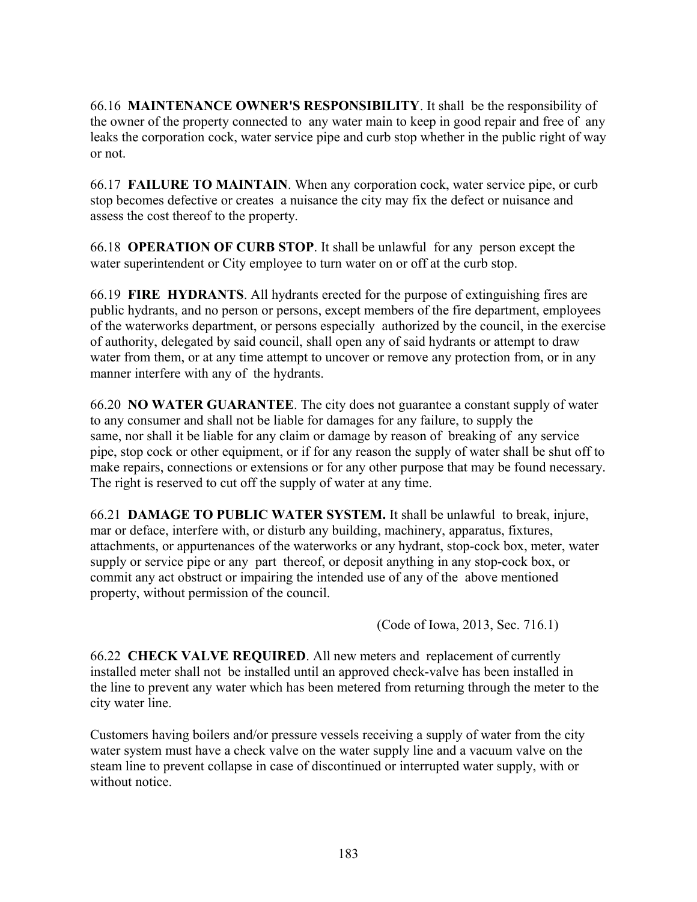66.16 **MAINTENANCE OWNER'S RESPONSIBILITY**. It shall be the responsibility of the owner of the property connected to any water main to keep in good repair and free of any leaks the corporation cock, water service pipe and curb stop whether in the public right of way or not.

66.17 **FAILURE TO MAINTAIN**. When any corporation cock, water service pipe, or curb stop becomes defective or creates a nuisance the city may fix the defect or nuisance and assess the cost thereof to the property.

66.18 **OPERATION OF CURB STOP**. It shall be unlawful for any person except the water superintendent or City employee to turn water on or off at the curb stop.

66.19 **FIRE HYDRANTS**. All hydrants erected for the purpose of extinguishing fires are public hydrants, and no person or persons, except members of the fire department, employees of the waterworks department, or persons especially authorized by the council, in the exercise of authority, delegated by said council, shall open any of said hydrants or attempt to draw water from them, or at any time attempt to uncover or remove any protection from, or in any manner interfere with any of the hydrants.

66.20 **NO WATER GUARANTEE**. The city does not guarantee a constant supply of water to any consumer and shall not be liable for damages for any failure, to supply the same, nor shall it be liable for any claim or damage by reason of breaking of any service pipe, stop cock or other equipment, or if for any reason the supply of water shall be shut off to make repairs, connections or extensions or for any other purpose that may be found necessary. The right is reserved to cut off the supply of water at any time.

66.21 **DAMAGE TO PUBLIC WATER SYSTEM.** It shall be unlawful to break, injure, mar or deface, interfere with, or disturb any building, machinery, apparatus, fixtures, attachments, or appurtenances of the waterworks or any hydrant, stop-cock box, meter, water supply or service pipe or any part thereof, or deposit anything in any stop-cock box, or commit any act obstruct or impairing the intended use of any of the above mentioned property, without permission of the council.

(Code of Iowa, 2013, Sec. 716.1)

66.22 **CHECK VALVE REQUIRED**. All new meters and replacement of currently installed meter shall not be installed until an approved check-valve has been installed in the line to prevent any water which has been metered from returning through the meter to the city water line.

Customers having boilers and/or pressure vessels receiving a supply of water from the city water system must have a check valve on the water supply line and a vacuum valve on the steam line to prevent collapse in case of discontinued or interrupted water supply, with or without notice.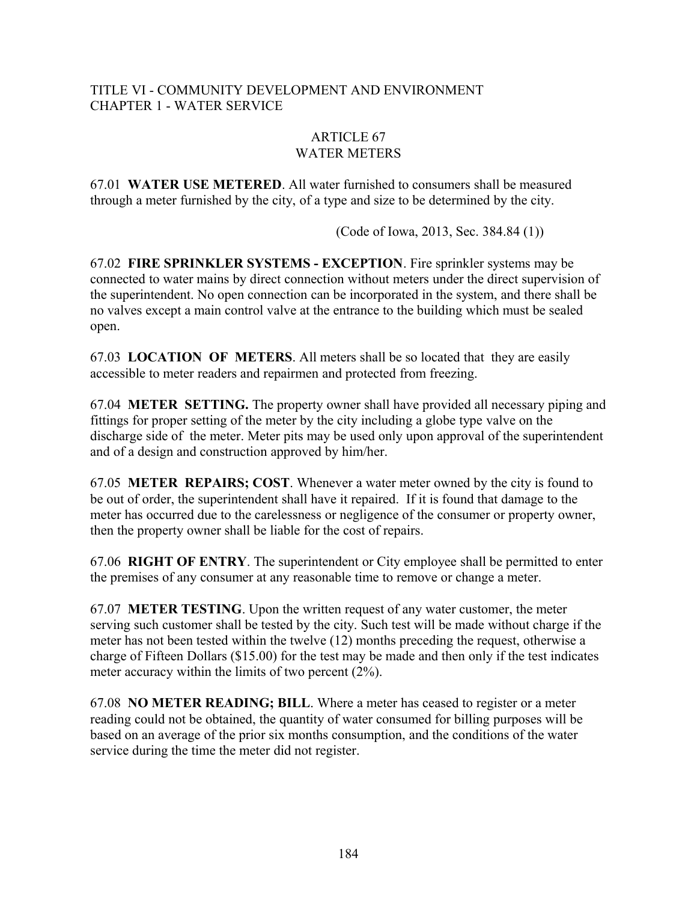## TITLE VI - COMMUNITY DEVELOPMENT AND ENVIRONMENT CHAPTER 1 - WATER SERVICE

## ARTICLE 67 WATER METERS

67.01 **WATER USE METERED**. All water furnished to consumers shall be measured through a meter furnished by the city, of a type and size to be determined by the city.

(Code of Iowa, 2013, Sec. 384.84 (1))

67.02 **FIRE SPRINKLER SYSTEMS - EXCEPTION**. Fire sprinkler systems may be connected to water mains by direct connection without meters under the direct supervision of the superintendent. No open connection can be incorporated in the system, and there shall be no valves except a main control valve at the entrance to the building which must be sealed open.

67.03 **LOCATION OF METERS**. All meters shall be so located that they are easily accessible to meter readers and repairmen and protected from freezing.

67.04 **METER SETTING.** The property owner shall have provided all necessary piping and fittings for proper setting of the meter by the city including a globe type valve on the discharge side of the meter. Meter pits may be used only upon approval of the superintendent and of a design and construction approved by him/her.

67.05 **METER REPAIRS; COST**. Whenever a water meter owned by the city is found to be out of order, the superintendent shall have it repaired. If it is found that damage to the meter has occurred due to the carelessness or negligence of the consumer or property owner, then the property owner shall be liable for the cost of repairs.

67.06 **RIGHT OF ENTRY**. The superintendent or City employee shall be permitted to enter the premises of any consumer at any reasonable time to remove or change a meter.

67.07 **METER TESTING**. Upon the written request of any water customer, the meter serving such customer shall be tested by the city. Such test will be made without charge if the meter has not been tested within the twelve (12) months preceding the request, otherwise a charge of Fifteen Dollars (\$15.00) for the test may be made and then only if the test indicates meter accuracy within the limits of two percent (2%).

67.08 **NO METER READING; BILL**. Where a meter has ceased to register or a meter reading could not be obtained, the quantity of water consumed for billing purposes will be based on an average of the prior six months consumption, and the conditions of the water service during the time the meter did not register.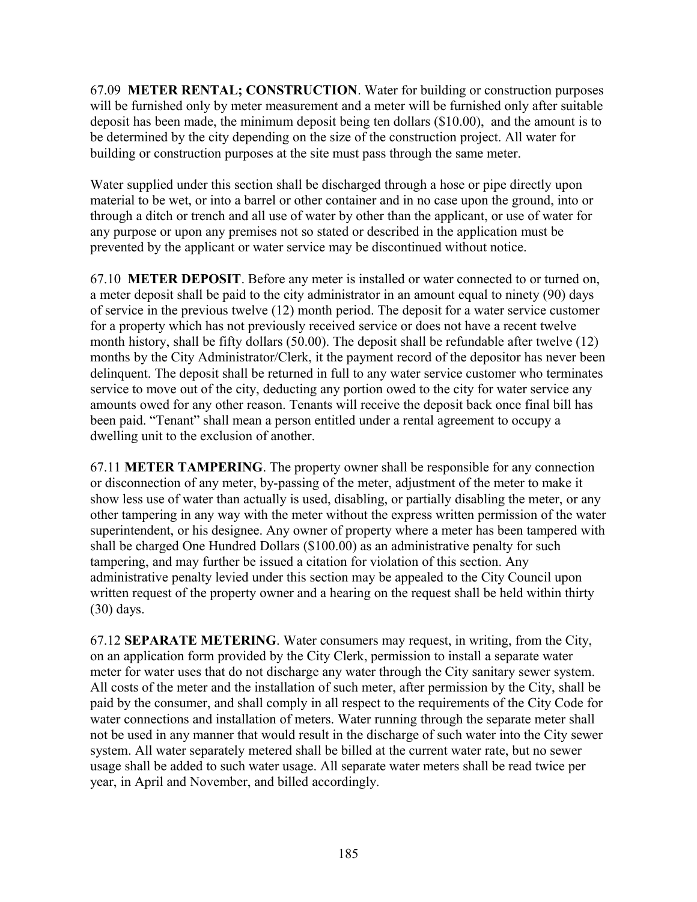67.09 **METER RENTAL; CONSTRUCTION**. Water for building or construction purposes will be furnished only by meter measurement and a meter will be furnished only after suitable deposit has been made, the minimum deposit being ten dollars (\$10.00), and the amount is to be determined by the city depending on the size of the construction project. All water for building or construction purposes at the site must pass through the same meter.

Water supplied under this section shall be discharged through a hose or pipe directly upon material to be wet, or into a barrel or other container and in no case upon the ground, into or through a ditch or trench and all use of water by other than the applicant, or use of water for any purpose or upon any premises not so stated or described in the application must be prevented by the applicant or water service may be discontinued without notice.

67.10 **METER DEPOSIT**. Before any meter is installed or water connected to or turned on, a meter deposit shall be paid to the city administrator in an amount equal to ninety (90) days of service in the previous twelve (12) month period. The deposit for a water service customer for a property which has not previously received service or does not have a recent twelve month history, shall be fifty dollars (50.00). The deposit shall be refundable after twelve (12) months by the City Administrator/Clerk, it the payment record of the depositor has never been delinquent. The deposit shall be returned in full to any water service customer who terminates service to move out of the city, deducting any portion owed to the city for water service any amounts owed for any other reason. Tenants will receive the deposit back once final bill has been paid. "Tenant" shall mean a person entitled under a rental agreement to occupy a dwelling unit to the exclusion of another.

67.11 **METER TAMPERING**. The property owner shall be responsible for any connection or disconnection of any meter, by-passing of the meter, adjustment of the meter to make it show less use of water than actually is used, disabling, or partially disabling the meter, or any other tampering in any way with the meter without the express written permission of the water superintendent, or his designee. Any owner of property where a meter has been tampered with shall be charged One Hundred Dollars (\$100.00) as an administrative penalty for such tampering, and may further be issued a citation for violation of this section. Any administrative penalty levied under this section may be appealed to the City Council upon written request of the property owner and a hearing on the request shall be held within thirty (30) days.

67.12 **SEPARATE METERING**. Water consumers may request, in writing, from the City, on an application form provided by the City Clerk, permission to install a separate water meter for water uses that do not discharge any water through the City sanitary sewer system. All costs of the meter and the installation of such meter, after permission by the City, shall be paid by the consumer, and shall comply in all respect to the requirements of the City Code for water connections and installation of meters. Water running through the separate meter shall not be used in any manner that would result in the discharge of such water into the City sewer system. All water separately metered shall be billed at the current water rate, but no sewer usage shall be added to such water usage. All separate water meters shall be read twice per year, in April and November, and billed accordingly.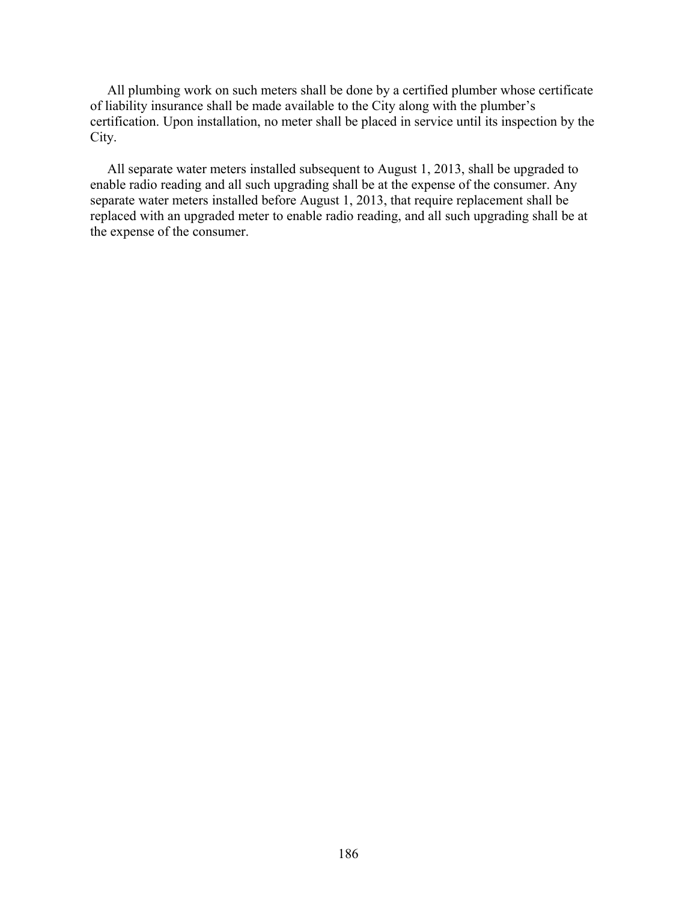All plumbing work on such meters shall be done by a certified plumber whose certificate of liability insurance shall be made available to the City along with the plumber's certification. Upon installation, no meter shall be placed in service until its inspection by the City.

 All separate water meters installed subsequent to August 1, 2013, shall be upgraded to enable radio reading and all such upgrading shall be at the expense of the consumer. Any separate water meters installed before August 1, 2013, that require replacement shall be replaced with an upgraded meter to enable radio reading, and all such upgrading shall be at the expense of the consumer.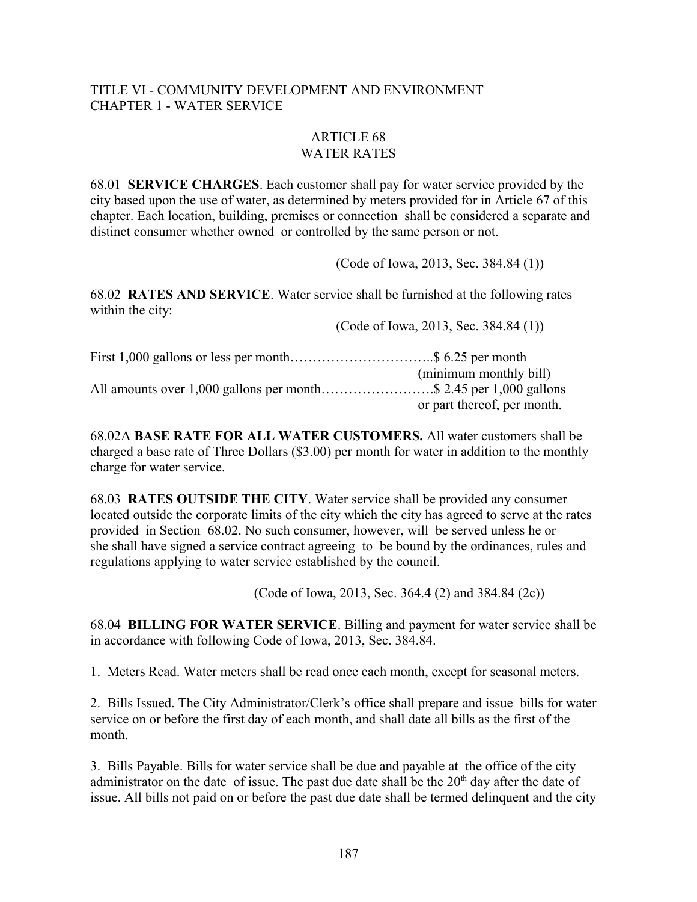#### TITLE VI - COMMUNITY DEVELOPMENT AND ENVIRONMENT CHAPTER 1 - WATER SERVICE

#### ARTICLE 68 WATER RATES

68.01 **SERVICE CHARGES**. Each customer shall pay for water service provided by the city based upon the use of water, as determined by meters provided for in Article 67 of this chapter. Each location, building, premises or connection shall be considered a separate and distinct consumer whether owned or controlled by the same person or not.

(Code of Iowa, 2013, Sec. 384.84 (1))

68.02 **RATES AND SERVICE**. Water service shall be furnished at the following rates within the city:

(Code of Iowa, 2013, Sec. 384.84 (1))

|                                                                   | (minimum monthly bill)      |
|-------------------------------------------------------------------|-----------------------------|
| All amounts over 1,000 gallons per month\$ 2.45 per 1,000 gallons |                             |
|                                                                   | or part thereof, per month. |

68.02A **BASE RATE FOR ALL WATER CUSTOMERS.** All water customers shall be charged a base rate of Three Dollars (\$3.00) per month for water in addition to the monthly charge for water service.

68.03 **RATES OUTSIDE THE CITY**. Water service shall be provided any consumer located outside the corporate limits of the city which the city has agreed to serve at the rates provided in Section 68.02. No such consumer, however, will be served unless he or she shall have signed a service contract agreeing to be bound by the ordinances, rules and regulations applying to water service established by the council.

(Code of Iowa, 2013, Sec. 364.4 (2) and 384.84 (2c))

68.04 **BILLING FOR WATER SERVICE**. Billing and payment for water service shall be in accordance with following Code of Iowa, 2013, Sec. 384.84.

1. Meters Read. Water meters shall be read once each month, except for seasonal meters.

2. Bills Issued. The City Administrator/Clerk's office shall prepare and issue bills for water service on or before the first day of each month, and shall date all bills as the first of the month.

3. Bills Payable. Bills for water service shall be due and payable at the office of the city administrator on the date of issue. The past due date shall be the  $20<sup>th</sup>$  day after the date of issue. All bills not paid on or before the past due date shall be termed delinquent and the city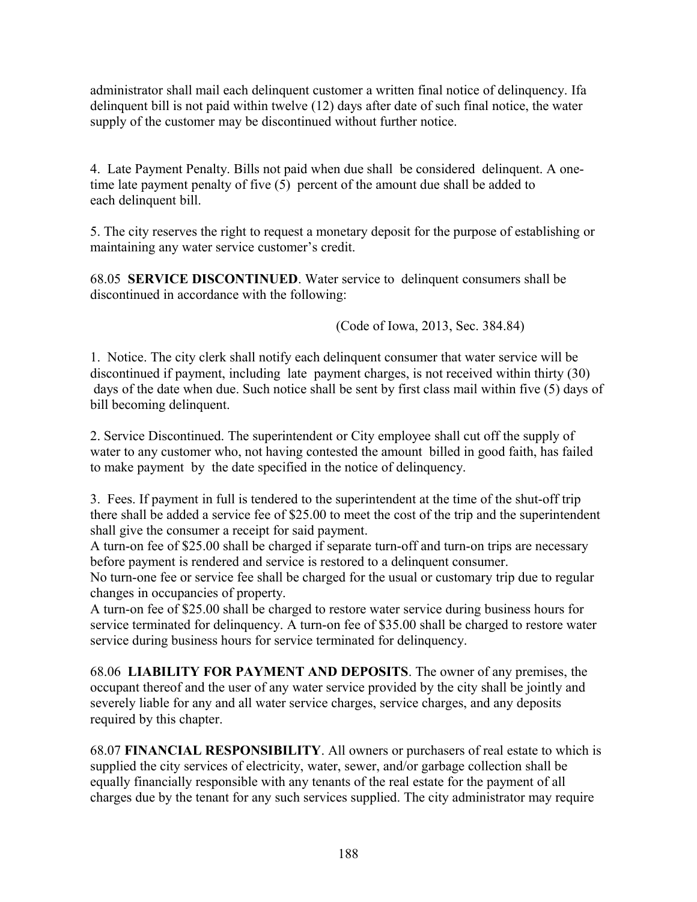administrator shall mail each delinquent customer a written final notice of delinquency. Ifa delinquent bill is not paid within twelve (12) days after date of such final notice, the water supply of the customer may be discontinued without further notice.

4. Late Payment Penalty. Bills not paid when due shall be considered delinquent. A onetime late payment penalty of five (5) percent of the amount due shall be added to each delinquent bill.

5. The city reserves the right to request a monetary deposit for the purpose of establishing or maintaining any water service customer's credit.

68.05 **SERVICE DISCONTINUED**. Water service to delinquent consumers shall be discontinued in accordance with the following:

(Code of Iowa, 2013, Sec. 384.84)

1. Notice. The city clerk shall notify each delinquent consumer that water service will be discontinued if payment, including late payment charges, is not received within thirty (30) days of the date when due. Such notice shall be sent by first class mail within five (5) days of bill becoming delinquent.

2. Service Discontinued. The superintendent or City employee shall cut off the supply of water to any customer who, not having contested the amount billed in good faith, has failed to make payment by the date specified in the notice of delinquency.

3. Fees. If payment in full is tendered to the superintendent at the time of the shut-off trip there shall be added a service fee of \$25.00 to meet the cost of the trip and the superintendent shall give the consumer a receipt for said payment.

A turn-on fee of \$25.00 shall be charged if separate turn-off and turn-on trips are necessary before payment is rendered and service is restored to a delinquent consumer.

No turn-one fee or service fee shall be charged for the usual or customary trip due to regular changes in occupancies of property.

A turn-on fee of \$25.00 shall be charged to restore water service during business hours for service terminated for delinquency. A turn-on fee of \$35.00 shall be charged to restore water service during business hours for service terminated for delinquency.

68.06 **LIABILITY FOR PAYMENT AND DEPOSITS**. The owner of any premises, the occupant thereof and the user of any water service provided by the city shall be jointly and severely liable for any and all water service charges, service charges, and any deposits required by this chapter.

68.07 **FINANCIAL RESPONSIBILITY**. All owners or purchasers of real estate to which is supplied the city services of electricity, water, sewer, and/or garbage collection shall be equally financially responsible with any tenants of the real estate for the payment of all charges due by the tenant for any such services supplied. The city administrator may require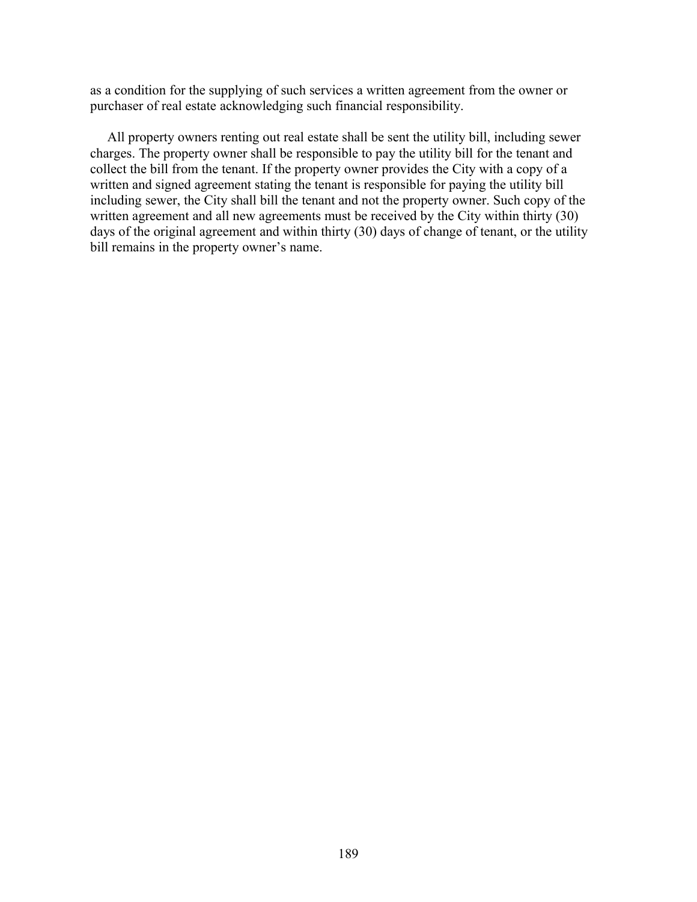as a condition for the supplying of such services a written agreement from the owner or purchaser of real estate acknowledging such financial responsibility.

 All property owners renting out real estate shall be sent the utility bill, including sewer charges. The property owner shall be responsible to pay the utility bill for the tenant and collect the bill from the tenant. If the property owner provides the City with a copy of a written and signed agreement stating the tenant is responsible for paying the utility bill including sewer, the City shall bill the tenant and not the property owner. Such copy of the written agreement and all new agreements must be received by the City within thirty (30) days of the original agreement and within thirty (30) days of change of tenant, or the utility bill remains in the property owner's name.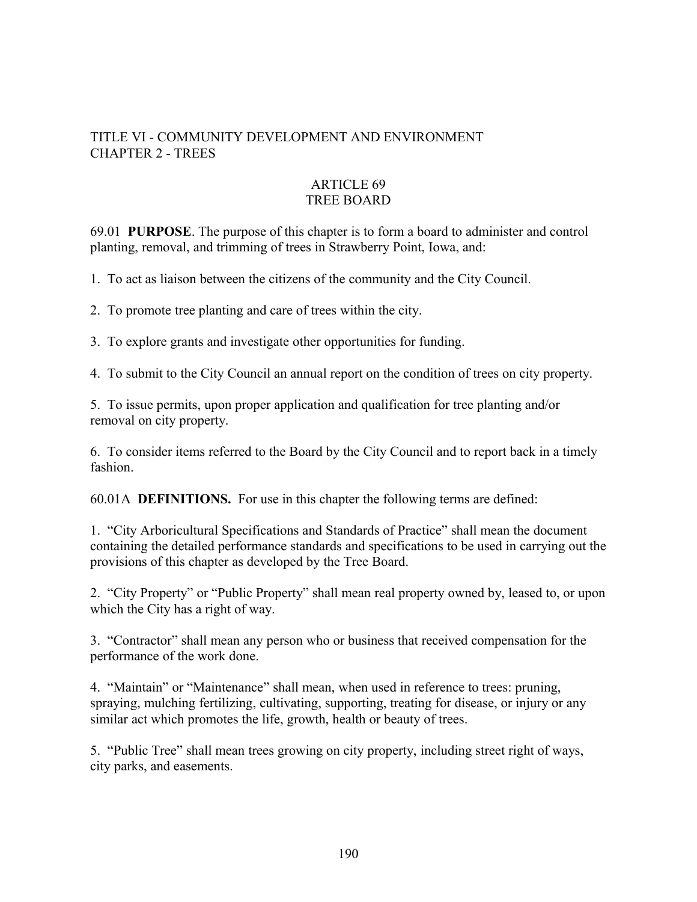## TITLE VI - COMMUNITY DEVELOPMENT AND ENVIRONMENT CHAPTER 2 - TREES

## ARTICLE 69 TREE BOARD

69.01 **PURPOSE**. The purpose of this chapter is to form a board to administer and control planting, removal, and trimming of trees in Strawberry Point, Iowa, and:

1. To act as liaison between the citizens of the community and the City Council.

2. To promote tree planting and care of trees within the city.

3. To explore grants and investigate other opportunities for funding.

4. To submit to the City Council an annual report on the condition of trees on city property.

5. To issue permits, upon proper application and qualification for tree planting and/or removal on city property.

6. To consider items referred to the Board by the City Council and to report back in a timely fashion.

60.01A **DEFINITIONS.** For use in this chapter the following terms are defined:

1. "City Arboricultural Specifications and Standards of Practice" shall mean the document containing the detailed performance standards and specifications to be used in carrying out the provisions of this chapter as developed by the Tree Board.

2. "City Property" or "Public Property" shall mean real property owned by, leased to, or upon which the City has a right of way.

3. "Contractor" shall mean any person who or business that received compensation for the performance of the work done.

4. "Maintain" or "Maintenance" shall mean, when used in reference to trees: pruning, spraying, mulching fertilizing, cultivating, supporting, treating for disease, or injury or any similar act which promotes the life, growth, health or beauty of trees.

5. "Public Tree" shall mean trees growing on city property, including street right of ways, city parks, and easements.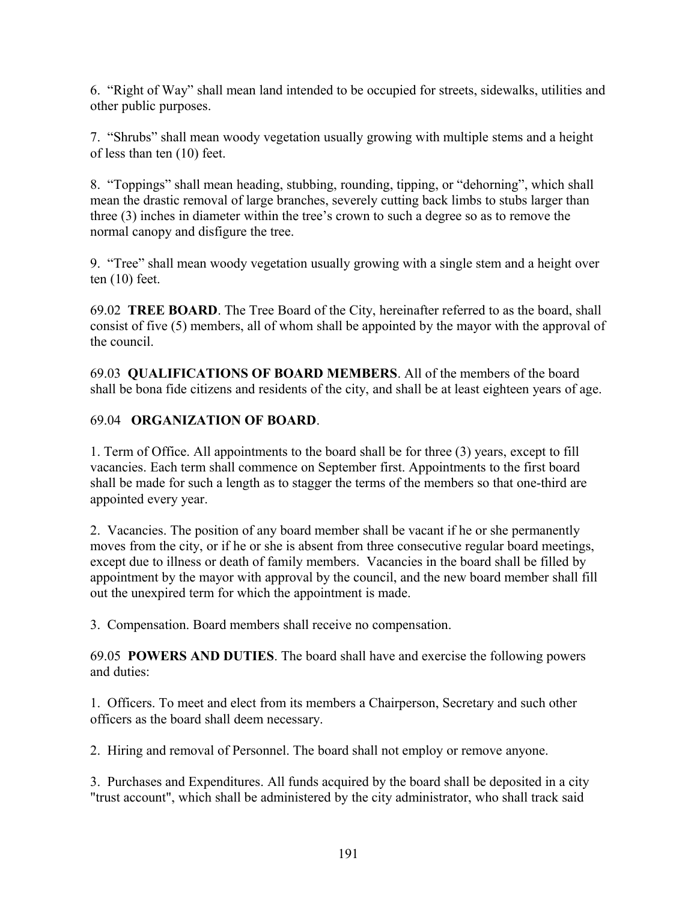6. "Right of Way" shall mean land intended to be occupied for streets, sidewalks, utilities and other public purposes.

7. "Shrubs" shall mean woody vegetation usually growing with multiple stems and a height of less than ten (10) feet.

8. "Toppings" shall mean heading, stubbing, rounding, tipping, or "dehorning", which shall mean the drastic removal of large branches, severely cutting back limbs to stubs larger than three (3) inches in diameter within the tree's crown to such a degree so as to remove the normal canopy and disfigure the tree.

9. "Tree" shall mean woody vegetation usually growing with a single stem and a height over ten (10) feet.

69.02 **TREE BOARD**. The Tree Board of the City, hereinafter referred to as the board, shall consist of five (5) members, all of whom shall be appointed by the mayor with the approval of the council.

69.03 **QUALIFICATIONS OF BOARD MEMBERS**. All of the members of the board shall be bona fide citizens and residents of the city, and shall be at least eighteen years of age.

# 69.04 **ORGANIZATION OF BOARD**.

1. Term of Office. All appointments to the board shall be for three (3) years, except to fill vacancies. Each term shall commence on September first. Appointments to the first board shall be made for such a length as to stagger the terms of the members so that one-third are appointed every year.

2. Vacancies. The position of any board member shall be vacant if he or she permanently moves from the city, or if he or she is absent from three consecutive regular board meetings, except due to illness or death of family members. Vacancies in the board shall be filled by appointment by the mayor with approval by the council, and the new board member shall fill out the unexpired term for which the appointment is made.

3. Compensation. Board members shall receive no compensation.

69.05 **POWERS AND DUTIES**. The board shall have and exercise the following powers and duties:

1. Officers. To meet and elect from its members a Chairperson, Secretary and such other officers as the board shall deem necessary.

2. Hiring and removal of Personnel. The board shall not employ or remove anyone.

3. Purchases and Expenditures. All funds acquired by the board shall be deposited in a city "trust account", which shall be administered by the city administrator, who shall track said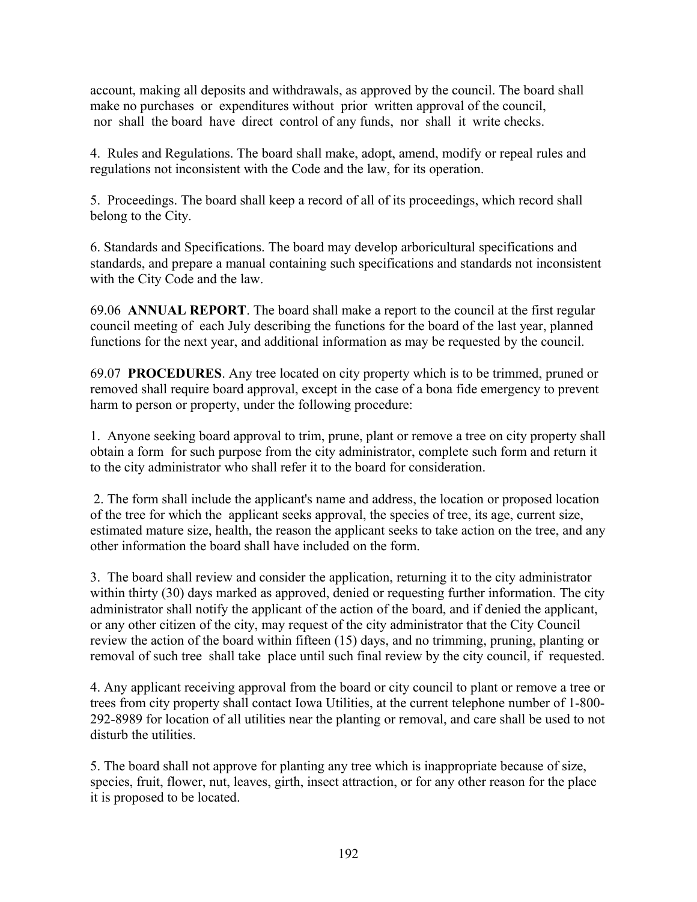account, making all deposits and withdrawals, as approved by the council. The board shall make no purchases or expenditures without prior written approval of the council, nor shall the board have direct control of any funds, nor shall it write checks.

4. Rules and Regulations. The board shall make, adopt, amend, modify or repeal rules and regulations not inconsistent with the Code and the law, for its operation.

5. Proceedings. The board shall keep a record of all of its proceedings, which record shall belong to the City.

6. Standards and Specifications. The board may develop arboricultural specifications and standards, and prepare a manual containing such specifications and standards not inconsistent with the City Code and the law.

69.06 **ANNUAL REPORT**. The board shall make a report to the council at the first regular council meeting of each July describing the functions for the board of the last year, planned functions for the next year, and additional information as may be requested by the council.

69.07 **PROCEDURES**. Any tree located on city property which is to be trimmed, pruned or removed shall require board approval, except in the case of a bona fide emergency to prevent harm to person or property, under the following procedure:

1. Anyone seeking board approval to trim, prune, plant or remove a tree on city property shall obtain a form for such purpose from the city administrator, complete such form and return it to the city administrator who shall refer it to the board for consideration.

 2. The form shall include the applicant's name and address, the location or proposed location of the tree for which the applicant seeks approval, the species of tree, its age, current size, estimated mature size, health, the reason the applicant seeks to take action on the tree, and any other information the board shall have included on the form.

3. The board shall review and consider the application, returning it to the city administrator within thirty (30) days marked as approved, denied or requesting further information. The city administrator shall notify the applicant of the action of the board, and if denied the applicant, or any other citizen of the city, may request of the city administrator that the City Council review the action of the board within fifteen (15) days, and no trimming, pruning, planting or removal of such tree shall take place until such final review by the city council, if requested.

4. Any applicant receiving approval from the board or city council to plant or remove a tree or trees from city property shall contact Iowa Utilities, at the current telephone number of 1-800- 292-8989 for location of all utilities near the planting or removal, and care shall be used to not disturb the utilities.

5. The board shall not approve for planting any tree which is inappropriate because of size, species, fruit, flower, nut, leaves, girth, insect attraction, or for any other reason for the place it is proposed to be located.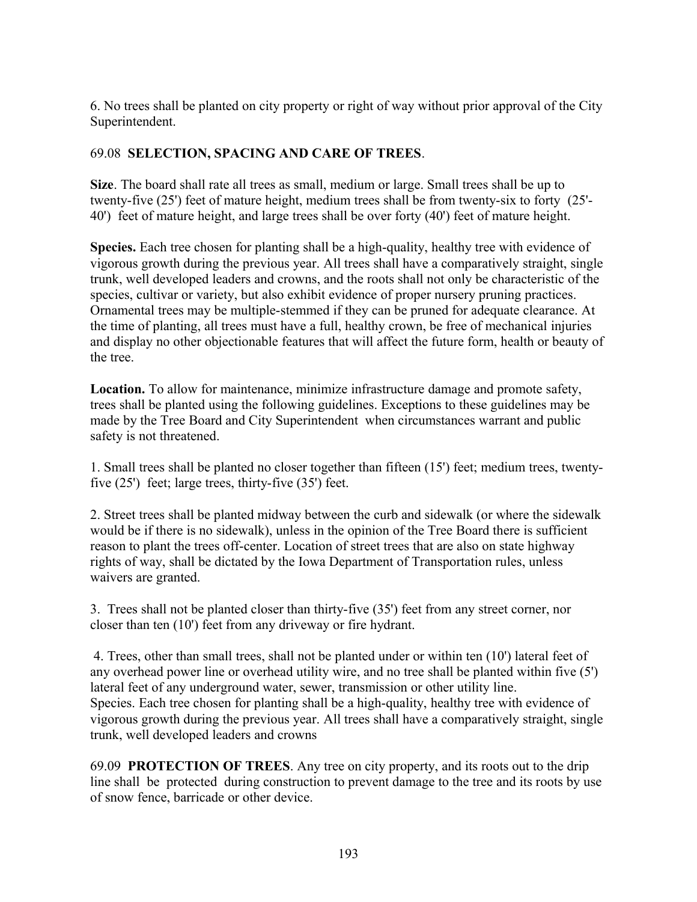6. No trees shall be planted on city property or right of way without prior approval of the City Superintendent.

## 69.08 **SELECTION, SPACING AND CARE OF TREES**.

**Size**. The board shall rate all trees as small, medium or large. Small trees shall be up to twenty-five (25') feet of mature height, medium trees shall be from twenty-six to forty (25'- 40') feet of mature height, and large trees shall be over forty (40') feet of mature height.

**Species.** Each tree chosen for planting shall be a high-quality, healthy tree with evidence of vigorous growth during the previous year. All trees shall have a comparatively straight, single trunk, well developed leaders and crowns, and the roots shall not only be characteristic of the species, cultivar or variety, but also exhibit evidence of proper nursery pruning practices. Ornamental trees may be multiple-stemmed if they can be pruned for adequate clearance. At the time of planting, all trees must have a full, healthy crown, be free of mechanical injuries and display no other objectionable features that will affect the future form, health or beauty of the tree.

**Location.** To allow for maintenance, minimize infrastructure damage and promote safety, trees shall be planted using the following guidelines. Exceptions to these guidelines may be made by the Tree Board and City Superintendent when circumstances warrant and public safety is not threatened.

1. Small trees shall be planted no closer together than fifteen (15') feet; medium trees, twentyfive (25') feet; large trees, thirty-five (35') feet.

2. Street trees shall be planted midway between the curb and sidewalk (or where the sidewalk would be if there is no sidewalk), unless in the opinion of the Tree Board there is sufficient reason to plant the trees off-center. Location of street trees that are also on state highway rights of way, shall be dictated by the Iowa Department of Transportation rules, unless waivers are granted.

3. Trees shall not be planted closer than thirty-five (35') feet from any street corner, nor closer than ten (10') feet from any driveway or fire hydrant.

 4. Trees, other than small trees, shall not be planted under or within ten (10') lateral feet of any overhead power line or overhead utility wire, and no tree shall be planted within five (5') lateral feet of any underground water, sewer, transmission or other utility line. Species. Each tree chosen for planting shall be a high-quality, healthy tree with evidence of vigorous growth during the previous year. All trees shall have a comparatively straight, single trunk, well developed leaders and crowns

69.09 **PROTECTION OF TREES**. Any tree on city property, and its roots out to the drip line shall be protected during construction to prevent damage to the tree and its roots by use of snow fence, barricade or other device.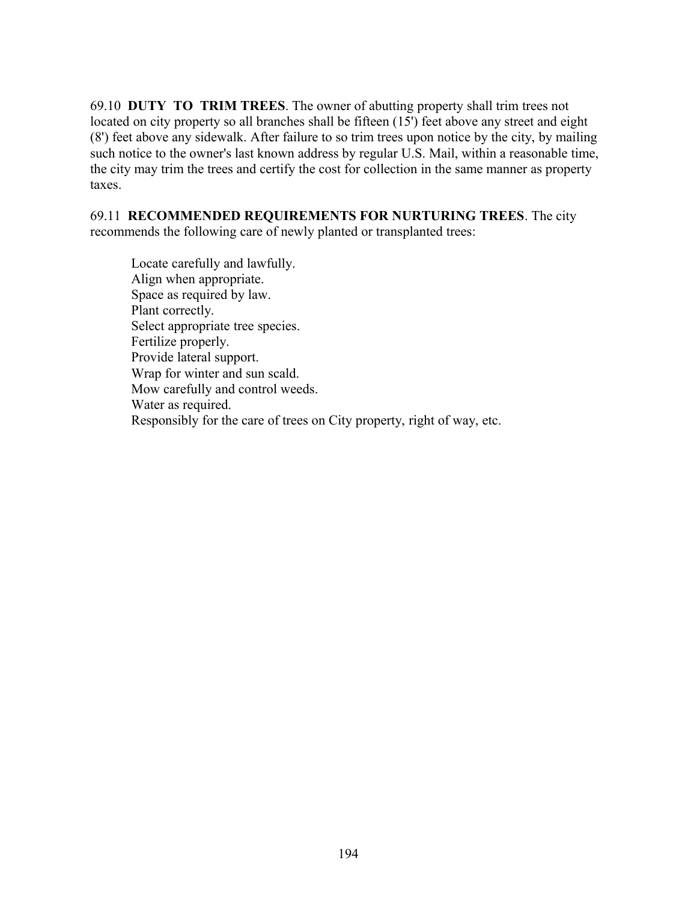69.10 **DUTY TO TRIM TREES**. The owner of abutting property shall trim trees not located on city property so all branches shall be fifteen (15') feet above any street and eight (8') feet above any sidewalk. After failure to so trim trees upon notice by the city, by mailing such notice to the owner's last known address by regular U.S. Mail, within a reasonable time, the city may trim the trees and certify the cost for collection in the same manner as property taxes.

69.11 **RECOMMENDED REQUIREMENTS FOR NURTURING TREES**. The city recommends the following care of newly planted or transplanted trees:

 Locate carefully and lawfully. Align when appropriate. Space as required by law. Plant correctly. Select appropriate tree species. Fertilize properly. Provide lateral support. Wrap for winter and sun scald. Mow carefully and control weeds. Water as required. Responsibly for the care of trees on City property, right of way, etc.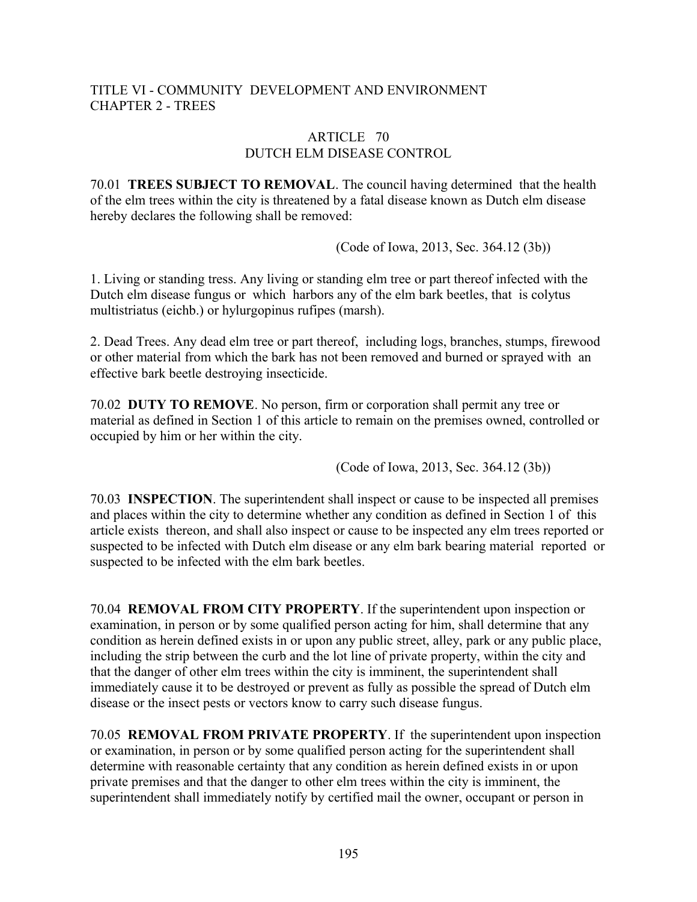## TITLE VI - COMMUNITY DEVELOPMENT AND ENVIRONMENT CHAPTER 2 - TREES

#### ARTICLE 70 DUTCH ELM DISEASE CONTROL

70.01 **TREES SUBJECT TO REMOVAL**. The council having determined that the health of the elm trees within the city is threatened by a fatal disease known as Dutch elm disease hereby declares the following shall be removed:

(Code of Iowa, 2013, Sec. 364.12 (3b))

1. Living or standing tress. Any living or standing elm tree or part thereof infected with the Dutch elm disease fungus or which harbors any of the elm bark beetles, that is colytus multistriatus (eichb.) or hylurgopinus rufipes (marsh).

2. Dead Trees. Any dead elm tree or part thereof, including logs, branches, stumps, firewood or other material from which the bark has not been removed and burned or sprayed with an effective bark beetle destroying insecticide.

70.02 **DUTY TO REMOVE**. No person, firm or corporation shall permit any tree or material as defined in Section 1 of this article to remain on the premises owned, controlled or occupied by him or her within the city.

(Code of Iowa, 2013, Sec. 364.12 (3b))

70.03 **INSPECTION**. The superintendent shall inspect or cause to be inspected all premises and places within the city to determine whether any condition as defined in Section 1 of this article exists thereon, and shall also inspect or cause to be inspected any elm trees reported or suspected to be infected with Dutch elm disease or any elm bark bearing material reported or suspected to be infected with the elm bark beetles.

70.04 **REMOVAL FROM CITY PROPERTY**. If the superintendent upon inspection or examination, in person or by some qualified person acting for him, shall determine that any condition as herein defined exists in or upon any public street, alley, park or any public place, including the strip between the curb and the lot line of private property, within the city and that the danger of other elm trees within the city is imminent, the superintendent shall immediately cause it to be destroyed or prevent as fully as possible the spread of Dutch elm disease or the insect pests or vectors know to carry such disease fungus.

70.05 **REMOVAL FROM PRIVATE PROPERTY**. If the superintendent upon inspection or examination, in person or by some qualified person acting for the superintendent shall determine with reasonable certainty that any condition as herein defined exists in or upon private premises and that the danger to other elm trees within the city is imminent, the superintendent shall immediately notify by certified mail the owner, occupant or person in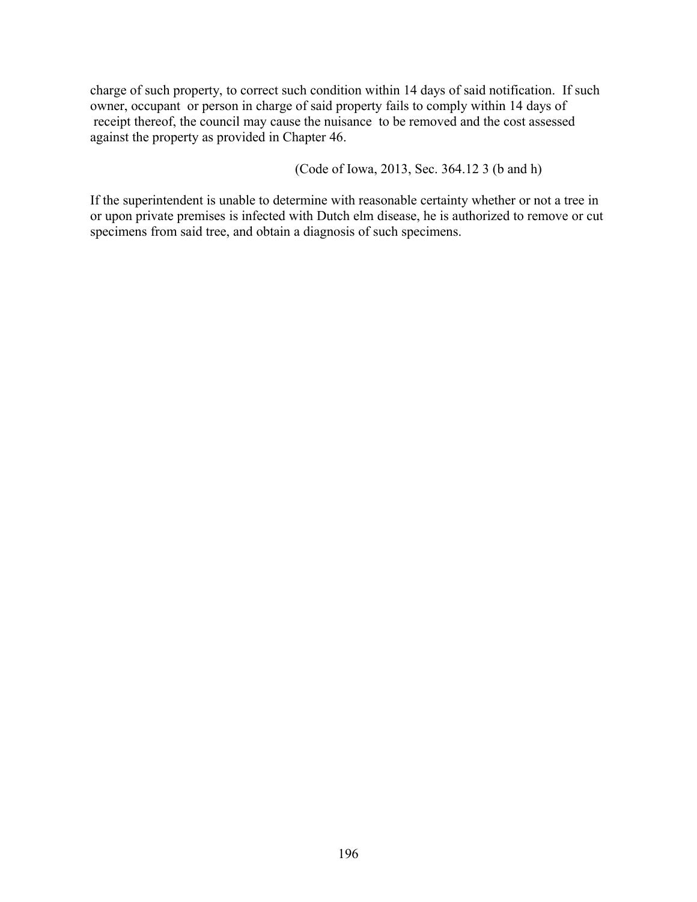charge of such property, to correct such condition within 14 days of said notification. If such owner, occupant or person in charge of said property fails to comply within 14 days of receipt thereof, the council may cause the nuisance to be removed and the cost assessed against the property as provided in Chapter 46.

(Code of Iowa, 2013, Sec. 364.12 3 (b and h)

If the superintendent is unable to determine with reasonable certainty whether or not a tree in or upon private premises is infected with Dutch elm disease, he is authorized to remove or cut specimens from said tree, and obtain a diagnosis of such specimens.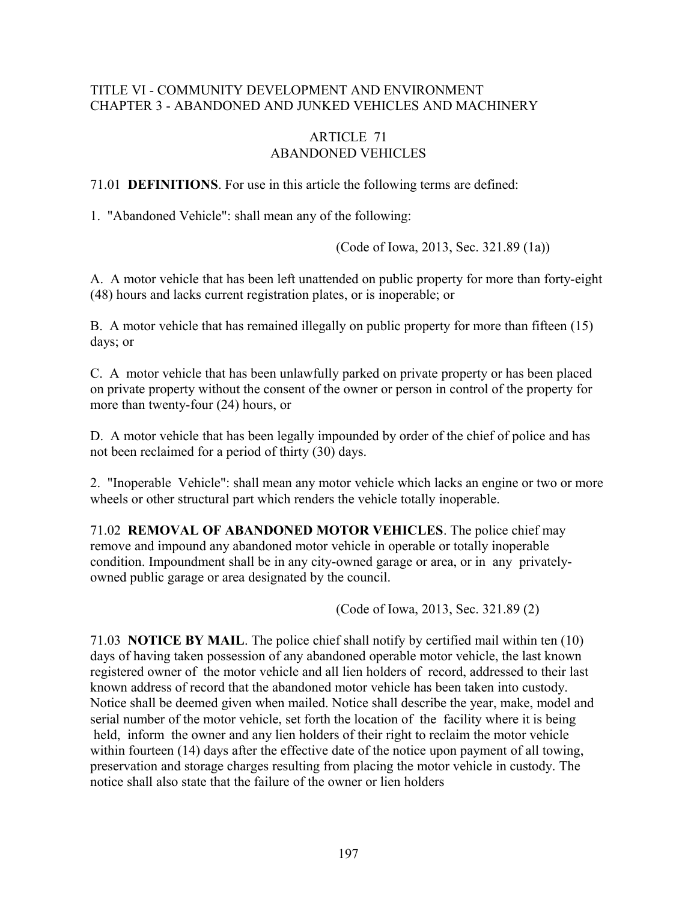#### TITLE VI - COMMUNITY DEVELOPMENT AND ENVIRONMENT CHAPTER 3 - ABANDONED AND JUNKED VEHICLES AND MACHINERY

## ARTICLE 71 ABANDONED VEHICLES

71.01 **DEFINITIONS**. For use in this article the following terms are defined:

1. "Abandoned Vehicle": shall mean any of the following:

(Code of Iowa, 2013, Sec. 321.89 (1a))

A. A motor vehicle that has been left unattended on public property for more than forty-eight (48) hours and lacks current registration plates, or is inoperable; or

B. A motor vehicle that has remained illegally on public property for more than fifteen (15) days; or

C. A motor vehicle that has been unlawfully parked on private property or has been placed on private property without the consent of the owner or person in control of the property for more than twenty-four (24) hours, or

D. A motor vehicle that has been legally impounded by order of the chief of police and has not been reclaimed for a period of thirty (30) days.

2. "Inoperable Vehicle": shall mean any motor vehicle which lacks an engine or two or more wheels or other structural part which renders the vehicle totally inoperable.

71.02 **REMOVAL OF ABANDONED MOTOR VEHICLES**. The police chief may remove and impound any abandoned motor vehicle in operable or totally inoperable condition. Impoundment shall be in any city-owned garage or area, or in any privatelyowned public garage or area designated by the council.

(Code of Iowa, 2013, Sec. 321.89 (2)

71.03 **NOTICE BY MAIL**. The police chief shall notify by certified mail within ten (10) days of having taken possession of any abandoned operable motor vehicle, the last known registered owner of the motor vehicle and all lien holders of record, addressed to their last known address of record that the abandoned motor vehicle has been taken into custody. Notice shall be deemed given when mailed. Notice shall describe the year, make, model and serial number of the motor vehicle, set forth the location of the facility where it is being held, inform the owner and any lien holders of their right to reclaim the motor vehicle within fourteen (14) days after the effective date of the notice upon payment of all towing, preservation and storage charges resulting from placing the motor vehicle in custody. The notice shall also state that the failure of the owner or lien holders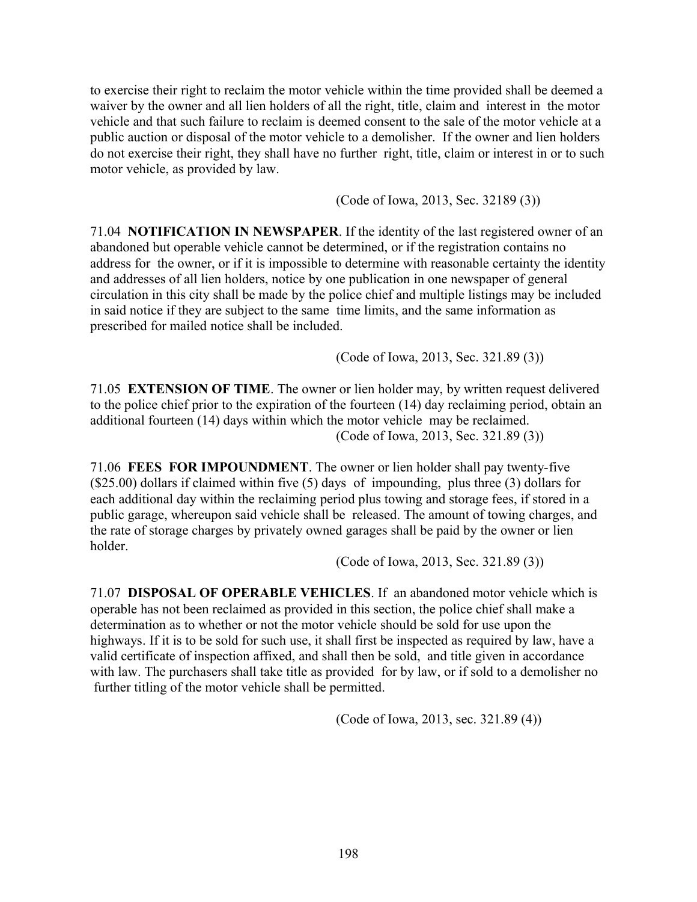to exercise their right to reclaim the motor vehicle within the time provided shall be deemed a waiver by the owner and all lien holders of all the right, title, claim and interest in the motor vehicle and that such failure to reclaim is deemed consent to the sale of the motor vehicle at a public auction or disposal of the motor vehicle to a demolisher. If the owner and lien holders do not exercise their right, they shall have no further right, title, claim or interest in or to such motor vehicle, as provided by law.

(Code of Iowa, 2013, Sec. 32189 (3))

71.04 **NOTIFICATION IN NEWSPAPER**. If the identity of the last registered owner of an abandoned but operable vehicle cannot be determined, or if the registration contains no address for the owner, or if it is impossible to determine with reasonable certainty the identity and addresses of all lien holders, notice by one publication in one newspaper of general circulation in this city shall be made by the police chief and multiple listings may be included in said notice if they are subject to the same time limits, and the same information as prescribed for mailed notice shall be included.

(Code of Iowa, 2013, Sec. 321.89 (3))

71.05 **EXTENSION OF TIME**. The owner or lien holder may, by written request delivered to the police chief prior to the expiration of the fourteen (14) day reclaiming period, obtain an additional fourteen (14) days within which the motor vehicle may be reclaimed. (Code of Iowa, 2013, Sec. 321.89 (3))

71.06 **FEES FOR IMPOUNDMENT**. The owner or lien holder shall pay twenty-five (\$25.00) dollars if claimed within five (5) days of impounding, plus three (3) dollars for each additional day within the reclaiming period plus towing and storage fees, if stored in a public garage, whereupon said vehicle shall be released. The amount of towing charges, and the rate of storage charges by privately owned garages shall be paid by the owner or lien holder.

(Code of Iowa, 2013, Sec. 321.89 (3))

71.07 **DISPOSAL OF OPERABLE VEHICLES**. If an abandoned motor vehicle which is operable has not been reclaimed as provided in this section, the police chief shall make a determination as to whether or not the motor vehicle should be sold for use upon the highways. If it is to be sold for such use, it shall first be inspected as required by law, have a valid certificate of inspection affixed, and shall then be sold, and title given in accordance with law. The purchasers shall take title as provided for by law, or if sold to a demolisher no further titling of the motor vehicle shall be permitted.

(Code of Iowa, 2013, sec. 321.89 (4))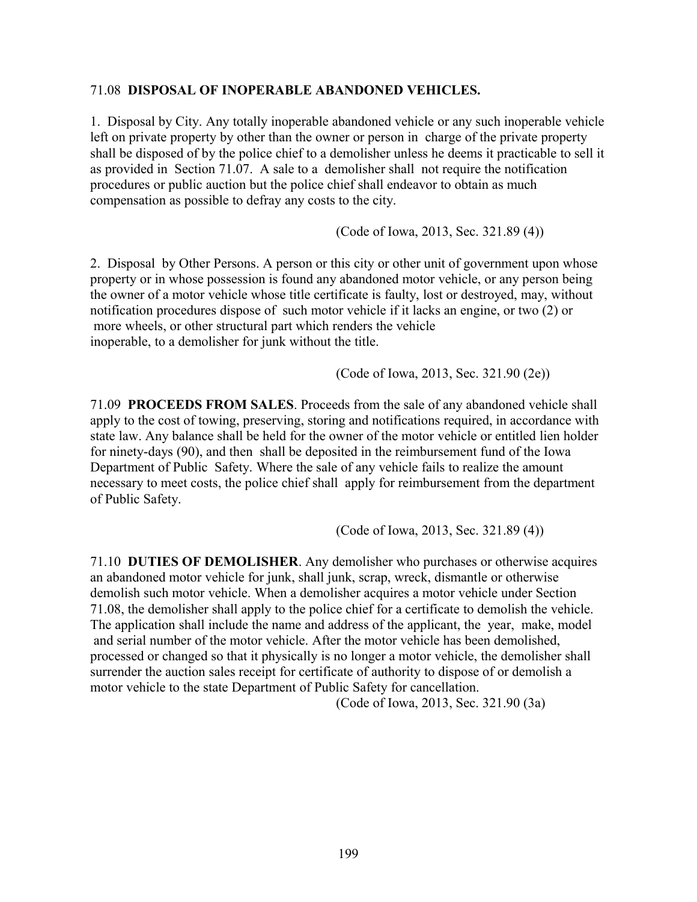#### 71.08 **DISPOSAL OF INOPERABLE ABANDONED VEHICLES.**

1. Disposal by City. Any totally inoperable abandoned vehicle or any such inoperable vehicle left on private property by other than the owner or person in charge of the private property shall be disposed of by the police chief to a demolisher unless he deems it practicable to sell it as provided in Section 71.07. A sale to a demolisher shall not require the notification procedures or public auction but the police chief shall endeavor to obtain as much compensation as possible to defray any costs to the city.

(Code of Iowa, 2013, Sec. 321.89 (4))

2. Disposal by Other Persons. A person or this city or other unit of government upon whose property or in whose possession is found any abandoned motor vehicle, or any person being the owner of a motor vehicle whose title certificate is faulty, lost or destroyed, may, without notification procedures dispose of such motor vehicle if it lacks an engine, or two (2) or more wheels, or other structural part which renders the vehicle inoperable, to a demolisher for junk without the title.

(Code of Iowa, 2013, Sec. 321.90 (2e))

71.09 **PROCEEDS FROM SALES**. Proceeds from the sale of any abandoned vehicle shall apply to the cost of towing, preserving, storing and notifications required, in accordance with state law. Any balance shall be held for the owner of the motor vehicle or entitled lien holder for ninety-days (90), and then shall be deposited in the reimbursement fund of the Iowa Department of Public Safety. Where the sale of any vehicle fails to realize the amount necessary to meet costs, the police chief shall apply for reimbursement from the department of Public Safety.

(Code of Iowa, 2013, Sec. 321.89 (4))

71.10 **DUTIES OF DEMOLISHER**. Any demolisher who purchases or otherwise acquires an abandoned motor vehicle for junk, shall junk, scrap, wreck, dismantle or otherwise demolish such motor vehicle. When a demolisher acquires a motor vehicle under Section 71.08, the demolisher shall apply to the police chief for a certificate to demolish the vehicle. The application shall include the name and address of the applicant, the year, make, model and serial number of the motor vehicle. After the motor vehicle has been demolished, processed or changed so that it physically is no longer a motor vehicle, the demolisher shall surrender the auction sales receipt for certificate of authority to dispose of or demolish a motor vehicle to the state Department of Public Safety for cancellation.

(Code of Iowa, 2013, Sec. 321.90 (3a)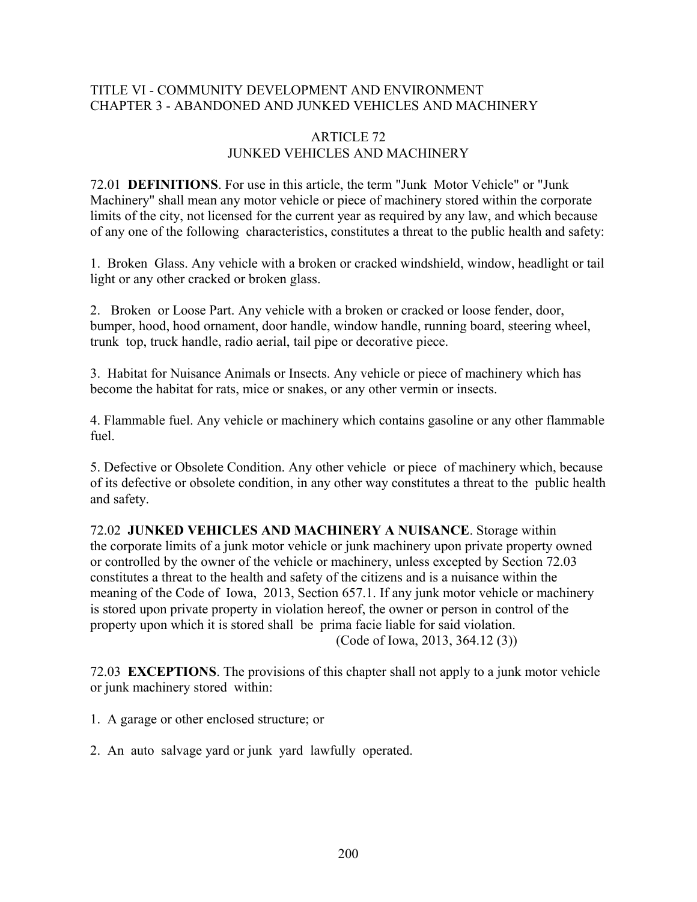### TITLE VI - COMMUNITY DEVELOPMENT AND ENVIRONMENT CHAPTER 3 - ABANDONED AND JUNKED VEHICLES AND MACHINERY

#### ARTICLE 72 JUNKED VEHICLES AND MACHINERY

72.01 **DEFINITIONS**. For use in this article, the term "Junk Motor Vehicle" or "Junk Machinery" shall mean any motor vehicle or piece of machinery stored within the corporate limits of the city, not licensed for the current year as required by any law, and which because of any one of the following characteristics, constitutes a threat to the public health and safety:

1. Broken Glass. Any vehicle with a broken or cracked windshield, window, headlight or tail light or any other cracked or broken glass.

2. Broken or Loose Part. Any vehicle with a broken or cracked or loose fender, door, bumper, hood, hood ornament, door handle, window handle, running board, steering wheel, trunk top, truck handle, radio aerial, tail pipe or decorative piece.

3. Habitat for Nuisance Animals or Insects. Any vehicle or piece of machinery which has become the habitat for rats, mice or snakes, or any other vermin or insects.

4. Flammable fuel. Any vehicle or machinery which contains gasoline or any other flammable fuel.

5. Defective or Obsolete Condition. Any other vehicle or piece of machinery which, because of its defective or obsolete condition, in any other way constitutes a threat to the public health and safety.

72.02 **JUNKED VEHICLES AND MACHINERY A NUISANCE**. Storage within the corporate limits of a junk motor vehicle or junk machinery upon private property owned or controlled by the owner of the vehicle or machinery, unless excepted by Section 72.03 constitutes a threat to the health and safety of the citizens and is a nuisance within the meaning of the Code of Iowa, 2013, Section 657.1. If any junk motor vehicle or machinery is stored upon private property in violation hereof, the owner or person in control of the property upon which it is stored shall be prima facie liable for said violation. (Code of Iowa, 2013, 364.12 (3))

72.03 **EXCEPTIONS**. The provisions of this chapter shall not apply to a junk motor vehicle or junk machinery stored within:

- 1. A garage or other enclosed structure; or
- 2. An auto salvage yard or junk yard lawfully operated.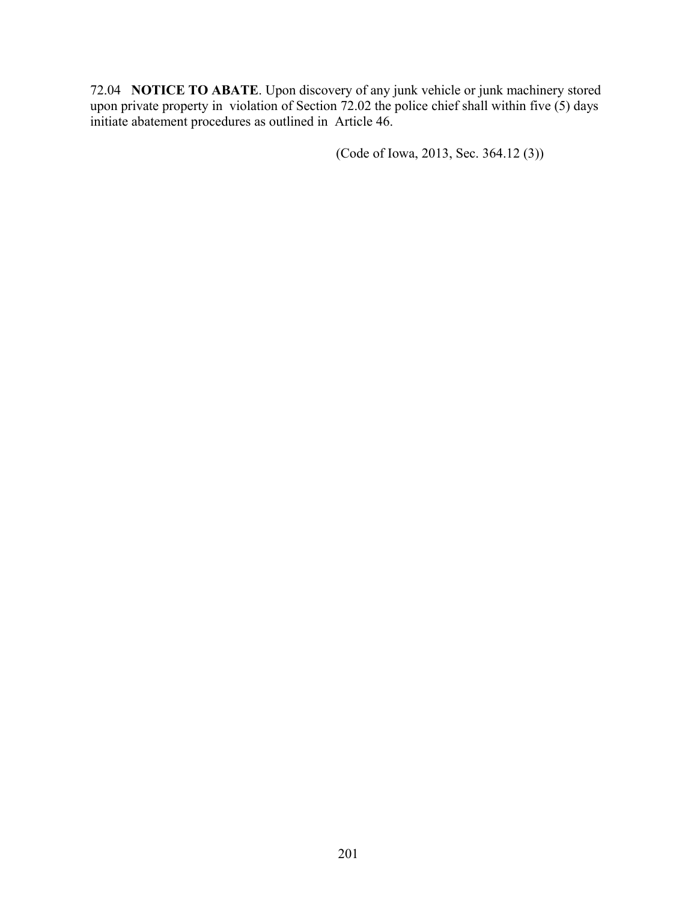72.04 **NOTICE TO ABATE**. Upon discovery of any junk vehicle or junk machinery stored upon private property in violation of Section 72.02 the police chief shall within five  $(5)$  days initiate abatement procedures as outlined in Article 46.

(Code of Iowa, 2013, Sec. 364.12 (3))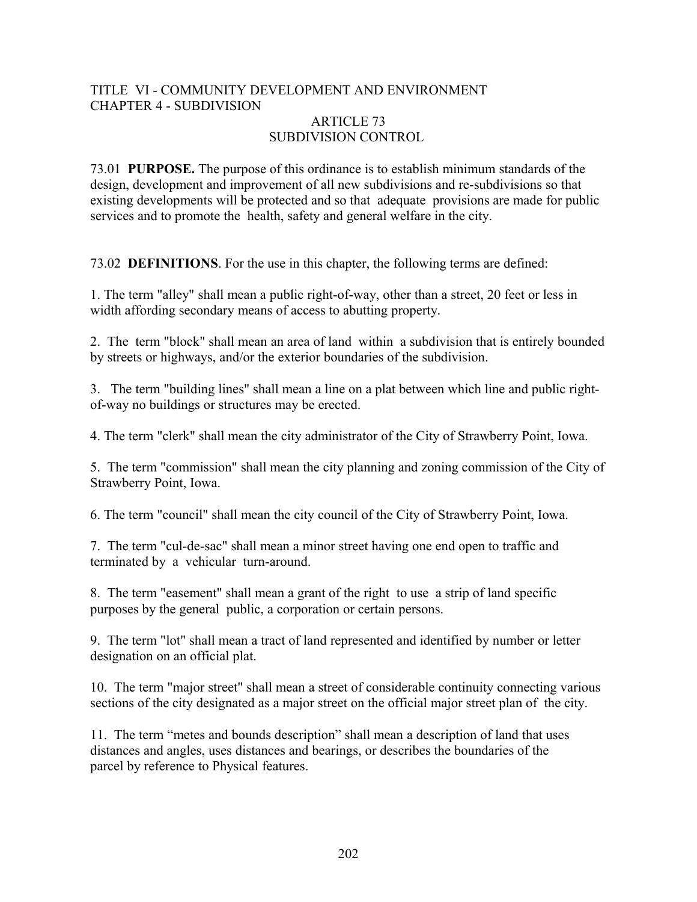# TITLE VI - COMMUNITY DEVELOPMENT AND ENVIRONMENT CHAPTER 4 - SUBDIVISION

#### ARTICLE 73 SUBDIVISION CONTROL

73.01 **PURPOSE.** The purpose of this ordinance is to establish minimum standards of the design, development and improvement of all new subdivisions and re-subdivisions so that existing developments will be protected and so that adequate provisions are made for public services and to promote the health, safety and general welfare in the city.

73.02 **DEFINITIONS**. For the use in this chapter, the following terms are defined:

1. The term "alley" shall mean a public right-of-way, other than a street, 20 feet or less in width affording secondary means of access to abutting property.

2. The term "block" shall mean an area of land within a subdivision that is entirely bounded by streets or highways, and/or the exterior boundaries of the subdivision.

3. The term "building lines" shall mean a line on a plat between which line and public rightof-way no buildings or structures may be erected.

4. The term "clerk" shall mean the city administrator of the City of Strawberry Point, Iowa.

5. The term "commission" shall mean the city planning and zoning commission of the City of Strawberry Point, Iowa.

6. The term "council" shall mean the city council of the City of Strawberry Point, Iowa.

7. The term "cul-de-sac" shall mean a minor street having one end open to traffic and terminated by a vehicular turn-around.

8. The term "easement" shall mean a grant of the right to use a strip of land specific purposes by the general public, a corporation or certain persons.

9. The term "lot" shall mean a tract of land represented and identified by number or letter designation on an official plat.

10. The term "major street" shall mean a street of considerable continuity connecting various sections of the city designated as a major street on the official major street plan of the city.

11. The term "metes and bounds description" shall mean a description of land that uses distances and angles, uses distances and bearings, or describes the boundaries of the parcel by reference to Physical features.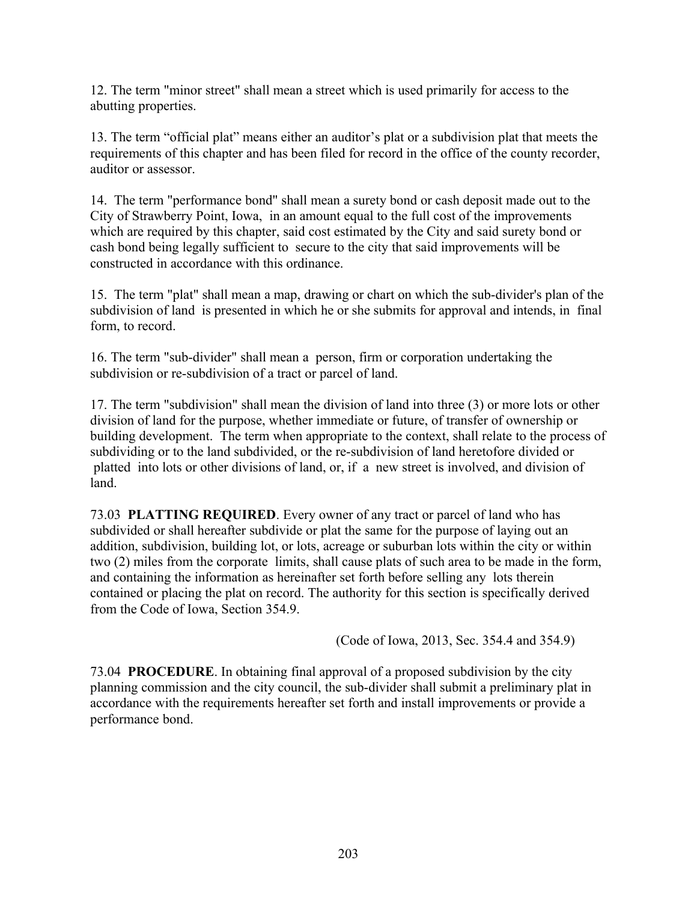12. The term "minor street" shall mean a street which is used primarily for access to the abutting properties.

13. The term "official plat" means either an auditor's plat or a subdivision plat that meets the requirements of this chapter and has been filed for record in the office of the county recorder, auditor or assessor.

14. The term "performance bond" shall mean a surety bond or cash deposit made out to the City of Strawberry Point, Iowa, in an amount equal to the full cost of the improvements which are required by this chapter, said cost estimated by the City and said surety bond or cash bond being legally sufficient to secure to the city that said improvements will be constructed in accordance with this ordinance.

15. The term "plat" shall mean a map, drawing or chart on which the sub-divider's plan of the subdivision of land is presented in which he or she submits for approval and intends, in final form, to record.

16. The term "sub-divider" shall mean a person, firm or corporation undertaking the subdivision or re-subdivision of a tract or parcel of land.

17. The term "subdivision" shall mean the division of land into three (3) or more lots or other division of land for the purpose, whether immediate or future, of transfer of ownership or building development. The term when appropriate to the context, shall relate to the process of subdividing or to the land subdivided, or the re-subdivision of land heretofore divided or platted into lots or other divisions of land, or, if a new street is involved, and division of land.

73.03 **PLATTING REQUIRED**. Every owner of any tract or parcel of land who has subdivided or shall hereafter subdivide or plat the same for the purpose of laying out an addition, subdivision, building lot, or lots, acreage or suburban lots within the city or within two (2) miles from the corporate limits, shall cause plats of such area to be made in the form, and containing the information as hereinafter set forth before selling any lots therein contained or placing the plat on record. The authority for this section is specifically derived from the Code of Iowa, Section 354.9.

(Code of Iowa, 2013, Sec. 354.4 and 354.9)

73.04 **PROCEDURE**. In obtaining final approval of a proposed subdivision by the city planning commission and the city council, the sub-divider shall submit a preliminary plat in accordance with the requirements hereafter set forth and install improvements or provide a performance bond.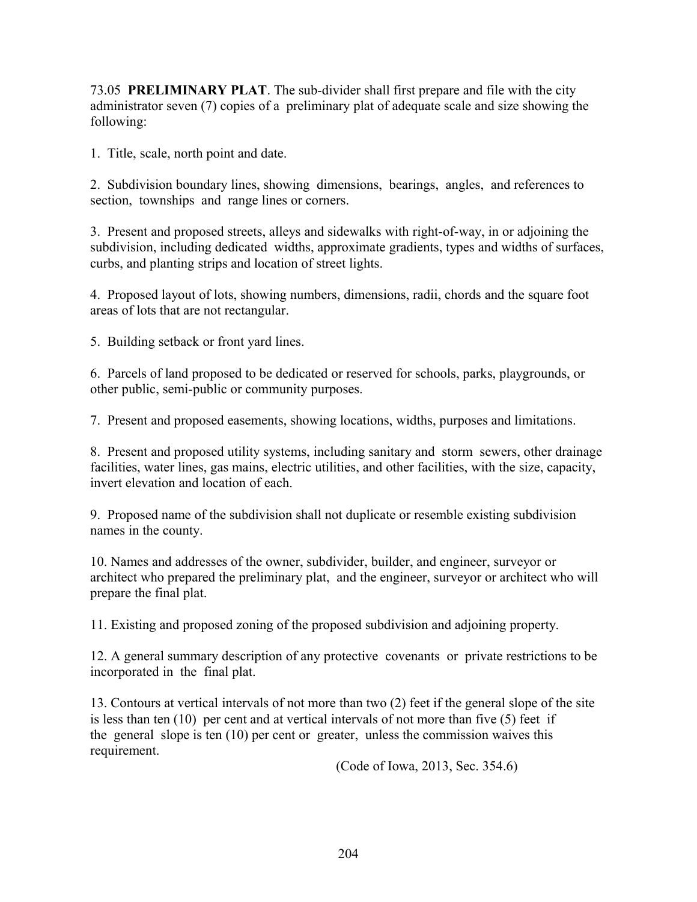73.05 **PRELIMINARY PLAT**. The sub-divider shall first prepare and file with the city administrator seven (7) copies of a preliminary plat of adequate scale and size showing the following:

1. Title, scale, north point and date.

2. Subdivision boundary lines, showing dimensions, bearings, angles, and references to section, townships and range lines or corners.

3. Present and proposed streets, alleys and sidewalks with right-of-way, in or adjoining the subdivision, including dedicated widths, approximate gradients, types and widths of surfaces, curbs, and planting strips and location of street lights.

4. Proposed layout of lots, showing numbers, dimensions, radii, chords and the square foot areas of lots that are not rectangular.

5. Building setback or front yard lines.

6. Parcels of land proposed to be dedicated or reserved for schools, parks, playgrounds, or other public, semi-public or community purposes.

7. Present and proposed easements, showing locations, widths, purposes and limitations.

8. Present and proposed utility systems, including sanitary and storm sewers, other drainage facilities, water lines, gas mains, electric utilities, and other facilities, with the size, capacity, invert elevation and location of each.

9. Proposed name of the subdivision shall not duplicate or resemble existing subdivision names in the county.

10. Names and addresses of the owner, subdivider, builder, and engineer, surveyor or architect who prepared the preliminary plat, and the engineer, surveyor or architect who will prepare the final plat.

11. Existing and proposed zoning of the proposed subdivision and adjoining property.

12. A general summary description of any protective covenants or private restrictions to be incorporated in the final plat.

13. Contours at vertical intervals of not more than two (2) feet if the general slope of the site is less than ten  $(10)$  per cent and at vertical intervals of not more than five  $(5)$  feet if the general slope is ten (10) per cent or greater, unless the commission waives this requirement.

(Code of Iowa, 2013, Sec. 354.6)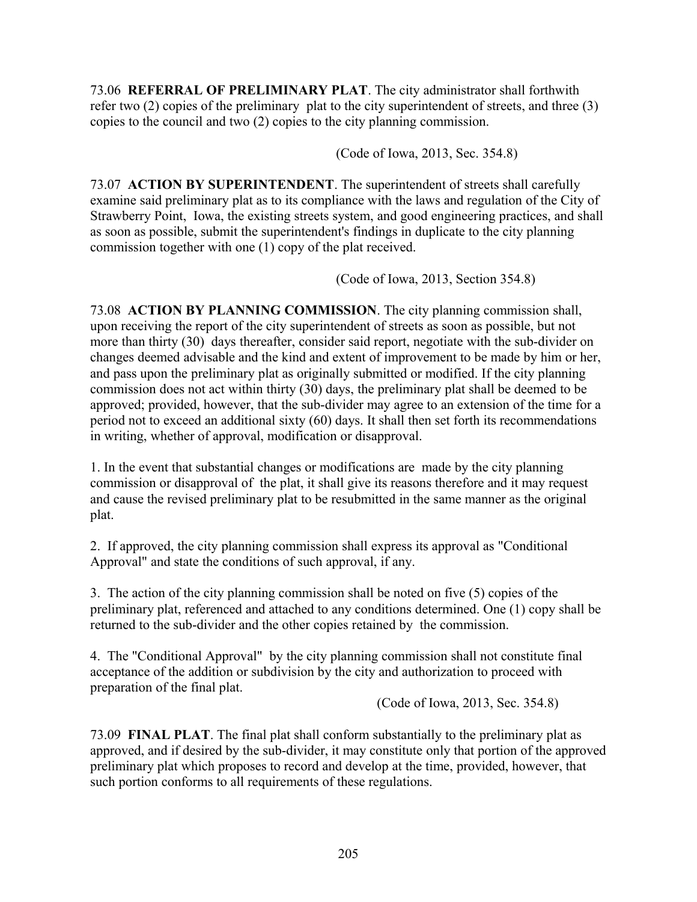73.06 **REFERRAL OF PRELIMINARY PLAT**. The city administrator shall forthwith refer two (2) copies of the preliminary plat to the city superintendent of streets, and three (3) copies to the council and two (2) copies to the city planning commission.

(Code of Iowa, 2013, Sec. 354.8)

73.07 **ACTION BY SUPERINTENDENT**. The superintendent of streets shall carefully examine said preliminary plat as to its compliance with the laws and regulation of the City of Strawberry Point, Iowa, the existing streets system, and good engineering practices, and shall as soon as possible, submit the superintendent's findings in duplicate to the city planning commission together with one (1) copy of the plat received.

(Code of Iowa, 2013, Section 354.8)

73.08 **ACTION BY PLANNING COMMISSION**. The city planning commission shall, upon receiving the report of the city superintendent of streets as soon as possible, but not more than thirty (30) days thereafter, consider said report, negotiate with the sub-divider on changes deemed advisable and the kind and extent of improvement to be made by him or her, and pass upon the preliminary plat as originally submitted or modified. If the city planning commission does not act within thirty (30) days, the preliminary plat shall be deemed to be approved; provided, however, that the sub-divider may agree to an extension of the time for a period not to exceed an additional sixty (60) days. It shall then set forth its recommendations in writing, whether of approval, modification or disapproval.

1. In the event that substantial changes or modifications are made by the city planning commission or disapproval of the plat, it shall give its reasons therefore and it may request and cause the revised preliminary plat to be resubmitted in the same manner as the original plat.

2. If approved, the city planning commission shall express its approval as "Conditional Approval" and state the conditions of such approval, if any.

3. The action of the city planning commission shall be noted on five (5) copies of the preliminary plat, referenced and attached to any conditions determined. One (1) copy shall be returned to the sub-divider and the other copies retained by the commission.

4. The "Conditional Approval" by the city planning commission shall not constitute final acceptance of the addition or subdivision by the city and authorization to proceed with preparation of the final plat.

(Code of Iowa, 2013, Sec. 354.8)

73.09 **FINAL PLAT**. The final plat shall conform substantially to the preliminary plat as approved, and if desired by the sub-divider, it may constitute only that portion of the approved preliminary plat which proposes to record and develop at the time, provided, however, that such portion conforms to all requirements of these regulations.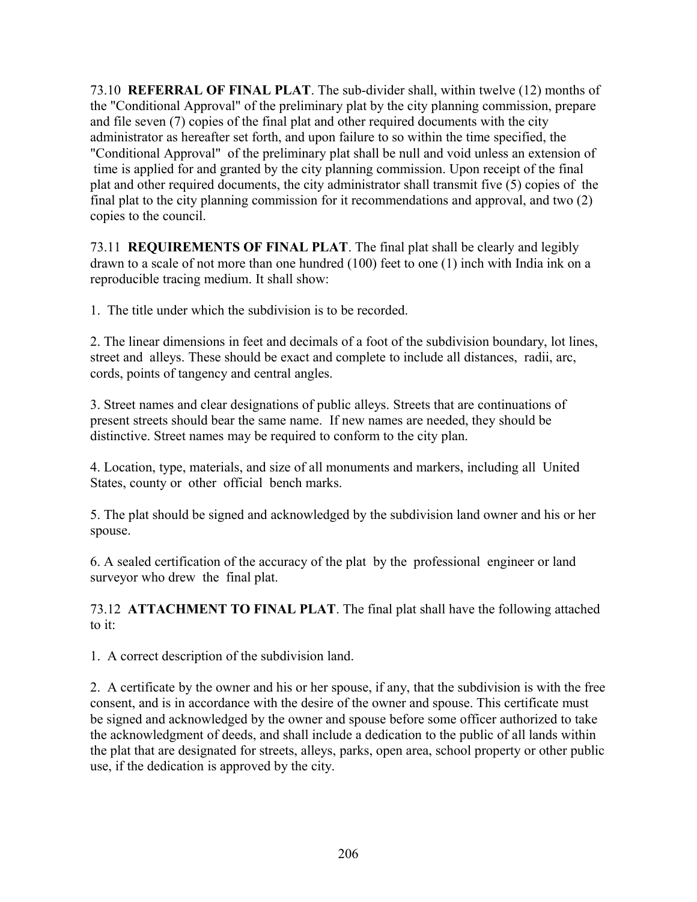73.10 **REFERRAL OF FINAL PLAT**. The sub-divider shall, within twelve (12) months of the "Conditional Approval" of the preliminary plat by the city planning commission, prepare and file seven (7) copies of the final plat and other required documents with the city administrator as hereafter set forth, and upon failure to so within the time specified, the "Conditional Approval" of the preliminary plat shall be null and void unless an extension of time is applied for and granted by the city planning commission. Upon receipt of the final plat and other required documents, the city administrator shall transmit five (5) copies of the final plat to the city planning commission for it recommendations and approval, and two (2) copies to the council.

73.11 **REQUIREMENTS OF FINAL PLAT**. The final plat shall be clearly and legibly drawn to a scale of not more than one hundred (100) feet to one (1) inch with India ink on a reproducible tracing medium. It shall show:

1. The title under which the subdivision is to be recorded.

2. The linear dimensions in feet and decimals of a foot of the subdivision boundary, lot lines, street and alleys. These should be exact and complete to include all distances, radii, arc, cords, points of tangency and central angles.

3. Street names and clear designations of public alleys. Streets that are continuations of present streets should bear the same name. If new names are needed, they should be distinctive. Street names may be required to conform to the city plan.

4. Location, type, materials, and size of all monuments and markers, including all United States, county or other official bench marks.

5. The plat should be signed and acknowledged by the subdivision land owner and his or her spouse.

6. A sealed certification of the accuracy of the plat by the professional engineer or land surveyor who drew the final plat.

73.12 **ATTACHMENT TO FINAL PLAT**. The final plat shall have the following attached to it:

1. A correct description of the subdivision land.

2. A certificate by the owner and his or her spouse, if any, that the subdivision is with the free consent, and is in accordance with the desire of the owner and spouse. This certificate must be signed and acknowledged by the owner and spouse before some officer authorized to take the acknowledgment of deeds, and shall include a dedication to the public of all lands within the plat that are designated for streets, alleys, parks, open area, school property or other public use, if the dedication is approved by the city.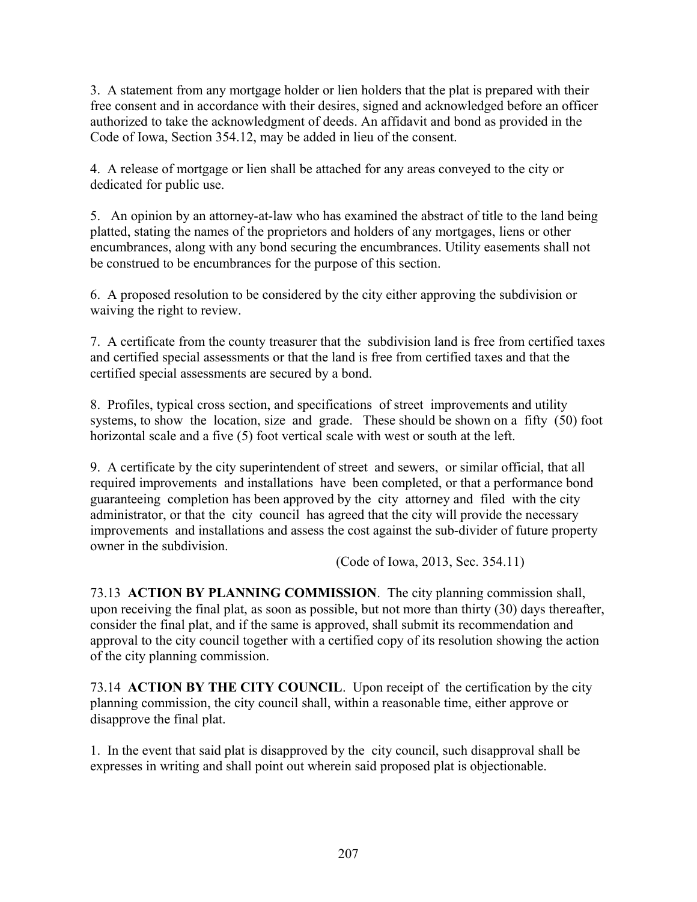3. A statement from any mortgage holder or lien holders that the plat is prepared with their free consent and in accordance with their desires, signed and acknowledged before an officer authorized to take the acknowledgment of deeds. An affidavit and bond as provided in the Code of Iowa, Section 354.12, may be added in lieu of the consent.

4. A release of mortgage or lien shall be attached for any areas conveyed to the city or dedicated for public use.

5. An opinion by an attorney-at-law who has examined the abstract of title to the land being platted, stating the names of the proprietors and holders of any mortgages, liens or other encumbrances, along with any bond securing the encumbrances. Utility easements shall not be construed to be encumbrances for the purpose of this section.

6. A proposed resolution to be considered by the city either approving the subdivision or waiving the right to review.

7. A certificate from the county treasurer that the subdivision land is free from certified taxes and certified special assessments or that the land is free from certified taxes and that the certified special assessments are secured by a bond.

8. Profiles, typical cross section, and specifications of street improvements and utility systems, to show the location, size and grade. These should be shown on a fifty (50) foot horizontal scale and a five (5) foot vertical scale with west or south at the left.

9. A certificate by the city superintendent of street and sewers, or similar official, that all required improvements and installations have been completed, or that a performance bond guaranteeing completion has been approved by the city attorney and filed with the city administrator, or that the city council has agreed that the city will provide the necessary improvements and installations and assess the cost against the sub-divider of future property owner in the subdivision.

(Code of Iowa, 2013, Sec. 354.11)

73.13 **ACTION BY PLANNING COMMISSION**. The city planning commission shall, upon receiving the final plat, as soon as possible, but not more than thirty (30) days thereafter, consider the final plat, and if the same is approved, shall submit its recommendation and approval to the city council together with a certified copy of its resolution showing the action of the city planning commission.

73.14 **ACTION BY THE CITY COUNCIL**. Upon receipt of the certification by the city planning commission, the city council shall, within a reasonable time, either approve or disapprove the final plat.

1. In the event that said plat is disapproved by the city council, such disapproval shall be expresses in writing and shall point out wherein said proposed plat is objectionable.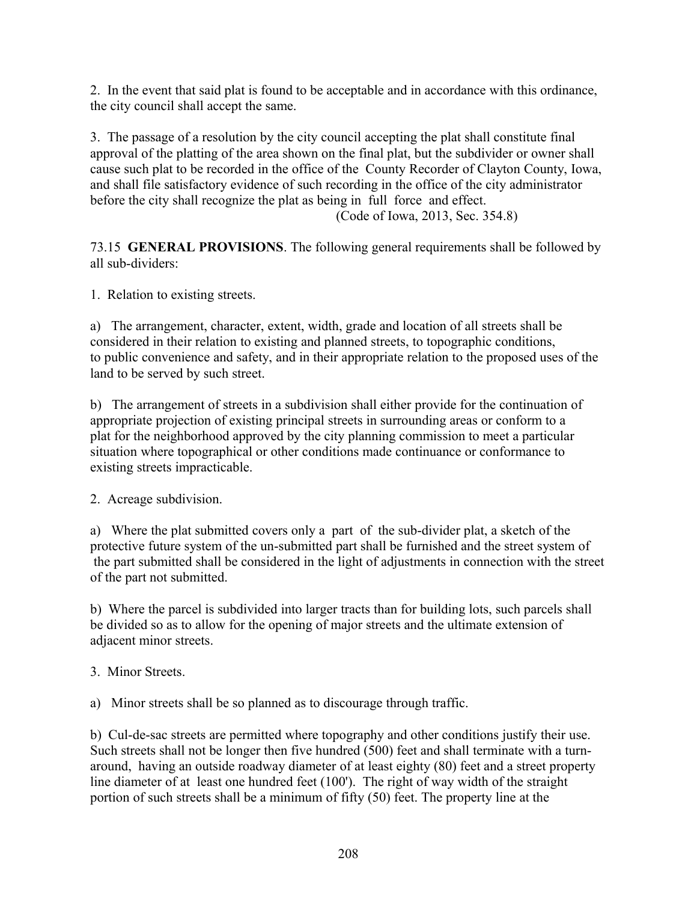2. In the event that said plat is found to be acceptable and in accordance with this ordinance, the city council shall accept the same.

3. The passage of a resolution by the city council accepting the plat shall constitute final approval of the platting of the area shown on the final plat, but the subdivider or owner shall cause such plat to be recorded in the office of the County Recorder of Clayton County, Iowa, and shall file satisfactory evidence of such recording in the office of the city administrator before the city shall recognize the plat as being in full force and effect.

(Code of Iowa, 2013, Sec. 354.8)

73.15 **GENERAL PROVISIONS**. The following general requirements shall be followed by all sub-dividers:

1. Relation to existing streets.

a) The arrangement, character, extent, width, grade and location of all streets shall be considered in their relation to existing and planned streets, to topographic conditions, to public convenience and safety, and in their appropriate relation to the proposed uses of the land to be served by such street.

b) The arrangement of streets in a subdivision shall either provide for the continuation of appropriate projection of existing principal streets in surrounding areas or conform to a plat for the neighborhood approved by the city planning commission to meet a particular situation where topographical or other conditions made continuance or conformance to existing streets impracticable.

2. Acreage subdivision.

a) Where the plat submitted covers only a part of the sub-divider plat, a sketch of the protective future system of the un-submitted part shall be furnished and the street system of the part submitted shall be considered in the light of adjustments in connection with the street of the part not submitted.

b) Where the parcel is subdivided into larger tracts than for building lots, such parcels shall be divided so as to allow for the opening of major streets and the ultimate extension of adjacent minor streets.

## 3. Minor Streets.

a) Minor streets shall be so planned as to discourage through traffic.

b) Cul-de-sac streets are permitted where topography and other conditions justify their use. Such streets shall not be longer then five hundred (500) feet and shall terminate with a turnaround, having an outside roadway diameter of at least eighty (80) feet and a street property line diameter of at least one hundred feet (100'). The right of way width of the straight portion of such streets shall be a minimum of fifty (50) feet. The property line at the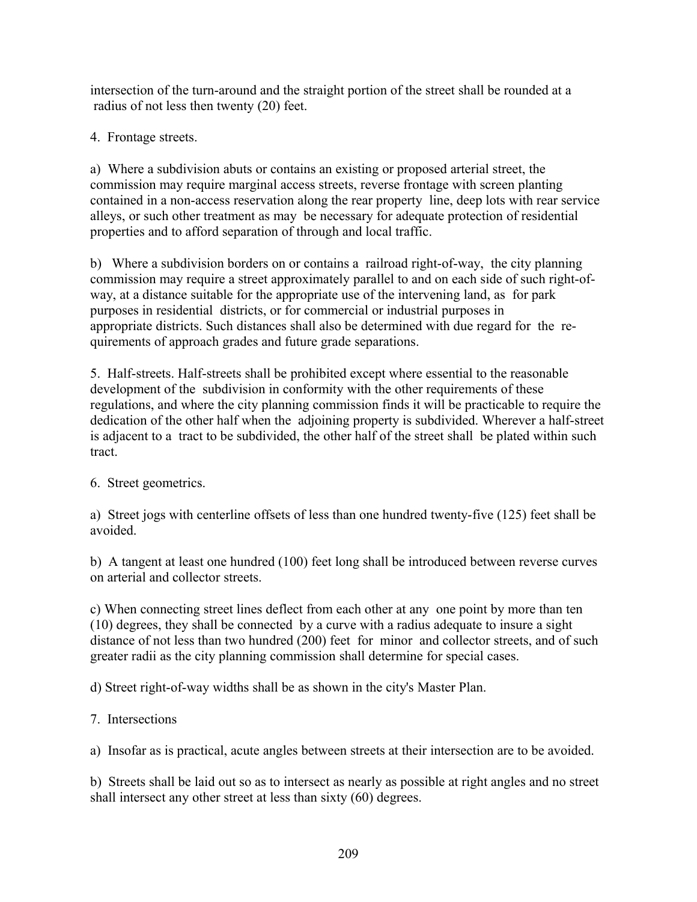intersection of the turn-around and the straight portion of the street shall be rounded at a radius of not less then twenty (20) feet.

4. Frontage streets.

a) Where a subdivision abuts or contains an existing or proposed arterial street, the commission may require marginal access streets, reverse frontage with screen planting contained in a non-access reservation along the rear property line, deep lots with rear service alleys, or such other treatment as may be necessary for adequate protection of residential properties and to afford separation of through and local traffic.

b) Where a subdivision borders on or contains a railroad right-of-way, the city planning commission may require a street approximately parallel to and on each side of such right-ofway, at a distance suitable for the appropriate use of the intervening land, as for park purposes in residential districts, or for commercial or industrial purposes in appropriate districts. Such distances shall also be determined with due regard for the requirements of approach grades and future grade separations.

5. Half-streets. Half-streets shall be prohibited except where essential to the reasonable development of the subdivision in conformity with the other requirements of these regulations, and where the city planning commission finds it will be practicable to require the dedication of the other half when the adjoining property is subdivided. Wherever a half-street is adjacent to a tract to be subdivided, the other half of the street shall be plated within such tract.

# 6. Street geometrics.

a) Street jogs with centerline offsets of less than one hundred twenty-five (125) feet shall be avoided.

b) A tangent at least one hundred (100) feet long shall be introduced between reverse curves on arterial and collector streets.

c) When connecting street lines deflect from each other at any one point by more than ten (10) degrees, they shall be connected by a curve with a radius adequate to insure a sight distance of not less than two hundred (200) feet for minor and collector streets, and of such greater radii as the city planning commission shall determine for special cases.

d) Street right-of-way widths shall be as shown in the city's Master Plan.

## 7. Intersections

a) Insofar as is practical, acute angles between streets at their intersection are to be avoided.

b) Streets shall be laid out so as to intersect as nearly as possible at right angles and no street shall intersect any other street at less than sixty (60) degrees.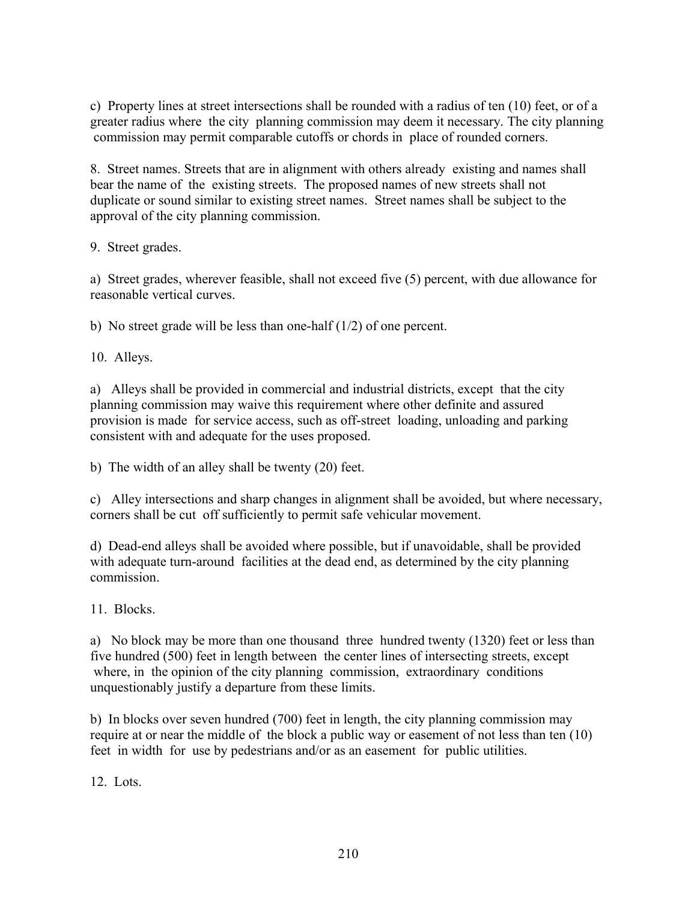c) Property lines at street intersections shall be rounded with a radius of ten (10) feet, or of a greater radius where the city planning commission may deem it necessary. The city planning commission may permit comparable cutoffs or chords in place of rounded corners.

8. Street names. Streets that are in alignment with others already existing and names shall bear the name of the existing streets. The proposed names of new streets shall not duplicate or sound similar to existing street names. Street names shall be subject to the approval of the city planning commission.

9. Street grades.

a) Street grades, wherever feasible, shall not exceed five (5) percent, with due allowance for reasonable vertical curves.

b) No street grade will be less than one-half (1/2) of one percent.

10. Alleys.

a) Alleys shall be provided in commercial and industrial districts, except that the city planning commission may waive this requirement where other definite and assured provision is made for service access, such as off-street loading, unloading and parking consistent with and adequate for the uses proposed.

b) The width of an alley shall be twenty (20) feet.

c) Alley intersections and sharp changes in alignment shall be avoided, but where necessary, corners shall be cut off sufficiently to permit safe vehicular movement.

d) Dead-end alleys shall be avoided where possible, but if unavoidable, shall be provided with adequate turn-around facilities at the dead end, as determined by the city planning commission.

11. Blocks.

a) No block may be more than one thousand three hundred twenty (1320) feet or less than five hundred (500) feet in length between the center lines of intersecting streets, except where, in the opinion of the city planning commission, extraordinary conditions unquestionably justify a departure from these limits.

b) In blocks over seven hundred (700) feet in length, the city planning commission may require at or near the middle of the block a public way or easement of not less than ten (10) feet in width for use by pedestrians and/or as an easement for public utilities.

12. Lots.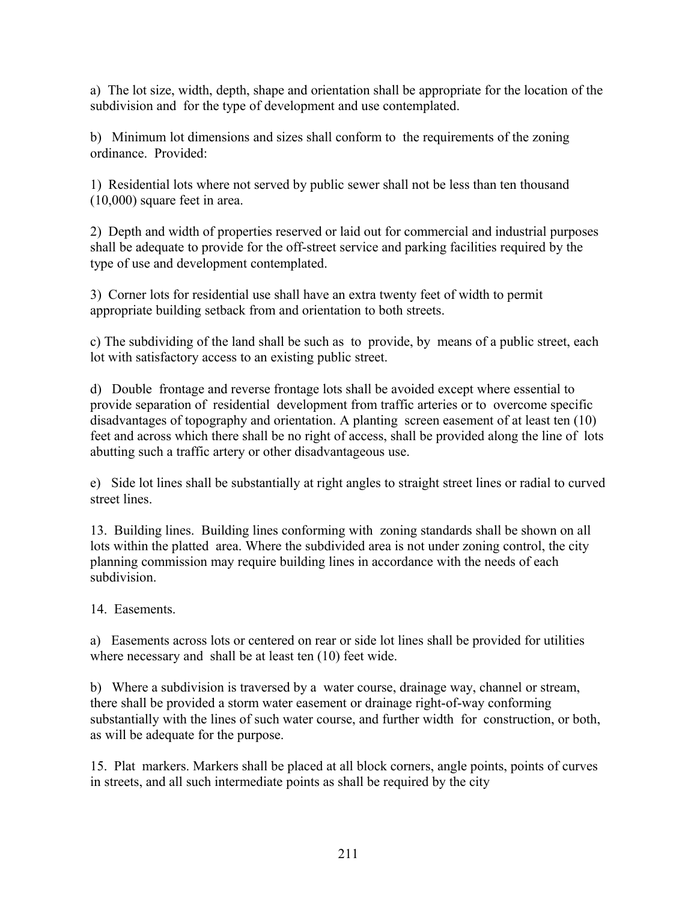a) The lot size, width, depth, shape and orientation shall be appropriate for the location of the subdivision and for the type of development and use contemplated.

b) Minimum lot dimensions and sizes shall conform to the requirements of the zoning ordinance. Provided:

1) Residential lots where not served by public sewer shall not be less than ten thousand (10,000) square feet in area.

2) Depth and width of properties reserved or laid out for commercial and industrial purposes shall be adequate to provide for the off-street service and parking facilities required by the type of use and development contemplated.

3) Corner lots for residential use shall have an extra twenty feet of width to permit appropriate building setback from and orientation to both streets.

c) The subdividing of the land shall be such as to provide, by means of a public street, each lot with satisfactory access to an existing public street.

d) Double frontage and reverse frontage lots shall be avoided except where essential to provide separation of residential development from traffic arteries or to overcome specific disadvantages of topography and orientation. A planting screen easement of at least ten (10) feet and across which there shall be no right of access, shall be provided along the line of lots abutting such a traffic artery or other disadvantageous use.

e) Side lot lines shall be substantially at right angles to straight street lines or radial to curved street lines.

13. Building lines. Building lines conforming with zoning standards shall be shown on all lots within the platted area. Where the subdivided area is not under zoning control, the city planning commission may require building lines in accordance with the needs of each subdivision.

14. Easements.

a) Easements across lots or centered on rear or side lot lines shall be provided for utilities where necessary and shall be at least ten (10) feet wide.

b) Where a subdivision is traversed by a water course, drainage way, channel or stream, there shall be provided a storm water easement or drainage right-of-way conforming substantially with the lines of such water course, and further width for construction, or both, as will be adequate for the purpose.

15. Plat markers. Markers shall be placed at all block corners, angle points, points of curves in streets, and all such intermediate points as shall be required by the city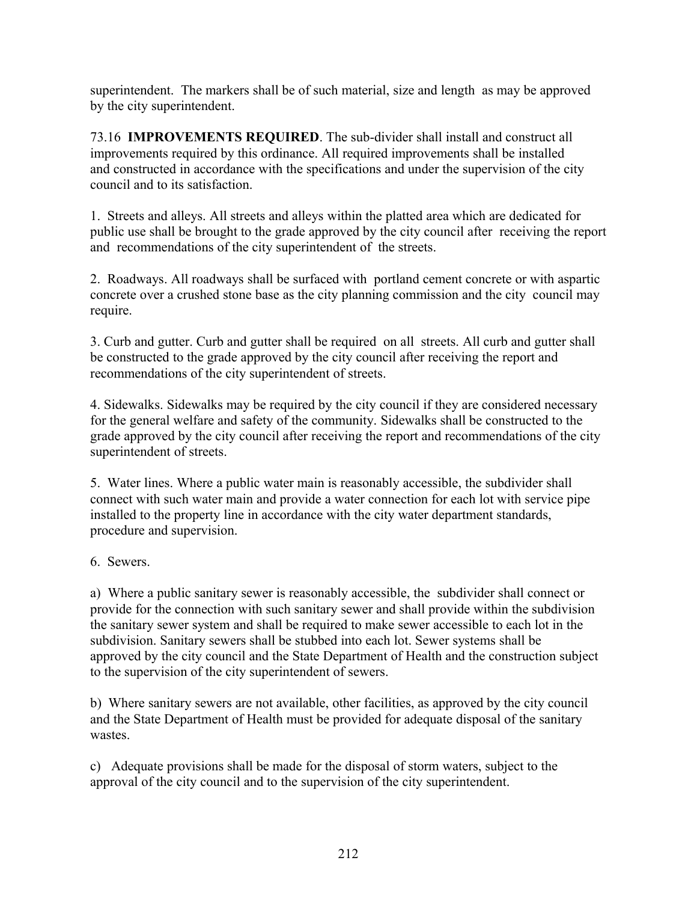superintendent. The markers shall be of such material, size and length as may be approved by the city superintendent.

73.16 **IMPROVEMENTS REQUIRED**. The sub-divider shall install and construct all improvements required by this ordinance. All required improvements shall be installed and constructed in accordance with the specifications and under the supervision of the city council and to its satisfaction.

1. Streets and alleys. All streets and alleys within the platted area which are dedicated for public use shall be brought to the grade approved by the city council after receiving the report and recommendations of the city superintendent of the streets.

2. Roadways. All roadways shall be surfaced with portland cement concrete or with aspartic concrete over a crushed stone base as the city planning commission and the city council may require.

3. Curb and gutter. Curb and gutter shall be required on all streets. All curb and gutter shall be constructed to the grade approved by the city council after receiving the report and recommendations of the city superintendent of streets.

4. Sidewalks. Sidewalks may be required by the city council if they are considered necessary for the general welfare and safety of the community. Sidewalks shall be constructed to the grade approved by the city council after receiving the report and recommendations of the city superintendent of streets.

5. Water lines. Where a public water main is reasonably accessible, the subdivider shall connect with such water main and provide a water connection for each lot with service pipe installed to the property line in accordance with the city water department standards, procedure and supervision.

6. Sewers.

a) Where a public sanitary sewer is reasonably accessible, the subdivider shall connect or provide for the connection with such sanitary sewer and shall provide within the subdivision the sanitary sewer system and shall be required to make sewer accessible to each lot in the subdivision. Sanitary sewers shall be stubbed into each lot. Sewer systems shall be approved by the city council and the State Department of Health and the construction subject to the supervision of the city superintendent of sewers.

b) Where sanitary sewers are not available, other facilities, as approved by the city council and the State Department of Health must be provided for adequate disposal of the sanitary wastes.

c) Adequate provisions shall be made for the disposal of storm waters, subject to the approval of the city council and to the supervision of the city superintendent.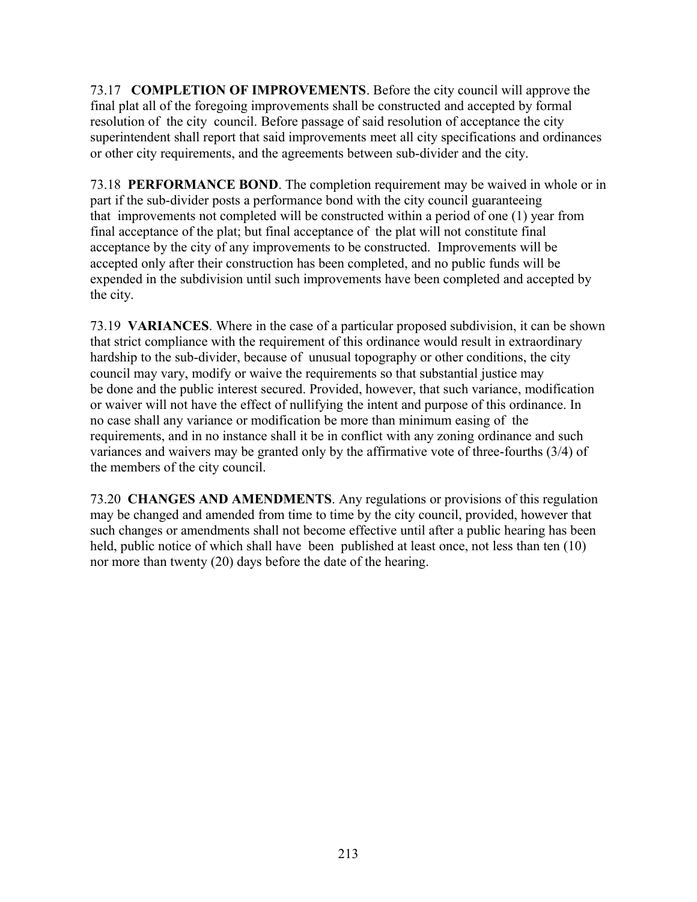73.17 **COMPLETION OF IMPROVEMENTS**. Before the city council will approve the final plat all of the foregoing improvements shall be constructed and accepted by formal resolution of the city council. Before passage of said resolution of acceptance the city superintendent shall report that said improvements meet all city specifications and ordinances or other city requirements, and the agreements between sub-divider and the city.

73.18 **PERFORMANCE BOND**. The completion requirement may be waived in whole or in part if the sub-divider posts a performance bond with the city council guaranteeing that improvements not completed will be constructed within a period of one (1) year from final acceptance of the plat; but final acceptance of the plat will not constitute final acceptance by the city of any improvements to be constructed. Improvements will be accepted only after their construction has been completed, and no public funds will be expended in the subdivision until such improvements have been completed and accepted by the city.

73.19 **VARIANCES**. Where in the case of a particular proposed subdivision, it can be shown that strict compliance with the requirement of this ordinance would result in extraordinary hardship to the sub-divider, because of unusual topography or other conditions, the city council may vary, modify or waive the requirements so that substantial justice may be done and the public interest secured. Provided, however, that such variance, modification or waiver will not have the effect of nullifying the intent and purpose of this ordinance. In no case shall any variance or modification be more than minimum easing of the requirements, and in no instance shall it be in conflict with any zoning ordinance and such variances and waivers may be granted only by the affirmative vote of three-fourths (3/4) of the members of the city council.

73.20 **CHANGES AND AMENDMENTS**. Any regulations or provisions of this regulation may be changed and amended from time to time by the city council, provided, however that such changes or amendments shall not become effective until after a public hearing has been held, public notice of which shall have been published at least once, not less than ten (10) nor more than twenty (20) days before the date of the hearing.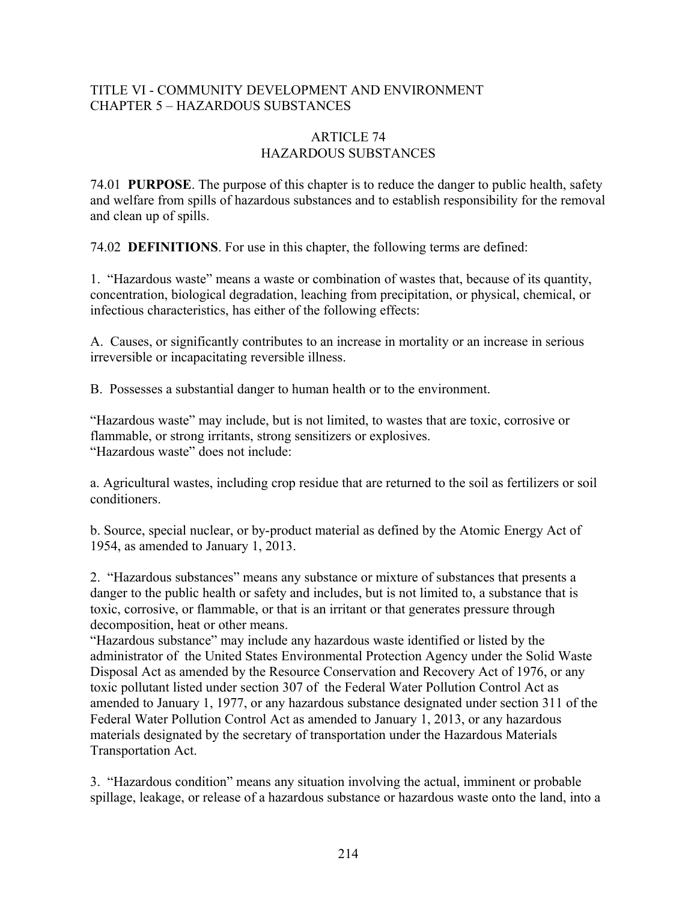## TITLE VI - COMMUNITY DEVELOPMENT AND ENVIRONMENT CHAPTER 5 – HAZARDOUS SUBSTANCES

### ARTICLE 74 HAZARDOUS SUBSTANCES

74.01 **PURPOSE**. The purpose of this chapter is to reduce the danger to public health, safety and welfare from spills of hazardous substances and to establish responsibility for the removal and clean up of spills.

74.02 **DEFINITIONS**. For use in this chapter, the following terms are defined:

1. "Hazardous waste" means a waste or combination of wastes that, because of its quantity, concentration, biological degradation, leaching from precipitation, or physical, chemical, or infectious characteristics, has either of the following effects:

A. Causes, or significantly contributes to an increase in mortality or an increase in serious irreversible or incapacitating reversible illness.

B. Possesses a substantial danger to human health or to the environment.

"Hazardous waste" may include, but is not limited, to wastes that are toxic, corrosive or flammable, or strong irritants, strong sensitizers or explosives. "Hazardous waste" does not include:

a. Agricultural wastes, including crop residue that are returned to the soil as fertilizers or soil conditioners.

b. Source, special nuclear, or by-product material as defined by the Atomic Energy Act of 1954, as amended to January 1, 2013.

2. "Hazardous substances" means any substance or mixture of substances that presents a danger to the public health or safety and includes, but is not limited to, a substance that is toxic, corrosive, or flammable, or that is an irritant or that generates pressure through decomposition, heat or other means.

"Hazardous substance" may include any hazardous waste identified or listed by the administrator of the United States Environmental Protection Agency under the Solid Waste Disposal Act as amended by the Resource Conservation and Recovery Act of 1976, or any toxic pollutant listed under section 307 of the Federal Water Pollution Control Act as amended to January 1, 1977, or any hazardous substance designated under section 311 of the Federal Water Pollution Control Act as amended to January 1, 2013, or any hazardous materials designated by the secretary of transportation under the Hazardous Materials Transportation Act.

3. "Hazardous condition" means any situation involving the actual, imminent or probable spillage, leakage, or release of a hazardous substance or hazardous waste onto the land, into a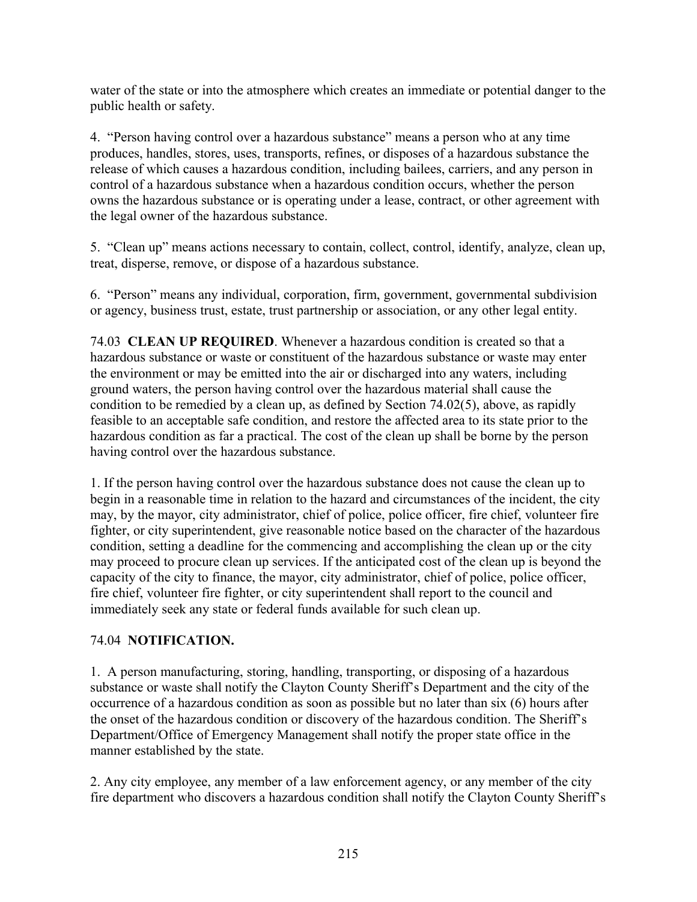water of the state or into the atmosphere which creates an immediate or potential danger to the public health or safety.

4. "Person having control over a hazardous substance" means a person who at any time produces, handles, stores, uses, transports, refines, or disposes of a hazardous substance the release of which causes a hazardous condition, including bailees, carriers, and any person in control of a hazardous substance when a hazardous condition occurs, whether the person owns the hazardous substance or is operating under a lease, contract, or other agreement with the legal owner of the hazardous substance.

5. "Clean up" means actions necessary to contain, collect, control, identify, analyze, clean up, treat, disperse, remove, or dispose of a hazardous substance.

6. "Person" means any individual, corporation, firm, government, governmental subdivision or agency, business trust, estate, trust partnership or association, or any other legal entity.

74.03 **CLEAN UP REQUIRED**. Whenever a hazardous condition is created so that a hazardous substance or waste or constituent of the hazardous substance or waste may enter the environment or may be emitted into the air or discharged into any waters, including ground waters, the person having control over the hazardous material shall cause the condition to be remedied by a clean up, as defined by Section 74.02(5), above, as rapidly feasible to an acceptable safe condition, and restore the affected area to its state prior to the hazardous condition as far a practical. The cost of the clean up shall be borne by the person having control over the hazardous substance.

1. If the person having control over the hazardous substance does not cause the clean up to begin in a reasonable time in relation to the hazard and circumstances of the incident, the city may, by the mayor, city administrator, chief of police, police officer, fire chief, volunteer fire fighter, or city superintendent, give reasonable notice based on the character of the hazardous condition, setting a deadline for the commencing and accomplishing the clean up or the city may proceed to procure clean up services. If the anticipated cost of the clean up is beyond the capacity of the city to finance, the mayor, city administrator, chief of police, police officer, fire chief, volunteer fire fighter, or city superintendent shall report to the council and immediately seek any state or federal funds available for such clean up.

## 74.04 **NOTIFICATION.**

1. A person manufacturing, storing, handling, transporting, or disposing of a hazardous substance or waste shall notify the Clayton County Sheriff's Department and the city of the occurrence of a hazardous condition as soon as possible but no later than six (6) hours after the onset of the hazardous condition or discovery of the hazardous condition. The Sheriff's Department/Office of Emergency Management shall notify the proper state office in the manner established by the state.

2. Any city employee, any member of a law enforcement agency, or any member of the city fire department who discovers a hazardous condition shall notify the Clayton County Sheriff's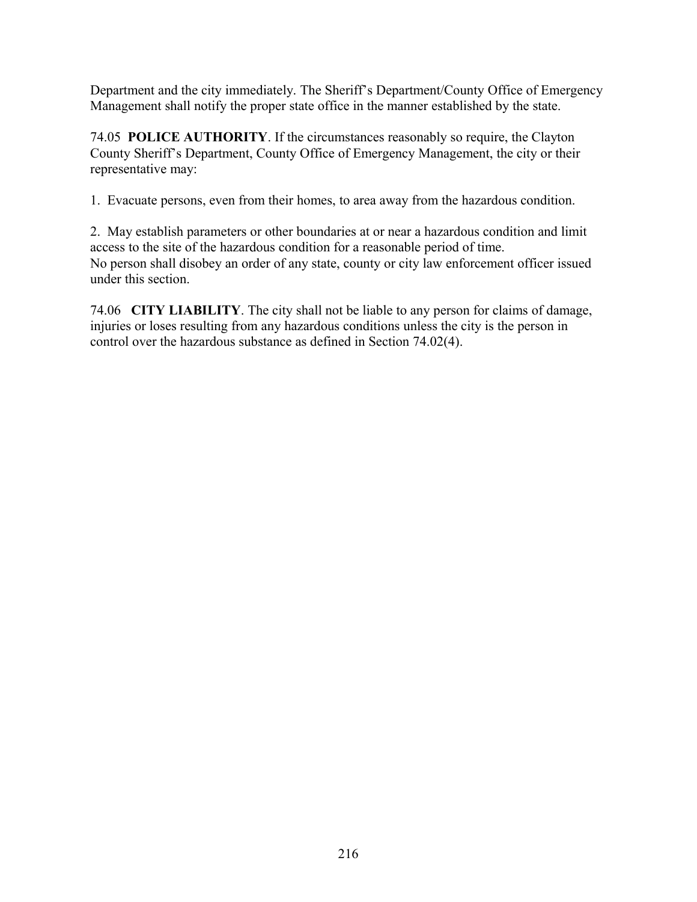Department and the city immediately. The Sheriff's Department/County Office of Emergency Management shall notify the proper state office in the manner established by the state.

74.05 **POLICE AUTHORITY**. If the circumstances reasonably so require, the Clayton County Sheriff's Department, County Office of Emergency Management, the city or their representative may:

1. Evacuate persons, even from their homes, to area away from the hazardous condition.

2. May establish parameters or other boundaries at or near a hazardous condition and limit access to the site of the hazardous condition for a reasonable period of time. No person shall disobey an order of any state, county or city law enforcement officer issued under this section.

74.06 **CITY LIABILITY**. The city shall not be liable to any person for claims of damage, injuries or loses resulting from any hazardous conditions unless the city is the person in control over the hazardous substance as defined in Section 74.02(4).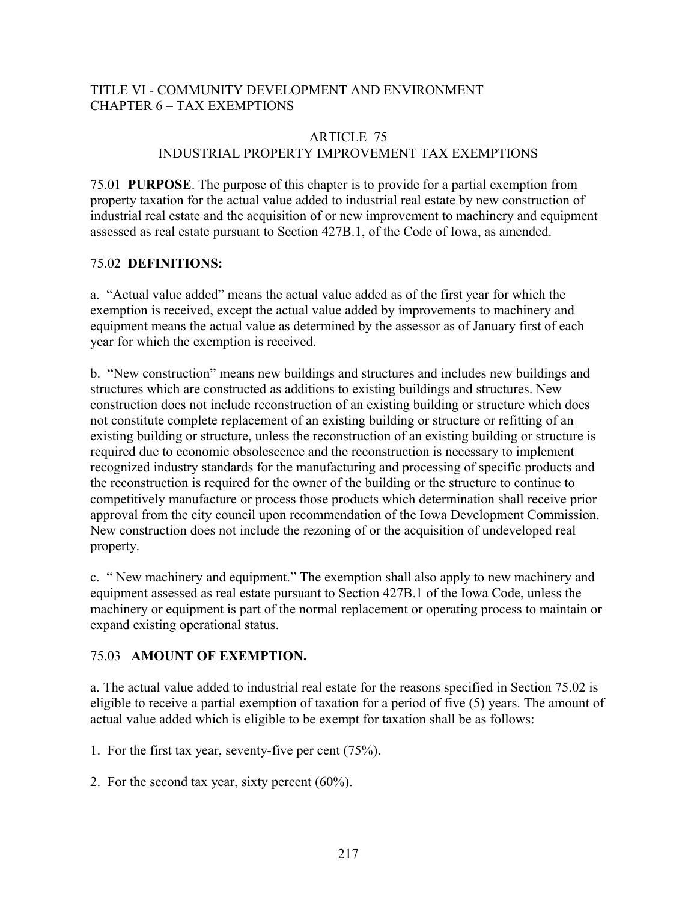## TITLE VI - COMMUNITY DEVELOPMENT AND ENVIRONMENT CHAPTER 6 – TAX EXEMPTIONS

### ARTICLE 75 INDUSTRIAL PROPERTY IMPROVEMENT TAX EXEMPTIONS

75.01 **PURPOSE**. The purpose of this chapter is to provide for a partial exemption from property taxation for the actual value added to industrial real estate by new construction of industrial real estate and the acquisition of or new improvement to machinery and equipment assessed as real estate pursuant to Section 427B.1, of the Code of Iowa, as amended.

### 75.02 **DEFINITIONS:**

a. "Actual value added" means the actual value added as of the first year for which the exemption is received, except the actual value added by improvements to machinery and equipment means the actual value as determined by the assessor as of January first of each year for which the exemption is received.

b. "New construction" means new buildings and structures and includes new buildings and structures which are constructed as additions to existing buildings and structures. New construction does not include reconstruction of an existing building or structure which does not constitute complete replacement of an existing building or structure or refitting of an existing building or structure, unless the reconstruction of an existing building or structure is required due to economic obsolescence and the reconstruction is necessary to implement recognized industry standards for the manufacturing and processing of specific products and the reconstruction is required for the owner of the building or the structure to continue to competitively manufacture or process those products which determination shall receive prior approval from the city council upon recommendation of the Iowa Development Commission. New construction does not include the rezoning of or the acquisition of undeveloped real property.

c. " New machinery and equipment." The exemption shall also apply to new machinery and equipment assessed as real estate pursuant to Section 427B.1 of the Iowa Code, unless the machinery or equipment is part of the normal replacement or operating process to maintain or expand existing operational status.

## 75.03 **AMOUNT OF EXEMPTION.**

a. The actual value added to industrial real estate for the reasons specified in Section 75.02 is eligible to receive a partial exemption of taxation for a period of five (5) years. The amount of actual value added which is eligible to be exempt for taxation shall be as follows:

1. For the first tax year, seventy-five per cent (75%).

2. For the second tax year, sixty percent (60%).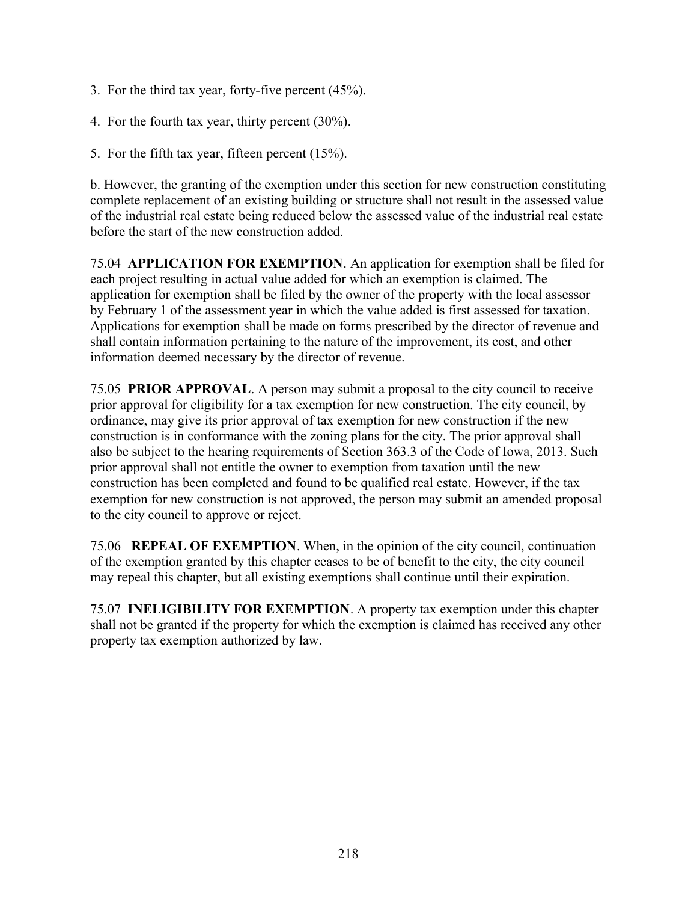- 3. For the third tax year, forty-five percent (45%).
- 4. For the fourth tax year, thirty percent (30%).
- 5. For the fifth tax year, fifteen percent (15%).

b. However, the granting of the exemption under this section for new construction constituting complete replacement of an existing building or structure shall not result in the assessed value of the industrial real estate being reduced below the assessed value of the industrial real estate before the start of the new construction added.

75.04 **APPLICATION FOR EXEMPTION**. An application for exemption shall be filed for each project resulting in actual value added for which an exemption is claimed. The application for exemption shall be filed by the owner of the property with the local assessor by February 1 of the assessment year in which the value added is first assessed for taxation. Applications for exemption shall be made on forms prescribed by the director of revenue and shall contain information pertaining to the nature of the improvement, its cost, and other information deemed necessary by the director of revenue.

75.05 **PRIOR APPROVAL**. A person may submit a proposal to the city council to receive prior approval for eligibility for a tax exemption for new construction. The city council, by ordinance, may give its prior approval of tax exemption for new construction if the new construction is in conformance with the zoning plans for the city. The prior approval shall also be subject to the hearing requirements of Section 363.3 of the Code of Iowa, 2013. Such prior approval shall not entitle the owner to exemption from taxation until the new construction has been completed and found to be qualified real estate. However, if the tax exemption for new construction is not approved, the person may submit an amended proposal to the city council to approve or reject.

75.06 **REPEAL OF EXEMPTION**. When, in the opinion of the city council, continuation of the exemption granted by this chapter ceases to be of benefit to the city, the city council may repeal this chapter, but all existing exemptions shall continue until their expiration.

75.07 **INELIGIBILITY FOR EXEMPTION**. A property tax exemption under this chapter shall not be granted if the property for which the exemption is claimed has received any other property tax exemption authorized by law.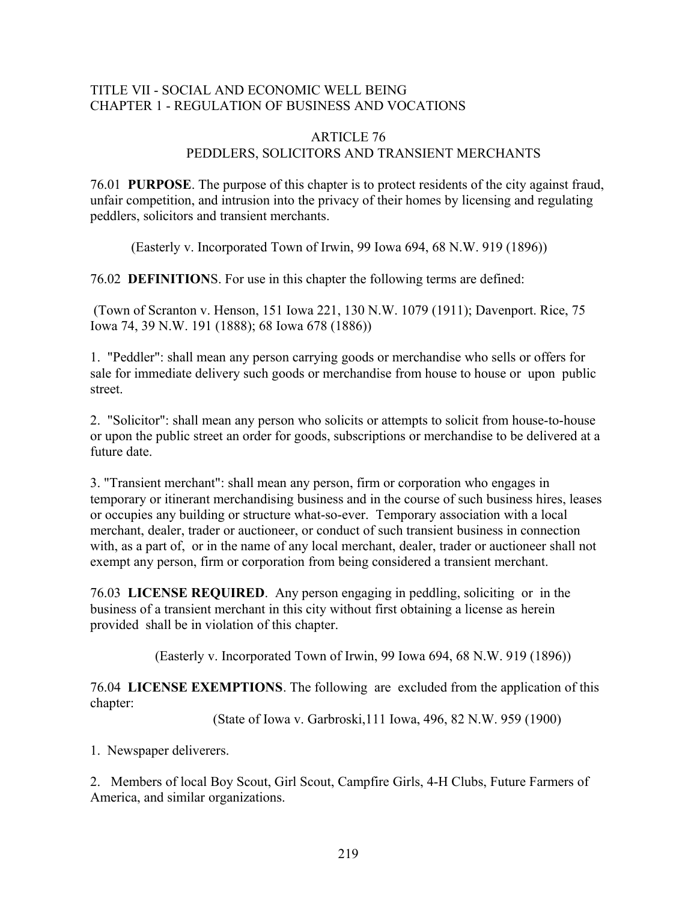### TITLE VII - SOCIAL AND ECONOMIC WELL BEING CHAPTER 1 - REGULATION OF BUSINESS AND VOCATIONS

### ARTICLE 76 PEDDLERS, SOLICITORS AND TRANSIENT MERCHANTS

76.01 **PURPOSE**. The purpose of this chapter is to protect residents of the city against fraud, unfair competition, and intrusion into the privacy of their homes by licensing and regulating peddlers, solicitors and transient merchants.

(Easterly v. Incorporated Town of Irwin, 99 Iowa 694, 68 N.W. 919 (1896))

76.02 **DEFINITION**S. For use in this chapter the following terms are defined:

 (Town of Scranton v. Henson, 151 Iowa 221, 130 N.W. 1079 (1911); Davenport. Rice, 75 Iowa 74, 39 N.W. 191 (1888); 68 Iowa 678 (1886))

1. "Peddler": shall mean any person carrying goods or merchandise who sells or offers for sale for immediate delivery such goods or merchandise from house to house or upon public street.

2. "Solicitor": shall mean any person who solicits or attempts to solicit from house-to-house or upon the public street an order for goods, subscriptions or merchandise to be delivered at a future date.

3. "Transient merchant": shall mean any person, firm or corporation who engages in temporary or itinerant merchandising business and in the course of such business hires, leases or occupies any building or structure what-so-ever. Temporary association with a local merchant, dealer, trader or auctioneer, or conduct of such transient business in connection with, as a part of, or in the name of any local merchant, dealer, trader or auctioneer shall not exempt any person, firm or corporation from being considered a transient merchant.

76.03 **LICENSE REQUIRED**. Any person engaging in peddling, soliciting or in the business of a transient merchant in this city without first obtaining a license as herein provided shall be in violation of this chapter.

(Easterly v. Incorporated Town of Irwin, 99 Iowa 694, 68 N.W. 919 (1896))

76.04 **LICENSE EXEMPTIONS**. The following are excluded from the application of this chapter:

(State of Iowa v. Garbroski,111 Iowa, 496, 82 N.W. 959 (1900)

1. Newspaper deliverers.

2. Members of local Boy Scout, Girl Scout, Campfire Girls, 4-H Clubs, Future Farmers of America, and similar organizations.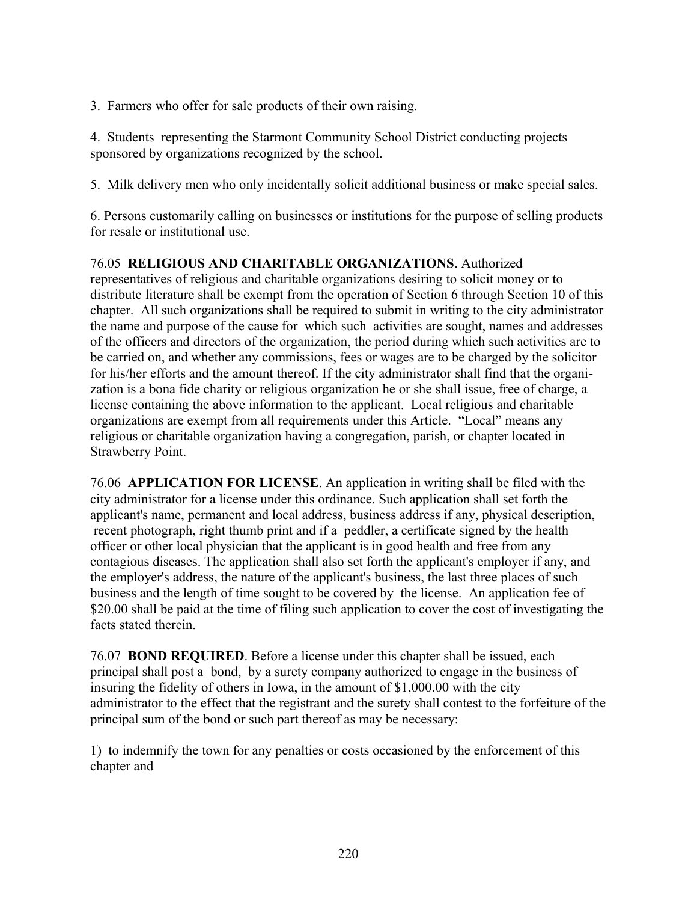3. Farmers who offer for sale products of their own raising.

4. Students representing the Starmont Community School District conducting projects sponsored by organizations recognized by the school.

5. Milk delivery men who only incidentally solicit additional business or make special sales.

6. Persons customarily calling on businesses or institutions for the purpose of selling products for resale or institutional use.

# 76.05 **RELIGIOUS AND CHARITABLE ORGANIZATIONS**. Authorized

representatives of religious and charitable organizations desiring to solicit money or to distribute literature shall be exempt from the operation of Section 6 through Section 10 of this chapter. All such organizations shall be required to submit in writing to the city administrator the name and purpose of the cause for which such activities are sought, names and addresses of the officers and directors of the organization, the period during which such activities are to be carried on, and whether any commissions, fees or wages are to be charged by the solicitor for his/her efforts and the amount thereof. If the city administrator shall find that the organization is a bona fide charity or religious organization he or she shall issue, free of charge, a license containing the above information to the applicant. Local religious and charitable organizations are exempt from all requirements under this Article. "Local" means any religious or charitable organization having a congregation, parish, or chapter located in Strawberry Point.

76.06 **APPLICATION FOR LICENSE**. An application in writing shall be filed with the city administrator for a license under this ordinance. Such application shall set forth the applicant's name, permanent and local address, business address if any, physical description, recent photograph, right thumb print and if a peddler, a certificate signed by the health officer or other local physician that the applicant is in good health and free from any contagious diseases. The application shall also set forth the applicant's employer if any, and the employer's address, the nature of the applicant's business, the last three places of such business and the length of time sought to be covered by the license. An application fee of \$20.00 shall be paid at the time of filing such application to cover the cost of investigating the facts stated therein.

76.07 **BOND REQUIRED**. Before a license under this chapter shall be issued, each principal shall post a bond, by a surety company authorized to engage in the business of insuring the fidelity of others in Iowa, in the amount of \$1,000.00 with the city administrator to the effect that the registrant and the surety shall contest to the forfeiture of the principal sum of the bond or such part thereof as may be necessary:

1) to indemnify the town for any penalties or costs occasioned by the enforcement of this chapter and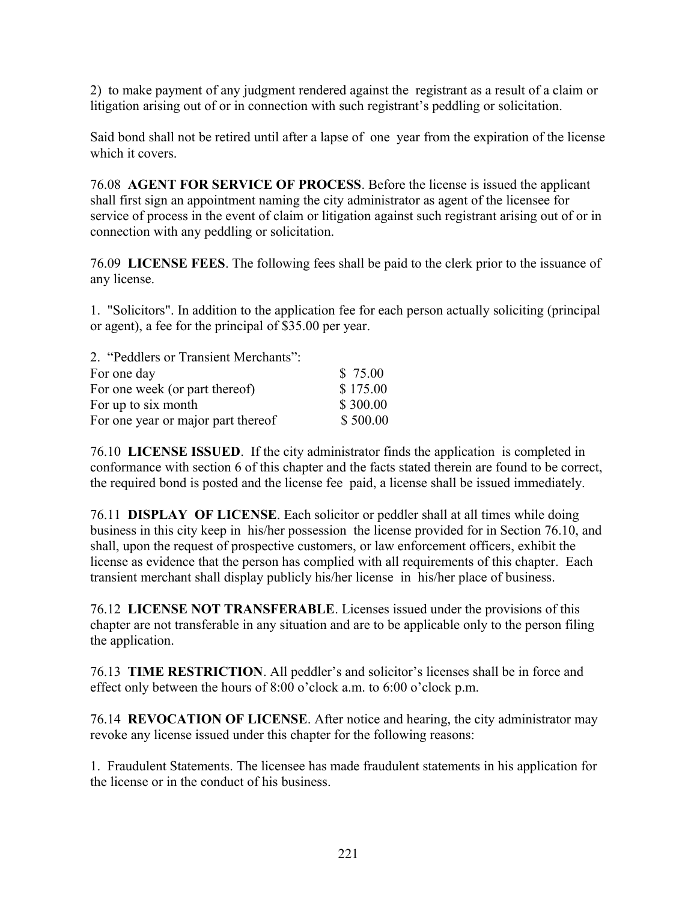2) to make payment of any judgment rendered against the registrant as a result of a claim or litigation arising out of or in connection with such registrant's peddling or solicitation.

Said bond shall not be retired until after a lapse of one year from the expiration of the license which it covers.

76.08 **AGENT FOR SERVICE OF PROCESS**. Before the license is issued the applicant shall first sign an appointment naming the city administrator as agent of the licensee for service of process in the event of claim or litigation against such registrant arising out of or in connection with any peddling or solicitation.

76.09 **LICENSE FEES**. The following fees shall be paid to the clerk prior to the issuance of any license.

1. "Solicitors". In addition to the application fee for each person actually soliciting (principal or agent), a fee for the principal of \$35.00 per year.

| 2. "Peddlers or Transient Merchants": |          |
|---------------------------------------|----------|
| For one day                           | \$75.00  |
| For one week (or part thereof)        | \$175.00 |
| For up to six month                   | \$300.00 |
| For one year or major part thereof    | \$500.00 |

76.10 **LICENSE ISSUED**. If the city administrator finds the application is completed in conformance with section 6 of this chapter and the facts stated therein are found to be correct, the required bond is posted and the license fee paid, a license shall be issued immediately.

76.11 **DISPLAY OF LICENSE**. Each solicitor or peddler shall at all times while doing business in this city keep in his/her possession the license provided for in Section 76.10, and shall, upon the request of prospective customers, or law enforcement officers, exhibit the license as evidence that the person has complied with all requirements of this chapter. Each transient merchant shall display publicly his/her license in his/her place of business.

76.12 **LICENSE NOT TRANSFERABLE**. Licenses issued under the provisions of this chapter are not transferable in any situation and are to be applicable only to the person filing the application.

76.13 **TIME RESTRICTION**. All peddler's and solicitor's licenses shall be in force and effect only between the hours of 8:00 o'clock a.m. to 6:00 o'clock p.m.

76.14 **REVOCATION OF LICENSE**. After notice and hearing, the city administrator may revoke any license issued under this chapter for the following reasons:

1. Fraudulent Statements. The licensee has made fraudulent statements in his application for the license or in the conduct of his business.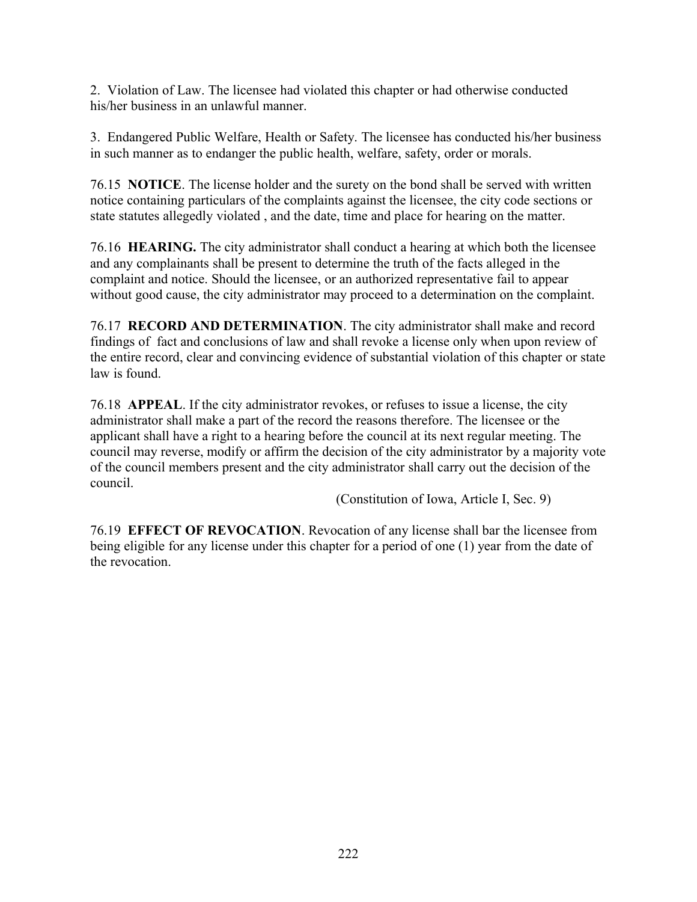2. Violation of Law. The licensee had violated this chapter or had otherwise conducted his/her business in an unlawful manner.

3. Endangered Public Welfare, Health or Safety. The licensee has conducted his/her business in such manner as to endanger the public health, welfare, safety, order or morals.

76.15 **NOTICE**. The license holder and the surety on the bond shall be served with written notice containing particulars of the complaints against the licensee, the city code sections or state statutes allegedly violated , and the date, time and place for hearing on the matter.

76.16 **HEARING.** The city administrator shall conduct a hearing at which both the licensee and any complainants shall be present to determine the truth of the facts alleged in the complaint and notice. Should the licensee, or an authorized representative fail to appear without good cause, the city administrator may proceed to a determination on the complaint.

76.17 **RECORD AND DETERMINATION**. The city administrator shall make and record findings of fact and conclusions of law and shall revoke a license only when upon review of the entire record, clear and convincing evidence of substantial violation of this chapter or state law is found.

76.18 **APPEAL**. If the city administrator revokes, or refuses to issue a license, the city administrator shall make a part of the record the reasons therefore. The licensee or the applicant shall have a right to a hearing before the council at its next regular meeting. The council may reverse, modify or affirm the decision of the city administrator by a majority vote of the council members present and the city administrator shall carry out the decision of the council.

(Constitution of Iowa, Article I, Sec. 9)

76.19 **EFFECT OF REVOCATION**. Revocation of any license shall bar the licensee from being eligible for any license under this chapter for a period of one (1) year from the date of the revocation.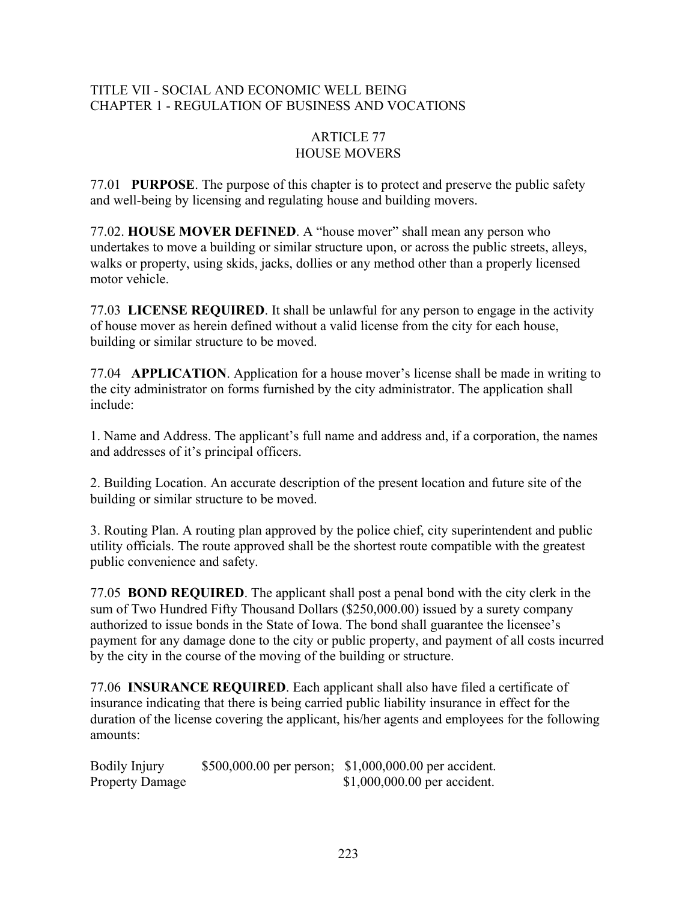## TITLE VII - SOCIAL AND ECONOMIC WELL BEING CHAPTER 1 - REGULATION OF BUSINESS AND VOCATIONS

### ARTICLE 77 HOUSE MOVERS

77.01 **PURPOSE**. The purpose of this chapter is to protect and preserve the public safety and well-being by licensing and regulating house and building movers.

77.02. **HOUSE MOVER DEFINED**. A "house mover" shall mean any person who undertakes to move a building or similar structure upon, or across the public streets, alleys, walks or property, using skids, jacks, dollies or any method other than a properly licensed motor vehicle.

77.03 **LICENSE REQUIRED**. It shall be unlawful for any person to engage in the activity of house mover as herein defined without a valid license from the city for each house, building or similar structure to be moved.

77.04 **APPLICATION**. Application for a house mover's license shall be made in writing to the city administrator on forms furnished by the city administrator. The application shall include:

1. Name and Address. The applicant's full name and address and, if a corporation, the names and addresses of it's principal officers.

2. Building Location. An accurate description of the present location and future site of the building or similar structure to be moved.

3. Routing Plan. A routing plan approved by the police chief, city superintendent and public utility officials. The route approved shall be the shortest route compatible with the greatest public convenience and safety.

77.05 **BOND REQUIRED**. The applicant shall post a penal bond with the city clerk in the sum of Two Hundred Fifty Thousand Dollars (\$250,000.00) issued by a surety company authorized to issue bonds in the State of Iowa. The bond shall guarantee the licensee's payment for any damage done to the city or public property, and payment of all costs incurred by the city in the course of the moving of the building or structure.

77.06 **INSURANCE REQUIRED**. Each applicant shall also have filed a certificate of insurance indicating that there is being carried public liability insurance in effect for the duration of the license covering the applicant, his/her agents and employees for the following amounts:

Bodily Injury \$500,000.00 per person; \$1,000,000.00 per accident.<br>Property Damage \$1,000,000.00 per accident.  $$1,000,000.00$  per accident.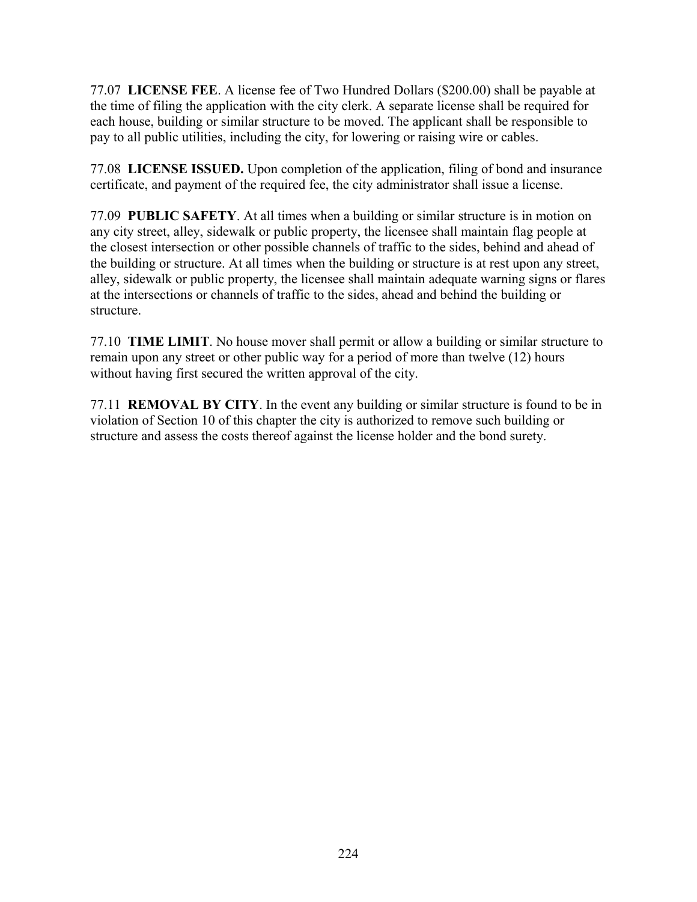77.07 **LICENSE FEE**. A license fee of Two Hundred Dollars (\$200.00) shall be payable at the time of filing the application with the city clerk. A separate license shall be required for each house, building or similar structure to be moved. The applicant shall be responsible to pay to all public utilities, including the city, for lowering or raising wire or cables.

77.08 **LICENSE ISSUED.** Upon completion of the application, filing of bond and insurance certificate, and payment of the required fee, the city administrator shall issue a license.

77.09 **PUBLIC SAFETY**. At all times when a building or similar structure is in motion on any city street, alley, sidewalk or public property, the licensee shall maintain flag people at the closest intersection or other possible channels of traffic to the sides, behind and ahead of the building or structure. At all times when the building or structure is at rest upon any street, alley, sidewalk or public property, the licensee shall maintain adequate warning signs or flares at the intersections or channels of traffic to the sides, ahead and behind the building or structure.

77.10 **TIME LIMIT**. No house mover shall permit or allow a building or similar structure to remain upon any street or other public way for a period of more than twelve (12) hours without having first secured the written approval of the city.

77.11 **REMOVAL BY CITY**. In the event any building or similar structure is found to be in violation of Section 10 of this chapter the city is authorized to remove such building or structure and assess the costs thereof against the license holder and the bond surety.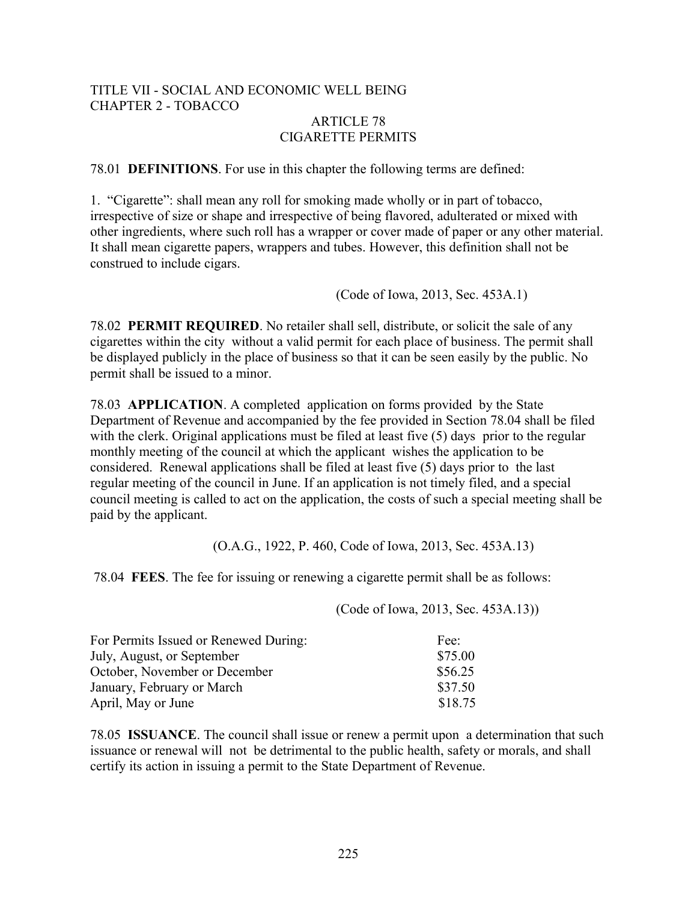## TITLE VII - SOCIAL AND ECONOMIC WELL BEING CHAPTER 2 - TOBACCO

### ARTICLE 78 CIGARETTE PERMITS

78.01 **DEFINITIONS**. For use in this chapter the following terms are defined:

1. "Cigarette": shall mean any roll for smoking made wholly or in part of tobacco, irrespective of size or shape and irrespective of being flavored, adulterated or mixed with other ingredients, where such roll has a wrapper or cover made of paper or any other material. It shall mean cigarette papers, wrappers and tubes. However, this definition shall not be construed to include cigars.

(Code of Iowa, 2013, Sec. 453A.1)

78.02 **PERMIT REQUIRED**. No retailer shall sell, distribute, or solicit the sale of any cigarettes within the city without a valid permit for each place of business. The permit shall be displayed publicly in the place of business so that it can be seen easily by the public. No permit shall be issued to a minor.

78.03 **APPLICATION**. A completed application on forms provided by the State Department of Revenue and accompanied by the fee provided in Section 78.04 shall be filed with the clerk. Original applications must be filed at least five (5) days prior to the regular monthly meeting of the council at which the applicant wishes the application to be considered. Renewal applications shall be filed at least five (5) days prior to the last regular meeting of the council in June. If an application is not timely filed, and a special council meeting is called to act on the application, the costs of such a special meeting shall be paid by the applicant.

(O.A.G., 1922, P. 460, Code of Iowa, 2013, Sec. 453A.13)

78.04 **FEES**. The fee for issuing or renewing a cigarette permit shall be as follows:

(Code of Iowa, 2013, Sec. 453A.13))

| For Permits Issued or Renewed During: | Fee <sup>-</sup> |
|---------------------------------------|------------------|
| July, August, or September            | \$75.00          |
| October, November or December         | \$56.25          |
| January, February or March            | \$37.50          |
| April, May or June                    | \$18.75          |

78.05 **ISSUANCE**. The council shall issue or renew a permit upon a determination that such issuance or renewal will not be detrimental to the public health, safety or morals, and shall certify its action in issuing a permit to the State Department of Revenue.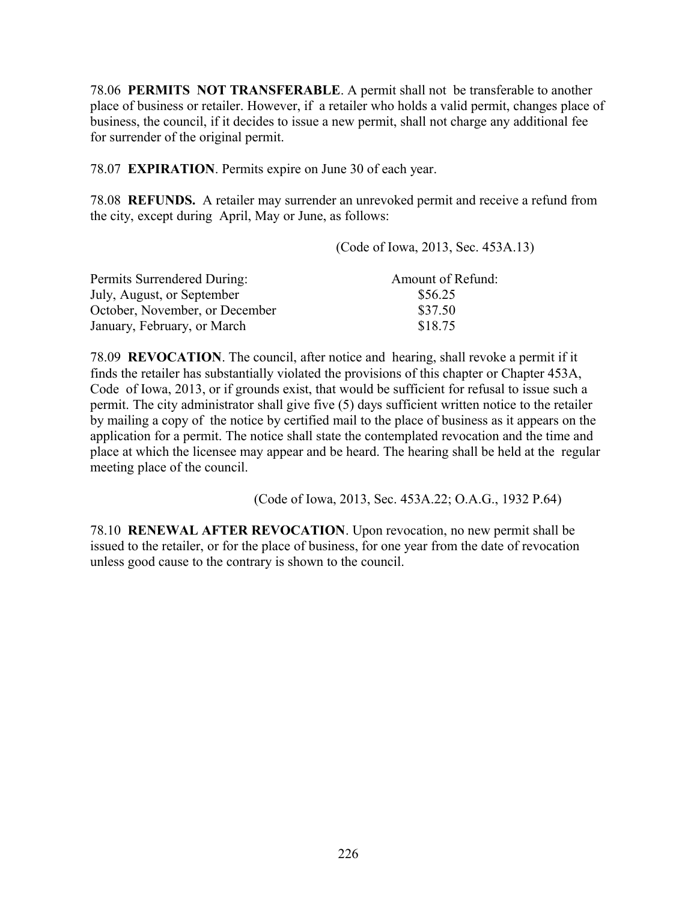78.06 **PERMITS NOT TRANSFERABLE**. A permit shall not be transferable to another place of business or retailer. However, if a retailer who holds a valid permit, changes place of business, the council, if it decides to issue a new permit, shall not charge any additional fee for surrender of the original permit.

78.07 **EXPIRATION**. Permits expire on June 30 of each year.

78.08 **REFUNDS.** A retailer may surrender an unrevoked permit and receive a refund from the city, except during April, May or June, as follows:

(Code of Iowa, 2013, Sec. 453A.13)

| Permits Surrendered During:    | Amount of Refund: |
|--------------------------------|-------------------|
| July, August, or September     | \$56.25           |
| October, November, or December | \$37.50           |
| January, February, or March    | \$18.75           |

78.09 **REVOCATION**. The council, after notice and hearing, shall revoke a permit if it finds the retailer has substantially violated the provisions of this chapter or Chapter 453A, Code of Iowa, 2013, or if grounds exist, that would be sufficient for refusal to issue such a permit. The city administrator shall give five (5) days sufficient written notice to the retailer by mailing a copy of the notice by certified mail to the place of business as it appears on the application for a permit. The notice shall state the contemplated revocation and the time and place at which the licensee may appear and be heard. The hearing shall be held at the regular meeting place of the council.

(Code of Iowa, 2013, Sec. 453A.22; O.A.G., 1932 P.64)

78.10 **RENEWAL AFTER REVOCATION**. Upon revocation, no new permit shall be issued to the retailer, or for the place of business, for one year from the date of revocation unless good cause to the contrary is shown to the council.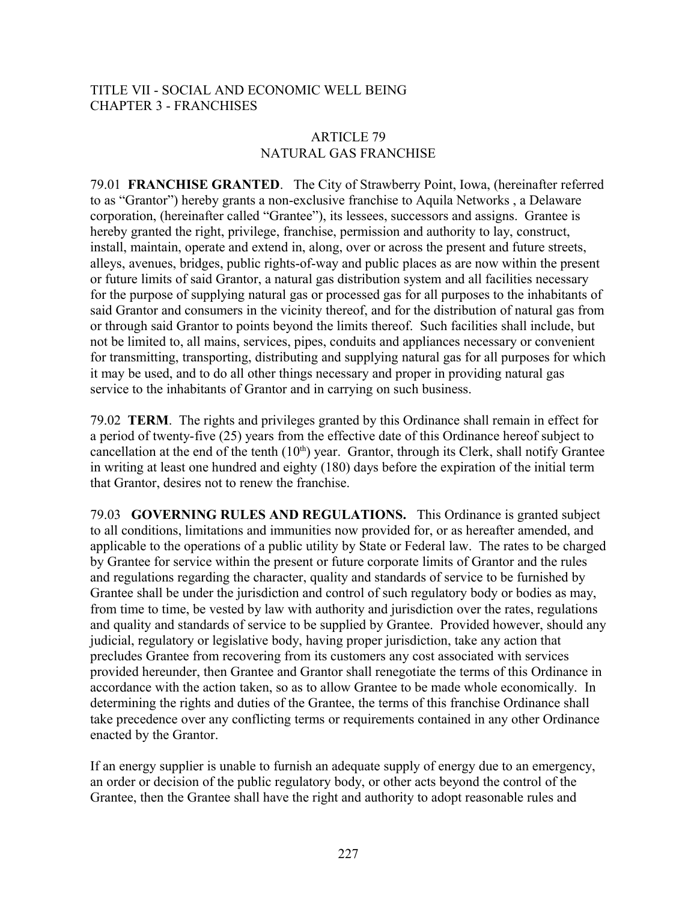### TITLE VII - SOCIAL AND ECONOMIC WELL BEING CHAPTER 3 - FRANCHISES

### ARTICLE 79 NATURAL GAS FRANCHISE

79.01 **FRANCHISE GRANTED**. The City of Strawberry Point, Iowa, (hereinafter referred to as "Grantor") hereby grants a non-exclusive franchise to Aquila Networks , a Delaware corporation, (hereinafter called "Grantee"), its lessees, successors and assigns. Grantee is hereby granted the right, privilege, franchise, permission and authority to lay, construct, install, maintain, operate and extend in, along, over or across the present and future streets, alleys, avenues, bridges, public rights-of-way and public places as are now within the present or future limits of said Grantor, a natural gas distribution system and all facilities necessary for the purpose of supplying natural gas or processed gas for all purposes to the inhabitants of said Grantor and consumers in the vicinity thereof, and for the distribution of natural gas from or through said Grantor to points beyond the limits thereof. Such facilities shall include, but not be limited to, all mains, services, pipes, conduits and appliances necessary or convenient for transmitting, transporting, distributing and supplying natural gas for all purposes for which it may be used, and to do all other things necessary and proper in providing natural gas service to the inhabitants of Grantor and in carrying on such business.

79.02 **TERM**. The rights and privileges granted by this Ordinance shall remain in effect for a period of twenty-five (25) years from the effective date of this Ordinance hereof subject to cancellation at the end of the tenth  $(10<sup>th</sup>)$  year. Grantor, through its Clerk, shall notify Grantee in writing at least one hundred and eighty (180) days before the expiration of the initial term that Grantor, desires not to renew the franchise.

79.03 **GOVERNING RULES AND REGULATIONS.** This Ordinance is granted subject to all conditions, limitations and immunities now provided for, or as hereafter amended, and applicable to the operations of a public utility by State or Federal law. The rates to be charged by Grantee for service within the present or future corporate limits of Grantor and the rules and regulations regarding the character, quality and standards of service to be furnished by Grantee shall be under the jurisdiction and control of such regulatory body or bodies as may, from time to time, be vested by law with authority and jurisdiction over the rates, regulations and quality and standards of service to be supplied by Grantee. Provided however, should any judicial, regulatory or legislative body, having proper jurisdiction, take any action that precludes Grantee from recovering from its customers any cost associated with services provided hereunder, then Grantee and Grantor shall renegotiate the terms of this Ordinance in accordance with the action taken, so as to allow Grantee to be made whole economically. In determining the rights and duties of the Grantee, the terms of this franchise Ordinance shall take precedence over any conflicting terms or requirements contained in any other Ordinance enacted by the Grantor.

If an energy supplier is unable to furnish an adequate supply of energy due to an emergency, an order or decision of the public regulatory body, or other acts beyond the control of the Grantee, then the Grantee shall have the right and authority to adopt reasonable rules and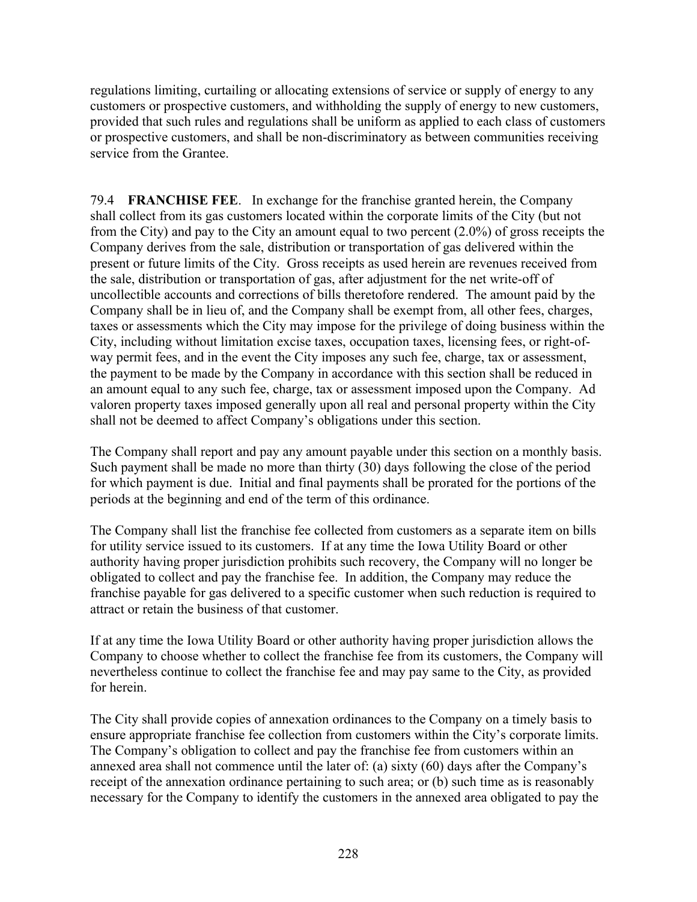regulations limiting, curtailing or allocating extensions of service or supply of energy to any customers or prospective customers, and withholding the supply of energy to new customers, provided that such rules and regulations shall be uniform as applied to each class of customers or prospective customers, and shall be non-discriminatory as between communities receiving service from the Grantee.

79.4 **FRANCHISE FEE**. In exchange for the franchise granted herein, the Company shall collect from its gas customers located within the corporate limits of the City (but not from the City) and pay to the City an amount equal to two percent (2.0%) of gross receipts the Company derives from the sale, distribution or transportation of gas delivered within the present or future limits of the City. Gross receipts as used herein are revenues received from the sale, distribution or transportation of gas, after adjustment for the net write-off of uncollectible accounts and corrections of bills theretofore rendered. The amount paid by the Company shall be in lieu of, and the Company shall be exempt from, all other fees, charges, taxes or assessments which the City may impose for the privilege of doing business within the City, including without limitation excise taxes, occupation taxes, licensing fees, or right-ofway permit fees, and in the event the City imposes any such fee, charge, tax or assessment, the payment to be made by the Company in accordance with this section shall be reduced in an amount equal to any such fee, charge, tax or assessment imposed upon the Company. Ad valoren property taxes imposed generally upon all real and personal property within the City shall not be deemed to affect Company's obligations under this section.

The Company shall report and pay any amount payable under this section on a monthly basis. Such payment shall be made no more than thirty (30) days following the close of the period for which payment is due. Initial and final payments shall be prorated for the portions of the periods at the beginning and end of the term of this ordinance.

The Company shall list the franchise fee collected from customers as a separate item on bills for utility service issued to its customers. If at any time the Iowa Utility Board or other authority having proper jurisdiction prohibits such recovery, the Company will no longer be obligated to collect and pay the franchise fee. In addition, the Company may reduce the franchise payable for gas delivered to a specific customer when such reduction is required to attract or retain the business of that customer.

If at any time the Iowa Utility Board or other authority having proper jurisdiction allows the Company to choose whether to collect the franchise fee from its customers, the Company will nevertheless continue to collect the franchise fee and may pay same to the City, as provided for herein.

The City shall provide copies of annexation ordinances to the Company on a timely basis to ensure appropriate franchise fee collection from customers within the City's corporate limits. The Company's obligation to collect and pay the franchise fee from customers within an annexed area shall not commence until the later of: (a) sixty (60) days after the Company's receipt of the annexation ordinance pertaining to such area; or (b) such time as is reasonably necessary for the Company to identify the customers in the annexed area obligated to pay the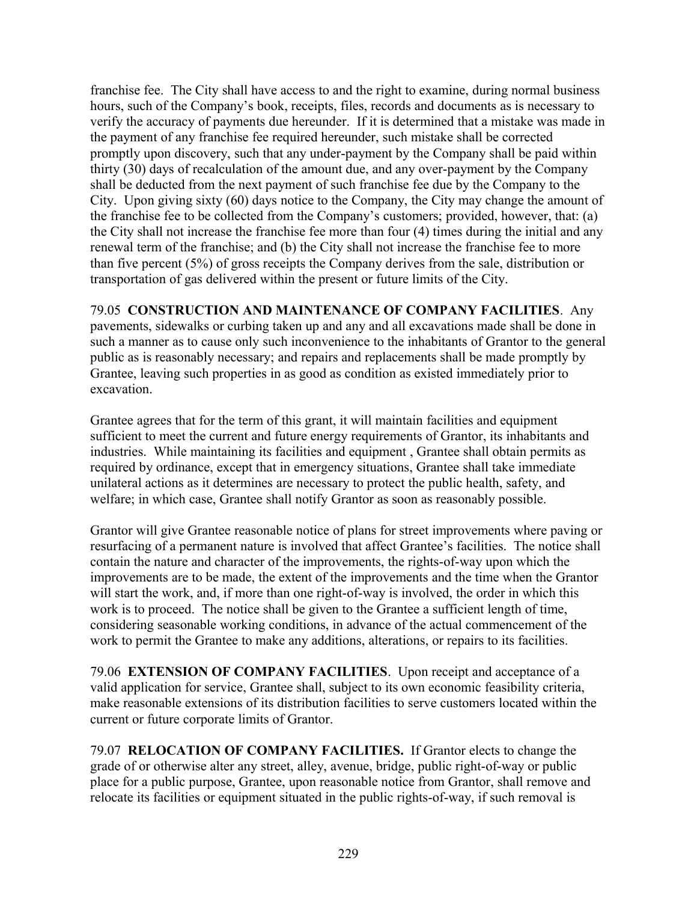franchise fee. The City shall have access to and the right to examine, during normal business hours, such of the Company's book, receipts, files, records and documents as is necessary to verify the accuracy of payments due hereunder. If it is determined that a mistake was made in the payment of any franchise fee required hereunder, such mistake shall be corrected promptly upon discovery, such that any under-payment by the Company shall be paid within thirty (30) days of recalculation of the amount due, and any over-payment by the Company shall be deducted from the next payment of such franchise fee due by the Company to the City. Upon giving sixty (60) days notice to the Company, the City may change the amount of the franchise fee to be collected from the Company's customers; provided, however, that: (a) the City shall not increase the franchise fee more than four (4) times during the initial and any renewal term of the franchise; and (b) the City shall not increase the franchise fee to more than five percent (5%) of gross receipts the Company derives from the sale, distribution or transportation of gas delivered within the present or future limits of the City.

79.05 **CONSTRUCTION AND MAINTENANCE OF COMPANY FACILITIES**. Any pavements, sidewalks or curbing taken up and any and all excavations made shall be done in such a manner as to cause only such inconvenience to the inhabitants of Grantor to the general public as is reasonably necessary; and repairs and replacements shall be made promptly by Grantee, leaving such properties in as good as condition as existed immediately prior to excavation.

Grantee agrees that for the term of this grant, it will maintain facilities and equipment sufficient to meet the current and future energy requirements of Grantor, its inhabitants and industries. While maintaining its facilities and equipment , Grantee shall obtain permits as required by ordinance, except that in emergency situations, Grantee shall take immediate unilateral actions as it determines are necessary to protect the public health, safety, and welfare; in which case, Grantee shall notify Grantor as soon as reasonably possible.

Grantor will give Grantee reasonable notice of plans for street improvements where paving or resurfacing of a permanent nature is involved that affect Grantee's facilities. The notice shall contain the nature and character of the improvements, the rights-of-way upon which the improvements are to be made, the extent of the improvements and the time when the Grantor will start the work, and, if more than one right-of-way is involved, the order in which this work is to proceed. The notice shall be given to the Grantee a sufficient length of time, considering seasonable working conditions, in advance of the actual commencement of the work to permit the Grantee to make any additions, alterations, or repairs to its facilities.

79.06 **EXTENSION OF COMPANY FACILITIES**. Upon receipt and acceptance of a valid application for service, Grantee shall, subject to its own economic feasibility criteria, make reasonable extensions of its distribution facilities to serve customers located within the current or future corporate limits of Grantor.

79.07 **RELOCATION OF COMPANY FACILITIES.** If Grantor elects to change the grade of or otherwise alter any street, alley, avenue, bridge, public right-of-way or public place for a public purpose, Grantee, upon reasonable notice from Grantor, shall remove and relocate its facilities or equipment situated in the public rights-of-way, if such removal is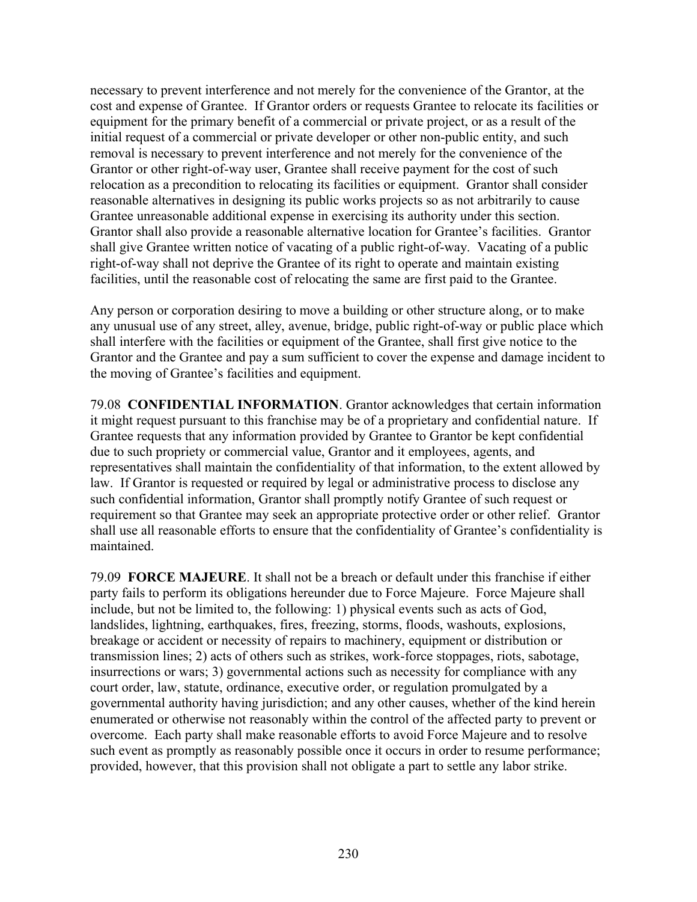necessary to prevent interference and not merely for the convenience of the Grantor, at the cost and expense of Grantee. If Grantor orders or requests Grantee to relocate its facilities or equipment for the primary benefit of a commercial or private project, or as a result of the initial request of a commercial or private developer or other non-public entity, and such removal is necessary to prevent interference and not merely for the convenience of the Grantor or other right-of-way user, Grantee shall receive payment for the cost of such relocation as a precondition to relocating its facilities or equipment. Grantor shall consider reasonable alternatives in designing its public works projects so as not arbitrarily to cause Grantee unreasonable additional expense in exercising its authority under this section. Grantor shall also provide a reasonable alternative location for Grantee's facilities. Grantor shall give Grantee written notice of vacating of a public right-of-way. Vacating of a public right-of-way shall not deprive the Grantee of its right to operate and maintain existing facilities, until the reasonable cost of relocating the same are first paid to the Grantee.

Any person or corporation desiring to move a building or other structure along, or to make any unusual use of any street, alley, avenue, bridge, public right-of-way or public place which shall interfere with the facilities or equipment of the Grantee, shall first give notice to the Grantor and the Grantee and pay a sum sufficient to cover the expense and damage incident to the moving of Grantee's facilities and equipment.

79.08 **CONFIDENTIAL INFORMATION**. Grantor acknowledges that certain information it might request pursuant to this franchise may be of a proprietary and confidential nature. If Grantee requests that any information provided by Grantee to Grantor be kept confidential due to such propriety or commercial value, Grantor and it employees, agents, and representatives shall maintain the confidentiality of that information, to the extent allowed by law. If Grantor is requested or required by legal or administrative process to disclose any such confidential information, Grantor shall promptly notify Grantee of such request or requirement so that Grantee may seek an appropriate protective order or other relief. Grantor shall use all reasonable efforts to ensure that the confidentiality of Grantee's confidentiality is maintained.

79.09 **FORCE MAJEURE**. It shall not be a breach or default under this franchise if either party fails to perform its obligations hereunder due to Force Majeure. Force Majeure shall include, but not be limited to, the following: 1) physical events such as acts of God, landslides, lightning, earthquakes, fires, freezing, storms, floods, washouts, explosions, breakage or accident or necessity of repairs to machinery, equipment or distribution or transmission lines; 2) acts of others such as strikes, work-force stoppages, riots, sabotage, insurrections or wars; 3) governmental actions such as necessity for compliance with any court order, law, statute, ordinance, executive order, or regulation promulgated by a governmental authority having jurisdiction; and any other causes, whether of the kind herein enumerated or otherwise not reasonably within the control of the affected party to prevent or overcome. Each party shall make reasonable efforts to avoid Force Majeure and to resolve such event as promptly as reasonably possible once it occurs in order to resume performance; provided, however, that this provision shall not obligate a part to settle any labor strike.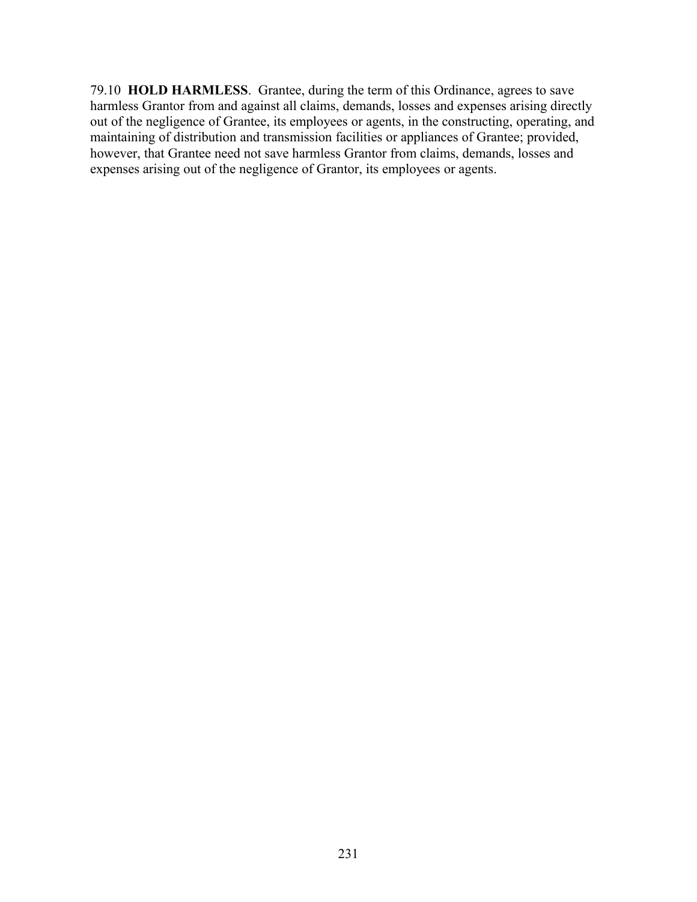79.10 **HOLD HARMLESS**. Grantee, during the term of this Ordinance, agrees to save harmless Grantor from and against all claims, demands, losses and expenses arising directly out of the negligence of Grantee, its employees or agents, in the constructing, operating, and maintaining of distribution and transmission facilities or appliances of Grantee; provided, however, that Grantee need not save harmless Grantor from claims, demands, losses and expenses arising out of the negligence of Grantor, its employees or agents.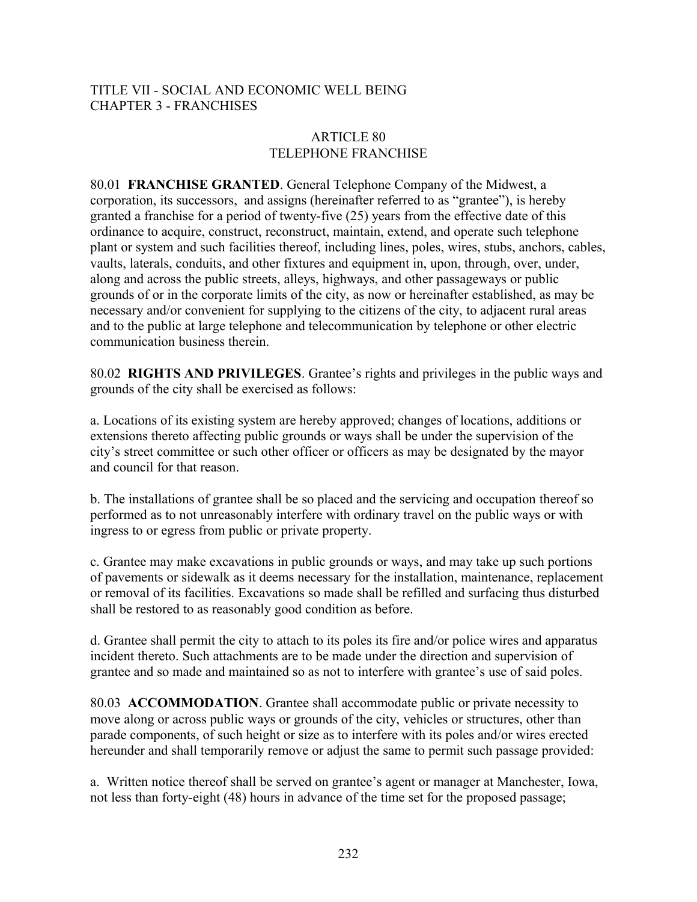### TITLE VII - SOCIAL AND ECONOMIC WELL BEING CHAPTER 3 - FRANCHISES

### ARTICLE 80 TELEPHONE FRANCHISE

80.01 **FRANCHISE GRANTED**. General Telephone Company of the Midwest, a corporation, its successors, and assigns (hereinafter referred to as "grantee"), is hereby granted a franchise for a period of twenty-five (25) years from the effective date of this ordinance to acquire, construct, reconstruct, maintain, extend, and operate such telephone plant or system and such facilities thereof, including lines, poles, wires, stubs, anchors, cables, vaults, laterals, conduits, and other fixtures and equipment in, upon, through, over, under, along and across the public streets, alleys, highways, and other passageways or public grounds of or in the corporate limits of the city, as now or hereinafter established, as may be necessary and/or convenient for supplying to the citizens of the city, to adjacent rural areas and to the public at large telephone and telecommunication by telephone or other electric communication business therein.

80.02 **RIGHTS AND PRIVILEGES**. Grantee's rights and privileges in the public ways and grounds of the city shall be exercised as follows:

a. Locations of its existing system are hereby approved; changes of locations, additions or extensions thereto affecting public grounds or ways shall be under the supervision of the city's street committee or such other officer or officers as may be designated by the mayor and council for that reason.

b. The installations of grantee shall be so placed and the servicing and occupation thereof so performed as to not unreasonably interfere with ordinary travel on the public ways or with ingress to or egress from public or private property.

c. Grantee may make excavations in public grounds or ways, and may take up such portions of pavements or sidewalk as it deems necessary for the installation, maintenance, replacement or removal of its facilities. Excavations so made shall be refilled and surfacing thus disturbed shall be restored to as reasonably good condition as before.

d. Grantee shall permit the city to attach to its poles its fire and/or police wires and apparatus incident thereto. Such attachments are to be made under the direction and supervision of grantee and so made and maintained so as not to interfere with grantee's use of said poles.

80.03 **ACCOMMODATION**. Grantee shall accommodate public or private necessity to move along or across public ways or grounds of the city, vehicles or structures, other than parade components, of such height or size as to interfere with its poles and/or wires erected hereunder and shall temporarily remove or adjust the same to permit such passage provided:

a. Written notice thereof shall be served on grantee's agent or manager at Manchester, Iowa, not less than forty-eight (48) hours in advance of the time set for the proposed passage;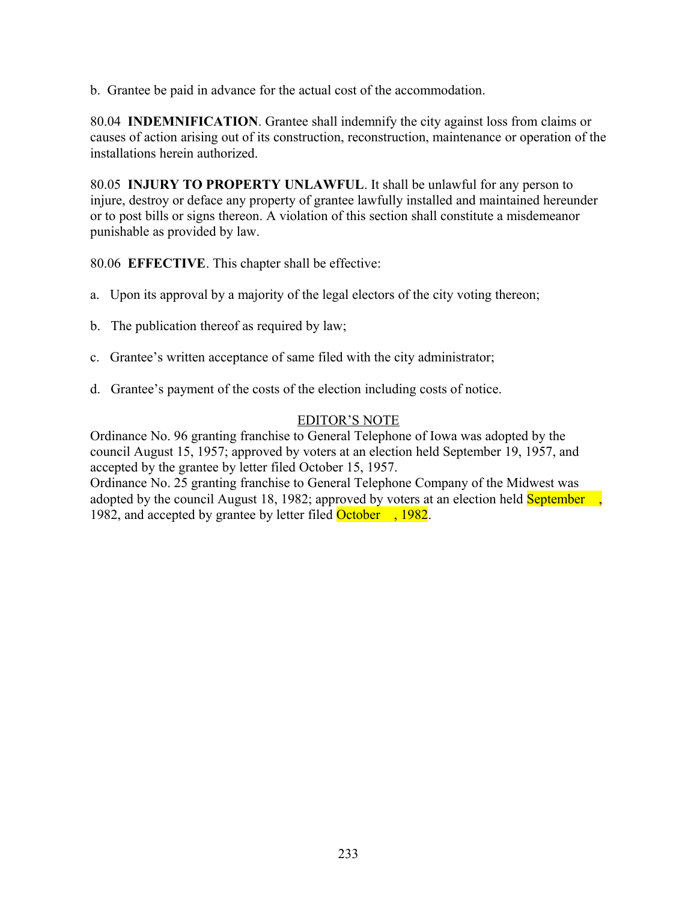b. Grantee be paid in advance for the actual cost of the accommodation.

80.04 **INDEMNIFICATION**. Grantee shall indemnify the city against loss from claims or causes of action arising out of its construction, reconstruction, maintenance or operation of the installations herein authorized.

80.05 **INJURY TO PROPERTY UNLAWFUL**. It shall be unlawful for any person to injure, destroy or deface any property of grantee lawfully installed and maintained hereunder or to post bills or signs thereon. A violation of this section shall constitute a misdemeanor punishable as provided by law.

80.06 **EFFECTIVE**. This chapter shall be effective:

- a. Upon its approval by a majority of the legal electors of the city voting thereon;
- b. The publication thereof as required by law;
- c. Grantee's written acceptance of same filed with the city administrator;
- d. Grantee's payment of the costs of the election including costs of notice.

### EDITOR'S NOTE

Ordinance No. 96 granting franchise to General Telephone of Iowa was adopted by the council August 15, 1957; approved by voters at an election held September 19, 1957, and accepted by the grantee by letter filed October 15, 1957.

Ordinance No. 25 granting franchise to General Telephone Company of the Midwest was adopted by the council August 18, 1982; approved by voters at an election held **September**, 1982, and accepted by grantee by letter filed October , 1982.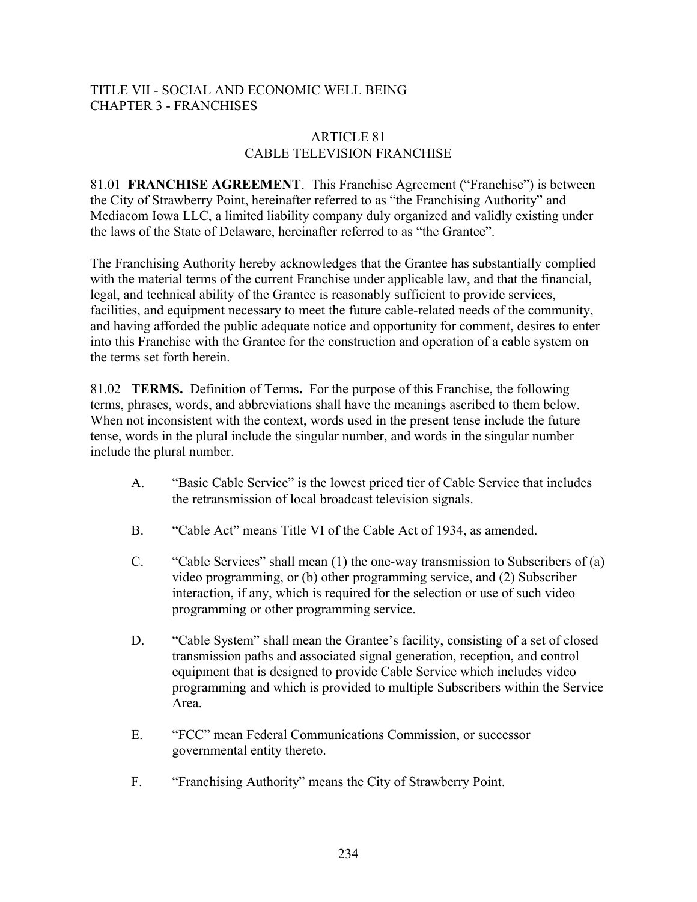## TITLE VII - SOCIAL AND ECONOMIC WELL BEING CHAPTER 3 - FRANCHISES

#### ARTICLE 81 CABLE TELEVISION FRANCHISE

81.01 **FRANCHISE AGREEMENT**. This Franchise Agreement ("Franchise") is between the City of Strawberry Point, hereinafter referred to as "the Franchising Authority" and Mediacom Iowa LLC, a limited liability company duly organized and validly existing under the laws of the State of Delaware, hereinafter referred to as "the Grantee".

The Franchising Authority hereby acknowledges that the Grantee has substantially complied with the material terms of the current Franchise under applicable law, and that the financial, legal, and technical ability of the Grantee is reasonably sufficient to provide services, facilities, and equipment necessary to meet the future cable-related needs of the community, and having afforded the public adequate notice and opportunity for comment, desires to enter into this Franchise with the Grantee for the construction and operation of a cable system on the terms set forth herein.

81.02 **TERMS.** Definition of Terms**.** For the purpose of this Franchise, the following terms, phrases, words, and abbreviations shall have the meanings ascribed to them below. When not inconsistent with the context, words used in the present tense include the future tense, words in the plural include the singular number, and words in the singular number include the plural number.

- A. "Basic Cable Service" is the lowest priced tier of Cable Service that includes the retransmission of local broadcast television signals.
- B. "Cable Act" means Title VI of the Cable Act of 1934, as amended.
- C. "Cable Services" shall mean (1) the one-way transmission to Subscribers of (a) video programming, or (b) other programming service, and (2) Subscriber interaction, if any, which is required for the selection or use of such video programming or other programming service.
- D. "Cable System" shall mean the Grantee's facility, consisting of a set of closed transmission paths and associated signal generation, reception, and control equipment that is designed to provide Cable Service which includes video programming and which is provided to multiple Subscribers within the Service Area.
- E. "FCC" mean Federal Communications Commission, or successor governmental entity thereto.
- F. "Franchising Authority" means the City of Strawberry Point.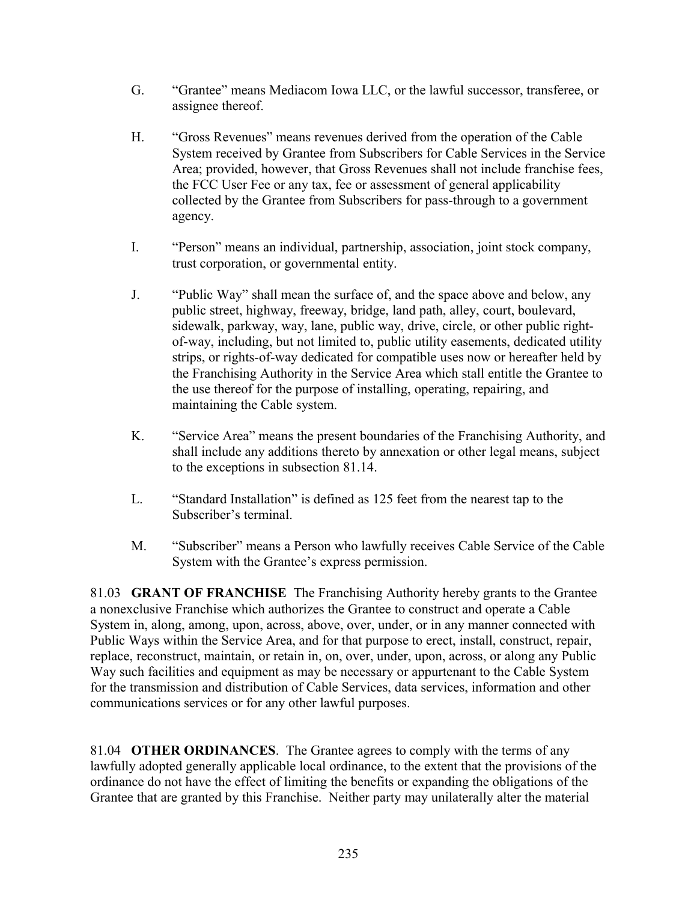- G. "Grantee" means Mediacom Iowa LLC, or the lawful successor, transferee, or assignee thereof.
- H. "Gross Revenues" means revenues derived from the operation of the Cable System received by Grantee from Subscribers for Cable Services in the Service Area; provided, however, that Gross Revenues shall not include franchise fees, the FCC User Fee or any tax, fee or assessment of general applicability collected by the Grantee from Subscribers for pass-through to a government agency.
- I. "Person" means an individual, partnership, association, joint stock company, trust corporation, or governmental entity.
- J. "Public Way" shall mean the surface of, and the space above and below, any public street, highway, freeway, bridge, land path, alley, court, boulevard, sidewalk, parkway, way, lane, public way, drive, circle, or other public rightof-way, including, but not limited to, public utility easements, dedicated utility strips, or rights-of-way dedicated for compatible uses now or hereafter held by the Franchising Authority in the Service Area which stall entitle the Grantee to the use thereof for the purpose of installing, operating, repairing, and maintaining the Cable system.
- K. "Service Area" means the present boundaries of the Franchising Authority, and shall include any additions thereto by annexation or other legal means, subject to the exceptions in subsection 81.14.
- L. "Standard Installation" is defined as 125 feet from the nearest tap to the Subscriber's terminal.
- M. "Subscriber" means a Person who lawfully receives Cable Service of the Cable System with the Grantee's express permission.

81.03 **GRANT OF FRANCHISE** The Franchising Authority hereby grants to the Grantee a nonexclusive Franchise which authorizes the Grantee to construct and operate a Cable System in, along, among, upon, across, above, over, under, or in any manner connected with Public Ways within the Service Area, and for that purpose to erect, install, construct, repair, replace, reconstruct, maintain, or retain in, on, over, under, upon, across, or along any Public Way such facilities and equipment as may be necessary or appurtenant to the Cable System for the transmission and distribution of Cable Services, data services, information and other communications services or for any other lawful purposes.

81.04 **OTHER ORDINANCES**. The Grantee agrees to comply with the terms of any lawfully adopted generally applicable local ordinance, to the extent that the provisions of the ordinance do not have the effect of limiting the benefits or expanding the obligations of the Grantee that are granted by this Franchise. Neither party may unilaterally alter the material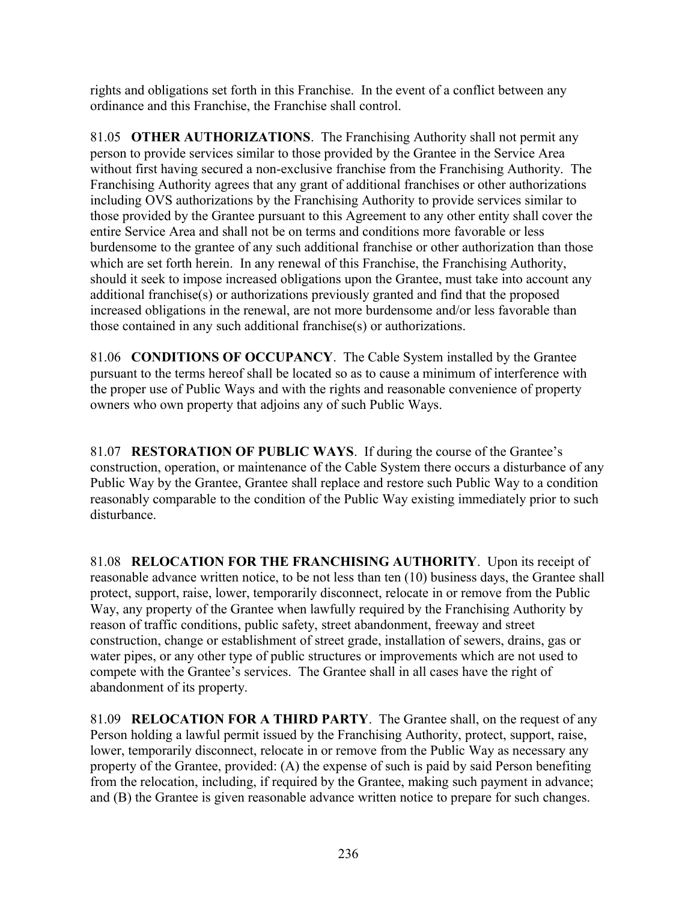rights and obligations set forth in this Franchise. In the event of a conflict between any ordinance and this Franchise, the Franchise shall control.

81.05 **OTHER AUTHORIZATIONS**. The Franchising Authority shall not permit any person to provide services similar to those provided by the Grantee in the Service Area without first having secured a non-exclusive franchise from the Franchising Authority. The Franchising Authority agrees that any grant of additional franchises or other authorizations including OVS authorizations by the Franchising Authority to provide services similar to those provided by the Grantee pursuant to this Agreement to any other entity shall cover the entire Service Area and shall not be on terms and conditions more favorable or less burdensome to the grantee of any such additional franchise or other authorization than those which are set forth herein. In any renewal of this Franchise, the Franchising Authority, should it seek to impose increased obligations upon the Grantee, must take into account any additional franchise(s) or authorizations previously granted and find that the proposed increased obligations in the renewal, are not more burdensome and/or less favorable than those contained in any such additional franchise(s) or authorizations.

81.06 **CONDITIONS OF OCCUPANCY**. The Cable System installed by the Grantee pursuant to the terms hereof shall be located so as to cause a minimum of interference with the proper use of Public Ways and with the rights and reasonable convenience of property owners who own property that adjoins any of such Public Ways.

81.07 **RESTORATION OF PUBLIC WAYS**. If during the course of the Grantee's construction, operation, or maintenance of the Cable System there occurs a disturbance of any Public Way by the Grantee, Grantee shall replace and restore such Public Way to a condition reasonably comparable to the condition of the Public Way existing immediately prior to such disturbance.

81.08 **RELOCATION FOR THE FRANCHISING AUTHORITY**. Upon its receipt of reasonable advance written notice, to be not less than ten (10) business days, the Grantee shall protect, support, raise, lower, temporarily disconnect, relocate in or remove from the Public Way, any property of the Grantee when lawfully required by the Franchising Authority by reason of traffic conditions, public safety, street abandonment, freeway and street construction, change or establishment of street grade, installation of sewers, drains, gas or water pipes, or any other type of public structures or improvements which are not used to compete with the Grantee's services. The Grantee shall in all cases have the right of abandonment of its property.

81.09 **RELOCATION FOR A THIRD PARTY**. The Grantee shall, on the request of any Person holding a lawful permit issued by the Franchising Authority, protect, support, raise, lower, temporarily disconnect, relocate in or remove from the Public Way as necessary any property of the Grantee, provided: (A) the expense of such is paid by said Person benefiting from the relocation, including, if required by the Grantee, making such payment in advance; and (B) the Grantee is given reasonable advance written notice to prepare for such changes.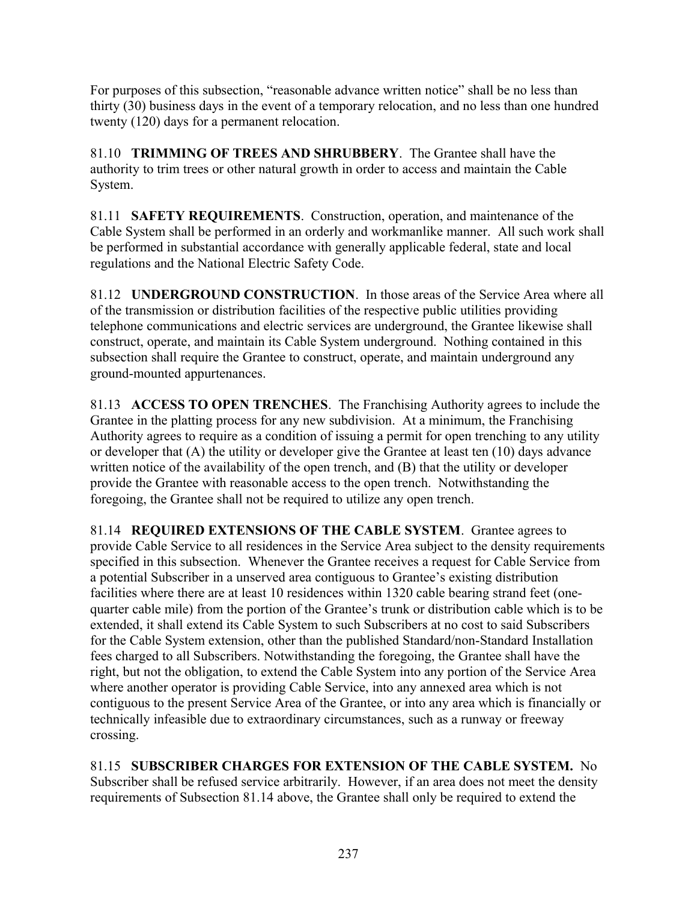For purposes of this subsection, "reasonable advance written notice" shall be no less than thirty (30) business days in the event of a temporary relocation, and no less than one hundred twenty (120) days for a permanent relocation.

81.10 **TRIMMING OF TREES AND SHRUBBERY**. The Grantee shall have the authority to trim trees or other natural growth in order to access and maintain the Cable System.

81.11 **SAFETY REQUIREMENTS**. Construction, operation, and maintenance of the Cable System shall be performed in an orderly and workmanlike manner. All such work shall be performed in substantial accordance with generally applicable federal, state and local regulations and the National Electric Safety Code.

81.12 **UNDERGROUND CONSTRUCTION**. In those areas of the Service Area where all of the transmission or distribution facilities of the respective public utilities providing telephone communications and electric services are underground, the Grantee likewise shall construct, operate, and maintain its Cable System underground. Nothing contained in this subsection shall require the Grantee to construct, operate, and maintain underground any ground-mounted appurtenances.

81.13 **ACCESS TO OPEN TRENCHES**. The Franchising Authority agrees to include the Grantee in the platting process for any new subdivision. At a minimum, the Franchising Authority agrees to require as a condition of issuing a permit for open trenching to any utility or developer that (A) the utility or developer give the Grantee at least ten (10) days advance written notice of the availability of the open trench, and (B) that the utility or developer provide the Grantee with reasonable access to the open trench. Notwithstanding the foregoing, the Grantee shall not be required to utilize any open trench.

81.14 **REQUIRED EXTENSIONS OF THE CABLE SYSTEM**. Grantee agrees to provide Cable Service to all residences in the Service Area subject to the density requirements specified in this subsection. Whenever the Grantee receives a request for Cable Service from a potential Subscriber in a unserved area contiguous to Grantee's existing distribution facilities where there are at least 10 residences within 1320 cable bearing strand feet (onequarter cable mile) from the portion of the Grantee's trunk or distribution cable which is to be extended, it shall extend its Cable System to such Subscribers at no cost to said Subscribers for the Cable System extension, other than the published Standard/non-Standard Installation fees charged to all Subscribers. Notwithstanding the foregoing, the Grantee shall have the right, but not the obligation, to extend the Cable System into any portion of the Service Area where another operator is providing Cable Service, into any annexed area which is not contiguous to the present Service Area of the Grantee, or into any area which is financially or technically infeasible due to extraordinary circumstances, such as a runway or freeway crossing.

81.15 **SUBSCRIBER CHARGES FOR EXTENSION OF THE CABLE SYSTEM.** No Subscriber shall be refused service arbitrarily. However, if an area does not meet the density requirements of Subsection 81.14 above, the Grantee shall only be required to extend the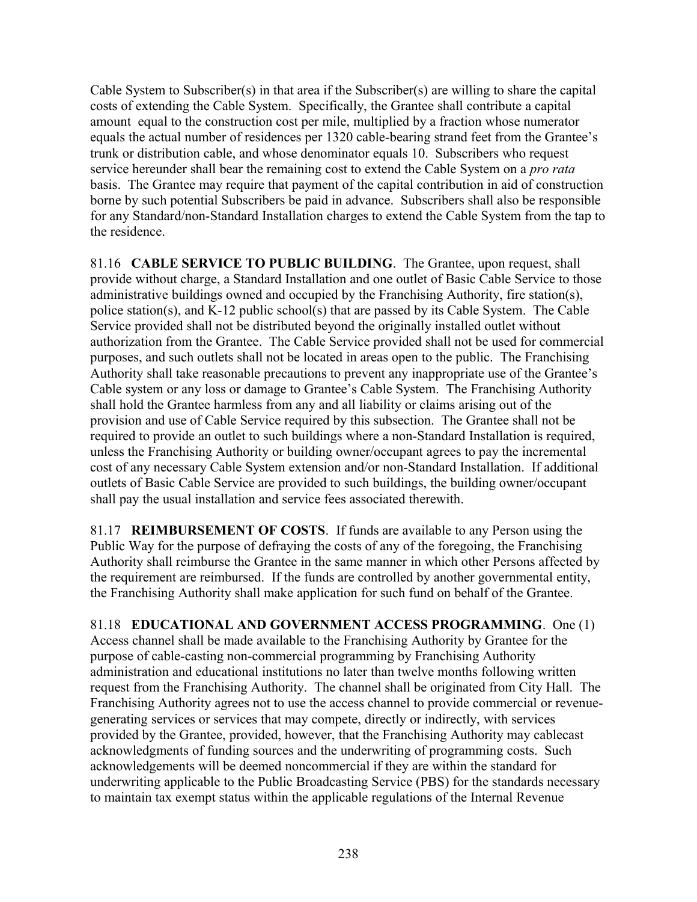Cable System to Subscriber(s) in that area if the Subscriber(s) are willing to share the capital costs of extending the Cable System. Specifically, the Grantee shall contribute a capital amount equal to the construction cost per mile, multiplied by a fraction whose numerator equals the actual number of residences per 1320 cable-bearing strand feet from the Grantee's trunk or distribution cable, and whose denominator equals 10. Subscribers who request service hereunder shall bear the remaining cost to extend the Cable System on a *pro rata* basis. The Grantee may require that payment of the capital contribution in aid of construction borne by such potential Subscribers be paid in advance. Subscribers shall also be responsible for any Standard/non-Standard Installation charges to extend the Cable System from the tap to the residence.

81.16 **CABLE SERVICE TO PUBLIC BUILDING**. The Grantee, upon request, shall provide without charge, a Standard Installation and one outlet of Basic Cable Service to those administrative buildings owned and occupied by the Franchising Authority, fire station(s), police station(s), and K-12 public school(s) that are passed by its Cable System. The Cable Service provided shall not be distributed beyond the originally installed outlet without authorization from the Grantee. The Cable Service provided shall not be used for commercial purposes, and such outlets shall not be located in areas open to the public. The Franchising Authority shall take reasonable precautions to prevent any inappropriate use of the Grantee's Cable system or any loss or damage to Grantee's Cable System. The Franchising Authority shall hold the Grantee harmless from any and all liability or claims arising out of the provision and use of Cable Service required by this subsection. The Grantee shall not be required to provide an outlet to such buildings where a non-Standard Installation is required, unless the Franchising Authority or building owner/occupant agrees to pay the incremental cost of any necessary Cable System extension and/or non-Standard Installation. If additional outlets of Basic Cable Service are provided to such buildings, the building owner/occupant shall pay the usual installation and service fees associated therewith.

81.17 **REIMBURSEMENT OF COSTS**. If funds are available to any Person using the Public Way for the purpose of defraying the costs of any of the foregoing, the Franchising Authority shall reimburse the Grantee in the same manner in which other Persons affected by the requirement are reimbursed. If the funds are controlled by another governmental entity, the Franchising Authority shall make application for such fund on behalf of the Grantee.

81.18 **EDUCATIONAL AND GOVERNMENT ACCESS PROGRAMMING**. One (1) Access channel shall be made available to the Franchising Authority by Grantee for the purpose of cable-casting non-commercial programming by Franchising Authority administration and educational institutions no later than twelve months following written request from the Franchising Authority. The channel shall be originated from City Hall. The Franchising Authority agrees not to use the access channel to provide commercial or revenuegenerating services or services that may compete, directly or indirectly, with services provided by the Grantee, provided, however, that the Franchising Authority may cablecast acknowledgments of funding sources and the underwriting of programming costs. Such acknowledgements will be deemed noncommercial if they are within the standard for underwriting applicable to the Public Broadcasting Service (PBS) for the standards necessary to maintain tax exempt status within the applicable regulations of the Internal Revenue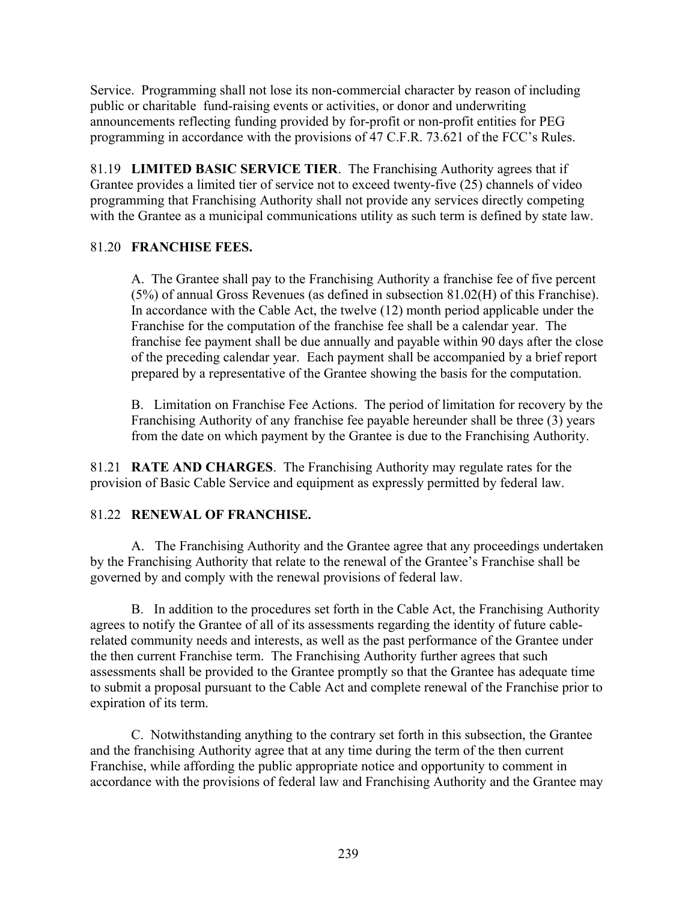Service. Programming shall not lose its non-commercial character by reason of including public or charitable fund-raising events or activities, or donor and underwriting announcements reflecting funding provided by for-profit or non-profit entities for PEG programming in accordance with the provisions of 47 C.F.R. 73.621 of the FCC's Rules.

81.19 **LIMITED BASIC SERVICE TIER**. The Franchising Authority agrees that if Grantee provides a limited tier of service not to exceed twenty-five (25) channels of video programming that Franchising Authority shall not provide any services directly competing with the Grantee as a municipal communications utility as such term is defined by state law.

## 81.20 **FRANCHISE FEES.**

A. The Grantee shall pay to the Franchising Authority a franchise fee of five percent (5%) of annual Gross Revenues (as defined in subsection 81.02(H) of this Franchise). In accordance with the Cable Act, the twelve (12) month period applicable under the Franchise for the computation of the franchise fee shall be a calendar year. The franchise fee payment shall be due annually and payable within 90 days after the close of the preceding calendar year. Each payment shall be accompanied by a brief report prepared by a representative of the Grantee showing the basis for the computation.

B. Limitation on Franchise Fee Actions. The period of limitation for recovery by the Franchising Authority of any franchise fee payable hereunder shall be three (3) years from the date on which payment by the Grantee is due to the Franchising Authority.

81.21 **RATE AND CHARGES**. The Franchising Authority may regulate rates for the provision of Basic Cable Service and equipment as expressly permitted by federal law.

## 81.22 **RENEWAL OF FRANCHISE.**

A. The Franchising Authority and the Grantee agree that any proceedings undertaken by the Franchising Authority that relate to the renewal of the Grantee's Franchise shall be governed by and comply with the renewal provisions of federal law.

B. In addition to the procedures set forth in the Cable Act, the Franchising Authority agrees to notify the Grantee of all of its assessments regarding the identity of future cablerelated community needs and interests, as well as the past performance of the Grantee under the then current Franchise term. The Franchising Authority further agrees that such assessments shall be provided to the Grantee promptly so that the Grantee has adequate time to submit a proposal pursuant to the Cable Act and complete renewal of the Franchise prior to expiration of its term.

C. Notwithstanding anything to the contrary set forth in this subsection, the Grantee and the franchising Authority agree that at any time during the term of the then current Franchise, while affording the public appropriate notice and opportunity to comment in accordance with the provisions of federal law and Franchising Authority and the Grantee may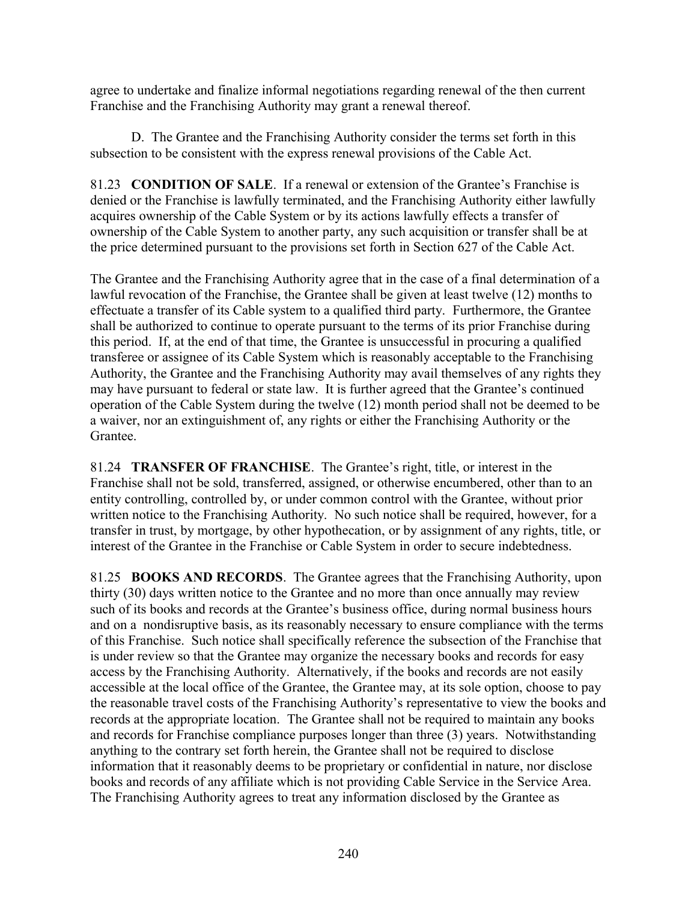agree to undertake and finalize informal negotiations regarding renewal of the then current Franchise and the Franchising Authority may grant a renewal thereof.

D. The Grantee and the Franchising Authority consider the terms set forth in this subsection to be consistent with the express renewal provisions of the Cable Act.

81.23 **CONDITION OF SALE**. If a renewal or extension of the Grantee's Franchise is denied or the Franchise is lawfully terminated, and the Franchising Authority either lawfully acquires ownership of the Cable System or by its actions lawfully effects a transfer of ownership of the Cable System to another party, any such acquisition or transfer shall be at the price determined pursuant to the provisions set forth in Section 627 of the Cable Act.

The Grantee and the Franchising Authority agree that in the case of a final determination of a lawful revocation of the Franchise, the Grantee shall be given at least twelve (12) months to effectuate a transfer of its Cable system to a qualified third party. Furthermore, the Grantee shall be authorized to continue to operate pursuant to the terms of its prior Franchise during this period. If, at the end of that time, the Grantee is unsuccessful in procuring a qualified transferee or assignee of its Cable System which is reasonably acceptable to the Franchising Authority, the Grantee and the Franchising Authority may avail themselves of any rights they may have pursuant to federal or state law. It is further agreed that the Grantee's continued operation of the Cable System during the twelve (12) month period shall not be deemed to be a waiver, nor an extinguishment of, any rights or either the Franchising Authority or the Grantee.

81.24 **TRANSFER OF FRANCHISE**. The Grantee's right, title, or interest in the Franchise shall not be sold, transferred, assigned, or otherwise encumbered, other than to an entity controlling, controlled by, or under common control with the Grantee, without prior written notice to the Franchising Authority. No such notice shall be required, however, for a transfer in trust, by mortgage, by other hypothecation, or by assignment of any rights, title, or interest of the Grantee in the Franchise or Cable System in order to secure indebtedness.

81.25 **BOOKS AND RECORDS**. The Grantee agrees that the Franchising Authority, upon thirty (30) days written notice to the Grantee and no more than once annually may review such of its books and records at the Grantee's business office, during normal business hours and on a nondisruptive basis, as its reasonably necessary to ensure compliance with the terms of this Franchise. Such notice shall specifically reference the subsection of the Franchise that is under review so that the Grantee may organize the necessary books and records for easy access by the Franchising Authority. Alternatively, if the books and records are not easily accessible at the local office of the Grantee, the Grantee may, at its sole option, choose to pay the reasonable travel costs of the Franchising Authority's representative to view the books and records at the appropriate location. The Grantee shall not be required to maintain any books and records for Franchise compliance purposes longer than three (3) years. Notwithstanding anything to the contrary set forth herein, the Grantee shall not be required to disclose information that it reasonably deems to be proprietary or confidential in nature, nor disclose books and records of any affiliate which is not providing Cable Service in the Service Area. The Franchising Authority agrees to treat any information disclosed by the Grantee as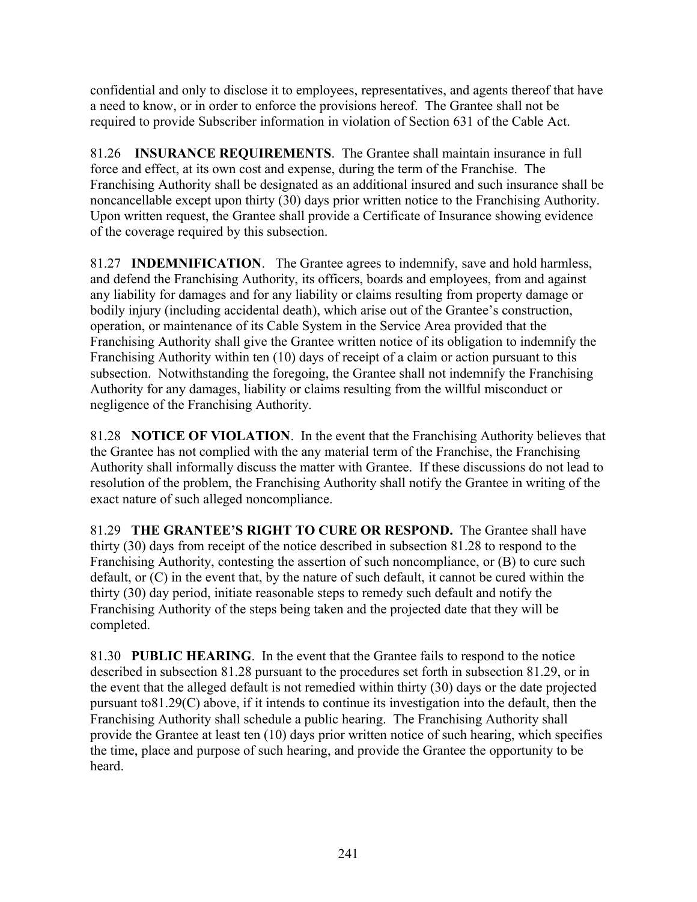confidential and only to disclose it to employees, representatives, and agents thereof that have a need to know, or in order to enforce the provisions hereof. The Grantee shall not be required to provide Subscriber information in violation of Section 631 of the Cable Act.

81.26 **INSURANCE REQUIREMENTS**. The Grantee shall maintain insurance in full force and effect, at its own cost and expense, during the term of the Franchise. The Franchising Authority shall be designated as an additional insured and such insurance shall be noncancellable except upon thirty (30) days prior written notice to the Franchising Authority. Upon written request, the Grantee shall provide a Certificate of Insurance showing evidence of the coverage required by this subsection.

81.27 **INDEMNIFICATION**. The Grantee agrees to indemnify, save and hold harmless, and defend the Franchising Authority, its officers, boards and employees, from and against any liability for damages and for any liability or claims resulting from property damage or bodily injury (including accidental death), which arise out of the Grantee's construction, operation, or maintenance of its Cable System in the Service Area provided that the Franchising Authority shall give the Grantee written notice of its obligation to indemnify the Franchising Authority within ten (10) days of receipt of a claim or action pursuant to this subsection. Notwithstanding the foregoing, the Grantee shall not indemnify the Franchising Authority for any damages, liability or claims resulting from the willful misconduct or negligence of the Franchising Authority.

81.28 **NOTICE OF VIOLATION**. In the event that the Franchising Authority believes that the Grantee has not complied with the any material term of the Franchise, the Franchising Authority shall informally discuss the matter with Grantee. If these discussions do not lead to resolution of the problem, the Franchising Authority shall notify the Grantee in writing of the exact nature of such alleged noncompliance.

81.29 **THE GRANTEE'S RIGHT TO CURE OR RESPOND.** The Grantee shall have thirty (30) days from receipt of the notice described in subsection 81.28 to respond to the Franchising Authority, contesting the assertion of such noncompliance, or (B) to cure such default, or (C) in the event that, by the nature of such default, it cannot be cured within the thirty (30) day period, initiate reasonable steps to remedy such default and notify the Franchising Authority of the steps being taken and the projected date that they will be completed.

81.30 **PUBLIC HEARING**. In the event that the Grantee fails to respond to the notice described in subsection 81.28 pursuant to the procedures set forth in subsection 81.29, or in the event that the alleged default is not remedied within thirty (30) days or the date projected pursuant to81.29(C) above, if it intends to continue its investigation into the default, then the Franchising Authority shall schedule a public hearing. The Franchising Authority shall provide the Grantee at least ten (10) days prior written notice of such hearing, which specifies the time, place and purpose of such hearing, and provide the Grantee the opportunity to be heard.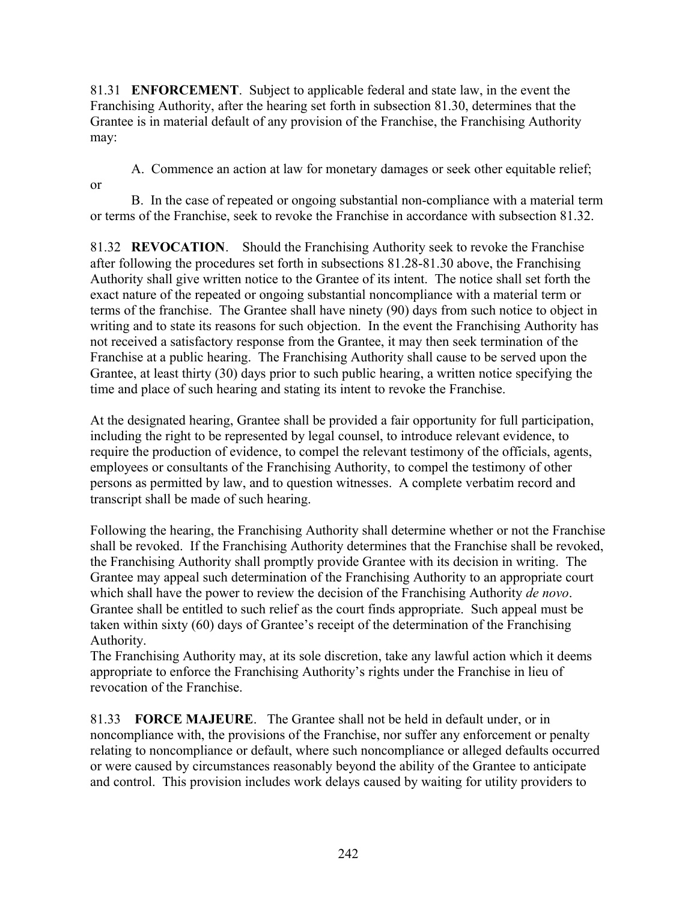81.31 **ENFORCEMENT**. Subject to applicable federal and state law, in the event the Franchising Authority, after the hearing set forth in subsection 81.30, determines that the Grantee is in material default of any provision of the Franchise, the Franchising Authority may:

A. Commence an action at law for monetary damages or seek other equitable relief;

or

B. In the case of repeated or ongoing substantial non-compliance with a material term or terms of the Franchise, seek to revoke the Franchise in accordance with subsection 81.32.

81.32 **REVOCATION**. Should the Franchising Authority seek to revoke the Franchise after following the procedures set forth in subsections 81.28-81.30 above, the Franchising Authority shall give written notice to the Grantee of its intent. The notice shall set forth the exact nature of the repeated or ongoing substantial noncompliance with a material term or terms of the franchise. The Grantee shall have ninety (90) days from such notice to object in writing and to state its reasons for such objection. In the event the Franchising Authority has not received a satisfactory response from the Grantee, it may then seek termination of the Franchise at a public hearing. The Franchising Authority shall cause to be served upon the Grantee, at least thirty (30) days prior to such public hearing, a written notice specifying the time and place of such hearing and stating its intent to revoke the Franchise.

At the designated hearing, Grantee shall be provided a fair opportunity for full participation, including the right to be represented by legal counsel, to introduce relevant evidence, to require the production of evidence, to compel the relevant testimony of the officials, agents, employees or consultants of the Franchising Authority, to compel the testimony of other persons as permitted by law, and to question witnesses. A complete verbatim record and transcript shall be made of such hearing.

Following the hearing, the Franchising Authority shall determine whether or not the Franchise shall be revoked. If the Franchising Authority determines that the Franchise shall be revoked, the Franchising Authority shall promptly provide Grantee with its decision in writing. The Grantee may appeal such determination of the Franchising Authority to an appropriate court which shall have the power to review the decision of the Franchising Authority *de novo*. Grantee shall be entitled to such relief as the court finds appropriate. Such appeal must be taken within sixty (60) days of Grantee's receipt of the determination of the Franchising Authority.

The Franchising Authority may, at its sole discretion, take any lawful action which it deems appropriate to enforce the Franchising Authority's rights under the Franchise in lieu of revocation of the Franchise.

81.33 **FORCE MAJEURE**. The Grantee shall not be held in default under, or in noncompliance with, the provisions of the Franchise, nor suffer any enforcement or penalty relating to noncompliance or default, where such noncompliance or alleged defaults occurred or were caused by circumstances reasonably beyond the ability of the Grantee to anticipate and control. This provision includes work delays caused by waiting for utility providers to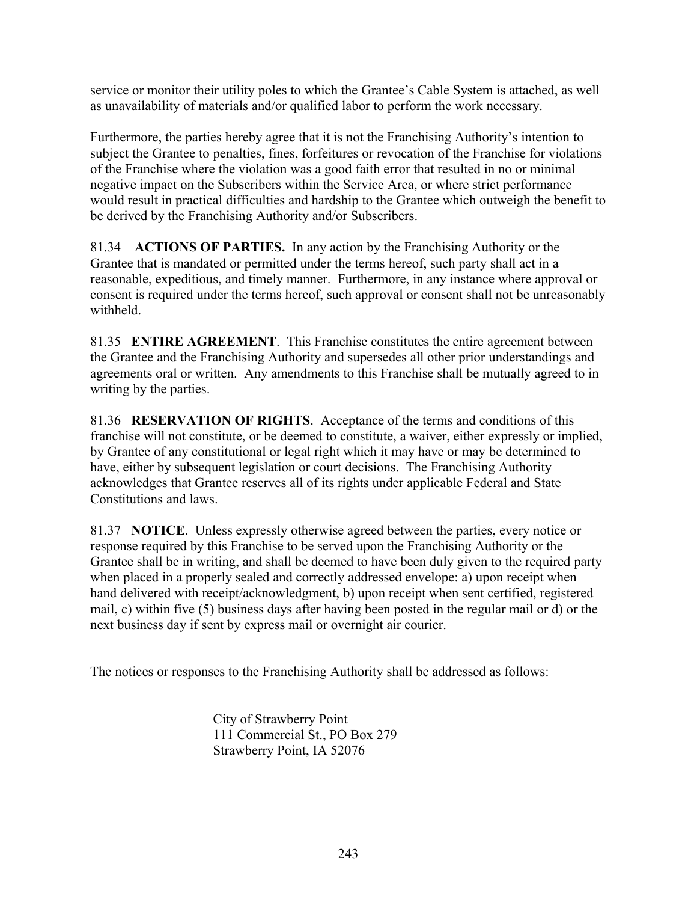service or monitor their utility poles to which the Grantee's Cable System is attached, as well as unavailability of materials and/or qualified labor to perform the work necessary.

Furthermore, the parties hereby agree that it is not the Franchising Authority's intention to subject the Grantee to penalties, fines, forfeitures or revocation of the Franchise for violations of the Franchise where the violation was a good faith error that resulted in no or minimal negative impact on the Subscribers within the Service Area, or where strict performance would result in practical difficulties and hardship to the Grantee which outweigh the benefit to be derived by the Franchising Authority and/or Subscribers.

81.34 **ACTIONS OF PARTIES.** In any action by the Franchising Authority or the Grantee that is mandated or permitted under the terms hereof, such party shall act in a reasonable, expeditious, and timely manner. Furthermore, in any instance where approval or consent is required under the terms hereof, such approval or consent shall not be unreasonably withheld.

81.35 **ENTIRE AGREEMENT**. This Franchise constitutes the entire agreement between the Grantee and the Franchising Authority and supersedes all other prior understandings and agreements oral or written. Any amendments to this Franchise shall be mutually agreed to in writing by the parties.

81.36 **RESERVATION OF RIGHTS**. Acceptance of the terms and conditions of this franchise will not constitute, or be deemed to constitute, a waiver, either expressly or implied, by Grantee of any constitutional or legal right which it may have or may be determined to have, either by subsequent legislation or court decisions. The Franchising Authority acknowledges that Grantee reserves all of its rights under applicable Federal and State Constitutions and laws.

81.37 **NOTICE**. Unless expressly otherwise agreed between the parties, every notice or response required by this Franchise to be served upon the Franchising Authority or the Grantee shall be in writing, and shall be deemed to have been duly given to the required party when placed in a properly sealed and correctly addressed envelope: a) upon receipt when hand delivered with receipt/acknowledgment, b) upon receipt when sent certified, registered mail, c) within five (5) business days after having been posted in the regular mail or d) or the next business day if sent by express mail or overnight air courier.

The notices or responses to the Franchising Authority shall be addressed as follows:

City of Strawberry Point 111 Commercial St., PO Box 279 Strawberry Point, IA 52076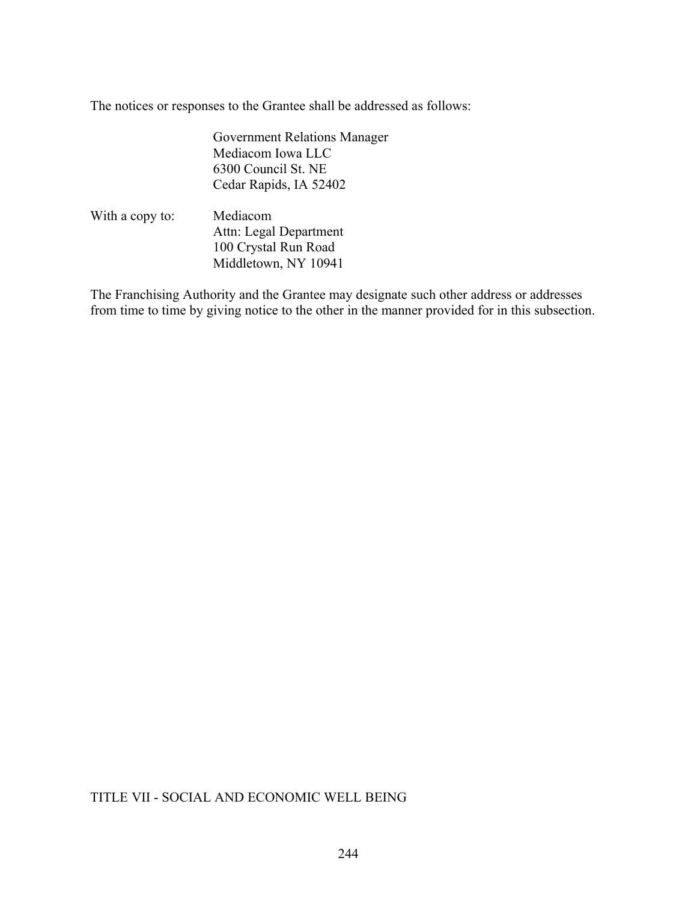The notices or responses to the Grantee shall be addressed as follows:

Government Relations Manager Mediacom Iowa LLC 6300 Council St. NE Cedar Rapids, IA 52402

With a copy to: Mediacom Attn: Legal Department 100 Crystal Run Road Middletown, NY 10941

The Franchising Authority and the Grantee may designate such other address or addresses from time to time by giving notice to the other in the manner provided for in this subsection.

## TITLE VII - SOCIAL AND ECONOMIC WELL BEING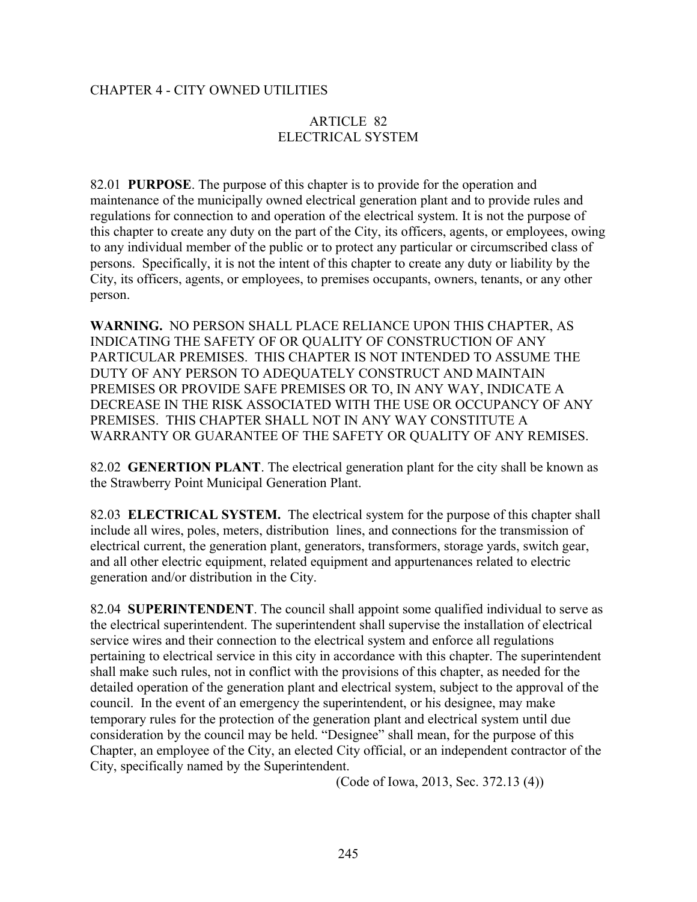#### CHAPTER 4 - CITY OWNED UTILITIES

#### ARTICLE 82 ELECTRICAL SYSTEM

82.01 **PURPOSE**. The purpose of this chapter is to provide for the operation and maintenance of the municipally owned electrical generation plant and to provide rules and regulations for connection to and operation of the electrical system. It is not the purpose of this chapter to create any duty on the part of the City, its officers, agents, or employees, owing to any individual member of the public or to protect any particular or circumscribed class of persons. Specifically, it is not the intent of this chapter to create any duty or liability by the City, its officers, agents, or employees, to premises occupants, owners, tenants, or any other person.

**WARNING.** NO PERSON SHALL PLACE RELIANCE UPON THIS CHAPTER, AS INDICATING THE SAFETY OF OR QUALITY OF CONSTRUCTION OF ANY PARTICULAR PREMISES. THIS CHAPTER IS NOT INTENDED TO ASSUME THE DUTY OF ANY PERSON TO ADEQUATELY CONSTRUCT AND MAINTAIN PREMISES OR PROVIDE SAFE PREMISES OR TO, IN ANY WAY, INDICATE A DECREASE IN THE RISK ASSOCIATED WITH THE USE OR OCCUPANCY OF ANY PREMISES. THIS CHAPTER SHALL NOT IN ANY WAY CONSTITUTE A WARRANTY OR GUARANTEE OF THE SAFETY OR QUALITY OF ANY REMISES.

82.02 **GENERTION PLANT**. The electrical generation plant for the city shall be known as the Strawberry Point Municipal Generation Plant.

82.03 **ELECTRICAL SYSTEM.** The electrical system for the purpose of this chapter shall include all wires, poles, meters, distribution lines, and connections for the transmission of electrical current, the generation plant, generators, transformers, storage yards, switch gear, and all other electric equipment, related equipment and appurtenances related to electric generation and/or distribution in the City.

82.04 **SUPERINTENDENT**. The council shall appoint some qualified individual to serve as the electrical superintendent. The superintendent shall supervise the installation of electrical service wires and their connection to the electrical system and enforce all regulations pertaining to electrical service in this city in accordance with this chapter. The superintendent shall make such rules, not in conflict with the provisions of this chapter, as needed for the detailed operation of the generation plant and electrical system, subject to the approval of the council. In the event of an emergency the superintendent, or his designee, may make temporary rules for the protection of the generation plant and electrical system until due consideration by the council may be held. "Designee" shall mean, for the purpose of this Chapter, an employee of the City, an elected City official, or an independent contractor of the City, specifically named by the Superintendent.

(Code of Iowa, 2013, Sec. 372.13 (4))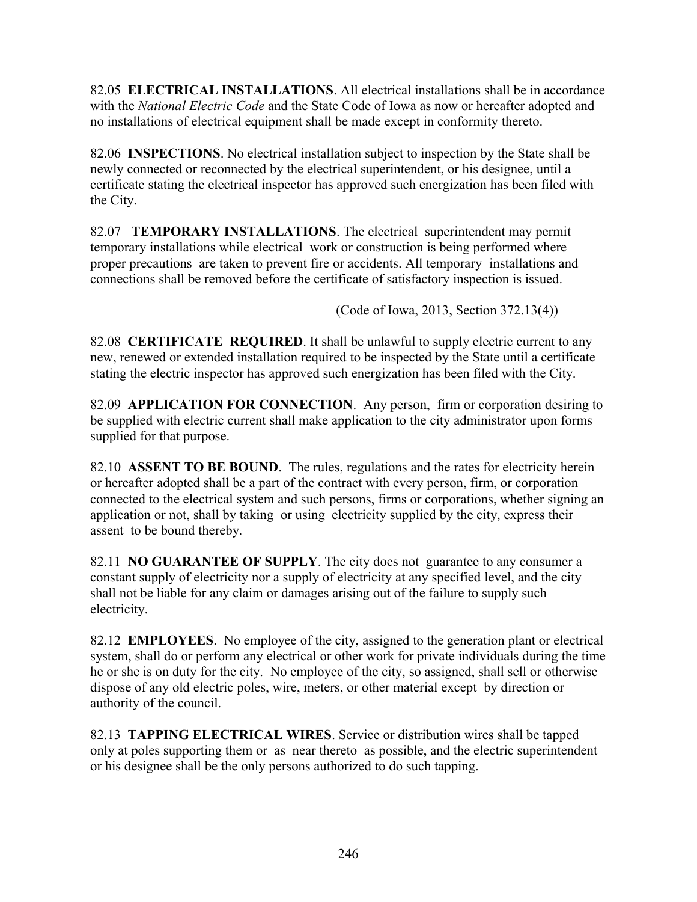82.05 **ELECTRICAL INSTALLATIONS**. All electrical installations shall be in accordance with the *National Electric Code* and the State Code of Iowa as now or hereafter adopted and no installations of electrical equipment shall be made except in conformity thereto.

82.06 **INSPECTIONS**. No electrical installation subject to inspection by the State shall be newly connected or reconnected by the electrical superintendent, or his designee, until a certificate stating the electrical inspector has approved such energization has been filed with the City.

82.07 **TEMPORARY INSTALLATIONS**. The electrical superintendent may permit temporary installations while electrical work or construction is being performed where proper precautions are taken to prevent fire or accidents. All temporary installations and connections shall be removed before the certificate of satisfactory inspection is issued.

(Code of Iowa, 2013, Section 372.13(4))

82.08 **CERTIFICATE REQUIRED**. It shall be unlawful to supply electric current to any new, renewed or extended installation required to be inspected by the State until a certificate stating the electric inspector has approved such energization has been filed with the City.

82.09 **APPLICATION FOR CONNECTION**. Any person, firm or corporation desiring to be supplied with electric current shall make application to the city administrator upon forms supplied for that purpose.

82.10 **ASSENT TO BE BOUND**. The rules, regulations and the rates for electricity herein or hereafter adopted shall be a part of the contract with every person, firm, or corporation connected to the electrical system and such persons, firms or corporations, whether signing an application or not, shall by taking or using electricity supplied by the city, express their assent to be bound thereby.

82.11 **NO GUARANTEE OF SUPPLY**. The city does not guarantee to any consumer a constant supply of electricity nor a supply of electricity at any specified level, and the city shall not be liable for any claim or damages arising out of the failure to supply such electricity.

82.12 **EMPLOYEES**. No employee of the city, assigned to the generation plant or electrical system, shall do or perform any electrical or other work for private individuals during the time he or she is on duty for the city. No employee of the city, so assigned, shall sell or otherwise dispose of any old electric poles, wire, meters, or other material except by direction or authority of the council.

82.13 **TAPPING ELECTRICAL WIRES**. Service or distribution wires shall be tapped only at poles supporting them or as near thereto as possible, and the electric superintendent or his designee shall be the only persons authorized to do such tapping.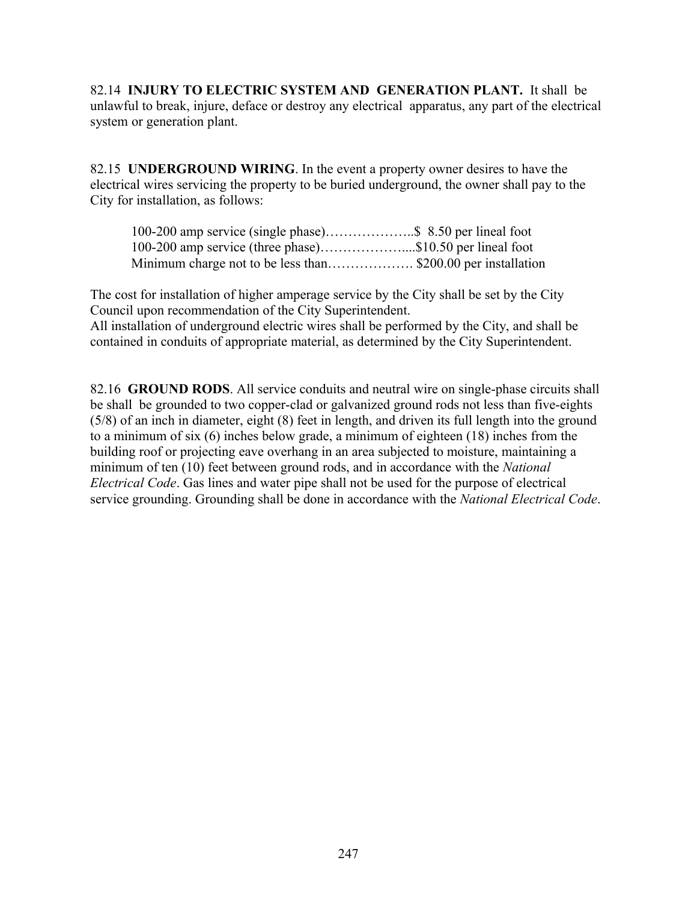82.14 **INJURY TO ELECTRIC SYSTEM AND GENERATION PLANT.** It shall be unlawful to break, injure, deface or destroy any electrical apparatus, any part of the electrical system or generation plant.

82.15 **UNDERGROUND WIRING**. In the event a property owner desires to have the electrical wires servicing the property to be buried underground, the owner shall pay to the City for installation, as follows:

| 100-200 amp service (three phase)\$10.50 per lineal foot    |  |
|-------------------------------------------------------------|--|
| Minimum charge not to be less than\$200.00 per installation |  |

The cost for installation of higher amperage service by the City shall be set by the City Council upon recommendation of the City Superintendent.

All installation of underground electric wires shall be performed by the City, and shall be contained in conduits of appropriate material, as determined by the City Superintendent.

82.16 **GROUND RODS**. All service conduits and neutral wire on single-phase circuits shall be shall be grounded to two copper-clad or galvanized ground rods not less than five-eights (5/8) of an inch in diameter, eight (8) feet in length, and driven its full length into the ground to a minimum of six (6) inches below grade, a minimum of eighteen (18) inches from the building roof or projecting eave overhang in an area subjected to moisture, maintaining a minimum of ten (10) feet between ground rods, and in accordance with the *National Electrical Code*. Gas lines and water pipe shall not be used for the purpose of electrical service grounding. Grounding shall be done in accordance with the *National Electrical Code*.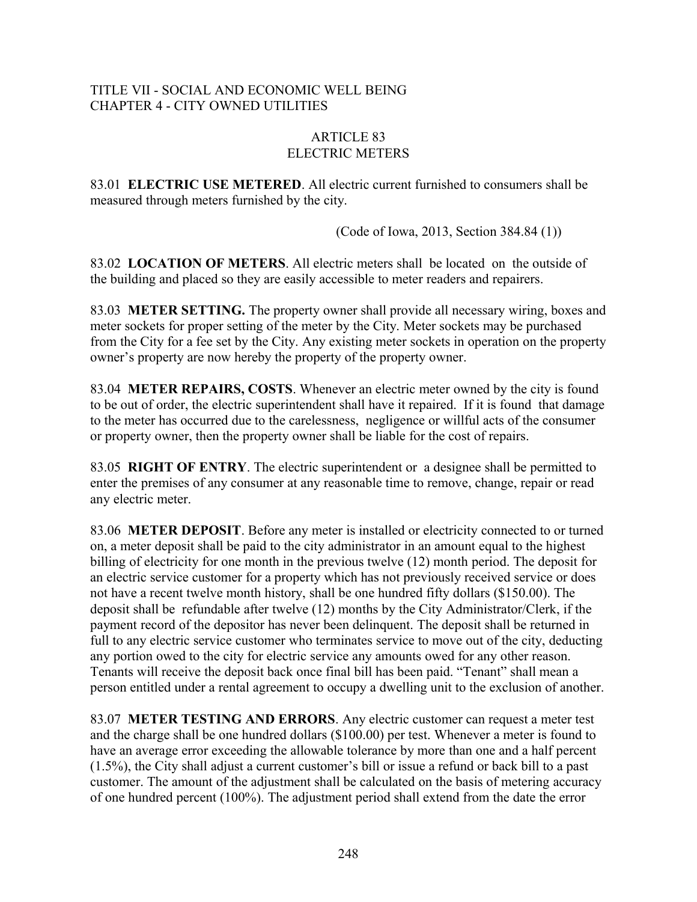## TITLE VII - SOCIAL AND ECONOMIC WELL BEING CHAPTER 4 - CITY OWNED UTILITIES

#### ARTICLE 83 ELECTRIC METERS

83.01 **ELECTRIC USE METERED**. All electric current furnished to consumers shall be measured through meters furnished by the city.

(Code of Iowa, 2013, Section 384.84 (1))

83.02 **LOCATION OF METERS**. All electric meters shall be located on the outside of the building and placed so they are easily accessible to meter readers and repairers.

83.03 **METER SETTING.** The property owner shall provide all necessary wiring, boxes and meter sockets for proper setting of the meter by the City. Meter sockets may be purchased from the City for a fee set by the City. Any existing meter sockets in operation on the property owner's property are now hereby the property of the property owner.

83.04 **METER REPAIRS, COSTS**. Whenever an electric meter owned by the city is found to be out of order, the electric superintendent shall have it repaired. If it is found that damage to the meter has occurred due to the carelessness, negligence or willful acts of the consumer or property owner, then the property owner shall be liable for the cost of repairs.

83.05 **RIGHT OF ENTRY**. The electric superintendent or a designee shall be permitted to enter the premises of any consumer at any reasonable time to remove, change, repair or read any electric meter.

83.06 **METER DEPOSIT**. Before any meter is installed or electricity connected to or turned on, a meter deposit shall be paid to the city administrator in an amount equal to the highest billing of electricity for one month in the previous twelve (12) month period. The deposit for an electric service customer for a property which has not previously received service or does not have a recent twelve month history, shall be one hundred fifty dollars (\$150.00). The deposit shall be refundable after twelve (12) months by the City Administrator/Clerk, if the payment record of the depositor has never been delinquent. The deposit shall be returned in full to any electric service customer who terminates service to move out of the city, deducting any portion owed to the city for electric service any amounts owed for any other reason. Tenants will receive the deposit back once final bill has been paid. "Tenant" shall mean a person entitled under a rental agreement to occupy a dwelling unit to the exclusion of another.

83.07 **METER TESTING AND ERRORS**. Any electric customer can request a meter test and the charge shall be one hundred dollars (\$100.00) per test. Whenever a meter is found to have an average error exceeding the allowable tolerance by more than one and a half percent (1.5%), the City shall adjust a current customer's bill or issue a refund or back bill to a past customer. The amount of the adjustment shall be calculated on the basis of metering accuracy of one hundred percent (100%). The adjustment period shall extend from the date the error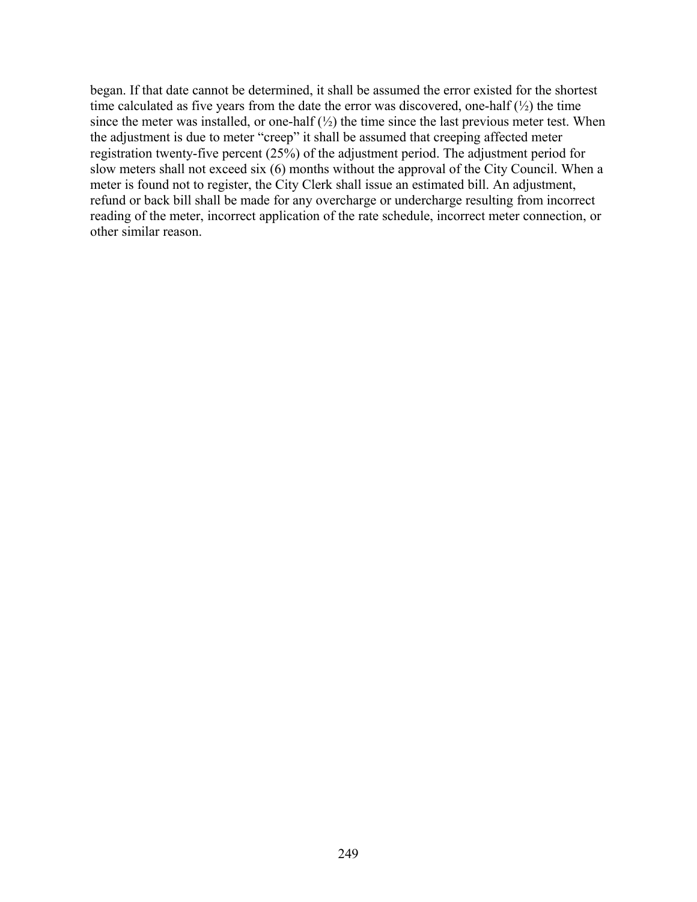began. If that date cannot be determined, it shall be assumed the error existed for the shortest time calculated as five years from the date the error was discovered, one-half  $(\frac{1}{2})$  the time since the meter was installed, or one-half  $(\frac{1}{2})$  the time since the last previous meter test. When the adjustment is due to meter "creep" it shall be assumed that creeping affected meter registration twenty-five percent (25%) of the adjustment period. The adjustment period for slow meters shall not exceed six (6) months without the approval of the City Council. When a meter is found not to register, the City Clerk shall issue an estimated bill. An adjustment, refund or back bill shall be made for any overcharge or undercharge resulting from incorrect reading of the meter, incorrect application of the rate schedule, incorrect meter connection, or other similar reason.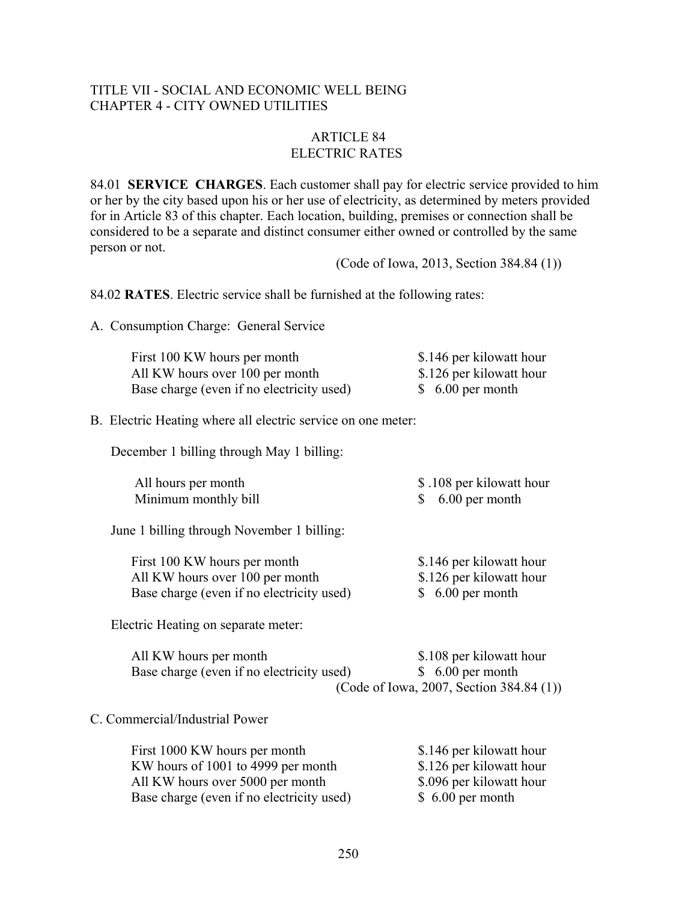#### TITLE VII - SOCIAL AND ECONOMIC WELL BEING CHAPTER 4 - CITY OWNED UTILITIES

## ARTICLE 84 ELECTRIC RATES

84.01 **SERVICE CHARGES**. Each customer shall pay for electric service provided to him or her by the city based upon his or her use of electricity, as determined by meters provided for in Article 83 of this chapter. Each location, building, premises or connection shall be considered to be a separate and distinct consumer either owned or controlled by the same person or not.

(Code of Iowa, 2013, Section 384.84 (1))

84.02 **RATES**. Electric service shall be furnished at the following rates:

A. Consumption Charge: General Service

| First 100 KW hours per month              | \$.146 per kilowatt hour |
|-------------------------------------------|--------------------------|
| All KW hours over 100 per month           | \$.126 per kilowatt hour |
| Base charge (even if no electricity used) | $$6.00$ per month        |

B. Electric Heating where all electric service on one meter:

December 1 billing through May 1 billing:

| All hours per month  | \$ .108 per kilowatt hour |
|----------------------|---------------------------|
| Minimum monthly bill | $$6.00$ per month         |

June 1 billing through November 1 billing:

| First 100 KW hours per month              | \$.146 per kilowatt hour |
|-------------------------------------------|--------------------------|
| All KW hours over 100 per month           | \$.126 per kilowatt hour |
| Base charge (even if no electricity used) | $$6.00$ per month        |

Electric Heating on separate meter:

| All KW hours per month                    | \$.108 per kilowatt hour                    |
|-------------------------------------------|---------------------------------------------|
| Base charge (even if no electricity used) | $$6.00$ per month                           |
|                                           | (Code of Iowa, 2007, Section 384.84 $(1)$ ) |

#### C. Commercial/Industrial Power

| First 1000 KW hours per month             | \$.146 per kilowatt hour |
|-------------------------------------------|--------------------------|
| KW hours of 1001 to 4999 per month        | \$.126 per kilowatt hour |
| All KW hours over 5000 per month          | \$.096 per kilowatt hour |
| Base charge (even if no electricity used) | $$6.00$ per month        |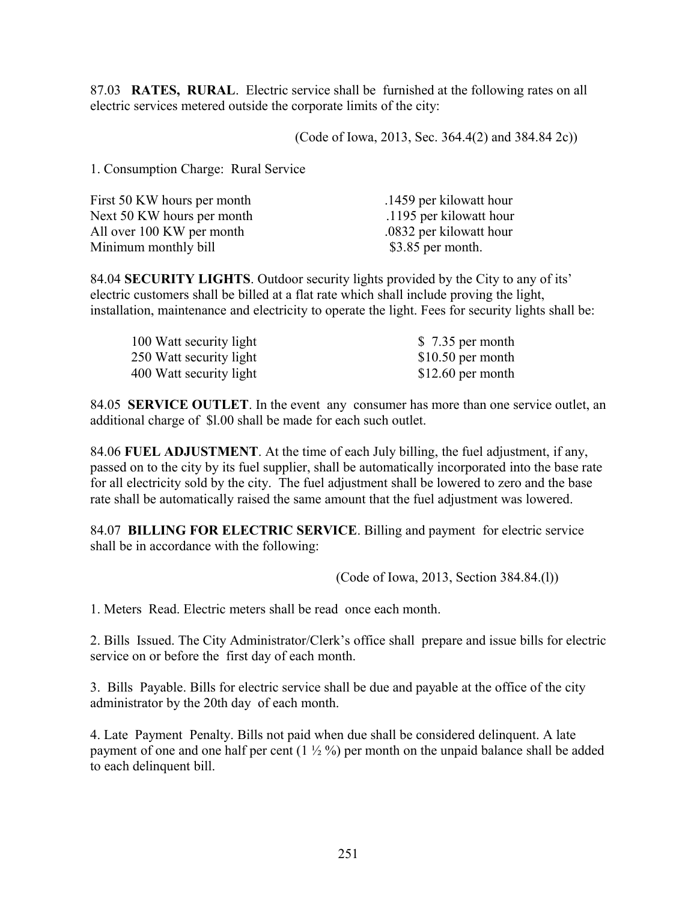87.03 **RATES, RURAL**. Electric service shall be furnished at the following rates on all electric services metered outside the corporate limits of the city:

(Code of Iowa, 2013, Sec. 364.4(2) and 384.84 2c))

1. Consumption Charge: Rural Service

| .1459 per kilowatt hour |
|-------------------------|
| .1195 per kilowatt hour |
| .0832 per kilowatt hour |
| $$3.85$ per month.      |
|                         |

84.04 **SECURITY LIGHTS**. Outdoor security lights provided by the City to any of its' electric customers shall be billed at a flat rate which shall include proving the light, installation, maintenance and electricity to operate the light. Fees for security lights shall be:

| 100 Watt security light | \$7.35 per month   |
|-------------------------|--------------------|
| 250 Watt security light | $$10.50$ per month |
| 400 Watt security light | $$12.60$ per month |

84.05 **SERVICE OUTLET**. In the event any consumer has more than one service outlet, an additional charge of \$l.00 shall be made for each such outlet.

84.06 **FUEL ADJUSTMENT**. At the time of each July billing, the fuel adjustment, if any, passed on to the city by its fuel supplier, shall be automatically incorporated into the base rate for all electricity sold by the city. The fuel adjustment shall be lowered to zero and the base rate shall be automatically raised the same amount that the fuel adjustment was lowered.

84.07 **BILLING FOR ELECTRIC SERVICE**. Billing and payment for electric service shall be in accordance with the following:

(Code of Iowa, 2013, Section 384.84.(l))

1. Meters Read. Electric meters shall be read once each month.

2. Bills Issued. The City Administrator/Clerk's office shall prepare and issue bills for electric service on or before the first day of each month.

3. Bills Payable. Bills for electric service shall be due and payable at the office of the city administrator by the 20th day of each month.

4. Late Payment Penalty. Bills not paid when due shall be considered delinquent. A late payment of one and one half per cent  $(1 \frac{1}{2} \%)$  per month on the unpaid balance shall be added to each delinquent bill.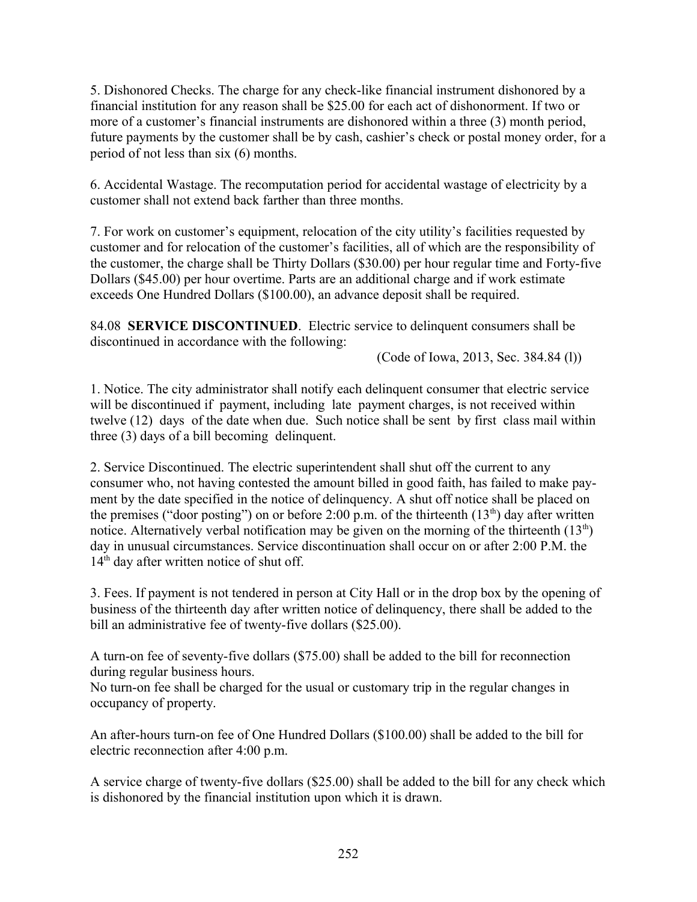5. Dishonored Checks. The charge for any check-like financial instrument dishonored by a financial institution for any reason shall be \$25.00 for each act of dishonorment. If two or more of a customer's financial instruments are dishonored within a three (3) month period, future payments by the customer shall be by cash, cashier's check or postal money order, for a period of not less than six (6) months.

6. Accidental Wastage. The recomputation period for accidental wastage of electricity by a customer shall not extend back farther than three months.

7. For work on customer's equipment, relocation of the city utility's facilities requested by customer and for relocation of the customer's facilities, all of which are the responsibility of the customer, the charge shall be Thirty Dollars (\$30.00) per hour regular time and Forty-five Dollars (\$45.00) per hour overtime. Parts are an additional charge and if work estimate exceeds One Hundred Dollars (\$100.00), an advance deposit shall be required.

84.08 **SERVICE DISCONTINUED**. Electric service to delinquent consumers shall be discontinued in accordance with the following:

(Code of Iowa, 2013, Sec. 384.84 (l))

1. Notice. The city administrator shall notify each delinquent consumer that electric service will be discontinued if payment, including late payment charges, is not received within twelve (12) days of the date when due. Such notice shall be sent by first class mail within three (3) days of a bill becoming delinquent.

2. Service Discontinued. The electric superintendent shall shut off the current to any consumer who, not having contested the amount billed in good faith, has failed to make payment by the date specified in the notice of delinquency. A shut off notice shall be placed on the premises ("door posting") on or before 2:00 p.m. of the thirteenth  $(13<sup>th</sup>)$  day after written notice. Alternatively verbal notification may be given on the morning of the thirteenth  $(13<sup>th</sup>)$ day in unusual circumstances. Service discontinuation shall occur on or after 2:00 P.M. the  $14<sup>th</sup>$  day after written notice of shut off.

3. Fees. If payment is not tendered in person at City Hall or in the drop box by the opening of business of the thirteenth day after written notice of delinquency, there shall be added to the bill an administrative fee of twenty-five dollars (\$25.00).

A turn-on fee of seventy-five dollars (\$75.00) shall be added to the bill for reconnection during regular business hours.

No turn-on fee shall be charged for the usual or customary trip in the regular changes in occupancy of property.

An after-hours turn-on fee of One Hundred Dollars (\$100.00) shall be added to the bill for electric reconnection after 4:00 p.m.

A service charge of twenty-five dollars (\$25.00) shall be added to the bill for any check which is dishonored by the financial institution upon which it is drawn.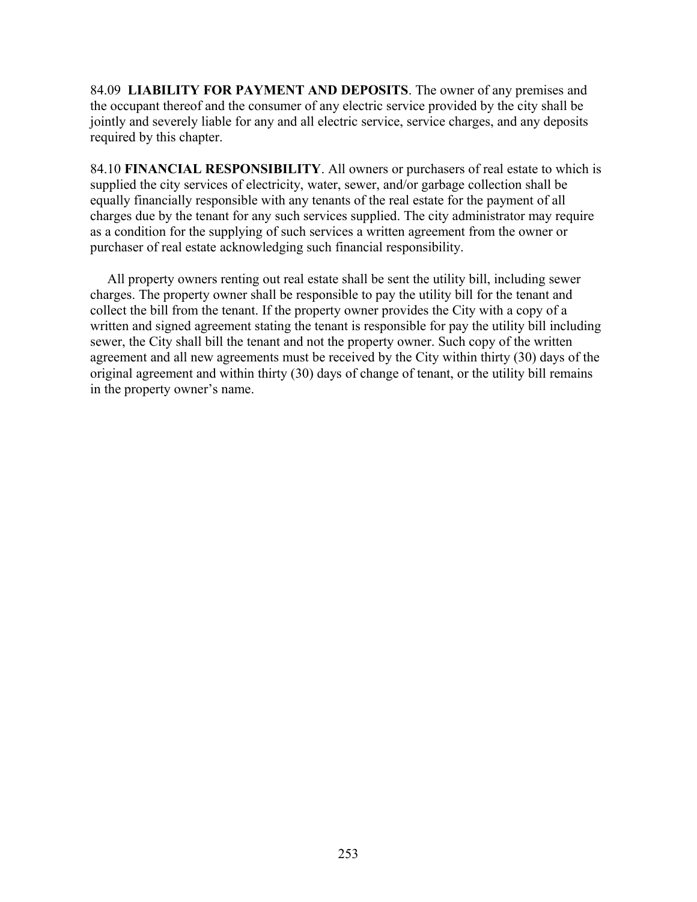84.09 **LIABILITY FOR PAYMENT AND DEPOSITS**. The owner of any premises and the occupant thereof and the consumer of any electric service provided by the city shall be jointly and severely liable for any and all electric service, service charges, and any deposits required by this chapter.

84.10 **FINANCIAL RESPONSIBILITY**. All owners or purchasers of real estate to which is supplied the city services of electricity, water, sewer, and/or garbage collection shall be equally financially responsible with any tenants of the real estate for the payment of all charges due by the tenant for any such services supplied. The city administrator may require as a condition for the supplying of such services a written agreement from the owner or purchaser of real estate acknowledging such financial responsibility.

 All property owners renting out real estate shall be sent the utility bill, including sewer charges. The property owner shall be responsible to pay the utility bill for the tenant and collect the bill from the tenant. If the property owner provides the City with a copy of a written and signed agreement stating the tenant is responsible for pay the utility bill including sewer, the City shall bill the tenant and not the property owner. Such copy of the written agreement and all new agreements must be received by the City within thirty (30) days of the original agreement and within thirty (30) days of change of tenant, or the utility bill remains in the property owner's name.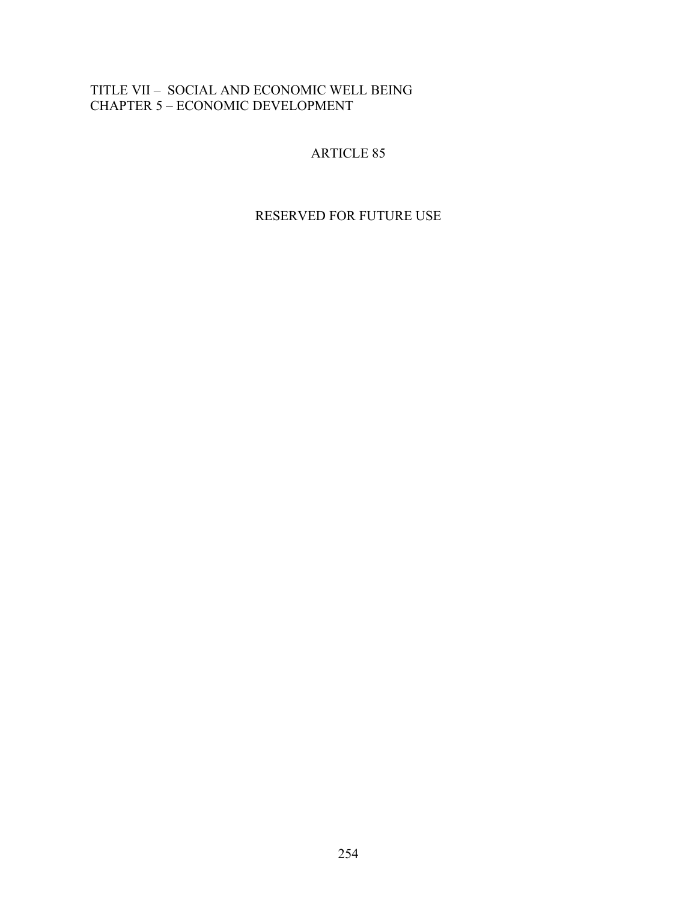# TITLE VII – SOCIAL AND ECONOMIC WELL BEING CHAPTER 5 – ECONOMIC DEVELOPMENT

# ARTICLE 85

# RESERVED FOR FUTURE USE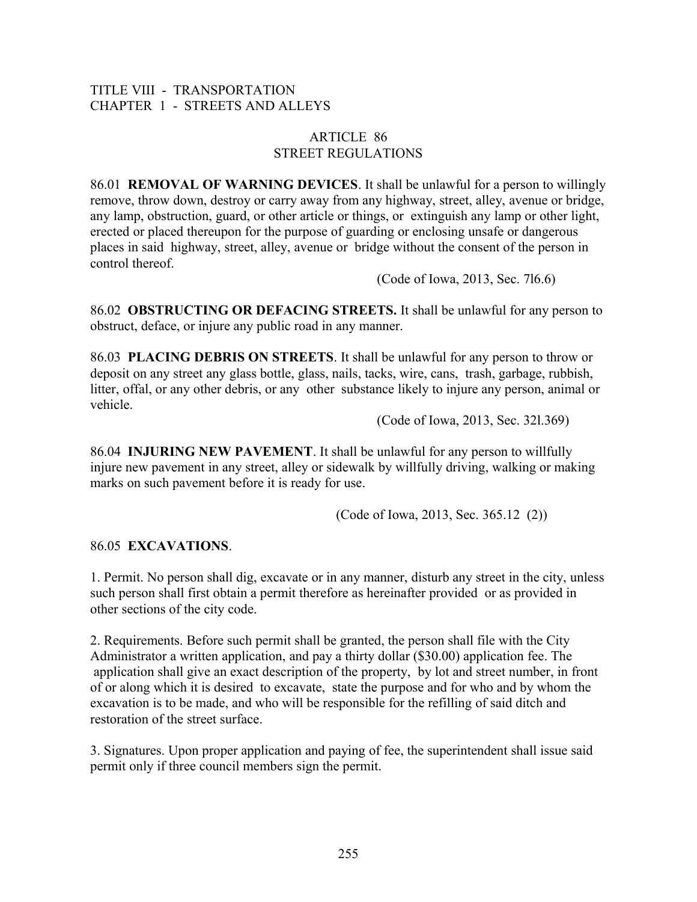## TITLE VIII - TRANSPORTATION CHAPTER 1 - STREETS AND ALLEYS

## ARTICLE 86 STREET REGULATIONS

86.01 **REMOVAL OF WARNING DEVICES**. It shall be unlawful for a person to willingly remove, throw down, destroy or carry away from any highway, street, alley, avenue or bridge, any lamp, obstruction, guard, or other article or things, or extinguish any lamp or other light, erected or placed thereupon for the purpose of guarding or enclosing unsafe or dangerous places in said highway, street, alley, avenue or bridge without the consent of the person in control thereof.

(Code of Iowa, 2013, Sec. 7l6.6)

86.02 **OBSTRUCTING OR DEFACING STREETS.** It shall be unlawful for any person to obstruct, deface, or injure any public road in any manner.

86.03 **PLACING DEBRIS ON STREETS**. It shall be unlawful for any person to throw or deposit on any street any glass bottle, glass, nails, tacks, wire, cans, trash, garbage, rubbish, litter, offal, or any other debris, or any other substance likely to injure any person, animal or vehicle.

(Code of Iowa, 2013, Sec. 32l.369)

86.04 **INJURING NEW PAVEMENT**. It shall be unlawful for any person to willfully injure new pavement in any street, alley or sidewalk by willfully driving, walking or making marks on such pavement before it is ready for use.

(Code of Iowa, 2013, Sec. 365.12 (2))

## 86.05 **EXCAVATIONS**.

1. Permit. No person shall dig, excavate or in any manner, disturb any street in the city, unless such person shall first obtain a permit therefore as hereinafter provided or as provided in other sections of the city code.

2. Requirements. Before such permit shall be granted, the person shall file with the City Administrator a written application, and pay a thirty dollar (\$30.00) application fee. The application shall give an exact description of the property, by lot and street number, in front of or along which it is desired to excavate, state the purpose and for who and by whom the excavation is to be made, and who will be responsible for the refilling of said ditch and restoration of the street surface.

3. Signatures. Upon proper application and paying of fee, the superintendent shall issue said permit only if three council members sign the permit.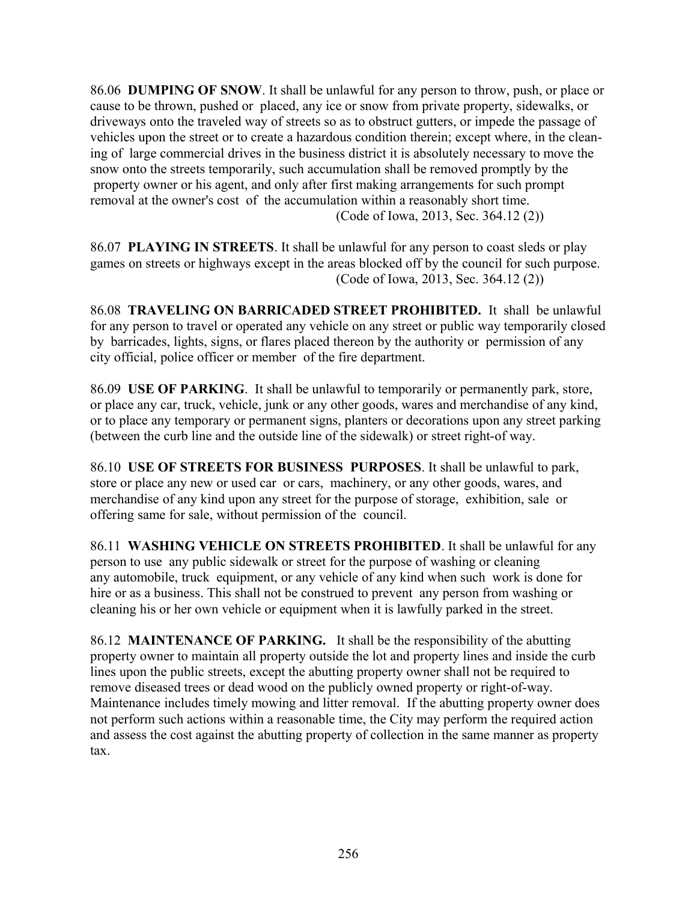86.06 **DUMPING OF SNOW**. It shall be unlawful for any person to throw, push, or place or cause to be thrown, pushed or placed, any ice or snow from private property, sidewalks, or driveways onto the traveled way of streets so as to obstruct gutters, or impede the passage of vehicles upon the street or to create a hazardous condition therein; except where, in the cleaning of large commercial drives in the business district it is absolutely necessary to move the snow onto the streets temporarily, such accumulation shall be removed promptly by the property owner or his agent, and only after first making arrangements for such prompt removal at the owner's cost of the accumulation within a reasonably short time. (Code of Iowa, 2013, Sec. 364.12 (2))

86.07 **PLAYING IN STREETS**. It shall be unlawful for any person to coast sleds or play games on streets or highways except in the areas blocked off by the council for such purpose. (Code of Iowa, 2013, Sec. 364.12 (2))

86.08 **TRAVELING ON BARRICADED STREET PROHIBITED.** It shall be unlawful for any person to travel or operated any vehicle on any street or public way temporarily closed by barricades, lights, signs, or flares placed thereon by the authority or permission of any city official, police officer or member of the fire department.

86.09 **USE OF PARKING**. It shall be unlawful to temporarily or permanently park, store, or place any car, truck, vehicle, junk or any other goods, wares and merchandise of any kind, or to place any temporary or permanent signs, planters or decorations upon any street parking (between the curb line and the outside line of the sidewalk) or street right-of way.

86.10 **USE OF STREETS FOR BUSINESS PURPOSES**. It shall be unlawful to park, store or place any new or used car or cars, machinery, or any other goods, wares, and merchandise of any kind upon any street for the purpose of storage, exhibition, sale or offering same for sale, without permission of the council.

86.11 **WASHING VEHICLE ON STREETS PROHIBITED**. It shall be unlawful for any person to use any public sidewalk or street for the purpose of washing or cleaning any automobile, truck equipment, or any vehicle of any kind when such work is done for hire or as a business. This shall not be construed to prevent any person from washing or cleaning his or her own vehicle or equipment when it is lawfully parked in the street.

86.12 **MAINTENANCE OF PARKING.** It shall be the responsibility of the abutting property owner to maintain all property outside the lot and property lines and inside the curb lines upon the public streets, except the abutting property owner shall not be required to remove diseased trees or dead wood on the publicly owned property or right-of-way. Maintenance includes timely mowing and litter removal. If the abutting property owner does not perform such actions within a reasonable time, the City may perform the required action and assess the cost against the abutting property of collection in the same manner as property tax.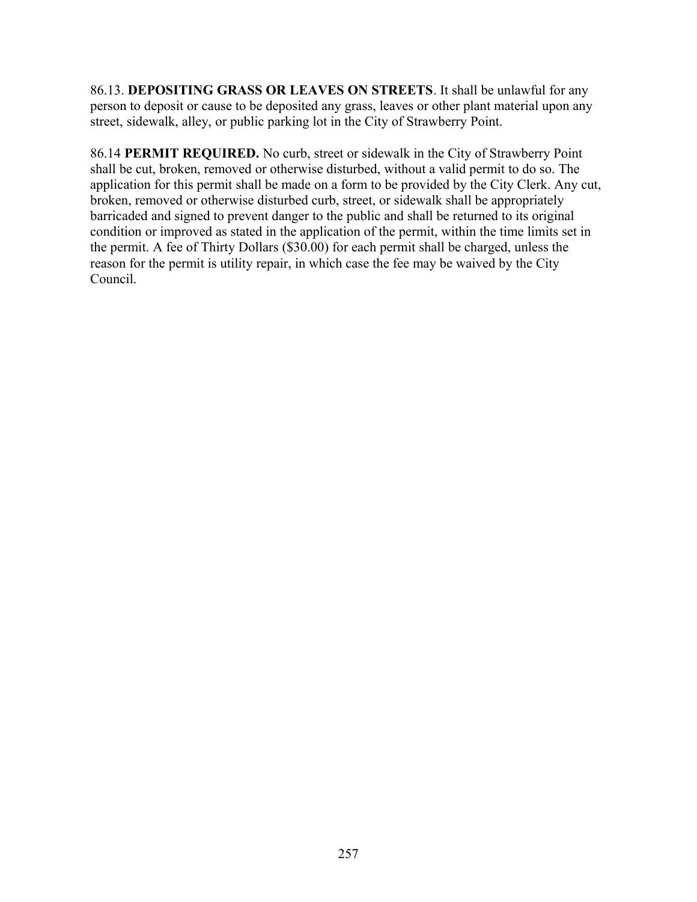86.13. **DEPOSITING GRASS OR LEAVES ON STREETS**. It shall be unlawful for any person to deposit or cause to be deposited any grass, leaves or other plant material upon any street, sidewalk, alley, or public parking lot in the City of Strawberry Point.

86.14 **PERMIT REQUIRED.** No curb, street or sidewalk in the City of Strawberry Point shall be cut, broken, removed or otherwise disturbed, without a valid permit to do so. The application for this permit shall be made on a form to be provided by the City Clerk. Any cut, broken, removed or otherwise disturbed curb, street, or sidewalk shall be appropriately barricaded and signed to prevent danger to the public and shall be returned to its original condition or improved as stated in the application of the permit, within the time limits set in the permit. A fee of Thirty Dollars (\$30.00) for each permit shall be charged, unless the reason for the permit is utility repair, in which case the fee may be waived by the City Council.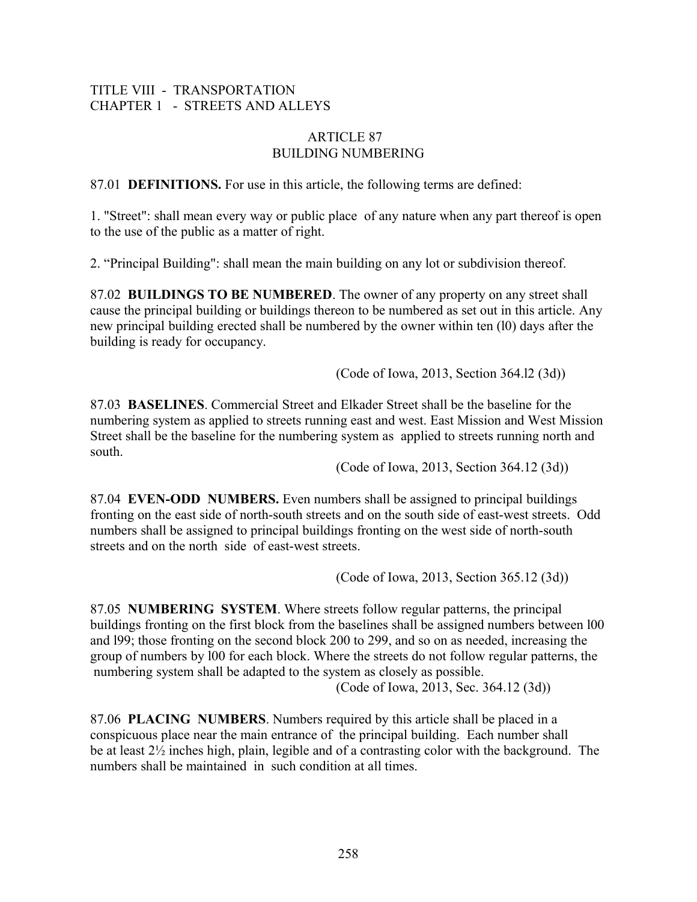## TITLE VIII - TRANSPORTATION CHAPTER 1 - STREETS AND ALLEYS

#### ARTICLE 87 BUILDING NUMBERING

87.01 **DEFINITIONS.** For use in this article, the following terms are defined:

1. "Street": shall mean every way or public place of any nature when any part thereof is open to the use of the public as a matter of right.

2. "Principal Building": shall mean the main building on any lot or subdivision thereof.

87.02 **BUILDINGS TO BE NUMBERED**. The owner of any property on any street shall cause the principal building or buildings thereon to be numbered as set out in this article. Any new principal building erected shall be numbered by the owner within ten (l0) days after the building is ready for occupancy.

(Code of Iowa, 2013, Section 364.l2 (3d))

87.03 **BASELINES**. Commercial Street and Elkader Street shall be the baseline for the numbering system as applied to streets running east and west. East Mission and West Mission Street shall be the baseline for the numbering system as applied to streets running north and south.

(Code of Iowa, 2013, Section 364.12 (3d))

87.04 **EVEN-ODD NUMBERS.** Even numbers shall be assigned to principal buildings fronting on the east side of north-south streets and on the south side of east-west streets. Odd numbers shall be assigned to principal buildings fronting on the west side of north-south streets and on the north side of east-west streets.

(Code of Iowa, 2013, Section 365.12 (3d))

87.05 **NUMBERING SYSTEM**. Where streets follow regular patterns, the principal buildings fronting on the first block from the baselines shall be assigned numbers between l00 and l99; those fronting on the second block 200 to 299, and so on as needed, increasing the group of numbers by l00 for each block. Where the streets do not follow regular patterns, the numbering system shall be adapted to the system as closely as possible.

(Code of Iowa, 2013, Sec. 364.12 (3d))

87.06 **PLACING NUMBERS**. Numbers required by this article shall be placed in a conspicuous place near the main entrance of the principal building. Each number shall be at least 2½ inches high, plain, legible and of a contrasting color with the background. The numbers shall be maintained in such condition at all times.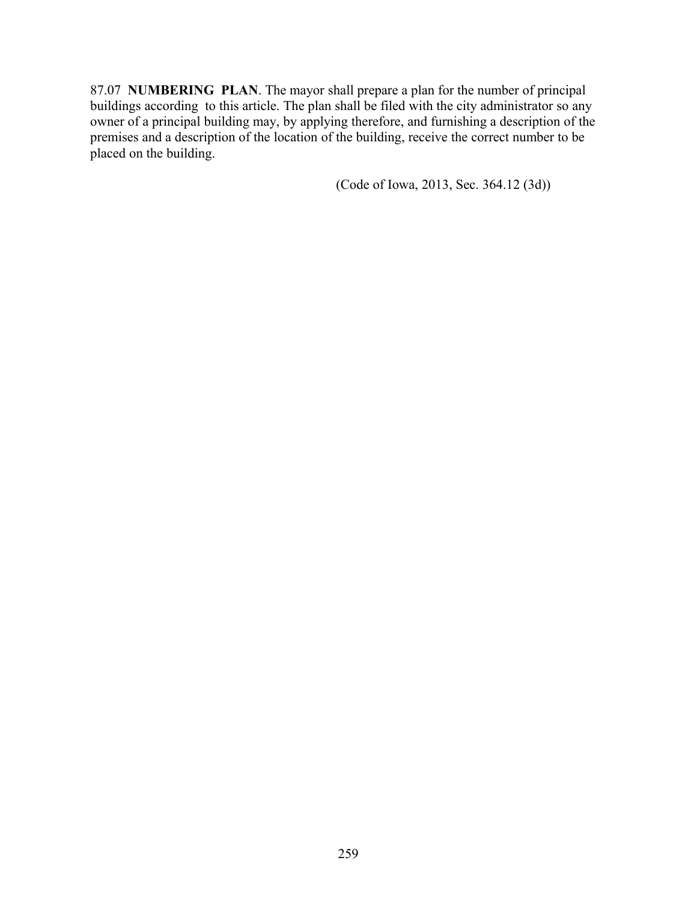87.07 **NUMBERING PLAN**. The mayor shall prepare a plan for the number of principal buildings according to this article. The plan shall be filed with the city administrator so any owner of a principal building may, by applying therefore, and furnishing a description of the premises and a description of the location of the building, receive the correct number to be placed on the building.

(Code of Iowa, 2013, Sec. 364.12 (3d))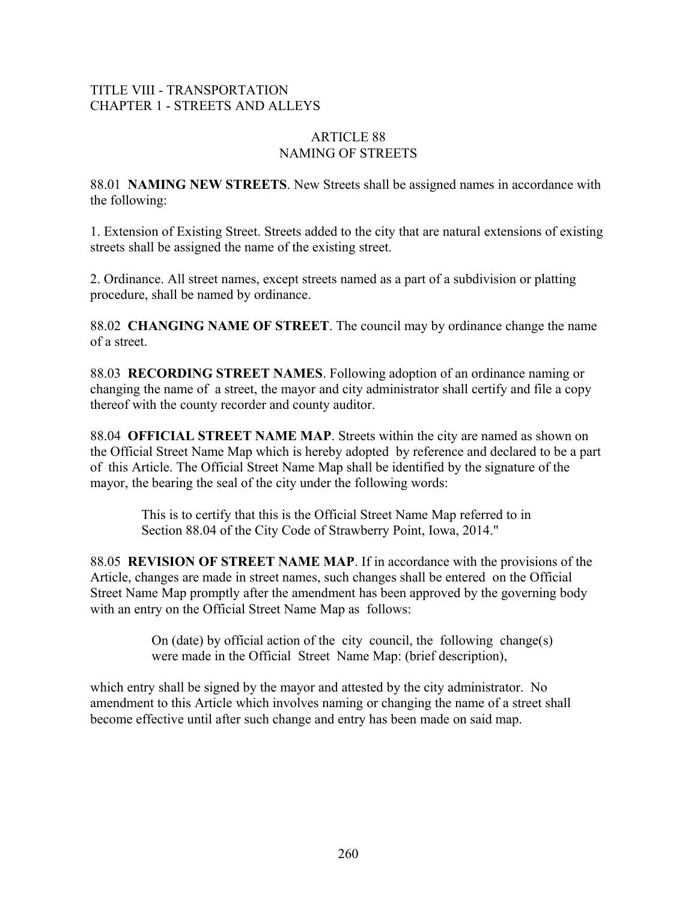## TITLE VIII - TRANSPORTATION CHAPTER 1 - STREETS AND ALLEYS

#### ARTICLE 88 NAMING OF STREETS

88.01 **NAMING NEW STREETS**. New Streets shall be assigned names in accordance with the following:

1. Extension of Existing Street. Streets added to the city that are natural extensions of existing streets shall be assigned the name of the existing street.

2. Ordinance. All street names, except streets named as a part of a subdivision or platting procedure, shall be named by ordinance.

88.02 **CHANGING NAME OF STREET**. The council may by ordinance change the name of a street.

88.03 **RECORDING STREET NAMES**. Following adoption of an ordinance naming or changing the name of a street, the mayor and city administrator shall certify and file a copy thereof with the county recorder and county auditor.

88.04 **OFFICIAL STREET NAME MAP**. Streets within the city are named as shown on the Official Street Name Map which is hereby adopted by reference and declared to be a part of this Article. The Official Street Name Map shall be identified by the signature of the mayor, the bearing the seal of the city under the following words:

 This is to certify that this is the Official Street Name Map referred to in Section 88.04 of the City Code of Strawberry Point, Iowa, 2014."

88.05 **REVISION OF STREET NAME MAP**. If in accordance with the provisions of the Article, changes are made in street names, such changes shall be entered on the Official Street Name Map promptly after the amendment has been approved by the governing body with an entry on the Official Street Name Map as follows:

> On (date) by official action of the city council, the following change(s) were made in the Official Street Name Map: (brief description),

which entry shall be signed by the mayor and attested by the city administrator. No amendment to this Article which involves naming or changing the name of a street shall become effective until after such change and entry has been made on said map.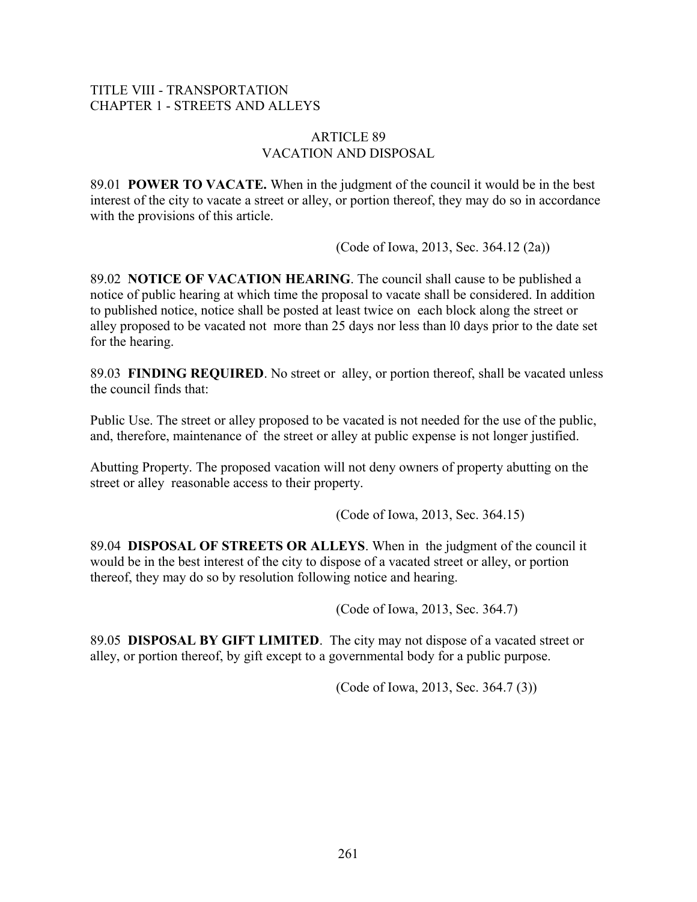## TITLE VIII - TRANSPORTATION CHAPTER 1 - STREETS AND ALLEYS

#### ARTICLE 89 VACATION AND DISPOSAL

89.01 **POWER TO VACATE.** When in the judgment of the council it would be in the best interest of the city to vacate a street or alley, or portion thereof, they may do so in accordance with the provisions of this article.

(Code of Iowa, 2013, Sec. 364.12 (2a))

89.02 **NOTICE OF VACATION HEARING**. The council shall cause to be published a notice of public hearing at which time the proposal to vacate shall be considered. In addition to published notice, notice shall be posted at least twice on each block along the street or alley proposed to be vacated not more than 25 days nor less than l0 days prior to the date set for the hearing.

89.03 **FINDING REQUIRED**. No street or alley, or portion thereof, shall be vacated unless the council finds that:

Public Use. The street or alley proposed to be vacated is not needed for the use of the public, and, therefore, maintenance of the street or alley at public expense is not longer justified.

Abutting Property. The proposed vacation will not deny owners of property abutting on the street or alley reasonable access to their property.

(Code of Iowa, 2013, Sec. 364.15)

89.04 **DISPOSAL OF STREETS OR ALLEYS**. When in the judgment of the council it would be in the best interest of the city to dispose of a vacated street or alley, or portion thereof, they may do so by resolution following notice and hearing.

(Code of Iowa, 2013, Sec. 364.7)

89.05 **DISPOSAL BY GIFT LIMITED**. The city may not dispose of a vacated street or alley, or portion thereof, by gift except to a governmental body for a public purpose.

(Code of Iowa, 2013, Sec. 364.7 (3))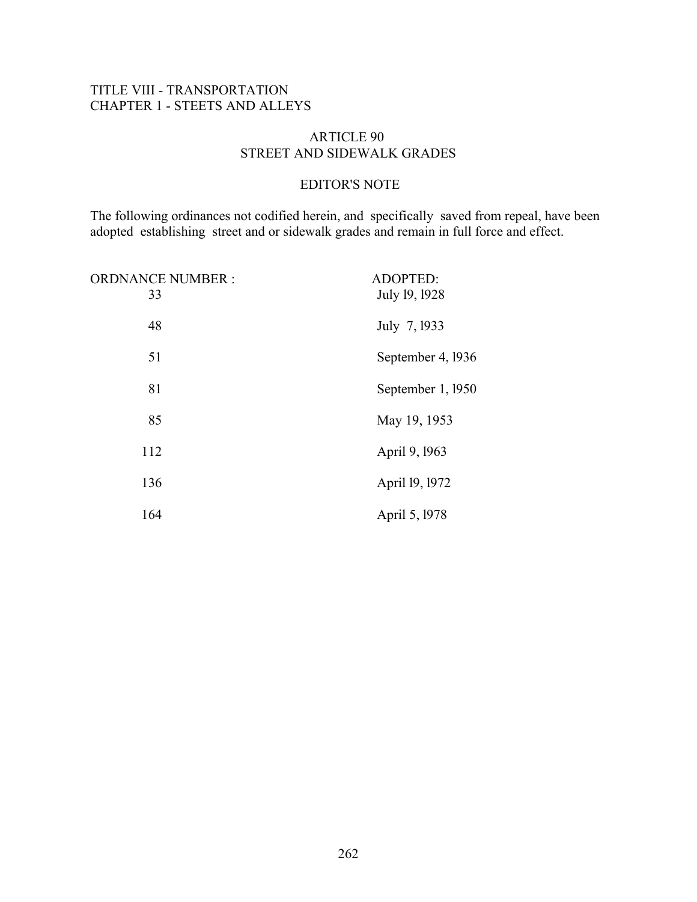## TITLE VIII - TRANSPORTATION CHAPTER 1 - STEETS AND ALLEYS

#### ARTICLE 90 STREET AND SIDEWALK GRADES

#### EDITOR'S NOTE

The following ordinances not codified herein, and specifically saved from repeal, have been adopted establishing street and or sidewalk grades and remain in full force and effect.

| <b>ORDNANCE NUMBER:</b><br>33 | ADOPTED:<br>July 19, 1928 |
|-------------------------------|---------------------------|
| 48                            | July 7, 1933              |
| 51                            | September 4, 1936         |
| 81                            | September 1, 1950         |
| 85                            | May 19, 1953              |
| 112                           | April 9, 1963             |
| 136                           | April 19, 1972            |
| 164                           | April 5, 1978             |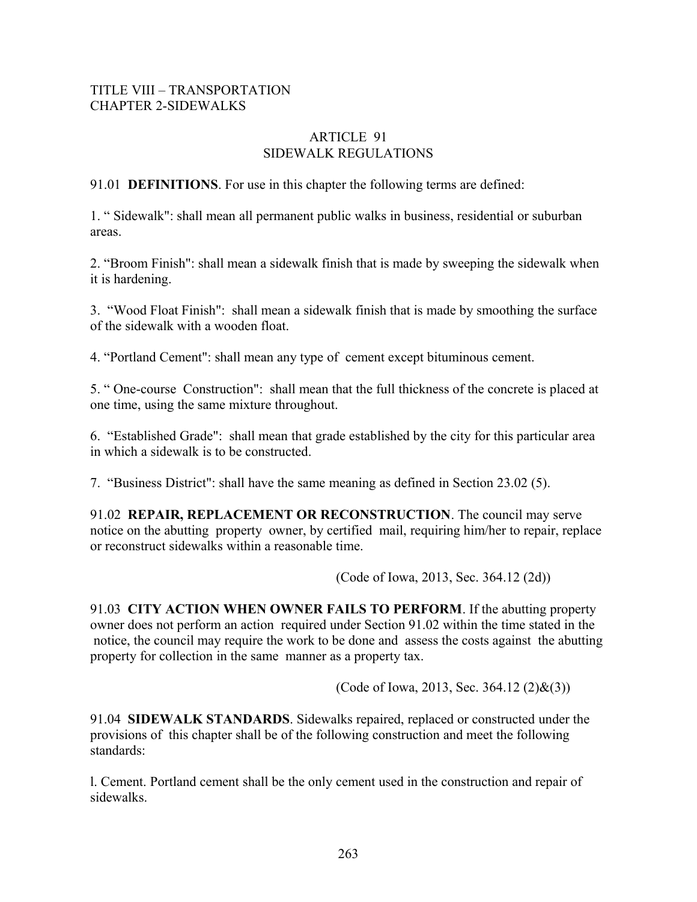#### TITLE VIII – TRANSPORTATION CHAPTER 2-SIDEWALKS

#### ARTICLE 91 SIDEWALK REGULATIONS

91.01 **DEFINITIONS**. For use in this chapter the following terms are defined:

1. " Sidewalk": shall mean all permanent public walks in business, residential or suburban areas.

2. "Broom Finish": shall mean a sidewalk finish that is made by sweeping the sidewalk when it is hardening.

3. "Wood Float Finish": shall mean a sidewalk finish that is made by smoothing the surface of the sidewalk with a wooden float.

4. "Portland Cement": shall mean any type of cement except bituminous cement.

5. " One-course Construction": shall mean that the full thickness of the concrete is placed at one time, using the same mixture throughout.

6. "Established Grade": shall mean that grade established by the city for this particular area in which a sidewalk is to be constructed.

7. "Business District": shall have the same meaning as defined in Section 23.02 (5).

91.02 **REPAIR, REPLACEMENT OR RECONSTRUCTION**. The council may serve notice on the abutting property owner, by certified mail, requiring him/her to repair, replace or reconstruct sidewalks within a reasonable time.

(Code of Iowa, 2013, Sec. 364.12 (2d))

91.03 **CITY ACTION WHEN OWNER FAILS TO PERFORM**. If the abutting property owner does not perform an action required under Section 91.02 within the time stated in the notice, the council may require the work to be done and assess the costs against the abutting property for collection in the same manner as a property tax.

(Code of Iowa, 2013, Sec. 364.12 (2)&(3))

91.04 **SIDEWALK STANDARDS**. Sidewalks repaired, replaced or constructed under the provisions of this chapter shall be of the following construction and meet the following standards:

l. Cement. Portland cement shall be the only cement used in the construction and repair of sidewalks.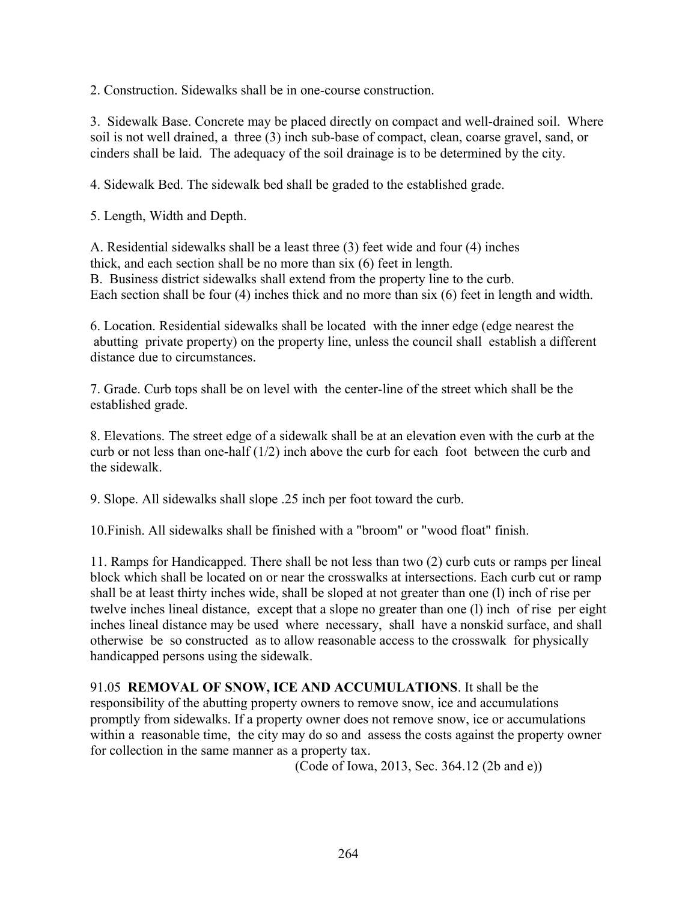2. Construction. Sidewalks shall be in one-course construction.

3. Sidewalk Base. Concrete may be placed directly on compact and well-drained soil. Where soil is not well drained, a three (3) inch sub-base of compact, clean, coarse gravel, sand, or cinders shall be laid. The adequacy of the soil drainage is to be determined by the city.

4. Sidewalk Bed. The sidewalk bed shall be graded to the established grade.

5. Length, Width and Depth.

A. Residential sidewalks shall be a least three (3) feet wide and four (4) inches thick, and each section shall be no more than six (6) feet in length. B. Business district sidewalks shall extend from the property line to the curb. Each section shall be four (4) inches thick and no more than six (6) feet in length and width.

6. Location. Residential sidewalks shall be located with the inner edge (edge nearest the abutting private property) on the property line, unless the council shall establish a different distance due to circumstances.

7. Grade. Curb tops shall be on level with the center-line of the street which shall be the established grade.

8. Elevations. The street edge of a sidewalk shall be at an elevation even with the curb at the curb or not less than one-half (1/2) inch above the curb for each foot between the curb and the sidewalk.

9. Slope. All sidewalks shall slope .25 inch per foot toward the curb.

10.Finish. All sidewalks shall be finished with a "broom" or "wood float" finish.

11. Ramps for Handicapped. There shall be not less than two (2) curb cuts or ramps per lineal block which shall be located on or near the crosswalks at intersections. Each curb cut or ramp shall be at least thirty inches wide, shall be sloped at not greater than one (l) inch of rise per twelve inches lineal distance, except that a slope no greater than one (l) inch of rise per eight inches lineal distance may be used where necessary, shall have a nonskid surface, and shall otherwise be so constructed as to allow reasonable access to the crosswalk for physically handicapped persons using the sidewalk.

91.05 **REMOVAL OF SNOW, ICE AND ACCUMULATIONS**. It shall be the responsibility of the abutting property owners to remove snow, ice and accumulations promptly from sidewalks. If a property owner does not remove snow, ice or accumulations within a reasonable time, the city may do so and assess the costs against the property owner for collection in the same manner as a property tax.

(Code of Iowa, 2013, Sec. 364.12 (2b and e))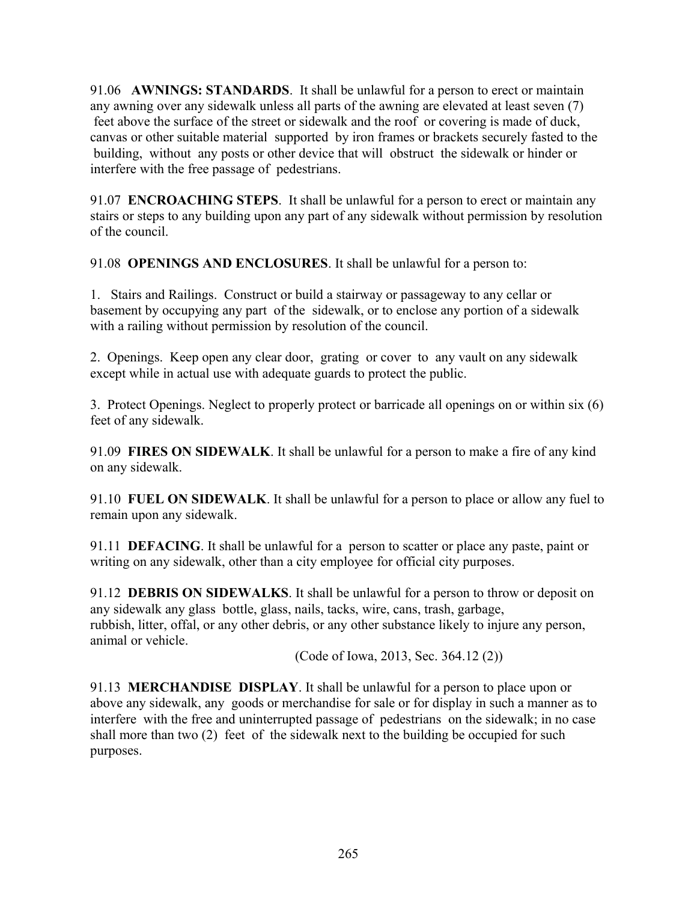91.06 **AWNINGS: STANDARDS**. It shall be unlawful for a person to erect or maintain any awning over any sidewalk unless all parts of the awning are elevated at least seven (7) feet above the surface of the street or sidewalk and the roof or covering is made of duck, canvas or other suitable material supported by iron frames or brackets securely fasted to the building, without any posts or other device that will obstruct the sidewalk or hinder or interfere with the free passage of pedestrians.

91.07 **ENCROACHING STEPS**. It shall be unlawful for a person to erect or maintain any stairs or steps to any building upon any part of any sidewalk without permission by resolution of the council.

91.08 **OPENINGS AND ENCLOSURES**. It shall be unlawful for a person to:

1. Stairs and Railings. Construct or build a stairway or passageway to any cellar or basement by occupying any part of the sidewalk, or to enclose any portion of a sidewalk with a railing without permission by resolution of the council.

2. Openings. Keep open any clear door, grating or cover to any vault on any sidewalk except while in actual use with adequate guards to protect the public.

3. Protect Openings. Neglect to properly protect or barricade all openings on or within six (6) feet of any sidewalk.

91.09 **FIRES ON SIDEWALK**. It shall be unlawful for a person to make a fire of any kind on any sidewalk.

91.10 **FUEL ON SIDEWALK**. It shall be unlawful for a person to place or allow any fuel to remain upon any sidewalk.

91.11 **DEFACING**. It shall be unlawful for a person to scatter or place any paste, paint or writing on any sidewalk, other than a city employee for official city purposes.

91.12 **DEBRIS ON SIDEWALKS**. It shall be unlawful for a person to throw or deposit on any sidewalk any glass bottle, glass, nails, tacks, wire, cans, trash, garbage, rubbish, litter, offal, or any other debris, or any other substance likely to injure any person, animal or vehicle.

(Code of Iowa, 2013, Sec. 364.12 (2))

91.13 **MERCHANDISE DISPLAY**. It shall be unlawful for a person to place upon or above any sidewalk, any goods or merchandise for sale or for display in such a manner as to interfere with the free and uninterrupted passage of pedestrians on the sidewalk; in no case shall more than two (2) feet of the sidewalk next to the building be occupied for such purposes.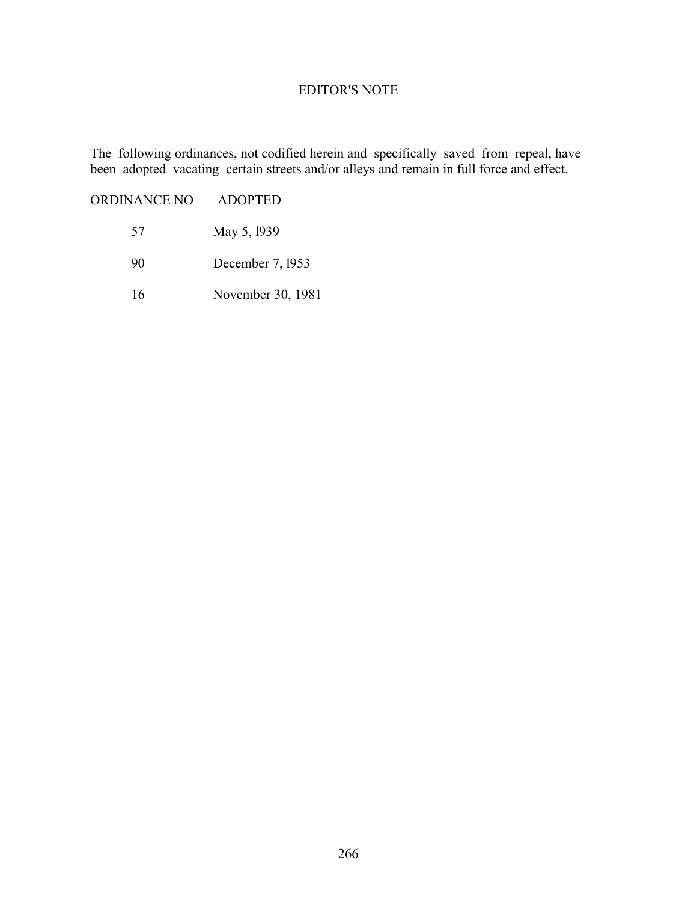#### EDITOR'S NOTE

The following ordinances, not codified herein and specifically saved from repeal, have been adopted vacating certain streets and/or alleys and remain in full force and effect.

ORDINANCE NO ADOPTED

- 57 May 5, l939
- 90 December 7, l953
- 16 November 30, 1981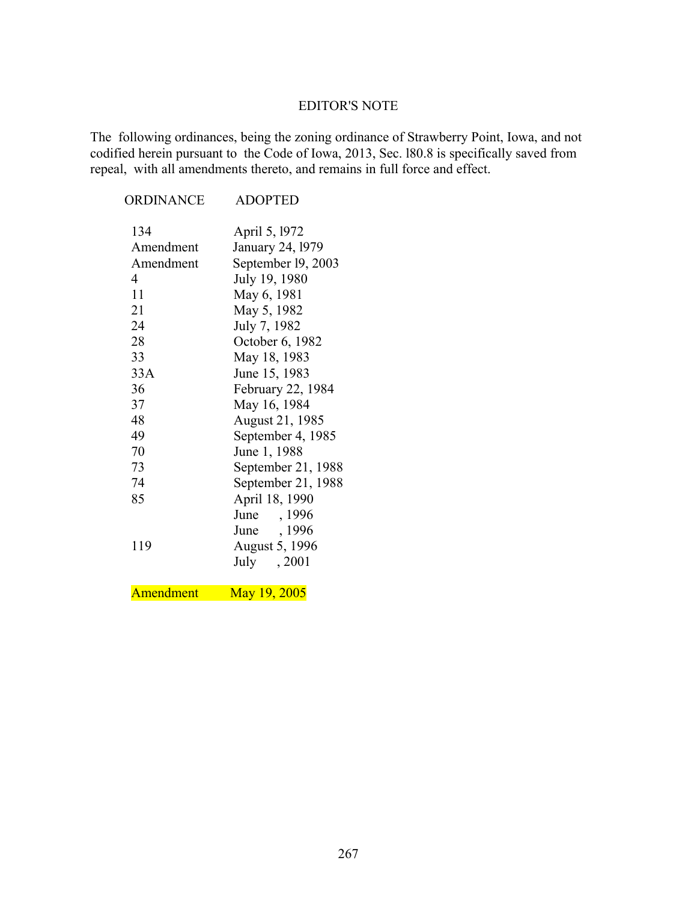#### EDITOR'S NOTE

The following ordinances, being the zoning ordinance of Strawberry Point, Iowa, and not codified herein pursuant to the Code of Iowa, 2013, Sec. l80.8 is specifically saved from repeal, with all amendments thereto, and remains in full force and effect.

| ORDINANCE                                                                                             | <b>ADOPTED</b>                                                                                                                                                                                                                                                          |
|-------------------------------------------------------------------------------------------------------|-------------------------------------------------------------------------------------------------------------------------------------------------------------------------------------------------------------------------------------------------------------------------|
| 134<br>Amendment<br>Amendment<br>4<br>11<br>21<br>24<br>28<br>33<br>33A<br>36<br>37<br>48<br>49<br>70 | April 5, 1972<br>January 24, 1979<br>September 19, 2003<br>July 19, 1980<br>May 6, 1981<br>May 5, 1982<br>July 7, 1982<br>October 6, 1982<br>May 18, 1983<br>June 15, 1983<br>February 22, 1984<br>May 16, 1984<br>August 21, 1985<br>September 4, 1985<br>June 1, 1988 |
|                                                                                                       |                                                                                                                                                                                                                                                                         |
| 73<br>74                                                                                              | September 21, 1988<br>September 21, 1988                                                                                                                                                                                                                                |
| 85                                                                                                    | April 18, 1990                                                                                                                                                                                                                                                          |
| 119                                                                                                   | June , 1996<br>June , 1996<br>August 5, 1996<br>July , 2001                                                                                                                                                                                                             |

Amendment May 19, 2005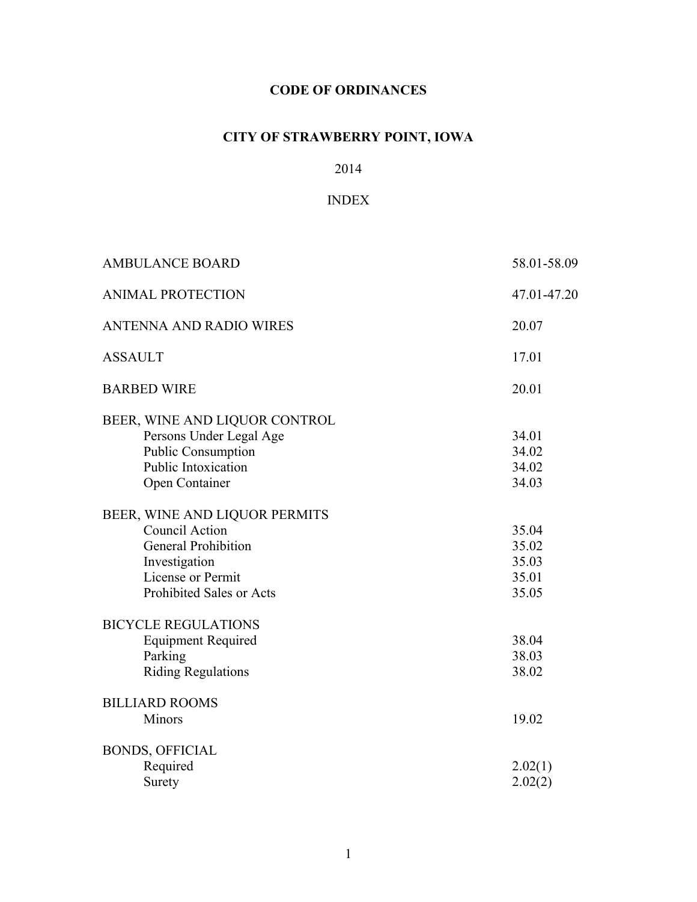# **CODE OF ORDINANCES**

# **CITY OF STRAWBERRY POINT, IOWA**

# 2014

## INDEX

| <b>AMBULANCE BOARD</b>                                                                                                                                 | 58.01-58.09                               |
|--------------------------------------------------------------------------------------------------------------------------------------------------------|-------------------------------------------|
| <b>ANIMAL PROTECTION</b>                                                                                                                               | 47.01-47.20                               |
| <b>ANTENNA AND RADIO WIRES</b>                                                                                                                         | 20.07                                     |
| <b>ASSAULT</b>                                                                                                                                         | 17.01                                     |
| <b>BARBED WIRE</b>                                                                                                                                     | 20.01                                     |
| BEER, WINE AND LIQUOR CONTROL<br>Persons Under Legal Age<br><b>Public Consumption</b><br>Public Intoxication<br>Open Container                         | 34.01<br>34.02<br>34.02<br>34.03          |
| BEER, WINE AND LIQUOR PERMITS<br><b>Council Action</b><br><b>General Prohibition</b><br>Investigation<br>License or Permit<br>Prohibited Sales or Acts | 35.04<br>35.02<br>35.03<br>35.01<br>35.05 |
| <b>BICYCLE REGULATIONS</b><br><b>Equipment Required</b><br>Parking<br><b>Riding Regulations</b>                                                        | 38.04<br>38.03<br>38.02                   |
| <b>BILLIARD ROOMS</b><br><b>Minors</b>                                                                                                                 | 19.02                                     |
| <b>BONDS, OFFICIAL</b><br>Required<br>Surety                                                                                                           | 2.02(1)<br>2.02(2)                        |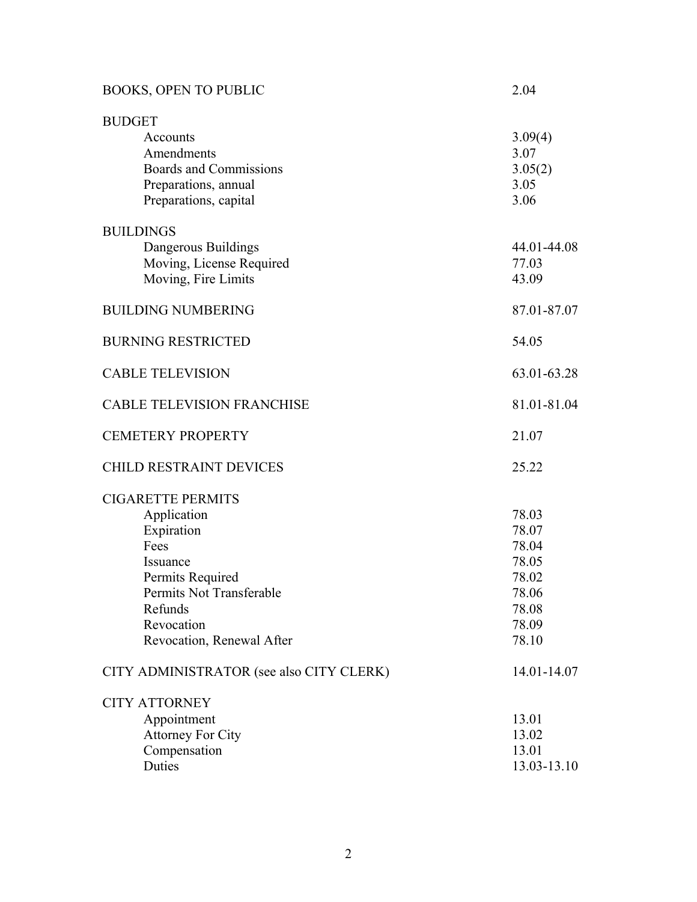| <b>BOOKS, OPEN TO PUBLIC</b>                                                                                                                                                    | 2.04                                                                          |
|---------------------------------------------------------------------------------------------------------------------------------------------------------------------------------|-------------------------------------------------------------------------------|
| <b>BUDGET</b><br>Accounts<br>Amendments<br><b>Boards and Commissions</b><br>Preparations, annual<br>Preparations, capital                                                       | 3.09(4)<br>3.07<br>3.05(2)<br>3.05<br>3.06                                    |
| <b>BUILDINGS</b><br>Dangerous Buildings<br>Moving, License Required<br>Moving, Fire Limits                                                                                      | 44.01-44.08<br>77.03<br>43.09                                                 |
| <b>BUILDING NUMBERING</b>                                                                                                                                                       | 87.01-87.07                                                                   |
| <b>BURNING RESTRICTED</b>                                                                                                                                                       | 54.05                                                                         |
| <b>CABLE TELEVISION</b>                                                                                                                                                         | 63.01-63.28                                                                   |
| <b>CABLE TELEVISION FRANCHISE</b>                                                                                                                                               | 81.01-81.04                                                                   |
| <b>CEMETERY PROPERTY</b>                                                                                                                                                        | 21.07                                                                         |
| <b>CHILD RESTRAINT DEVICES</b>                                                                                                                                                  | 25.22                                                                         |
| <b>CIGARETTE PERMITS</b><br>Application<br>Expiration<br>Fees<br>Issuance<br>Permits Required<br>Permits Not Transferable<br>Refunds<br>Revocation<br>Revocation, Renewal After | 78.03<br>78.07<br>78.04<br>78.05<br>78.02<br>78.06<br>78.08<br>78.09<br>78.10 |
| CITY ADMINISTRATOR (see also CITY CLERK)                                                                                                                                        | 14.01-14.07                                                                   |
| <b>CITY ATTORNEY</b><br>Appointment<br><b>Attorney For City</b><br>Compensation<br>Duties                                                                                       | 13.01<br>13.02<br>13.01<br>13.03-13.10                                        |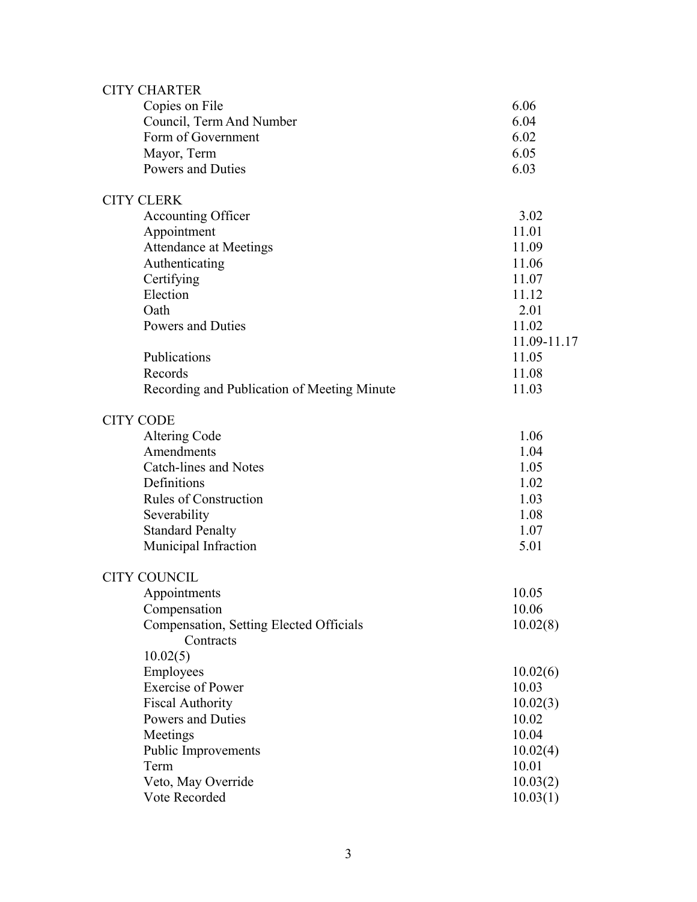| <b>CITY CHARTER</b>                                  |             |
|------------------------------------------------------|-------------|
| Copies on File                                       | 6.06        |
| Council, Term And Number                             | 6.04        |
| Form of Government                                   | 6.02        |
| Mayor, Term                                          | 6.05        |
| Powers and Duties                                    | 6.03        |
| <b>CITY CLERK</b>                                    |             |
| Accounting Officer                                   | 3.02        |
| Appointment                                          | 11.01       |
| <b>Attendance at Meetings</b>                        | 11.09       |
| Authenticating                                       | 11.06       |
| Certifying                                           | 11.07       |
| Election                                             | 11.12       |
| Oath                                                 | 2.01        |
| Powers and Duties                                    | 11.02       |
|                                                      | 11.09-11.17 |
| Publications                                         | 11.05       |
| Records                                              | 11.08       |
| Recording and Publication of Meeting Minute          | 11.03       |
| <b>CITY CODE</b>                                     |             |
| Altering Code                                        | 1.06        |
| Amendments                                           | 1.04        |
| <b>Catch-lines and Notes</b>                         | 1.05        |
| Definitions                                          | 1.02        |
| <b>Rules of Construction</b>                         | 1.03        |
|                                                      | 1.08        |
| Severability                                         | 1.07        |
| <b>Standard Penalty</b>                              |             |
| Municipal Infraction                                 | 5.01        |
| <b>CITY COUNCIL</b>                                  |             |
| Appointments                                         | 10.05       |
| Compensation                                         | 10.06       |
| Compensation, Setting Elected Officials<br>Contracts | 10.02(8)    |
| 10.02(5)                                             |             |
| Employees                                            | 10.02(6)    |
| <b>Exercise of Power</b>                             | 10.03       |
| <b>Fiscal Authority</b>                              | 10.02(3)    |
| Powers and Duties                                    | 10.02       |
| Meetings                                             | 10.04       |
| <b>Public Improvements</b>                           | 10.02(4)    |
| Term                                                 | 10.01       |
| Veto, May Override                                   | 10.03(2)    |
| Vote Recorded                                        | 10.03(1)    |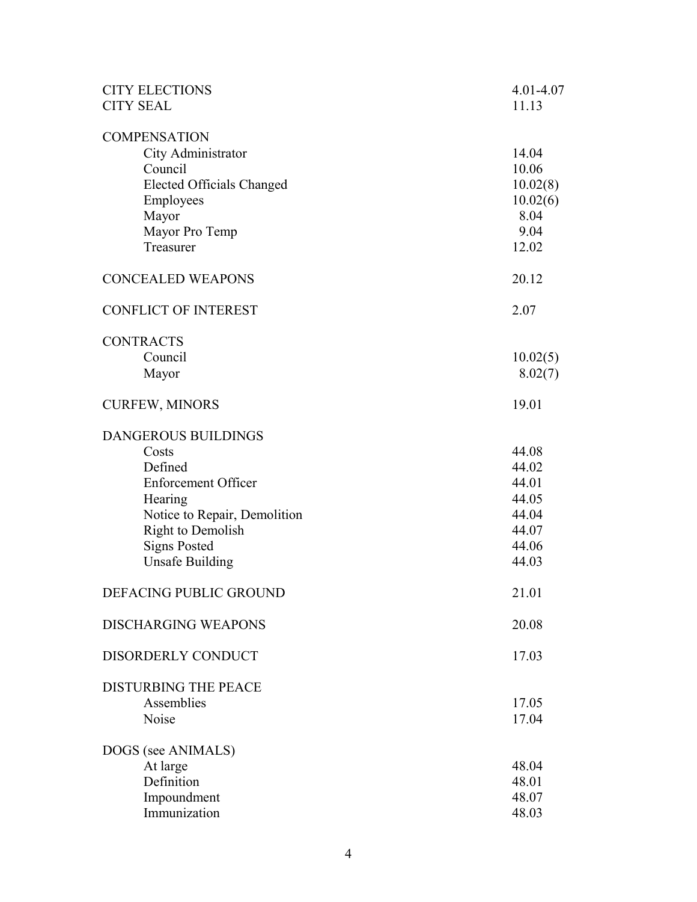| <b>CITY ELECTIONS</b><br><b>CITY SEAL</b> | 4.01-4.07<br>11.13 |
|-------------------------------------------|--------------------|
|                                           |                    |
| <b>COMPENSATION</b>                       |                    |
| City Administrator                        | 14.04              |
| Council                                   | 10.06              |
| <b>Elected Officials Changed</b>          | 10.02(8)           |
| Employees                                 | 10.02(6)           |
| Mayor                                     | 8.04               |
| Mayor Pro Temp                            | 9.04               |
| Treasurer                                 | 12.02              |
| <b>CONCEALED WEAPONS</b>                  | 20.12              |
| <b>CONFLICT OF INTEREST</b>               | 2.07               |
| <b>CONTRACTS</b>                          |                    |
| Council                                   | 10.02(5)           |
| Mayor                                     | 8.02(7)            |
| <b>CURFEW, MINORS</b>                     | 19.01              |
| <b>DANGEROUS BUILDINGS</b>                |                    |
| Costs                                     | 44.08              |
| Defined                                   | 44.02              |
| <b>Enforcement Officer</b>                | 44.01              |
| Hearing                                   | 44.05              |
| Notice to Repair, Demolition              | 44.04              |
| Right to Demolish                         | 44.07              |
| <b>Signs Posted</b>                       | 44.06              |
| <b>Unsafe Building</b>                    | 44.03              |
| DEFACING PUBLIC GROUND                    | 21.01              |
| <b>DISCHARGING WEAPONS</b>                | 20.08              |
| DISORDERLY CONDUCT                        | 17.03              |
| <b>DISTURBING THE PEACE</b>               |                    |
| Assemblies                                | 17.05              |
| Noise                                     | 17.04              |
| DOGS (see ANIMALS)                        |                    |
| At large                                  | 48.04              |
| Definition                                | 48.01              |
| Impoundment                               | 48.07              |
| Immunization                              | 48.03              |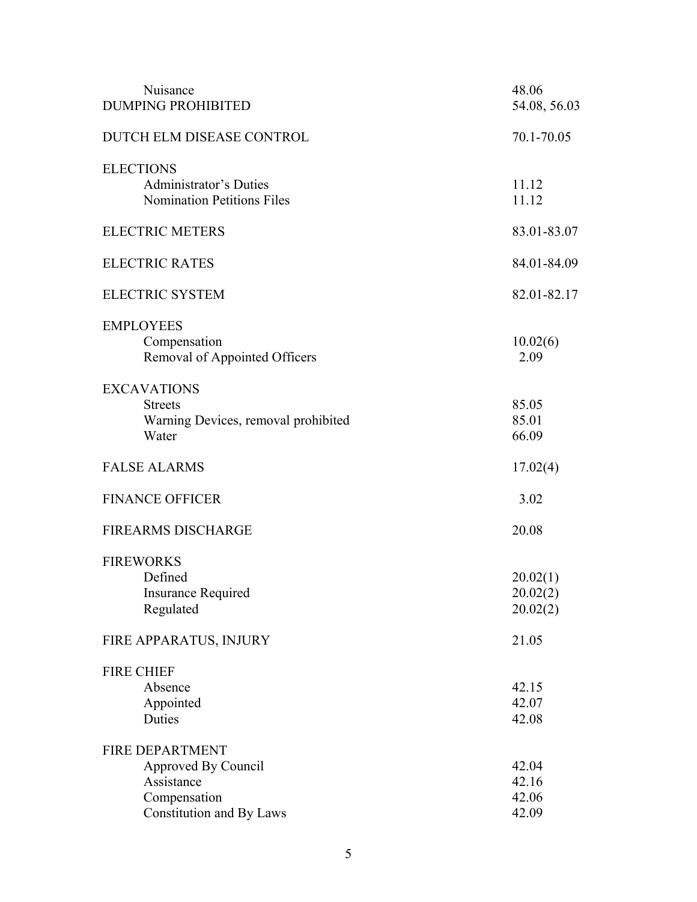| Nuisance<br><b>DUMPING PROHIBITED</b>                                                                   | 48.06<br>54.08, 56.03            |
|---------------------------------------------------------------------------------------------------------|----------------------------------|
| DUTCH ELM DISEASE CONTROL                                                                               | 70.1-70.05                       |
| <b>ELECTIONS</b><br><b>Administrator's Duties</b><br><b>Nomination Petitions Files</b>                  | 11.12<br>11.12                   |
| <b>ELECTRIC METERS</b>                                                                                  | 83.01-83.07                      |
| <b>ELECTRIC RATES</b>                                                                                   | 84.01-84.09                      |
| <b>ELECTRIC SYSTEM</b>                                                                                  | 82.01-82.17                      |
| <b>EMPLOYEES</b><br>Compensation<br>Removal of Appointed Officers                                       | 10.02(6)<br>2.09                 |
| <b>EXCAVATIONS</b><br><b>Streets</b><br>Warning Devices, removal prohibited<br>Water                    | 85.05<br>85.01<br>66.09          |
| <b>FALSE ALARMS</b>                                                                                     | 17.02(4)                         |
| <b>FINANCE OFFICER</b>                                                                                  | 3.02                             |
| <b>FIREARMS DISCHARGE</b>                                                                               | 20.08                            |
| <b>FIREWORKS</b><br>Defined<br><b>Insurance Required</b><br>Regulated                                   | 20.02(1)<br>20.02(2)<br>20.02(2) |
| FIRE APPARATUS, INJURY                                                                                  | 21.05                            |
| <b>FIRE CHIEF</b><br>Absence<br>Appointed<br>Duties                                                     | 42.15<br>42.07<br>42.08          |
| <b>FIRE DEPARTMENT</b><br>Approved By Council<br>Assistance<br>Compensation<br>Constitution and By Laws | 42.04<br>42.16<br>42.06<br>42.09 |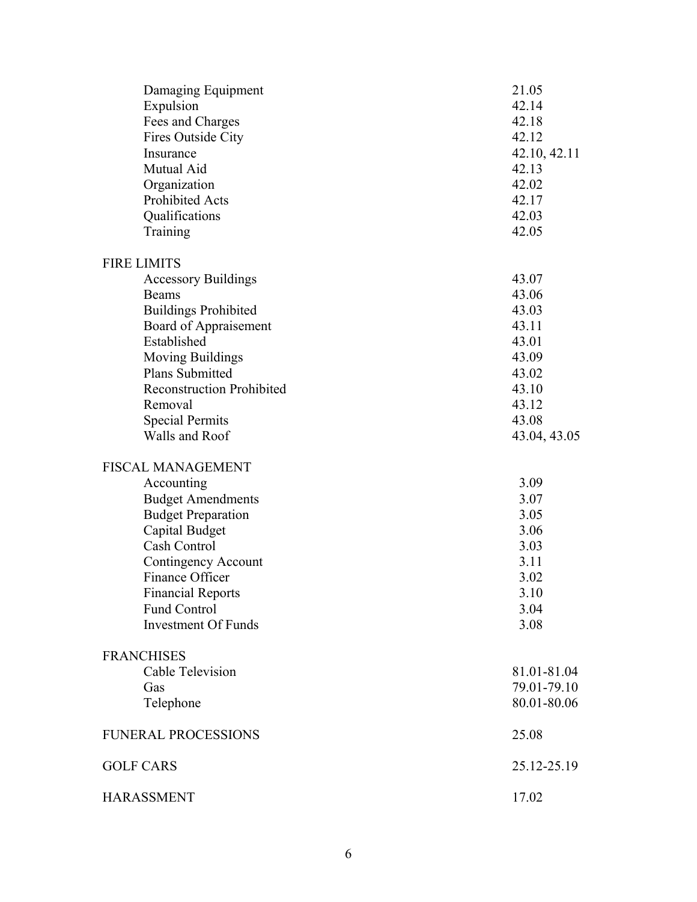| Damaging Equipment               | 21.05        |
|----------------------------------|--------------|
| Expulsion                        | 42.14        |
| Fees and Charges                 | 42.18        |
| Fires Outside City               | 42.12        |
| Insurance                        | 42.10, 42.11 |
| Mutual Aid                       | 42.13        |
| Organization                     | 42.02        |
| Prohibited Acts                  | 42.17        |
| Qualifications                   | 42.03        |
| Training                         | 42.05        |
| <b>FIRE LIMITS</b>               |              |
| <b>Accessory Buildings</b>       | 43.07        |
| Beams                            | 43.06        |
| <b>Buildings Prohibited</b>      | 43.03        |
| Board of Appraisement            | 43.11        |
| Established                      | 43.01        |
| <b>Moving Buildings</b>          | 43.09        |
| Plans Submitted                  | 43.02        |
| <b>Reconstruction Prohibited</b> | 43.10        |
| Removal                          | 43.12        |
| <b>Special Permits</b>           | 43.08        |
| Walls and Roof                   | 43.04, 43.05 |
| <b>FISCAL MANAGEMENT</b>         |              |
| Accounting                       | 3.09         |
| <b>Budget Amendments</b>         | 3.07         |
| <b>Budget Preparation</b>        | 3.05         |
| Capital Budget                   | 3.06         |
| Cash Control                     | 3.03         |
| Contingency Account              | 3.11         |
| Finance Officer                  | 3.02         |
| <b>Financial Reports</b>         | 3.10         |
| <b>Fund Control</b>              | 3.04         |
| <b>Investment Of Funds</b>       | 3.08         |
| <b>FRANCHISES</b>                |              |
| Cable Television                 | 81.01-81.04  |
| Gas                              | 79.01-79.10  |
| Telephone                        | 80.01-80.06  |
| <b>FUNERAL PROCESSIONS</b>       | 25.08        |
| <b>GOLF CARS</b>                 | 25.12-25.19  |
| <b>HARASSMENT</b>                | 17.02        |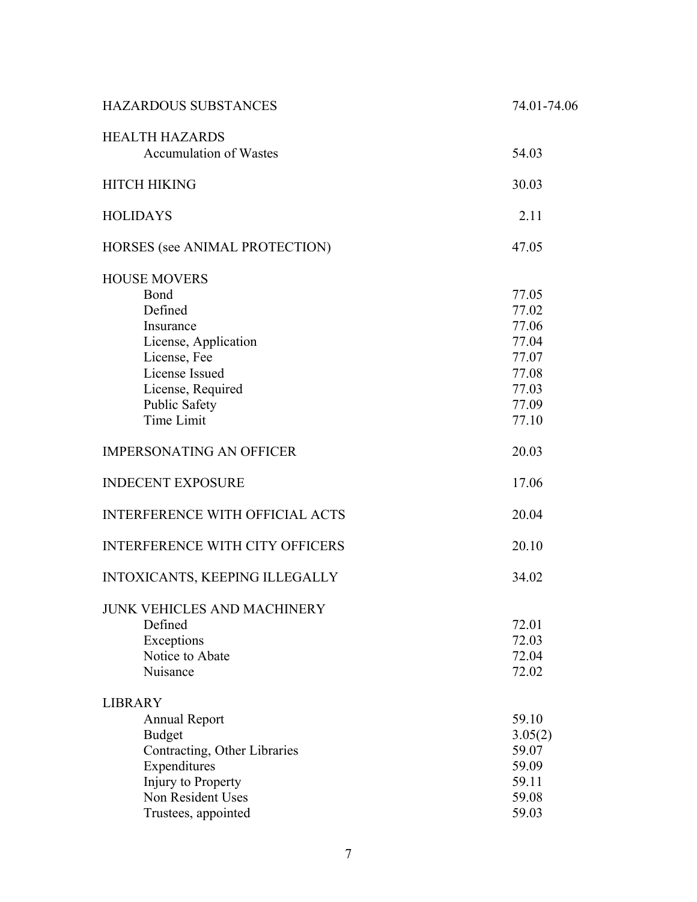| <b>HAZARDOUS SUBSTANCES</b>                                                                                                                                              | 74.01-74.06                                                                   |
|--------------------------------------------------------------------------------------------------------------------------------------------------------------------------|-------------------------------------------------------------------------------|
| <b>HEALTH HAZARDS</b><br><b>Accumulation of Wastes</b>                                                                                                                   | 54.03                                                                         |
| <b>HITCH HIKING</b>                                                                                                                                                      | 30.03                                                                         |
| <b>HOLIDAYS</b>                                                                                                                                                          | 2.11                                                                          |
| HORSES (see ANIMAL PROTECTION)                                                                                                                                           | 47.05                                                                         |
| <b>HOUSE MOVERS</b><br>Bond<br>Defined<br>Insurance<br>License, Application<br>License, Fee<br>License Issued<br>License, Required<br><b>Public Safety</b><br>Time Limit | 77.05<br>77.02<br>77.06<br>77.04<br>77.07<br>77.08<br>77.03<br>77.09<br>77.10 |
| <b>IMPERSONATING AN OFFICER</b>                                                                                                                                          | 20.03                                                                         |
| <b>INDECENT EXPOSURE</b>                                                                                                                                                 | 17.06                                                                         |
| <b>INTERFERENCE WITH OFFICIAL ACTS</b>                                                                                                                                   | 20.04                                                                         |
| <b>INTERFERENCE WITH CITY OFFICERS</b>                                                                                                                                   | 20.10                                                                         |
| INTOXICANTS, KEEPING ILLEGALLY                                                                                                                                           | 34.02                                                                         |
| JUNK VEHICLES AND MACHINERY<br>Defined<br>Exceptions<br>Notice to Abate<br>Nuisance                                                                                      | 72.01<br>72.03<br>72.04<br>72.02                                              |
| <b>LIBRARY</b><br><b>Annual Report</b><br><b>Budget</b><br>Contracting, Other Libraries<br>Expenditures<br>Injury to Property<br>Non Resident Uses                       | 59.10<br>3.05(2)<br>59.07<br>59.09<br>59.11<br>59.08                          |
| Trustees, appointed                                                                                                                                                      | 59.03                                                                         |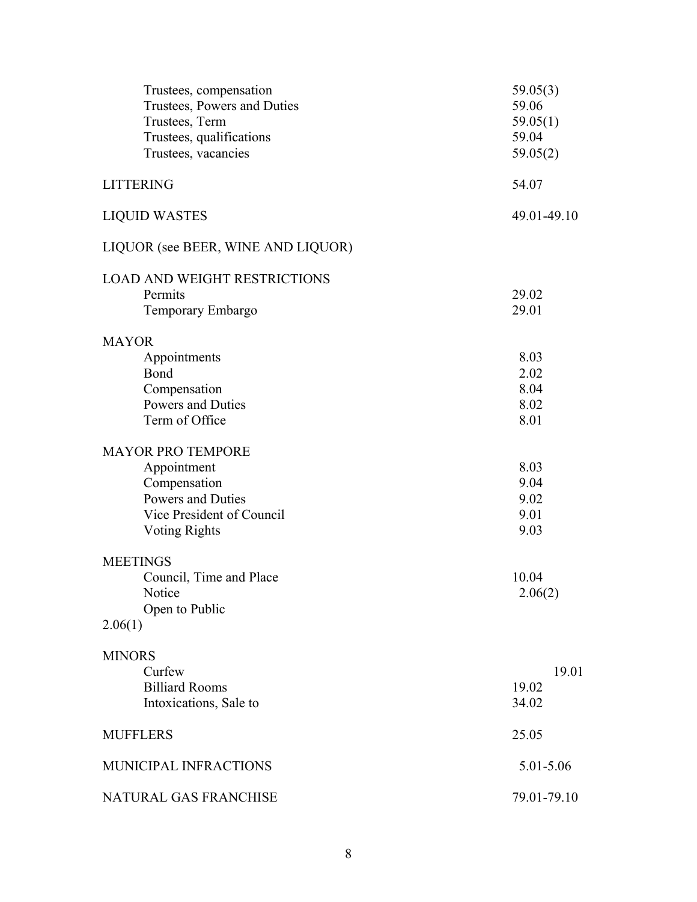| Trustees, compensation<br>Trustees, Powers and Duties | 59.05(3)<br>59.06 |
|-------------------------------------------------------|-------------------|
| Trustees, Term                                        | 59.05(1)          |
| Trustees, qualifications                              | 59.04             |
| Trustees, vacancies                                   | 59.05(2)          |
|                                                       |                   |
| <b>LITTERING</b>                                      | 54.07             |
| <b>LIQUID WASTES</b>                                  | 49.01-49.10       |
| LIQUOR (see BEER, WINE AND LIQUOR)                    |                   |
| <b>LOAD AND WEIGHT RESTRICTIONS</b>                   |                   |
| Permits                                               | 29.02             |
| Temporary Embargo                                     | 29.01             |
| <b>MAYOR</b>                                          |                   |
| Appointments                                          | 8.03              |
| Bond                                                  | 2.02              |
| Compensation                                          | 8.04              |
| <b>Powers and Duties</b>                              | 8.02              |
| Term of Office                                        | 8.01              |
| <b>MAYOR PRO TEMPORE</b>                              |                   |
| Appointment                                           | 8.03              |
| Compensation                                          | 9.04              |
| Powers and Duties                                     | 9.02              |
| Vice President of Council                             | 9.01              |
| <b>Voting Rights</b>                                  | 9.03              |
| <b>MEETINGS</b>                                       |                   |
| Council, Time and Place                               | 10.04             |
| Notice                                                | 2.06(2)           |
| Open to Public                                        |                   |
| 2.06(1)                                               |                   |
| <b>MINORS</b>                                         |                   |
| Curfew                                                | 19.01             |
| <b>Billiard Rooms</b>                                 | 19.02             |
| Intoxications, Sale to                                | 34.02             |
| <b>MUFFLERS</b>                                       | 25.05             |
| MUNICIPAL INFRACTIONS                                 | 5.01-5.06         |
| NATURAL GAS FRANCHISE                                 | 79.01-79.10       |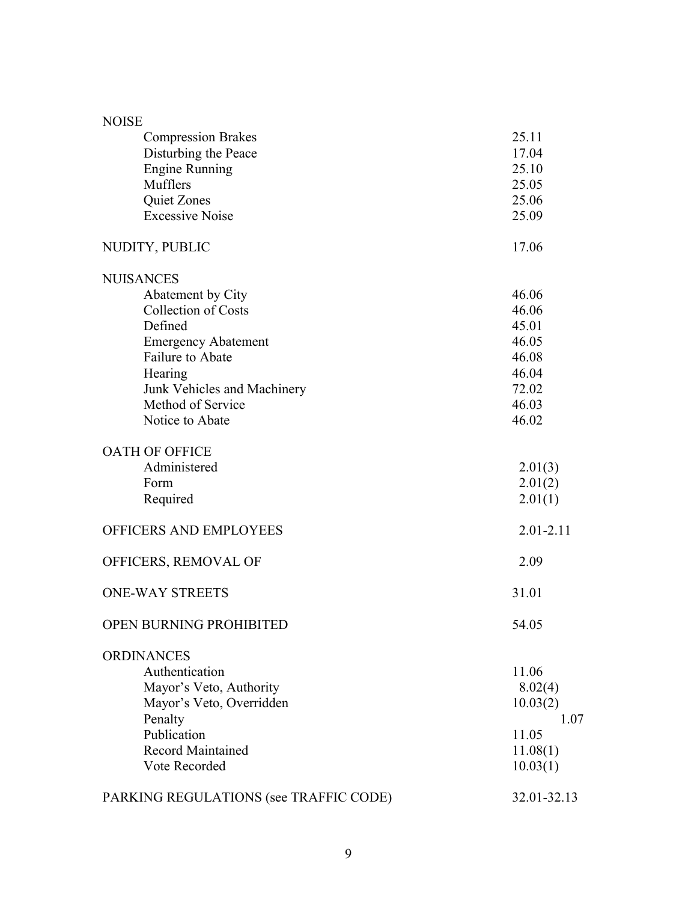| <b>NOISE</b>                           |               |
|----------------------------------------|---------------|
| <b>Compression Brakes</b>              | 25.11         |
| Disturbing the Peace                   | 17.04         |
| <b>Engine Running</b>                  | 25.10         |
| Mufflers                               | 25.05         |
| Quiet Zones                            | 25.06         |
| <b>Excessive Noise</b>                 | 25.09         |
| NUDITY, PUBLIC                         | 17.06         |
| <b>NUISANCES</b>                       |               |
| Abatement by City                      | 46.06         |
| <b>Collection of Costs</b>             | 46.06         |
| Defined                                | 45.01         |
| <b>Emergency Abatement</b>             | 46.05         |
| <b>Failure to Abate</b>                | 46.08         |
| Hearing                                | 46.04         |
| Junk Vehicles and Machinery            | 72.02         |
| Method of Service                      | 46.03         |
| Notice to Abate                        | 46.02         |
| <b>OATH OF OFFICE</b>                  |               |
| Administered                           | 2.01(3)       |
| Form                                   | 2.01(2)       |
| Required                               | 2.01(1)       |
| OFFICERS AND EMPLOYEES                 | $2.01 - 2.11$ |
| OFFICERS, REMOVAL OF                   | 2.09          |
| <b>ONE-WAY STREETS</b>                 | 31.01         |
| OPEN BURNING PROHIBITED                | 54.05         |
| <b>ORDINANCES</b>                      |               |
| Authentication                         | 11.06         |
| Mayor's Veto, Authority                | 8.02(4)       |
| Mayor's Veto, Overridden               | 10.03(2)      |
| Penalty                                | 1.07          |
| Publication                            | 11.05         |
| <b>Record Maintained</b>               | 11.08(1)      |
| Vote Recorded                          | 10.03(1)      |
| PARKING REGULATIONS (see TRAFFIC CODE) | 32.01-32.13   |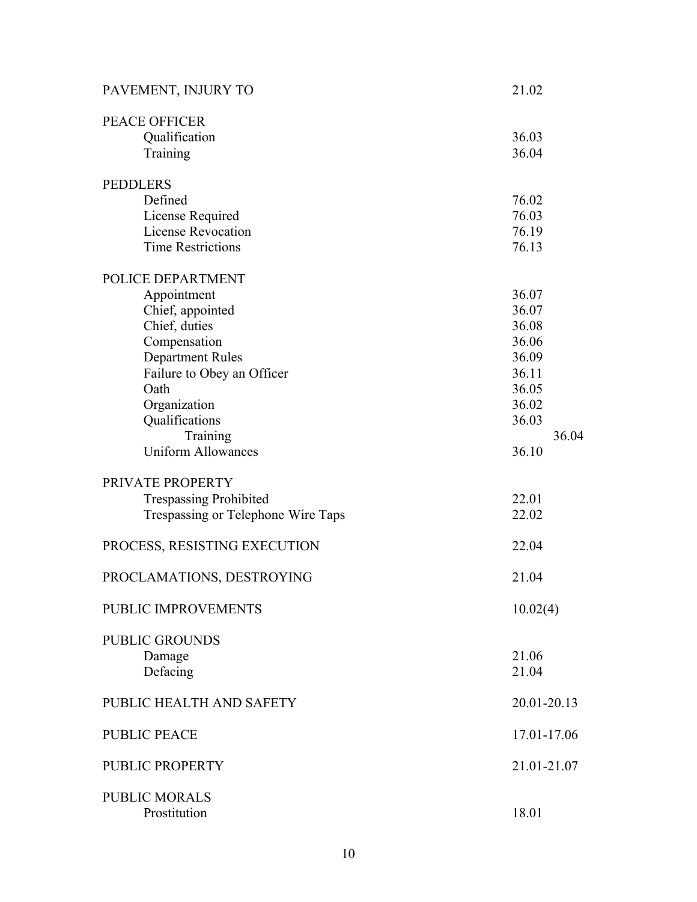| PAVEMENT, INJURY TO                | 21.02       |
|------------------------------------|-------------|
| <b>PEACE OFFICER</b>               |             |
| Qualification                      | 36.03       |
| Training                           | 36.04       |
| <b>PEDDLERS</b>                    |             |
| Defined                            | 76.02       |
| License Required                   | 76.03       |
| <b>License Revocation</b>          | 76.19       |
| <b>Time Restrictions</b>           | 76.13       |
| POLICE DEPARTMENT                  |             |
| Appointment                        | 36.07       |
| Chief, appointed                   | 36.07       |
| Chief, duties                      | 36.08       |
| Compensation                       | 36.06       |
| <b>Department Rules</b>            | 36.09       |
| Failure to Obey an Officer         | 36.11       |
| Oath                               | 36.05       |
| Organization                       | 36.02       |
| Qualifications                     | 36.03       |
| Training                           | 36.04       |
| <b>Uniform Allowances</b>          | 36.10       |
| PRIVATE PROPERTY                   |             |
| <b>Trespassing Prohibited</b>      | 22.01       |
| Trespassing or Telephone Wire Taps | 22.02       |
|                                    |             |
| PROCESS, RESISTING EXECUTION       | 22.04       |
| PROCLAMATIONS, DESTROYING          | 21.04       |
| PUBLIC IMPROVEMENTS                | 10.02(4)    |
| <b>PUBLIC GROUNDS</b>              |             |
| Damage                             | 21.06       |
| Defacing                           | 21.04       |
| PUBLIC HEALTH AND SAFETY           | 20.01-20.13 |
| <b>PUBLIC PEACE</b>                | 17.01-17.06 |
| PUBLIC PROPERTY                    | 21.01-21.07 |
| <b>PUBLIC MORALS</b>               |             |
| Prostitution                       | 18.01       |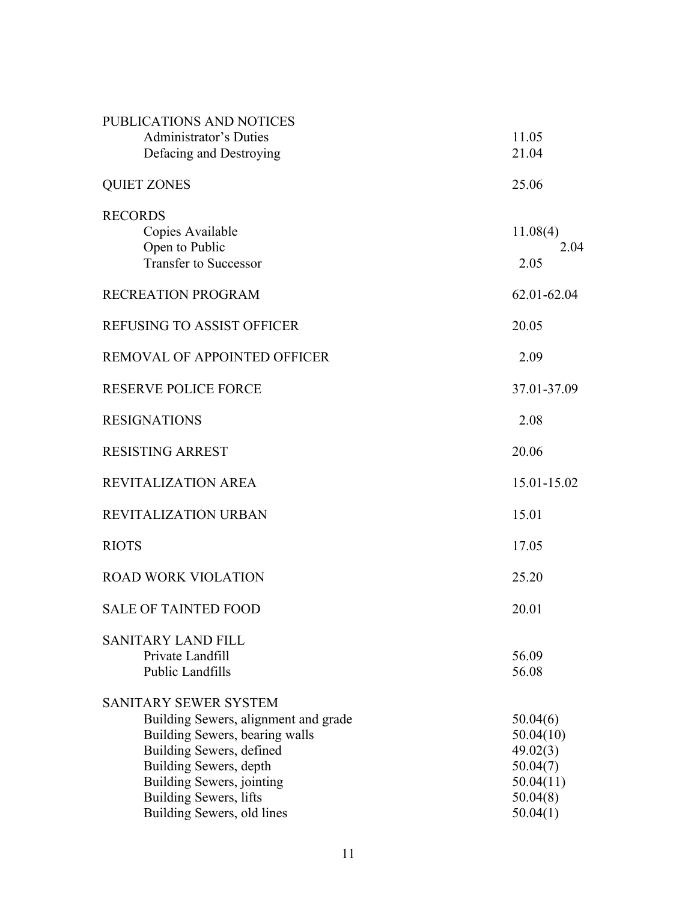| PUBLICATIONS AND NOTICES<br><b>Administrator's Duties</b><br>Defacing and Destroying                                                                                                                                                              | 11.05<br>21.04                                                                     |
|---------------------------------------------------------------------------------------------------------------------------------------------------------------------------------------------------------------------------------------------------|------------------------------------------------------------------------------------|
| <b>QUIET ZONES</b>                                                                                                                                                                                                                                | 25.06                                                                              |
| <b>RECORDS</b><br>Copies Available<br>Open to Public<br><b>Transfer to Successor</b>                                                                                                                                                              | 11.08(4)<br>2.04<br>2.05                                                           |
| RECREATION PROGRAM                                                                                                                                                                                                                                | 62.01-62.04                                                                        |
| <b>REFUSING TO ASSIST OFFICER</b>                                                                                                                                                                                                                 | 20.05                                                                              |
| REMOVAL OF APPOINTED OFFICER                                                                                                                                                                                                                      | 2.09                                                                               |
| <b>RESERVE POLICE FORCE</b>                                                                                                                                                                                                                       | 37.01-37.09                                                                        |
| <b>RESIGNATIONS</b>                                                                                                                                                                                                                               | 2.08                                                                               |
| <b>RESISTING ARREST</b>                                                                                                                                                                                                                           | 20.06                                                                              |
| <b>REVITALIZATION AREA</b>                                                                                                                                                                                                                        | 15.01-15.02                                                                        |
| <b>REVITALIZATION URBAN</b>                                                                                                                                                                                                                       | 15.01                                                                              |
| <b>RIOTS</b>                                                                                                                                                                                                                                      | 17.05                                                                              |
| <b>ROAD WORK VIOLATION</b>                                                                                                                                                                                                                        | 25.20                                                                              |
| <b>SALE OF TAINTED FOOD</b>                                                                                                                                                                                                                       | 20.01                                                                              |
| <b>SANITARY LAND FILL</b><br>Private Landfill<br><b>Public Landfills</b>                                                                                                                                                                          | 56.09<br>56.08                                                                     |
| <b>SANITARY SEWER SYSTEM</b><br>Building Sewers, alignment and grade<br>Building Sewers, bearing walls<br>Building Sewers, defined<br>Building Sewers, depth<br>Building Sewers, jointing<br>Building Sewers, lifts<br>Building Sewers, old lines | 50.04(6)<br>50.04(10)<br>49.02(3)<br>50.04(7)<br>50.04(11)<br>50.04(8)<br>50.04(1) |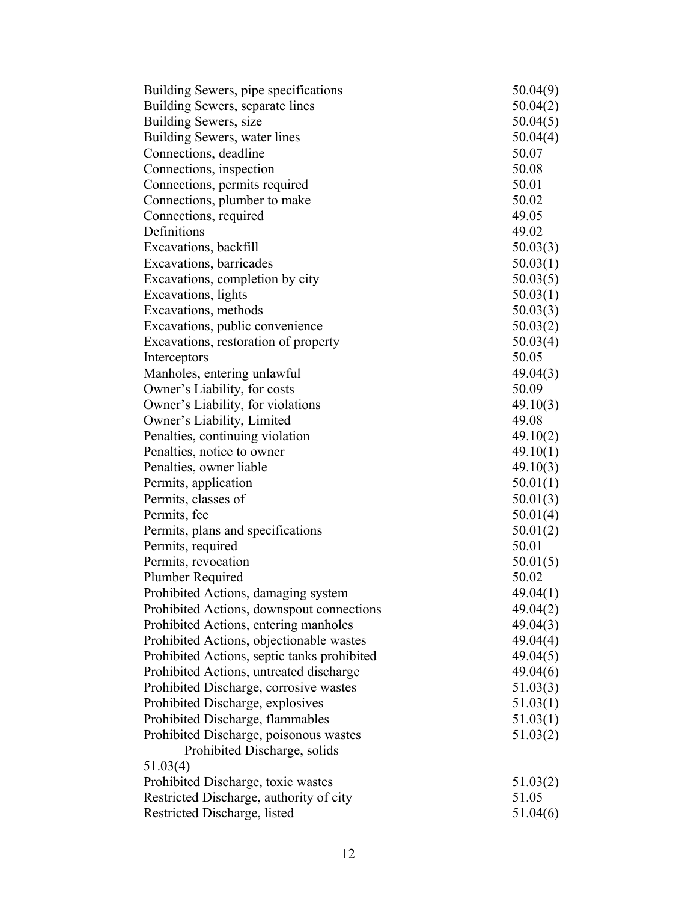| Building Sewers, pipe specifications        | 50.04(9) |
|---------------------------------------------|----------|
| Building Sewers, separate lines             | 50.04(2) |
| Building Sewers, size                       | 50.04(5) |
| Building Sewers, water lines                | 50.04(4) |
| Connections, deadline                       | 50.07    |
| Connections, inspection                     | 50.08    |
| Connections, permits required               | 50.01    |
| Connections, plumber to make                | 50.02    |
| Connections, required                       | 49.05    |
| Definitions                                 | 49.02    |
| Excavations, backfill                       | 50.03(3) |
| Excavations, barricades                     | 50.03(1) |
| Excavations, completion by city             | 50.03(5) |
| Excavations, lights                         | 50.03(1) |
| Excavations, methods                        | 50.03(3) |
| Excavations, public convenience             | 50.03(2) |
| Excavations, restoration of property        | 50.03(4) |
| Interceptors                                | 50.05    |
| Manholes, entering unlawful                 | 49.04(3) |
| Owner's Liability, for costs                | 50.09    |
| Owner's Liability, for violations           | 49.10(3) |
| Owner's Liability, Limited                  | 49.08    |
| Penalties, continuing violation             | 49.10(2) |
| Penalties, notice to owner                  | 49.10(1) |
| Penalties, owner liable                     | 49.10(3) |
| Permits, application                        | 50.01(1) |
| Permits, classes of                         | 50.01(3) |
| Permits, fee                                | 50.01(4) |
| Permits, plans and specifications           | 50.01(2) |
| Permits, required                           | 50.01    |
| Permits, revocation                         | 50.01(5) |
| Plumber Required                            | 50.02    |
| Prohibited Actions, damaging system         | 49.04(1) |
| Prohibited Actions, downspout connections   | 49.04(2) |
| Prohibited Actions, entering manholes       | 49.04(3) |
| Prohibited Actions, objectionable wastes    | 49.04(4) |
| Prohibited Actions, septic tanks prohibited | 49.04(5) |
| Prohibited Actions, untreated discharge     | 49.04(6) |
| Prohibited Discharge, corrosive wastes      | 51.03(3) |
| Prohibited Discharge, explosives            | 51.03(1) |
| Prohibited Discharge, flammables            | 51.03(1) |
| Prohibited Discharge, poisonous wastes      | 51.03(2) |
| Prohibited Discharge, solids                |          |
| 51.03(4)                                    |          |
| Prohibited Discharge, toxic wastes          | 51.03(2) |
| Restricted Discharge, authority of city     | 51.05    |
| Restricted Discharge, listed                | 51.04(6) |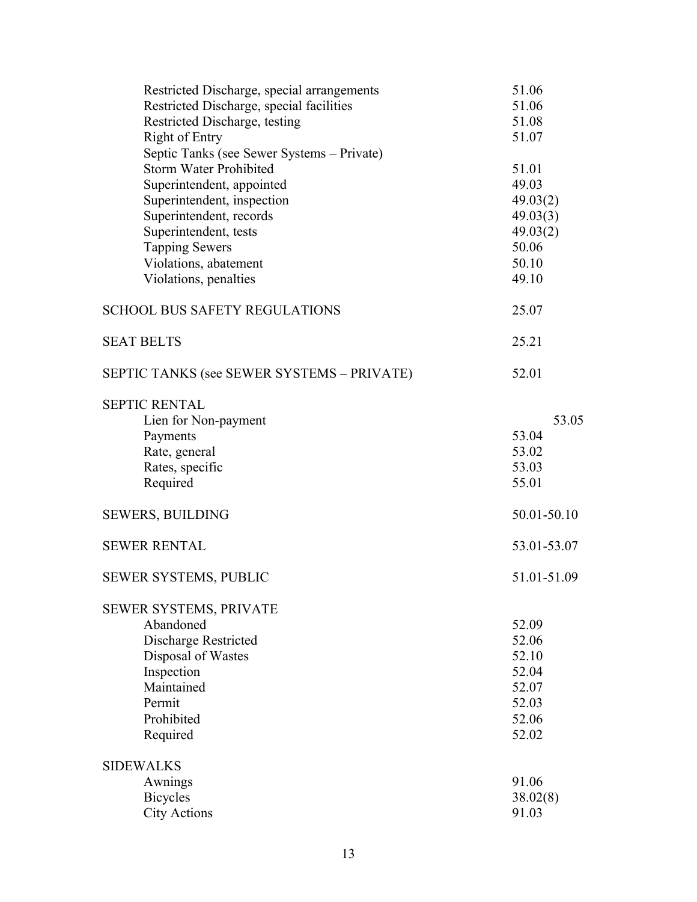| Restricted Discharge, special arrangements | 51.06       |
|--------------------------------------------|-------------|
| Restricted Discharge, special facilities   | 51.06       |
| Restricted Discharge, testing              | 51.08       |
| Right of Entry                             | 51.07       |
| Septic Tanks (see Sewer Systems - Private) |             |
| <b>Storm Water Prohibited</b>              | 51.01       |
| Superintendent, appointed                  | 49.03       |
| Superintendent, inspection                 | 49.03(2)    |
| Superintendent, records                    | 49.03(3)    |
| Superintendent, tests                      | 49.03(2)    |
| <b>Tapping Sewers</b>                      | 50.06       |
| Violations, abatement                      | 50.10       |
| Violations, penalties                      | 49.10       |
|                                            |             |
| <b>SCHOOL BUS SAFETY REGULATIONS</b>       | 25.07       |
| <b>SEAT BELTS</b>                          | 25.21       |
| SEPTIC TANKS (see SEWER SYSTEMS - PRIVATE) | 52.01       |
| <b>SEPTIC RENTAL</b>                       |             |
| Lien for Non-payment                       | 53.05       |
| Payments                                   | 53.04       |
| Rate, general                              | 53.02       |
| Rates, specific                            | 53.03       |
| Required                                   | 55.01       |
|                                            |             |
| <b>SEWERS, BUILDING</b>                    | 50.01-50.10 |
| <b>SEWER RENTAL</b>                        | 53.01-53.07 |
| SEWER SYSTEMS, PUBLIC                      | 51.01-51.09 |
| SEWER SYSTEMS, PRIVATE                     |             |
| Abandoned                                  | 52.09       |
| Discharge Restricted                       | 52.06       |
| Disposal of Wastes                         | 52.10       |
| Inspection                                 | 52.04       |
| Maintained                                 | 52.07       |
| Permit                                     | 52.03       |
| Prohibited                                 | 52.06       |
| Required                                   | 52.02       |
| <b>SIDEWALKS</b>                           |             |
| Awnings                                    | 91.06       |
| <b>Bicycles</b>                            | 38.02(8)    |
| <b>City Actions</b>                        | 91.03       |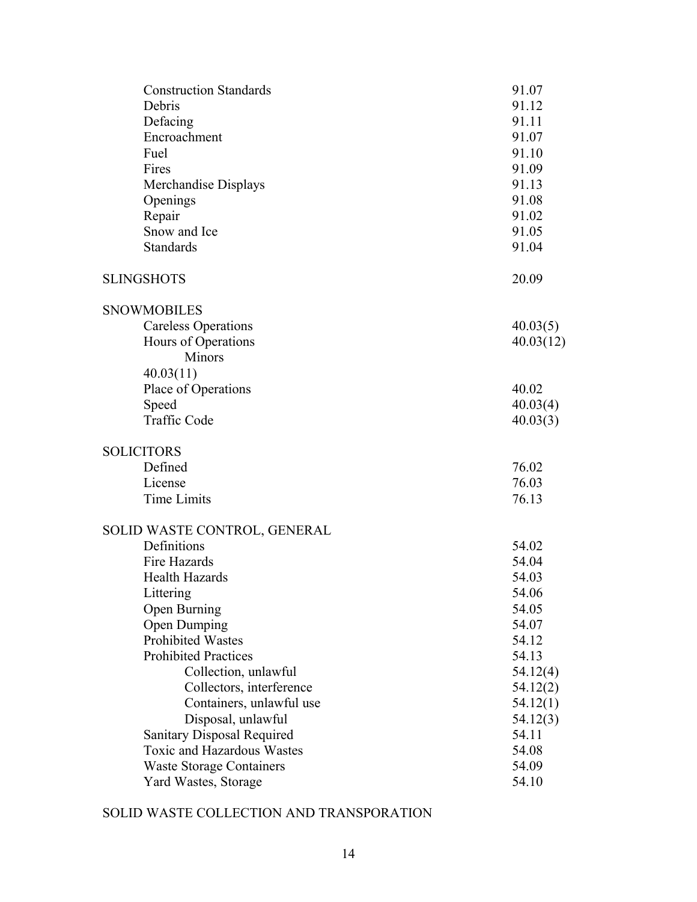| <b>Construction Standards</b>     | 91.07     |
|-----------------------------------|-----------|
| Debris                            | 91.12     |
| Defacing                          | 91.11     |
| Encroachment                      | 91.07     |
| Fuel                              | 91.10     |
| Fires                             | 91.09     |
| Merchandise Displays              | 91.13     |
| Openings                          | 91.08     |
| Repair                            | 91.02     |
| Snow and Ice                      | 91.05     |
| <b>Standards</b>                  | 91.04     |
| <b>SLINGSHOTS</b>                 | 20.09     |
| <b>SNOWMOBILES</b>                |           |
| <b>Careless Operations</b>        | 40.03(5)  |
| Hours of Operations               | 40.03(12) |
| Minors                            |           |
| 40.03(11)                         |           |
| Place of Operations               | 40.02     |
| Speed                             | 40.03(4)  |
| <b>Traffic Code</b>               | 40.03(3)  |
| <b>SOLICITORS</b>                 |           |
| Defined                           | 76.02     |
| License                           | 76.03     |
| Time Limits                       | 76.13     |
| SOLID WASTE CONTROL, GENERAL      |           |
| Definitions                       | 54.02     |
| Fire Hazards                      | 54.04     |
| <b>Health Hazards</b>             | 54.03     |
| Littering                         | 54.06     |
| <b>Open Burning</b>               | 54.05     |
| <b>Open Dumping</b>               | 54.07     |
| <b>Prohibited Wastes</b>          | 54.12     |
| <b>Prohibited Practices</b>       | 54.13     |
| Collection, unlawful              | 54.12(4)  |
| Collectors, interference          | 54.12(2)  |
| Containers, unlawful use          | 54.12(1)  |
| Disposal, unlawful                | 54.12(3)  |
| <b>Sanitary Disposal Required</b> | 54.11     |
| <b>Toxic and Hazardous Wastes</b> | 54.08     |
| <b>Waste Storage Containers</b>   | 54.09     |
| Yard Wastes, Storage              | 54.10     |
|                                   |           |

# SOLID WASTE COLLECTION AND TRANSPORATION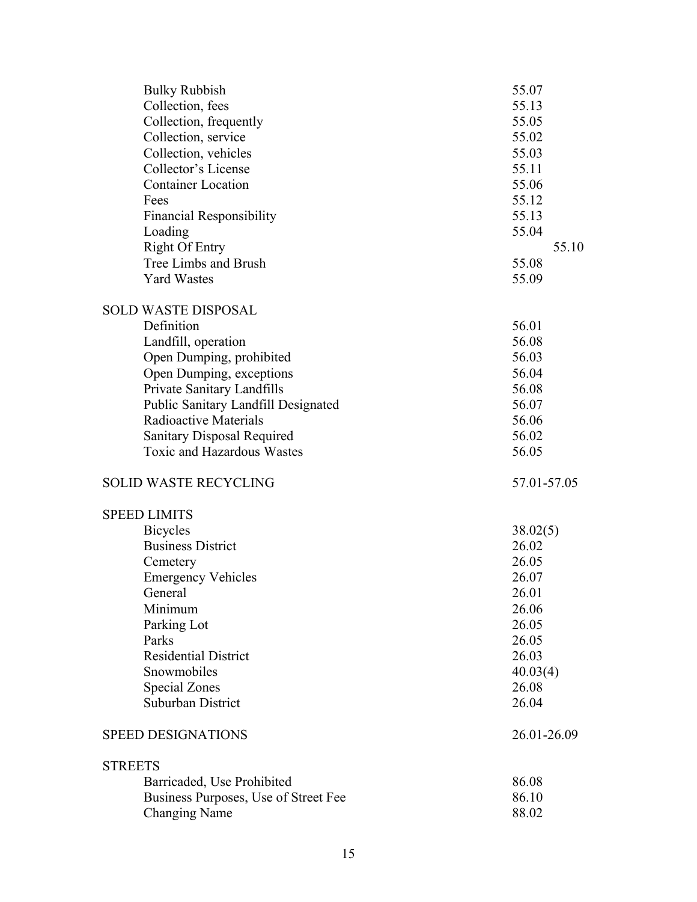| <b>Bulky Rubbish</b>                 | 55.07       |
|--------------------------------------|-------------|
| Collection, fees                     | 55.13       |
| Collection, frequently               | 55.05       |
| Collection, service                  | 55.02       |
| Collection, vehicles                 | 55.03       |
| Collector's License                  | 55.11       |
| <b>Container Location</b>            | 55.06       |
| Fees                                 | 55.12       |
| <b>Financial Responsibility</b>      | 55.13       |
| Loading                              | 55.04       |
| <b>Right Of Entry</b>                | 55.10       |
| Tree Limbs and Brush                 | 55.08       |
| <b>Yard Wastes</b>                   | 55.09       |
| <b>SOLD WASTE DISPOSAL</b>           |             |
| Definition                           | 56.01       |
| Landfill, operation                  | 56.08       |
| Open Dumping, prohibited             | 56.03       |
| Open Dumping, exceptions             | 56.04       |
| Private Sanitary Landfills           | 56.08       |
| Public Sanitary Landfill Designated  | 56.07       |
| <b>Radioactive Materials</b>         | 56.06       |
| <b>Sanitary Disposal Required</b>    | 56.02       |
| <b>Toxic and Hazardous Wastes</b>    | 56.05       |
| <b>SOLID WASTE RECYCLING</b>         | 57.01-57.05 |
| <b>SPEED LIMITS</b>                  |             |
| <b>Bicycles</b>                      | 38.02(5)    |
| <b>Business District</b>             | 26.02       |
| Cemetery                             | 26.05       |
| <b>Emergency Vehicles</b>            | 26.07       |
| General                              | 26.01       |
| Minimum                              | 26.06       |
| Parking Lot                          | 26.05       |
| Parks                                | 26.05       |
| <b>Residential District</b>          | 26.03       |
| Snowmobiles                          | 40.03(4)    |
| <b>Special Zones</b>                 | 26.08       |
| Suburban District                    | 26.04       |
| <b>SPEED DESIGNATIONS</b>            | 26.01-26.09 |
| <b>STREETS</b>                       |             |
| Barricaded, Use Prohibited           | 86.08       |
| Business Purposes, Use of Street Fee | 86.10       |
| <b>Changing Name</b>                 | 88.02       |
|                                      |             |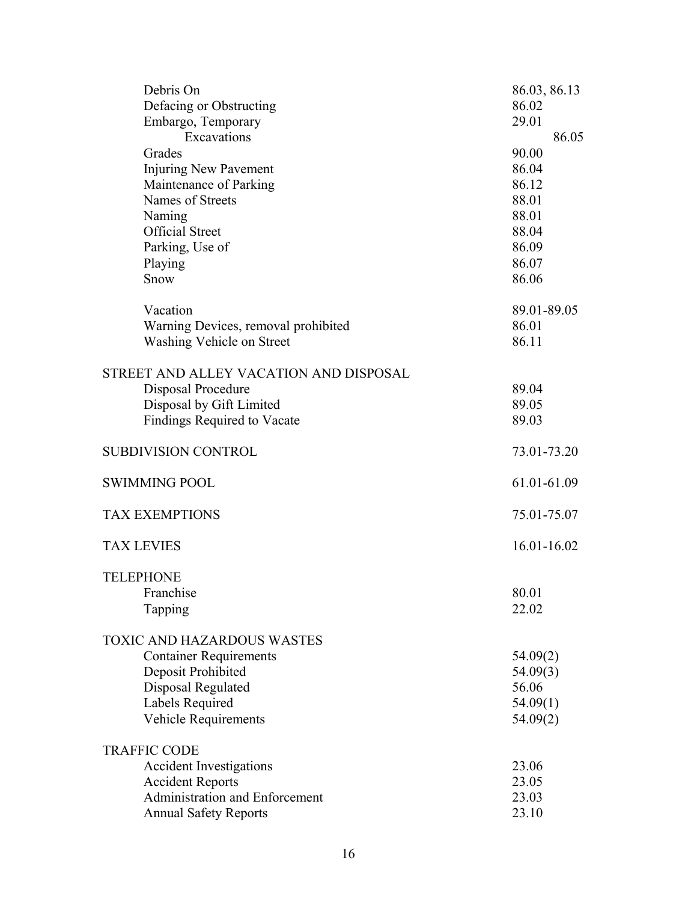| Debris On                              | 86.03, 86.13 |
|----------------------------------------|--------------|
| Defacing or Obstructing                | 86.02        |
| Embargo, Temporary                     | 29.01        |
| Excavations                            | 86.05        |
| Grades                                 | 90.00        |
| <b>Injuring New Pavement</b>           | 86.04        |
| Maintenance of Parking                 | 86.12        |
| Names of Streets                       | 88.01        |
| Naming                                 | 88.01        |
| <b>Official Street</b>                 | 88.04        |
| Parking, Use of                        | 86.09        |
| Playing                                | 86.07        |
| Snow                                   | 86.06        |
|                                        |              |
| Vacation                               | 89.01-89.05  |
| Warning Devices, removal prohibited    | 86.01        |
| <b>Washing Vehicle on Street</b>       | 86.11        |
|                                        |              |
| STREET AND ALLEY VACATION AND DISPOSAL |              |
| Disposal Procedure                     | 89.04        |
| Disposal by Gift Limited               | 89.05        |
| <b>Findings Required to Vacate</b>     | 89.03        |
|                                        |              |
| SUBDIVISION CONTROL                    | 73.01-73.20  |
|                                        |              |
| <b>SWIMMING POOL</b>                   | 61.01-61.09  |
|                                        |              |
| <b>TAX EXEMPTIONS</b>                  | 75.01-75.07  |
|                                        |              |
| <b>TAX LEVIES</b>                      | 16.01-16.02  |
|                                        |              |
| <b>TELEPHONE</b>                       |              |
| Franchise                              | 80.01        |
| Tapping                                | 22.02        |
|                                        |              |
| <b>TOXIC AND HAZARDOUS WASTES</b>      |              |
| <b>Container Requirements</b>          | 54.09(2)     |
| Deposit Prohibited                     | 54.09(3)     |
| Disposal Regulated                     | 56.06        |
| Labels Required                        | 54.09(1)     |
| <b>Vehicle Requirements</b>            | 54.09(2)     |
|                                        |              |
| <b>TRAFFIC CODE</b>                    |              |
| <b>Accident Investigations</b>         | 23.06        |
| <b>Accident Reports</b>                | 23.05        |
| Administration and Enforcement         | 23.03        |
| <b>Annual Safety Reports</b>           | 23.10        |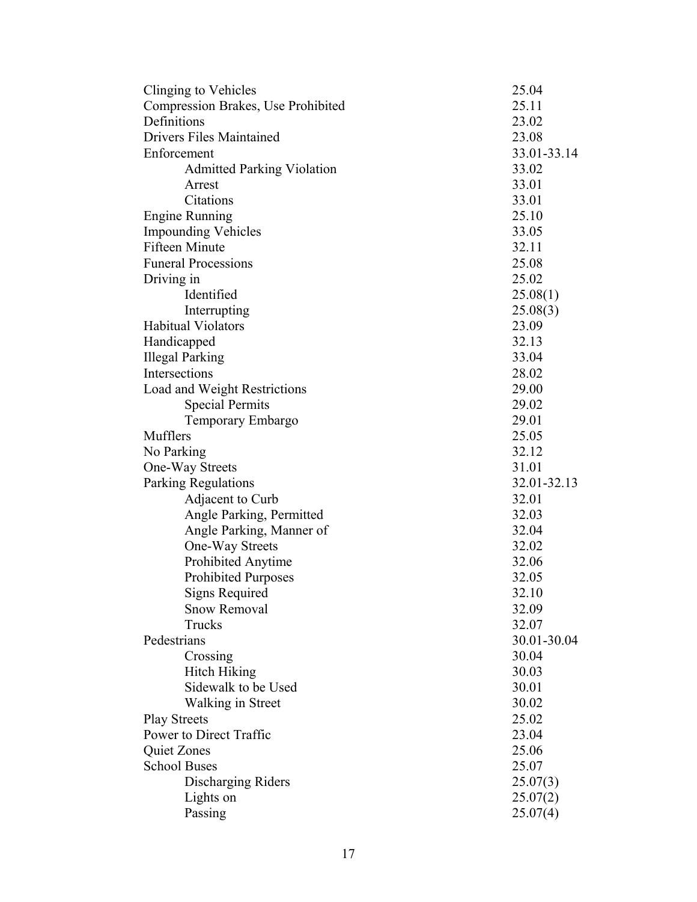| Clinging to Vehicles               | 25.04       |
|------------------------------------|-------------|
| Compression Brakes, Use Prohibited | 25.11       |
| Definitions                        | 23.02       |
| <b>Drivers Files Maintained</b>    | 23.08       |
| Enforcement                        | 33.01-33.14 |
| <b>Admitted Parking Violation</b>  | 33.02       |
| Arrest                             | 33.01       |
| Citations                          | 33.01       |
| <b>Engine Running</b>              | 25.10       |
| <b>Impounding Vehicles</b>         | 33.05       |
| <b>Fifteen Minute</b>              | 32.11       |
| <b>Funeral Processions</b>         | 25.08       |
| Driving in                         | 25.02       |
| Identified                         | 25.08(1)    |
| Interrupting                       | 25.08(3)    |
| <b>Habitual Violators</b>          | 23.09       |
| Handicapped                        | 32.13       |
| <b>Illegal Parking</b>             | 33.04       |
| Intersections                      | 28.02       |
| Load and Weight Restrictions       | 29.00       |
| <b>Special Permits</b>             | 29.02       |
| Temporary Embargo                  | 29.01       |
| Mufflers                           | 25.05       |
| No Parking                         | 32.12       |
| One-Way Streets                    | 31.01       |
| <b>Parking Regulations</b>         | 32.01-32.13 |
| Adjacent to Curb                   | 32.01       |
| Angle Parking, Permitted           | 32.03       |
| Angle Parking, Manner of           | 32.04       |
| One-Way Streets                    | 32.02       |
| Prohibited Anytime                 | 32.06       |
| <b>Prohibited Purposes</b>         | 32.05       |
| <b>Signs Required</b>              | 32.10       |
| <b>Snow Removal</b>                | 32.09       |
| Trucks                             | 32.07       |
| Pedestrians                        | 30.01-30.04 |
| Crossing                           | 30.04       |
| <b>Hitch Hiking</b>                | 30.03       |
| Sidewalk to be Used                | 30.01       |
| Walking in Street                  | 30.02       |
| <b>Play Streets</b>                | 25.02       |
| Power to Direct Traffic            | 23.04       |
| Quiet Zones                        | 25.06       |
| <b>School Buses</b>                | 25.07       |
| Discharging Riders                 | 25.07(3)    |
| Lights on                          | 25.07(2)    |
| Passing                            | 25.07(4)    |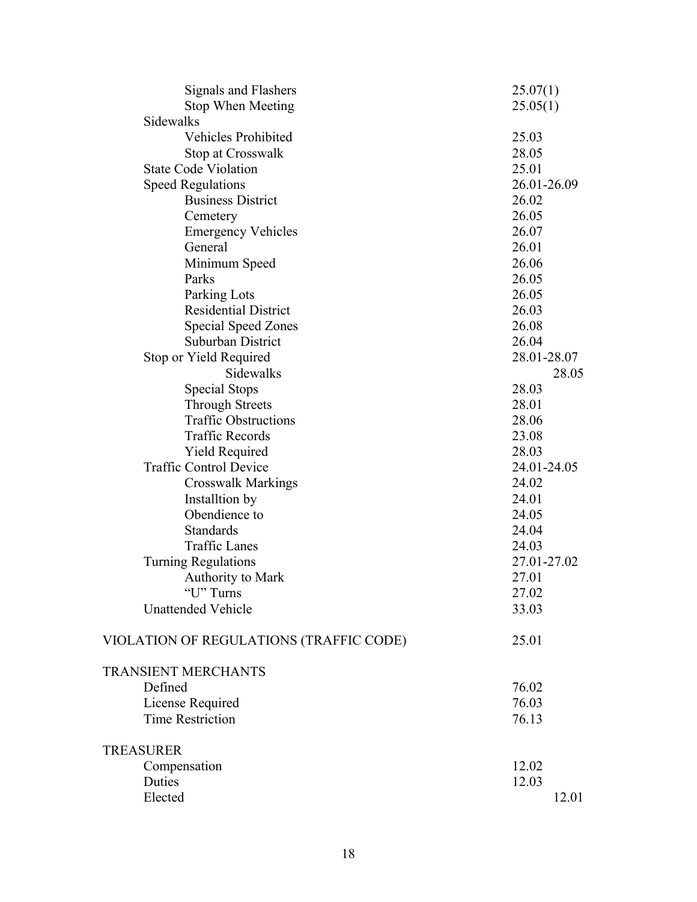| Signals and Flashers                    | 25.07(1)    |
|-----------------------------------------|-------------|
| Stop When Meeting                       | 25.05(1)    |
| Sidewalks                               |             |
| <b>Vehicles Prohibited</b>              | 25.03       |
| Stop at Crosswalk                       | 28.05       |
| <b>State Code Violation</b>             | 25.01       |
| <b>Speed Regulations</b>                | 26.01-26.09 |
| <b>Business District</b>                | 26.02       |
| Cemetery                                | 26.05       |
| <b>Emergency Vehicles</b>               | 26.07       |
| General                                 | 26.01       |
| Minimum Speed                           | 26.06       |
| Parks                                   | 26.05       |
| Parking Lots                            | 26.05       |
| <b>Residential District</b>             | 26.03       |
| <b>Special Speed Zones</b>              | 26.08       |
| Suburban District                       | 26.04       |
| Stop or Yield Required                  | 28.01-28.07 |
| Sidewalks                               | 28.05       |
| Special Stops                           | 28.03       |
| <b>Through Streets</b>                  | 28.01       |
| <b>Traffic Obstructions</b>             | 28.06       |
| <b>Traffic Records</b>                  | 23.08       |
| <b>Yield Required</b>                   | 28.03       |
| <b>Traffic Control Device</b>           | 24.01-24.05 |
| <b>Crosswalk Markings</b>               | 24.02       |
| Installtion by                          | 24.01       |
| Obendience to                           | 24.05       |
| Standards                               | 24.04       |
| <b>Traffic Lanes</b>                    | 24.03       |
| <b>Turning Regulations</b>              | 27.01-27.02 |
| Authority to Mark                       | 27.01       |
| "U" Turns                               | 27.02       |
| <b>Unattended Vehicle</b>               | 33.03       |
| VIOLATION OF REGULATIONS (TRAFFIC CODE) | 25.01       |
| <b>TRANSIENT MERCHANTS</b>              |             |
| Defined                                 | 76.02       |
| License Required                        | 76.03       |
| <b>Time Restriction</b>                 | 76.13       |
| <b>TREASURER</b>                        |             |
| Compensation                            | 12.02       |
| Duties                                  | 12.03       |
| Elected                                 | 12.01       |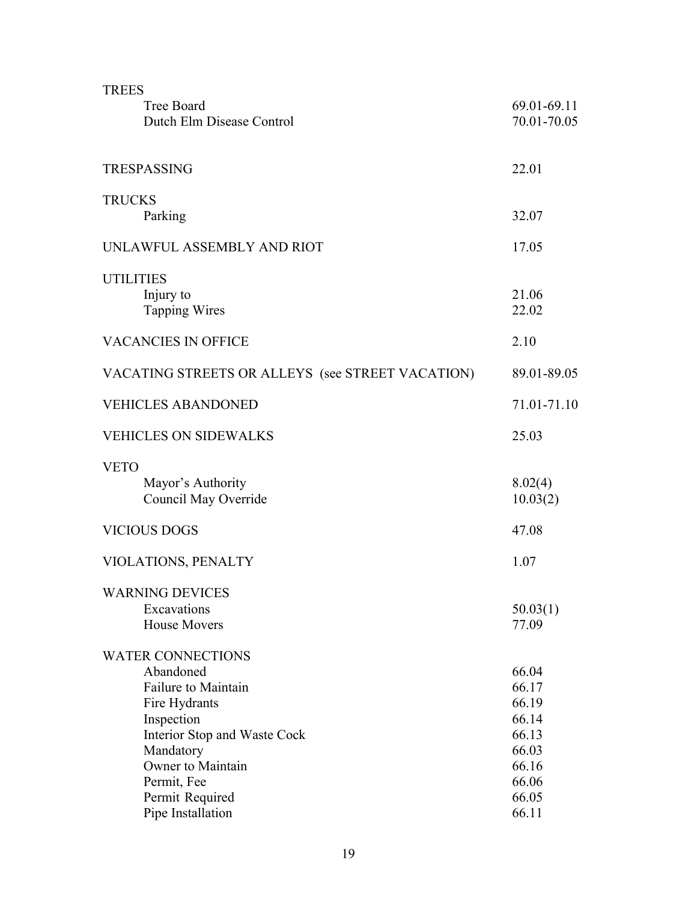| <b>TREES</b><br><b>Tree Board</b><br>Dutch Elm Disease Control                                                                                                                                                       | 69.01-69.11<br>70.01-70.05                                                             |
|----------------------------------------------------------------------------------------------------------------------------------------------------------------------------------------------------------------------|----------------------------------------------------------------------------------------|
| <b>TRESPASSING</b>                                                                                                                                                                                                   | 22.01                                                                                  |
| <b>TRUCKS</b><br>Parking                                                                                                                                                                                             | 32.07                                                                                  |
| UNLAWFUL ASSEMBLY AND RIOT                                                                                                                                                                                           | 17.05                                                                                  |
| <b>UTILITIES</b><br>Injury to<br><b>Tapping Wires</b>                                                                                                                                                                | 21.06<br>22.02                                                                         |
| <b>VACANCIES IN OFFICE</b>                                                                                                                                                                                           | 2.10                                                                                   |
| VACATING STREETS OR ALLEYS (see STREET VACATION)                                                                                                                                                                     | 89.01-89.05                                                                            |
| <b>VEHICLES ABANDONED</b>                                                                                                                                                                                            | 71.01-71.10                                                                            |
| <b>VEHICLES ON SIDEWALKS</b>                                                                                                                                                                                         | 25.03                                                                                  |
| <b>VETO</b><br>Mayor's Authority<br>Council May Override<br><b>VICIOUS DOGS</b>                                                                                                                                      | 8.02(4)<br>10.03(2)<br>47.08                                                           |
|                                                                                                                                                                                                                      |                                                                                        |
| VIOLATIONS, PENALTY<br><b>WARNING DEVICES</b><br>Excavations<br><b>House Movers</b>                                                                                                                                  | 1.07<br>50.03(1)<br>77.09                                                              |
| <b>WATER CONNECTIONS</b><br>Abandoned<br>Failure to Maintain<br>Fire Hydrants<br>Inspection<br>Interior Stop and Waste Cock<br>Mandatory<br>Owner to Maintain<br>Permit, Fee<br>Permit Required<br>Pipe Installation | 66.04<br>66.17<br>66.19<br>66.14<br>66.13<br>66.03<br>66.16<br>66.06<br>66.05<br>66.11 |